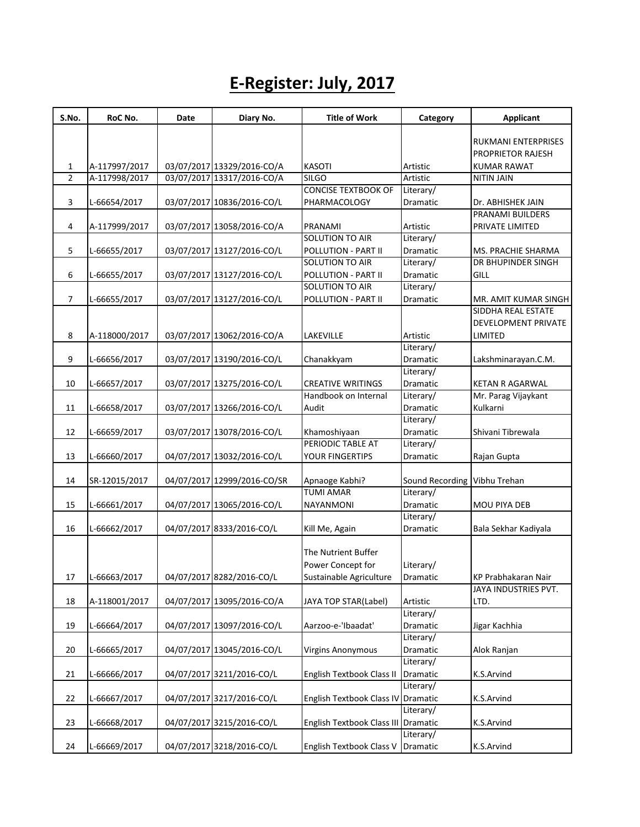## **E-Register: July, 2017**

| S.No.          | RoC No.       | Date | Diary No.                   | <b>Title of Work</b>                          | Category                     | <b>Applicant</b>                                       |
|----------------|---------------|------|-----------------------------|-----------------------------------------------|------------------------------|--------------------------------------------------------|
|                |               |      |                             |                                               |                              |                                                        |
|                |               |      |                             |                                               |                              | <b>RUKMANI ENTERPRISES</b><br><b>PROPRIETOR RAJESH</b> |
| $\mathbf{1}$   | A-117997/2017 |      | 03/07/2017 13329/2016-CO/A  | <b>KASOTI</b>                                 | Artistic                     | <b>KUMAR RAWAT</b>                                     |
| $\overline{2}$ | A-117998/2017 |      | 03/07/2017 13317/2016-CO/A  | <b>SILGO</b>                                  | Artistic                     | <b>NITIN JAIN</b>                                      |
|                |               |      |                             | <b>CONCISE TEXTBOOK OF</b>                    | Literary/                    |                                                        |
|                |               |      |                             |                                               |                              |                                                        |
| 3              | L-66654/2017  |      | 03/07/2017 10836/2016-CO/L  | PHARMACOLOGY                                  | Dramatic                     | Dr. ABHISHEK JAIN<br>PRANAMI BUILDERS                  |
|                |               |      | 03/07/2017 13058/2016-CO/A  | PRANAMI                                       | Artistic                     |                                                        |
| 4              | A-117999/2017 |      |                             | SOLUTION TO AIR                               | Literary/                    | PRIVATE LIMITED                                        |
| 5              | L-66655/2017  |      | 03/07/2017 13127/2016-CO/L  | POLLUTION - PART II                           | Dramatic                     | MS. PRACHIE SHARMA                                     |
|                |               |      |                             | SOLUTION TO AIR                               | Literary/                    | DR BHUPINDER SINGH                                     |
| 6              |               |      | 03/07/2017 13127/2016-CO/L  |                                               |                              | GILL                                                   |
|                | L-66655/2017  |      |                             | POLLUTION - PART II<br><b>SOLUTION TO AIR</b> | Dramatic<br>Literary/        |                                                        |
| $\overline{7}$ |               |      |                             |                                               |                              |                                                        |
|                | L-66655/2017  |      | 03/07/2017 13127/2016-CO/L  | POLLUTION - PART II                           | Dramatic                     | MR. AMIT KUMAR SINGH<br>SIDDHA REAL ESTATE             |
|                |               |      |                             |                                               |                              | <b>DEVELOPMENT PRIVATE</b>                             |
|                |               |      |                             |                                               |                              |                                                        |
| 8              | A-118000/2017 |      | 03/07/2017 13062/2016-CO/A  | LAKEVILLE                                     | Artistic                     | LIMITED                                                |
|                |               |      |                             |                                               | Literary/                    |                                                        |
| 9              | L-66656/2017  |      | 03/07/2017 13190/2016-CO/L  | Chanakkyam                                    | Dramatic                     | Lakshminarayan.C.M.                                    |
|                |               |      |                             |                                               | Literary/                    |                                                        |
| 10             | L-66657/2017  |      | 03/07/2017 13275/2016-CO/L  | <b>CREATIVE WRITINGS</b>                      | Dramatic                     | <b>KETAN R AGARWAL</b>                                 |
|                |               |      |                             | Handbook on Internal                          | Literary/                    | Mr. Parag Vijaykant                                    |
| 11             | L-66658/2017  |      | 03/07/2017 13266/2016-CO/L  | Audit                                         | <b>Dramatic</b>              | Kulkarni                                               |
|                |               |      |                             |                                               | Literary/                    |                                                        |
| 12             | L-66659/2017  |      | 03/07/2017 13078/2016-CO/L  | Khamoshiyaan                                  | Dramatic                     | Shivani Tibrewala                                      |
|                |               |      |                             | PERIODIC TABLE AT                             | Literary/                    |                                                        |
| 13             | L-66660/2017  |      | 04/07/2017 13032/2016-CO/L  | YOUR FINGERTIPS                               | Dramatic                     | Rajan Gupta                                            |
|                |               |      |                             |                                               |                              |                                                        |
| 14             | SR-12015/2017 |      | 04/07/2017 12999/2016-CO/SR | Apnaoge Kabhi?                                | Sound Recording Vibhu Trehan |                                                        |
|                |               |      |                             | <b>TUMI AMAR</b>                              | Literary/                    |                                                        |
| 15             | L-66661/2017  |      | 04/07/2017 13065/2016-CO/L  | NAYANMONI                                     | Dramatic                     | <b>MOU PIYA DEB</b>                                    |
|                |               |      |                             |                                               | Literary/                    |                                                        |
| 16             | L-66662/2017  |      | 04/07/2017 8333/2016-CO/L   | Kill Me, Again                                | Dramatic                     | Bala Sekhar Kadiyala                                   |
|                |               |      |                             |                                               |                              |                                                        |
|                |               |      |                             | The Nutrient Buffer                           |                              |                                                        |
|                |               |      |                             | Power Concept for                             | Literary/                    |                                                        |
| 17             | L-66663/2017  |      | 04/07/2017 8282/2016-CO/L   | Sustainable Agriculture                       | Dramatic                     | KP Prabhakaran Nair                                    |
|                |               |      |                             |                                               |                              | JAYA INDUSTRIES PVT.                                   |
| 18             | A-118001/2017 |      | 04/07/2017 13095/2016-CO/A  | JAYA TOP STAR(Label)                          | Artistic                     | LTD.                                                   |
|                |               |      |                             |                                               | Literary/                    |                                                        |
| 19             | L-66664/2017  |      | 04/07/2017 13097/2016-CO/L  | Aarzoo-e-'Ibaadat'                            | Dramatic                     | Jigar Kachhia                                          |
|                |               |      |                             |                                               | Literary/                    |                                                        |
| 20             | L-66665/2017  |      | 04/07/2017 13045/2016-CO/L  | <b>Virgins Anonymous</b>                      | Dramatic                     | Alok Ranjan                                            |
|                |               |      |                             |                                               | Literary/                    |                                                        |
| 21             | L-66666/2017  |      | 04/07/2017 3211/2016-CO/L   | English Textbook Class II                     | Dramatic                     | K.S.Arvind                                             |
|                |               |      |                             |                                               | Literary/                    |                                                        |
| 22             | L-66667/2017  |      | 04/07/2017 3217/2016-CO/L   | English Textbook Class IV                     | Dramatic                     | K.S.Arvind                                             |
|                |               |      |                             |                                               | Literary/                    |                                                        |
| 23             | L-66668/2017  |      | 04/07/2017 3215/2016-CO/L   | English Textbook Class III                    | Dramatic                     | K.S.Arvind                                             |
|                |               |      |                             |                                               | Literary/                    |                                                        |
| 24             | L-66669/2017  |      | 04/07/2017 3218/2016-CO/L   | English Textbook Class V                      | Dramatic                     | K.S.Arvind                                             |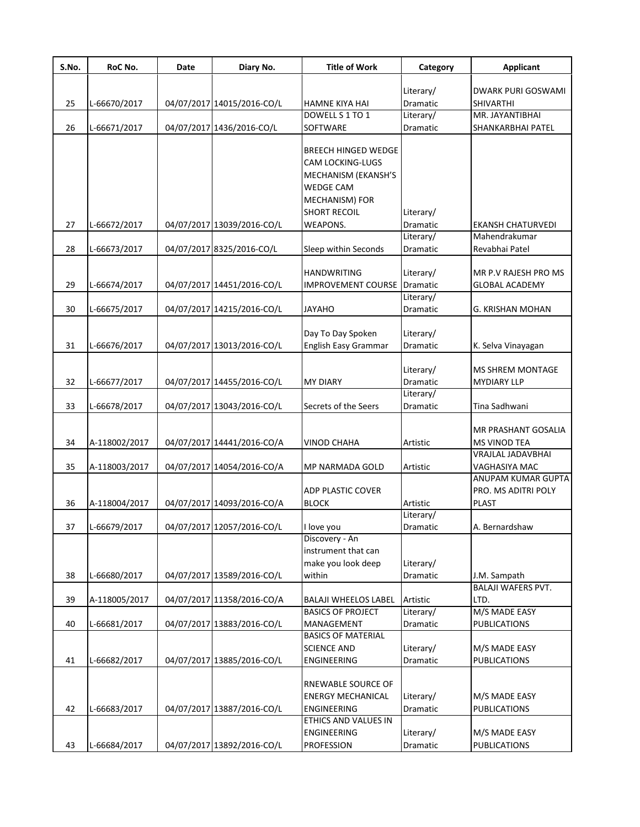| Literary/<br><b>DWARK PURI GOSWAMI</b><br>Dramatic<br>25<br>04/07/2017 14015/2016-CO/L<br>L-66670/2017<br>HAMNE KIYA HAI<br>SHIVARTHI<br>DOWELL S 1 TO 1<br>Literary/<br>MR. JAYANTIBHAI<br>26<br>04/07/2017 1436/2016-CO/L<br>SOFTWARE<br>L-66671/2017<br>Dramatic<br>SHANKARBHAI PATEL<br><b>BREECH HINGED WEDGE</b><br><b>CAM LOCKING-LUGS</b><br>MECHANISM (EKANSH'S<br><b>WEDGE CAM</b><br>MECHANISM) FOR<br><b>SHORT RECOIL</b><br>Literary/<br>27<br>04/07/2017 13039/2016-CO/L<br><b>WEAPONS.</b><br>Dramatic<br>L-66672/2017<br><b>EKANSH CHATURVEDI</b><br>Mahendrakumar<br>Literary/<br>28<br>L-66673/2017<br>04/07/2017 8325/2016-CO/L<br>Sleep within Seconds<br>Revabhai Patel<br>Dramatic<br><b>HANDWRITING</b><br>Literary/<br>MR P.V RAJESH PRO MS<br>IMPROVEMENT COURSE Dramatic<br>29<br>L-66674/2017<br>04/07/2017 14451/2016-CO/L<br><b>GLOBAL ACADEMY</b><br>Literary/<br>30<br>L-66675/2017<br>04/07/2017 14215/2016-CO/L<br><b>Dramatic</b><br>JAYAHO<br>G. KRISHAN MOHAN<br>Day To Day Spoken<br>Literary/<br>31<br>L-66676/2017<br>04/07/2017 13013/2016-CO/L<br>English Easy Grammar<br>Dramatic<br>K. Selva Vinayagan<br>Literary/<br><b>MS SHREM MONTAGE</b><br>32<br>L-66677/2017<br>04/07/2017 14455/2016-CO/L<br>Dramatic<br><b>MY DIARY</b><br><b>MYDIARY LLP</b><br>Literary/<br>33<br>L-66678/2017<br>04/07/2017 13043/2016-CO/L<br>Secrets of the Seers<br>Tina Sadhwani<br>Dramatic<br>MR PRASHANT GOSALIA<br>04/07/2017 14441/2016-CO/A<br>34<br>A-118002/2017<br>Artistic<br><b>VINOD CHAHA</b><br>MS VINOD TEA<br>VRAJLAL JADAVBHAI<br>35<br>A-118003/2017<br>04/07/2017 14054/2016-CO/A<br>MP NARMADA GOLD<br>Artistic<br>VAGHASIYA MAC<br>ANUPAM KUMAR GUPTA<br><b>ADP PLASTIC COVER</b><br>PRO. MS ADITRI POLY<br>36<br>04/07/2017 14093/2016-CO/A<br><b>BLOCK</b><br><b>PLAST</b><br>A-118004/2017<br>Artistic<br>Literary/<br>04/07/2017 12057/2016-CO/L<br>37<br>L-66679/2017<br>I love you<br>Dramatic<br>A. Bernardshaw<br>Discovery - An<br>instrument that can<br>make you look deep<br>Literary/<br>38<br>04/07/2017 13589/2016-CO/L<br>within<br>L-66680/2017<br>Dramatic<br>J.M. Sampath<br><b>BALAJI WAFERS PVT.</b><br>39<br>A-118005/2017<br>04/07/2017 11358/2016-CO/A<br><b>BALAJI WHEELOS LABEL</b><br>Artistic<br>LTD.<br>M/S MADE EASY<br>Literary/<br><b>BASICS OF PROJECT</b><br>40<br>L-66681/2017<br>04/07/2017 13883/2016-CO/L<br>MANAGEMENT<br>Dramatic<br><b>PUBLICATIONS</b><br><b>BASICS OF MATERIAL</b><br><b>SCIENCE AND</b><br>Literary/<br>M/S MADE EASY<br>41<br>04/07/2017 13885/2016-CO/L<br>ENGINEERING<br>Dramatic<br><b>PUBLICATIONS</b><br>L-66682/2017<br>RNEWABLE SOURCE OF<br><b>ENERGY MECHANICAL</b><br>Literary/<br>M/S MADE EASY<br>42<br>04/07/2017 13887/2016-CO/L<br><b>PUBLICATIONS</b><br>L-66683/2017<br>ENGINEERING<br>Dramatic<br>ETHICS AND VALUES IN | S.No. | RoC No. | <b>Date</b> | Diary No. | <b>Title of Work</b> | Category  | <b>Applicant</b> |
|--------------------------------------------------------------------------------------------------------------------------------------------------------------------------------------------------------------------------------------------------------------------------------------------------------------------------------------------------------------------------------------------------------------------------------------------------------------------------------------------------------------------------------------------------------------------------------------------------------------------------------------------------------------------------------------------------------------------------------------------------------------------------------------------------------------------------------------------------------------------------------------------------------------------------------------------------------------------------------------------------------------------------------------------------------------------------------------------------------------------------------------------------------------------------------------------------------------------------------------------------------------------------------------------------------------------------------------------------------------------------------------------------------------------------------------------------------------------------------------------------------------------------------------------------------------------------------------------------------------------------------------------------------------------------------------------------------------------------------------------------------------------------------------------------------------------------------------------------------------------------------------------------------------------------------------------------------------------------------------------------------------------------------------------------------------------------------------------------------------------------------------------------------------------------------------------------------------------------------------------------------------------------------------------------------------------------------------------------------------------------------------------------------------------------------------------------------------------------------------------------------------------------------------------------------------------------------------------------------------------------------------------------------------------------------------------------------------------------------------------------------------------------------------------------------------------------------------------------------|-------|---------|-------------|-----------|----------------------|-----------|------------------|
|                                                                                                                                                                                                                                                                                                                                                                                                                                                                                                                                                                                                                                                                                                                                                                                                                                                                                                                                                                                                                                                                                                                                                                                                                                                                                                                                                                                                                                                                                                                                                                                                                                                                                                                                                                                                                                                                                                                                                                                                                                                                                                                                                                                                                                                                                                                                                                                                                                                                                                                                                                                                                                                                                                                                                                                                                                                        |       |         |             |           |                      |           |                  |
|                                                                                                                                                                                                                                                                                                                                                                                                                                                                                                                                                                                                                                                                                                                                                                                                                                                                                                                                                                                                                                                                                                                                                                                                                                                                                                                                                                                                                                                                                                                                                                                                                                                                                                                                                                                                                                                                                                                                                                                                                                                                                                                                                                                                                                                                                                                                                                                                                                                                                                                                                                                                                                                                                                                                                                                                                                                        |       |         |             |           |                      |           |                  |
|                                                                                                                                                                                                                                                                                                                                                                                                                                                                                                                                                                                                                                                                                                                                                                                                                                                                                                                                                                                                                                                                                                                                                                                                                                                                                                                                                                                                                                                                                                                                                                                                                                                                                                                                                                                                                                                                                                                                                                                                                                                                                                                                                                                                                                                                                                                                                                                                                                                                                                                                                                                                                                                                                                                                                                                                                                                        |       |         |             |           |                      |           |                  |
|                                                                                                                                                                                                                                                                                                                                                                                                                                                                                                                                                                                                                                                                                                                                                                                                                                                                                                                                                                                                                                                                                                                                                                                                                                                                                                                                                                                                                                                                                                                                                                                                                                                                                                                                                                                                                                                                                                                                                                                                                                                                                                                                                                                                                                                                                                                                                                                                                                                                                                                                                                                                                                                                                                                                                                                                                                                        |       |         |             |           |                      |           |                  |
|                                                                                                                                                                                                                                                                                                                                                                                                                                                                                                                                                                                                                                                                                                                                                                                                                                                                                                                                                                                                                                                                                                                                                                                                                                                                                                                                                                                                                                                                                                                                                                                                                                                                                                                                                                                                                                                                                                                                                                                                                                                                                                                                                                                                                                                                                                                                                                                                                                                                                                                                                                                                                                                                                                                                                                                                                                                        |       |         |             |           |                      |           |                  |
|                                                                                                                                                                                                                                                                                                                                                                                                                                                                                                                                                                                                                                                                                                                                                                                                                                                                                                                                                                                                                                                                                                                                                                                                                                                                                                                                                                                                                                                                                                                                                                                                                                                                                                                                                                                                                                                                                                                                                                                                                                                                                                                                                                                                                                                                                                                                                                                                                                                                                                                                                                                                                                                                                                                                                                                                                                                        |       |         |             |           |                      |           |                  |
|                                                                                                                                                                                                                                                                                                                                                                                                                                                                                                                                                                                                                                                                                                                                                                                                                                                                                                                                                                                                                                                                                                                                                                                                                                                                                                                                                                                                                                                                                                                                                                                                                                                                                                                                                                                                                                                                                                                                                                                                                                                                                                                                                                                                                                                                                                                                                                                                                                                                                                                                                                                                                                                                                                                                                                                                                                                        |       |         |             |           |                      |           |                  |
|                                                                                                                                                                                                                                                                                                                                                                                                                                                                                                                                                                                                                                                                                                                                                                                                                                                                                                                                                                                                                                                                                                                                                                                                                                                                                                                                                                                                                                                                                                                                                                                                                                                                                                                                                                                                                                                                                                                                                                                                                                                                                                                                                                                                                                                                                                                                                                                                                                                                                                                                                                                                                                                                                                                                                                                                                                                        |       |         |             |           |                      |           |                  |
|                                                                                                                                                                                                                                                                                                                                                                                                                                                                                                                                                                                                                                                                                                                                                                                                                                                                                                                                                                                                                                                                                                                                                                                                                                                                                                                                                                                                                                                                                                                                                                                                                                                                                                                                                                                                                                                                                                                                                                                                                                                                                                                                                                                                                                                                                                                                                                                                                                                                                                                                                                                                                                                                                                                                                                                                                                                        |       |         |             |           |                      |           |                  |
|                                                                                                                                                                                                                                                                                                                                                                                                                                                                                                                                                                                                                                                                                                                                                                                                                                                                                                                                                                                                                                                                                                                                                                                                                                                                                                                                                                                                                                                                                                                                                                                                                                                                                                                                                                                                                                                                                                                                                                                                                                                                                                                                                                                                                                                                                                                                                                                                                                                                                                                                                                                                                                                                                                                                                                                                                                                        |       |         |             |           |                      |           |                  |
|                                                                                                                                                                                                                                                                                                                                                                                                                                                                                                                                                                                                                                                                                                                                                                                                                                                                                                                                                                                                                                                                                                                                                                                                                                                                                                                                                                                                                                                                                                                                                                                                                                                                                                                                                                                                                                                                                                                                                                                                                                                                                                                                                                                                                                                                                                                                                                                                                                                                                                                                                                                                                                                                                                                                                                                                                                                        |       |         |             |           |                      |           |                  |
|                                                                                                                                                                                                                                                                                                                                                                                                                                                                                                                                                                                                                                                                                                                                                                                                                                                                                                                                                                                                                                                                                                                                                                                                                                                                                                                                                                                                                                                                                                                                                                                                                                                                                                                                                                                                                                                                                                                                                                                                                                                                                                                                                                                                                                                                                                                                                                                                                                                                                                                                                                                                                                                                                                                                                                                                                                                        |       |         |             |           |                      |           |                  |
|                                                                                                                                                                                                                                                                                                                                                                                                                                                                                                                                                                                                                                                                                                                                                                                                                                                                                                                                                                                                                                                                                                                                                                                                                                                                                                                                                                                                                                                                                                                                                                                                                                                                                                                                                                                                                                                                                                                                                                                                                                                                                                                                                                                                                                                                                                                                                                                                                                                                                                                                                                                                                                                                                                                                                                                                                                                        |       |         |             |           |                      |           |                  |
|                                                                                                                                                                                                                                                                                                                                                                                                                                                                                                                                                                                                                                                                                                                                                                                                                                                                                                                                                                                                                                                                                                                                                                                                                                                                                                                                                                                                                                                                                                                                                                                                                                                                                                                                                                                                                                                                                                                                                                                                                                                                                                                                                                                                                                                                                                                                                                                                                                                                                                                                                                                                                                                                                                                                                                                                                                                        |       |         |             |           |                      |           |                  |
|                                                                                                                                                                                                                                                                                                                                                                                                                                                                                                                                                                                                                                                                                                                                                                                                                                                                                                                                                                                                                                                                                                                                                                                                                                                                                                                                                                                                                                                                                                                                                                                                                                                                                                                                                                                                                                                                                                                                                                                                                                                                                                                                                                                                                                                                                                                                                                                                                                                                                                                                                                                                                                                                                                                                                                                                                                                        |       |         |             |           |                      |           |                  |
|                                                                                                                                                                                                                                                                                                                                                                                                                                                                                                                                                                                                                                                                                                                                                                                                                                                                                                                                                                                                                                                                                                                                                                                                                                                                                                                                                                                                                                                                                                                                                                                                                                                                                                                                                                                                                                                                                                                                                                                                                                                                                                                                                                                                                                                                                                                                                                                                                                                                                                                                                                                                                                                                                                                                                                                                                                                        |       |         |             |           |                      |           |                  |
|                                                                                                                                                                                                                                                                                                                                                                                                                                                                                                                                                                                                                                                                                                                                                                                                                                                                                                                                                                                                                                                                                                                                                                                                                                                                                                                                                                                                                                                                                                                                                                                                                                                                                                                                                                                                                                                                                                                                                                                                                                                                                                                                                                                                                                                                                                                                                                                                                                                                                                                                                                                                                                                                                                                                                                                                                                                        |       |         |             |           |                      |           |                  |
|                                                                                                                                                                                                                                                                                                                                                                                                                                                                                                                                                                                                                                                                                                                                                                                                                                                                                                                                                                                                                                                                                                                                                                                                                                                                                                                                                                                                                                                                                                                                                                                                                                                                                                                                                                                                                                                                                                                                                                                                                                                                                                                                                                                                                                                                                                                                                                                                                                                                                                                                                                                                                                                                                                                                                                                                                                                        |       |         |             |           |                      |           |                  |
|                                                                                                                                                                                                                                                                                                                                                                                                                                                                                                                                                                                                                                                                                                                                                                                                                                                                                                                                                                                                                                                                                                                                                                                                                                                                                                                                                                                                                                                                                                                                                                                                                                                                                                                                                                                                                                                                                                                                                                                                                                                                                                                                                                                                                                                                                                                                                                                                                                                                                                                                                                                                                                                                                                                                                                                                                                                        |       |         |             |           |                      |           |                  |
|                                                                                                                                                                                                                                                                                                                                                                                                                                                                                                                                                                                                                                                                                                                                                                                                                                                                                                                                                                                                                                                                                                                                                                                                                                                                                                                                                                                                                                                                                                                                                                                                                                                                                                                                                                                                                                                                                                                                                                                                                                                                                                                                                                                                                                                                                                                                                                                                                                                                                                                                                                                                                                                                                                                                                                                                                                                        |       |         |             |           |                      |           |                  |
|                                                                                                                                                                                                                                                                                                                                                                                                                                                                                                                                                                                                                                                                                                                                                                                                                                                                                                                                                                                                                                                                                                                                                                                                                                                                                                                                                                                                                                                                                                                                                                                                                                                                                                                                                                                                                                                                                                                                                                                                                                                                                                                                                                                                                                                                                                                                                                                                                                                                                                                                                                                                                                                                                                                                                                                                                                                        |       |         |             |           |                      |           |                  |
|                                                                                                                                                                                                                                                                                                                                                                                                                                                                                                                                                                                                                                                                                                                                                                                                                                                                                                                                                                                                                                                                                                                                                                                                                                                                                                                                                                                                                                                                                                                                                                                                                                                                                                                                                                                                                                                                                                                                                                                                                                                                                                                                                                                                                                                                                                                                                                                                                                                                                                                                                                                                                                                                                                                                                                                                                                                        |       |         |             |           |                      |           |                  |
|                                                                                                                                                                                                                                                                                                                                                                                                                                                                                                                                                                                                                                                                                                                                                                                                                                                                                                                                                                                                                                                                                                                                                                                                                                                                                                                                                                                                                                                                                                                                                                                                                                                                                                                                                                                                                                                                                                                                                                                                                                                                                                                                                                                                                                                                                                                                                                                                                                                                                                                                                                                                                                                                                                                                                                                                                                                        |       |         |             |           |                      |           |                  |
|                                                                                                                                                                                                                                                                                                                                                                                                                                                                                                                                                                                                                                                                                                                                                                                                                                                                                                                                                                                                                                                                                                                                                                                                                                                                                                                                                                                                                                                                                                                                                                                                                                                                                                                                                                                                                                                                                                                                                                                                                                                                                                                                                                                                                                                                                                                                                                                                                                                                                                                                                                                                                                                                                                                                                                                                                                                        |       |         |             |           |                      |           |                  |
|                                                                                                                                                                                                                                                                                                                                                                                                                                                                                                                                                                                                                                                                                                                                                                                                                                                                                                                                                                                                                                                                                                                                                                                                                                                                                                                                                                                                                                                                                                                                                                                                                                                                                                                                                                                                                                                                                                                                                                                                                                                                                                                                                                                                                                                                                                                                                                                                                                                                                                                                                                                                                                                                                                                                                                                                                                                        |       |         |             |           |                      |           |                  |
|                                                                                                                                                                                                                                                                                                                                                                                                                                                                                                                                                                                                                                                                                                                                                                                                                                                                                                                                                                                                                                                                                                                                                                                                                                                                                                                                                                                                                                                                                                                                                                                                                                                                                                                                                                                                                                                                                                                                                                                                                                                                                                                                                                                                                                                                                                                                                                                                                                                                                                                                                                                                                                                                                                                                                                                                                                                        |       |         |             |           |                      |           |                  |
|                                                                                                                                                                                                                                                                                                                                                                                                                                                                                                                                                                                                                                                                                                                                                                                                                                                                                                                                                                                                                                                                                                                                                                                                                                                                                                                                                                                                                                                                                                                                                                                                                                                                                                                                                                                                                                                                                                                                                                                                                                                                                                                                                                                                                                                                                                                                                                                                                                                                                                                                                                                                                                                                                                                                                                                                                                                        |       |         |             |           |                      |           |                  |
|                                                                                                                                                                                                                                                                                                                                                                                                                                                                                                                                                                                                                                                                                                                                                                                                                                                                                                                                                                                                                                                                                                                                                                                                                                                                                                                                                                                                                                                                                                                                                                                                                                                                                                                                                                                                                                                                                                                                                                                                                                                                                                                                                                                                                                                                                                                                                                                                                                                                                                                                                                                                                                                                                                                                                                                                                                                        |       |         |             |           |                      |           |                  |
|                                                                                                                                                                                                                                                                                                                                                                                                                                                                                                                                                                                                                                                                                                                                                                                                                                                                                                                                                                                                                                                                                                                                                                                                                                                                                                                                                                                                                                                                                                                                                                                                                                                                                                                                                                                                                                                                                                                                                                                                                                                                                                                                                                                                                                                                                                                                                                                                                                                                                                                                                                                                                                                                                                                                                                                                                                                        |       |         |             |           |                      |           |                  |
|                                                                                                                                                                                                                                                                                                                                                                                                                                                                                                                                                                                                                                                                                                                                                                                                                                                                                                                                                                                                                                                                                                                                                                                                                                                                                                                                                                                                                                                                                                                                                                                                                                                                                                                                                                                                                                                                                                                                                                                                                                                                                                                                                                                                                                                                                                                                                                                                                                                                                                                                                                                                                                                                                                                                                                                                                                                        |       |         |             |           |                      |           |                  |
|                                                                                                                                                                                                                                                                                                                                                                                                                                                                                                                                                                                                                                                                                                                                                                                                                                                                                                                                                                                                                                                                                                                                                                                                                                                                                                                                                                                                                                                                                                                                                                                                                                                                                                                                                                                                                                                                                                                                                                                                                                                                                                                                                                                                                                                                                                                                                                                                                                                                                                                                                                                                                                                                                                                                                                                                                                                        |       |         |             |           |                      |           |                  |
|                                                                                                                                                                                                                                                                                                                                                                                                                                                                                                                                                                                                                                                                                                                                                                                                                                                                                                                                                                                                                                                                                                                                                                                                                                                                                                                                                                                                                                                                                                                                                                                                                                                                                                                                                                                                                                                                                                                                                                                                                                                                                                                                                                                                                                                                                                                                                                                                                                                                                                                                                                                                                                                                                                                                                                                                                                                        |       |         |             |           |                      |           |                  |
|                                                                                                                                                                                                                                                                                                                                                                                                                                                                                                                                                                                                                                                                                                                                                                                                                                                                                                                                                                                                                                                                                                                                                                                                                                                                                                                                                                                                                                                                                                                                                                                                                                                                                                                                                                                                                                                                                                                                                                                                                                                                                                                                                                                                                                                                                                                                                                                                                                                                                                                                                                                                                                                                                                                                                                                                                                                        |       |         |             |           |                      |           |                  |
|                                                                                                                                                                                                                                                                                                                                                                                                                                                                                                                                                                                                                                                                                                                                                                                                                                                                                                                                                                                                                                                                                                                                                                                                                                                                                                                                                                                                                                                                                                                                                                                                                                                                                                                                                                                                                                                                                                                                                                                                                                                                                                                                                                                                                                                                                                                                                                                                                                                                                                                                                                                                                                                                                                                                                                                                                                                        |       |         |             |           |                      |           |                  |
|                                                                                                                                                                                                                                                                                                                                                                                                                                                                                                                                                                                                                                                                                                                                                                                                                                                                                                                                                                                                                                                                                                                                                                                                                                                                                                                                                                                                                                                                                                                                                                                                                                                                                                                                                                                                                                                                                                                                                                                                                                                                                                                                                                                                                                                                                                                                                                                                                                                                                                                                                                                                                                                                                                                                                                                                                                                        |       |         |             |           |                      |           |                  |
|                                                                                                                                                                                                                                                                                                                                                                                                                                                                                                                                                                                                                                                                                                                                                                                                                                                                                                                                                                                                                                                                                                                                                                                                                                                                                                                                                                                                                                                                                                                                                                                                                                                                                                                                                                                                                                                                                                                                                                                                                                                                                                                                                                                                                                                                                                                                                                                                                                                                                                                                                                                                                                                                                                                                                                                                                                                        |       |         |             |           |                      |           |                  |
|                                                                                                                                                                                                                                                                                                                                                                                                                                                                                                                                                                                                                                                                                                                                                                                                                                                                                                                                                                                                                                                                                                                                                                                                                                                                                                                                                                                                                                                                                                                                                                                                                                                                                                                                                                                                                                                                                                                                                                                                                                                                                                                                                                                                                                                                                                                                                                                                                                                                                                                                                                                                                                                                                                                                                                                                                                                        |       |         |             |           |                      |           |                  |
|                                                                                                                                                                                                                                                                                                                                                                                                                                                                                                                                                                                                                                                                                                                                                                                                                                                                                                                                                                                                                                                                                                                                                                                                                                                                                                                                                                                                                                                                                                                                                                                                                                                                                                                                                                                                                                                                                                                                                                                                                                                                                                                                                                                                                                                                                                                                                                                                                                                                                                                                                                                                                                                                                                                                                                                                                                                        |       |         |             |           |                      |           |                  |
|                                                                                                                                                                                                                                                                                                                                                                                                                                                                                                                                                                                                                                                                                                                                                                                                                                                                                                                                                                                                                                                                                                                                                                                                                                                                                                                                                                                                                                                                                                                                                                                                                                                                                                                                                                                                                                                                                                                                                                                                                                                                                                                                                                                                                                                                                                                                                                                                                                                                                                                                                                                                                                                                                                                                                                                                                                                        |       |         |             |           |                      |           |                  |
|                                                                                                                                                                                                                                                                                                                                                                                                                                                                                                                                                                                                                                                                                                                                                                                                                                                                                                                                                                                                                                                                                                                                                                                                                                                                                                                                                                                                                                                                                                                                                                                                                                                                                                                                                                                                                                                                                                                                                                                                                                                                                                                                                                                                                                                                                                                                                                                                                                                                                                                                                                                                                                                                                                                                                                                                                                                        |       |         |             |           |                      |           |                  |
|                                                                                                                                                                                                                                                                                                                                                                                                                                                                                                                                                                                                                                                                                                                                                                                                                                                                                                                                                                                                                                                                                                                                                                                                                                                                                                                                                                                                                                                                                                                                                                                                                                                                                                                                                                                                                                                                                                                                                                                                                                                                                                                                                                                                                                                                                                                                                                                                                                                                                                                                                                                                                                                                                                                                                                                                                                                        |       |         |             |           |                      |           |                  |
|                                                                                                                                                                                                                                                                                                                                                                                                                                                                                                                                                                                                                                                                                                                                                                                                                                                                                                                                                                                                                                                                                                                                                                                                                                                                                                                                                                                                                                                                                                                                                                                                                                                                                                                                                                                                                                                                                                                                                                                                                                                                                                                                                                                                                                                                                                                                                                                                                                                                                                                                                                                                                                                                                                                                                                                                                                                        |       |         |             |           |                      |           |                  |
|                                                                                                                                                                                                                                                                                                                                                                                                                                                                                                                                                                                                                                                                                                                                                                                                                                                                                                                                                                                                                                                                                                                                                                                                                                                                                                                                                                                                                                                                                                                                                                                                                                                                                                                                                                                                                                                                                                                                                                                                                                                                                                                                                                                                                                                                                                                                                                                                                                                                                                                                                                                                                                                                                                                                                                                                                                                        |       |         |             |           |                      |           |                  |
|                                                                                                                                                                                                                                                                                                                                                                                                                                                                                                                                                                                                                                                                                                                                                                                                                                                                                                                                                                                                                                                                                                                                                                                                                                                                                                                                                                                                                                                                                                                                                                                                                                                                                                                                                                                                                                                                                                                                                                                                                                                                                                                                                                                                                                                                                                                                                                                                                                                                                                                                                                                                                                                                                                                                                                                                                                                        |       |         |             |           |                      |           |                  |
|                                                                                                                                                                                                                                                                                                                                                                                                                                                                                                                                                                                                                                                                                                                                                                                                                                                                                                                                                                                                                                                                                                                                                                                                                                                                                                                                                                                                                                                                                                                                                                                                                                                                                                                                                                                                                                                                                                                                                                                                                                                                                                                                                                                                                                                                                                                                                                                                                                                                                                                                                                                                                                                                                                                                                                                                                                                        |       |         |             |           |                      |           |                  |
|                                                                                                                                                                                                                                                                                                                                                                                                                                                                                                                                                                                                                                                                                                                                                                                                                                                                                                                                                                                                                                                                                                                                                                                                                                                                                                                                                                                                                                                                                                                                                                                                                                                                                                                                                                                                                                                                                                                                                                                                                                                                                                                                                                                                                                                                                                                                                                                                                                                                                                                                                                                                                                                                                                                                                                                                                                                        |       |         |             |           |                      |           |                  |
|                                                                                                                                                                                                                                                                                                                                                                                                                                                                                                                                                                                                                                                                                                                                                                                                                                                                                                                                                                                                                                                                                                                                                                                                                                                                                                                                                                                                                                                                                                                                                                                                                                                                                                                                                                                                                                                                                                                                                                                                                                                                                                                                                                                                                                                                                                                                                                                                                                                                                                                                                                                                                                                                                                                                                                                                                                                        |       |         |             |           |                      |           |                  |
|                                                                                                                                                                                                                                                                                                                                                                                                                                                                                                                                                                                                                                                                                                                                                                                                                                                                                                                                                                                                                                                                                                                                                                                                                                                                                                                                                                                                                                                                                                                                                                                                                                                                                                                                                                                                                                                                                                                                                                                                                                                                                                                                                                                                                                                                                                                                                                                                                                                                                                                                                                                                                                                                                                                                                                                                                                                        |       |         |             |           |                      |           |                  |
|                                                                                                                                                                                                                                                                                                                                                                                                                                                                                                                                                                                                                                                                                                                                                                                                                                                                                                                                                                                                                                                                                                                                                                                                                                                                                                                                                                                                                                                                                                                                                                                                                                                                                                                                                                                                                                                                                                                                                                                                                                                                                                                                                                                                                                                                                                                                                                                                                                                                                                                                                                                                                                                                                                                                                                                                                                                        |       |         |             |           |                      |           |                  |
|                                                                                                                                                                                                                                                                                                                                                                                                                                                                                                                                                                                                                                                                                                                                                                                                                                                                                                                                                                                                                                                                                                                                                                                                                                                                                                                                                                                                                                                                                                                                                                                                                                                                                                                                                                                                                                                                                                                                                                                                                                                                                                                                                                                                                                                                                                                                                                                                                                                                                                                                                                                                                                                                                                                                                                                                                                                        |       |         |             |           |                      |           |                  |
|                                                                                                                                                                                                                                                                                                                                                                                                                                                                                                                                                                                                                                                                                                                                                                                                                                                                                                                                                                                                                                                                                                                                                                                                                                                                                                                                                                                                                                                                                                                                                                                                                                                                                                                                                                                                                                                                                                                                                                                                                                                                                                                                                                                                                                                                                                                                                                                                                                                                                                                                                                                                                                                                                                                                                                                                                                                        |       |         |             |           |                      |           |                  |
|                                                                                                                                                                                                                                                                                                                                                                                                                                                                                                                                                                                                                                                                                                                                                                                                                                                                                                                                                                                                                                                                                                                                                                                                                                                                                                                                                                                                                                                                                                                                                                                                                                                                                                                                                                                                                                                                                                                                                                                                                                                                                                                                                                                                                                                                                                                                                                                                                                                                                                                                                                                                                                                                                                                                                                                                                                                        |       |         |             |           | ENGINEERING          | Literary/ | M/S MADE EASY    |
| 04/07/2017 13892/2016-CO/L<br>43<br>L-66684/2017<br>PROFESSION<br>Dramatic<br><b>PUBLICATIONS</b>                                                                                                                                                                                                                                                                                                                                                                                                                                                                                                                                                                                                                                                                                                                                                                                                                                                                                                                                                                                                                                                                                                                                                                                                                                                                                                                                                                                                                                                                                                                                                                                                                                                                                                                                                                                                                                                                                                                                                                                                                                                                                                                                                                                                                                                                                                                                                                                                                                                                                                                                                                                                                                                                                                                                                      |       |         |             |           |                      |           |                  |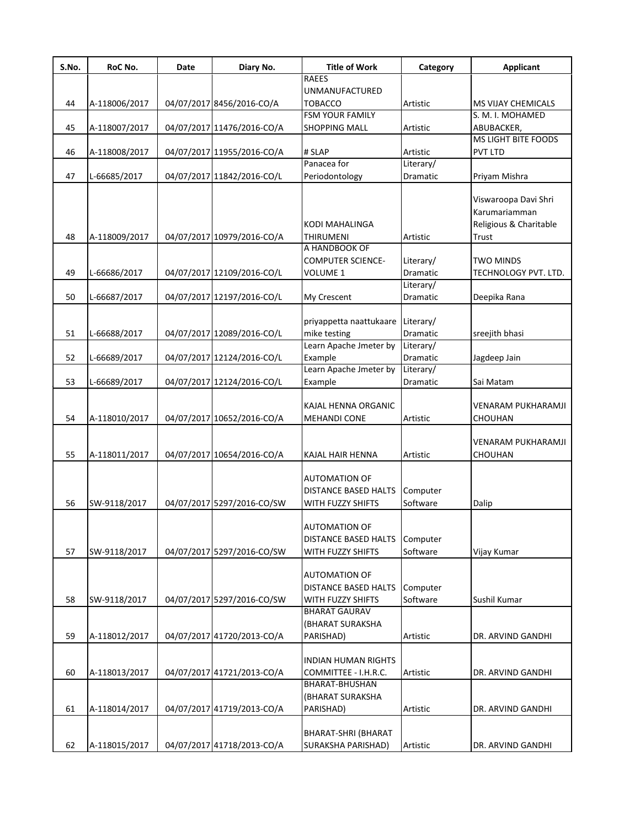| S.No. | RoC No.       | Date | Diary No.                  | <b>Title of Work</b>        | Category        | <b>Applicant</b>          |
|-------|---------------|------|----------------------------|-----------------------------|-----------------|---------------------------|
|       |               |      |                            | <b>RAEES</b>                |                 |                           |
|       |               |      |                            | <b>UNMANUFACTURED</b>       |                 |                           |
| 44    | A-118006/2017 |      | 04/07/2017 8456/2016-CO/A  | <b>TOBACCO</b>              | Artistic        | <b>MS VIJAY CHEMICALS</b> |
|       |               |      |                            | <b>FSM YOUR FAMILY</b>      |                 | S. M. I. MOHAMED          |
| 45    | A-118007/2017 |      | 04/07/2017 11476/2016-CO/A | <b>SHOPPING MALL</b>        | Artistic        | ABUBACKER,                |
|       |               |      |                            |                             |                 | MS LIGHT BITE FOODS       |
| 46    | A-118008/2017 |      | 04/07/2017 11955/2016-CO/A | # SLAP                      | Artistic        | <b>PVT LTD</b>            |
|       |               |      |                            | Panacea for                 | Literary/       |                           |
| 47    | L-66685/2017  |      | 04/07/2017 11842/2016-CO/L | Periodontology              | Dramatic        | Priyam Mishra             |
|       |               |      |                            |                             |                 | Viswaroopa Davi Shri      |
|       |               |      |                            |                             |                 | Karumariamman             |
|       |               |      |                            | KODI MAHALINGA              |                 | Religious & Charitable    |
|       |               |      |                            |                             |                 |                           |
| 48    | A-118009/2017 |      | 04/07/2017 10979/2016-CO/A | THIRUMENI<br>A HANDBOOK OF  | Artistic        | Trust                     |
|       |               |      |                            |                             |                 |                           |
|       |               |      |                            | <b>COMPUTER SCIENCE-</b>    | Literary/       | <b>TWO MINDS</b>          |
| 49    | L-66686/2017  |      | 04/07/2017 12109/2016-CO/L | VOLUME 1                    | Dramatic        | TECHNOLOGY PVT. LTD.      |
|       |               |      |                            |                             | Literary/       |                           |
| 50    | L-66687/2017  |      | 04/07/2017 12197/2016-CO/L | My Crescent                 | Dramatic        | Deepika Rana              |
|       |               |      |                            |                             |                 |                           |
|       |               |      |                            | priyappetta naattukaare     | Literary/       |                           |
| 51    | L-66688/2017  |      | 04/07/2017 12089/2016-CO/L | mike testing                | <b>Dramatic</b> | sreejith bhasi            |
|       |               |      |                            | Learn Apache Jmeter by      | Literary/       |                           |
| 52    | L-66689/2017  |      | 04/07/2017 12124/2016-CO/L | Example                     | Dramatic        | Jagdeep Jain              |
|       |               |      |                            | Learn Apache Jmeter by      | Literary/       |                           |
| 53    | L-66689/2017  |      | 04/07/2017 12124/2016-CO/L | Example                     | Dramatic        | Sai Matam                 |
|       |               |      |                            |                             |                 |                           |
|       |               |      |                            | KAJAL HENNA ORGANIC         |                 | <b>VENARAM PUKHARAMJI</b> |
| 54    | A-118010/2017 |      | 04/07/2017 10652/2016-CO/A | <b>MEHANDI CONE</b>         | Artistic        | <b>CHOUHAN</b>            |
|       |               |      |                            |                             |                 |                           |
|       |               |      |                            |                             |                 | <b>VENARAM PUKHARAMJI</b> |
| 55    | A-118011/2017 |      | 04/07/2017 10654/2016-CO/A | KAJAL HAIR HENNA            | Artistic        | CHOUHAN                   |
|       |               |      |                            |                             |                 |                           |
|       |               |      |                            | <b>AUTOMATION OF</b>        |                 |                           |
|       |               |      |                            | DISTANCE BASED HALTS        | Computer        |                           |
| 56    | SW-9118/2017  |      | 04/07/2017 5297/2016-CO/SW | WITH FUZZY SHIFTS           | Software        | Dalip                     |
|       |               |      |                            |                             |                 |                           |
|       |               |      |                            | AUTOMATION OF               |                 |                           |
|       |               |      |                            | <b>DISTANCE BASED HALTS</b> | Computer        |                           |
| 57    | SW-9118/2017  |      | 04/07/2017 5297/2016-CO/SW | WITH FUZZY SHIFTS           | Software        | Vijay Kumar               |
|       |               |      |                            |                             |                 |                           |
|       |               |      |                            | <b>AUTOMATION OF</b>        |                 |                           |
|       |               |      |                            | <b>DISTANCE BASED HALTS</b> | Computer        |                           |
| 58    | SW-9118/2017  |      | 04/07/2017 5297/2016-CO/SW | WITH FUZZY SHIFTS           | Software        | Sushil Kumar              |
|       |               |      |                            | <b>BHARAT GAURAV</b>        |                 |                           |
|       |               |      |                            | (BHARAT SURAKSHA            |                 |                           |
| 59    | A-118012/2017 |      | 04/07/2017 41720/2013-CO/A | PARISHAD)                   | Artistic        | DR. ARVIND GANDHI         |
|       |               |      |                            |                             |                 |                           |
|       |               |      |                            | <b>INDIAN HUMAN RIGHTS</b>  |                 |                           |
| 60    | A-118013/2017 |      | 04/07/2017 41721/2013-CO/A | COMMITTEE - I.H.R.C.        | Artistic        | DR. ARVIND GANDHI         |
|       |               |      |                            | <b>BHARAT-BHUSHAN</b>       |                 |                           |
|       |               |      |                            | (BHARAT SURAKSHA            |                 |                           |
| 61    | A-118014/2017 |      | 04/07/2017 41719/2013-CO/A | PARISHAD)                   | Artistic        | DR. ARVIND GANDHI         |
|       |               |      |                            |                             |                 |                           |
|       |               |      |                            | BHARAT-SHRI (BHARAT         |                 |                           |
| 62    | A-118015/2017 |      | 04/07/2017 41718/2013-CO/A | <b>SURAKSHA PARISHAD)</b>   | Artistic        | DR. ARVIND GANDHI         |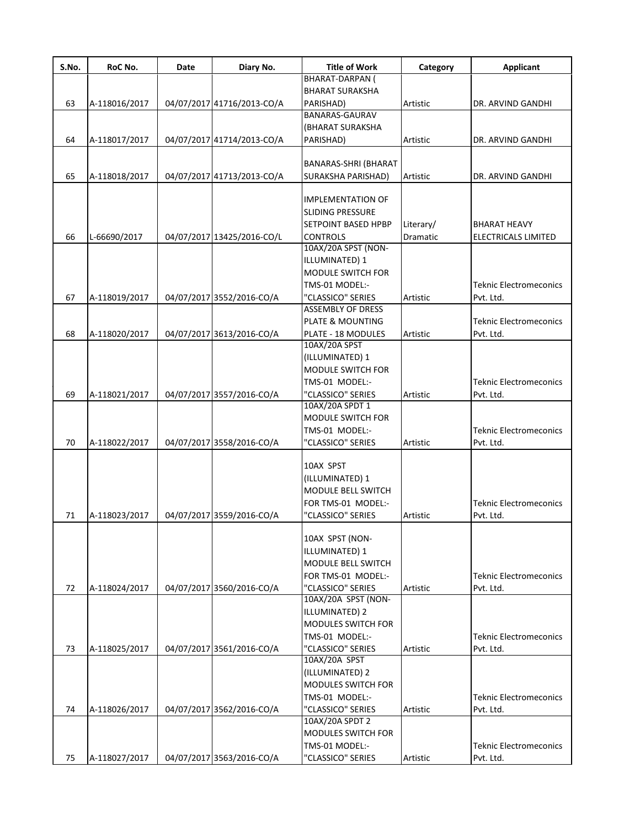| S.No. | RoC No.       | Date | Diary No.                  | <b>Title of Work</b>                     | Category  | <b>Applicant</b>              |
|-------|---------------|------|----------------------------|------------------------------------------|-----------|-------------------------------|
|       |               |      |                            | <b>BHARAT-DARPAN (</b>                   |           |                               |
|       |               |      |                            | <b>BHARAT SURAKSHA</b>                   |           |                               |
| 63    | A-118016/2017 |      | 04/07/2017 41716/2013-CO/A | PARISHAD)                                | Artistic  | DR. ARVIND GANDHI             |
|       |               |      |                            | BANARAS-GAURAV                           |           |                               |
|       |               |      |                            | (BHARAT SURAKSHA                         |           |                               |
| 64    | A-118017/2017 |      | 04/07/2017 41714/2013-CO/A | PARISHAD)                                | Artistic  | DR. ARVIND GANDHI             |
|       |               |      |                            | BANARAS-SHRI (BHARAT                     |           |                               |
| 65    | A-118018/2017 |      | 04/07/2017 41713/2013-CO/A | SURAKSHA PARISHAD)                       | Artistic  |                               |
|       |               |      |                            |                                          |           | DR. ARVIND GANDHI             |
|       |               |      |                            | <b>IMPLEMENTATION OF</b>                 |           |                               |
|       |               |      |                            | SLIDING PRESSURE                         |           |                               |
|       |               |      |                            |                                          |           |                               |
|       |               |      |                            | <b>SETPOINT BASED HPBP</b>               | Literary/ | <b>BHARAT HEAVY</b>           |
| 66    | L-66690/2017  |      | 04/07/2017 13425/2016-CO/L | <b>CONTROLS</b>                          | Dramatic  | ELECTRICALS LIMITED           |
|       |               |      |                            | 10AX/20A SPST (NON-                      |           |                               |
|       |               |      |                            | ILLUMINATED) 1                           |           |                               |
|       |               |      |                            | <b>MODULE SWITCH FOR</b>                 |           |                               |
|       |               |      |                            | TMS-01 MODEL:-                           |           | <b>Teknic Electromeconics</b> |
| 67    | A-118019/2017 |      | 04/07/2017 3552/2016-CO/A  | "CLASSICO" SERIES                        | Artistic  | Pvt. Ltd.                     |
|       |               |      |                            | <b>ASSEMBLY OF DRESS</b>                 |           |                               |
|       |               |      |                            | PLATE & MOUNTING                         |           | <b>Teknic Electromeconics</b> |
| 68    | A-118020/2017 |      | 04/07/2017 3613/2016-CO/A  | PLATE - 18 MODULES                       | Artistic  | Pvt. Ltd.                     |
|       |               |      |                            | 10AX/20A SPST                            |           |                               |
|       |               |      |                            | (ILLUMINATED) 1                          |           |                               |
|       |               |      |                            | MODULE SWITCH FOR                        |           |                               |
|       |               |      |                            | TMS-01 MODEL:-                           |           | <b>Teknic Electromeconics</b> |
| 69    | A-118021/2017 |      | 04/07/2017 3557/2016-CO/A  | "CLASSICO" SERIES                        | Artistic  | Pvt. Ltd.                     |
|       |               |      |                            | 10AX/20A SPDT 1                          |           |                               |
|       |               |      |                            | <b>MODULE SWITCH FOR</b>                 |           |                               |
|       |               |      |                            | TMS-01 MODEL:-                           |           | <b>Teknic Electromeconics</b> |
| 70    | A-118022/2017 |      | 04/07/2017 3558/2016-CO/A  | "CLASSICO" SERIES                        | Artistic  | Pvt. Ltd.                     |
|       |               |      |                            |                                          |           |                               |
|       |               |      |                            | 10AX SPST                                |           |                               |
|       |               |      |                            | (ILLUMINATED) 1                          |           |                               |
|       |               |      |                            | MODULE BELL SWITCH                       |           |                               |
|       |               |      |                            | FOR TMS-01 MODEL:-                       |           | <b>Teknic Electromeconics</b> |
|       |               |      |                            |                                          |           | Pvt. Ltd.                     |
| 71    | A-118023/2017 |      | 04/07/2017 3559/2016-CO/A  | "CLASSICO" SERIES                        | Artistic  |                               |
|       |               |      |                            | 10AX SPST (NON-                          |           |                               |
|       |               |      |                            | ILLUMINATED) 1                           |           |                               |
|       |               |      |                            |                                          |           |                               |
|       |               |      |                            | MODULE BELL SWITCH                       |           |                               |
|       |               |      |                            | FOR TMS-01 MODEL:-                       |           | <b>Teknic Electromeconics</b> |
| 72    | A-118024/2017 |      | 04/07/2017 3560/2016-CO/A  | "CLASSICO" SERIES<br>10AX/20A SPST (NON- | Artistic  | Pvt. Ltd.                     |
|       |               |      |                            |                                          |           |                               |
|       |               |      |                            | ILLUMINATED) 2                           |           |                               |
|       |               |      |                            | <b>MODULES SWITCH FOR</b>                |           |                               |
|       |               |      |                            | TMS-01 MODEL:-                           |           | <b>Teknic Electromeconics</b> |
| 73    | A-118025/2017 |      | 04/07/2017 3561/2016-CO/A  | "CLASSICO" SERIES                        | Artistic  | Pvt. Ltd.                     |
|       |               |      |                            | 10AX/20A SPST                            |           |                               |
|       |               |      |                            | (ILLUMINATED) 2                          |           |                               |
|       |               |      |                            | <b>MODULES SWITCH FOR</b>                |           |                               |
|       |               |      |                            | TMS-01 MODEL:-                           |           | <b>Teknic Electromeconics</b> |
| 74    | A-118026/2017 |      | 04/07/2017 3562/2016-CO/A  | "CLASSICO" SERIES                        | Artistic  | Pvt. Ltd.                     |
|       |               |      |                            | 10AX/20A SPDT 2                          |           |                               |
|       |               |      |                            | <b>MODULES SWITCH FOR</b>                |           |                               |
|       |               |      |                            | TMS-01 MODEL:-                           |           | <b>Teknic Electromeconics</b> |
| 75    | A-118027/2017 |      | 04/07/2017 3563/2016-CO/A  | "CLASSICO" SERIES                        | Artistic  | Pvt. Ltd.                     |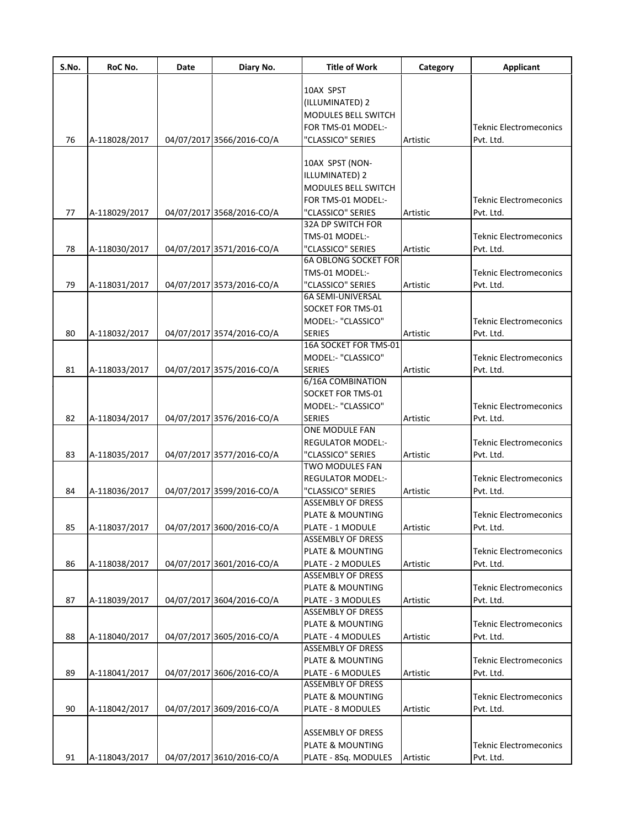| S.No. | RoC No.       | Date | Diary No.                 | <b>Title of Work</b>                          | Category | <b>Applicant</b>                           |
|-------|---------------|------|---------------------------|-----------------------------------------------|----------|--------------------------------------------|
|       |               |      |                           |                                               |          |                                            |
|       |               |      |                           | 10AX SPST<br>(ILLUMINATED) 2                  |          |                                            |
|       |               |      |                           | <b>MODULES BELL SWITCH</b>                    |          |                                            |
|       |               |      |                           | FOR TMS-01 MODEL:-                            |          | <b>Teknic Electromeconics</b>              |
| 76    | A-118028/2017 |      | 04/07/2017 3566/2016-CO/A | "CLASSICO" SERIES                             | Artistic | Pvt. Ltd.                                  |
|       |               |      |                           |                                               |          |                                            |
|       |               |      |                           | 10AX SPST (NON-                               |          |                                            |
|       |               |      |                           | ILLUMINATED) 2                                |          |                                            |
|       |               |      |                           | MODULES BELL SWITCH                           |          |                                            |
|       |               |      |                           | FOR TMS-01 MODEL:-                            |          | <b>Teknic Electromeconics</b>              |
| 77    | A-118029/2017 |      | 04/07/2017 3568/2016-CO/A | "CLASSICO" SERIES                             | Artistic | Pvt. Ltd.                                  |
|       |               |      |                           | 32A DP SWITCH FOR                             |          |                                            |
|       |               |      |                           | TMS-01 MODEL:-                                |          | <b>Teknic Electromeconics</b>              |
| 78    | A-118030/2017 |      | 04/07/2017 3571/2016-CO/A | "CLASSICO" SERIES                             | Artistic | Pvt. Ltd.                                  |
|       |               |      |                           | <b>6A OBLONG SOCKET FOR</b>                   |          |                                            |
|       |               |      |                           | TMS-01 MODEL:-                                |          | <b>Teknic Electromeconics</b>              |
| 79    | A-118031/2017 |      | 04/07/2017 3573/2016-CO/A | "CLASSICO" SERIES                             | Artistic | Pvt. Ltd.                                  |
|       |               |      |                           | <b>6A SEMI-UNIVERSAL</b>                      |          |                                            |
|       |               |      |                           | SOCKET FOR TMS-01                             |          |                                            |
|       |               |      |                           | MODEL:- "CLASSICO"                            |          | <b>Teknic Electromeconics</b>              |
| 80    | A-118032/2017 |      | 04/07/2017 3574/2016-CO/A | <b>SERIES</b>                                 | Artistic | Pvt. Ltd.                                  |
|       |               |      |                           | 16A SOCKET FOR TMS-01                         |          |                                            |
|       |               |      |                           | MODEL:- "CLASSICO"                            |          | <b>Teknic Electromeconics</b>              |
| 81    | A-118033/2017 |      | 04/07/2017 3575/2016-CO/A | <b>SERIES</b>                                 | Artistic | Pvt. Ltd.                                  |
|       |               |      |                           | 6/16A COMBINATION                             |          |                                            |
|       |               |      |                           | SOCKET FOR TMS-01                             |          |                                            |
|       |               |      |                           | MODEL:- "CLASSICO"                            |          | <b>Teknic Electromeconics</b>              |
| 82    | A-118034/2017 |      | 04/07/2017 3576/2016-CO/A | <b>SERIES</b>                                 | Artistic | Pvt. Ltd.                                  |
|       |               |      |                           | ONE MODULE FAN                                |          |                                            |
| 83    |               |      | 04/07/2017 3577/2016-CO/A | <b>REGULATOR MODEL:-</b><br>"CLASSICO" SERIES | Artistic | <b>Teknic Electromeconics</b><br>Pvt. Ltd. |
|       | A-118035/2017 |      |                           | <b>TWO MODULES FAN</b>                        |          |                                            |
|       |               |      |                           | <b>REGULATOR MODEL:-</b>                      |          | <b>Teknic Electromeconics</b>              |
| 84    | A-118036/2017 |      | 04/07/2017 3599/2016-CO/A | "CLASSICO" SERIES                             | Artistic | Pvt. Ltd.                                  |
|       |               |      |                           | <b>ASSEMBLY OF DRESS</b>                      |          |                                            |
|       |               |      |                           | PLATE & MOUNTING                              |          | <b>Teknic Electromeconics</b>              |
| 85    | A-118037/2017 |      | 04/07/2017 3600/2016-CO/A | PLATE - 1 MODULE                              | Artistic | Pvt. Ltd.                                  |
|       |               |      |                           | ASSEMBLY OF DRESS                             |          |                                            |
|       |               |      |                           | PLATE & MOUNTING                              |          | <b>Teknic Electromeconics</b>              |
| 86    | A-118038/2017 |      | 04/07/2017 3601/2016-CO/A | PLATE - 2 MODULES                             | Artistic | Pvt. Ltd.                                  |
|       |               |      |                           | ASSEMBLY OF DRESS                             |          |                                            |
|       |               |      |                           | PLATE & MOUNTING                              |          | <b>Teknic Electromeconics</b>              |
| 87    | A-118039/2017 |      | 04/07/2017 3604/2016-CO/A | PLATE - 3 MODULES                             | Artistic | Pvt. Ltd.                                  |
|       |               |      |                           | ASSEMBLY OF DRESS                             |          |                                            |
|       |               |      |                           | PLATE & MOUNTING                              |          | <b>Teknic Electromeconics</b>              |
| 88    | A-118040/2017 |      | 04/07/2017 3605/2016-CO/A | PLATE - 4 MODULES                             | Artistic | Pvt. Ltd.                                  |
|       |               |      |                           | ASSEMBLY OF DRESS                             |          |                                            |
|       |               |      |                           | <b>PLATE &amp; MOUNTING</b>                   |          | <b>Teknic Electromeconics</b>              |
| 89    | A-118041/2017 |      | 04/07/2017 3606/2016-CO/A | PLATE - 6 MODULES                             | Artistic | Pvt. Ltd.                                  |
|       |               |      |                           | ASSEMBLY OF DRESS                             |          |                                            |
|       |               |      |                           | PLATE & MOUNTING                              |          | <b>Teknic Electromeconics</b>              |
| 90    | A-118042/2017 |      | 04/07/2017 3609/2016-CO/A | PLATE - 8 MODULES                             | Artistic | Pvt. Ltd.                                  |
|       |               |      |                           |                                               |          |                                            |
|       |               |      |                           | <b>ASSEMBLY OF DRESS</b>                      |          |                                            |
|       |               |      |                           | PLATE & MOUNTING                              |          | <b>Teknic Electromeconics</b>              |
| 91    | A-118043/2017 |      | 04/07/2017 3610/2016-CO/A | PLATE - 8Sq. MODULES                          | Artistic | Pvt. Ltd.                                  |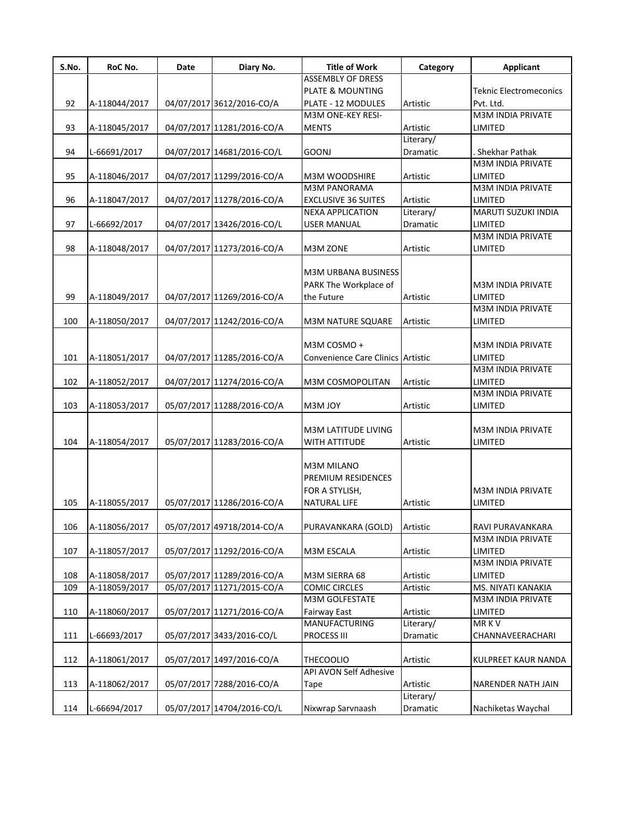| S.No. | RoC No.       | Date | Diary No.                  | <b>Title of Work</b>              | Category  | <b>Applicant</b>              |
|-------|---------------|------|----------------------------|-----------------------------------|-----------|-------------------------------|
|       |               |      |                            | <b>ASSEMBLY OF DRESS</b>          |           |                               |
|       |               |      |                            | <b>PLATE &amp; MOUNTING</b>       |           | <b>Teknic Electromeconics</b> |
| 92    | A-118044/2017 |      | 04/07/2017 3612/2016-CO/A  | PLATE - 12 MODULES                | Artistic  | Pvt. Ltd.                     |
|       |               |      |                            | M3M ONE-KEY RESI-                 |           | <b>M3M INDIA PRIVATE</b>      |
| 93    | A-118045/2017 |      | 04/07/2017 11281/2016-CO/A | <b>MENTS</b>                      | Artistic  | LIMITED                       |
|       |               |      |                            |                                   | Literary/ |                               |
| 94    | L-66691/2017  |      | 04/07/2017 14681/2016-CO/L | <b>GOONJ</b>                      | Dramatic  | Shekhar Pathak                |
|       |               |      |                            |                                   |           | M3M INDIA PRIVATE             |
| 95    | A-118046/2017 |      | 04/07/2017 11299/2016-CO/A | <b>M3M WOODSHIRE</b>              | Artistic  | LIMITED                       |
|       |               |      |                            | <b>M3M PANORAMA</b>               |           | M3M INDIA PRIVATE             |
| 96    | A-118047/2017 |      | 04/07/2017 11278/2016-CO/A | <b>EXCLUSIVE 36 SUITES</b>        | Artistic  | LIMITED                       |
|       |               |      |                            | <b>NEXA APPLICATION</b>           | Literary/ | MARUTI SUZUKI INDIA           |
| 97    | L-66692/2017  |      | 04/07/2017 13426/2016-CO/L | <b>USER MANUAL</b>                | Dramatic  | LIMITED                       |
|       |               |      |                            |                                   |           | <b>M3M INDIA PRIVATE</b>      |
| 98    | A-118048/2017 |      | 04/07/2017 11273/2016-CO/A | M3M ZONE                          | Artistic  | LIMITED                       |
|       |               |      |                            |                                   |           |                               |
|       |               |      |                            | <b>M3M URBANA BUSINESS</b>        |           |                               |
|       |               |      |                            |                                   |           | M3M INDIA PRIVATE             |
|       |               |      |                            | PARK The Workplace of             |           |                               |
| 99    | A-118049/2017 |      | 04/07/2017 11269/2016-CO/A | the Future                        | Artistic  | LIMITED                       |
|       |               |      |                            |                                   |           | <b>M3M INDIA PRIVATE</b>      |
| 100   | A-118050/2017 |      | 04/07/2017 11242/2016-CO/A | <b>M3M NATURE SQUARE</b>          | Artistic  | LIMITED                       |
|       |               |      |                            |                                   |           |                               |
|       |               |      |                            | M3M COSMO +                       |           | M3M INDIA PRIVATE             |
| 101   | A-118051/2017 |      | 04/07/2017 11285/2016-CO/A | Convenience Care Clinics Artistic |           | LIMITED                       |
|       |               |      |                            |                                   |           | M3M INDIA PRIVATE             |
| 102   | A-118052/2017 |      | 04/07/2017 11274/2016-CO/A | M3M COSMOPOLITAN                  | Artistic  | LIMITED                       |
|       |               |      |                            |                                   |           | M3M INDIA PRIVATE             |
| 103   | A-118053/2017 |      | 05/07/2017 11288/2016-CO/A | M3M JOY                           | Artistic  | LIMITED                       |
|       |               |      |                            |                                   |           |                               |
|       |               |      |                            | <b>M3M LATITUDE LIVING</b>        |           | <b>M3M INDIA PRIVATE</b>      |
| 104   | A-118054/2017 |      | 05/07/2017 11283/2016-CO/A | WITH ATTITUDE                     | Artistic  | LIMITED                       |
|       |               |      |                            |                                   |           |                               |
|       |               |      |                            | <b>M3M MILANO</b>                 |           |                               |
|       |               |      |                            | PREMIUM RESIDENCES                |           |                               |
|       |               |      |                            | FOR A STYLISH,                    |           | <b>M3M INDIA PRIVATE</b>      |
| 105   | A-118055/2017 |      | 05/07/2017 11286/2016-CO/A | <b>NATURAL LIFE</b>               |           | LIMITED                       |
|       |               |      |                            |                                   | Artistic  |                               |
|       |               |      |                            |                                   |           |                               |
| 106   | A-118056/2017 |      | 05/07/2017 49718/2014-CO/A | PURAVANKARA (GOLD)                | Artistic  | RAVI PURAVANKARA              |
|       |               |      |                            |                                   |           | M3M INDIA PRIVATE             |
| 107   | A-118057/2017 |      | 05/07/2017 11292/2016-CO/A | M3M ESCALA                        | Artistic  | LIMITED                       |
|       |               |      |                            |                                   |           | M3M INDIA PRIVATE             |
| 108   | A-118058/2017 |      | 05/07/2017 11289/2016-CO/A | M3M SIERRA 68                     | Artistic  | LIMITED                       |
| 109   | A-118059/2017 |      | 05/07/2017 11271/2015-CO/A | <b>COMIC CIRCLES</b>              | Artistic  | MS. NIYATI KANAKIA            |
|       |               |      |                            | M3M GOLFESTATE                    |           | M3M INDIA PRIVATE             |
| 110   | A-118060/2017 |      | 05/07/2017 11271/2016-CO/A | Fairway East                      | Artistic  | LIMITED                       |
|       |               |      |                            | <b>MANUFACTURING</b>              | Literary/ | <b>MRKV</b>                   |
| 111   | L-66693/2017  |      | 05/07/2017 3433/2016-CO/L  | PROCESS III                       | Dramatic  | CHANNAVEERACHARI              |
|       |               |      |                            |                                   |           |                               |
| 112   | A-118061/2017 |      | 05/07/2017 1497/2016-CO/A  | <b>THECOOLIO</b>                  | Artistic  | KULPREET KAUR NANDA           |
|       |               |      |                            | API AVON Self Adhesive            |           |                               |
| 113   | A-118062/2017 |      | 05/07/2017 7288/2016-CO/A  | Tape                              | Artistic  | NARENDER NATH JAIN            |
|       |               |      |                            |                                   | Literary/ |                               |
|       |               |      |                            |                                   |           |                               |
| 114   | L-66694/2017  |      | 05/07/2017 14704/2016-CO/L | Nixwrap Sarvnaash                 | Dramatic  | Nachiketas Waychal            |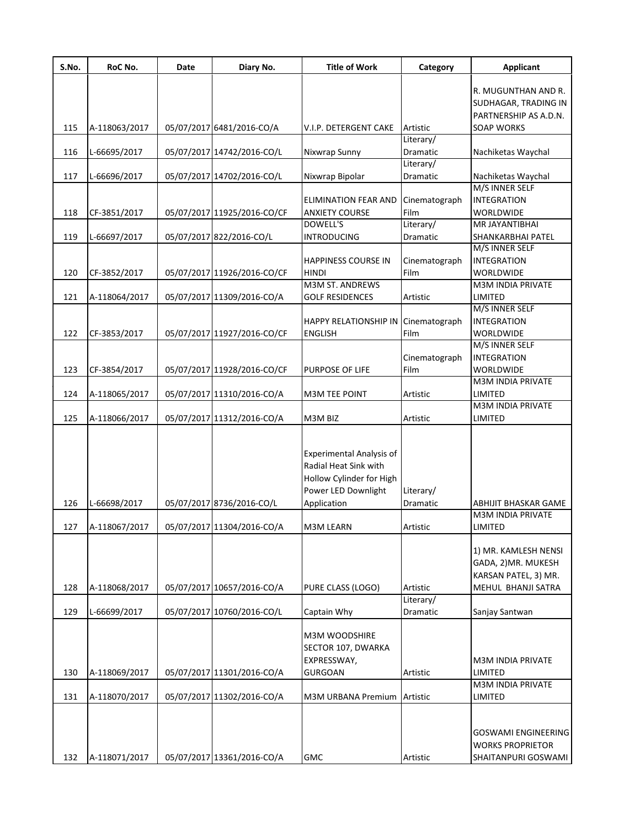| S.No. | RoC No.       | Date | Diary No.                   | <b>Title of Work</b>            | Category      | <b>Applicant</b>            |
|-------|---------------|------|-----------------------------|---------------------------------|---------------|-----------------------------|
|       |               |      |                             |                                 |               | R. MUGUNTHAN AND R.         |
|       |               |      |                             |                                 |               | <b>SUDHAGAR, TRADING IN</b> |
|       |               |      |                             |                                 |               | PARTNERSHIP AS A.D.N.       |
| 115   | A-118063/2017 |      | 05/07/2017 6481/2016-CO/A   | V.I.P. DETERGENT CAKE           | Artistic      | <b>SOAP WORKS</b>           |
|       |               |      |                             |                                 | Literary/     |                             |
| 116   | L-66695/2017  |      | 05/07/2017 14742/2016-CO/L  | Nixwrap Sunny                   | Dramatic      | Nachiketas Waychal          |
|       |               |      |                             |                                 | Literary/     |                             |
| 117   | L-66696/2017  |      | 05/07/2017 14702/2016-CO/L  | Nixwrap Bipolar                 | Dramatic      | Nachiketas Waychal          |
|       |               |      |                             |                                 |               | M/S INNER SELF              |
|       |               |      |                             | <b>ELIMINATION FEAR AND</b>     | Cinematograph | <b>INTEGRATION</b>          |
| 118   | CF-3851/2017  |      | 05/07/2017 11925/2016-CO/CF | <b>ANXIETY COURSE</b>           | Film          | <b>WORLDWIDE</b>            |
|       |               |      |                             | <b>DOWELL'S</b>                 | Literary/     | MR JAYANTIBHAI              |
| 119   | L-66697/2017  |      | 05/07/2017 822/2016-CO/L    | <b>INTRODUCING</b>              | Dramatic      | SHANKARBHAI PATEL           |
|       |               |      |                             |                                 |               | M/S INNER SELF              |
|       |               |      |                             | <b>HAPPINESS COURSE IN</b>      | Cinematograph | <b>INTEGRATION</b>          |
| 120   | CF-3852/2017  |      | 05/07/2017 11926/2016-CO/CF | <b>HINDI</b>                    | Film          | <b>WORLDWIDE</b>            |
|       |               |      |                             | <b>M3M ST. ANDREWS</b>          |               | <b>M3M INDIA PRIVATE</b>    |
| 121   | A-118064/2017 |      | 05/07/2017 11309/2016-CO/A  | <b>GOLF RESIDENCES</b>          | Artistic      | <b>LIMITED</b>              |
|       |               |      |                             |                                 |               | M/S INNER SELF              |
|       |               |      |                             | <b>HAPPY RELATIONSHIP IN</b>    | Cinematograph | <b>INTEGRATION</b>          |
|       |               |      |                             |                                 |               | <b>WORLDWIDE</b>            |
| 122   | CF-3853/2017  |      | 05/07/2017 11927/2016-CO/CF | <b>ENGLISH</b>                  | Film          | M/S INNER SELF              |
|       |               |      |                             |                                 |               | <b>INTEGRATION</b>          |
|       |               |      |                             |                                 | Cinematograph |                             |
| 123   | CF-3854/2017  |      | 05/07/2017 11928/2016-CO/CF | PURPOSE OF LIFE                 | Film          | <b>WORLDWIDE</b>            |
|       |               |      |                             |                                 |               | M3M INDIA PRIVATE           |
| 124   | A-118065/2017 |      | 05/07/2017 11310/2016-CO/A  | <b>M3M TEE POINT</b>            | Artistic      | LIMITED                     |
|       |               |      |                             |                                 |               | <b>M3M INDIA PRIVATE</b>    |
| 125   | A-118066/2017 |      | 05/07/2017 11312/2016-CO/A  | M3M BIZ                         | Artistic      | <b>LIMITED</b>              |
|       |               |      |                             |                                 |               |                             |
|       |               |      |                             |                                 |               |                             |
|       |               |      |                             | <b>Experimental Analysis of</b> |               |                             |
|       |               |      |                             | Radial Heat Sink with           |               |                             |
|       |               |      |                             | Hollow Cylinder for High        |               |                             |
|       |               |      |                             | Power LED Downlight             | Literary/     |                             |
| 126   | L-66698/2017  |      | 05/07/2017 8736/2016-CO/L   | Application                     | Dramatic      | <b>ABHIJIT BHASKAR GAME</b> |
|       |               |      |                             |                                 |               | <b>M3M INDIA PRIVATE</b>    |
| 127   | A-118067/2017 |      | 05/07/2017 11304/2016-CO/A  | M3M LEARN                       | Artistic      | LIMITED                     |
|       |               |      |                             |                                 |               |                             |
|       |               |      |                             |                                 |               | 1) MR. KAMLESH NENSI        |
|       |               |      |                             |                                 |               | GADA, 2) MR. MUKESH         |
|       |               |      |                             |                                 |               | KARSAN PATEL, 3) MR.        |
| 128   | A-118068/2017 |      | 05/07/2017 10657/2016-CO/A  | PURE CLASS (LOGO)               | Artistic      | MEHUL BHANJI SATRA          |
|       |               |      |                             |                                 | Literary/     |                             |
| 129   | L-66699/2017  |      | 05/07/2017 10760/2016-CO/L  | Captain Why                     | Dramatic      | Sanjay Santwan              |
|       |               |      |                             |                                 |               |                             |
|       |               |      |                             | M3M WOODSHIRE                   |               |                             |
|       |               |      |                             | SECTOR 107, DWARKA              |               |                             |
|       |               |      |                             | EXPRESSWAY,                     |               | M3M INDIA PRIVATE           |
| 130   | A-118069/2017 |      | 05/07/2017 11301/2016-CO/A  | <b>GURGOAN</b>                  | Artistic      | LIMITED                     |
|       |               |      |                             |                                 |               | M3M INDIA PRIVATE           |
| 131   | A-118070/2017 |      | 05/07/2017 11302/2016-CO/A  | M3M URBANA Premium              | Artistic      | LIMITED                     |
|       |               |      |                             |                                 |               |                             |
|       |               |      |                             |                                 |               |                             |
|       |               |      |                             |                                 |               | <b>GOSWAMI ENGINEERING</b>  |
|       |               |      |                             |                                 |               | <b>WORKS PROPRIETOR</b>     |
|       |               |      |                             |                                 |               |                             |
| 132   | A-118071/2017 |      | 05/07/2017 13361/2016-CO/A  | <b>GMC</b>                      | Artistic      | SHAITANPURI GOSWAMI         |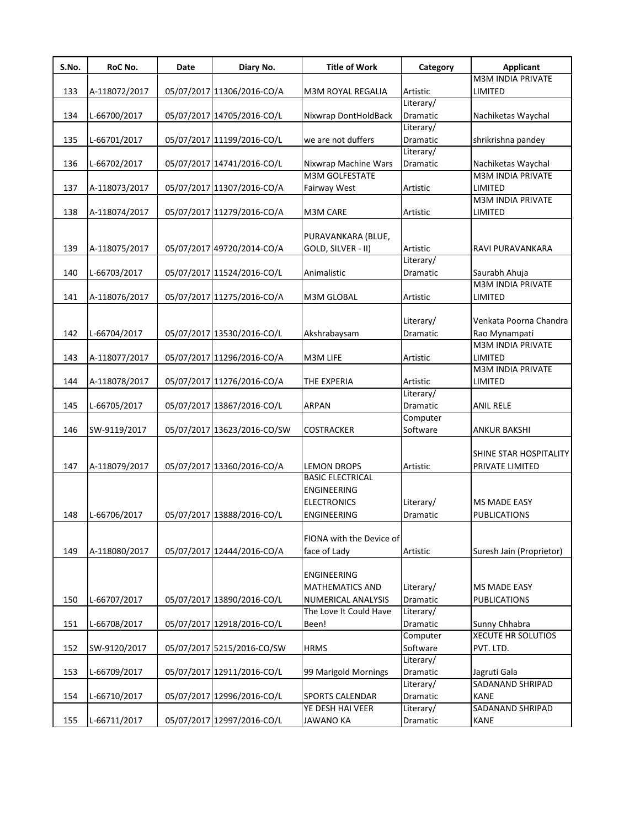| S.No. | RoC No.       | Date | Diary No.                   | <b>Title of Work</b>     | Category        | Applicant                 |
|-------|---------------|------|-----------------------------|--------------------------|-----------------|---------------------------|
|       |               |      |                             |                          |                 | <b>M3M INDIA PRIVATE</b>  |
| 133   | A-118072/2017 |      | 05/07/2017 11306/2016-CO/A  | M3M ROYAL REGALIA        | Artistic        | LIMITED                   |
|       |               |      |                             |                          | Literary/       |                           |
| 134   | L-66700/2017  |      | 05/07/2017 14705/2016-CO/L  | Nixwrap DontHoldBack     | <b>Dramatic</b> | Nachiketas Waychal        |
|       |               |      |                             |                          | Literary/       |                           |
| 135   | L-66701/2017  |      | 05/07/2017 11199/2016-CO/L  | we are not duffers       | Dramatic        | shrikrishna pandey        |
|       |               |      |                             |                          | Literary/       |                           |
| 136   | L-66702/2017  |      | 05/07/2017 14741/2016-CO/L  | Nixwrap Machine Wars     | Dramatic        | Nachiketas Waychal        |
|       |               |      |                             | <b>M3M GOLFESTATE</b>    |                 | <b>M3M INDIA PRIVATE</b>  |
| 137   | A-118073/2017 |      | 05/07/2017 11307/2016-CO/A  | Fairway West             | Artistic        | LIMITED                   |
|       |               |      |                             |                          |                 | <b>M3M INDIA PRIVATE</b>  |
| 138   | A-118074/2017 |      | 05/07/2017 11279/2016-CO/A  | M3M CARE                 | Artistic        | LIMITED                   |
|       |               |      |                             |                          |                 |                           |
|       |               |      |                             | PURAVANKARA (BLUE,       |                 |                           |
| 139   | A-118075/2017 |      | 05/07/2017 49720/2014-CO/A  | GOLD, SILVER - II)       | Artistic        | RAVI PURAVANKARA          |
|       |               |      |                             |                          | Literary/       |                           |
| 140   | L-66703/2017  |      | 05/07/2017 11524/2016-CO/L  | Animalistic              | Dramatic        | Saurabh Ahuja             |
|       |               |      |                             |                          |                 | <b>M3M INDIA PRIVATE</b>  |
| 141   | A-118076/2017 |      | 05/07/2017 11275/2016-CO/A  | M3M GLOBAL               | Artistic        | <b>LIMITED</b>            |
|       |               |      |                             |                          |                 |                           |
|       |               |      |                             |                          | Literary/       | Venkata Poorna Chandra    |
| 142   | L-66704/2017  |      | 05/07/2017 13530/2016-CO/L  | Akshrabaysam             | Dramatic        | Rao Mynampati             |
|       |               |      |                             |                          |                 | <b>M3M INDIA PRIVATE</b>  |
| 143   | A-118077/2017 |      | 05/07/2017 11296/2016-CO/A  | M3M LIFE                 | Artistic        | LIMITED                   |
|       |               |      |                             |                          |                 | <b>M3M INDIA PRIVATE</b>  |
| 144   | A-118078/2017 |      | 05/07/2017 11276/2016-CO/A  | THE EXPERIA              | Artistic        | LIMITED                   |
|       |               |      |                             |                          | Literary/       |                           |
| 145   | L-66705/2017  |      | 05/07/2017 13867/2016-CO/L  | <b>ARPAN</b>             | Dramatic        | <b>ANIL RELE</b>          |
|       |               |      |                             |                          | Computer        |                           |
| 146   | SW-9119/2017  |      | 05/07/2017 13623/2016-CO/SW | <b>COSTRACKER</b>        | Software        | <b>ANKUR BAKSHI</b>       |
|       |               |      |                             |                          |                 |                           |
|       |               |      |                             |                          |                 | SHINE STAR HOSPITALITY    |
| 147   | A-118079/2017 |      | 05/07/2017 13360/2016-CO/A  | <b>LEMON DROPS</b>       | Artistic        | PRIVATE LIMITED           |
|       |               |      |                             | <b>BASIC ELECTRICAL</b>  |                 |                           |
|       |               |      |                             | <b>ENGINEERING</b>       |                 |                           |
|       |               |      |                             | <b>ELECTRONICS</b>       | Literary/       | <b>MS MADE EASY</b>       |
| 148   | L-66706/2017  |      | 05/07/2017 13888/2016-CO/L  | <b>ENGINEERING</b>       | Dramatic        | PUBLICATIONS              |
|       |               |      |                             |                          |                 |                           |
|       |               |      |                             | FIONA with the Device of |                 |                           |
| 149   | A-118080/2017 |      | 05/07/2017 12444/2016-CO/A  | face of Lady             | Artistic        | Suresh Jain (Proprietor)  |
|       |               |      |                             |                          |                 |                           |
|       |               |      |                             | <b>ENGINEERING</b>       |                 |                           |
|       |               |      |                             | <b>MATHEMATICS AND</b>   | Literary/       | <b>MS MADE EASY</b>       |
| 150   | L-66707/2017  |      | 05/07/2017 13890/2016-CO/L  | NUMERICAL ANALYSIS       | Dramatic        | <b>PUBLICATIONS</b>       |
|       |               |      |                             | The Love It Could Have   | Literary/       |                           |
| 151   | L-66708/2017  |      | 05/07/2017 12918/2016-CO/L  | Been!                    | Dramatic        | Sunny Chhabra             |
|       |               |      |                             |                          | Computer        | <b>XECUTE HR SOLUTIOS</b> |
| 152   | SW-9120/2017  |      | 05/07/2017 5215/2016-CO/SW  | <b>HRMS</b>              | Software        | PVT. LTD.                 |
|       |               |      |                             |                          | Literary/       |                           |
| 153   | L-66709/2017  |      | 05/07/2017 12911/2016-CO/L  | 99 Marigold Mornings     | Dramatic        | Jagruti Gala              |
|       |               |      |                             |                          | Literary/       | SADANAND SHRIPAD          |
| 154   | L-66710/2017  |      | 05/07/2017 12996/2016-CO/L  | SPORTS CALENDAR          | Dramatic        | <b>KANE</b>               |
|       |               |      |                             | YE DESH HAI VEER         | Literary/       | SADANAND SHRIPAD          |
| 155   | L-66711/2017  |      | 05/07/2017 12997/2016-CO/L  | JAWANO KA                | Dramatic        | KANE                      |
|       |               |      |                             |                          |                 |                           |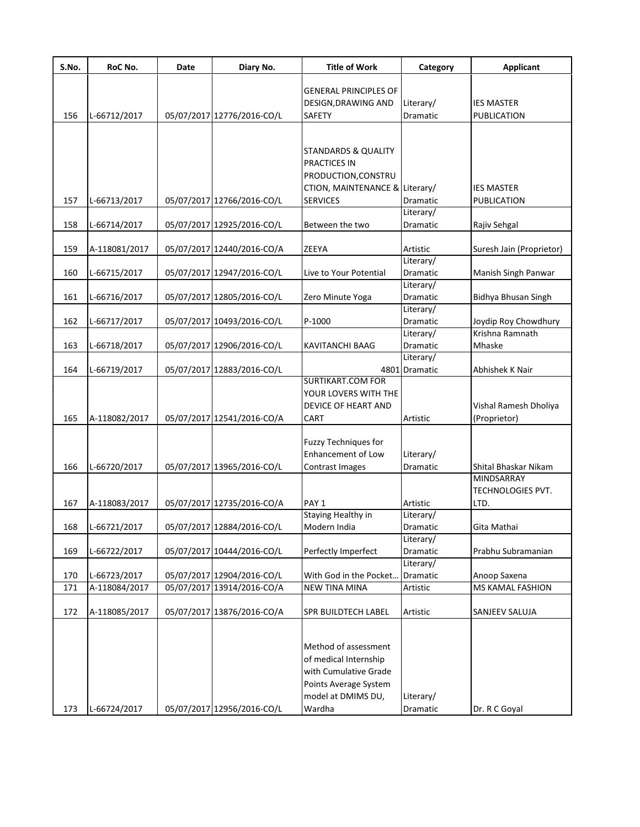| S.No. | RoC No.       | Date | Diary No.                  | <b>Title of Work</b>           | Category      | Applicant                  |
|-------|---------------|------|----------------------------|--------------------------------|---------------|----------------------------|
|       |               |      |                            | <b>GENERAL PRINCIPLES OF</b>   |               |                            |
|       |               |      |                            | DESIGN, DRAWING AND            | Literary/     | <b>IES MASTER</b>          |
| 156   | L-66712/2017  |      | 05/07/2017 12776/2016-CO/L | <b>SAFETY</b>                  | Dramatic      | <b>PUBLICATION</b>         |
|       |               |      |                            |                                |               |                            |
|       |               |      |                            |                                |               |                            |
|       |               |      |                            | STANDARDS & QUALITY            |               |                            |
|       |               |      |                            | <b>PRACTICES IN</b>            |               |                            |
|       |               |      |                            | PRODUCTION, CONSTRU            |               |                            |
|       |               |      |                            | CTION, MAINTENANCE & Literary/ |               | <b>IES MASTER</b>          |
| 157   | L-66713/2017  |      | 05/07/2017 12766/2016-CO/L | <b>SERVICES</b>                | Dramatic      | PUBLICATION                |
|       |               |      |                            |                                | Literary/     |                            |
| 158   | L-66714/2017  |      | 05/07/2017 12925/2016-CO/L | Between the two                | Dramatic      | Rajiv Sehgal               |
| 159   |               |      | 05/07/2017 12440/2016-CO/A | ZEEYA                          | Artistic      |                            |
|       | A-118081/2017 |      |                            |                                | Literary/     | Suresh Jain (Proprietor)   |
| 160   | L-66715/2017  |      | 05/07/2017 12947/2016-CO/L | Live to Your Potential         | Dramatic      | Manish Singh Panwar        |
|       |               |      |                            |                                | Literary/     |                            |
| 161   | L-66716/2017  |      | 05/07/2017 12805/2016-CO/L | Zero Minute Yoga               | Dramatic      | <b>Bidhya Bhusan Singh</b> |
|       |               |      |                            |                                | Literary/     |                            |
| 162   | L-66717/2017  |      | 05/07/2017 10493/2016-CO/L | P-1000                         | Dramatic      | Joydip Roy Chowdhury       |
|       |               |      |                            |                                | Literary/     | Krishna Ramnath            |
| 163   | L-66718/2017  |      | 05/07/2017 12906/2016-CO/L | KAVITANCHI BAAG                | Dramatic      | Mhaske                     |
|       |               |      |                            |                                | Literary/     |                            |
| 164   | L-66719/2017  |      | 05/07/2017 12883/2016-CO/L |                                | 4801 Dramatic | Abhishek K Nair            |
|       |               |      |                            | <b>SURTIKART.COM FOR</b>       |               |                            |
|       |               |      |                            | YOUR LOVERS WITH THE           |               |                            |
|       |               |      |                            | DEVICE OF HEART AND            |               | Vishal Ramesh Dholiya      |
| 165   | A-118082/2017 |      | 05/07/2017 12541/2016-CO/A | <b>CART</b>                    | Artistic      | (Proprietor)               |
|       |               |      |                            |                                |               |                            |
|       |               |      |                            | Fuzzy Techniques for           |               |                            |
|       |               |      |                            | Enhancement of Low             | Literary/     |                            |
| 166   | L-66720/2017  |      | 05/07/2017 13965/2016-CO/L | Contrast Images                | Dramatic      | Shital Bhaskar Nikam       |
|       |               |      |                            |                                |               | <b>MINDSARRAY</b>          |
|       |               |      |                            |                                |               | <b>TECHNOLOGIES PVT.</b>   |
| 167   | A-118083/2017 |      | 05/07/2017 12735/2016-CO/A | PAY <sub>1</sub>               | Artistic      | LTD.                       |
|       |               |      |                            | <b>Staying Healthy in</b>      | Literary/     |                            |
| 168   | L-66721/2017  |      | 05/07/2017 12884/2016-CO/L | Modern India                   | Dramatic      | Gita Mathai                |
|       |               |      |                            |                                | Literary/     |                            |
| 169   | L-66722/2017  |      | 05/07/2017 10444/2016-CO/L | Perfectly Imperfect            | Dramatic      | Prabhu Subramanian         |
|       |               |      |                            |                                | Literary/     |                            |
| 170   | L-66723/2017  |      | 05/07/2017 12904/2016-CO/L | With God in the Pocket.        | Dramatic      | Anoop Saxena               |
| 171   | A-118084/2017 |      | 05/07/2017 13914/2016-CO/A | <b>NEW TINA MINA</b>           | Artistic      | MS KAMAL FASHION           |
| 172   | A-118085/2017 |      | 05/07/2017 13876/2016-CO/A | <b>SPR BUILDTECH LABEL</b>     | Artistic      | SANJEEV SALUJA             |
|       |               |      |                            |                                |               |                            |
|       |               |      |                            |                                |               |                            |
|       |               |      |                            | Method of assessment           |               |                            |
|       |               |      |                            | of medical Internship          |               |                            |
|       |               |      |                            | with Cumulative Grade          |               |                            |
|       |               |      |                            | Points Average System          |               |                            |
|       |               |      |                            | model at DMIMS DU,             | Literary/     |                            |
| 173   | L-66724/2017  |      | 05/07/2017 12956/2016-CO/L | Wardha                         | Dramatic      | Dr. R C Goyal              |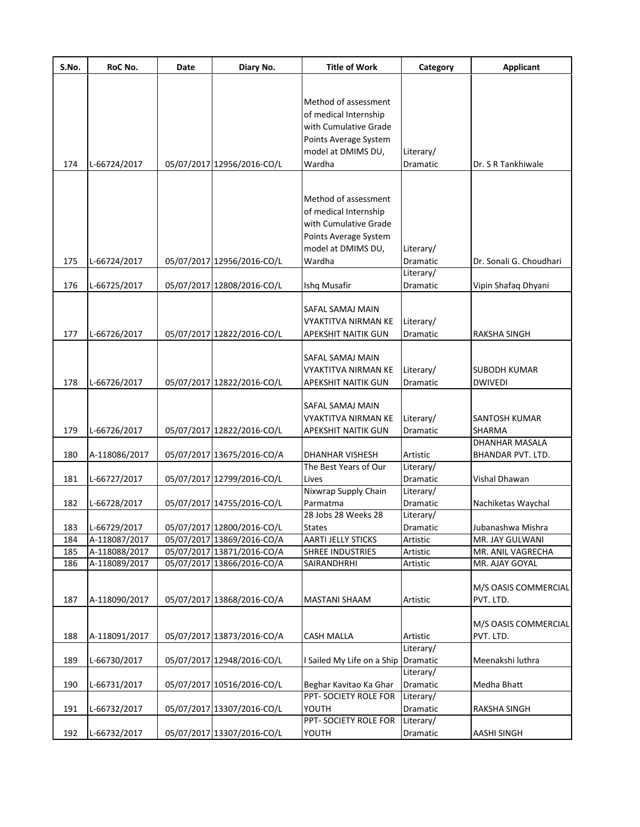| S.No. | RoC No.       | Date | Diary No.                  | <b>Title of Work</b>                | Category              | <b>Applicant</b>                    |
|-------|---------------|------|----------------------------|-------------------------------------|-----------------------|-------------------------------------|
|       |               |      |                            |                                     |                       |                                     |
|       |               |      |                            | Method of assessment                |                       |                                     |
|       |               |      |                            | of medical Internship               |                       |                                     |
|       |               |      |                            | with Cumulative Grade               |                       |                                     |
|       |               |      |                            | Points Average System               |                       |                                     |
|       |               |      |                            | model at DMIMS DU,                  | Literary/             |                                     |
| 174   | L-66724/2017  |      | 05/07/2017 12956/2016-CO/L | Wardha                              | Dramatic              | Dr. S R Tankhiwale                  |
|       |               |      |                            |                                     |                       |                                     |
|       |               |      |                            | Method of assessment                |                       |                                     |
|       |               |      |                            | of medical Internship               |                       |                                     |
|       |               |      |                            | with Cumulative Grade               |                       |                                     |
|       |               |      |                            | Points Average System               |                       |                                     |
|       |               |      |                            | model at DMIMS DU,                  | Literary/             |                                     |
| 175   | L-66724/2017  |      | 05/07/2017 12956/2016-CO/L | Wardha                              | Dramatic              | Dr. Sonali G. Choudhari             |
|       |               |      |                            |                                     | Literary/             |                                     |
| 176   | L-66725/2017  |      | 05/07/2017 12808/2016-CO/L | Ishq Musafir                        | Dramatic              | Vipin Shafaq Dhyani                 |
|       |               |      |                            |                                     |                       |                                     |
|       |               |      |                            | SAFAL SAMAJ MAIN                    |                       |                                     |
|       |               |      | 05/07/2017 12822/2016-CO/L | VYAKTITVA NIRMAN KE                 | Literary/             | RAKSHA SINGH                        |
| 177   | L-66726/2017  |      |                            | <b>APEKSHIT NAITIK GUN</b>          | Dramatic              |                                     |
|       |               |      |                            | SAFAL SAMAJ MAIN                    |                       |                                     |
|       |               |      |                            | <b>VYAKTITVA NIRMAN KE</b>          | Literary/             | <b>SUBODH KUMAR</b>                 |
| 178   | L-66726/2017  |      | 05/07/2017 12822/2016-CO/L | <b>APEKSHIT NAITIK GUN</b>          | Dramatic              | <b>DWIVEDI</b>                      |
|       |               |      |                            |                                     |                       |                                     |
|       |               |      |                            | SAFAL SAMAJ MAIN                    |                       |                                     |
|       |               |      |                            | <b>VYAKTITVA NIRMAN KE</b>          | Literary/             | SANTOSH KUMAR                       |
| 179   | L-66726/2017  |      | 05/07/2017 12822/2016-CO/L | APEKSHIT NAITIK GUN                 | Dramatic              | SHARMA                              |
| 180   | A-118086/2017 |      | 05/07/2017 13675/2016-CO/A | DHANHAR VISHESH                     | Artistic              | DHANHAR MASALA<br>BHANDAR PVT. LTD. |
|       |               |      |                            | The Best Years of Our               | Literary/             |                                     |
| 181   | L-66727/2017  |      | 05/07/2017 12799/2016-CO/L | Lives                               | Dramatic              | Vishal Dhawan                       |
|       |               |      |                            | Nixwrap Supply Chain                | Literary/             |                                     |
| 182   | L-66728/2017  |      | 05/07/2017 14755/2016-CO/L | Parmatma                            | Dramatic              | Nachiketas Waychal                  |
|       |               |      |                            | 28 Jobs 28 Weeks 28                 | Literary/             |                                     |
| 183   | L-66729/2017  |      | 05/07/2017 12800/2016-CO/L | <b>States</b>                       | Dramatic              | Jubanashwa Mishra                   |
| 184   | A-118087/2017 |      | 05/07/2017 13869/2016-CO/A | <b>AARTI JELLY STICKS</b>           | Artistic              | MR. JAY GULWANI                     |
| 185   | A-118088/2017 |      | 05/07/2017 13871/2016-CO/A | <b>SHREE INDUSTRIES</b>             | Artistic              | MR. ANIL VAGRECHA                   |
| 186   | A-118089/2017 |      | 05/07/2017 13866/2016-CO/A | SAIRANDHRHI                         | Artistic              | MR. AJAY GOYAL                      |
|       |               |      |                            |                                     |                       | M/S OASIS COMMERCIAL                |
| 187   | A-118090/2017 |      | 05/07/2017 13868/2016-CO/A | <b>MASTANI SHAAM</b>                | Artistic              | PVT. LTD.                           |
|       |               |      |                            |                                     |                       |                                     |
|       |               |      |                            |                                     |                       | M/S OASIS COMMERCIAL                |
| 188   | A-118091/2017 |      | 05/07/2017 13873/2016-CO/A | <b>CASH MALLA</b>                   | Artistic              | PVT. LTD.                           |
|       |               |      |                            |                                     | Literary/             |                                     |
| 189   | L-66730/2017  |      | 05/07/2017 12948/2016-CO/L | I Sailed My Life on a Ship Dramatic |                       | Meenakshi luthra                    |
| 190   | L-66731/2017  |      | 05/07/2017 10516/2016-CO/L | Beghar Kavitao Ka Ghar              | Literary/<br>Dramatic | Medha Bhatt                         |
|       |               |      |                            | PPT- SOCIETY ROLE FOR               | Literary/             |                                     |
| 191   | L-66732/2017  |      | 05/07/2017 13307/2016-CO/L | YOUTH                               | Dramatic              | RAKSHA SINGH                        |
|       |               |      |                            | PPT- SOCIETY ROLE FOR               | Literary/             |                                     |
| 192   | L-66732/2017  |      | 05/07/2017 13307/2016-CO/L | YOUTH                               | Dramatic              | <b>AASHI SINGH</b>                  |
|       |               |      |                            |                                     |                       |                                     |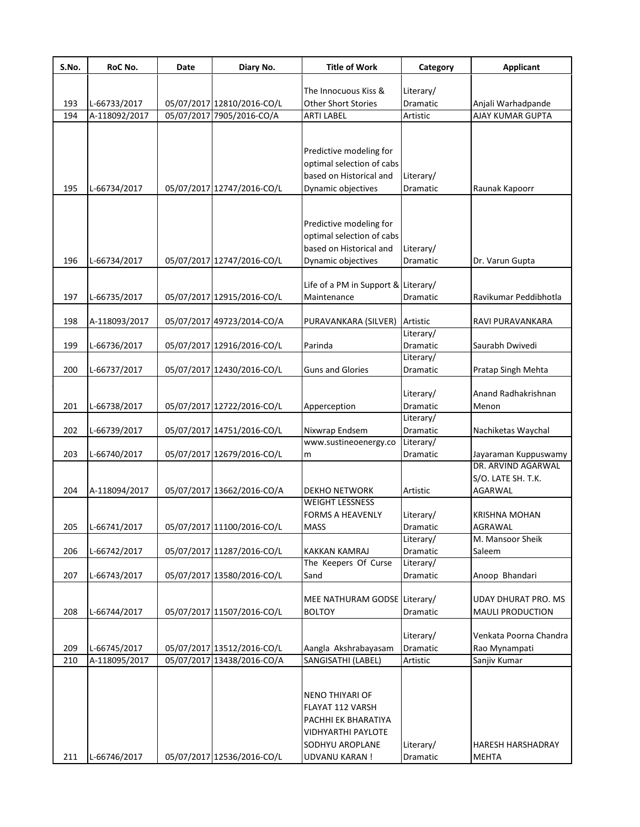| S.No. | RoC No.       | Date | Diary No.                  | <b>Title of Work</b>         | Category        | <b>Applicant</b>        |
|-------|---------------|------|----------------------------|------------------------------|-----------------|-------------------------|
|       |               |      |                            | The Innocuous Kiss &         | Literary/       |                         |
| 193   | L-66733/2017  |      | 05/07/2017 12810/2016-CO/L | <b>Other Short Stories</b>   | Dramatic        | Anjali Warhadpande      |
| 194   | A-118092/2017 |      | 05/07/2017 7905/2016-CO/A  | <b>ARTI LABEL</b>            | Artistic        | <b>AJAY KUMAR GUPTA</b> |
|       |               |      |                            |                              |                 |                         |
|       |               |      |                            | Predictive modeling for      |                 |                         |
|       |               |      |                            | optimal selection of cabs    |                 |                         |
|       |               |      |                            | based on Historical and      | Literary/       |                         |
| 195   | L-66734/2017  |      | 05/07/2017 12747/2016-CO/L | Dynamic objectives           | Dramatic        | Raunak Kapoorr          |
|       |               |      |                            |                              |                 |                         |
|       |               |      |                            | Predictive modeling for      |                 |                         |
|       |               |      |                            | optimal selection of cabs    |                 |                         |
|       |               |      |                            | based on Historical and      | Literary/       |                         |
| 196   | L-66734/2017  |      | 05/07/2017 12747/2016-CO/L | Dynamic objectives           | Dramatic        | Dr. Varun Gupta         |
|       |               |      |                            |                              |                 |                         |
|       |               |      |                            | Life of a PM in Support &    | Literary/       |                         |
| 197   | L-66735/2017  |      | 05/07/2017 12915/2016-CO/L | Maintenance                  | Dramatic        | Ravikumar Peddibhotla   |
| 198   | A-118093/2017 |      | 05/07/2017 49723/2014-CO/A | PURAVANKARA (SILVER)         | Artistic        | RAVI PURAVANKARA        |
|       |               |      |                            |                              | Literary/       |                         |
| 199   | L-66736/2017  |      | 05/07/2017 12916/2016-CO/L | Parinda                      | Dramatic        | Saurabh Dwivedi         |
|       |               |      |                            |                              | Literary/       |                         |
| 200   | L-66737/2017  |      | 05/07/2017 12430/2016-CO/L | <b>Guns and Glories</b>      | Dramatic        | Pratap Singh Mehta      |
|       |               |      |                            |                              |                 |                         |
|       |               |      |                            |                              | Literary/       | Anand Radhakrishnan     |
| 201   | L-66738/2017  |      | 05/07/2017 12722/2016-CO/L | Apperception                 | <b>Dramatic</b> | Menon                   |
|       |               |      |                            |                              | Literary/       |                         |
| 202   | L-66739/2017  |      | 05/07/2017 14751/2016-CO/L | Nixwrap Endsem               | <b>Dramatic</b> | Nachiketas Waychal      |
|       |               |      |                            | www.sustineoenergy.co        | Literary/       |                         |
| 203   | L-66740/2017  |      | 05/07/2017 12679/2016-CO/L | m                            | Dramatic        | Jayaraman Kuppuswamy    |
|       |               |      |                            |                              |                 | DR. ARVIND AGARWAL      |
|       |               |      |                            |                              |                 | S/O. LATE SH. T.K.      |
| 204   | A-118094/2017 |      | 05/07/2017 13662/2016-CO/A | <b>DEKHO NETWORK</b>         | Artistic        | AGARWAL                 |
|       |               |      |                            | <b>WEIGHT LESSNESS</b>       |                 |                         |
|       |               |      |                            | <b>FORMS A HEAVENLY</b>      | Literary/       | <b>KRISHNA MOHAN</b>    |
| 205   | L-66741/2017  |      | 05/07/2017 11100/2016-CO/L | <b>MASS</b>                  | Dramatic        | AGRAWAL                 |
|       |               |      |                            |                              | Literary/       | M. Mansoor Sheik        |
| 206   | L-66742/2017  |      | 05/07/2017 11287/2016-CO/L | <b>KAKKAN KAMRAJ</b>         | <b>Dramatic</b> | Saleem                  |
|       |               |      |                            | The Keepers Of Curse         | Literary/       |                         |
| 207   | L-66743/2017  |      | 05/07/2017 13580/2016-CO/L | Sand                         | Dramatic        | Anoop Bhandari          |
|       |               |      |                            |                              |                 |                         |
|       |               |      |                            | MEE NATHURAM GODSE Literary/ |                 | UDAY DHURAT PRO. MS     |
| 208   | L-66744/2017  |      | 05/07/2017 11507/2016-CO/L | <b>BOLTOY</b>                | Dramatic        | <b>MAULI PRODUCTION</b> |
|       |               |      |                            |                              |                 |                         |
|       |               |      |                            |                              | Literary/       | Venkata Poorna Chandra  |
| 209   | L-66745/2017  |      | 05/07/2017 13512/2016-CO/L | Aangla Akshrabayasam         | Dramatic        | Rao Mynampati           |
| 210   | A-118095/2017 |      | 05/07/2017 13438/2016-CO/A | SANGISATHI (LABEL)           | Artistic        | Sanjiv Kumar            |
|       |               |      |                            |                              |                 |                         |
|       |               |      |                            | <b>NENO THIYARI OF</b>       |                 |                         |
|       |               |      |                            | FLAYAT 112 VARSH             |                 |                         |
|       |               |      |                            |                              |                 |                         |
|       |               |      |                            | PACHHI EK BHARATIYA          |                 |                         |
|       |               |      |                            | <b>VIDHYARTHI PAYLOTE</b>    |                 |                         |
|       |               |      |                            | SODHYU AROPLANE              | Literary/       | HARESH HARSHADRAY       |
| 211   | L-66746/2017  |      | 05/07/2017 12536/2016-CO/L | <b>UDVANU KARAN!</b>         | Dramatic        | MEHTA                   |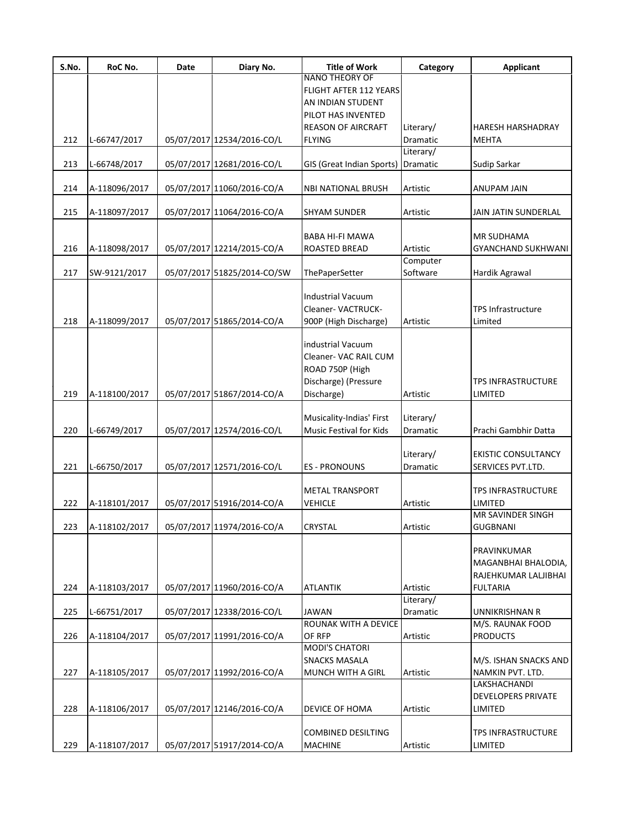| S.No. | RoC No.       | Date | Diary No.                   | <b>Title of Work</b>      | Category  | <b>Applicant</b>           |
|-------|---------------|------|-----------------------------|---------------------------|-----------|----------------------------|
|       |               |      |                             | <b>NANO THEORY OF</b>     |           |                            |
|       |               |      |                             | FLIGHT AFTER 112 YEARS    |           |                            |
|       |               |      |                             | AN INDIAN STUDENT         |           |                            |
|       |               |      |                             | PILOT HAS INVENTED        |           |                            |
|       |               |      |                             | <b>REASON OF AIRCRAFT</b> | Literary/ | <b>HARESH HARSHADRAY</b>   |
| 212   | L-66747/2017  |      | 05/07/2017 12534/2016-CO/L  | <b>FLYING</b>             | Dramatic  | <b>MEHTA</b>               |
|       |               |      |                             |                           | Literary/ |                            |
| 213   | L-66748/2017  |      | 05/07/2017 12681/2016-CO/L  | GIS (Great Indian Sports) | Dramatic  | Sudip Sarkar               |
|       |               |      |                             |                           |           |                            |
| 214   | A-118096/2017 |      | 05/07/2017 11060/2016-CO/A  | <b>NBI NATIONAL BRUSH</b> | Artistic  | ANUPAM JAIN                |
|       |               |      |                             |                           |           |                            |
| 215   | A-118097/2017 |      | 05/07/2017 11064/2016-CO/A  | <b>SHYAM SUNDER</b>       | Artistic  | JAIN JATIN SUNDERLAL       |
|       |               |      |                             |                           |           |                            |
|       |               |      |                             | BABA HI-FI MAWA           |           | <b>MR SUDHAMA</b>          |
| 216   | A-118098/2017 |      | 05/07/2017 12214/2015-CO/A  | ROASTED BREAD             | Artistic  | <b>GYANCHAND SUKHWANI</b>  |
|       |               |      |                             |                           | Computer  |                            |
| 217   | SW-9121/2017  |      | 05/07/2017 51825/2014-CO/SW |                           | Software  |                            |
|       |               |      |                             | ThePaperSetter            |           | Hardik Agrawal             |
|       |               |      |                             |                           |           |                            |
|       |               |      |                             | <b>Industrial Vacuum</b>  |           |                            |
|       |               |      |                             | Cleaner-VACTRUCK-         |           | <b>TPS Infrastructure</b>  |
| 218   | A-118099/2017 |      | 05/07/2017 51865/2014-CO/A  | 900P (High Discharge)     | Artistic  | Limited                    |
|       |               |      |                             |                           |           |                            |
|       |               |      |                             | industrial Vacuum         |           |                            |
|       |               |      |                             | Cleaner- VAC RAIL CUM     |           |                            |
|       |               |      |                             | ROAD 750P (High           |           |                            |
|       |               |      |                             | Discharge) (Pressure      |           | <b>TPS INFRASTRUCTURE</b>  |
| 219   | A-118100/2017 |      | 05/07/2017 51867/2014-CO/A  | Discharge)                | Artistic  | LIMITED                    |
|       |               |      |                             |                           |           |                            |
|       |               |      |                             | Musicality-Indias' First  |           |                            |
|       |               |      |                             |                           | Literary/ |                            |
| 220   | L-66749/2017  |      | 05/07/2017 12574/2016-CO/L  | Music Festival for Kids   | Dramatic  | Prachi Gambhir Datta       |
|       |               |      |                             |                           |           |                            |
|       |               |      |                             |                           | Literary/ | <b>EKISTIC CONSULTANCY</b> |
| 221   | L-66750/2017  |      | 05/07/2017 12571/2016-CO/L  | <b>ES - PRONOUNS</b>      | Dramatic  | SERVICES PVT.LTD.          |
|       |               |      |                             |                           |           |                            |
|       |               |      |                             | <b>METAL TRANSPORT</b>    |           | <b>TPS INFRASTRUCTURE</b>  |
| 222   | A-118101/2017 |      | 05/07/2017 51916/2014-CO/A  | <b>VEHICLE</b>            | Artistic  | LIMITED                    |
|       |               |      |                             |                           |           | MR SAVINDER SINGH          |
| 223   | A-118102/2017 |      | 05/07/2017 11974/2016-CO/A  | <b>CRYSTAL</b>            | Artistic  | <b>GUGBNANI</b>            |
|       |               |      |                             |                           |           |                            |
|       |               |      |                             |                           |           | PRAVINKUMAR                |
|       |               |      |                             |                           |           | MAGANBHAI BHALODIA,        |
|       |               |      |                             |                           |           | RAJEHKUMAR LALJIBHAI       |
|       |               |      |                             |                           |           |                            |
| 224   | A-118103/2017 |      | 05/07/2017 11960/2016-CO/A  | <b>ATLANTIK</b>           | Artistic  | <b>FULTARIA</b>            |
|       |               |      |                             |                           | Literary/ |                            |
| 225   | L-66751/2017  |      | 05/07/2017 12338/2016-CO/L  | JAWAN                     | Dramatic  | UNNIKRISHNAN R             |
|       |               |      |                             | ROUNAK WITH A DEVICE      |           | M/S. RAUNAK FOOD           |
| 226   | A-118104/2017 |      | 05/07/2017 11991/2016-CO/A  | OF RFP                    | Artistic  | <b>PRODUCTS</b>            |
|       |               |      |                             | <b>MODI'S CHATORI</b>     |           |                            |
|       |               |      |                             | <b>SNACKS MASALA</b>      |           | M/S. ISHAN SNACKS AND      |
| 227   | A-118105/2017 |      | 05/07/2017 11992/2016-CO/A  | MUNCH WITH A GIRL         | Artistic  | NAMKIN PVT. LTD.           |
|       |               |      |                             |                           |           | LAKSHACHANDI               |
|       |               |      |                             |                           |           | DEVELOPERS PRIVATE         |
| 228   | A-118106/2017 |      | 05/07/2017 12146/2016-CO/A  | DEVICE OF HOMA            | Artistic  | LIMITED                    |
|       |               |      |                             |                           |           |                            |
|       |               |      |                             |                           |           |                            |
|       |               |      |                             | COMBINED DESILTING        |           | <b>TPS INFRASTRUCTURE</b>  |
| 229   | A-118107/2017 |      | 05/07/2017 51917/2014-CO/A  | <b>MACHINE</b>            | Artistic  | limited                    |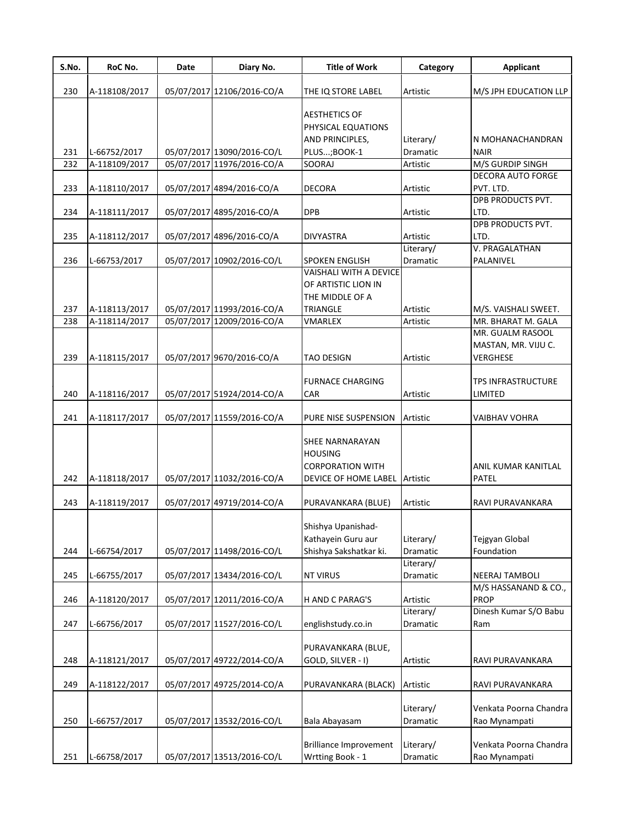| S.No. | RoC No.       | Date | Diary No.                  | <b>Title of Work</b>                 | Category              | <b>Applicant</b>                |
|-------|---------------|------|----------------------------|--------------------------------------|-----------------------|---------------------------------|
| 230   | A-118108/2017 |      | 05/07/2017 12106/2016-CO/A | THE IQ STORE LABEL                   | Artistic              | M/S JPH EDUCATION LLP           |
|       |               |      |                            |                                      |                       |                                 |
|       |               |      |                            | <b>AESTHETICS OF</b>                 |                       |                                 |
|       |               |      |                            | PHYSICAL EQUATIONS                   |                       |                                 |
| 231   | L-66752/2017  |      | 05/07/2017 13090/2016-CO/L | AND PRINCIPLES,<br>PLUS; BOOK-1      | Literary/<br>Dramatic | N MOHANACHANDRAN<br><b>NAIR</b> |
| 232   | A-118109/2017 |      | 05/07/2017 11976/2016-CO/A | SOORAJ                               | Artistic              | M/S GURDIP SINGH                |
|       |               |      |                            |                                      |                       | <b>DECORA AUTO FORGE</b>        |
| 233   | A-118110/2017 |      | 05/07/2017 4894/2016-CO/A  | <b>DECORA</b>                        | Artistic              | PVT. LTD.                       |
|       |               |      |                            |                                      |                       | DPB PRODUCTS PVT.               |
| 234   | A-118111/2017 |      | 05/07/2017 4895/2016-CO/A  | <b>DPB</b>                           | Artistic              | LTD.                            |
|       |               |      |                            |                                      |                       | <b>DPB PRODUCTS PVT.</b>        |
| 235   | A-118112/2017 |      | 05/07/2017 4896/2016-CO/A  | <b>DIVYASTRA</b>                     | Artistic              | LTD.                            |
|       |               |      |                            |                                      | Literary/             | V. PRAGALATHAN                  |
| 236   | L-66753/2017  |      | 05/07/2017 10902/2016-CO/L | <b>SPOKEN ENGLISH</b>                | Dramatic              | PALANIVEL                       |
|       |               |      |                            | <b>VAISHALI WITH A DEVICE</b>        |                       |                                 |
|       |               |      |                            | OF ARTISTIC LION IN                  |                       |                                 |
|       |               |      |                            | THE MIDDLE OF A                      |                       |                                 |
| 237   | A-118113/2017 |      | 05/07/2017 11993/2016-CO/A | <b>TRIANGLE</b>                      | Artistic              | M/S. VAISHALI SWEET.            |
| 238   | A-118114/2017 |      | 05/07/2017 12009/2016-CO/A | VMARLEX                              | Artistic              | MR. BHARAT M. GALA              |
|       |               |      |                            |                                      |                       | MR. GUALM RASOOL                |
|       |               |      |                            |                                      |                       | MASTAN, MR. VIJU C.             |
| 239   | A-118115/2017 |      | 05/07/2017 9670/2016-CO/A  | <b>TAO DESIGN</b>                    | Artistic              | VERGHESE                        |
|       |               |      |                            |                                      |                       |                                 |
|       |               |      |                            | <b>FURNACE CHARGING</b>              |                       | <b>TPS INFRASTRUCTURE</b>       |
| 240   | A-118116/2017 |      | 05/07/2017 51924/2014-CO/A | <b>CAR</b>                           | Artistic              | LIMITED                         |
| 241   |               |      | 05/07/2017 11559/2016-CO/A |                                      |                       |                                 |
|       | A-118117/2017 |      |                            | PURE NISE SUSPENSION                 | Artistic              | VAIBHAV VOHRA                   |
|       |               |      |                            | SHEE NARNARAYAN                      |                       |                                 |
|       |               |      |                            | <b>HOUSING</b>                       |                       |                                 |
|       |               |      |                            | <b>CORPORATION WITH</b>              |                       | ANIL KUMAR KANITLAL             |
| 242   | A-118118/2017 |      | 05/07/2017 11032/2016-CO/A | <b>DEVICE OF HOME LABEL Artistic</b> |                       | <b>PATEL</b>                    |
|       |               |      |                            |                                      |                       |                                 |
| 243   | A-118119/2017 |      | 05/07/2017 49719/2014-CO/A | PURAVANKARA (BLUE)                   | Artistic              | RAVI PURAVANKARA                |
|       |               |      |                            |                                      |                       |                                 |
|       |               |      |                            | Shishya Upanishad-                   |                       |                                 |
|       |               |      |                            | Kathayein Guru aur                   | Literary/             | Tejgyan Global                  |
| 244   | L-66754/2017  |      | 05/07/2017 11498/2016-CO/L | Shishya Sakshatkar ki.               | Dramatic              | Foundation                      |
|       |               |      |                            |                                      | Literary/             |                                 |
| 245   | L-66755/2017  |      | 05/07/2017 13434/2016-CO/L | <b>NT VIRUS</b>                      | Dramatic              | <b>NEERAJ TAMBOLI</b>           |
|       |               |      |                            |                                      |                       | M/S HASSANAND & CO.,            |
| 246   | A-118120/2017 |      | 05/07/2017 12011/2016-CO/A | H AND C PARAG'S                      | Artistic              | <b>PROP</b>                     |
|       |               |      |                            |                                      | Literary/             | Dinesh Kumar S/O Babu           |
| 247   | L-66756/2017  |      | 05/07/2017 11527/2016-CO/L | englishstudy.co.in                   | Dramatic              | Ram                             |
|       |               |      |                            |                                      |                       |                                 |
|       |               |      |                            | PURAVANKARA (BLUE,                   |                       |                                 |
| 248   | A-118121/2017 |      | 05/07/2017 49722/2014-CO/A | GOLD, SILVER - I)                    | Artistic              | RAVI PURAVANKARA                |
|       |               |      |                            |                                      |                       |                                 |
| 249   | A-118122/2017 |      | 05/07/2017 49725/2014-CO/A | PURAVANKARA (BLACK)                  | Artistic              | RAVI PURAVANKARA                |
|       |               |      |                            |                                      |                       |                                 |
|       |               |      |                            |                                      | Literary/             | Venkata Poorna Chandra          |
| 250   | L-66757/2017  |      | 05/07/2017 13532/2016-CO/L | Bala Abayasam                        | Dramatic              | Rao Mynampati                   |
|       |               |      |                            |                                      |                       |                                 |
|       |               |      |                            | <b>Brilliance Improvement</b>        | Literary/             | Venkata Poorna Chandra          |
| 251   | L-66758/2017  |      | 05/07/2017 13513/2016-CO/L | Wrtting Book - 1                     | Dramatic              | Rao Mynampati                   |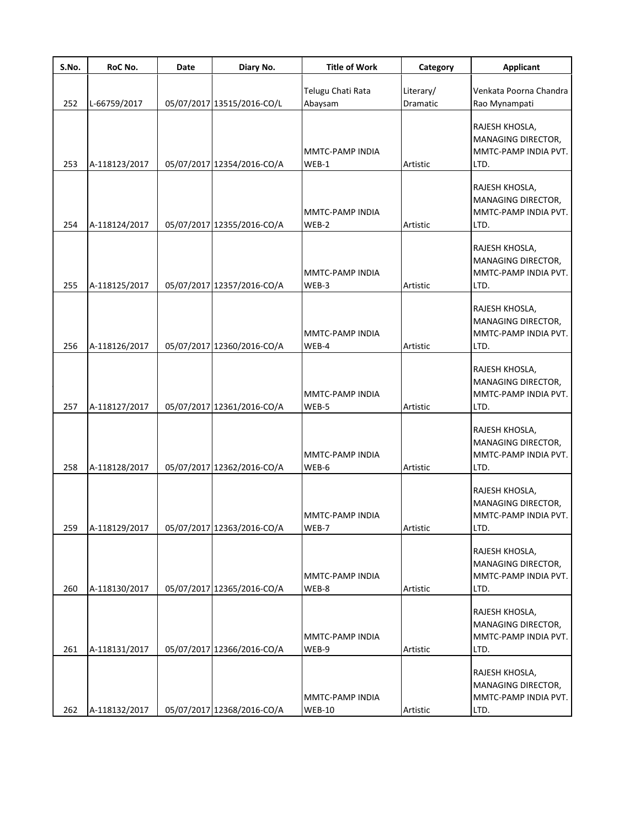| S.No. | RoC No.       | <b>Date</b> | Diary No.                  | <b>Title of Work</b>             | Category              | <b>Applicant</b>                                                     |
|-------|---------------|-------------|----------------------------|----------------------------------|-----------------------|----------------------------------------------------------------------|
| 252   | L-66759/2017  |             | 05/07/2017 13515/2016-CO/L | Telugu Chati Rata<br>Abaysam     | Literary/<br>Dramatic | Venkata Poorna Chandra<br>Rao Mynampati                              |
| 253   | A-118123/2017 |             | 05/07/2017 12354/2016-CO/A | MMTC-PAMP INDIA<br>$WEB-1$       | Artistic              | RAJESH KHOSLA,<br>MANAGING DIRECTOR,<br>MMTC-PAMP INDIA PVT.<br>LTD. |
| 254   | A-118124/2017 |             | 05/07/2017 12355/2016-CO/A | MMTC-PAMP INDIA<br>WEB-2         | Artistic              | RAJESH KHOSLA,<br>MANAGING DIRECTOR,<br>MMTC-PAMP INDIA PVT.<br>LTD. |
| 255   | A-118125/2017 |             | 05/07/2017 12357/2016-CO/A | MMTC-PAMP INDIA<br>WEB-3         | Artistic              | RAJESH KHOSLA,<br>MANAGING DIRECTOR,<br>MMTC-PAMP INDIA PVT.<br>LTD. |
| 256   | A-118126/2017 |             | 05/07/2017 12360/2016-CO/A | MMTC-PAMP INDIA<br>WEB-4         | Artistic              | RAJESH KHOSLA,<br>MANAGING DIRECTOR,<br>MMTC-PAMP INDIA PVT.<br>LTD. |
| 257   | A-118127/2017 |             | 05/07/2017 12361/2016-CO/A | MMTC-PAMP INDIA<br>WEB-5         | Artistic              | RAJESH KHOSLA,<br>MANAGING DIRECTOR,<br>MMTC-PAMP INDIA PVT.<br>LTD. |
| 258   | A-118128/2017 |             | 05/07/2017 12362/2016-CO/A | MMTC-PAMP INDIA<br>WEB-6         | Artistic              | RAJESH KHOSLA,<br>MANAGING DIRECTOR,<br>MMTC-PAMP INDIA PVT.<br>LTD. |
| 259   | A-118129/2017 |             | 05/07/2017 12363/2016-CO/A | MMTC-PAMP INDIA<br>WEB-7         | Artistic              | RAJESH KHOSLA,<br>MANAGING DIRECTOR,<br>MMTC-PAMP INDIA PVT.<br>LTD. |
| 260   | A-118130/2017 |             | 05/07/2017 12365/2016-CO/A | MMTC-PAMP INDIA<br>WEB-8         | Artistic              | RAJESH KHOSLA,<br>MANAGING DIRECTOR,<br>MMTC-PAMP INDIA PVT.<br>LTD. |
| 261   | A-118131/2017 |             | 05/07/2017 12366/2016-CO/A | MMTC-PAMP INDIA<br>WEB-9         | Artistic              | RAJESH KHOSLA,<br>MANAGING DIRECTOR,<br>MMTC-PAMP INDIA PVT.<br>LTD. |
| 262   | A-118132/2017 |             | 05/07/2017 12368/2016-CO/A | MMTC-PAMP INDIA<br><b>WEB-10</b> | Artistic              | RAJESH KHOSLA,<br>MANAGING DIRECTOR,<br>MMTC-PAMP INDIA PVT.<br>LTD. |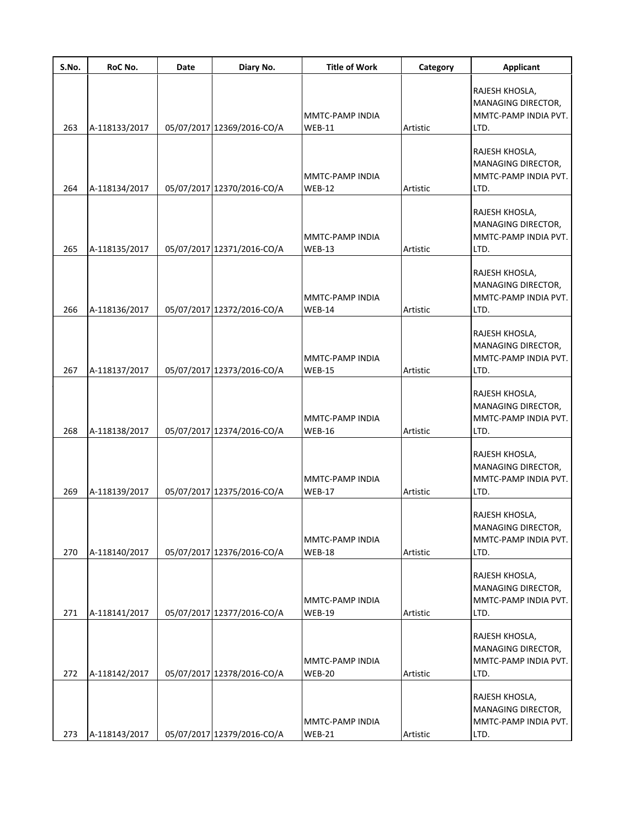| S.No. | RoC No.       | Date | Diary No.                  | <b>Title of Work</b>             | Category | <b>Applicant</b>                                                     |
|-------|---------------|------|----------------------------|----------------------------------|----------|----------------------------------------------------------------------|
| 263   | A-118133/2017 |      | 05/07/2017 12369/2016-CO/A | MMTC-PAMP INDIA<br>$WEB-11$      | Artistic | RAJESH KHOSLA,<br>MANAGING DIRECTOR,<br>MMTC-PAMP INDIA PVT.<br>LTD. |
| 264   | A-118134/2017 |      | 05/07/2017 12370/2016-CO/A | MMTC-PAMP INDIA<br><b>WEB-12</b> | Artistic | RAJESH KHOSLA,<br>MANAGING DIRECTOR,<br>MMTC-PAMP INDIA PVT.<br>LTD. |
| 265   | A-118135/2017 |      | 05/07/2017 12371/2016-CO/A | MMTC-PAMP INDIA<br><b>WEB-13</b> | Artistic | RAJESH KHOSLA,<br>MANAGING DIRECTOR,<br>MMTC-PAMP INDIA PVT.<br>LTD. |
| 266   | A-118136/2017 |      | 05/07/2017 12372/2016-CO/A | MMTC-PAMP INDIA<br><b>WEB-14</b> | Artistic | RAJESH KHOSLA,<br>MANAGING DIRECTOR,<br>MMTC-PAMP INDIA PVT.<br>LTD. |
| 267   | A-118137/2017 |      | 05/07/2017 12373/2016-CO/A | MMTC-PAMP INDIA<br><b>WEB-15</b> | Artistic | RAJESH KHOSLA,<br>MANAGING DIRECTOR,<br>MMTC-PAMP INDIA PVT.<br>LTD. |
| 268   | A-118138/2017 |      | 05/07/2017 12374/2016-CO/A | MMTC-PAMP INDIA<br><b>WEB-16</b> | Artistic | RAJESH KHOSLA,<br>MANAGING DIRECTOR,<br>MMTC-PAMP INDIA PVT.<br>LTD. |
| 269   | A-118139/2017 |      | 05/07/2017 12375/2016-CO/A | MMTC-PAMP INDIA<br><b>WEB-17</b> | Artistic | RAJESH KHOSLA,<br>MANAGING DIRECTOR,<br>MMTC-PAMP INDIA PVT.<br>LTD. |
| 270   | A-118140/2017 |      | 05/07/2017 12376/2016-CO/A | MMTC-PAMP INDIA<br><b>WEB-18</b> | Artistic | RAJESH KHOSLA,<br>MANAGING DIRECTOR,<br>MMTC-PAMP INDIA PVT.<br>LTD. |
| 271   | A-118141/2017 |      | 05/07/2017 12377/2016-CO/A | MMTC-PAMP INDIA<br><b>WEB-19</b> | Artistic | RAJESH KHOSLA,<br>MANAGING DIRECTOR,<br>MMTC-PAMP INDIA PVT.<br>LTD. |
| 272   | A-118142/2017 |      | 05/07/2017 12378/2016-CO/A | MMTC-PAMP INDIA<br><b>WEB-20</b> | Artistic | RAJESH KHOSLA,<br>MANAGING DIRECTOR,<br>MMTC-PAMP INDIA PVT.<br>LTD. |
| 273   | A-118143/2017 |      | 05/07/2017 12379/2016-CO/A | MMTC-PAMP INDIA<br><b>WEB-21</b> | Artistic | RAJESH KHOSLA,<br>MANAGING DIRECTOR,<br>MMTC-PAMP INDIA PVT.<br>LTD. |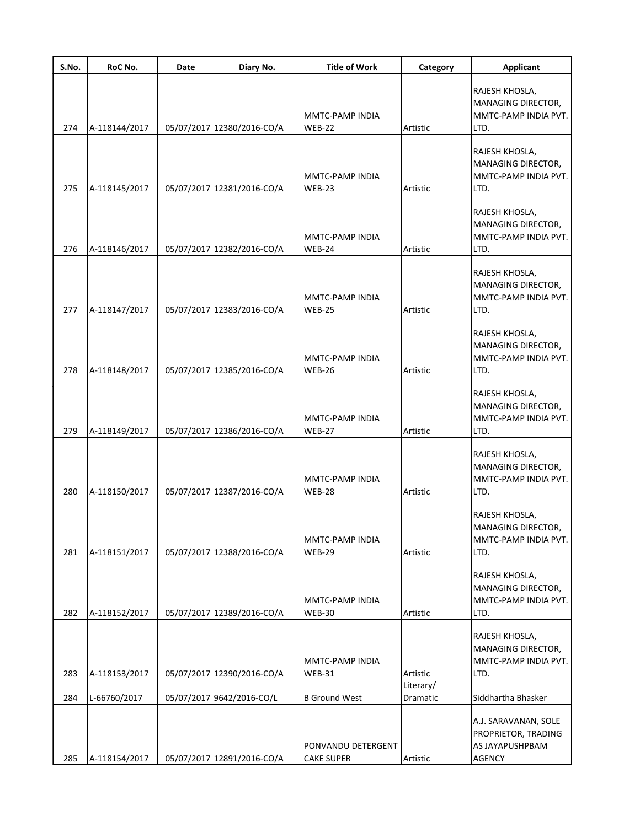| S.No. | RoC No.       | Date | Diary No.                  | <b>Title of Work</b>                    | Category              | <b>Applicant</b>                                                         |
|-------|---------------|------|----------------------------|-----------------------------------------|-----------------------|--------------------------------------------------------------------------|
| 274   | A-118144/2017 |      | 05/07/2017 12380/2016-CO/A | MMTC-PAMP INDIA<br><b>WEB-22</b>        | Artistic              | RAJESH KHOSLA,<br>MANAGING DIRECTOR,<br>MMTC-PAMP INDIA PVT.<br>LTD.     |
| 275   | A-118145/2017 |      | 05/07/2017 12381/2016-CO/A | MMTC-PAMP INDIA<br><b>WEB-23</b>        | Artistic              | RAJESH KHOSLA,<br>MANAGING DIRECTOR,<br>MMTC-PAMP INDIA PVT.<br>LTD.     |
| 276   | A-118146/2017 |      | 05/07/2017 12382/2016-CO/A | MMTC-PAMP INDIA<br><b>WEB-24</b>        | Artistic              | RAJESH KHOSLA,<br>MANAGING DIRECTOR,<br>MMTC-PAMP INDIA PVT.<br>LTD.     |
| 277   | A-118147/2017 |      | 05/07/2017 12383/2016-CO/A | MMTC-PAMP INDIA<br><b>WEB-25</b>        | Artistic              | RAJESH KHOSLA,<br>MANAGING DIRECTOR,<br>MMTC-PAMP INDIA PVT.<br>LTD.     |
| 278   | A-118148/2017 |      | 05/07/2017 12385/2016-CO/A | MMTC-PAMP INDIA<br><b>WEB-26</b>        | Artistic              | RAJESH KHOSLA,<br>MANAGING DIRECTOR,<br>MMTC-PAMP INDIA PVT.<br>LTD.     |
| 279   | A-118149/2017 |      | 05/07/2017 12386/2016-CO/A | MMTC-PAMP INDIA<br><b>WEB-27</b>        | Artistic              | RAJESH KHOSLA,<br>MANAGING DIRECTOR,<br>MMTC-PAMP INDIA PVT.<br>LTD.     |
| 280   | A-118150/2017 |      | 05/07/2017 12387/2016-CO/A | MMTC-PAMP INDIA<br><b>WEB-28</b>        | Artistic              | RAJESH KHOSLA,<br>MANAGING DIRECTOR,<br>MMTC-PAMP INDIA PVT.<br>LTD.     |
| 281   | A-118151/2017 |      | 05/07/2017 12388/2016-CO/A | MMTC-PAMP INDIA<br><b>WEB-29</b>        | Artistic              | RAJESH KHOSLA,<br>MANAGING DIRECTOR,<br>MMTC-PAMP INDIA PVT.<br>LTD.     |
| 282   | A-118152/2017 |      | 05/07/2017 12389/2016-CO/A | MMTC-PAMP INDIA<br><b>WEB-30</b>        | Artistic              | RAJESH KHOSLA,<br>MANAGING DIRECTOR,<br>MMTC-PAMP INDIA PVT.<br>LTD.     |
| 283   | A-118153/2017 |      | 05/07/2017 12390/2016-CO/A | MMTC-PAMP INDIA<br><b>WEB-31</b>        | Artistic              | RAJESH KHOSLA,<br>MANAGING DIRECTOR,<br>MMTC-PAMP INDIA PVT.<br>LTD.     |
| 284   | L-66760/2017  |      | 05/07/2017 9642/2016-CO/L  | <b>B</b> Ground West                    | Literary/<br>Dramatic | Siddhartha Bhasker                                                       |
| 285   | A-118154/2017 |      | 05/07/2017 12891/2016-CO/A | PONVANDU DETERGENT<br><b>CAKE SUPER</b> | Artistic              | A.J. SARAVANAN, SOLE<br>PROPRIETOR, TRADING<br>AS JAYAPUSHPBAM<br>AGENCY |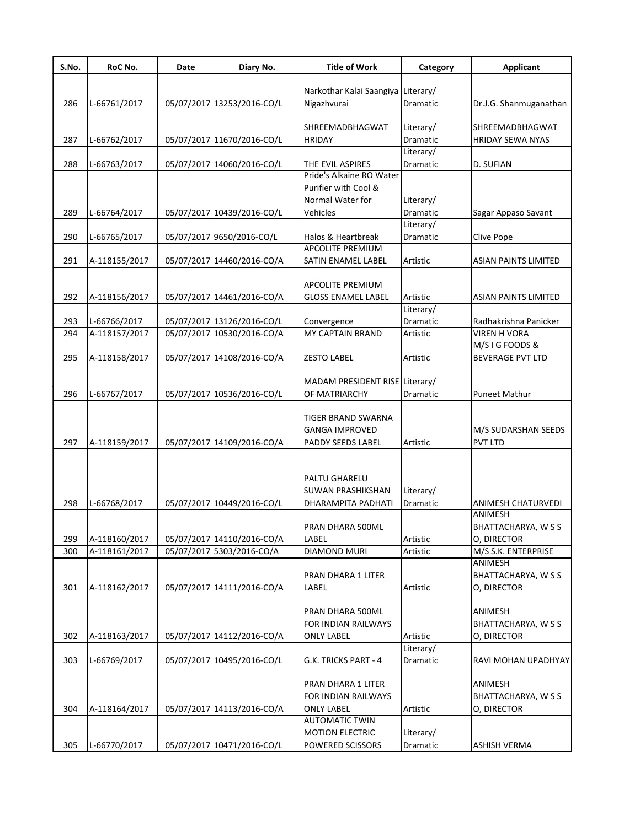| S.No. | RoC No.       | Date | Diary No.                  | <b>Title of Work</b>               | Category              | <b>Applicant</b>              |
|-------|---------------|------|----------------------------|------------------------------------|-----------------------|-------------------------------|
|       |               |      |                            | Narkothar Kalai Saangiya Literary/ |                       |                               |
| 286   | L-66761/2017  |      | 05/07/2017 13253/2016-CO/L | Nigazhvurai                        | Dramatic              | Dr.J.G. Shanmuganathan        |
|       |               |      |                            |                                    |                       |                               |
|       |               |      |                            | <b>SHREEMADBHAGWAT</b>             | Literary/             | SHREEMADBHAGWAT               |
| 287   | L-66762/2017  |      | 05/07/2017 11670/2016-CO/L | <b>HRIDAY</b>                      | Dramatic              | <b>HRIDAY SEWA NYAS</b>       |
|       |               |      |                            |                                    | Literary/             |                               |
| 288   | L-66763/2017  |      | 05/07/2017 14060/2016-CO/L | THE EVIL ASPIRES                   | Dramatic              | D. SUFIAN                     |
|       |               |      |                            | Pride's Alkaine RO Water           |                       |                               |
|       |               |      |                            | Purifier with Cool &               |                       |                               |
|       |               |      |                            | Normal Water for                   | Literary/             |                               |
| 289   | L-66764/2017  |      | 05/07/2017 10439/2016-CO/L | Vehicles                           | Dramatic              | Sagar Appaso Savant           |
|       |               |      |                            |                                    | Literary/             |                               |
| 290   | L-66765/2017  |      | 05/07/2017 9650/2016-CO/L  | Halos & Heartbreak                 | Dramatic              | Clive Pope                    |
|       |               |      |                            | <b>APCOLITE PREMIUM</b>            |                       |                               |
| 291   | A-118155/2017 |      | 05/07/2017 14460/2016-CO/A | <b>SATIN ENAMEL LABEL</b>          | Artistic              | <b>ASIAN PAINTS LIMITED</b>   |
|       |               |      |                            | <b>APCOLITE PREMIUM</b>            |                       |                               |
| 292   | A-118156/2017 |      | 05/07/2017 14461/2016-CO/A | <b>GLOSS ENAMEL LABEL</b>          | Artistic              | <b>ASIAN PAINTS LIMITED</b>   |
|       |               |      |                            |                                    | Literary/             |                               |
| 293   | L-66766/2017  |      | 05/07/2017 13126/2016-CO/L | Convergence                        | <b>Dramatic</b>       | Radhakrishna Panicker         |
| 294   | A-118157/2017 |      | 05/07/2017 10530/2016-CO/A | MY CAPTAIN BRAND                   | Artistic              | <b>VIREN H VORA</b>           |
|       |               |      |                            |                                    |                       | M/S I G FOODS &               |
| 295   | A-118158/2017 |      | 05/07/2017 14108/2016-CO/A | <b>ZESTO LABEL</b>                 | Artistic              | <b>BEVERAGE PVT LTD</b>       |
|       |               |      |                            |                                    |                       |                               |
|       |               |      |                            | MADAM PRESIDENT RISE Literary/     |                       |                               |
| 296   | L-66767/2017  |      | 05/07/2017 10536/2016-CO/L | OF MATRIARCHY                      | Dramatic              | <b>Puneet Mathur</b>          |
|       |               |      |                            |                                    |                       |                               |
|       |               |      |                            | TIGER BRAND SWARNA                 |                       |                               |
|       |               |      |                            | <b>GANGA IMPROVED</b>              |                       | M/S SUDARSHAN SEEDS           |
| 297   | A-118159/2017 |      | 05/07/2017 14109/2016-CO/A | PADDY SEEDS LABEL                  | Artistic              | PVT LTD                       |
|       |               |      |                            |                                    |                       |                               |
|       |               |      |                            |                                    |                       |                               |
|       |               |      |                            | <b>PALTU GHARELU</b>               |                       |                               |
|       |               |      |                            | <b>SUWAN PRASHIKSHAN</b>           | Literary/             |                               |
| 298   | L-66768/2017  |      | 05/07/2017 10449/2016-CO/L | DHARAMPITA PADHATI                 | Dramatic              | ANIMESH CHATURVEDI<br>ANIMESH |
|       |               |      |                            | PRAN DHARA 500ML                   |                       | BHATTACHARYA, W S S           |
| 299   | A-118160/2017 |      | 05/07/2017 14110/2016-CO/A | LABEL                              | Artistic              | O, DIRECTOR                   |
| 300   | A-118161/2017 |      | 05/07/2017 5303/2016-CO/A  | DIAMOND MURI                       | Artistic              | M/S S.K. ENTERPRISE           |
|       |               |      |                            |                                    |                       | ANIMESH                       |
|       |               |      |                            | PRAN DHARA 1 LITER                 |                       | BHATTACHARYA, W S S           |
| 301   | A-118162/2017 |      | 05/07/2017 14111/2016-CO/A | LABEL                              | Artistic              | O, DIRECTOR                   |
|       |               |      |                            |                                    |                       |                               |
|       |               |      |                            | PRAN DHARA 500ML                   |                       | ANIMESH                       |
|       |               |      |                            | FOR INDIAN RAILWAYS                |                       | BHATTACHARYA, W S S           |
| 302   | A-118163/2017 |      | 05/07/2017 14112/2016-CO/A | <b>ONLY LABEL</b>                  | Artistic              | O, DIRECTOR                   |
|       |               |      |                            |                                    | Literary/             |                               |
| 303   | L-66769/2017  |      | 05/07/2017 10495/2016-CO/L | G.K. TRICKS PART - 4               | Dramatic              | RAVI MOHAN UPADHYAY           |
|       |               |      |                            |                                    |                       |                               |
|       |               |      |                            | PRAN DHARA 1 LITER                 |                       | ANIMESH                       |
|       |               |      |                            | FOR INDIAN RAILWAYS                |                       | BHATTACHARYA, W S S           |
| 304   | A-118164/2017 |      | 05/07/2017 14113/2016-CO/A | ONLY LABEL                         | Artistic              | O, DIRECTOR                   |
|       |               |      |                            | <b>AUTOMATIC TWIN</b>              |                       |                               |
| 305   | L-66770/2017  |      | 05/07/2017 10471/2016-CO/L | <b>MOTION ELECTRIC</b>             | Literary/<br>Dramatic |                               |
|       |               |      |                            | POWERED SCISSORS                   |                       | ASHISH VERMA                  |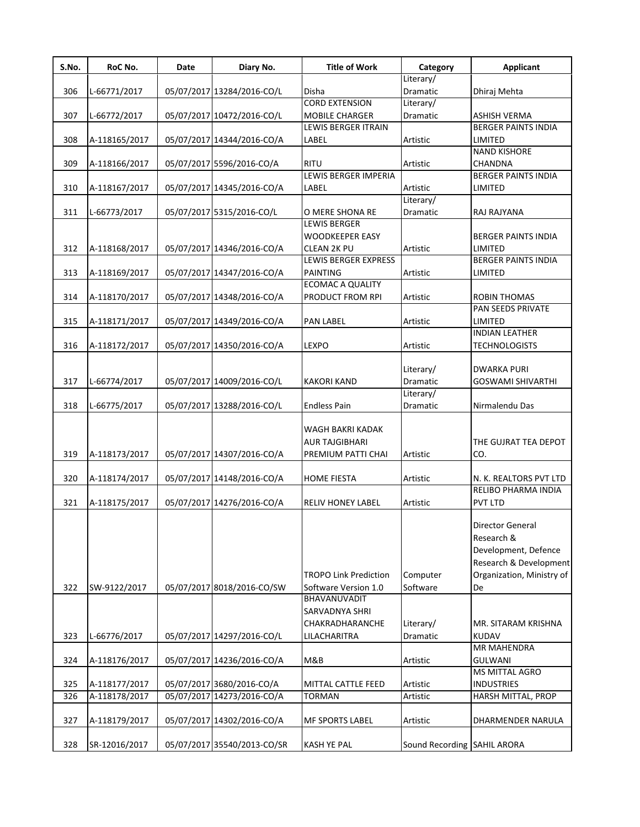| S.No. | RoC No.       | Date | Diary No.                   | <b>Title of Work</b>                         | Category                    | <b>Applicant</b>                                  |
|-------|---------------|------|-----------------------------|----------------------------------------------|-----------------------------|---------------------------------------------------|
|       |               |      |                             |                                              | Literary/                   |                                                   |
| 306   | L-66771/2017  |      | 05/07/2017 13284/2016-CO/L  | Disha                                        | Dramatic                    | Dhiraj Mehta                                      |
|       |               |      |                             | <b>CORD EXTENSION</b>                        | Literary/                   |                                                   |
| 307   | L-66772/2017  |      | 05/07/2017 10472/2016-CO/L  | MOBILE CHARGER<br><b>LEWIS BERGER ITRAIN</b> | Dramatic                    | <b>ASHISH VERMA</b><br><b>BERGER PAINTS INDIA</b> |
|       |               |      |                             |                                              |                             |                                                   |
| 308   | A-118165/2017 |      | 05/07/2017 14344/2016-CO/A  | LABEL                                        | Artistic                    | LIMITED                                           |
|       |               |      |                             |                                              |                             | <b>NAND KISHORE</b>                               |
| 309   | A-118166/2017 |      | 05/07/2017 5596/2016-CO/A   | RITU<br>LEWIS BERGER IMPERIA                 | Artistic                    | CHANDNA<br><b>BERGER PAINTS INDIA</b>             |
| 310   | A-118167/2017 |      |                             |                                              |                             | LIMITED                                           |
|       |               |      | 05/07/2017 14345/2016-CO/A  | LABEL                                        | Artistic                    |                                                   |
| 311   | L-66773/2017  |      | 05/07/2017 5315/2016-CO/L   | O MERE SHONA RE                              | Literary/<br>Dramatic       | RAJ RAJYANA                                       |
|       |               |      |                             | <b>LEWIS BERGER</b>                          |                             |                                                   |
|       |               |      |                             | <b>WOODKEEPER EASY</b>                       |                             | <b>BERGER PAINTS INDIA</b>                        |
|       |               |      |                             |                                              |                             |                                                   |
| 312   | A-118168/2017 |      | 05/07/2017 14346/2016-CO/A  | CLEAN 2K PU                                  | Artistic                    | LIMITED                                           |
|       |               |      |                             | LEWIS BERGER EXPRESS                         |                             | <b>BERGER PAINTS INDIA</b>                        |
| 313   | A-118169/2017 |      | 05/07/2017 14347/2016-CO/A  | PAINTING                                     | Artistic                    | LIMITED                                           |
|       |               |      |                             | <b>ECOMAC A QUALITY</b>                      |                             |                                                   |
| 314   | A-118170/2017 |      | 05/07/2017 14348/2016-CO/A  | PRODUCT FROM RPI                             | Artistic                    | <b>ROBIN THOMAS</b>                               |
|       |               |      |                             |                                              |                             | PAN SEEDS PRIVATE                                 |
| 315   | A-118171/2017 |      | 05/07/2017 14349/2016-CO/A  | PAN LABEL                                    | Artistic                    | LIMITED                                           |
|       |               |      |                             |                                              |                             | <b>INDIAN LEATHER</b>                             |
| 316   | A-118172/2017 |      | 05/07/2017 14350/2016-CO/A  | LEXPO                                        | Artistic                    | <b>TECHNOLOGISTS</b>                              |
|       |               |      |                             |                                              |                             |                                                   |
|       |               |      |                             |                                              | Literary/                   | <b>DWARKA PURI</b>                                |
| 317   | L-66774/2017  |      | 05/07/2017 14009/2016-CO/L  | <b>KAKORI KAND</b>                           | Dramatic                    | <b>GOSWAMI SHIVARTHI</b>                          |
|       |               |      |                             |                                              | Literary/                   |                                                   |
| 318   | L-66775/2017  |      | 05/07/2017 13288/2016-CO/L  | <b>Endless Pain</b>                          | Dramatic                    | Nirmalendu Das                                    |
|       |               |      |                             |                                              |                             |                                                   |
|       |               |      |                             | WAGH BAKRI KADAK                             |                             |                                                   |
|       |               |      |                             | <b>AUR TAJGIBHARI</b>                        |                             | THE GUJRAT TEA DEPOT                              |
| 319   | A-118173/2017 |      | 05/07/2017 14307/2016-CO/A  | PREMIUM PATTI CHAI                           | Artistic                    | CO.                                               |
|       |               |      |                             |                                              |                             |                                                   |
| 320   | A-118174/2017 |      | 05/07/2017 14148/2016-CO/A  | <b>HOME FIESTA</b>                           | Artistic                    | N. K. REALTORS PVT LTD                            |
|       |               |      |                             |                                              |                             | RELIBO PHARMA INDIA                               |
| 321   | A-118175/2017 |      | 05/07/2017 14276/2016-CO/A  | <b>RELIV HONEY LABEL</b>                     | Artistic                    | PVT LTD                                           |
|       |               |      |                             |                                              |                             |                                                   |
|       |               |      |                             |                                              |                             | Director General                                  |
|       |               |      |                             |                                              |                             | Research &                                        |
|       |               |      |                             |                                              |                             | Development, Defence                              |
|       |               |      |                             |                                              |                             | Research & Development                            |
|       |               |      |                             | <b>TROPO Link Prediction</b>                 | Computer                    | Organization, Ministry of                         |
| 322   | SW-9122/2017  |      | 05/07/2017 8018/2016-CO/SW  | Software Version 1.0                         | Software                    | De                                                |
|       |               |      |                             | BHAVANUVADIT                                 |                             |                                                   |
|       |               |      |                             | SARVADNYA SHRI                               |                             |                                                   |
|       |               |      |                             | CHAKRADHARANCHE                              | Literary/                   | MR. SITARAM KRISHNA                               |
| 323   | L-66776/2017  |      | 05/07/2017 14297/2016-CO/L  | LILACHARITRA                                 | Dramatic                    | <b>KUDAV</b>                                      |
|       |               |      |                             |                                              |                             | MR MAHENDRA                                       |
| 324   | A-118176/2017 |      | 05/07/2017 14236/2016-CO/A  | M&B                                          | Artistic                    | <b>GULWANI</b>                                    |
|       |               |      |                             |                                              |                             | <b>MS MITTAL AGRO</b>                             |
| 325   | A-118177/2017 |      | 05/07/2017 3680/2016-CO/A   | MITTAL CATTLE FEED                           | Artistic                    | <b>INDUSTRIES</b>                                 |
| 326   | A-118178/2017 |      | 05/07/2017 14273/2016-CO/A  | <b>TORMAN</b>                                | Artistic                    | HARSH MITTAL, PROP                                |
|       |               |      |                             |                                              |                             |                                                   |
| 327   | A-118179/2017 |      | 05/07/2017 14302/2016-CO/A  | MF SPORTS LABEL                              | Artistic                    | DHARMENDER NARULA                                 |
|       |               |      |                             |                                              |                             |                                                   |
| 328   | SR-12016/2017 |      | 05/07/2017 35540/2013-CO/SR | <b>KASH YE PAL</b>                           | Sound Recording SAHIL ARORA |                                                   |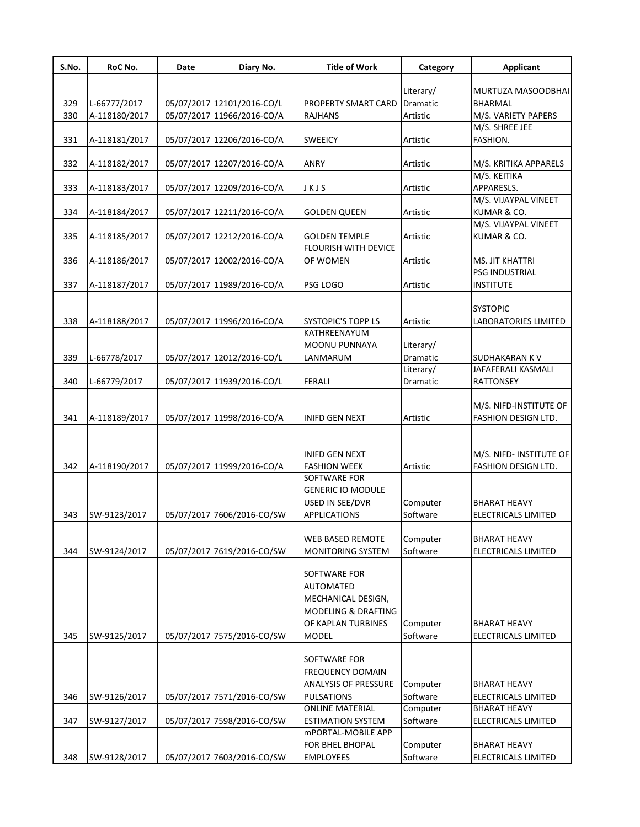| S.No. | RoC No.       | Date | Diary No.                  | <b>Title of Work</b>                           | Category                     | <b>Applicant</b>                     |
|-------|---------------|------|----------------------------|------------------------------------------------|------------------------------|--------------------------------------|
|       |               |      |                            |                                                |                              |                                      |
| 329   | L-66777/2017  |      | 05/07/2017 12101/2016-CO/L | PROPERTY SMART CARD                            | Literary/<br><b>Dramatic</b> | MURTUZA MASOODBHAI<br><b>BHARMAL</b> |
| 330   | A-118180/2017 |      | 05/07/2017 11966/2016-CO/A | <b>RAJHANS</b>                                 | Artistic                     | M/S. VARIETY PAPERS                  |
|       |               |      |                            |                                                |                              | M/S. SHREE JEE                       |
| 331   | A-118181/2017 |      | 05/07/2017 12206/2016-CO/A | <b>SWEEICY</b>                                 | Artistic                     | FASHION.                             |
|       |               |      |                            |                                                |                              |                                      |
| 332   | A-118182/2017 |      | 05/07/2017 12207/2016-CO/A | ANRY                                           | Artistic                     | M/S. KRITIKA APPARELS                |
| 333   | A-118183/2017 |      | 05/07/2017 12209/2016-CO/A | JKJS                                           | Artistic                     | M/S. KEITIKA<br>APPARESLS.           |
|       |               |      |                            |                                                |                              | M/S. VIJAYPAL VINEET                 |
| 334   | A-118184/2017 |      | 05/07/2017 12211/2016-CO/A | <b>GOLDEN QUEEN</b>                            | Artistic                     | KUMAR & CO.                          |
|       |               |      |                            |                                                |                              | M/S. VIJAYPAL VINEET                 |
| 335   | A-118185/2017 |      | 05/07/2017 12212/2016-CO/A | <b>GOLDEN TEMPLE</b>                           | Artistic                     | KUMAR & CO.                          |
|       |               |      |                            | <b>FLOURISH WITH DEVICE</b>                    |                              |                                      |
| 336   | A-118186/2017 |      | 05/07/2017 12002/2016-CO/A | OF WOMEN                                       | Artistic                     | <b>MS. JIT KHATTRI</b>               |
|       |               |      |                            |                                                |                              | PSG INDUSTRIAL                       |
| 337   | A-118187/2017 |      | 05/07/2017 11989/2016-CO/A | PSG LOGO                                       | Artistic                     | <b>INSTITUTE</b>                     |
|       |               |      |                            |                                                |                              | <b>SYSTOPIC</b>                      |
| 338   | A-118188/2017 |      | 05/07/2017 11996/2016-CO/A | <b>SYSTOPIC'S TOPP LS</b>                      | Artistic                     | <b>LABORATORIES LIMITED</b>          |
|       |               |      |                            | KATHREENAYUM                                   |                              |                                      |
|       |               |      |                            | MOONU PUNNAYA                                  | Literary/                    |                                      |
| 339   | L-66778/2017  |      | 05/07/2017 12012/2016-CO/L | LANMARUM                                       | <b>Dramatic</b>              | <b>SUDHAKARAN K V</b>                |
|       |               |      |                            |                                                | Literary/                    | JAFAFERALI KASMALI                   |
| 340   | L-66779/2017  |      | 05/07/2017 11939/2016-CO/L | <b>FERALI</b>                                  | Dramatic                     | <b>RATTONSEY</b>                     |
|       |               |      |                            |                                                |                              |                                      |
|       |               |      |                            |                                                |                              | M/S. NIFD-INSTITUTE OF               |
| 341   | A-118189/2017 |      | 05/07/2017 11998/2016-CO/A | <b>INIFD GEN NEXT</b>                          | Artistic                     | FASHION DESIGN LTD.                  |
|       |               |      |                            |                                                |                              |                                      |
|       |               |      |                            |                                                |                              |                                      |
|       |               |      |                            | <b>INIFD GEN NEXT</b>                          |                              | M/S. NIFD- INSTITUTE OF              |
| 342   | A-118190/2017 |      | 05/07/2017 11999/2016-CO/A | <b>FASHION WEEK</b>                            | Artistic                     | FASHION DESIGN LTD.                  |
|       |               |      |                            | SOFTWARE FOR                                   |                              |                                      |
|       |               |      |                            | <b>GENERIC IO MODULE</b>                       |                              |                                      |
|       |               |      |                            | USED IN SEE/DVR                                | Computer                     | <b>BHARAT HEAVY</b>                  |
| 343   | SW-9123/2017  |      | 05/07/2017 7606/2016-CO/SW | <b>APPLICATIONS</b>                            | Software                     | <b>ELECTRICALS LIMITED</b>           |
|       |               |      |                            | WEB BASED REMOTE                               | Computer                     | <b>BHARAT HEAVY</b>                  |
| 344   | SW-9124/2017  |      | 05/07/2017 7619/2016-CO/SW | MONITORING SYSTEM                              | Software                     | ELECTRICALS LIMITED                  |
|       |               |      |                            |                                                |                              |                                      |
|       |               |      |                            | SOFTWARE FOR                                   |                              |                                      |
|       |               |      |                            | <b>AUTOMATED</b>                               |                              |                                      |
|       |               |      |                            | MECHANICAL DESIGN,                             |                              |                                      |
|       |               |      |                            | MODELING & DRAFTING                            |                              |                                      |
|       |               |      |                            | OF KAPLAN TURBINES                             | Computer                     | <b>BHARAT HEAVY</b>                  |
| 345   | SW-9125/2017  |      | 05/07/2017 7575/2016-CO/SW | <b>MODEL</b>                                   | Software                     | <b>ELECTRICALS LIMITED</b>           |
|       |               |      |                            |                                                |                              |                                      |
|       |               |      |                            | SOFTWARE FOR                                   |                              |                                      |
|       |               |      |                            | <b>FREQUENCY DOMAIN</b>                        |                              |                                      |
|       |               |      |                            | <b>ANALYSIS OF PRESSURE</b>                    | Computer                     | <b>BHARAT HEAVY</b>                  |
| 346   | SW-9126/2017  |      | 05/07/2017 7571/2016-CO/SW | <b>PULSATIONS</b>                              | Software                     | ELECTRICALS LIMITED                  |
|       |               |      |                            | <b>ONLINE MATERIAL</b>                         | Computer                     | <b>BHARAT HEAVY</b>                  |
| 347   | SW-9127/2017  |      | 05/07/2017 7598/2016-CO/SW | <b>ESTIMATION SYSTEM</b><br>mPORTAL-MOBILE APP | Software                     | ELECTRICALS LIMITED                  |
|       |               |      |                            | FOR BHEL BHOPAL                                | Computer                     | <b>BHARAT HEAVY</b>                  |
| 348   | SW-9128/2017  |      | 05/07/2017 7603/2016-CO/SW | <b>EMPLOYEES</b>                               | Software                     | ELECTRICALS LIMITED                  |
|       |               |      |                            |                                                |                              |                                      |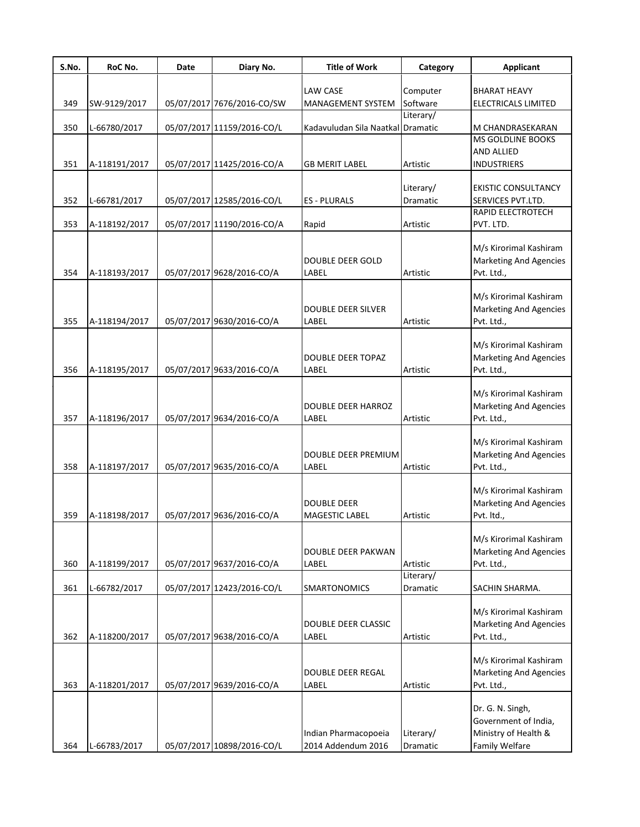| S.No. | RoC No.       | Date | Diary No.                  | <b>Title of Work</b>              | Category  | <b>Applicant</b>                                        |
|-------|---------------|------|----------------------------|-----------------------------------|-----------|---------------------------------------------------------|
|       |               |      |                            | LAW CASE                          | Computer  | <b>BHARAT HEAVY</b>                                     |
| 349   | SW-9129/2017  |      | 05/07/2017 7676/2016-CO/SW | MANAGEMENT SYSTEM                 | Software  | ELECTRICALS LIMITED                                     |
|       |               |      |                            |                                   | Literary/ |                                                         |
| 350   | L-66780/2017  |      | 05/07/2017 11159/2016-CO/L | Kadavuludan Sila Naatkal Dramatic |           | M CHANDRASEKARAN                                        |
|       |               |      |                            |                                   |           | <b>MS GOLDLINE BOOKS</b>                                |
| 351   | A-118191/2017 |      | 05/07/2017 11425/2016-CO/A | GB MERIT LABEL                    | Artistic  | AND ALLIED<br><b>INDUSTRIERS</b>                        |
|       |               |      |                            |                                   |           |                                                         |
|       |               |      |                            |                                   | Literary/ | <b>EKISTIC CONSULTANCY</b>                              |
| 352   | L-66781/2017  |      | 05/07/2017 12585/2016-CO/L | <b>ES-PLURALS</b>                 | Dramatic  | SERVICES PVT.LTD.                                       |
|       |               |      |                            |                                   |           | RAPID ELECTROTECH                                       |
| 353   | A-118192/2017 |      | 05/07/2017 11190/2016-CO/A | Rapid                             | Artistic  | PVT. LTD.                                               |
|       |               |      |                            |                                   |           | M/s Kirorimal Kashiram                                  |
|       |               |      |                            | <b>DOUBLE DEER GOLD</b>           |           | <b>Marketing And Agencies</b>                           |
| 354   | A-118193/2017 |      | 05/07/2017 9628/2016-CO/A  | LABEL                             | Artistic  | Pvt. Ltd.,                                              |
|       |               |      |                            |                                   |           |                                                         |
|       |               |      |                            |                                   |           | M/s Kirorimal Kashiram                                  |
|       |               |      |                            | <b>DOUBLE DEER SILVER</b>         |           | <b>Marketing And Agencies</b>                           |
| 355   | A-118194/2017 |      | 05/07/2017 9630/2016-CO/A  | LABEL                             | Artistic  | Pvt. Ltd.,                                              |
|       |               |      |                            |                                   |           | M/s Kirorimal Kashiram                                  |
|       |               |      |                            | DOUBLE DEER TOPAZ                 |           | <b>Marketing And Agencies</b>                           |
| 356   | A-118195/2017 |      | 05/07/2017 9633/2016-CO/A  | LABEL                             | Artistic  | Pvt. Ltd.,                                              |
|       |               |      |                            |                                   |           |                                                         |
|       |               |      |                            |                                   |           | M/s Kirorimal Kashiram                                  |
|       |               |      | 05/07/2017 9634/2016-CO/A  | DOUBLE DEER HARROZ                |           | <b>Marketing And Agencies</b>                           |
| 357   | A-118196/2017 |      |                            | LABEL                             | Artistic  | Pvt. Ltd.,                                              |
|       |               |      |                            |                                   |           | M/s Kirorimal Kashiram                                  |
|       |               |      |                            | DOUBLE DEER PREMIUM               |           | <b>Marketing And Agencies</b>                           |
| 358   | A-118197/2017 |      | 05/07/2017 9635/2016-CO/A  | LABEL                             | Artistic  | Pvt. Ltd.,                                              |
|       |               |      |                            |                                   |           |                                                         |
|       |               |      |                            | <b>DOUBLE DEER</b>                |           | M/s Kirorimal Kashiram<br><b>Marketing And Agencies</b> |
| 359   | A-118198/2017 |      | 05/07/2017 9636/2016-CO/A  | MAGESTIC LABEL                    | Artistic  | Pvt. Itd.,                                              |
|       |               |      |                            |                                   |           |                                                         |
|       |               |      |                            |                                   |           | M/s Kirorimal Kashiram                                  |
|       |               |      |                            | DOUBLE DEER PAKWAN                |           | <b>Marketing And Agencies</b>                           |
| 360   | A-118199/2017 |      | 05/07/2017 9637/2016-CO/A  | LABEL                             | Artistic  | Pvt. Ltd.,                                              |
|       |               |      |                            |                                   | Literary/ |                                                         |
| 361   | L-66782/2017  |      | 05/07/2017 12423/2016-CO/L | <b>SMARTONOMICS</b>               | Dramatic  | SACHIN SHARMA.                                          |
|       |               |      |                            |                                   |           | M/s Kirorimal Kashiram                                  |
|       |               |      |                            | DOUBLE DEER CLASSIC               |           | <b>Marketing And Agencies</b>                           |
| 362   | A-118200/2017 |      | 05/07/2017 9638/2016-CO/A  | LABEL                             | Artistic  | Pvt. Ltd.,                                              |
|       |               |      |                            |                                   |           |                                                         |
|       |               |      |                            | DOUBLE DEER REGAL                 |           | M/s Kirorimal Kashiram<br><b>Marketing And Agencies</b> |
| 363   | A-118201/2017 |      | 05/07/2017 9639/2016-CO/A  | LABEL                             | Artistic  | Pvt. Ltd.,                                              |
|       |               |      |                            |                                   |           |                                                         |
|       |               |      |                            |                                   |           | Dr. G. N. Singh,                                        |
|       |               |      |                            |                                   |           | Government of India,                                    |
|       |               |      |                            | Indian Pharmacopoeia              | Literary/ | Ministry of Health &                                    |
| 364   | L-66783/2017  |      | 05/07/2017 10898/2016-CO/L | 2014 Addendum 2016                | Dramatic  | Family Welfare                                          |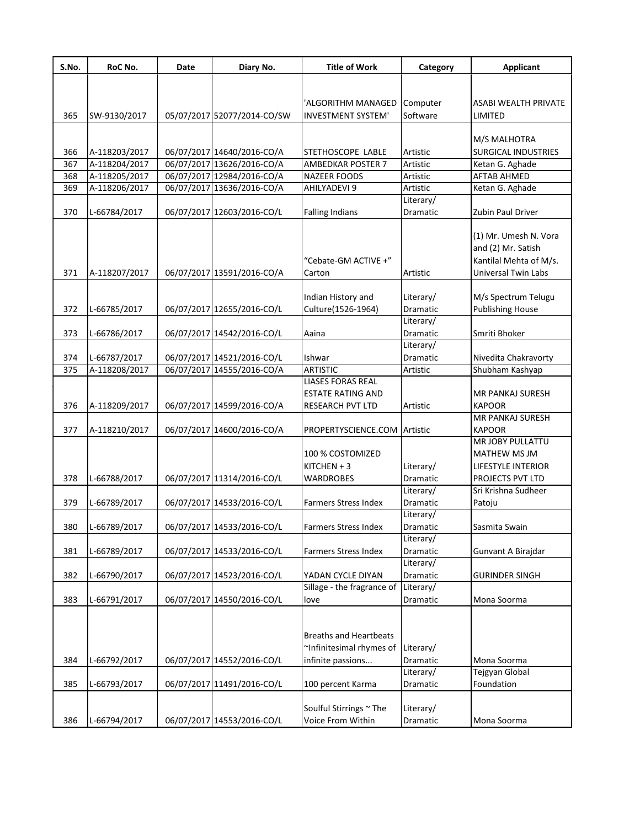| S.No. | RoC No.       | Date | Diary No.                   | <b>Title of Work</b>          | Category  | <b>Applicant</b>           |
|-------|---------------|------|-----------------------------|-------------------------------|-----------|----------------------------|
|       |               |      |                             |                               |           |                            |
|       |               |      |                             |                               |           |                            |
|       |               |      |                             | 'ALGORITHM MANAGED            | Computer  | ASABI WEALTH PRIVATE       |
| 365   | SW-9130/2017  |      | 05/07/2017 52077/2014-CO/SW | <b>INVESTMENT SYSTEM'</b>     | Software  | LIMITED                    |
|       |               |      |                             |                               |           | M/S MALHOTRA               |
| 366   | A-118203/2017 |      | 06/07/2017 14640/2016-CO/A  | STETHOSCOPE LABLE             | Artistic  | <b>SURGICAL INDUSTRIES</b> |
| 367   | A-118204/2017 |      | 06/07/2017 13626/2016-CO/A  | <b>AMBEDKAR POSTER 7</b>      | Artistic  | Ketan G. Aghade            |
| 368   | A-118205/2017 |      | 06/07/2017 12984/2016-CO/A  | <b>NAZEER FOODS</b>           | Artistic  | <b>AFTAB AHMED</b>         |
| 369   | A-118206/2017 |      | 06/07/2017 13636/2016-CO/A  | AHILYADEVI 9                  | Artistic  | Ketan G. Aghade            |
|       |               |      |                             |                               | Literary/ |                            |
| 370   | L-66784/2017  |      | 06/07/2017 12603/2016-CO/L  | <b>Falling Indians</b>        | Dramatic  | Zubin Paul Driver          |
|       |               |      |                             |                               |           |                            |
|       |               |      |                             |                               |           | (1) Mr. Umesh N. Vora      |
|       |               |      |                             |                               |           | and (2) Mr. Satish         |
|       |               |      |                             | "Cebate-GM ACTIVE +"          |           | Kantilal Mehta of M/s.     |
| 371   | A-118207/2017 |      | 06/07/2017 13591/2016-CO/A  | Carton                        | Artistic  | <b>Universal Twin Labs</b> |
|       |               |      |                             |                               |           |                            |
|       |               |      |                             | Indian History and            | Literary/ | M/s Spectrum Telugu        |
| 372   | L-66785/2017  |      | 06/07/2017 12655/2016-CO/L  | Culture(1526-1964)            | Dramatic  | <b>Publishing House</b>    |
|       |               |      |                             |                               | Literary/ |                            |
| 373   | L-66786/2017  |      | 06/07/2017 14542/2016-CO/L  | Aaina                         | Dramatic  | Smriti Bhoker              |
|       |               |      |                             |                               | Literary/ |                            |
| 374   | L-66787/2017  |      | 06/07/2017 14521/2016-CO/L  | Ishwar                        | Dramatic  | Nivedita Chakravorty       |
| 375   | A-118208/2017 |      | 06/07/2017 14555/2016-CO/A  | <b>ARTISTIC</b>               | Artistic  | Shubham Kashyap            |
|       |               |      |                             | <b>LIASES FORAS REAL</b>      |           |                            |
|       |               |      |                             | <b>ESTATE RATING AND</b>      |           | <b>MR PANKAJ SURESH</b>    |
| 376   | A-118209/2017 |      | 06/07/2017 14599/2016-CO/A  | <b>RESEARCH PVT LTD</b>       | Artistic  | <b>KAPOOR</b>              |
|       |               |      |                             |                               |           | <b>MR PANKAJ SURESH</b>    |
| 377   | A-118210/2017 |      | 06/07/2017 14600/2016-CO/A  | PROPERTYSCIENCE.COM           | Artistic  | <b>KAPOOR</b>              |
|       |               |      |                             |                               |           | <b>MR JOBY PULLATTU</b>    |
|       |               |      |                             | 100 % COSTOMIZED              |           | MATHEW MS JM               |
|       |               |      |                             | $KITCHEN + 3$                 | Literary/ | LIFESTYLE INTERIOR         |
| 378   | L-66788/2017  |      | 06/07/2017 11314/2016-CO/L  | <b>WARDROBES</b>              | Dramatic  | PROJECTS PVT LTD           |
|       |               |      |                             |                               | Literary/ | Sri Krishna Sudheer        |
| 379   | L-66789/2017  |      | 06/07/2017 14533/2016-CO/L  | <b>Farmers Stress Index</b>   | Dramatic  | Patoju                     |
|       |               |      |                             |                               | Literary/ |                            |
| 380   | L-66789/2017  |      | 06/07/2017 14533/2016-CO/L  | Farmers Stress Index          | Dramatic  | Sasmita Swain              |
|       |               |      |                             |                               | Literary/ |                            |
| 381   | L-66789/2017  |      | 06/07/2017 14533/2016-CO/L  | Farmers Stress Index          | Dramatic  | Gunvant A Birajdar         |
|       |               |      |                             |                               | Literary/ |                            |
| 382   | L-66790/2017  |      | 06/07/2017 14523/2016-CO/L  | YADAN CYCLE DIYAN             | Dramatic  | <b>GURINDER SINGH</b>      |
|       |               |      |                             | Sillage - the fragrance of    | Literary/ |                            |
| 383   | L-66791/2017  |      | 06/07/2017 14550/2016-CO/L  | love                          | Dramatic  | Mona Soorma                |
|       |               |      |                             |                               |           |                            |
|       |               |      |                             |                               |           |                            |
|       |               |      |                             | <b>Breaths and Heartbeats</b> |           |                            |
|       |               |      |                             | ~Infinitesimal rhymes of      | Literary/ |                            |
| 384   | L-66792/2017  |      | 06/07/2017 14552/2016-CO/L  | infinite passions             | Dramatic  | Mona Soorma                |
|       |               |      |                             |                               | Literary/ | Tejgyan Global             |
| 385   | L-66793/2017  |      | 06/07/2017 11491/2016-CO/L  | 100 percent Karma             | Dramatic  | Foundation                 |
|       |               |      |                             |                               |           |                            |
|       |               |      |                             | Soulful Stirrings ~ The       | Literary/ |                            |
| 386   | L-66794/2017  |      | 06/07/2017 14553/2016-CO/L  | Voice From Within             | Dramatic  | Mona Soorma                |
|       |               |      |                             |                               |           |                            |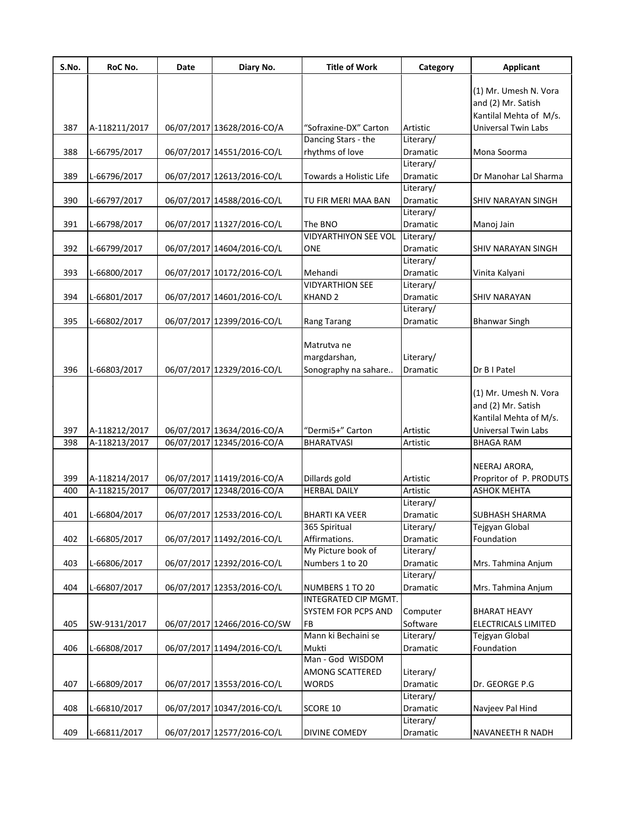| S.No. | RoC No.       | Date | Diary No.                   | <b>Title of Work</b>                    | Category              | <b>Applicant</b>           |
|-------|---------------|------|-----------------------------|-----------------------------------------|-----------------------|----------------------------|
|       |               |      |                             |                                         |                       | (1) Mr. Umesh N. Vora      |
|       |               |      |                             |                                         |                       | and (2) Mr. Satish         |
|       |               |      |                             |                                         |                       | Kantilal Mehta of M/s.     |
| 387   | A-118211/2017 |      | 06/07/2017 13628/2016-CO/A  | "Sofraxine-DX" Carton                   | Artistic              | <b>Universal Twin Labs</b> |
|       |               |      |                             | Dancing Stars - the                     | Literary/             |                            |
| 388   | L-66795/2017  |      | 06/07/2017 14551/2016-CO/L  | rhythms of love                         | Dramatic              | Mona Soorma                |
|       |               |      |                             |                                         | Literary/             |                            |
| 389   | L-66796/2017  |      | 06/07/2017 12613/2016-CO/L  | Towards a Holistic Life                 | Dramatic              | Dr Manohar Lal Sharma      |
|       |               |      |                             |                                         | Literary/             |                            |
| 390   | L-66797/2017  |      | 06/07/2017 14588/2016-CO/L  | TU FIR MERI MAA BAN                     | Dramatic              | SHIV NARAYAN SINGH         |
|       |               |      |                             |                                         | Literary/             |                            |
| 391   | L-66798/2017  |      | 06/07/2017 11327/2016-CO/L  | The BNO<br><b>VIDYARTHIYON SEE VOL</b>  | Dramatic              | Manoj Jain                 |
| 392   |               |      |                             | <b>ONE</b>                              | Literary/             |                            |
|       | L-66799/2017  |      | 06/07/2017 14604/2016-CO/L  |                                         | Dramatic<br>Literary/ | <b>SHIV NARAYAN SINGH</b>  |
| 393   | L-66800/2017  |      | 06/07/2017 10172/2016-CO/L  | Mehandi                                 | Dramatic              | Vinita Kalyani             |
|       |               |      |                             | <b>VIDYARTHION SEE</b>                  | Literary/             |                            |
| 394   | L-66801/2017  |      | 06/07/2017 14601/2016-CO/L  | <b>KHAND 2</b>                          | Dramatic              | <b>SHIV NARAYAN</b>        |
|       |               |      |                             |                                         | Literary/             |                            |
| 395   | L-66802/2017  |      | 06/07/2017 12399/2016-CO/L  | Rang Tarang                             | Dramatic              | <b>Bhanwar Singh</b>       |
|       |               |      |                             |                                         |                       |                            |
|       |               |      |                             | Matrutva ne                             |                       |                            |
|       |               |      |                             | margdarshan,                            | Literary/             |                            |
| 396   | L-66803/2017  |      | 06/07/2017 12329/2016-CO/L  | Sonography na sahare                    | Dramatic              | Dr B I Patel               |
|       |               |      |                             |                                         |                       |                            |
|       |               |      |                             |                                         |                       | (1) Mr. Umesh N. Vora      |
|       |               |      |                             |                                         |                       | and (2) Mr. Satish         |
|       |               |      |                             |                                         |                       | Kantilal Mehta of M/s.     |
| 397   | A-118212/2017 |      | 06/07/2017 13634/2016-CO/A  | "Dermi5+" Carton                        | Artistic              | Universal Twin Labs        |
| 398   | A-118213/2017 |      | 06/07/2017 12345/2016-CO/A  | <b>BHARATVASI</b>                       | Artistic              | <b>BHAGA RAM</b>           |
|       |               |      |                             |                                         |                       |                            |
|       |               |      |                             |                                         |                       | NEERAJ ARORA,              |
| 399   | A-118214/2017 |      | 06/07/2017 11419/2016-CO/A  | Dillards gold                           | Artistic              | Propritor of P. PRODUTS    |
| 400   | A-118215/2017 |      | 06/07/2017 12348/2016-CO/A  | <b>HERBAL DAILY</b>                     | Artistic              | <b>ASHOK MEHTA</b>         |
|       |               |      |                             |                                         | Literary/             |                            |
| 401   | L-66804/2017  |      | 06/07/2017 12533/2016-CO/L  | <b>BHARTI KA VEER</b>                   | Dramatic              | SUBHASH SHARMA             |
|       |               |      |                             | 365 Spiritual                           | Literary/             | Tejgyan Global             |
| 402   | L-66805/2017  |      | 06/07/2017 11492/2016-CO/L  | Affirmations.                           | Dramatic              | Foundation                 |
|       |               |      |                             | My Picture book of                      | Literary/             |                            |
| 403   | L-66806/2017  |      | 06/07/2017 12392/2016-CO/L  | Numbers 1 to 20                         | Dramatic              | Mrs. Tahmina Anjum         |
|       |               |      |                             |                                         | Literary/             |                            |
| 404   | L-66807/2017  |      | 06/07/2017 12353/2016-CO/L  | NUMBERS 1 TO 20<br>INTEGRATED CIP MGMT. | Dramatic              | Mrs. Tahmina Anjum         |
|       |               |      |                             | <b>SYSTEM FOR PCPS AND</b>              | Computer              | <b>BHARAT HEAVY</b>        |
| 405   | SW-9131/2017  |      | 06/07/2017 12466/2016-CO/SW | FB                                      | Software              | ELECTRICALS LIMITED        |
|       |               |      |                             | Mann ki Bechaini se                     | Literary/             | Tejgyan Global             |
| 406   | L-66808/2017  |      | 06/07/2017 11494/2016-CO/L  | Mukti                                   | Dramatic              | Foundation                 |
|       |               |      |                             | Man - God WISDOM                        |                       |                            |
|       |               |      |                             | AMONG SCATTERED                         | Literary/             |                            |
| 407   | L-66809/2017  |      | 06/07/2017 13553/2016-CO/L  | <b>WORDS</b>                            | Dramatic              | Dr. GEORGE P.G             |
|       |               |      |                             |                                         | Literary/             |                            |
| 408   | L-66810/2017  |      | 06/07/2017 10347/2016-CO/L  | SCORE 10                                | Dramatic              | Navjeev Pal Hind           |
|       |               |      |                             |                                         | Literary/             |                            |
| 409   | L-66811/2017  |      | 06/07/2017 12577/2016-CO/L  | DIVINE COMEDY                           | Dramatic              | NAVANEETH R NADH           |
|       |               |      |                             |                                         |                       |                            |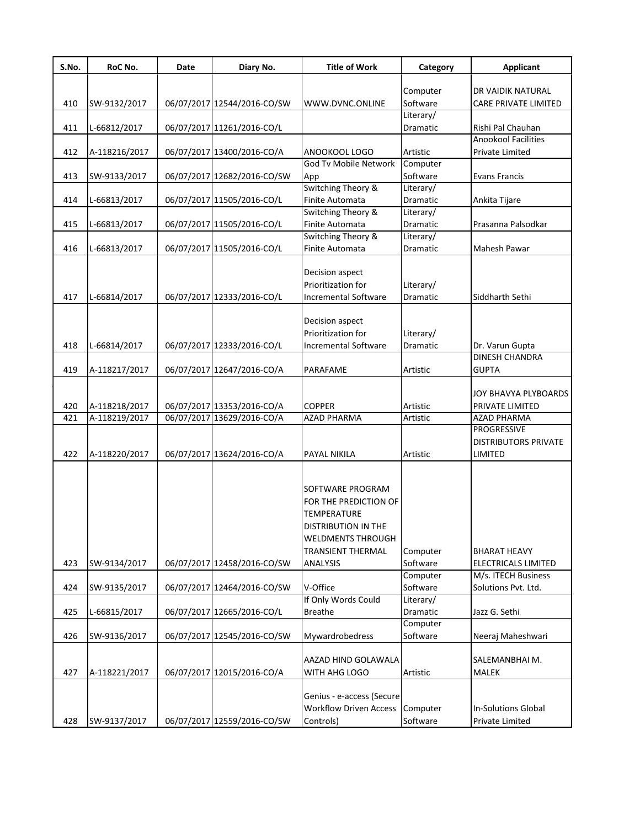| S.No. | RoC No.       | Date | Diary No.                   | <b>Title of Work</b>            | Category              | <b>Applicant</b>                  |
|-------|---------------|------|-----------------------------|---------------------------------|-----------------------|-----------------------------------|
|       |               |      |                             |                                 |                       |                                   |
|       |               |      |                             |                                 | Computer              | DR VAIDIK NATURAL                 |
| 410   | SW-9132/2017  |      | 06/07/2017 12544/2016-CO/SW | WWW.DVNC.ONLINE                 | Software<br>Literary/ | CARE PRIVATE LIMITED              |
| 411   | L-66812/2017  |      | 06/07/2017 11261/2016-CO/L  |                                 | Dramatic              | Rishi Pal Chauhan                 |
|       |               |      |                             |                                 |                       | Anookool Facilities               |
| 412   | A-118216/2017 |      | 06/07/2017 13400/2016-CO/A  | ANOOKOOL LOGO                   | Artistic              | Private Limited                   |
|       |               |      |                             | God Tv Mobile Network           | Computer              |                                   |
| 413   | SW-9133/2017  |      | 06/07/2017 12682/2016-CO/SW | App                             | Software              | <b>Evans Francis</b>              |
|       |               |      |                             | Switching Theory &              | Literary/             |                                   |
| 414   | L-66813/2017  |      | 06/07/2017 11505/2016-CO/L  | Finite Automata                 | Dramatic              | Ankita Tijare                     |
|       |               |      |                             | Switching Theory &              | Literary/             |                                   |
| 415   | L-66813/2017  |      | 06/07/2017 11505/2016-CO/L  | Finite Automata                 | Dramatic              | Prasanna Palsodkar                |
|       |               |      |                             | Switching Theory &              | Literary/             |                                   |
| 416   | L-66813/2017  |      | 06/07/2017 11505/2016-CO/L  | Finite Automata                 | Dramatic              | Mahesh Pawar                      |
|       |               |      |                             |                                 |                       |                                   |
|       |               |      |                             | Decision aspect                 |                       |                                   |
|       |               |      |                             | Prioritization for              | Literary/             |                                   |
| 417   | L-66814/2017  |      | 06/07/2017 12333/2016-CO/L  | <b>Incremental Software</b>     | Dramatic              | Siddharth Sethi                   |
|       |               |      |                             |                                 |                       |                                   |
|       |               |      |                             | Decision aspect                 |                       |                                   |
|       |               |      |                             | Prioritization for              | Literary/             |                                   |
| 418   | L-66814/2017  |      | 06/07/2017 12333/2016-CO/L  | <b>Incremental Software</b>     | Dramatic              | Dr. Varun Gupta                   |
|       |               |      |                             |                                 |                       | <b>DINESH CHANDRA</b>             |
| 419   | A-118217/2017 |      | 06/07/2017 12647/2016-CO/A  | PARAFAME                        | Artistic              | <b>GUPTA</b>                      |
|       |               |      |                             |                                 |                       | JOY BHAVYA PLYBOARDS              |
|       |               |      |                             |                                 |                       |                                   |
| 420   | A-118218/2017 |      | 06/07/2017 13353/2016-CO/A  | <b>COPPER</b>                   | Artistic              | PRIVATE LIMITED                   |
| 421   | A-118219/2017 |      | 06/07/2017 13629/2016-CO/A  | <b>AZAD PHARMA</b>              | Artistic              | <b>AZAD PHARMA</b><br>PROGRESSIVE |
|       |               |      |                             |                                 |                       | <b>DISTRIBUTORS PRIVATE</b>       |
| 422   | A-118220/2017 |      | 06/07/2017 13624/2016-CO/A  | PAYAL NIKILA                    | Artistic              | LIMITED                           |
|       |               |      |                             |                                 |                       |                                   |
|       |               |      |                             |                                 |                       |                                   |
|       |               |      |                             | SOFTWARE PROGRAM                |                       |                                   |
|       |               |      |                             | FOR THE PREDICTION OF           |                       |                                   |
|       |               |      |                             | TEMPERATURE                     |                       |                                   |
|       |               |      |                             | DISTRIBUTION IN THE             |                       |                                   |
|       |               |      |                             | WELDMENTS THROUGH               |                       |                                   |
|       |               |      |                             | <b>TRANSIENT THERMAL</b>        | Computer              | <b>BHARAT HEAVY</b>               |
| 423   | SW-9134/2017  |      | 06/07/2017 12458/2016-CO/SW | <b>ANALYSIS</b>                 | Software              | ELECTRICALS LIMITED               |
|       |               |      |                             |                                 | Computer              | M/s. ITECH Business               |
| 424   | SW-9135/2017  |      | 06/07/2017 12464/2016-CO/SW | V-Office                        | Software              | Solutions Pvt. Ltd.               |
|       |               |      |                             | If Only Words Could             | Literary/             |                                   |
| 425   | L-66815/2017  |      | 06/07/2017 12665/2016-CO/L  | <b>Breathe</b>                  | Dramatic              | Jazz G. Sethi                     |
|       |               |      |                             |                                 | Computer              |                                   |
| 426   | SW-9136/2017  |      | 06/07/2017 12545/2016-CO/SW | Mywardrobedress                 | Software              | Neeraj Maheshwari                 |
|       |               |      |                             |                                 |                       |                                   |
|       |               |      |                             | AAZAD HIND GOLAWALA             |                       | SALEMANBHAI M.                    |
| 427   | A-118221/2017 |      | 06/07/2017 12015/2016-CO/A  | WITH AHG LOGO                   | Artistic              | MALEK                             |
|       |               |      |                             |                                 |                       |                                   |
|       |               |      |                             | Genius - e-access (Secure       |                       |                                   |
|       |               |      |                             | Workflow Driven Access Computer |                       | In-Solutions Global               |
| 428   | SW-9137/2017  |      | 06/07/2017 12559/2016-CO/SW | Controls)                       | Software              | Private Limited                   |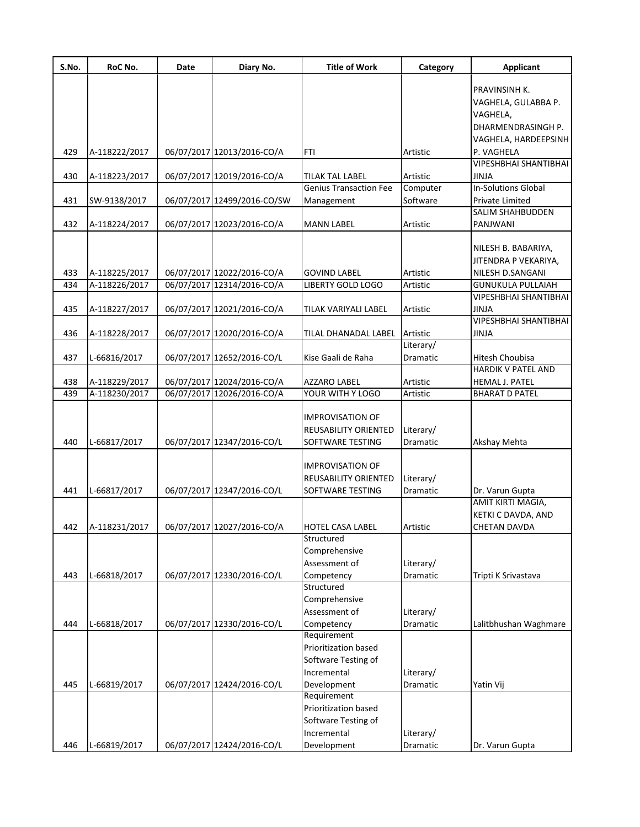| S.No. | RoC No.       | Date | Diary No.                   | <b>Title of Work</b>          | Category  | <b>Applicant</b>             |
|-------|---------------|------|-----------------------------|-------------------------------|-----------|------------------------------|
|       |               |      |                             |                               |           |                              |
|       |               |      |                             |                               |           | PRAVINSINH K.                |
|       |               |      |                             |                               |           | VAGHELA, GULABBA P.          |
|       |               |      |                             |                               |           | VAGHELA,                     |
|       |               |      |                             |                               |           | DHARMENDRASINGH P.           |
|       |               |      |                             |                               |           | VAGHELA, HARDEEPSINH         |
| 429   | A-118222/2017 |      | 06/07/2017 12013/2016-CO/A  | FTI                           | Artistic  | P. VAGHELA                   |
|       |               |      |                             |                               |           | <b>VIPESHBHAI SHANTIBHAI</b> |
| 430   | A-118223/2017 |      | 06/07/2017 12019/2016-CO/A  | TILAK TAL LABEL               | Artistic  | JINJA                        |
|       |               |      |                             | <b>Genius Transaction Fee</b> | Computer  | <b>In-Solutions Global</b>   |
| 431   | SW-9138/2017  |      | 06/07/2017 12499/2016-CO/SW | Management                    | Software  | Private Limited              |
|       |               |      |                             |                               |           | SALIM SHAHBUDDEN             |
| 432   | A-118224/2017 |      | 06/07/2017 12023/2016-CO/A  | <b>MANN LABEL</b>             | Artistic  | PANJWANI                     |
|       |               |      |                             |                               |           |                              |
|       |               |      |                             |                               |           | NILESH B. BABARIYA,          |
|       |               |      |                             |                               |           | JITENDRA P VEKARIYA,         |
| 433   | A-118225/2017 |      | 06/07/2017 12022/2016-CO/A  | <b>GOVIND LABEL</b>           | Artistic  | NILESH D.SANGANI             |
| 434   | A-118226/2017 |      | 06/07/2017 12314/2016-CO/A  | <b>LIBERTY GOLD LOGO</b>      | Artistic  | <b>GUNUKULA PULLAIAH</b>     |
|       |               |      |                             |                               |           | VIPESHBHAI SHANTIBHAI        |
| 435   | A-118227/2017 |      | 06/07/2017 12021/2016-CO/A  | TILAK VARIYALI LABEL          | Artistic  | JINJA                        |
|       |               |      |                             |                               |           | <b>VIPESHBHAI SHANTIBHAI</b> |
| 436   | A-118228/2017 |      | 06/07/2017 12020/2016-CO/A  | TILAL DHANADAL LABEL          | Artistic  | <b>JINJA</b>                 |
|       |               |      |                             |                               | Literary/ |                              |
| 437   | L-66816/2017  |      | 06/07/2017 12652/2016-CO/L  | Kise Gaali de Raha            | Dramatic  | Hitesh Choubisa              |
|       |               |      |                             |                               |           | <b>HARDIK V PATEL AND</b>    |
| 438   | A-118229/2017 |      | 06/07/2017 12024/2016-CO/A  | AZZARO LABEL                  | Artistic  | <b>HEMAL J. PATEL</b>        |
| 439   | A-118230/2017 |      | 06/07/2017 12026/2016-CO/A  | YOUR WITH Y LOGO              | Artistic  | <b>BHARAT D PATEL</b>        |
|       |               |      |                             |                               |           |                              |
|       |               |      |                             | <b>IMPROVISATION OF</b>       |           |                              |
|       |               |      |                             |                               |           |                              |
|       |               |      |                             | REUSABILITY ORIENTED          | Literary/ |                              |
| 440   | L-66817/2017  |      | 06/07/2017 12347/2016-CO/L  | SOFTWARE TESTING              | Dramatic  | Akshay Mehta                 |
|       |               |      |                             |                               |           |                              |
|       |               |      |                             | <b>IMPROVISATION OF</b>       |           |                              |
|       |               |      |                             | REUSABILITY ORIENTED          | Literary/ |                              |
| 441   | L-66817/2017  |      | 06/07/2017 12347/2016-CO/L  | SOFTWARE TESTING              | Dramatic  | Dr. Varun Gupta              |
|       |               |      |                             |                               |           | AMIT KIRTI MAGIA,            |
|       |               |      |                             |                               |           | KETKI C DAVDA, AND           |
| 442   | A-118231/2017 |      | 06/07/2017 12027/2016-CO/A  | <b>HOTEL CASA LABEL</b>       | Artistic  | <b>CHETAN DAVDA</b>          |
|       |               |      |                             | Structured                    |           |                              |
|       |               |      |                             | Comprehensive                 |           |                              |
|       |               |      |                             | Assessment of                 | Literary/ |                              |
| 443   | L-66818/2017  |      | 06/07/2017 12330/2016-CO/L  | Competency                    | Dramatic  | Tripti K Srivastava          |
|       |               |      |                             | Structured                    |           |                              |
|       |               |      |                             | Comprehensive                 |           |                              |
|       |               |      |                             | Assessment of                 | Literary/ |                              |
| 444   | L-66818/2017  |      | 06/07/2017 12330/2016-CO/L  | Competency                    | Dramatic  | Lalitbhushan Waghmare        |
|       |               |      |                             | Requirement                   |           |                              |
|       |               |      |                             | Prioritization based          |           |                              |
|       |               |      |                             | Software Testing of           |           |                              |
|       |               |      |                             |                               |           |                              |
|       |               |      |                             | Incremental                   | Literary/ |                              |
| 445   | L-66819/2017  |      | 06/07/2017 12424/2016-CO/L  | Development                   | Dramatic  | Yatin Vij                    |
|       |               |      |                             | Requirement                   |           |                              |
|       |               |      |                             | Prioritization based          |           |                              |
|       |               |      |                             | Software Testing of           |           |                              |
|       |               |      |                             | Incremental                   | Literary/ |                              |
| 446   | L-66819/2017  |      | 06/07/2017 12424/2016-CO/L  | Development                   | Dramatic  | Dr. Varun Gupta              |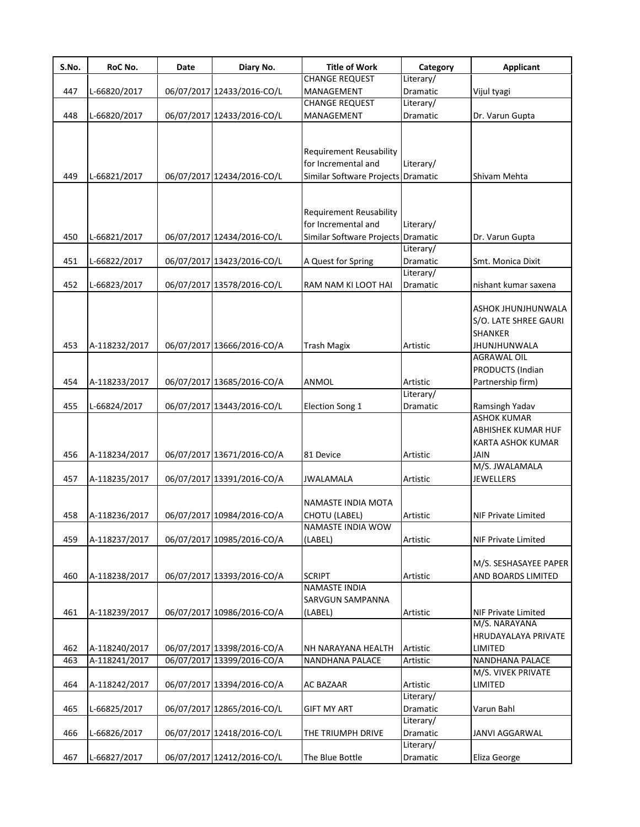| S.No. | RoC No.       | Date | Diary No.                  | <b>Title of Work</b>                                                                        | Category              | <b>Applicant</b>                                                                                           |
|-------|---------------|------|----------------------------|---------------------------------------------------------------------------------------------|-----------------------|------------------------------------------------------------------------------------------------------------|
|       |               |      |                            | <b>CHANGE REQUEST</b>                                                                       | Literary/             |                                                                                                            |
| 447   | L-66820/2017  |      | 06/07/2017 12433/2016-CO/L | MANAGEMENT                                                                                  | Dramatic              | Vijul tyagi                                                                                                |
|       |               |      |                            | <b>CHANGE REQUEST</b>                                                                       | Literary/             |                                                                                                            |
| 448   | L-66820/2017  |      | 06/07/2017 12433/2016-CO/L | MANAGEMENT                                                                                  | Dramatic              | Dr. Varun Gupta                                                                                            |
| 449   | L-66821/2017  |      | 06/07/2017 12434/2016-CO/L | <b>Requirement Reusability</b><br>for Incremental and<br>Similar Software Projects Dramatic | Literary/             | Shivam Mehta                                                                                               |
| 450   | L-66821/2017  |      | 06/07/2017 12434/2016-CO/L | <b>Requirement Reusability</b><br>for Incremental and<br>Similar Software Projects Dramatic | Literary/             | Dr. Varun Gupta                                                                                            |
|       |               |      |                            |                                                                                             | Literary/             |                                                                                                            |
| 451   | L-66822/2017  |      | 06/07/2017 13423/2016-CO/L | A Quest for Spring                                                                          | Dramatic              | Smt. Monica Dixit                                                                                          |
|       |               |      |                            |                                                                                             | Literary/             |                                                                                                            |
| 452   | L-66823/2017  |      | 06/07/2017 13578/2016-CO/L | RAM NAM KI LOOT HAI                                                                         | Dramatic              | nishant kumar saxena                                                                                       |
| 453   | A-118232/2017 |      | 06/07/2017 13666/2016-CO/A | <b>Trash Magix</b>                                                                          | Artistic              | ASHOK JHUNJHUNWALA<br>S/O. LATE SHREE GAURI<br><b>SHANKER</b><br><b>JHUNJHUNWALA</b><br><b>AGRAWAL OIL</b> |
| 454   | A-118233/2017 |      | 06/07/2017 13685/2016-CO/A | ANMOL                                                                                       | Artistic              | PRODUCTS (Indian<br>Partnership firm)                                                                      |
|       |               |      |                            |                                                                                             | Literary/             |                                                                                                            |
| 455   | L-66824/2017  |      | 06/07/2017 13443/2016-CO/L | Election Song 1                                                                             | Dramatic              | Ramsingh Yadav                                                                                             |
| 456   | A-118234/2017 |      | 06/07/2017 13671/2016-CO/A | 81 Device                                                                                   | Artistic              | <b>ASHOK KUMAR</b><br>ABHISHEK KUMAR HUF<br>KARTA ASHOK KUMAR<br>JAIN                                      |
|       |               |      |                            |                                                                                             |                       | M/S. JWALAMALA                                                                                             |
| 457   | A-118235/2017 |      | 06/07/2017 13391/2016-CO/A | <b>JWALAMALA</b>                                                                            | Artistic              | <b>JEWELLERS</b>                                                                                           |
| 458   | A-118236/2017 |      | 06/07/2017 10984/2016-CO/A | NAMASTE INDIA MOTA<br>CHOTU (LABEL)                                                         | Artistic              | NIF Private Limited                                                                                        |
| 459   | A-118237/2017 |      | 06/07/2017 10985/2016-CO/A | NAMASTE INDIA WOW<br>(LABEL)                                                                | Artistic              | <b>NIF Private Limited</b>                                                                                 |
| 460   | A-118238/2017 |      | 06/07/2017 13393/2016-CO/A | <b>SCRIPT</b>                                                                               | Artistic              | M/S. SESHASAYEE PAPER<br>AND BOARDS LIMITED                                                                |
| 461   | A-118239/2017 |      | 06/07/2017 10986/2016-CO/A | NAMASTE INDIA<br><b>SARVGUN SAMPANNA</b><br>(LABEL)                                         | Artistic              | NIF Private Limited<br>M/S. NARAYANA                                                                       |
| 462   | A-118240/2017 |      | 06/07/2017 13398/2016-CO/A | NH NARAYANA HEALTH                                                                          | Artistic              | HRUDAYALAYA PRIVATE<br>LIMITED                                                                             |
| 463   | A-118241/2017 |      | 06/07/2017 13399/2016-CO/A | <b>NANDHANA PALACE</b>                                                                      | Artistic              | NANDHANA PALACE                                                                                            |
|       |               |      |                            |                                                                                             |                       | M/S. VIVEK PRIVATE                                                                                         |
| 464   | A-118242/2017 |      | 06/07/2017 13394/2016-CO/A | <b>AC BAZAAR</b>                                                                            | Artistic<br>Literary/ | LIMITED                                                                                                    |
| 465   | L-66825/2017  |      | 06/07/2017 12865/2016-CO/L | GIFT MY ART                                                                                 | Dramatic<br>Literary/ | Varun Bahl                                                                                                 |
| 466   | L-66826/2017  |      | 06/07/2017 12418/2016-CO/L | THE TRIUMPH DRIVE                                                                           | Dramatic              | JANVI AGGARWAL                                                                                             |
| 467   | L-66827/2017  |      | 06/07/2017 12412/2016-CO/L | The Blue Bottle                                                                             | Literary/<br>Dramatic | Eliza George                                                                                               |
|       |               |      |                            |                                                                                             |                       |                                                                                                            |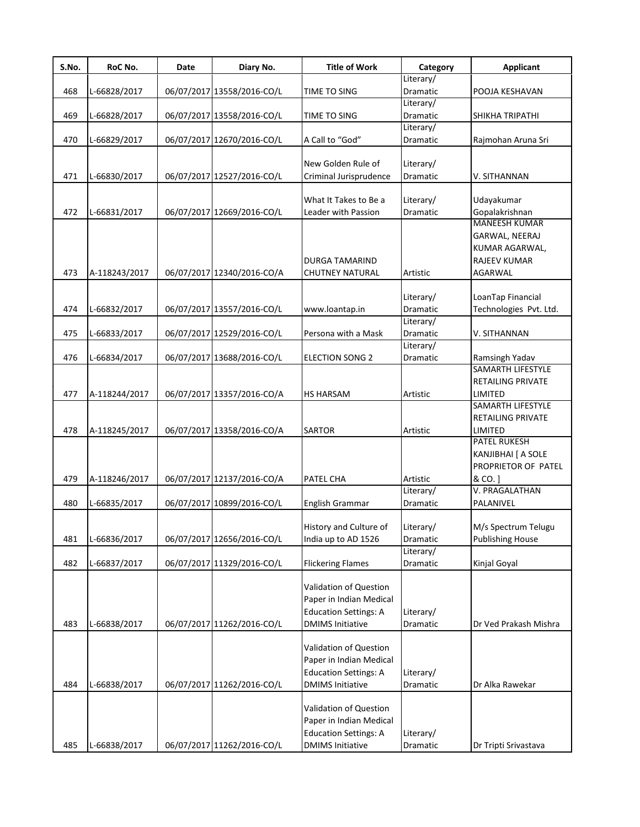| S.No. | RoC No.       | Date | Diary No.                  | <b>Title of Work</b>         | Category        | <b>Applicant</b>         |
|-------|---------------|------|----------------------------|------------------------------|-----------------|--------------------------|
|       |               |      |                            |                              | Literary/       |                          |
| 468   | L-66828/2017  |      | 06/07/2017 13558/2016-CO/L | TIME TO SING                 | Dramatic        | POOJA KESHAVAN           |
|       |               |      |                            |                              | Literary/       |                          |
| 469   | L-66828/2017  |      | 06/07/2017 13558/2016-CO/L | TIME TO SING                 | Dramatic        | SHIKHA TRIPATHI          |
|       |               |      |                            |                              | Literary/       |                          |
| 470   | L-66829/2017  |      | 06/07/2017 12670/2016-CO/L | A Call to "God"              | Dramatic        | Rajmohan Aruna Sri       |
|       |               |      |                            |                              |                 |                          |
|       |               |      |                            | New Golden Rule of           | Literary/       |                          |
| 471   | L-66830/2017  |      | 06/07/2017 12527/2016-CO/L | Criminal Jurisprudence       | Dramatic        | V. SITHANNAN             |
|       |               |      |                            | What It Takes to Be a        | Literary/       | Udayakumar               |
| 472   |               |      | 06/07/2017 12669/2016-CO/L | Leader with Passion          | Dramatic        | Gopalakrishnan           |
|       | L-66831/2017  |      |                            |                              |                 | <b>MANEESH KUMAR</b>     |
|       |               |      |                            |                              |                 | GARWAL, NEERAJ           |
|       |               |      |                            |                              |                 |                          |
|       |               |      |                            |                              |                 | KUMAR AGARWAL,           |
|       |               |      |                            | <b>DURGA TAMARIND</b>        |                 | <b>RAJEEV KUMAR</b>      |
| 473   | A-118243/2017 |      | 06/07/2017 12340/2016-CO/A | <b>CHUTNEY NATURAL</b>       | Artistic        | <b>AGARWAL</b>           |
|       |               |      |                            |                              |                 |                          |
|       |               |      |                            |                              | Literary/       | LoanTap Financial        |
| 474   | L-66832/2017  |      | 06/07/2017 13557/2016-CO/L | www.loantap.in               | Dramatic        | Technologies Pvt. Ltd.   |
|       |               |      |                            |                              | Literary/       |                          |
| 475   | L-66833/2017  |      | 06/07/2017 12529/2016-CO/L | Persona with a Mask          | Dramatic        | V. SITHANNAN             |
|       |               |      |                            |                              | Literary/       |                          |
| 476   | L-66834/2017  |      | 06/07/2017 13688/2016-CO/L | <b>ELECTION SONG 2</b>       | <b>Dramatic</b> | Ramsingh Yadav           |
|       |               |      |                            |                              |                 | <b>SAMARTH LIFESTYLE</b> |
|       |               |      |                            |                              |                 | <b>RETAILING PRIVATE</b> |
| 477   | A-118244/2017 |      | 06/07/2017 13357/2016-CO/A | <b>HS HARSAM</b>             | Artistic        | LIMITED                  |
|       |               |      |                            |                              |                 | <b>SAMARTH LIFESTYLE</b> |
|       |               |      |                            |                              |                 | <b>RETAILING PRIVATE</b> |
| 478   | A-118245/2017 |      | 06/07/2017 13358/2016-CO/A | <b>SARTOR</b>                | Artistic        | LIMITED                  |
|       |               |      |                            |                              |                 | <b>PATEL RUKESH</b>      |
|       |               |      |                            |                              |                 | KANJIBHAI [ A SOLE       |
|       |               |      |                            |                              |                 | PROPRIETOR OF PATEL      |
| 479   | A-118246/2017 |      | 06/07/2017 12137/2016-CO/A | PATEL CHA                    | Artistic        | & CO. ]                  |
|       |               |      |                            |                              | Literary/       | V. PRAGALATHAN           |
| 480   | L-66835/2017  |      | 06/07/2017 10899/2016-CO/L | English Grammar              | Dramatic        | PALANIVEL                |
|       |               |      |                            |                              |                 |                          |
|       |               |      |                            | History and Culture of       | Literary/       | M/s Spectrum Telugu      |
| 481   | L-66836/2017  |      | 06/07/2017 12656/2016-CO/L | India up to AD 1526          | Dramatic        | <b>Publishing House</b>  |
|       |               |      |                            |                              | Literary/       |                          |
| 482   | L-66837/2017  |      | 06/07/2017 11329/2016-CO/L | <b>Flickering Flames</b>     | Dramatic        | Kinjal Goyal             |
|       |               |      |                            |                              |                 |                          |
|       |               |      |                            | Validation of Question       |                 |                          |
|       |               |      |                            | Paper in Indian Medical      |                 |                          |
|       |               |      |                            | <b>Education Settings: A</b> | Literary/       |                          |
| 483   | L-66838/2017  |      | 06/07/2017 11262/2016-CO/L | <b>DMIMS Initiative</b>      | Dramatic        | Dr Ved Prakash Mishra    |
|       |               |      |                            |                              |                 |                          |
|       |               |      |                            | Validation of Question       |                 |                          |
|       |               |      |                            | Paper in Indian Medical      |                 |                          |
|       |               |      |                            | <b>Education Settings: A</b> | Literary/       |                          |
| 484   | L-66838/2017  |      | 06/07/2017 11262/2016-CO/L | <b>DMIMS Initiative</b>      | Dramatic        | Dr Alka Rawekar          |
|       |               |      |                            |                              |                 |                          |
|       |               |      |                            | Validation of Question       |                 |                          |
|       |               |      |                            | Paper in Indian Medical      |                 |                          |
|       |               |      |                            | <b>Education Settings: A</b> | Literary/       |                          |
| 485   |               |      |                            |                              |                 |                          |
|       | L-66838/2017  |      | 06/07/2017 11262/2016-CO/L | <b>DMIMS Initiative</b>      | Dramatic        | Dr Tripti Srivastava     |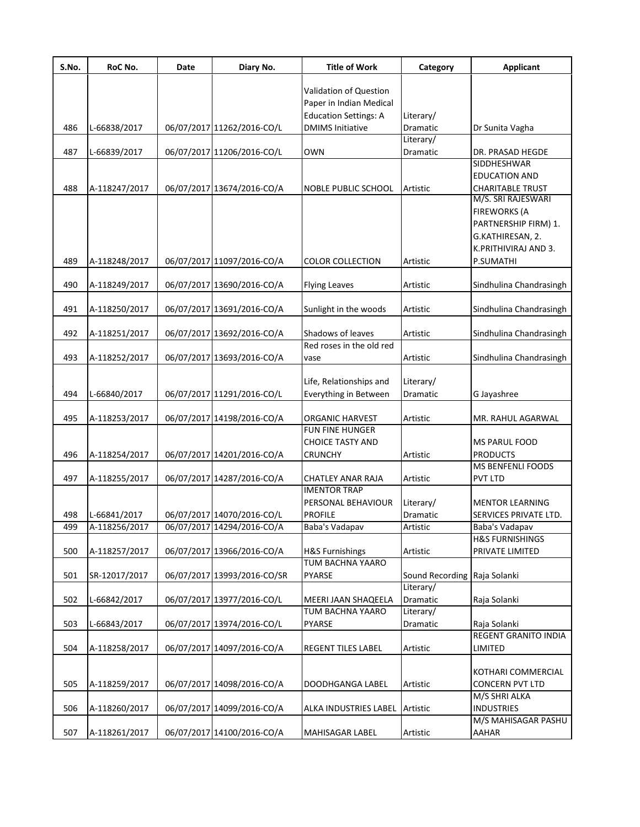| S.No. | RoC No.       | Date | Diary No.                   | <b>Title of Work</b>         | Category        | <b>Applicant</b>                             |
|-------|---------------|------|-----------------------------|------------------------------|-----------------|----------------------------------------------|
|       |               |      |                             | Validation of Question       |                 |                                              |
|       |               |      |                             | Paper in Indian Medical      |                 |                                              |
|       |               |      |                             | <b>Education Settings: A</b> | Literary/       |                                              |
| 486   | L-66838/2017  |      | 06/07/2017 11262/2016-CO/L  | <b>DMIMS Initiative</b>      | Dramatic        | Dr Sunita Vagha                              |
|       |               |      |                             |                              | Literary/       |                                              |
| 487   | L-66839/2017  |      | 06/07/2017 11206/2016-CO/L  | OWN                          | Dramatic        | DR. PRASAD HEGDE                             |
|       |               |      |                             |                              |                 | SIDDHESHWAR                                  |
|       |               |      |                             |                              |                 | <b>EDUCATION AND</b>                         |
| 488   | A-118247/2017 |      | 06/07/2017 13674/2016-CO/A  | <b>NOBLE PUBLIC SCHOOL</b>   | Artistic        | <b>CHARITABLE TRUST</b>                      |
|       |               |      |                             |                              |                 | M/S. SRI RAJESWARI                           |
|       |               |      |                             |                              |                 | <b>FIREWORKS (A</b>                          |
|       |               |      |                             |                              |                 | PARTNERSHIP FIRM) 1.                         |
|       |               |      |                             |                              |                 | G.KATHIRESAN, 2.                             |
|       |               |      |                             |                              |                 | K.PRITHIVIRAJ AND 3.                         |
| 489   | A-118248/2017 |      | 06/07/2017 11097/2016-CO/A  | <b>COLOR COLLECTION</b>      | Artistic        | P.SUMATHI                                    |
|       |               |      |                             |                              |                 |                                              |
| 490   | A-118249/2017 |      | 06/07/2017 13690/2016-CO/A  | <b>Flying Leaves</b>         | Artistic        | Sindhulina Chandrasingh                      |
| 491   | A-118250/2017 |      | 06/07/2017 13691/2016-CO/A  | Sunlight in the woods        | Artistic        | Sindhulina Chandrasingh                      |
|       |               |      |                             |                              |                 |                                              |
| 492   | A-118251/2017 |      | 06/07/2017 13692/2016-CO/A  | Shadows of leaves            | Artistic        | Sindhulina Chandrasingh                      |
|       |               |      |                             | Red roses in the old red     |                 |                                              |
| 493   | A-118252/2017 |      | 06/07/2017 13693/2016-CO/A  | vase                         | Artistic        | Sindhulina Chandrasingh                      |
|       |               |      |                             |                              |                 |                                              |
|       |               |      |                             | Life, Relationships and      | Literary/       |                                              |
| 494   | L-66840/2017  |      | 06/07/2017 11291/2016-CO/L  | Everything in Between        | Dramatic        | G Jayashree                                  |
|       |               |      |                             |                              |                 |                                              |
| 495   | A-118253/2017 |      | 06/07/2017 14198/2016-CO/A  | <b>ORGANIC HARVEST</b>       | Artistic        | MR. RAHUL AGARWAL                            |
|       |               |      |                             | FUN FINE HUNGER              |                 |                                              |
|       |               |      |                             | <b>CHOICE TASTY AND</b>      |                 | <b>MS PARUL FOOD</b>                         |
| 496   | A-118254/2017 |      | 06/07/2017 14201/2016-CO/A  | <b>CRUNCHY</b>               | Artistic        | <b>PRODUCTS</b>                              |
|       |               |      |                             |                              |                 | <b>MS BENFENLI FOODS</b>                     |
| 497   | A-118255/2017 |      | 06/07/2017 14287/2016-CO/A  | CHATLEY ANAR RAJA            | Artistic        | PVT LTD                                      |
|       |               |      |                             | <b>IMENTOR TRAP</b>          |                 |                                              |
|       |               |      |                             | PERSONAL BEHAVIOUR           | Literary/       | <b>MENTOR LEARNING</b>                       |
| 498   | L-66841/2017  |      | 06/07/2017 14070/2016-CO/L  | <b>PROFILE</b>               | Dramatic        | SERVICES PRIVATE LTD.                        |
| 499   | A-118256/2017 |      | 06/07/2017 14294/2016-CO/A  | Baba's Vadapav               | Artistic        | Baba's Vadapav<br><b>H&amp;S FURNISHINGS</b> |
| 500   | A-118257/2017 |      | 06/07/2017 13966/2016-CO/A  | <b>H&amp;S Furnishings</b>   | Artistic        | PRIVATE LIMITED                              |
|       |               |      |                             | TUM BACHNA YAARO             |                 |                                              |
| 501   | SR-12017/2017 |      | 06/07/2017 13993/2016-CO/SR | <b>PYARSE</b>                | Sound Recording | Raja Solanki                                 |
|       |               |      |                             |                              | Literary/       |                                              |
| 502   | L-66842/2017  |      | 06/07/2017 13977/2016-CO/L  | MEERI JAAN SHAQEELA          | Dramatic        | Raja Solanki                                 |
|       |               |      |                             | TUM BACHNA YAARO             | Literary/       |                                              |
| 503   | L-66843/2017  |      | 06/07/2017 13974/2016-CO/L  | <b>PYARSE</b>                | Dramatic        | Raja Solanki                                 |
|       |               |      |                             |                              |                 | REGENT GRANITO INDIA                         |
| 504   | A-118258/2017 |      | 06/07/2017 14097/2016-CO/A  | <b>REGENT TILES LABEL</b>    | Artistic        | LIMITED                                      |
|       |               |      |                             |                              |                 |                                              |
|       |               |      |                             |                              |                 | KOTHARI COMMERCIAL                           |
| 505   | A-118259/2017 |      | 06/07/2017 14098/2016-CO/A  | DOODHGANGA LABEL             | Artistic        | <b>CONCERN PVT LTD</b>                       |
|       |               |      |                             |                              |                 | M/S SHRI ALKA                                |
| 506   | A-118260/2017 |      | 06/07/2017 14099/2016-CO/A  | ALKA INDUSTRIES LABEL        | Artistic        | <b>INDUSTRIES</b>                            |
| 507   | A-118261/2017 |      | 06/07/2017 14100/2016-CO/A  | MAHISAGAR LABEL              | Artistic        | M/S MAHISAGAR PASHU<br>AAHAR                 |
|       |               |      |                             |                              |                 |                                              |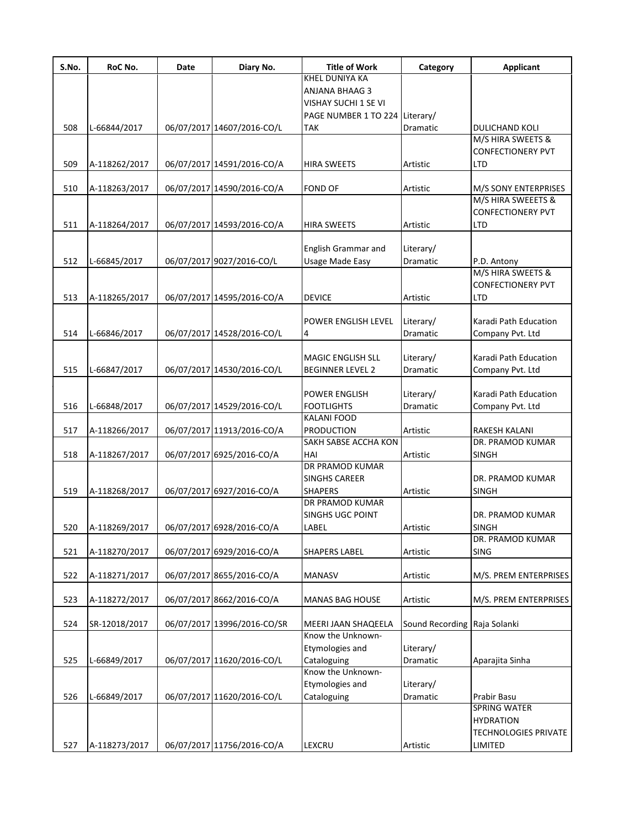| S.No. | RoC No.       | Date | Diary No.                   | <b>Title of Work</b>                     | Category                     | <b>Applicant</b>                           |
|-------|---------------|------|-----------------------------|------------------------------------------|------------------------------|--------------------------------------------|
|       |               |      |                             | <b>KHEL DUNIYA KA</b>                    |                              |                                            |
|       |               |      |                             | ANJANA BHAAG 3                           |                              |                                            |
|       |               |      |                             | VISHAY SUCHI 1 SE VI                     |                              |                                            |
|       |               |      |                             | PAGE NUMBER 1 TO 224 Literary/           |                              |                                            |
| 508   | L-66844/2017  |      | 06/07/2017 14607/2016-CO/L  | TAK                                      | Dramatic                     | DULICHAND KOLI                             |
|       |               |      |                             |                                          |                              | M/S HIRA SWEETS &                          |
|       |               |      |                             |                                          |                              | <b>CONFECTIONERY PVT</b>                   |
| 509   | A-118262/2017 |      | 06/07/2017 14591/2016-CO/A  | HIRA SWEETS                              | Artistic                     | <b>LTD</b>                                 |
|       |               |      |                             |                                          |                              |                                            |
| 510   | A-118263/2017 |      | 06/07/2017 14590/2016-CO/A  | <b>FOND OF</b>                           | Artistic                     | M/S SONY ENTERPRISES<br>M/S HIRA SWEEETS & |
|       |               |      |                             |                                          |                              | <b>CONFECTIONERY PVT</b>                   |
| 511   | A-118264/2017 |      | 06/07/2017 14593/2016-CO/A  | <b>HIRA SWEETS</b>                       | Artistic                     | <b>LTD</b>                                 |
|       |               |      |                             |                                          |                              |                                            |
|       |               |      |                             | <b>English Grammar and</b>               | Literary/                    |                                            |
| 512   | L-66845/2017  |      | 06/07/2017 9027/2016-CO/L   | Usage Made Easy                          | Dramatic                     | P.D. Antony                                |
|       |               |      |                             |                                          |                              | M/S HIRA SWEETS &                          |
|       |               |      |                             |                                          |                              | <b>CONFECTIONERY PVT</b>                   |
| 513   | A-118265/2017 |      | 06/07/2017 14595/2016-CO/A  | <b>DEVICE</b>                            | Artistic                     | <b>LTD</b>                                 |
|       |               |      |                             |                                          |                              |                                            |
|       |               |      |                             | <b>POWER ENGLISH LEVEL</b>               | Literary/                    | Karadi Path Education                      |
| 514   | L-66846/2017  |      | 06/07/2017 14528/2016-CO/L  | 4                                        | Dramatic                     | Company Pvt. Ltd                           |
|       |               |      |                             |                                          |                              |                                            |
|       |               |      |                             | <b>MAGIC ENGLISH SLL</b>                 | Literary/                    | Karadi Path Education                      |
| 515   | L-66847/2017  |      | 06/07/2017 14530/2016-CO/L  | <b>BEGINNER LEVEL 2</b>                  | Dramatic                     | Company Pvt. Ltd                           |
|       |               |      |                             |                                          |                              |                                            |
|       |               |      |                             | <b>POWER ENGLISH</b>                     | Literary/                    | Karadi Path Education                      |
| 516   | L-66848/2017  |      | 06/07/2017 14529/2016-CO/L  | <b>FOOTLIGHTS</b>                        | Dramatic                     | Company Pvt. Ltd                           |
|       |               |      |                             | <b>KALANI FOOD</b>                       |                              |                                            |
| 517   | A-118266/2017 |      | 06/07/2017 11913/2016-CO/A  | <b>PRODUCTION</b>                        | Artistic                     | RAKESH KALANI                              |
|       |               |      |                             | SAKH SABSE ACCHA KON                     |                              | DR. PRAMOD KUMAR                           |
| 518   | A-118267/2017 |      | 06/07/2017 6925/2016-CO/A   | HAI                                      | Artistic                     | <b>SINGH</b>                               |
|       |               |      |                             | DR PRAMOD KUMAR                          |                              |                                            |
|       |               |      |                             | <b>SINGHS CAREER</b>                     |                              | DR. PRAMOD KUMAR                           |
| 519   | A-118268/2017 |      | 06/07/2017 6927/2016-CO/A   | <b>SHAPERS</b>                           | Artistic                     | <b>SINGH</b>                               |
|       |               |      |                             | DR PRAMOD KUMAR                          |                              |                                            |
|       |               |      |                             | <b>SINGHS UGC POINT</b>                  |                              | DR. PRAMOD KUMAR                           |
| 520   | A-118269/2017 |      | 06/07/2017 6928/2016-CO/A   | LABEL                                    | Artistic                     | <b>SINGH</b>                               |
|       |               |      |                             |                                          |                              | DR. PRAMOD KUMAR                           |
| 521   | A-118270/2017 |      | 06/07/2017 6929/2016-CO/A   | <b>SHAPERS LABEL</b>                     | Artistic                     | <b>SING</b>                                |
|       |               |      |                             |                                          |                              |                                            |
| 522   | A-118271/2017 |      | 06/07/2017 8655/2016-CO/A   | <b>MANASV</b>                            | Artistic                     | M/S. PREM ENTERPRISES                      |
|       |               |      |                             |                                          |                              |                                            |
| 523   | A-118272/2017 |      | 06/07/2017 8662/2016-CO/A   | <b>MANAS BAG HOUSE</b>                   | Artistic                     | M/S. PREM ENTERPRISES                      |
|       |               |      |                             |                                          |                              |                                            |
| 524   | SR-12018/2017 |      | 06/07/2017 13996/2016-CO/SR | MEERI JAAN SHAQEELA<br>Know the Unknown- | Sound Recording Raja Solanki |                                            |
|       |               |      |                             | Etymologies and                          | Literary/                    |                                            |
|       |               |      |                             | Cataloguing                              |                              |                                            |
| 525   | L-66849/2017  |      | 06/07/2017 11620/2016-CO/L  | Know the Unknown-                        | Dramatic                     | Aparajita Sinha                            |
|       |               |      |                             | Etymologies and                          | Literary/                    |                                            |
| 526   | L-66849/2017  |      | 06/07/2017 11620/2016-CO/L  |                                          | Dramatic                     | Prabir Basu                                |
|       |               |      |                             | Cataloguing                              |                              | SPRING WATER                               |
|       |               |      |                             |                                          |                              | <b>HYDRATION</b>                           |
|       |               |      |                             |                                          |                              | <b>TECHNOLOGIES PRIVATE</b>                |
|       |               |      |                             |                                          |                              |                                            |
| 527   | A-118273/2017 |      | 06/07/2017 11756/2016-CO/A  | LEXCRU                                   | Artistic                     | LIMITED                                    |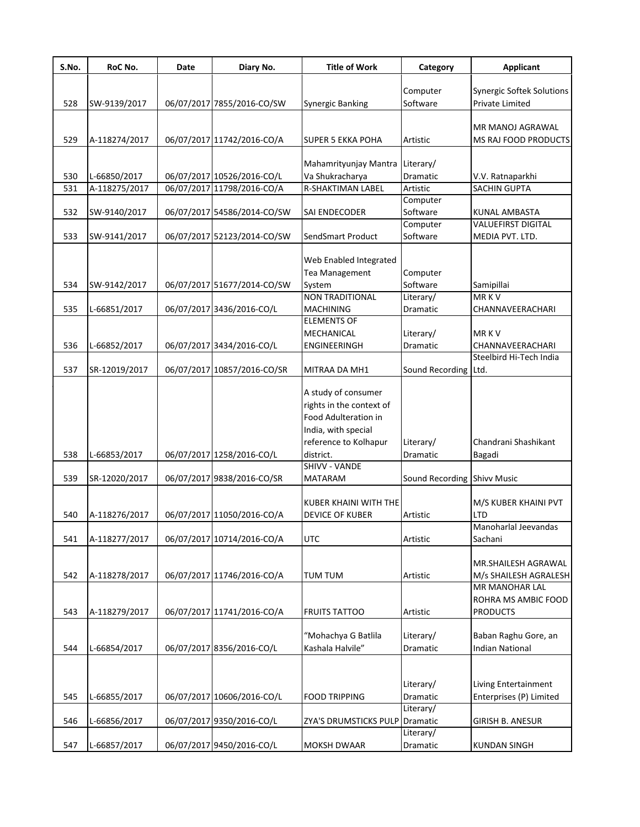| S.No. | RoC No.                       | Date | Diary No.                   | <b>Title of Work</b>                            | Category                    | Applicant                                                  |
|-------|-------------------------------|------|-----------------------------|-------------------------------------------------|-----------------------------|------------------------------------------------------------|
|       |                               |      |                             |                                                 |                             |                                                            |
| 528   | SW-9139/2017                  |      | 06/07/2017 7855/2016-CO/SW  | <b>Synergic Banking</b>                         | Computer<br>Software        | <b>Synergic Softek Solutions</b><br><b>Private Limited</b> |
|       |                               |      |                             |                                                 |                             |                                                            |
|       |                               |      |                             |                                                 |                             | MR MANOJ AGRAWAL                                           |
| 529   | A-118274/2017                 |      | 06/07/2017 11742/2016-CO/A  | SUPER 5 EKKA POHA                               | Artistic                    | MS RAJ FOOD PRODUCTS                                       |
|       |                               |      |                             |                                                 |                             |                                                            |
| 530   |                               |      | 06/07/2017 10526/2016-CO/L  | Mahamrityunjay Mantra<br>Va Shukracharya        | Literary/<br>Dramatic       |                                                            |
| 531   | L-66850/2017<br>A-118275/2017 |      | 06/07/2017 11798/2016-CO/A  | <b>R-SHAKTIMAN LABEL</b>                        | Artistic                    | V.V. Ratnaparkhi<br>SACHIN GUPTA                           |
|       |                               |      |                             |                                                 | Computer                    |                                                            |
| 532   | SW-9140/2017                  |      | 06/07/2017 54586/2014-CO/SW | SAI ENDECODER                                   | Software                    | KUNAL AMBASTA                                              |
|       |                               |      |                             |                                                 | Computer                    | <b>VALUEFIRST DIGITAL</b>                                  |
| 533   | SW-9141/2017                  |      | 06/07/2017 52123/2014-CO/SW | SendSmart Product                               | Software                    | MEDIA PVT. LTD.                                            |
|       |                               |      |                             |                                                 |                             |                                                            |
|       |                               |      |                             | Web Enabled Integrated                          |                             |                                                            |
| 534   | SW-9142/2017                  |      |                             | <b>Tea Management</b>                           | Computer<br>Software        |                                                            |
|       |                               |      | 06/07/2017 51677/2014-CO/SW | System<br><b>NON TRADITIONAL</b>                | Literary/                   | Samipillai<br>MR KV                                        |
| 535   | L-66851/2017                  |      | 06/07/2017 3436/2016-CO/L   | <b>MACHINING</b>                                | Dramatic                    | CHANNAVEERACHARI                                           |
|       |                               |      |                             | <b>ELEMENTS OF</b>                              |                             |                                                            |
|       |                               |      |                             | MECHANICAL                                      | Literary/                   | <b>MRKV</b>                                                |
| 536   | L-66852/2017                  |      | 06/07/2017 3434/2016-CO/L   | ENGINEERINGH                                    | Dramatic                    | CHANNAVEERACHARI                                           |
|       |                               |      |                             |                                                 |                             | Steelbird Hi-Tech India                                    |
| 537   | SR-12019/2017                 |      | 06/07/2017 10857/2016-CO/SR | MITRAA DA MH1                                   | Sound Recording Ltd.        |                                                            |
|       |                               |      |                             |                                                 |                             |                                                            |
|       |                               |      |                             | A study of consumer<br>rights in the context of |                             |                                                            |
|       |                               |      |                             | Food Adulteration in                            |                             |                                                            |
|       |                               |      |                             | India, with special                             |                             |                                                            |
|       |                               |      |                             | reference to Kolhapur                           | Literary/                   | Chandrani Shashikant                                       |
| 538   | L-66853/2017                  |      | 06/07/2017 1258/2016-CO/L   | district.                                       | Dramatic                    | Bagadi                                                     |
|       |                               |      |                             | <b>SHIVV - VANDE</b>                            |                             |                                                            |
| 539   | SR-12020/2017                 |      | 06/07/2017 9838/2016-CO/SR  | <b>MATARAM</b>                                  | Sound Recording Shivy Music |                                                            |
|       |                               |      |                             |                                                 |                             |                                                            |
|       |                               |      |                             | KUBER KHAINI WITH THE                           |                             | M/S KUBER KHAINI PVT                                       |
| 540   | A-118276/2017                 |      | 06/07/2017 11050/2016-CO/A  | DEVICE OF KUBER                                 | Artistic                    | <b>LTD</b>                                                 |
|       |                               |      |                             |                                                 |                             | Manoharlal Jeevandas                                       |
| 541   | A-118277/2017                 |      | 06/07/2017 10714/2016-CO/A  | <b>UTC</b>                                      | Artistic                    | Sachani                                                    |
|       |                               |      |                             |                                                 |                             | MR.SHAILESH AGRAWAL                                        |
| 542   | A-118278/2017                 |      | 06/07/2017 11746/2016-CO/A  | <b>TUM TUM</b>                                  | Artistic                    | M/s SHAILESH AGRALESH                                      |
|       |                               |      |                             |                                                 |                             | <b>MR MANOHAR LAL</b>                                      |
|       |                               |      |                             |                                                 |                             | ROHRA MS AMBIC FOOD                                        |
| 543   | A-118279/2017                 |      | 06/07/2017 11741/2016-CO/A  | <b>FRUITS TATTOO</b>                            | Artistic                    | <b>PRODUCTS</b>                                            |
|       |                               |      |                             |                                                 |                             |                                                            |
|       |                               |      |                             | "Mohachya G Batlila                             | Literary/                   | Baban Raghu Gore, an                                       |
| 544   | L-66854/2017                  |      | 06/07/2017 8356/2016-CO/L   | Kashala Halvile"                                | Dramatic                    | <b>Indian National</b>                                     |
|       |                               |      |                             |                                                 |                             |                                                            |
|       |                               |      |                             |                                                 | Literary/                   | Living Entertainment                                       |
| 545   | L-66855/2017                  |      | 06/07/2017 10606/2016-CO/L  | <b>FOOD TRIPPING</b>                            | Dramatic                    | Enterprises (P) Limited                                    |
|       |                               |      |                             |                                                 | Literary/                   |                                                            |
| 546   | L-66856/2017                  |      | 06/07/2017 9350/2016-CO/L   | ZYA'S DRUMSTICKS PULP                           | Dramatic                    | <b>GIRISH B. ANESUR</b>                                    |
|       |                               |      |                             |                                                 | Literary/                   |                                                            |
| 547   | L-66857/2017                  |      | 06/07/2017 9450/2016-CO/L   | MOKSH DWAAR                                     | Dramatic                    | <b>KUNDAN SINGH</b>                                        |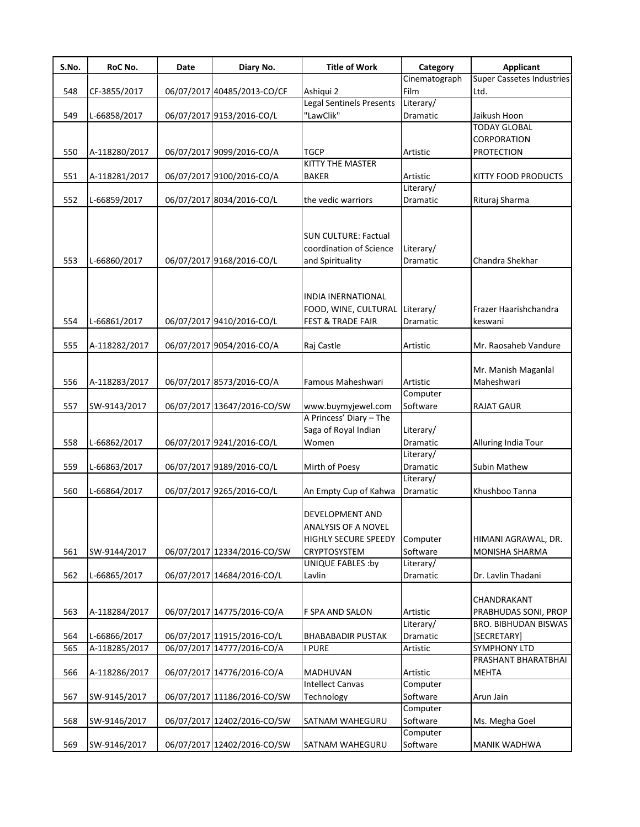| S.No. | RoC No.       | Date | Diary No.                   | <b>Title of Work</b>                                                                                       | Category                          | <b>Applicant</b>                             |
|-------|---------------|------|-----------------------------|------------------------------------------------------------------------------------------------------------|-----------------------------------|----------------------------------------------|
|       |               |      |                             |                                                                                                            | Cinematograph                     | <b>Super Cassetes Industries</b>             |
| 548   | CF-3855/2017  |      | 06/07/2017 40485/2013-CO/CF | Ashiqui 2                                                                                                  | Film                              | Ltd.                                         |
|       |               |      |                             | Legal Sentinels Presents                                                                                   | Literary/                         |                                              |
| 549   | L-66858/2017  |      | 06/07/2017 9153/2016-CO/L   | "LawClik"                                                                                                  | Dramatic                          | Jaikush Hoon                                 |
|       |               |      |                             |                                                                                                            |                                   | <b>TODAY GLOBAL</b>                          |
|       |               |      |                             |                                                                                                            |                                   | CORPORATION                                  |
| 550   | A-118280/2017 |      | 06/07/2017 9099/2016-CO/A   | <b>TGCP</b>                                                                                                | Artistic                          | <b>PROTECTION</b>                            |
|       |               |      |                             | KITTY THE MASTER                                                                                           |                                   |                                              |
| 551   | A-118281/2017 |      | 06/07/2017 9100/2016-CO/A   | <b>BAKER</b>                                                                                               | Artistic                          | <b>KITTY FOOD PRODUCTS</b>                   |
| 552   | L-66859/2017  |      | 06/07/2017 8034/2016-CO/L   | the vedic warriors                                                                                         | Literary/<br>Dramatic             | Rituraj Sharma                               |
|       |               |      |                             |                                                                                                            |                                   |                                              |
| 553   | L-66860/2017  |      | 06/07/2017 9168/2016-CO/L   | <b>SUN CULTURE: Factual</b><br>coordination of Science<br>and Spirituality                                 | Literary/<br>Dramatic             | Chandra Shekhar                              |
| 554   | L-66861/2017  |      | 06/07/2017 9410/2016-CO/L   | <b>INDIA INERNATIONAL</b><br>FOOD, WINE, CULTURAL Literary/<br><b>FEST &amp; TRADE FAIR</b>                | Dramatic                          | Frazer Haarishchandra<br>keswani             |
| 555   |               |      |                             |                                                                                                            | Artistic                          |                                              |
|       | A-118282/2017 |      | 06/07/2017 9054/2016-CO/A   | Raj Castle                                                                                                 |                                   | Mr. Raosaheb Vandure                         |
|       |               |      |                             |                                                                                                            |                                   | Mr. Manish Maganlal                          |
| 556   | A-118283/2017 |      | 06/07/2017 8573/2016-CO/A   | Famous Maheshwari                                                                                          | Artistic                          | Maheshwari                                   |
|       |               |      |                             |                                                                                                            | Computer                          |                                              |
| 557   | SW-9143/2017  |      | 06/07/2017 13647/2016-CO/SW | www.buymyjewel.com                                                                                         | Software                          | <b>RAJAT GAUR</b>                            |
|       |               |      |                             | A Princess' Diary - The                                                                                    |                                   |                                              |
|       |               |      |                             | Saga of Royal Indian                                                                                       | Literary/                         |                                              |
| 558   | L-66862/2017  |      | 06/07/2017 9241/2016-CO/L   | Women                                                                                                      | Dramatic                          | Alluring India Tour                          |
|       |               |      |                             |                                                                                                            | Literary/                         |                                              |
| 559   | L-66863/2017  |      | 06/07/2017 9189/2016-CO/L   | Mirth of Poesy                                                                                             | <b>Dramatic</b>                   | Subin Mathew                                 |
|       |               |      |                             |                                                                                                            | Literary/                         |                                              |
| 560   | L-66864/2017  |      | 06/07/2017 9265/2016-CO/L   | An Empty Cup of Kahwa                                                                                      | <b>Dramatic</b>                   | Khushboo Tanna                               |
| 561   | SW-9144/2017  |      | 06/07/2017 12334/2016-CO/SW | DEVELOPMENT AND<br>ANALYSIS OF A NOVEL<br><b>HIGHLY SECURE SPEEDY</b><br>CRYPTOSYSTEM<br>UNIQUE FABLES :by | Computer<br>Software<br>Literary/ | HIMANI AGRAWAL, DR.<br><b>MONISHA SHARMA</b> |
| 562   | L-66865/2017  |      | 06/07/2017 14684/2016-CO/L  | Lavlin                                                                                                     | Dramatic                          | Dr. Lavlin Thadani                           |
| 563   | A-118284/2017 |      | 06/07/2017 14775/2016-CO/A  | F SPA AND SALON                                                                                            | Artistic                          | CHANDRAKANT<br>PRABHUDAS SONI, PROP          |
|       |               |      |                             |                                                                                                            | Literary/                         | <b>BRO. BIBHUDAN BISWAS</b>                  |
| 564   | L-66866/2017  |      | 06/07/2017 11915/2016-CO/L  | <b>BHABABADIR PUSTAK</b>                                                                                   | Dramatic                          | [SECRETARY]                                  |
| 565   | A-118285/2017 |      | 06/07/2017 14777/2016-CO/A  | <b>PURE</b>                                                                                                | Artistic                          | <b>SYMPHONY LTD</b>                          |
|       |               |      |                             |                                                                                                            |                                   | PRASHANT BHARATBHAI                          |
| 566   | A-118286/2017 |      | 06/07/2017 14776/2016-CO/A  | <b>MADHUVAN</b>                                                                                            | Artistic                          | <b>MEHTA</b>                                 |
|       |               |      |                             | <b>Intellect Canvas</b>                                                                                    | Computer                          |                                              |
| 567   | SW-9145/2017  |      | 06/07/2017 11186/2016-CO/SW | Technology                                                                                                 | Software                          | Arun Jain                                    |
|       |               |      |                             |                                                                                                            | Computer                          |                                              |
| 568   | SW-9146/2017  |      | 06/07/2017 12402/2016-CO/SW | SATNAM WAHEGURU                                                                                            | Software                          | Ms. Megha Goel                               |
|       |               |      |                             |                                                                                                            | Computer                          |                                              |
| 569   | SW-9146/2017  |      | 06/07/2017 12402/2016-CO/SW | SATNAM WAHEGURU                                                                                            | Software                          | MANIK WADHWA                                 |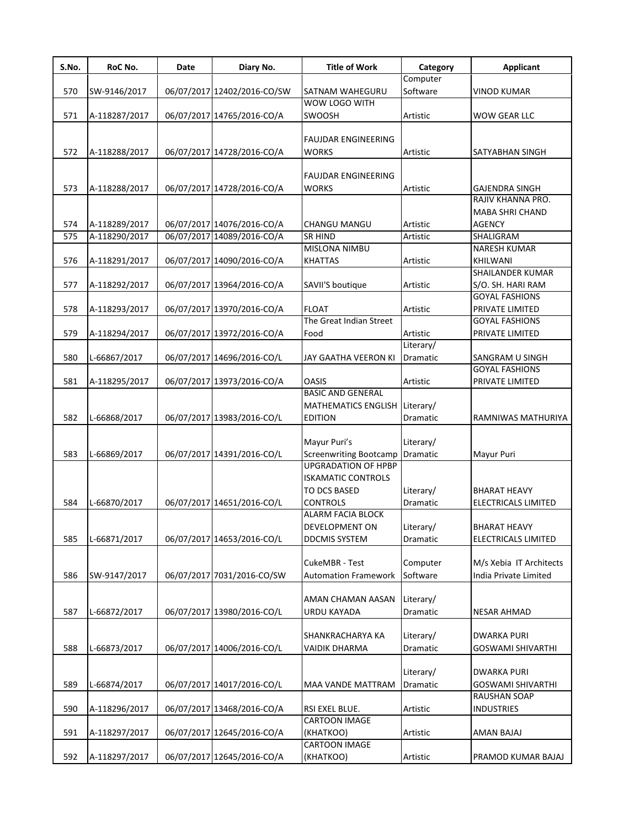| S.No. | RoC No.       | Date | Diary No.                   | <b>Title of Work</b>                        | Category  | <b>Applicant</b>         |
|-------|---------------|------|-----------------------------|---------------------------------------------|-----------|--------------------------|
|       |               |      |                             |                                             | Computer  |                          |
| 570   | SW-9146/2017  |      | 06/07/2017 12402/2016-CO/SW | SATNAM WAHEGURU                             | Software  | <b>VINOD KUMAR</b>       |
|       |               |      |                             | WOW LOGO WITH                               |           |                          |
| 571   | A-118287/2017 |      | 06/07/2017 14765/2016-CO/A  | SWOOSH                                      | Artistic  | WOW GEAR LLC             |
|       |               |      |                             |                                             |           |                          |
|       |               |      |                             | <b>FAUJDAR ENGINEERING</b>                  |           |                          |
| 572   | A-118288/2017 |      | 06/07/2017 14728/2016-CO/A  | <b>WORKS</b>                                | Artistic  | SATYABHAN SINGH          |
|       |               |      |                             |                                             |           |                          |
| 573   | A-118288/2017 |      | 06/07/2017 14728/2016-CO/A  | <b>FAUJDAR ENGINEERING</b><br><b>WORKS</b>  | Artistic  | <b>GAJENDRA SINGH</b>    |
|       |               |      |                             |                                             |           | RAJIV KHANNA PRO.        |
|       |               |      |                             |                                             |           | MABA SHRI CHAND          |
| 574   | A-118289/2017 |      | 06/07/2017 14076/2016-CO/A  | CHANGU MANGU                                | Artistic  | <b>AGENCY</b>            |
| 575   | A-118290/2017 |      | 06/07/2017 14089/2016-CO/A  | <b>SR HIND</b>                              | Artistic  | SHALIGRAM                |
|       |               |      |                             | MISLONA NIMBU                               |           | <b>NARESH KUMAR</b>      |
| 576   | A-118291/2017 |      | 06/07/2017 14090/2016-CO/A  | <b>KHATTAS</b>                              | Artistic  | KHILWANI                 |
|       |               |      |                             |                                             |           | SHAILANDER KUMAR         |
| 577   | A-118292/2017 |      | 06/07/2017 13964/2016-CO/A  | SAVII'S boutique                            | Artistic  | S/O. SH. HARI RAM        |
|       |               |      |                             |                                             |           | <b>GOYAL FASHIONS</b>    |
| 578   | A-118293/2017 |      | 06/07/2017 13970/2016-CO/A  | <b>FLOAT</b>                                | Artistic  | PRIVATE LIMITED          |
|       |               |      |                             | The Great Indian Street                     |           | <b>GOYAL FASHIONS</b>    |
| 579   | A-118294/2017 |      | 06/07/2017 13972/2016-CO/A  | Food                                        | Artistic  | PRIVATE LIMITED          |
|       |               |      |                             |                                             | Literary/ |                          |
| 580   | L-66867/2017  |      | 06/07/2017 14696/2016-CO/L  | JAY GAATHA VEERON KI                        | Dramatic  | SANGRAM U SINGH          |
|       |               |      |                             |                                             |           | <b>GOYAL FASHIONS</b>    |
| 581   | A-118295/2017 |      | 06/07/2017 13973/2016-CO/A  | <b>OASIS</b>                                | Artistic  | PRIVATE LIMITED          |
|       |               |      |                             | <b>BASIC AND GENERAL</b>                    |           |                          |
|       |               |      |                             | MATHEMATICS ENGLISH Literary/               |           |                          |
| 582   | L-66868/2017  |      | 06/07/2017 13983/2016-CO/L  | <b>EDITION</b>                              | Dramatic  | RAMNIWAS MATHURIYA       |
|       |               |      |                             |                                             |           |                          |
|       |               |      |                             | Mayur Puri's                                | Literary/ |                          |
| 583   | L-66869/2017  |      | 06/07/2017 14391/2016-CO/L  | <b>Screenwriting Bootcamp</b>               | Dramatic  | Mayur Puri               |
|       |               |      |                             | <b>UPGRADATION OF HPBP</b>                  |           |                          |
|       |               |      |                             | <b>ISKAMATIC CONTROLS</b>                   |           |                          |
|       |               |      |                             | TO DCS BASED                                | Literary/ | <b>BHARAT HEAVY</b>      |
| 584   | L-66870/2017  |      | 06/07/2017 14651/2016-CO/L  | <b>CONTROLS</b><br><b>ALARM FACIA BLOCK</b> | Dramatic  | ELECTRICALS LIMITED      |
|       |               |      |                             |                                             | Literary/ |                          |
| 585   |               |      |                             | DEVELOPMENT ON                              |           | <b>BHARAT HEAVY</b>      |
|       | L-66871/2017  |      | 06/07/2017 14653/2016-CO/L  | <b>DDCMIS SYSTEM</b>                        | Dramatic  | ELECTRICALS LIMITED      |
|       |               |      |                             | CukeMBR - Test                              | Computer  | M/s Xebia IT Architects  |
| 586   | SW-9147/2017  |      | 06/07/2017 7031/2016-CO/SW  | <b>Automation Framework</b>                 | Software  | India Private Limited    |
|       |               |      |                             |                                             |           |                          |
|       |               |      |                             | AMAN CHAMAN AASAN                           | Literary/ |                          |
| 587   | L-66872/2017  |      | 06/07/2017 13980/2016-CO/L  | URDU KAYADA                                 | Dramatic  | <b>NESAR AHMAD</b>       |
|       |               |      |                             |                                             |           |                          |
|       |               |      |                             | SHANKRACHARYA KA                            | Literary/ | <b>DWARKA PURI</b>       |
| 588   | L-66873/2017  |      | 06/07/2017 14006/2016-CO/L  | <b>VAIDIK DHARMA</b>                        | Dramatic  | <b>GOSWAMI SHIVARTHI</b> |
|       |               |      |                             |                                             |           |                          |
|       |               |      |                             |                                             | Literary/ | DWARKA PURI              |
| 589   | L-66874/2017  |      | 06/07/2017 14017/2016-CO/L  | MAA VANDE MATTRAM                           | Dramatic  | <b>GOSWAMI SHIVARTHI</b> |
|       |               |      |                             |                                             |           | <b>RAUSHAN SOAP</b>      |
| 590   | A-118296/2017 |      | 06/07/2017 13468/2016-CO/A  | RSI EXEL BLUE.                              | Artistic  | <b>INDUSTRIES</b>        |
|       |               |      |                             | CARTOON IMAGE                               |           |                          |
| 591   | A-118297/2017 |      | 06/07/2017 12645/2016-CO/A  | (KHATKOO)                                   | Artistic  | AMAN BAJAJ               |
|       |               |      |                             | CARTOON IMAGE                               |           |                          |
| 592   | A-118297/2017 |      | 06/07/2017 12645/2016-CO/A  | (KHATKOO)                                   | Artistic  | PRAMOD KUMAR BAJAJ       |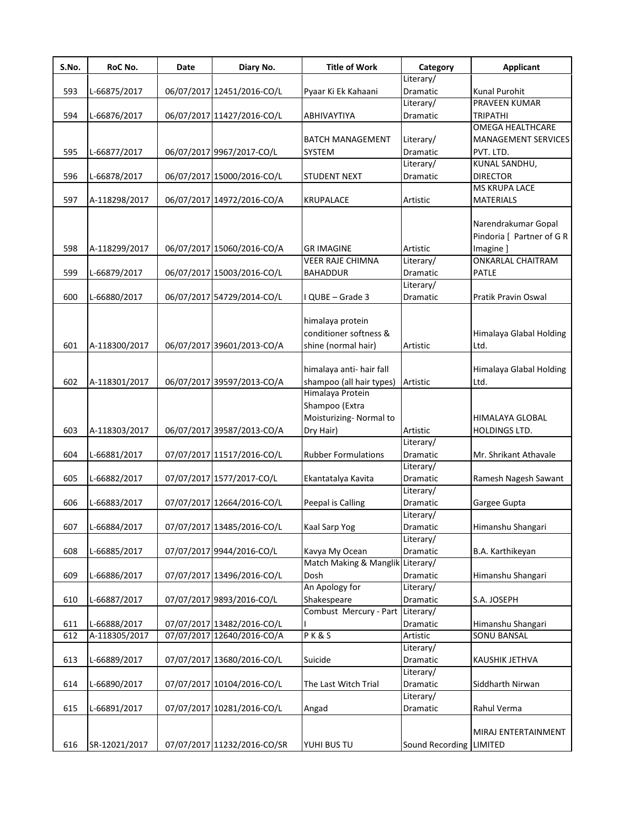| S.No. | RoC No.       | Date | Diary No.                   | <b>Title of Work</b>             | Category                | Applicant                  |
|-------|---------------|------|-----------------------------|----------------------------------|-------------------------|----------------------------|
|       |               |      |                             |                                  | Literary/               |                            |
| 593   | L-66875/2017  |      | 06/07/2017 12451/2016-CO/L  | Pyaar Ki Ek Kahaani              | Dramatic                | Kunal Purohit              |
|       |               |      |                             |                                  | Literary/               | PRAVEEN KUMAR              |
| 594   | L-66876/2017  |      | 06/07/2017 11427/2016-CO/L  | ABHIVAYTIYA                      | <b>Dramatic</b>         | <b>TRIPATHI</b>            |
|       |               |      |                             |                                  |                         | <b>OMEGA HEALTHCARE</b>    |
|       |               |      |                             | <b>BATCH MANAGEMENT</b>          | Literary/               | <b>MANAGEMENT SERVICES</b> |
| 595   | L-66877/2017  |      | 06/07/2017 9967/2017-CO/L   | SYSTEM                           | Dramatic                | PVT. LTD.                  |
|       |               |      |                             |                                  | Literary/               | KUNAL SANDHU,              |
| 596   | L-66878/2017  |      | 06/07/2017 15000/2016-CO/L  | STUDENT NEXT                     | Dramatic                | <b>DIRECTOR</b>            |
|       |               |      |                             |                                  |                         | MS KRUPA LACE              |
| 597   | A-118298/2017 |      | 06/07/2017 14972/2016-CO/A  | <b>KRUPALACE</b>                 | Artistic                | <b>MATERIALS</b>           |
|       |               |      |                             |                                  |                         |                            |
|       |               |      |                             |                                  |                         | Narendrakumar Gopal        |
|       |               |      |                             |                                  |                         | Pindoria [ Partner of G R  |
|       |               |      |                             |                                  |                         |                            |
| 598   | A-118299/2017 |      | 06/07/2017 15060/2016-CO/A  | <b>GR IMAGINE</b>                | Artistic                | Imagine ]                  |
|       |               |      |                             | <b>VEER RAJE CHIMNA</b>          | Literary/               | <b>ONKARLAL CHAITRAM</b>   |
| 599   | L-66879/2017  |      | 06/07/2017 15003/2016-CO/L  | <b>BAHADDUR</b>                  | Dramatic                | PATLE                      |
|       |               |      |                             |                                  | Literary/               |                            |
| 600   | L-66880/2017  |      | 06/07/2017 54729/2014-CO/L  | I QUBE - Grade 3                 | Dramatic                | Pratik Pravin Oswal        |
|       |               |      |                             |                                  |                         |                            |
|       |               |      |                             | himalaya protein                 |                         |                            |
|       |               |      |                             | conditioner softness &           |                         | Himalaya Glabal Holding    |
| 601   | A-118300/2017 |      | 06/07/2017 39601/2013-CO/A  | shine (normal hair)              | Artistic                | Ltd.                       |
|       |               |      |                             |                                  |                         |                            |
|       |               |      |                             | himalaya anti- hair fall         |                         | Himalaya Glabal Holding    |
| 602   | A-118301/2017 |      | 06/07/2017 39597/2013-CO/A  | shampoo (all hair types)         | Artistic                | Ltd.                       |
|       |               |      |                             | Himalaya Protein                 |                         |                            |
|       |               |      |                             | Shampoo (Extra                   |                         |                            |
|       |               |      |                             | Moisturizing- Normal to          |                         | HIMALAYA GLOBAL            |
| 603   | A-118303/2017 |      | 06/07/2017 39587/2013-CO/A  | Dry Hair)                        | Artistic                | HOLDINGS LTD.              |
|       |               |      |                             |                                  | Literary/               |                            |
| 604   | L-66881/2017  |      | 07/07/2017 11517/2016-CO/L  | <b>Rubber Formulations</b>       | Dramatic                | Mr. Shrikant Athavale      |
|       |               |      |                             |                                  | Literary/               |                            |
| 605   |               |      |                             |                                  | Dramatic                |                            |
|       | L-66882/2017  |      | 07/07/2017 1577/2017-CO/L   | Ekantatalya Kavita               |                         | Ramesh Nagesh Sawant       |
|       |               |      |                             |                                  | Literary/               |                            |
| 606   | L-66883/2017  |      | 07/07/2017 12664/2016-CO/L  | Peepal is Calling                | <b>Dramatic</b>         | Gargee Gupta               |
|       |               |      |                             |                                  | Literary/               |                            |
| 607   | L-66884/2017  |      | 07/07/2017 13485/2016-CO/L  | Kaal Sarp Yog                    | Dramatic                | Himanshu Shangari          |
|       |               |      |                             |                                  | Literary/               |                            |
| 608   | L-66885/2017  |      | 07/07/2017 9944/2016-CO/L   | Kavya My Ocean                   | Dramatic                | B.A. Karthikeyan           |
|       |               |      |                             | Match Making & Manglik Literary/ |                         |                            |
| 609   | L-66886/2017  |      | 07/07/2017 13496/2016-CO/L  | Dosh                             | Dramatic                | Himanshu Shangari          |
|       |               |      |                             | An Apology for                   | Literary/               |                            |
| 610   | L-66887/2017  |      | 07/07/2017 9893/2016-CO/L   | Shakespeare                      | Dramatic                | S.A. JOSEPH                |
|       |               |      |                             | Combust Mercury - Part           | Literary/               |                            |
| 611   | L-66888/2017  |      | 07/07/2017 13482/2016-CO/L  |                                  | Dramatic                | Himanshu Shangari          |
| 612   | A-118305/2017 |      | 07/07/2017 12640/2016-CO/A  | PK&S                             | Artistic                | SONU BANSAL                |
|       |               |      |                             |                                  | Literary/               |                            |
| 613   | L-66889/2017  |      | 07/07/2017 13680/2016-CO/L  | Suicide                          | Dramatic                | KAUSHIK JETHVA             |
|       |               |      |                             |                                  | Literary/               |                            |
| 614   | L-66890/2017  |      | 07/07/2017 10104/2016-CO/L  | The Last Witch Trial             | Dramatic                | Siddharth Nirwan           |
|       |               |      |                             |                                  | Literary/               |                            |
| 615   | L-66891/2017  |      | 07/07/2017 10281/2016-CO/L  | Angad                            | Dramatic                | Rahul Verma                |
|       |               |      |                             |                                  |                         |                            |
|       |               |      |                             |                                  |                         | MIRAJ ENTERTAINMENT        |
|       |               |      |                             |                                  |                         |                            |
| 616   | SR-12021/2017 |      | 07/07/2017 11232/2016-CO/SR | YUHI BUS TU                      | Sound Recording LIMITED |                            |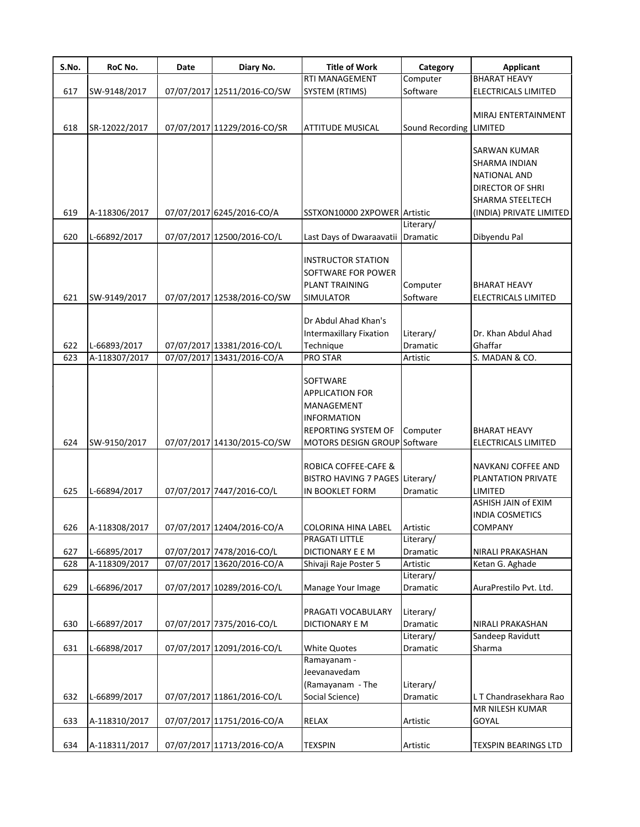| S.No. | RoC No.       | Date | Diary No.                   | <b>Title of Work</b>            | Category                | <b>Applicant</b>            |
|-------|---------------|------|-----------------------------|---------------------------------|-------------------------|-----------------------------|
|       |               |      |                             | <b>RTI MANAGEMENT</b>           | Computer                | <b>BHARAT HEAVY</b>         |
| 617   | SW-9148/2017  |      | 07/07/2017 12511/2016-CO/SW | SYSTEM (RTIMS)                  | Software                | ELECTRICALS LIMITED         |
|       |               |      |                             |                                 |                         |                             |
|       |               |      |                             |                                 |                         | MIRAJ ENTERTAINMENT         |
| 618   | SR-12022/2017 |      | 07/07/2017 11229/2016-CO/SR | <b>ATTITUDE MUSICAL</b>         | Sound Recording LIMITED |                             |
|       |               |      |                             |                                 |                         |                             |
|       |               |      |                             |                                 |                         | SARWAN KUMAR                |
|       |               |      |                             |                                 |                         | SHARMA INDIAN               |
|       |               |      |                             |                                 |                         | <b>NATIONAL AND</b>         |
|       |               |      |                             |                                 |                         | <b>DIRECTOR OF SHRI</b>     |
|       |               |      |                             |                                 |                         | <b>SHARMA STEELTECH</b>     |
| 619   | A-118306/2017 |      | 07/07/2017 6245/2016-CO/A   | SSTXON10000 2XPOWER Artistic    |                         | (INDIA) PRIVATE LIMITED     |
|       |               |      |                             |                                 | Literary/               |                             |
| 620   | L-66892/2017  |      | 07/07/2017 12500/2016-CO/L  | Last Days of Dwaraavatii        | Dramatic                | Dibyendu Pal                |
|       |               |      |                             |                                 |                         |                             |
|       |               |      |                             | <b>INSTRUCTOR STATION</b>       |                         |                             |
|       |               |      |                             | SOFTWARE FOR POWER              |                         |                             |
|       |               |      |                             | <b>PLANT TRAINING</b>           | Computer                | <b>BHARAT HEAVY</b>         |
| 621   | SW-9149/2017  |      | 07/07/2017 12538/2016-CO/SW | <b>SIMULATOR</b>                | Software                | <b>ELECTRICALS LIMITED</b>  |
|       |               |      |                             |                                 |                         |                             |
|       |               |      |                             | Dr Abdul Ahad Khan's            |                         |                             |
|       |               |      |                             | <b>Intermaxillary Fixation</b>  | Literary/               | Dr. Khan Abdul Ahad         |
| 622   | L-66893/2017  |      | 07/07/2017 13381/2016-CO/L  | Technique                       | Dramatic                | Ghaffar                     |
| 623   | A-118307/2017 |      | 07/07/2017 13431/2016-CO/A  | PRO STAR                        | Artistic                | S. MADAN & CO.              |
|       |               |      |                             |                                 |                         |                             |
|       |               |      |                             | SOFTWARE                        |                         |                             |
|       |               |      |                             | <b>APPLICATION FOR</b>          |                         |                             |
|       |               |      |                             | MANAGEMENT                      |                         |                             |
|       |               |      |                             | <b>INFORMATION</b>              |                         |                             |
|       |               |      |                             | <b>REPORTING SYSTEM OF</b>      | Computer                | <b>BHARAT HEAVY</b>         |
| 624   | SW-9150/2017  |      | 07/07/2017 14130/2015-CO/SW | MOTORS DESIGN GROUP Software    |                         | ELECTRICALS LIMITED         |
|       |               |      |                             |                                 |                         |                             |
|       |               |      |                             | ROBICA COFFEE-CAFE &            |                         | NAVKANJ COFFEE AND          |
|       |               |      |                             | BISTRO HAVING 7 PAGES Literary/ |                         | PLANTATION PRIVATE          |
| 625   | L-66894/2017  |      | 07/07/2017 7447/2016-CO/L   | IN BOOKLET FORM                 | <b>Dramatic</b>         | LIMITED                     |
|       |               |      |                             |                                 |                         | ASHISH JAIN of EXIM         |
|       |               |      |                             |                                 |                         | <b>INDIA COSMETICS</b>      |
| 626   | A-118308/2017 |      | 07/07/2017 12404/2016-CO/A  | <b>COLORINA HINA LABEL</b>      | Artistic                | COMPANY                     |
|       |               |      |                             | PRAGATI LITTLE                  | Literary/               |                             |
| 627   | L-66895/2017  |      | 07/07/2017 7478/2016-CO/L   | DICTIONARY E E M                | Dramatic                | NIRALI PRAKASHAN            |
| 628   | A-118309/2017 |      | 07/07/2017 13620/2016-CO/A  | Shivaji Raje Poster 5           | Artistic                | Ketan G. Aghade             |
|       |               |      |                             |                                 | Literary/               |                             |
| 629   | L-66896/2017  |      | 07/07/2017 10289/2016-CO/L  | Manage Your Image               | Dramatic                | AuraPrestilo Pvt. Ltd.      |
|       |               |      |                             |                                 |                         |                             |
|       |               |      |                             | PRAGATI VOCABULARY              | Literary/               |                             |
| 630   | L-66897/2017  |      | 07/07/2017 7375/2016-CO/L   | DICTIONARY E M                  | Dramatic                | NIRALI PRAKASHAN            |
|       |               |      |                             |                                 | Literary/               | Sandeep Ravidutt            |
| 631   | L-66898/2017  |      | 07/07/2017 12091/2016-CO/L  | <b>White Quotes</b>             | Dramatic                | Sharma                      |
|       |               |      |                             | Ramayanam -                     |                         |                             |
|       |               |      |                             | Jeevanavedam                    |                         |                             |
|       |               |      |                             | (Ramayanam - The                | Literary/               |                             |
| 632   | L-66899/2017  |      | 07/07/2017 11861/2016-CO/L  | Social Science)                 | Dramatic                | L T Chandrasekhara Rao      |
|       |               |      |                             |                                 |                         | MR NILESH KUMAR             |
| 633   | A-118310/2017 |      | 07/07/2017 11751/2016-CO/A  | RELAX                           | Artistic                | GOYAL                       |
|       |               |      |                             |                                 |                         |                             |
| 634   | A-118311/2017 |      | 07/07/2017 11713/2016-CO/A  | <b>TEXSPIN</b>                  | Artistic                | <b>TEXSPIN BEARINGS LTD</b> |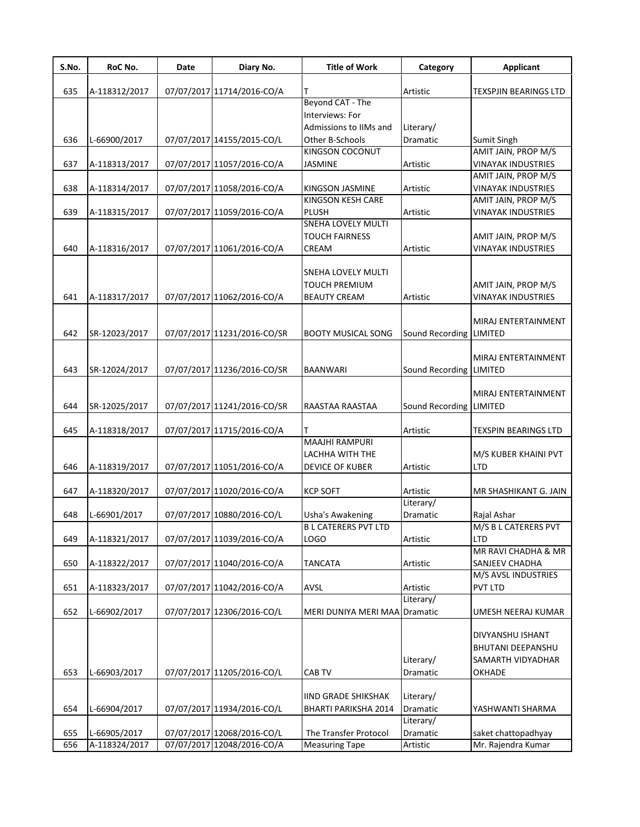| S.No. | RoC No.       | Date | Diary No.                   | <b>Title of Work</b>                                  | Category                     | <b>Applicant</b>                                 |
|-------|---------------|------|-----------------------------|-------------------------------------------------------|------------------------------|--------------------------------------------------|
| 635   | A-118312/2017 |      | 07/07/2017 11714/2016-CO/A  |                                                       | Artistic                     | <b>TEXSPJIN BEARINGS LTD</b>                     |
|       |               |      |                             | Beyond CAT - The                                      |                              |                                                  |
|       |               |      |                             | Interviews: For                                       |                              |                                                  |
|       |               |      |                             | Admissions to IIMs and                                | Literary/                    |                                                  |
| 636   | L-66900/2017  |      | 07/07/2017 14155/2015-CO/L  | Other B-Schools                                       | Dramatic                     | Sumit Singh                                      |
|       |               |      |                             | KINGSON COCONUT                                       |                              | AMIT JAIN, PROP M/S                              |
| 637   | A-118313/2017 |      | 07/07/2017 11057/2016-CO/A  | <b>JASMINE</b>                                        | Artistic                     | <b>VINAYAK INDUSTRIES</b>                        |
|       |               |      |                             |                                                       |                              | AMIT JAIN, PROP M/S                              |
| 638   | A-118314/2017 |      | 07/07/2017 11058/2016-CO/A  | <b>KINGSON JASMINE</b><br>KINGSON KESH CARE           | Artistic                     | <b>VINAYAK INDUSTRIES</b><br>AMIT JAIN, PROP M/S |
| 639   | A-118315/2017 |      | 07/07/2017 11059/2016-CO/A  | PLUSH                                                 | Artistic                     | <b>VINAYAK INDUSTRIES</b>                        |
|       |               |      |                             | <b>SNEHA LOVELY MULTI</b>                             |                              |                                                  |
|       |               |      |                             | <b>TOUCH FAIRNESS</b>                                 |                              | AMIT JAIN, PROP M/S                              |
| 640   | A-118316/2017 |      | 07/07/2017 11061/2016-CO/A  | CREAM                                                 | Artistic                     | <b>VINAYAK INDUSTRIES</b>                        |
|       |               |      |                             |                                                       |                              |                                                  |
|       |               |      |                             | <b>SNEHA LOVELY MULTI</b>                             |                              |                                                  |
|       |               |      |                             | <b>TOUCH PREMIUM</b>                                  |                              | AMIT JAIN, PROP M/S                              |
| 641   | A-118317/2017 |      | 07/07/2017 11062/2016-CO/A  | <b>BEAUTY CREAM</b>                                   | Artistic                     | <b>VINAYAK INDUSTRIES</b>                        |
|       |               |      |                             |                                                       |                              |                                                  |
|       |               |      |                             |                                                       |                              | MIRAJ ENTERTAINMENT                              |
| 642   | SR-12023/2017 |      | 07/07/2017 11231/2016-CO/SR | <b>BOOTY MUSICAL SONG</b>                             | Sound Recording              | <b>LIMITED</b>                                   |
|       |               |      |                             |                                                       |                              | MIRAJ ENTERTAINMENT                              |
| 643   | SR-12024/2017 |      | 07/07/2017 11236/2016-CO/SR | <b>BAANWARI</b>                                       | Sound Recording              | LIMITED                                          |
|       |               |      |                             |                                                       |                              |                                                  |
|       |               |      |                             |                                                       |                              | MIRAJ ENTERTAINMENT                              |
| 644   | SR-12025/2017 |      | 07/07/2017 11241/2016-CO/SR | RAASTAA RAASTAA                                       | Sound Recording              | <b>LIMITED</b>                                   |
|       |               |      |                             |                                                       |                              |                                                  |
| 645   | A-118318/2017 |      | 07/07/2017 11715/2016-CO/A  |                                                       | Artistic                     | <b>TEXSPIN BEARINGS LTD</b>                      |
|       |               |      |                             | <b>MAAJHI RAMPURI</b>                                 |                              |                                                  |
|       |               |      |                             | LACHHA WITH THE                                       |                              | M/S KUBER KHAINI PVT                             |
| 646   | A-118319/2017 |      | 07/07/2017 11051/2016-CO/A  | <b>DEVICE OF KUBER</b>                                | Artistic                     | LTD                                              |
|       |               |      |                             |                                                       |                              |                                                  |
| 647   | A-118320/2017 |      | 07/07/2017 11020/2016-CO/A  | <b>KCP SOFT</b>                                       | Artistic                     | MR SHASHIKANT G. JAIN                            |
|       | L-66901/2017  |      |                             |                                                       | Literary/<br><b>Dramatic</b> |                                                  |
| 648   |               |      | 07/07/2017 10880/2016-CO/L  | <b>Usha's Awakening</b><br><b>BL CATERERS PVT LTD</b> |                              | Rajal Ashar                                      |
| 649   | A-118321/2017 |      | 07/07/2017 11039/2016-CO/A  | <b>LOGO</b>                                           | Artistic                     | M/S B L CATERERS PVT<br>LTD                      |
|       |               |      |                             |                                                       |                              | MR RAVI CHADHA & MR                              |
| 650   | A-118322/2017 |      | 07/07/2017 11040/2016-CO/A  | <b>TANCATA</b>                                        | Artistic                     | SANJEEV CHADHA                                   |
|       |               |      |                             |                                                       |                              | M/S AVSL INDUSTRIES                              |
| 651   | A-118323/2017 |      | 07/07/2017 11042/2016-CO/A  | <b>AVSL</b>                                           | Artistic                     | PVT LTD                                          |
|       |               |      |                             |                                                       | Literary/                    |                                                  |
| 652   | L-66902/2017  |      | 07/07/2017 12306/2016-CO/L  | MERI DUNIYA MERI MAA Dramatic                         |                              | UMESH NEERAJ KUMAR                               |
|       |               |      |                             |                                                       |                              |                                                  |
|       |               |      |                             |                                                       |                              | DIVYANSHU ISHANT                                 |
|       |               |      |                             |                                                       |                              | <b>BHUTANI DEEPANSHU</b>                         |
|       |               |      |                             |                                                       | Literary/                    | SAMARTH VIDYADHAR                                |
| 653   | L-66903/2017  |      | 07/07/2017 11205/2016-CO/L  | CAB TV                                                | Dramatic                     | OKHADE                                           |
|       |               |      |                             | <b>IIND GRADE SHIKSHAK</b>                            | Literary/                    |                                                  |
| 654   | L-66904/2017  |      | 07/07/2017 11934/2016-CO/L  | BHARTI PARIKSHA 2014                                  | Dramatic                     | YASHWANTI SHARMA                                 |
|       |               |      |                             |                                                       | Literary/                    |                                                  |
| 655   | L-66905/2017  |      | 07/07/2017 12068/2016-CO/L  | The Transfer Protocol                                 | Dramatic                     | saket chattopadhyay                              |
| 656   | A-118324/2017 |      | 07/07/2017 12048/2016-CO/A  | <b>Measuring Tape</b>                                 | Artistic                     | Mr. Rajendra Kumar                               |
|       |               |      |                             |                                                       |                              |                                                  |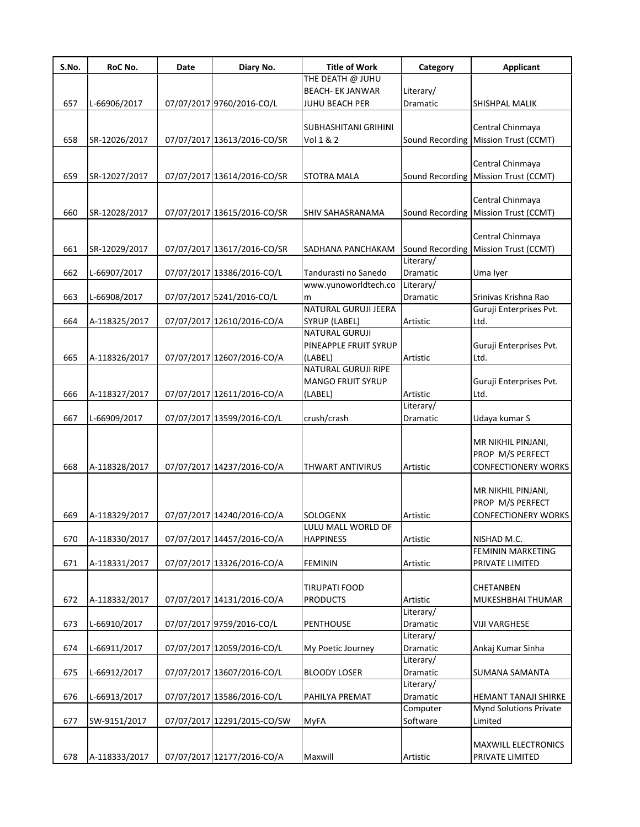| S.No. | RoC No.       | Date | Diary No.                   | <b>Title of Work</b>           | Category        | <b>Applicant</b>                     |
|-------|---------------|------|-----------------------------|--------------------------------|-----------------|--------------------------------------|
|       |               |      |                             | THE DEATH @ JUHU               |                 |                                      |
|       |               |      |                             | <b>BEACH- EK JANWAR</b>        | Literary/       |                                      |
| 657   | L-66906/2017  |      | 07/07/2017 9760/2016-CO/L   | <b>JUHU BEACH PER</b>          | Dramatic        | SHISHPAL MALIK                       |
|       |               |      |                             |                                |                 |                                      |
|       |               |      |                             | SUBHASHITANI GRIHINI           |                 | Central Chinmaya                     |
| 658   | SR-12026/2017 |      | 07/07/2017 13613/2016-CO/SR | Vol 1 & 2                      |                 | Sound Recording Mission Trust (CCMT) |
|       |               |      |                             |                                |                 |                                      |
|       |               |      |                             |                                |                 | Central Chinmaya                     |
| 659   | SR-12027/2017 |      | 07/07/2017 13614/2016-CO/SR | STOTRA MALA                    |                 | Sound Recording Mission Trust (CCMT) |
|       |               |      |                             |                                |                 | Central Chinmaya                     |
| 660   | SR-12028/2017 |      | 07/07/2017 13615/2016-CO/SR | SHIV SAHASRANAMA               | Sound Recording | Mission Trust (CCMT)                 |
|       |               |      |                             |                                |                 |                                      |
|       |               |      |                             |                                |                 | Central Chinmaya                     |
| 661   | SR-12029/2017 |      | 07/07/2017 13617/2016-CO/SR | SADHANA PANCHAKAM              |                 | Sound Recording Mission Trust (CCMT) |
|       |               |      |                             |                                | Literary/       |                                      |
| 662   | L-66907/2017  |      | 07/07/2017 13386/2016-CO/L  | Tandurasti no Sanedo           | Dramatic        | Uma Iyer                             |
|       |               |      |                             | www.yunoworldtech.co           | Literary/       |                                      |
| 663   | L-66908/2017  |      | 07/07/2017 5241/2016-CO/L   | m                              | Dramatic        | Srinivas Krishna Rao                 |
|       |               |      |                             | <b>NATURAL GURUJI JEERA</b>    |                 | Guruji Enterprises Pvt.              |
| 664   | A-118325/2017 |      | 07/07/2017 12610/2016-CO/A  | SYRUP (LABEL)                  | Artistic        | Ltd.                                 |
|       |               |      |                             | <b>NATURAL GURUJI</b>          |                 |                                      |
|       |               |      |                             | PINEAPPLE FRUIT SYRUP          |                 | Guruji Enterprises Pvt.              |
| 665   | A-118326/2017 |      | 07/07/2017 12607/2016-CO/A  | (LABEL)                        | Artistic        | Ltd.                                 |
|       |               |      |                             | <b>NATURAL GURUJI RIPE</b>     |                 |                                      |
|       |               |      |                             | <b>MANGO FRUIT SYRUP</b>       |                 | Guruji Enterprises Pvt.              |
| 666   | A-118327/2017 |      | 07/07/2017 12611/2016-CO/A  | (LABEL)                        | Artistic        | Ltd.                                 |
|       |               |      |                             |                                | Literary/       |                                      |
| 667   | L-66909/2017  |      | 07/07/2017 13599/2016-CO/L  | crush/crash                    | Dramatic        | Udaya kumar S                        |
|       |               |      |                             |                                |                 |                                      |
|       |               |      |                             |                                |                 | MR NIKHIL PINJANI,                   |
|       |               |      |                             |                                |                 | PROP M/S PERFECT                     |
| 668   | A-118328/2017 |      | 07/07/2017 14237/2016-CO/A  | <b>THWART ANTIVIRUS</b>        | Artistic        | <b>CONFECTIONERY WORKS</b>           |
|       |               |      |                             |                                |                 |                                      |
|       |               |      |                             |                                |                 | MR NIKHIL PINJANI,                   |
|       |               |      |                             |                                |                 | PROP M/S PERFECT                     |
| 669   | A-118329/2017 |      | 07/07/2017 14240/2016-CO/A  | SOLOGENX<br>LULU MALL WORLD OF | Artistic        | <b>CONFECTIONERY WORKS</b>           |
| 670   | A-118330/2017 |      | 07/07/2017 14457/2016-CO/A  | <b>HAPPINESS</b>               | Artistic        | NISHAD M.C.                          |
|       |               |      |                             |                                |                 | <b>FEMININ MARKETING</b>             |
| 671   | A-118331/2017 |      | 07/07/2017 13326/2016-CO/A  | <b>FEMININ</b>                 | Artistic        | PRIVATE LIMITED                      |
|       |               |      |                             |                                |                 |                                      |
|       |               |      |                             | <b>TIRUPATI FOOD</b>           |                 | CHETANBEN                            |
| 672   | A-118332/2017 |      | 07/07/2017 14131/2016-CO/A  | <b>PRODUCTS</b>                | Artistic        | MUKESHBHAI THUMAR                    |
|       |               |      |                             |                                | Literary/       |                                      |
| 673   | L-66910/2017  |      | 07/07/2017 9759/2016-CO/L   | PENTHOUSE                      | Dramatic        | <b>VIJI VARGHESE</b>                 |
|       |               |      |                             |                                | Literary/       |                                      |
| 674   | L-66911/2017  |      | 07/07/2017 12059/2016-CO/L  | My Poetic Journey              | Dramatic        | Ankaj Kumar Sinha                    |
|       |               |      |                             |                                | Literary/       |                                      |
| 675   | L-66912/2017  |      | 07/07/2017 13607/2016-CO/L  | <b>BLOODY LOSER</b>            | Dramatic        | SUMANA SAMANTA                       |
|       |               |      |                             |                                | Literary/       |                                      |
| 676   | L-66913/2017  |      | 07/07/2017 13586/2016-CO/L  | PAHILYA PREMAT                 | Dramatic        | HEMANT TANAJI SHIRKE                 |
|       |               |      |                             |                                | Computer        | <b>Mynd Solutions Private</b>        |
| 677   | SW-9151/2017  |      | 07/07/2017 12291/2015-CO/SW | <b>MyFA</b>                    | Software        | Limited                              |
|       |               |      |                             |                                |                 |                                      |
|       |               |      |                             |                                |                 | <b>MAXWILL ELECTRONICS</b>           |
| 678   | A-118333/2017 |      | 07/07/2017 12177/2016-CO/A  | Maxwill                        | Artistic        | PRIVATE LIMITED                      |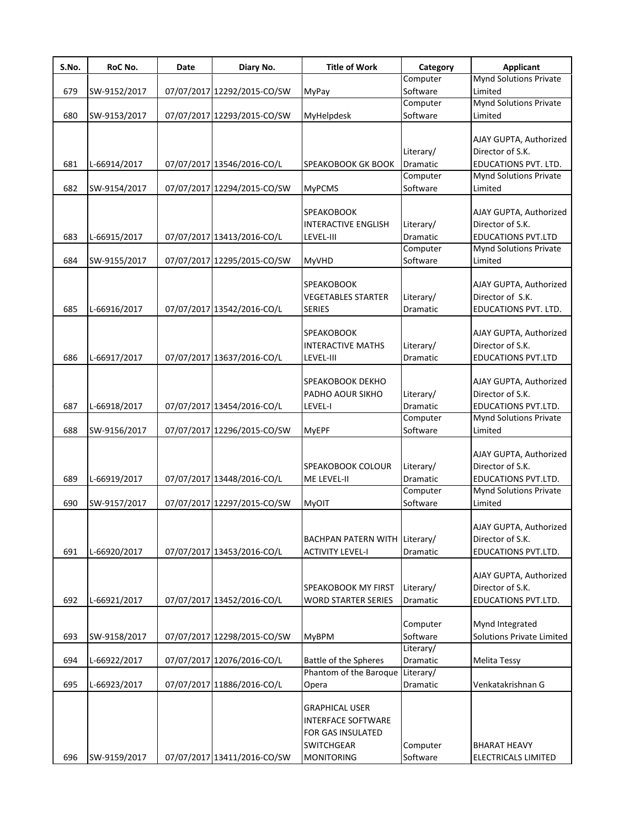| S.No. | RoC No.      | Date | Diary No.                   | <b>Title of Work</b>       | Category        | <b>Applicant</b>                 |
|-------|--------------|------|-----------------------------|----------------------------|-----------------|----------------------------------|
|       |              |      |                             |                            | Computer        | <b>Mynd Solutions Private</b>    |
| 679   | SW-9152/2017 |      | 07/07/2017 12292/2015-CO/SW | <b>MyPay</b>               | Software        | Limited                          |
|       |              |      |                             |                            | Computer        | <b>Mynd Solutions Private</b>    |
| 680   | SW-9153/2017 |      | 07/07/2017 12293/2015-CO/SW | MyHelpdesk                 | Software        | Limited                          |
|       |              |      |                             |                            |                 |                                  |
|       |              |      |                             |                            |                 | AJAY GUPTA, Authorized           |
|       |              |      |                             |                            | Literary/       | Director of S.K.                 |
| 681   | L-66914/2017 |      | 07/07/2017 13546/2016-CO/L  | SPEAKOBOOK GK BOOK         | <b>Dramatic</b> | EDUCATIONS PVT. LTD.             |
|       |              |      |                             |                            | Computer        | <b>Mynd Solutions Private</b>    |
| 682   | SW-9154/2017 |      | 07/07/2017 12294/2015-CO/SW | <b>MyPCMS</b>              | Software        | Limited                          |
|       |              |      |                             |                            |                 |                                  |
|       |              |      |                             | <b>SPEAKOBOOK</b>          |                 | AJAY GUPTA, Authorized           |
|       |              |      |                             | <b>INTERACTIVE ENGLISH</b> | Literary/       | Director of S.K.                 |
| 683   | L-66915/2017 |      | 07/07/2017 13413/2016-CO/L  | LEVEL-III                  | Dramatic        | <b>EDUCATIONS PVT.LTD</b>        |
|       |              |      |                             |                            | Computer        | <b>Mynd Solutions Private</b>    |
| 684   | SW-9155/2017 |      | 07/07/2017 12295/2015-CO/SW | <b>MyVHD</b>               | Software        | Limited                          |
|       |              |      |                             |                            |                 |                                  |
|       |              |      |                             | <b>SPEAKOBOOK</b>          |                 | AJAY GUPTA, Authorized           |
|       |              |      |                             | <b>VEGETABLES STARTER</b>  | Literary/       | Director of S.K.                 |
| 685   | L-66916/2017 |      | 07/07/2017 13542/2016-CO/L  | <b>SERIES</b>              | Dramatic        | EDUCATIONS PVT. LTD.             |
|       |              |      |                             |                            |                 |                                  |
|       |              |      |                             | <b>SPEAKOBOOK</b>          |                 | AJAY GUPTA, Authorized           |
|       |              |      |                             | <b>INTERACTIVE MATHS</b>   | Literary/       | Director of S.K.                 |
| 686   | L-66917/2017 |      | 07/07/2017 13637/2016-CO/L  | LEVEL-III                  | Dramatic        | <b>EDUCATIONS PVT.LTD</b>        |
|       |              |      |                             |                            |                 |                                  |
|       |              |      |                             | SPEAKOBOOK DEKHO           |                 | AJAY GUPTA, Authorized           |
|       |              |      |                             | PADHO AOUR SIKHO           | Literary/       | Director of S.K.                 |
| 687   | L-66918/2017 |      | 07/07/2017 13454/2016-CO/L  | LEVEL-I                    | Dramatic        | EDUCATIONS PVT.LTD.              |
|       |              |      |                             |                            | Computer        | <b>Mynd Solutions Private</b>    |
| 688   | SW-9156/2017 |      | 07/07/2017 12296/2015-CO/SW | <b>MyEPF</b>               | Software        | Limited                          |
|       |              |      |                             |                            |                 |                                  |
|       |              |      |                             |                            |                 | AJAY GUPTA, Authorized           |
|       |              |      |                             |                            |                 |                                  |
|       |              |      |                             | <b>SPEAKOBOOK COLOUR</b>   | Literary/       | Director of S.K.                 |
| 689   | L-66919/2017 |      | 07/07/2017 13448/2016-CO/L  | ME LEVEL-II                | <b>Dramatic</b> | EDUCATIONS PVT.LTD.              |
|       |              |      |                             |                            | Computer        | <b>Mynd Solutions Private</b>    |
| 690   | SW-9157/2017 |      | 07/07/2017 12297/2015-CO/SW | MyOIT                      | Software        | Limited                          |
|       |              |      |                             |                            |                 |                                  |
|       |              |      |                             |                            |                 | AJAY GUPTA, Authorized           |
|       |              |      |                             | <b>BACHPAN PATERN WITH</b> | Literary/       | Director of S.K.                 |
| 691   | L-66920/2017 |      | 07/07/2017 13453/2016-CO/L  | <b>ACTIVITY LEVEL-I</b>    | Dramatic        | EDUCATIONS PVT.LTD.              |
|       |              |      |                             |                            |                 |                                  |
|       |              |      |                             |                            |                 | AJAY GUPTA, Authorized           |
|       |              |      |                             | SPEAKOBOOK MY FIRST        | Literary/       | Director of S.K.                 |
| 692   | L-66921/2017 |      | 07/07/2017 13452/2016-CO/L  | <b>WORD STARTER SERIES</b> | Dramatic        | EDUCATIONS PVT.LTD.              |
|       |              |      |                             |                            |                 |                                  |
|       |              |      |                             |                            | Computer        | Mynd Integrated                  |
| 693   | SW-9158/2017 |      | 07/07/2017 12298/2015-CO/SW | <b>MyBPM</b>               | Software        | <b>Solutions Private Limited</b> |
|       |              |      |                             |                            | Literary/       |                                  |
| 694   | L-66922/2017 |      | 07/07/2017 12076/2016-CO/L  | Battle of the Spheres      | Dramatic        | <b>Melita Tessy</b>              |
|       |              |      |                             | Phantom of the Baroque     | Literary/       |                                  |
| 695   | L-66923/2017 |      | 07/07/2017 11886/2016-CO/L  | Opera                      | Dramatic        | Venkatakrishnan G                |
|       |              |      |                             |                            |                 |                                  |
|       |              |      |                             | <b>GRAPHICAL USER</b>      |                 |                                  |
|       |              |      |                             | <b>INTERFACE SOFTWARE</b>  |                 |                                  |
|       |              |      |                             | FOR GAS INSULATED          |                 |                                  |
|       |              |      |                             | <b>SWITCHGEAR</b>          | Computer        | <b>BHARAT HEAVY</b>              |
| 696   | SW-9159/2017 |      | 07/07/2017 13411/2016-CO/SW | <b>MONITORING</b>          | Software        | ELECTRICALS LIMITED              |
|       |              |      |                             |                            |                 |                                  |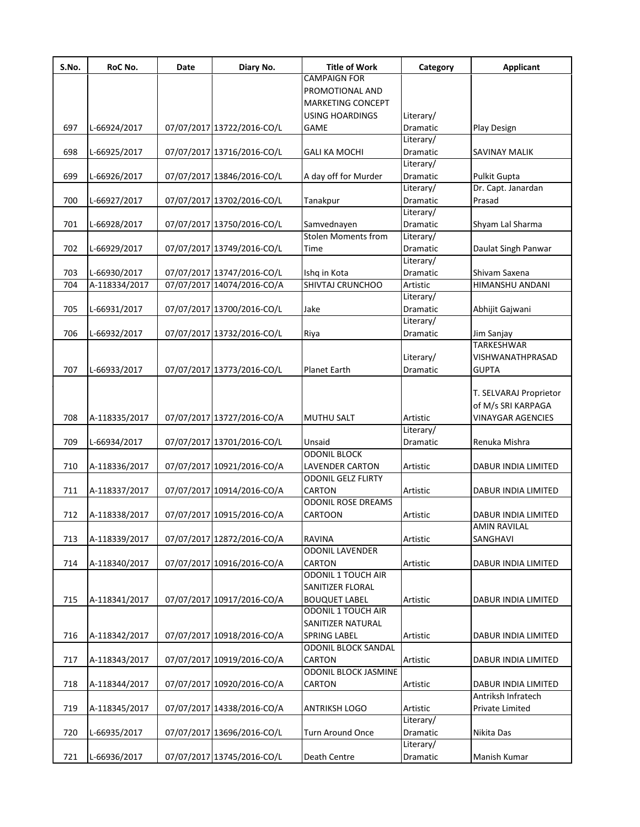| S.No. | RoC No.       | Date | Diary No.                  | <b>Title of Work</b>        | Category        | <b>Applicant</b>         |
|-------|---------------|------|----------------------------|-----------------------------|-----------------|--------------------------|
|       |               |      |                            | <b>CAMPAIGN FOR</b>         |                 |                          |
|       |               |      |                            | PROMOTIONAL AND             |                 |                          |
|       |               |      |                            | <b>MARKETING CONCEPT</b>    |                 |                          |
|       |               |      |                            | <b>USING HOARDINGS</b>      | Literary/       |                          |
| 697   | L-66924/2017  |      | 07/07/2017 13722/2016-CO/L | <b>GAME</b>                 | <b>Dramatic</b> | Play Design              |
|       |               |      |                            |                             | Literary/       |                          |
| 698   | L-66925/2017  |      | 07/07/2017 13716/2016-CO/L | <b>GALI KA MOCHI</b>        | Dramatic        | SAVINAY MALIK            |
|       |               |      |                            |                             | Literary/       |                          |
| 699   | L-66926/2017  |      | 07/07/2017 13846/2016-CO/L | A day off for Murder        | Dramatic        | <b>Pulkit Gupta</b>      |
|       |               |      |                            |                             | Literary/       | Dr. Capt. Janardan       |
| 700   | L-66927/2017  |      | 07/07/2017 13702/2016-CO/L | Tanakpur                    | Dramatic        | Prasad                   |
|       |               |      |                            |                             | Literary/       |                          |
| 701   | L-66928/2017  |      | 07/07/2017 13750/2016-CO/L | Samvednayen                 | Dramatic        | Shyam Lal Sharma         |
|       |               |      |                            | <b>Stolen Moments from</b>  | Literary/       |                          |
| 702   | L-66929/2017  |      | 07/07/2017 13749/2016-CO/L | Time                        | Dramatic        | Daulat Singh Panwar      |
|       |               |      |                            |                             | Literary/       |                          |
| 703   | L-66930/2017  |      | 07/07/2017 13747/2016-CO/L | Ishq in Kota                | Dramatic        | Shivam Saxena            |
| 704   | A-118334/2017 |      | 07/07/2017 14074/2016-CO/A | SHIVTAJ CRUNCHOO            | Artistic        | HIMANSHU ANDANI          |
|       |               |      |                            |                             | Literary/       |                          |
| 705   | L-66931/2017  |      | 07/07/2017 13700/2016-CO/L | Jake                        | Dramatic        | Abhijit Gajwani          |
|       |               |      |                            |                             | Literary/       |                          |
| 706   | L-66932/2017  |      | 07/07/2017 13732/2016-CO/L | Riya                        | Dramatic        | Jim Sanjay               |
|       |               |      |                            |                             |                 | TARKESHWAR               |
|       |               |      |                            |                             | Literary/       | VISHWANATHPRASAD         |
| 707   | L-66933/2017  |      | 07/07/2017 13773/2016-CO/L | <b>Planet Earth</b>         | Dramatic        | <b>GUPTA</b>             |
|       |               |      |                            |                             |                 |                          |
|       |               |      |                            |                             |                 | T. SELVARAJ Proprietor   |
|       |               |      |                            |                             |                 | of M/s SRI KARPAGA       |
| 708   | A-118335/2017 |      | 07/07/2017 13727/2016-CO/A | <b>MUTHU SALT</b>           | Artistic        | <b>VINAYGAR AGENCIES</b> |
|       |               |      |                            |                             | Literary/       |                          |
| 709   | L-66934/2017  |      | 07/07/2017 13701/2016-CO/L | Unsaid                      | Dramatic        | Renuka Mishra            |
|       |               |      |                            | <b>ODONIL BLOCK</b>         |                 |                          |
| 710   | A-118336/2017 |      | 07/07/2017 10921/2016-CO/A | <b>LAVENDER CARTON</b>      | Artistic        | DABUR INDIA LIMITED      |
|       |               |      |                            | <b>ODONIL GELZ FLIRTY</b>   |                 |                          |
| 711   | A-118337/2017 |      | 07/07/2017 10914/2016-CO/A | CARTON                      | Artistic        | DABUR INDIA LIMITED      |
|       |               |      |                            | <b>ODONIL ROSE DREAMS</b>   |                 |                          |
| 712   | A-118338/2017 |      | 07/07/2017 10915/2016-CO/A | <b>CARTOON</b>              | Artistic        | DABUR INDIA LIMITED      |
|       |               |      |                            |                             |                 | AMIN RAVILAL             |
| 713   | A-118339/2017 |      | 07/07/2017 12872/2016-CO/A | <b>RAVINA</b>               | Artistic        | SANGHAVI                 |
|       |               |      |                            | <b>ODONIL LAVENDER</b>      |                 |                          |
| 714   | A-118340/2017 |      | 07/07/2017 10916/2016-CO/A | CARTON                      | Artistic        | DABUR INDIA LIMITED      |
|       |               |      |                            | <b>ODONIL 1 TOUCH AIR</b>   |                 |                          |
|       |               |      |                            | SANITIZER FLORAL            |                 |                          |
| 715   | A-118341/2017 |      | 07/07/2017 10917/2016-CO/A | <b>BOUQUET LABEL</b>        | Artistic        | DABUR INDIA LIMITED      |
|       |               |      |                            | <b>ODONIL 1 TOUCH AIR</b>   |                 |                          |
|       |               |      |                            | SANITIZER NATURAL           |                 |                          |
| 716   | A-118342/2017 |      | 07/07/2017 10918/2016-CO/A | <b>SPRING LABEL</b>         | Artistic        | DABUR INDIA LIMITED      |
|       |               |      |                            | <b>ODONIL BLOCK SANDAL</b>  |                 |                          |
| 717   | A-118343/2017 |      | 07/07/2017 10919/2016-CO/A | <b>CARTON</b>               | Artistic        | DABUR INDIA LIMITED      |
|       |               |      |                            | <b>ODONIL BLOCK JASMINE</b> |                 |                          |
| 718   | A-118344/2017 |      | 07/07/2017 10920/2016-CO/A | <b>CARTON</b>               | Artistic        | DABUR INDIA LIMITED      |
|       |               |      |                            |                             |                 | Antriksh Infratech       |
| 719   | A-118345/2017 |      | 07/07/2017 14338/2016-CO/A | <b>ANTRIKSH LOGO</b>        | Artistic        | Private Limited          |
|       |               |      |                            |                             | Literary/       |                          |
| 720   | L-66935/2017  |      | 07/07/2017 13696/2016-CO/L | Turn Around Once            | Dramatic        | Nikita Das               |
|       |               |      |                            |                             | Literary/       |                          |
| 721   | L-66936/2017  |      | 07/07/2017 13745/2016-CO/L | Death Centre                | Dramatic        | Manish Kumar             |
|       |               |      |                            |                             |                 |                          |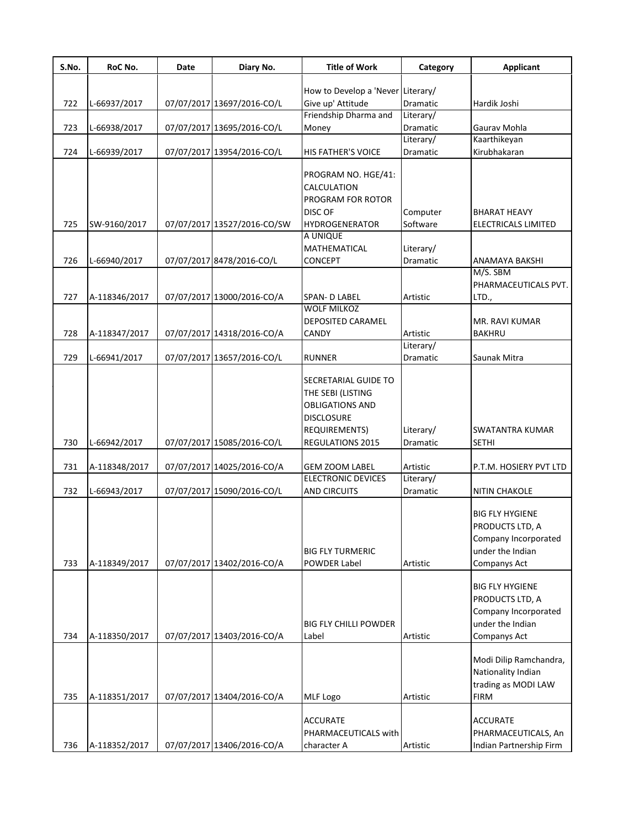| S.No. | RoC No.       | Date | Diary No.                   | <b>Title of Work</b>                                                                                                                 | Category              | Applicant                                                                                             |
|-------|---------------|------|-----------------------------|--------------------------------------------------------------------------------------------------------------------------------------|-----------------------|-------------------------------------------------------------------------------------------------------|
|       |               |      |                             | How to Develop a 'Never Literary/                                                                                                    |                       |                                                                                                       |
| 722   | L-66937/2017  |      | 07/07/2017 13697/2016-CO/L  | Give up' Attitude                                                                                                                    | <b>Dramatic</b>       | Hardik Joshi                                                                                          |
|       |               |      |                             | Friendship Dharma and                                                                                                                | Literary/             |                                                                                                       |
| 723   | L-66938/2017  |      | 07/07/2017 13695/2016-CO/L  | Money                                                                                                                                | Dramatic              | Gaurav Mohla                                                                                          |
|       |               |      |                             |                                                                                                                                      | Literary/             | Kaarthikeyan                                                                                          |
| 724   | L-66939/2017  |      | 07/07/2017 13954/2016-CO/L  | HIS FATHER'S VOICE                                                                                                                   | Dramatic              | Kirubhakaran                                                                                          |
|       |               |      |                             | PROGRAM NO. HGE/41:<br>CALCULATION<br>PROGRAM FOR ROTOR<br><b>DISC OF</b>                                                            | Computer              | <b>BHARAT HEAVY</b>                                                                                   |
| 725   | SW-9160/2017  |      | 07/07/2017 13527/2016-CO/SW | HYDROGENERATOR                                                                                                                       | Software              | ELECTRICALS LIMITED                                                                                   |
| 726   | L-66940/2017  |      | 07/07/2017 8478/2016-CO/L   | A UNIQUE<br>MATHEMATICAL<br><b>CONCEPT</b>                                                                                           | Literary/<br>Dramatic | ANAMAYA BAKSHI                                                                                        |
|       |               |      |                             |                                                                                                                                      |                       | M/S. SBM                                                                                              |
|       |               |      |                             |                                                                                                                                      |                       | PHARMACEUTICALS PVT.                                                                                  |
| 727   | A-118346/2017 |      | 07/07/2017 13000/2016-CO/A  | SPAN-D LABEL                                                                                                                         | Artistic              | LTD.,                                                                                                 |
| 728   | A-118347/2017 |      | 07/07/2017 14318/2016-CO/A  | <b>WOLF MILKOZ</b><br><b>DEPOSITED CARAMEL</b><br><b>CANDY</b>                                                                       | Artistic              | MR. RAVI KUMAR<br><b>BAKHRU</b>                                                                       |
|       |               |      |                             |                                                                                                                                      | Literary/             |                                                                                                       |
| 729   | L-66941/2017  |      | 07/07/2017 13657/2016-CO/L  | <b>RUNNER</b>                                                                                                                        | Dramatic              | Saunak Mitra                                                                                          |
| 730   | L-66942/2017  |      | 07/07/2017 15085/2016-CO/L  | SECRETARIAL GUIDE TO<br>THE SEBI (LISTING<br><b>OBLIGATIONS AND</b><br><b>DISCLOSURE</b><br><b>REQUIREMENTS)</b><br>REGULATIONS 2015 | Literary/<br>Dramatic | SWATANTRA KUMAR<br><b>SETHI</b>                                                                       |
| 731   | A-118348/2017 |      | 07/07/2017 14025/2016-CO/A  | <b>GEM ZOOM LABEL</b>                                                                                                                | Artistic              | P.T.M. HOSIERY PVT LTD                                                                                |
|       |               |      |                             | <b>ELECTRONIC DEVICES</b>                                                                                                            | Literary/             |                                                                                                       |
| 732   | L-66943/2017  |      | 07/07/2017 15090/2016-CO/L  | <b>AND CIRCUITS</b>                                                                                                                  | Dramatic              | <b>NITIN CHAKOLE</b>                                                                                  |
| 733   | A-118349/2017 |      | 07/07/2017 13402/2016-CO/A  | <b>BIG FLY TURMERIC</b><br>POWDER Label                                                                                              | Artistic              | <b>BIG FLY HYGIENE</b><br>PRODUCTS LTD, A<br>Company Incorporated<br>under the Indian<br>Companys Act |
| 734   | A-118350/2017 |      | 07/07/2017 13403/2016-CO/A  | <b>BIG FLY CHILLI POWDER</b><br>Label                                                                                                | Artistic              | <b>BIG FLY HYGIENE</b><br>PRODUCTS LTD, A<br>Company Incorporated<br>under the Indian<br>Companys Act |
| 735   | A-118351/2017 |      | 07/07/2017 13404/2016-CO/A  | <b>MLF Logo</b>                                                                                                                      | Artistic              | Modi Dilip Ramchandra,<br>Nationality Indian<br>trading as MODI LAW<br><b>FIRM</b>                    |
| 736   | A-118352/2017 |      | 07/07/2017 13406/2016-CO/A  | <b>ACCURATE</b><br>PHARMACEUTICALS with<br>character A                                                                               | Artistic              | <b>ACCURATE</b><br>PHARMACEUTICALS, An<br>Indian Partnership Firm                                     |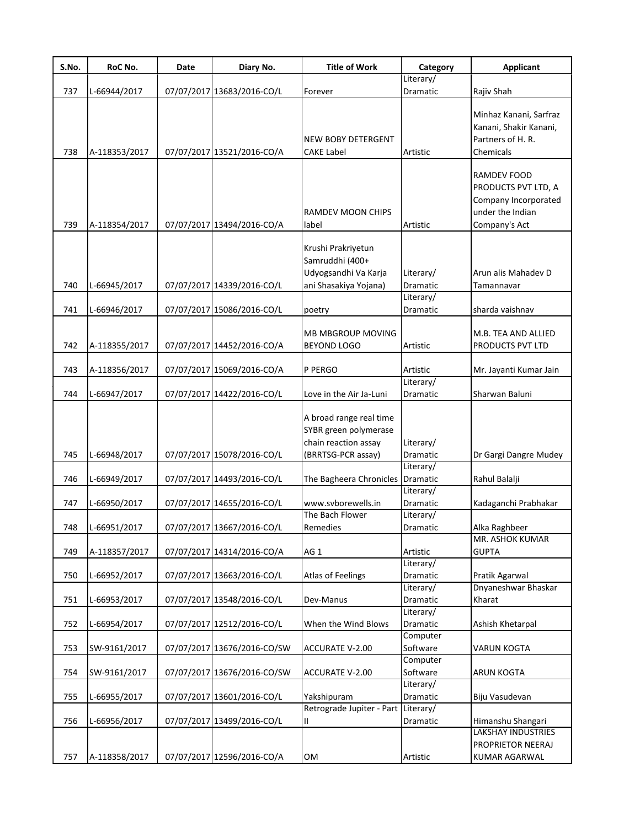| S.No. | RoC No.       | Date | Diary No.                   | <b>Title of Work</b>      | Category              | <b>Applicant</b>          |
|-------|---------------|------|-----------------------------|---------------------------|-----------------------|---------------------------|
|       |               |      |                             |                           | Literary/             |                           |
| 737   | L-66944/2017  |      | 07/07/2017 13683/2016-CO/L  | Forever                   | Dramatic              | Rajiv Shah                |
|       |               |      |                             |                           |                       | Minhaz Kanani, Sarfraz    |
|       |               |      |                             |                           |                       | Kanani, Shakir Kanani,    |
|       |               |      |                             | NEW BOBY DETERGENT        |                       | Partners of H. R.         |
| 738   | A-118353/2017 |      | 07/07/2017 13521/2016-CO/A  | CAKE Label                | Artistic              | Chemicals                 |
|       |               |      |                             |                           |                       |                           |
|       |               |      |                             |                           |                       | RAMDEV FOOD               |
|       |               |      |                             |                           |                       | PRODUCTS PVT LTD, A       |
|       |               |      |                             |                           |                       | Company Incorporated      |
|       |               |      |                             | RAMDEV MOON CHIPS         |                       | under the Indian          |
| 739   | A-118354/2017 |      | 07/07/2017 13494/2016-CO/A  | label                     | Artistic              | Company's Act             |
|       |               |      |                             | Krushi Prakriyetun        |                       |                           |
|       |               |      |                             | Samruddhi (400+           |                       |                           |
|       |               |      |                             | Udyogsandhi Va Karja      | Literary/             | Arun alis Mahadev D       |
| 740   | L-66945/2017  |      | 07/07/2017 14339/2016-CO/L  | ani Shasakiya Yojana)     | Dramatic              | Tamannavar                |
|       |               |      |                             |                           | Literary/             |                           |
| 741   | L-66946/2017  |      | 07/07/2017 15086/2016-CO/L  | poetry                    | Dramatic              | sharda vaishnav           |
|       |               |      |                             |                           |                       |                           |
|       |               |      |                             | <b>MB MBGROUP MOVING</b>  |                       | M.B. TEA AND ALLIED       |
| 742   | A-118355/2017 |      | 07/07/2017 14452/2016-CO/A  | <b>BEYOND LOGO</b>        | Artistic              | PRODUCTS PVT LTD          |
| 743   | A-118356/2017 |      | 07/07/2017 15069/2016-CO/A  | P PERGO                   | Artistic              | Mr. Jayanti Kumar Jain    |
|       |               |      |                             |                           | Literary/             |                           |
| 744   | L-66947/2017  |      | 07/07/2017 14422/2016-CO/L  | Love in the Air Ja-Luni   | Dramatic              | Sharwan Baluni            |
|       |               |      |                             |                           |                       |                           |
|       |               |      |                             | A broad range real time   |                       |                           |
|       |               |      |                             | SYBR green polymerase     |                       |                           |
|       |               |      |                             | chain reaction assay      | Literary/             |                           |
| 745   | L-66948/2017  |      | 07/07/2017 15078/2016-CO/L  | (BRRTSG-PCR assay)        | Dramatic              | Dr Gargi Dangre Mudey     |
|       |               |      |                             |                           | Literary/<br>Dramatic |                           |
| 746   | L-66949/2017  |      | 07/07/2017 14493/2016-CO/L  | The Bagheera Chronicles   | Literary/             | Rahul Balalji             |
| 747   | L-66950/2017  |      | 07/07/2017 14655/2016-CO/L  | www.svborewells.in        | Dramatic              | Kadaganchi Prabhakar      |
|       |               |      |                             | The Bach Flower           | Literary/             |                           |
| 748   | L-66951/2017  |      | 07/07/2017 13667/2016-CO/L  | Remedies                  | Dramatic              | Alka Raghbeer             |
|       |               |      |                             |                           |                       | MR. ASHOK KUMAR           |
| 749   | A-118357/2017 |      | 07/07/2017 14314/2016-CO/A  | AG <sub>1</sub>           | Artistic              | <b>GUPTA</b>              |
|       |               |      |                             |                           | Literary/             |                           |
| 750   | L-66952/2017  |      | 07/07/2017 13663/2016-CO/L  | Atlas of Feelings         | Dramatic              | Pratik Agarwal            |
|       |               |      |                             |                           | Literary/             | Dnyaneshwar Bhaskar       |
| 751   | L-66953/2017  |      | 07/07/2017 13548/2016-CO/L  | Dev-Manus                 | Dramatic              | Kharat                    |
|       |               |      |                             |                           | Literary/             |                           |
| 752   | L-66954/2017  |      | 07/07/2017 12512/2016-CO/L  | When the Wind Blows       | Dramatic<br>Computer  | Ashish Khetarpal          |
| 753   | SW-9161/2017  |      | 07/07/2017 13676/2016-CO/SW | <b>ACCURATE V-2.00</b>    | Software              | <b>VARUN KOGTA</b>        |
|       |               |      |                             |                           | Computer              |                           |
| 754   | SW-9161/2017  |      | 07/07/2017 13676/2016-CO/SW | ACCURATE V-2.00           | Software              | ARUN KOGTA                |
|       |               |      |                             |                           | Literary/             |                           |
| 755   | L-66955/2017  |      | 07/07/2017 13601/2016-CO/L  | Yakshipuram               | Dramatic              | Biju Vasudevan            |
|       |               |      |                             | Retrograde Jupiter - Part | Literary/             |                           |
| 756   | L-66956/2017  |      | 07/07/2017 13499/2016-CO/L  | Ш.                        | Dramatic              | Himanshu Shangari         |
|       |               |      |                             |                           |                       | <b>LAKSHAY INDUSTRIES</b> |
|       |               |      |                             |                           |                       | PROPRIETOR NEERAJ         |
| 757   | A-118358/2017 |      | 07/07/2017 12596/2016-CO/A  | OM                        | Artistic              | KUMAR AGARWAL             |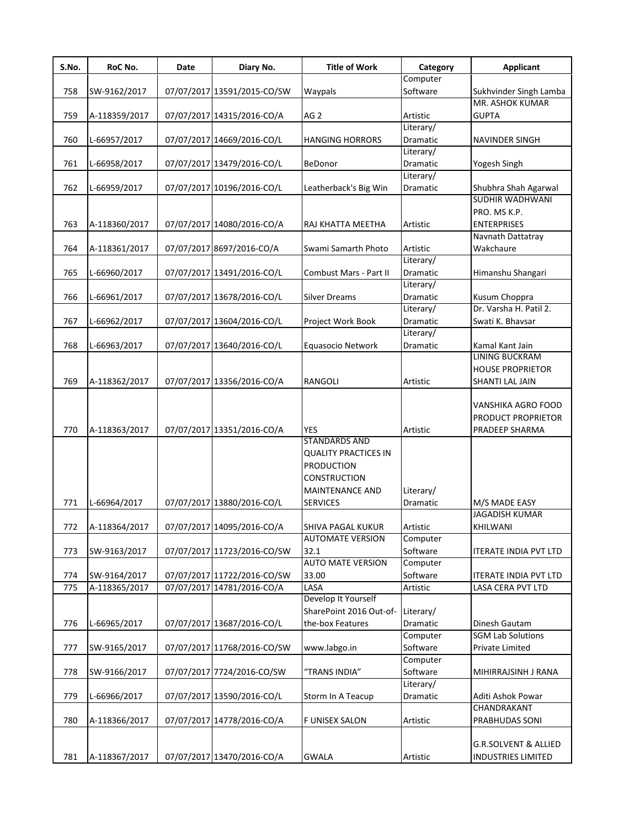| S.No. | RoC No.       | Date | Diary No.                   | <b>Title of Work</b>        | Category  | <b>Applicant</b>                |
|-------|---------------|------|-----------------------------|-----------------------------|-----------|---------------------------------|
|       |               |      |                             |                             | Computer  |                                 |
| 758   | SW-9162/2017  |      | 07/07/2017 13591/2015-CO/SW | Waypals                     | Software  | Sukhvinder Singh Lamba          |
|       |               |      |                             |                             |           | MR. ASHOK KUMAR                 |
| 759   | A-118359/2017 |      | 07/07/2017 14315/2016-CO/A  | AG <sub>2</sub>             | Artistic  | <b>GUPTA</b>                    |
|       |               |      |                             |                             | Literary/ |                                 |
| 760   | L-66957/2017  |      | 07/07/2017 14669/2016-CO/L  | <b>HANGING HORRORS</b>      | Dramatic  | NAVINDER SINGH                  |
|       |               |      |                             |                             | Literary/ |                                 |
| 761   | L-66958/2017  |      | 07/07/2017 13479/2016-CO/L  | BeDonor                     | Dramatic  | Yogesh Singh                    |
|       |               |      |                             |                             | Literary/ |                                 |
| 762   | L-66959/2017  |      | 07/07/2017 10196/2016-CO/L  | Leatherback's Big Win       | Dramatic  | Shubhra Shah Agarwal            |
|       |               |      |                             |                             |           | SUDHIR WADHWANI                 |
|       |               |      |                             |                             |           | PRO. MS K.P.                    |
| 763   | A-118360/2017 |      | 07/07/2017 14080/2016-CO/A  | RAJ KHATTA MEETHA           | Artistic  | <b>ENTERPRISES</b>              |
|       |               |      |                             |                             |           | Navnath Dattatray               |
|       |               |      |                             |                             |           |                                 |
| 764   | A-118361/2017 |      | 07/07/2017 8697/2016-CO/A   | Swami Samarth Photo         | Artistic  | Wakchaure                       |
|       |               |      |                             |                             | Literary/ |                                 |
| 765   | L-66960/2017  |      | 07/07/2017 13491/2016-CO/L  | Combust Mars - Part II      | Dramatic  | Himanshu Shangari               |
|       |               |      |                             |                             | Literary/ |                                 |
| 766   | L-66961/2017  |      | 07/07/2017 13678/2016-CO/L  | <b>Silver Dreams</b>        | Dramatic  | Kusum Choppra                   |
|       |               |      |                             |                             | Literary/ | Dr. Varsha H. Patil 2.          |
| 767   | L-66962/2017  |      | 07/07/2017 13604/2016-CO/L  | Project Work Book           | Dramatic  | Swati K. Bhavsar                |
|       |               |      |                             |                             | Literary/ |                                 |
| 768   | L-66963/2017  |      | 07/07/2017 13640/2016-CO/L  | Equasocio Network           | Dramatic  | Kamal Kant Jain                 |
|       |               |      |                             |                             |           | <b>LINING BUCKRAM</b>           |
|       |               |      |                             |                             |           | <b>HOUSE PROPRIETOR</b>         |
| 769   | A-118362/2017 |      | 07/07/2017 13356/2016-CO/A  | <b>RANGOLI</b>              | Artistic  | SHANTI LAL JAIN                 |
|       |               |      |                             |                             |           |                                 |
|       |               |      |                             |                             |           | VANSHIKA AGRO FOOD              |
|       |               |      |                             |                             |           | PRODUCT PROPRIETOR              |
| 770   | A-118363/2017 |      | 07/07/2017 13351/2016-CO/A  | <b>YES</b>                  | Artistic  | PRADEEP SHARMA                  |
|       |               |      |                             | <b>STANDARDS AND</b>        |           |                                 |
|       |               |      |                             | <b>QUALITY PRACTICES IN</b> |           |                                 |
|       |               |      |                             | <b>PRODUCTION</b>           |           |                                 |
|       |               |      |                             | <b>CONSTRUCTION</b>         |           |                                 |
|       |               |      |                             | <b>MAINTENANCE AND</b>      | Literary/ |                                 |
| 771   | L-66964/2017  |      | 07/07/2017 13880/2016-CO/L  | <b>SERVICES</b>             | Dramatic  | M/S MADE EASY                   |
|       |               |      |                             |                             |           | <b>JAGADISH KUMAR</b>           |
|       |               |      |                             |                             |           |                                 |
| 772   | A-118364/2017 |      | 07/07/2017 14095/2016-CO/A  | SHIVA PAGAL KUKUR           | Artistic  | KHILWANI                        |
|       |               |      |                             | <b>AUTOMATE VERSION</b>     | Computer  |                                 |
| 773   | SW-9163/2017  |      | 07/07/2017 11723/2016-CO/SW | 32.1                        | Software  | <b>ITERATE INDIA PVT LTD</b>    |
|       |               |      |                             | <b>AUTO MATE VERSION</b>    | Computer  |                                 |
| 774   | SW-9164/2017  |      | 07/07/2017 11722/2016-CO/SW | 33.00                       | Software  | <b>ITERATE INDIA PVT LTD</b>    |
| 775   | A-118365/2017 |      | 07/07/2017 14781/2016-CO/A  | LASA                        | Artistic  | LASA CERA PVT LTD               |
|       |               |      |                             | Develop It Yourself         |           |                                 |
|       |               |      |                             | SharePoint 2016 Out-of-     | Literary/ |                                 |
| 776   | L-66965/2017  |      | 07/07/2017 13687/2016-CO/L  | the-box Features            | Dramatic  | Dinesh Gautam                   |
|       |               |      |                             |                             | Computer  | <b>SGM Lab Solutions</b>        |
| 777   | SW-9165/2017  |      | 07/07/2017 11768/2016-CO/SW | www.labgo.in                | Software  | Private Limited                 |
|       |               |      |                             |                             | Computer  |                                 |
| 778   | SW-9166/2017  |      | 07/07/2017 7724/2016-CO/SW  | "TRANS INDIA"               | Software  | MIHIRRAJSINH J RANA             |
|       |               |      |                             |                             | Literary/ |                                 |
|       |               |      |                             |                             |           |                                 |
| 779   | L-66966/2017  |      | 07/07/2017 13590/2016-CO/L  | Storm In A Teacup           | Dramatic  | Aditi Ashok Powar               |
|       |               |      |                             |                             |           | CHANDRAKANT                     |
| 780   | A-118366/2017 |      | 07/07/2017 14778/2016-CO/A  | F UNISEX SALON              | Artistic  | PRABHUDAS SONI                  |
|       |               |      |                             |                             |           |                                 |
|       |               |      |                             |                             |           | <b>G.R.SOLVENT &amp; ALLIED</b> |
| 781   | A-118367/2017 |      | 07/07/2017 13470/2016-CO/A  | <b>GWALA</b>                | Artistic  | <b>INDUSTRIES LIMITED</b>       |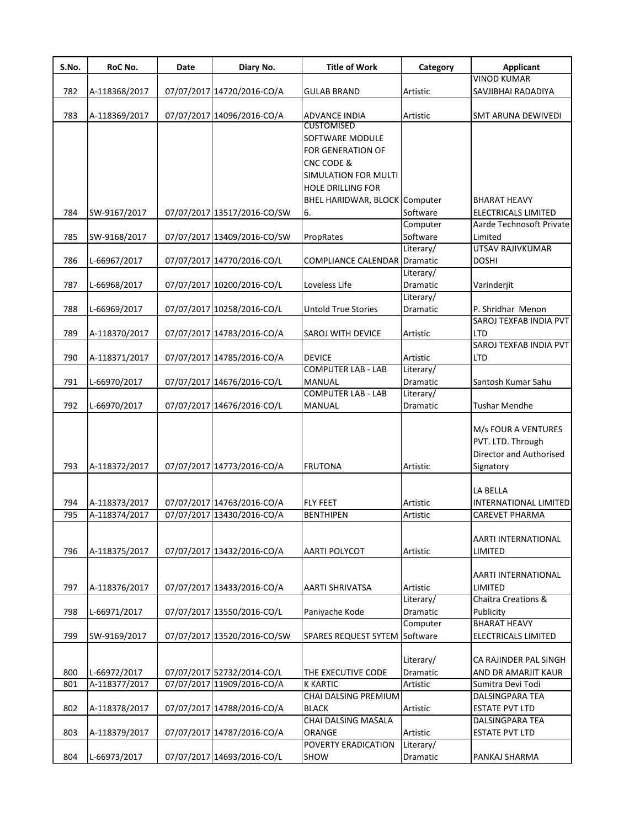| S.No. | RoC No.       | Date | Diary No.                   | <b>Title of Work</b>          | Category  | Applicant                  |
|-------|---------------|------|-----------------------------|-------------------------------|-----------|----------------------------|
|       |               |      |                             |                               |           | <b>VINOD KUMAR</b>         |
| 782   | A-118368/2017 |      | 07/07/2017 14720/2016-CO/A  | <b>GULAB BRAND</b>            | Artistic  | SAVJIBHAI RADADIYA         |
|       |               |      |                             |                               |           |                            |
| 783   | A-118369/2017 |      | 07/07/2017 14096/2016-CO/A  | <b>ADVANCE INDIA</b>          | Artistic  | <b>SMT ARUNA DEWIVEDI</b>  |
|       |               |      |                             | <b>CUSTOMISED</b>             |           |                            |
|       |               |      |                             | SOFTWARE MODULE               |           |                            |
|       |               |      |                             | FOR GENERATION OF             |           |                            |
|       |               |      |                             | CNC CODE &                    |           |                            |
|       |               |      |                             | SIMULATION FOR MULTI          |           |                            |
|       |               |      |                             | <b>HOLE DRILLING FOR</b>      |           |                            |
|       |               |      |                             | BHEL HARIDWAR, BLOCK Computer |           | <b>BHARAT HEAVY</b>        |
| 784   | SW-9167/2017  |      | 07/07/2017 13517/2016-CO/SW | 6.                            | Software  | <b>ELECTRICALS LIMITED</b> |
|       |               |      |                             |                               | Computer  | Aarde Technosoft Private   |
| 785   | SW-9168/2017  |      | 07/07/2017 13409/2016-CO/SW | PropRates                     | Software  | Limited                    |
|       |               |      |                             |                               | Literary/ | <b>UTSAV RAJIVKUMAR</b>    |
| 786   | L-66967/2017  |      | 07/07/2017 14770/2016-CO/L  | <b>COMPLIANCE CALENDAR</b>    | Dramatic  | <b>DOSHI</b>               |
|       |               |      |                             |                               | Literary/ |                            |
| 787   | L-66968/2017  |      | 07/07/2017 10200/2016-CO/L  | Loveless Life                 | Dramatic  | Varinderjit                |
|       |               |      |                             |                               | Literary/ |                            |
| 788   | L-66969/2017  |      | 07/07/2017 10258/2016-CO/L  | <b>Untold True Stories</b>    | Dramatic  | P. Shridhar Menon          |
|       |               |      |                             |                               |           | SAROJ TEXFAB INDIA PVT     |
| 789   | A-118370/2017 |      | 07/07/2017 14783/2016-CO/A  | SAROJ WITH DEVICE             | Artistic  | <b>LTD</b>                 |
|       |               |      |                             |                               |           | SAROJ TEXFAB INDIA PVT     |
| 790   | A-118371/2017 |      | 07/07/2017 14785/2016-CO/A  | <b>DEVICE</b>                 | Artistic  | <b>LTD</b>                 |
|       |               |      |                             | <b>COMPUTER LAB - LAB</b>     | Literary/ |                            |
| 791   | L-66970/2017  |      | 07/07/2017 14676/2016-CO/L  | MANUAL                        | Dramatic  | Santosh Kumar Sahu         |
|       |               |      |                             | <b>COMPUTER LAB - LAB</b>     | Literary/ |                            |
| 792   | L-66970/2017  |      | 07/07/2017 14676/2016-CO/L  | MANUAL                        | Dramatic  | <b>Tushar Mendhe</b>       |
|       |               |      |                             |                               |           |                            |
|       |               |      |                             |                               |           | M/s FOUR A VENTURES        |
|       |               |      |                             |                               |           | PVT. LTD. Through          |
|       |               |      |                             |                               |           | Director and Authorised    |
| 793   | A-118372/2017 |      | 07/07/2017 14773/2016-CO/A  | <b>FRUTONA</b>                | Artistic  | Signatory                  |
|       |               |      |                             |                               |           |                            |
|       |               |      |                             |                               |           | LA BELLA                   |
| 794   | A-118373/2017 |      | 07/07/2017 14763/2016-CO/A  | <b>FLY FEET</b>               | Artistic  | INTERNATIONAL LIMITED      |
| 795   | A-118374/2017 |      | 07/07/2017 13430/2016-CO/A  | <b>BENTHIPEN</b>              | Artistic  | CAREVET PHARMA             |
|       |               |      |                             |                               |           |                            |
|       |               |      |                             |                               |           | AARTI INTERNATIONAL        |
| 796   | A-118375/2017 |      | 07/07/2017 13432/2016-CO/A  | AARTI POLYCOT                 | Artistic  | LIMITED                    |
|       |               |      |                             |                               |           |                            |
|       |               |      |                             |                               |           | <b>AARTI INTERNATIONAL</b> |
| 797   | A-118376/2017 |      | 07/07/2017 13433/2016-CO/A  | AARTI SHRIVATSA               | Artistic  | LIMITED                    |
|       |               |      |                             |                               | Literary/ | Chaitra Creations &        |
| 798   | L-66971/2017  |      | 07/07/2017 13550/2016-CO/L  | Paniyache Kode                | Dramatic  | Publicity                  |
|       |               |      |                             |                               | Computer  | <b>BHARAT HEAVY</b>        |
| 799   | SW-9169/2017  |      | 07/07/2017 13520/2016-CO/SW | SPARES REQUEST SYTEM          | Software  | ELECTRICALS LIMITED        |
|       |               |      |                             |                               |           |                            |
|       |               |      |                             |                               | Literary/ | CA RAJINDER PAL SINGH      |
| 800   | L-66972/2017  |      | 07/07/2017 52732/2014-CO/L  | THE EXECUTIVE CODE            | Dramatic  | AND DR AMARJIT KAUR        |
| 801   | A-118377/2017 |      | 07/07/2017 11909/2016-CO/A  | <b>K KARTIC</b>               | Artistic  | Sumitra Devi Todi          |
|       |               |      |                             | CHAI DALSING PREMIUM          |           | DALSINGPARA TEA            |
| 802   | A-118378/2017 |      | 07/07/2017 14788/2016-CO/A  | <b>BLACK</b>                  | Artistic  | <b>ESTATE PVT LTD</b>      |
|       |               |      |                             | CHAI DALSING MASALA           |           | <b>DALSINGPARA TEA</b>     |
| 803   | A-118379/2017 |      | 07/07/2017 14787/2016-CO/A  | ORANGE                        | Artistic  | <b>ESTATE PVT LTD</b>      |
|       |               |      |                             | POVERTY ERADICATION           | Literary/ |                            |
| 804   | L-66973/2017  |      | 07/07/2017 14693/2016-CO/L  | SHOW                          | Dramatic  | PANKAJ SHARMA              |
|       |               |      |                             |                               |           |                            |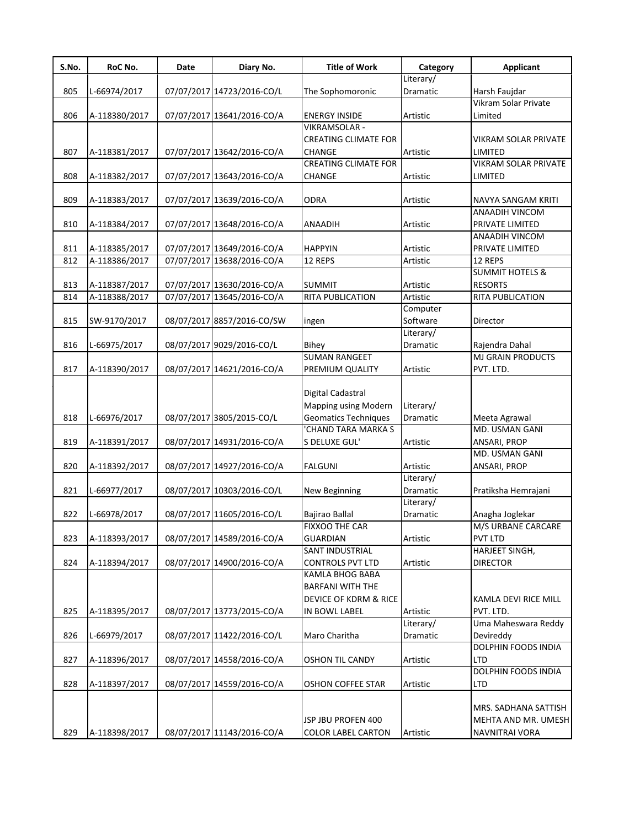| S.No. | RoC No.       | Date | Diary No.                  | <b>Title of Work</b>        | Category             | <b>Applicant</b>                             |
|-------|---------------|------|----------------------------|-----------------------------|----------------------|----------------------------------------------|
|       |               |      |                            |                             | Literary/            |                                              |
| 805   | L-66974/2017  |      | 07/07/2017 14723/2016-CO/L | The Sophomoronic            | Dramatic             | Harsh Faujdar                                |
|       |               |      |                            |                             |                      | Vikram Solar Private                         |
| 806   | A-118380/2017 |      | 07/07/2017 13641/2016-CO/A | <b>ENERGY INSIDE</b>        | Artistic             | Limited                                      |
|       |               |      |                            | VIKRAMSOLAR -               |                      |                                              |
|       |               |      |                            | <b>CREATING CLIMATE FOR</b> |                      | VIKRAM SOLAR PRIVATE                         |
| 807   | A-118381/2017 |      | 07/07/2017 13642/2016-CO/A | <b>CHANGE</b>               | Artistic             | LIMITED                                      |
|       |               |      |                            | <b>CREATING CLIMATE FOR</b> |                      | VIKRAM SOLAR PRIVATE                         |
| 808   | A-118382/2017 |      | 07/07/2017 13643/2016-CO/A | <b>CHANGE</b>               | Artistic             | LIMITED                                      |
|       |               |      |                            |                             |                      |                                              |
| 809   | A-118383/2017 |      | 07/07/2017 13639/2016-CO/A | <b>ODRA</b>                 | Artistic             | NAVYA SANGAM KRITI<br>ANAADIH VINCOM         |
|       |               |      |                            |                             |                      |                                              |
| 810   | A-118384/2017 |      | 07/07/2017 13648/2016-CO/A | ANAADIH                     | Artistic             | PRIVATE LIMITED                              |
|       |               |      |                            |                             |                      | ANAADIH VINCOM                               |
| 811   | A-118385/2017 |      | 07/07/2017 13649/2016-CO/A | <b>HAPPYIN</b>              | Artistic             | PRIVATE LIMITED                              |
| 812   | A-118386/2017 |      | 07/07/2017 13638/2016-CO/A | 12 REPS                     | Artistic             | 12 REPS                                      |
|       | A-118387/2017 |      | 07/07/2017 13630/2016-CO/A |                             | Artistic             | <b>SUMMIT HOTELS &amp;</b><br><b>RESORTS</b> |
| 813   |               |      |                            | <b>SUMMIT</b>               |                      |                                              |
| 814   | A-118388/2017 |      | 07/07/2017 13645/2016-CO/A | <b>RITA PUBLICATION</b>     | Artistic<br>Computer | RITA PUBLICATION                             |
|       |               |      |                            |                             | Software             |                                              |
| 815   | SW-9170/2017  |      | 08/07/2017 8857/2016-CO/SW | ingen                       | Literary/            | Director                                     |
|       |               |      |                            |                             |                      |                                              |
| 816   | L-66975/2017  |      | 08/07/2017 9029/2016-CO/L  | <b>Bihey</b>                | Dramatic             | Rajendra Dahal                               |
|       |               |      |                            | <b>SUMAN RANGEET</b>        |                      | <b>MJ GRAIN PRODUCTS</b>                     |
| 817   | A-118390/2017 |      | 08/07/2017 14621/2016-CO/A | PREMIUM QUALITY             | Artistic             | PVT. LTD.                                    |
|       |               |      |                            |                             |                      |                                              |
|       |               |      |                            | Digital Cadastral           |                      |                                              |
|       |               |      |                            | Mapping using Modern        | Literary/            |                                              |
| 818   | L-66976/2017  |      | 08/07/2017 3805/2015-CO/L  | <b>Geomatics Techniques</b> | Dramatic             | Meeta Agrawal                                |
|       |               |      |                            | 'CHAND TARA MARKA S         |                      | MD. USMAN GANI                               |
| 819   | A-118391/2017 |      | 08/07/2017 14931/2016-CO/A | S DELUXE GUL'               | Artistic             | ANSARI, PROP                                 |
|       |               |      |                            |                             |                      | MD. USMAN GANI                               |
| 820   | A-118392/2017 |      | 08/07/2017 14927/2016-CO/A | <b>FALGUNI</b>              | Artistic             | ANSARI, PROP                                 |
|       |               |      |                            |                             | Literary/            |                                              |
| 821   | L-66977/2017  |      | 08/07/2017 10303/2016-CO/L | New Beginning               | Dramatic             | Pratiksha Hemrajani                          |
|       |               |      |                            |                             | Literary/            |                                              |
| 822   | L-66978/2017  |      | 08/07/2017 11605/2016-CO/L | Bajirao Ballal              | Dramatic             | Anagha Joglekar                              |
|       |               |      |                            | <b>FIXXOO THE CAR</b>       |                      | M/S URBANE CARCARE                           |
| 823   | A-118393/2017 |      | 08/07/2017 14589/2016-CO/A | <b>GUARDIAN</b>             | Artistic             | <b>PVT LTD</b>                               |
|       |               |      |                            | SANT INDUSTRIAL             |                      | HARJEET SINGH,                               |
| 824   | A-118394/2017 |      | 08/07/2017 14900/2016-CO/A | <b>CONTROLS PVT LTD</b>     | Artistic             | <b>DIRECTOR</b>                              |
|       |               |      |                            | KAMLA BHOG BABA             |                      |                                              |
|       |               |      |                            | <b>BARFANI WITH THE</b>     |                      |                                              |
|       |               |      |                            | DEVICE OF KDRM & RICE       |                      | KAMLA DEVI RICE MILL                         |
| 825   | A-118395/2017 |      | 08/07/2017 13773/2015-CO/A | IN BOWL LABEL               | Artistic             | PVT. LTD.                                    |
|       |               |      |                            |                             | Literary/            | Uma Maheswara Reddy                          |
| 826   | L-66979/2017  |      | 08/07/2017 11422/2016-CO/L | Maro Charitha               | Dramatic             | Devireddy                                    |
|       |               |      |                            |                             |                      | DOLPHIN FOODS INDIA                          |
| 827   | A-118396/2017 |      | 08/07/2017 14558/2016-CO/A | <b>OSHON TIL CANDY</b>      | Artistic             | <b>LTD</b>                                   |
|       |               |      |                            |                             |                      | DOLPHIN FOODS INDIA                          |
| 828   | A-118397/2017 |      | 08/07/2017 14559/2016-CO/A | <b>OSHON COFFEE STAR</b>    | Artistic             | LTD                                          |
|       |               |      |                            |                             |                      |                                              |
|       |               |      |                            |                             |                      | MRS. SADHANA SATTISH                         |
|       |               |      |                            | JSP JBU PROFEN 400          |                      | MEHTA AND MR. UMESH                          |
| 829   | A-118398/2017 |      | 08/07/2017 11143/2016-CO/A | <b>COLOR LABEL CARTON</b>   | Artistic             | NAVNITRAI VORA                               |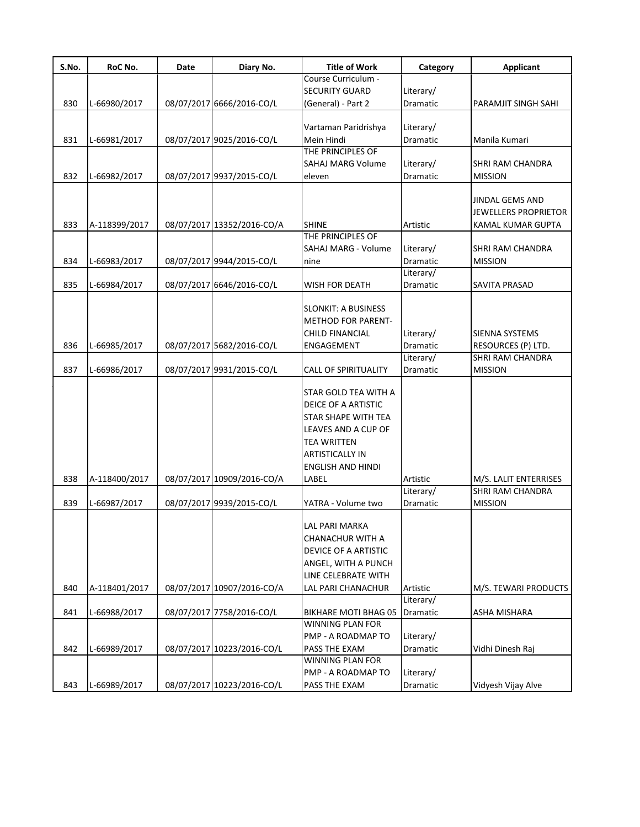| S.No. | RoC No.       | Date | Diary No.                  | <b>Title of Work</b>        | Category  | <b>Applicant</b>      |
|-------|---------------|------|----------------------------|-----------------------------|-----------|-----------------------|
|       |               |      |                            | Course Curriculum -         |           |                       |
|       |               |      |                            | <b>SECURITY GUARD</b>       | Literary/ |                       |
| 830   | L-66980/2017  |      | 08/07/2017 6666/2016-CO/L  | (General) - Part 2          | Dramatic  | PARAMJIT SINGH SAHI   |
|       |               |      |                            | Vartaman Paridrishya        | Literary/ |                       |
|       |               |      |                            |                             |           |                       |
| 831   | L-66981/2017  |      | 08/07/2017 9025/2016-CO/L  | Mein Hindi                  | Dramatic  | Manila Kumari         |
|       |               |      |                            | THE PRINCIPLES OF           |           |                       |
|       |               |      |                            | <b>SAHAJ MARG Volume</b>    | Literary/ | SHRI RAM CHANDRA      |
| 832   | L-66982/2017  |      | 08/07/2017 9937/2015-CO/L  | eleven                      | Dramatic  | <b>MISSION</b>        |
|       |               |      |                            |                             |           |                       |
|       |               |      |                            |                             |           | JINDAL GEMS AND       |
|       |               |      |                            |                             |           | JEWELLERS PROPRIETOR  |
| 833   | A-118399/2017 |      | 08/07/2017 13352/2016-CO/A | <b>SHINE</b>                | Artistic  | KAMAL KUMAR GUPTA     |
|       |               |      |                            | THE PRINCIPLES OF           |           |                       |
|       |               |      |                            | SAHAJ MARG - Volume         | Literary/ | SHRI RAM CHANDRA      |
| 834   | L-66983/2017  |      | 08/07/2017 9944/2015-CO/L  | nine                        | Dramatic  | <b>MISSION</b>        |
|       |               |      |                            |                             | Literary/ |                       |
| 835   | L-66984/2017  |      | 08/07/2017 6646/2016-CO/L  | <b>WISH FOR DEATH</b>       | Dramatic  | SAVITA PRASAD         |
|       |               |      |                            |                             |           |                       |
|       |               |      |                            | <b>SLONKIT: A BUSINESS</b>  |           |                       |
|       |               |      |                            | <b>METHOD FOR PARENT-</b>   |           |                       |
|       |               |      |                            |                             |           |                       |
|       |               |      |                            | <b>CHILD FINANCIAL</b>      | Literary/ | SIENNA SYSTEMS        |
| 836   | L-66985/2017  |      | 08/07/2017 5682/2016-CO/L  | <b>ENGAGEMENT</b>           | Dramatic  | RESOURCES (P) LTD.    |
|       |               |      |                            |                             | Literary/ | SHRI RAM CHANDRA      |
| 837   | L-66986/2017  |      | 08/07/2017 9931/2015-CO/L  | <b>CALL OF SPIRITUALITY</b> | Dramatic  | <b>MISSION</b>        |
|       |               |      |                            |                             |           |                       |
|       |               |      |                            | STAR GOLD TEA WITH A        |           |                       |
|       |               |      |                            | DEICE OF A ARTISTIC         |           |                       |
|       |               |      |                            | <b>STAR SHAPE WITH TEA</b>  |           |                       |
|       |               |      |                            | LEAVES AND A CUP OF         |           |                       |
|       |               |      |                            | <b>TEA WRITTEN</b>          |           |                       |
|       |               |      |                            |                             |           |                       |
|       |               |      |                            | <b>ARTISTICALLY IN</b>      |           |                       |
|       |               |      |                            | <b>ENGLISH AND HINDI</b>    |           |                       |
| 838   | A-118400/2017 |      | 08/07/2017 10909/2016-CO/A | LABEL                       | Artistic  | M/S. LALIT ENTERRISES |
|       |               |      |                            |                             | Literary/ | SHRI RAM CHANDRA      |
| 839   | L-66987/2017  |      | 08/07/2017 9939/2015-CO/L  | YATRA - Volume two          | Dramatic  | <b>MISSION</b>        |
|       |               |      |                            |                             |           |                       |
|       |               |      |                            | LAL PARI MARKA              |           |                       |
|       |               |      |                            | <b>CHANACHUR WITH A</b>     |           |                       |
|       |               |      |                            | <b>DEVICE OF A ARTISTIC</b> |           |                       |
|       |               |      |                            | ANGEL, WITH A PUNCH         |           |                       |
|       |               |      |                            | LINE CELEBRATE WITH         |           |                       |
| 840   | A-118401/2017 |      | 08/07/2017 10907/2016-CO/A | LAL PARI CHANACHUR          | Artistic  | M/S. TEWARI PRODUCTS  |
|       |               |      |                            |                             | Literary/ |                       |
| 841   | L-66988/2017  |      | 08/07/2017 7758/2016-CO/L  | BIKHARE MOTI BHAG 05        | Dramatic  | ASHA MISHARA          |
|       |               |      |                            | <b>WINNING PLAN FOR</b>     |           |                       |
|       |               |      |                            | <b>PMP - A ROADMAP TO</b>   | Literary/ |                       |
|       |               |      |                            |                             |           |                       |
| 842   | L-66989/2017  |      | 08/07/2017 10223/2016-CO/L | <b>PASS THE EXAM</b>        | Dramatic  | Vidhi Dinesh Raj      |
|       |               |      |                            | <b>WINNING PLAN FOR</b>     |           |                       |
|       |               |      |                            | PMP - A ROADMAP TO          | Literary/ |                       |
| 843   | L-66989/2017  |      | 08/07/2017 10223/2016-CO/L | PASS THE EXAM               | Dramatic  | Vidyesh Vijay Alve    |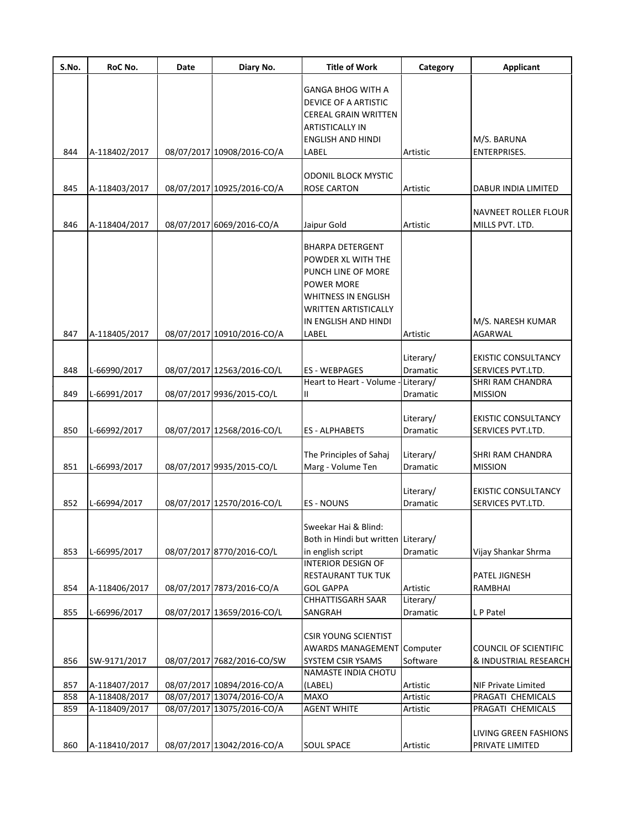| S.No. | RoC No.       | Date | Diary No.                  | <b>Title of Work</b>                                                     | Category                     | Applicant                                       |
|-------|---------------|------|----------------------------|--------------------------------------------------------------------------|------------------------------|-------------------------------------------------|
|       |               |      |                            | GANGA BHOG WITH A<br>DEVICE OF A ARTISTIC<br><b>CEREAL GRAIN WRITTEN</b> |                              |                                                 |
|       |               |      |                            | <b>ARTISTICALLY IN</b>                                                   |                              |                                                 |
| 844   | A-118402/2017 |      | 08/07/2017 10908/2016-CO/A | <b>ENGLISH AND HINDI</b><br>LABEL                                        | Artistic                     | M/S. BARUNA<br><b>ENTERPRISES.</b>              |
|       |               |      |                            |                                                                          |                              |                                                 |
|       |               |      |                            | <b>ODONIL BLOCK MYSTIC</b>                                               |                              |                                                 |
| 845   | A-118403/2017 |      | 08/07/2017 10925/2016-CO/A | <b>ROSE CARTON</b>                                                       | Artistic                     | DABUR INDIA LIMITED                             |
|       |               |      |                            |                                                                          |                              | NAVNEET ROLLER FLOUR                            |
| 846   | A-118404/2017 |      | 08/07/2017 6069/2016-CO/A  | Jaipur Gold                                                              | Artistic                     | MILLS PVT. LTD.                                 |
|       |               |      |                            |                                                                          |                              |                                                 |
|       |               |      |                            | <b>BHARPA DETERGENT</b><br>POWDER XL WITH THE                            |                              |                                                 |
|       |               |      |                            | PUNCH LINE OF MORE                                                       |                              |                                                 |
|       |               |      |                            | <b>POWER MORE</b>                                                        |                              |                                                 |
|       |               |      |                            | <b>WHITNESS IN ENGLISH</b>                                               |                              |                                                 |
|       |               |      |                            | <b>WRITTEN ARTISTICALLY</b>                                              |                              |                                                 |
|       |               |      |                            | IN ENGLISH AND HINDI                                                     |                              | M/S. NARESH KUMAR                               |
| 847   | A-118405/2017 |      | 08/07/2017 10910/2016-CO/A | LABEL                                                                    | Artistic                     | AGARWAL                                         |
|       |               |      |                            |                                                                          |                              |                                                 |
|       |               |      |                            |                                                                          | Literary/                    | <b>EKISTIC CONSULTANCY</b>                      |
| 848   | L-66990/2017  |      | 08/07/2017 12563/2016-CO/L | <b>ES - WEBPAGES</b>                                                     | Dramatic                     | SERVICES PVT.LTD.                               |
|       |               |      |                            | Heart to Heart - Volume                                                  | Literary/                    | SHRI RAM CHANDRA                                |
| 849   | L-66991/2017  |      | 08/07/2017 9936/2015-CO/L  | Ш                                                                        | Dramatic                     | <b>MISSION</b>                                  |
|       |               |      |                            |                                                                          | Literary/                    | <b>EKISTIC CONSULTANCY</b>                      |
| 850   | L-66992/2017  |      | 08/07/2017 12568/2016-CO/L | <b>ES-ALPHABETS</b>                                                      | Dramatic                     | SERVICES PVT.LTD.                               |
|       |               |      |                            |                                                                          |                              |                                                 |
|       |               |      |                            | The Principles of Sahaj                                                  | Literary/                    | SHRI RAM CHANDRA                                |
| 851   | L-66993/2017  |      | 08/07/2017 9935/2015-CO/L  | Marg - Volume Ten                                                        | Dramatic                     | <b>MISSION</b>                                  |
|       |               |      |                            |                                                                          |                              |                                                 |
| 852   | L-66994/2017  |      | 08/07/2017 12570/2016-CO/L | <b>ES - NOUNS</b>                                                        | Literary/<br><b>Dramatic</b> | <b>EKISTIC CONSULTANCY</b><br>SERVICES PVT.LTD. |
|       |               |      |                            |                                                                          |                              |                                                 |
|       |               |      |                            | Sweekar Hai & Blind:                                                     |                              |                                                 |
|       |               |      |                            | Both in Hindi but written Literary/                                      |                              |                                                 |
| 853   | L-66995/2017  |      | 08/07/2017 8770/2016-CO/L  | in english script                                                        | Dramatic                     | Vijay Shankar Shrma                             |
|       |               |      |                            | <b>INTERIOR DESIGN OF</b>                                                |                              |                                                 |
|       |               |      |                            | <b>RESTAURANT TUK TUK</b>                                                |                              | PATEL JIGNESH                                   |
| 854   | A-118406/2017 |      | 08/07/2017 7873/2016-CO/A  | <b>GOL GAPPA</b>                                                         | Artistic                     | RAMBHAI                                         |
|       |               |      |                            | <b>CHHATTISGARH SAAR</b>                                                 | Literary/                    |                                                 |
| 855   | L-66996/2017  |      | 08/07/2017 13659/2016-CO/L | SANGRAH                                                                  | Dramatic                     | L P Patel                                       |
|       |               |      |                            | <b>CSIR YOUNG SCIENTIST</b>                                              |                              |                                                 |
|       |               |      |                            | <b>AWARDS MANAGEMENT</b>                                                 | Computer                     | <b>COUNCIL OF SCIENTIFIC</b>                    |
| 856   | SW-9171/2017  |      | 08/07/2017 7682/2016-CO/SW | SYSTEM CSIR YSAMS                                                        | Software                     | & INDUSTRIAL RESEARCH                           |
|       |               |      |                            | NAMASTE INDIA CHOTU                                                      |                              |                                                 |
| 857   | A-118407/2017 |      | 08/07/2017 10894/2016-CO/A | (LABEL)                                                                  | Artistic                     | NIF Private Limited                             |
| 858   | A-118408/2017 |      | 08/07/2017 13074/2016-CO/A | <b>MAXO</b>                                                              | Artistic                     | PRAGATI CHEMICALS                               |
| 859   | A-118409/2017 |      | 08/07/2017 13075/2016-CO/A | <b>AGENT WHITE</b>                                                       | Artistic                     | PRAGATI CHEMICALS                               |
|       |               |      |                            |                                                                          |                              | LIVING GREEN FASHIONS                           |
| 860   | A-118410/2017 |      | 08/07/2017 13042/2016-CO/A | <b>SOUL SPACE</b>                                                        | Artistic                     | PRIVATE LIMITED                                 |
|       |               |      |                            |                                                                          |                              |                                                 |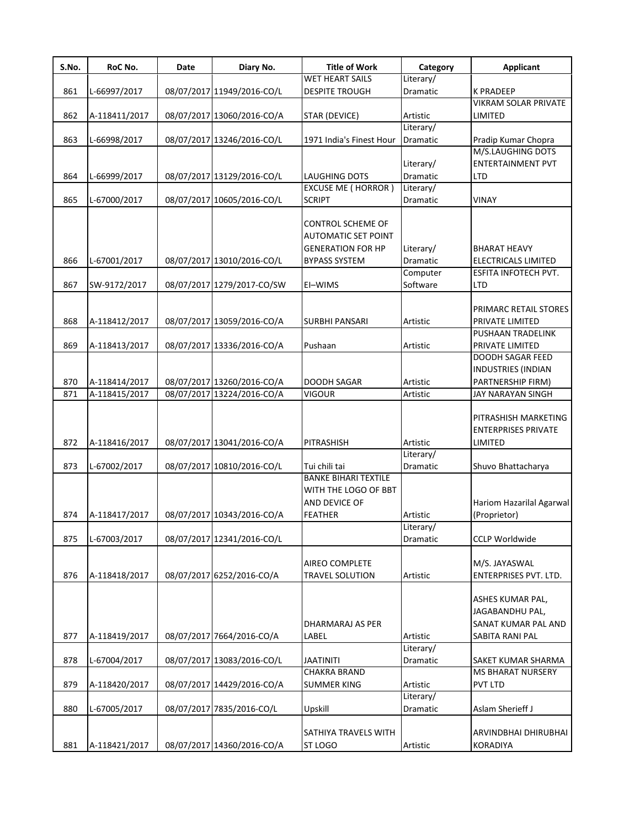| S.No. | RoC No.       | Date | Diary No.                  | <b>Title of Work</b>                                    | Category        | <b>Applicant</b>                                                              |
|-------|---------------|------|----------------------------|---------------------------------------------------------|-----------------|-------------------------------------------------------------------------------|
|       |               |      |                            | <b>WET HEART SAILS</b>                                  | Literary/       |                                                                               |
| 861   | L-66997/2017  |      | 08/07/2017 11949/2016-CO/L | <b>DESPITE TROUGH</b>                                   | Dramatic        | <b>K PRADEEP</b>                                                              |
|       |               |      |                            |                                                         |                 | <b>VIKRAM SOLAR PRIVATE</b>                                                   |
| 862   | A-118411/2017 |      | 08/07/2017 13060/2016-CO/A | <b>STAR (DEVICE)</b>                                    | Artistic        | LIMITED                                                                       |
|       |               |      |                            |                                                         | Literary/       |                                                                               |
| 863   | L-66998/2017  |      | 08/07/2017 13246/2016-CO/L | 1971 India's Finest Hour                                | Dramatic        | Pradip Kumar Chopra                                                           |
|       |               |      |                            |                                                         |                 | M/S.LAUGHING DOTS                                                             |
|       |               |      |                            |                                                         | Literary/       | <b>ENTERTAINMENT PVT</b>                                                      |
| 864   | L-66999/2017  |      | 08/07/2017 13129/2016-CO/L | <b>LAUGHING DOTS</b>                                    | Dramatic        | <b>LTD</b>                                                                    |
|       |               |      |                            | <b>EXCUSE ME ( HORROR )</b>                             | Literary/       |                                                                               |
| 865   | L-67000/2017  |      | 08/07/2017 10605/2016-CO/L | <b>SCRIPT</b>                                           | Dramatic        | VINAY                                                                         |
|       |               |      |                            |                                                         |                 |                                                                               |
|       |               |      |                            | <b>CONTROL SCHEME OF</b>                                |                 |                                                                               |
|       |               |      |                            | <b>AUTOMATIC SET POINT</b>                              |                 |                                                                               |
|       |               |      |                            | <b>GENERATION FOR HP</b>                                | Literary/       | <b>BHARAT HEAVY</b>                                                           |
| 866   | L-67001/2017  |      | 08/07/2017 13010/2016-CO/L | <b>BYPASS SYSTEM</b>                                    | <b>Dramatic</b> | <b>ELECTRICALS LIMITED</b>                                                    |
|       |               |      |                            |                                                         | Computer        | ESFITA INFOTECH PVT.                                                          |
| 867   | SW-9172/2017  |      | 08/07/2017 1279/2017-CO/SW | EI-WIMS                                                 | Software        | <b>LTD</b>                                                                    |
|       |               |      |                            |                                                         |                 |                                                                               |
|       |               |      |                            |                                                         |                 | PRIMARC RETAIL STORES                                                         |
| 868   | A-118412/2017 |      | 08/07/2017 13059/2016-CO/A | <b>SURBHI PANSARI</b>                                   | Artistic        | PRIVATE LIMITED                                                               |
|       |               |      |                            |                                                         |                 | PUSHAAN TRADELINK                                                             |
| 869   | A-118413/2017 |      | 08/07/2017 13336/2016-CO/A | Pushaan                                                 | Artistic        | PRIVATE LIMITED                                                               |
|       |               |      |                            |                                                         |                 | <b>DOODH SAGAR FEED</b>                                                       |
|       |               |      |                            |                                                         |                 | <b>INDUSTRIES (INDIAN</b>                                                     |
| 870   | A-118414/2017 |      | 08/07/2017 13260/2016-CO/A | <b>DOODH SAGAR</b>                                      | Artistic        | PARTNERSHIP FIRM)                                                             |
| 871   | A-118415/2017 |      | 08/07/2017 13224/2016-CO/A | <b>VIGOUR</b>                                           | Artistic        | JAY NARAYAN SINGH                                                             |
| 872   | A-118416/2017 |      | 08/07/2017 13041/2016-CO/A | PITRASHISH                                              | Artistic        | PITRASHISH MARKETING<br><b>ENTERPRISES PRIVATE</b><br>LIMITED                 |
|       |               |      |                            |                                                         | Literary/       |                                                                               |
| 873   | L-67002/2017  |      | 08/07/2017 10810/2016-CO/L | Tui chili tai                                           | Dramatic        | Shuvo Bhattacharya                                                            |
|       |               |      |                            | <b>BANKE BIHARI TEXTILE</b>                             |                 |                                                                               |
| 874   | A-118417/2017 |      | 08/07/2017 10343/2016-CO/A | WITH THE LOGO OF BBT<br>AND DEVICE OF<br><b>FEATHER</b> | Artistic        | Hariom Hazarilal Agarwal<br>(Proprietor)                                      |
|       |               |      |                            |                                                         | Literary/       |                                                                               |
| 875   | L-67003/2017  |      | 08/07/2017 12341/2016-CO/L |                                                         | Dramatic        | <b>CCLP Worldwide</b>                                                         |
| 876   | A-118418/2017 |      | 08/07/2017 6252/2016-CO/A  | <b>AIREO COMPLETE</b><br><b>TRAVEL SOLUTION</b>         | Artistic        | M/S. JAYASWAL<br>ENTERPRISES PVT. LTD.                                        |
| 877   | A-118419/2017 |      | 08/07/2017 7664/2016-CO/A  | DHARMARAJ AS PER<br>LABEL                               | Artistic        | ASHES KUMAR PAL,<br>JAGABANDHU PAL,<br>SANAT KUMAR PAL AND<br>SABITA RANI PAL |
|       |               |      |                            |                                                         | Literary/       |                                                                               |
| 878   | L-67004/2017  |      | 08/07/2017 13083/2016-CO/L | <b>JAATINITI</b>                                        | Dramatic        | SAKET KUMAR SHARMA                                                            |
|       |               |      |                            | <b>CHAKRA BRAND</b>                                     |                 | <b>MS BHARAT NURSERY</b>                                                      |
| 879   | A-118420/2017 |      | 08/07/2017 14429/2016-CO/A | <b>SUMMER KING</b>                                      | Artistic        | PVT LTD                                                                       |
|       |               |      |                            |                                                         | Literary/       |                                                                               |
| 880   | L-67005/2017  |      | 08/07/2017 7835/2016-CO/L  | Upskill                                                 | Dramatic        | Aslam Sherieff J                                                              |
|       |               |      |                            | SATHIYA TRAVELS WITH                                    |                 | ARVINDBHAI DHIRUBHAI                                                          |
| 881   | A-118421/2017 |      | 08/07/2017 14360/2016-CO/A | ST LOGO                                                 | Artistic        | KORADIYA                                                                      |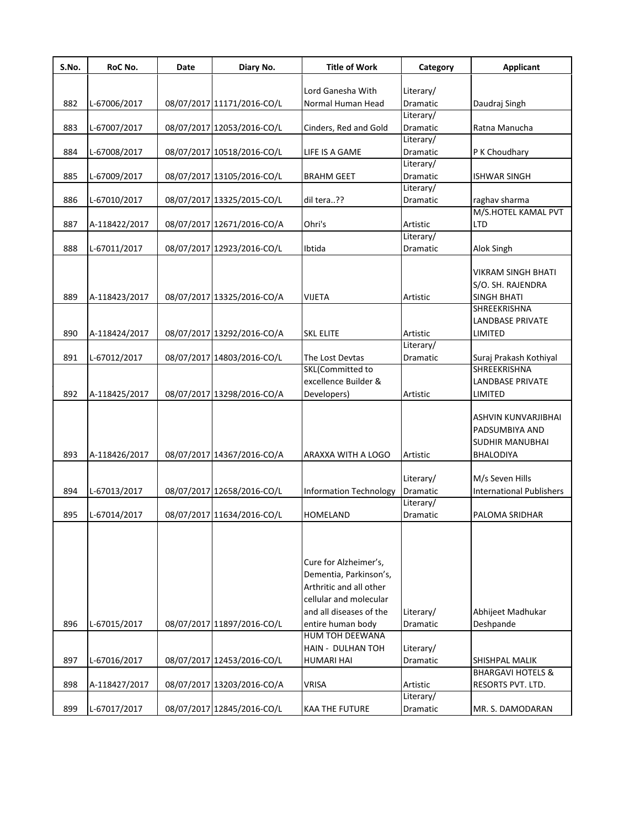| S.No. | RoC No.       | Date | Diary No.                  | <b>Title of Work</b>                                                                                                            | Category              | <b>Applicant</b>                                                                    |
|-------|---------------|------|----------------------------|---------------------------------------------------------------------------------------------------------------------------------|-----------------------|-------------------------------------------------------------------------------------|
|       |               |      |                            | Lord Ganesha With                                                                                                               | Literary/             |                                                                                     |
| 882   | L-67006/2017  |      | 08/07/2017 11171/2016-CO/L | Normal Human Head                                                                                                               | Dramatic              | Daudraj Singh                                                                       |
|       |               |      |                            |                                                                                                                                 | Literary/             |                                                                                     |
| 883   | L-67007/2017  |      | 08/07/2017 12053/2016-CO/L | Cinders, Red and Gold                                                                                                           | Dramatic              | Ratna Manucha                                                                       |
|       |               |      |                            |                                                                                                                                 | Literary/             |                                                                                     |
| 884   | L-67008/2017  |      | 08/07/2017 10518/2016-CO/L | LIFE IS A GAME                                                                                                                  | Dramatic              | P K Choudhary                                                                       |
|       |               |      |                            |                                                                                                                                 | Literary/             |                                                                                     |
| 885   | L-67009/2017  |      | 08/07/2017 13105/2016-CO/L | <b>BRAHM GEET</b>                                                                                                               | Dramatic              | <b>ISHWAR SINGH</b>                                                                 |
|       |               |      |                            |                                                                                                                                 | Literary/             |                                                                                     |
| 886   | L-67010/2017  |      | 08/07/2017 13325/2015-CO/L | dil tera??                                                                                                                      | Dramatic              | raghav sharma                                                                       |
|       |               |      |                            |                                                                                                                                 |                       | M/S.HOTEL KAMAL PVT                                                                 |
| 887   | A-118422/2017 |      | 08/07/2017 12671/2016-CO/A | Ohri's                                                                                                                          | Artistic              | <b>LTD</b>                                                                          |
|       |               |      |                            |                                                                                                                                 | Literary/             |                                                                                     |
| 888   | L-67011/2017  |      | 08/07/2017 12923/2016-CO/L | Ibtida                                                                                                                          | Dramatic              | Alok Singh                                                                          |
|       |               |      |                            |                                                                                                                                 |                       |                                                                                     |
|       |               |      |                            |                                                                                                                                 |                       | <b>VIKRAM SINGH BHATI</b>                                                           |
|       |               |      |                            |                                                                                                                                 |                       | S/O. SH. RAJENDRA                                                                   |
| 889   | A-118423/2017 |      | 08/07/2017 13325/2016-CO/A | <b>VIJETA</b>                                                                                                                   | Artistic              | <b>SINGH BHATI</b><br><b>SHREEKRISHNA</b>                                           |
|       |               |      |                            |                                                                                                                                 |                       | <b>LANDBASE PRIVATE</b>                                                             |
|       |               |      |                            |                                                                                                                                 |                       |                                                                                     |
| 890   | A-118424/2017 |      | 08/07/2017 13292/2016-CO/A | <b>SKL ELITE</b>                                                                                                                | Artistic<br>Literary/ | LIMITED                                                                             |
| 891   | L-67012/2017  |      | 08/07/2017 14803/2016-CO/L | The Lost Devtas                                                                                                                 | Dramatic              | Suraj Prakash Kothiyal                                                              |
|       |               |      |                            | <b>SKL(Committed to</b>                                                                                                         |                       | SHREEKRISHNA                                                                        |
|       |               |      |                            | excellence Builder &                                                                                                            |                       | <b>LANDBASE PRIVATE</b>                                                             |
| 892   | A-118425/2017 |      | 08/07/2017 13298/2016-CO/A | Developers)                                                                                                                     | Artistic              | LIMITED                                                                             |
| 893   | A-118426/2017 |      | 08/07/2017 14367/2016-CO/A | ARAXXA WITH A LOGO                                                                                                              | Artistic              | ASHVIN KUNVARJIBHAI<br>PADSUMBIYA AND<br><b>SUDHIR MANUBHAI</b><br><b>BHALODIYA</b> |
|       |               |      |                            |                                                                                                                                 |                       |                                                                                     |
|       |               |      |                            |                                                                                                                                 | Literary/             | M/s Seven Hills                                                                     |
| 894   | L-67013/2017  |      | 08/07/2017 12658/2016-CO/L | <b>Information Technology</b>                                                                                                   | Dramatic              | <b>International Publishers</b>                                                     |
|       |               |      |                            |                                                                                                                                 | Literary/             |                                                                                     |
| 895   | L-67014/2017  |      | 08/07/2017 11634/2016-CO/L | HOMELAND                                                                                                                        | Dramatic              | PALOMA SRIDHAR                                                                      |
|       |               |      |                            | Cure for Alzheimer's,<br>Dementia, Parkinson's,<br>Arthritic and all other<br>cellular and molecular<br>and all diseases of the | Literary/             | Abhijeet Madhukar                                                                   |
| 896   | L-67015/2017  |      | 08/07/2017 11897/2016-CO/L | entire human body                                                                                                               | Dramatic              | Deshpande                                                                           |
|       |               |      |                            | HUM TOH DEEWANA                                                                                                                 |                       |                                                                                     |
|       |               |      |                            | HAIN - DULHAN TOH                                                                                                               | Literary/             |                                                                                     |
| 897   | L-67016/2017  |      | 08/07/2017 12453/2016-CO/L | <b>HUMARI HAI</b>                                                                                                               | Dramatic              | SHISHPAL MALIK                                                                      |
|       |               |      |                            |                                                                                                                                 |                       | <b>BHARGAVI HOTELS &amp;</b>                                                        |
| 898   | A-118427/2017 |      | 08/07/2017 13203/2016-CO/A | VRISA                                                                                                                           | Artistic              | RESORTS PVT. LTD.                                                                   |
|       |               |      |                            |                                                                                                                                 | Literary/             |                                                                                     |
| 899   | L-67017/2017  |      | 08/07/2017 12845/2016-CO/L | KAA THE FUTURE                                                                                                                  | Dramatic              | MR. S. DAMODARAN                                                                    |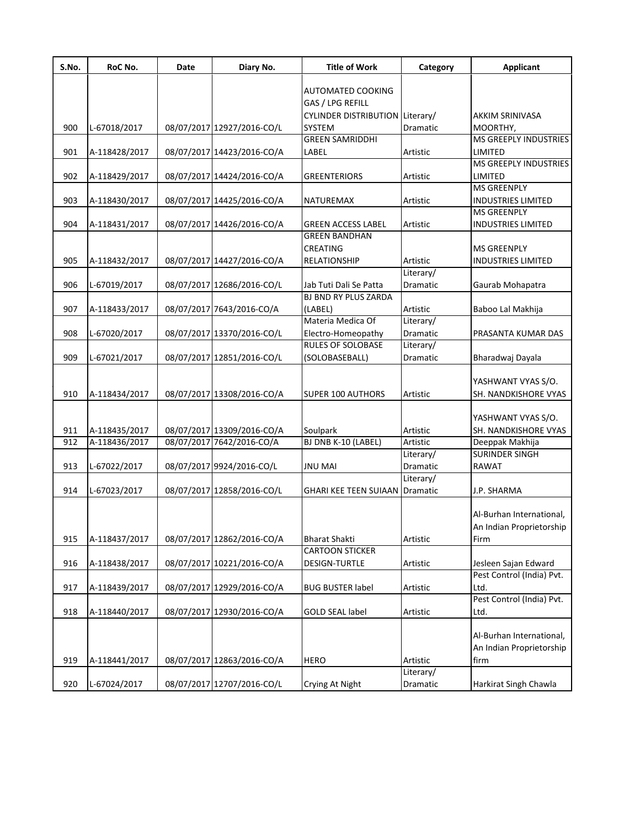| S.No. | RoC No.       | Date | Diary No.                  | <b>Title of Work</b>                           | Category              | Applicant                 |
|-------|---------------|------|----------------------------|------------------------------------------------|-----------------------|---------------------------|
|       |               |      |                            | AUTOMATED COOKING                              |                       |                           |
|       |               |      |                            | GAS / LPG REFILL                               |                       |                           |
|       |               |      |                            | CYLINDER DISTRIBUTION Literary/                |                       | <b>AKKIM SRINIVASA</b>    |
| 900   | L-67018/2017  |      | 08/07/2017 12927/2016-CO/L | <b>SYSTEM</b>                                  | <b>Dramatic</b>       | MOORTHY,                  |
|       |               |      |                            | <b>GREEN SAMRIDDHI</b>                         |                       | MS GREEPLY INDUSTRIES     |
| 901   | A-118428/2017 |      | 08/07/2017 14423/2016-CO/A | LABEL                                          | Artistic              | LIMITED                   |
|       |               |      |                            |                                                |                       | MS GREEPLY INDUSTRIES     |
| 902   | A-118429/2017 |      | 08/07/2017 14424/2016-CO/A | GREENTERIORS                                   | Artistic              | LIMITED                   |
|       |               |      |                            |                                                |                       | <b>MS GREENPLY</b>        |
| 903   | A-118430/2017 |      | 08/07/2017 14425/2016-CO/A | NATUREMAX                                      | Artistic              | <b>INDUSTRIES LIMITED</b> |
|       |               |      |                            |                                                |                       | <b>MS GREENPLY</b>        |
| 904   | A-118431/2017 |      | 08/07/2017 14426/2016-CO/A | <b>GREEN ACCESS LABEL</b>                      | Artistic              | <b>INDUSTRIES LIMITED</b> |
|       |               |      |                            | <b>GREEN BANDHAN</b>                           |                       |                           |
|       |               |      |                            | <b>CREATING</b>                                |                       | <b>MS GREENPLY</b>        |
| 905   | A-118432/2017 |      | 08/07/2017 14427/2016-CO/A | RELATIONSHIP                                   | Artistic              | <b>INDUSTRIES LIMITED</b> |
|       |               |      |                            |                                                | Literary/             |                           |
| 906   | L-67019/2017  |      | 08/07/2017 12686/2016-CO/L | Jab Tuti Dali Se Patta                         | <b>Dramatic</b>       | Gaurab Mohapatra          |
|       |               |      |                            | BJ BND RY PLUS ZARDA                           |                       |                           |
| 907   | A-118433/2017 |      | 08/07/2017 7643/2016-CO/A  | (LABEL)<br>Materia Medica Of                   | Artistic              | Baboo Lal Makhija         |
| 908   |               |      |                            |                                                | Literary/             | PRASANTA KUMAR DAS        |
|       | L-67020/2017  |      | 08/07/2017 13370/2016-CO/L | Electro-Homeopathy<br><b>RULES OF SOLOBASE</b> | Dramatic<br>Literary/ |                           |
| 909   | L-67021/2017  |      | 08/07/2017 12851/2016-CO/L | (SOLOBASEBALL)                                 | Dramatic              | Bharadwaj Dayala          |
|       |               |      |                            |                                                |                       |                           |
|       |               |      |                            |                                                |                       | YASHWANT VYAS S/O.        |
| 910   | A-118434/2017 |      | 08/07/2017 13308/2016-CO/A | <b>SUPER 100 AUTHORS</b>                       | Artistic              | SH. NANDKISHORE VYAS      |
|       |               |      |                            |                                                |                       |                           |
|       |               |      |                            |                                                |                       | YASHWANT VYAS S/O.        |
| 911   | A-118435/2017 |      | 08/07/2017 13309/2016-CO/A | Soulpark                                       | Artistic              | SH. NANDKISHORE VYAS      |
| 912   | A-118436/2017 |      | 08/07/2017 7642/2016-CO/A  | BJ DNB K-10 (LABEL)                            | Artistic              | Deeppak Makhija           |
|       |               |      |                            |                                                | Literary/             | <b>SURINDER SINGH</b>     |
| 913   | L-67022/2017  |      | 08/07/2017 9924/2016-CO/L  | <b>JNU MAI</b>                                 | Dramatic              | <b>RAWAT</b>              |
|       |               |      |                            |                                                | Literary/             |                           |
| 914   | L-67023/2017  |      | 08/07/2017 12858/2016-CO/L | <b>GHARI KEE TEEN SUIAAN Dramatic</b>          |                       | J.P. SHARMA               |
|       |               |      |                            |                                                |                       |                           |
|       |               |      |                            |                                                |                       | Al-Burhan International,  |
|       |               |      |                            |                                                |                       | An Indian Proprietorship  |
| 915   | A-118437/2017 |      | 08/07/2017 12862/2016-CO/A | <b>Bharat Shakti</b>                           | Artistic              | Firm                      |
|       |               |      |                            | <b>CARTOON STICKER</b>                         |                       |                           |
| 916   | A-118438/2017 |      | 08/07/2017 10221/2016-CO/A | DESIGN-TURTLE                                  | Artistic              | Jesleen Sajan Edward      |
|       |               |      |                            |                                                |                       | Pest Control (India) Pvt. |
| 917   | A-118439/2017 |      | 08/07/2017 12929/2016-CO/A | <b>BUG BUSTER label</b>                        | Artistic              | Ltd.                      |
|       |               |      |                            |                                                |                       | Pest Control (India) Pvt. |
| 918   | A-118440/2017 |      | 08/07/2017 12930/2016-CO/A | <b>GOLD SEAL label</b>                         | Artistic              | Ltd.                      |
|       |               |      |                            |                                                |                       |                           |
|       |               |      |                            |                                                |                       | Al-Burhan International,  |
|       |               |      |                            |                                                |                       | An Indian Proprietorship  |
| 919   | A-118441/2017 |      | 08/07/2017 12863/2016-CO/A | <b>HERO</b>                                    | Artistic              | firm                      |
|       |               |      |                            |                                                | Literary/             |                           |
| 920   | L-67024/2017  |      | 08/07/2017 12707/2016-CO/L | Crying At Night                                | Dramatic              | Harkirat Singh Chawla     |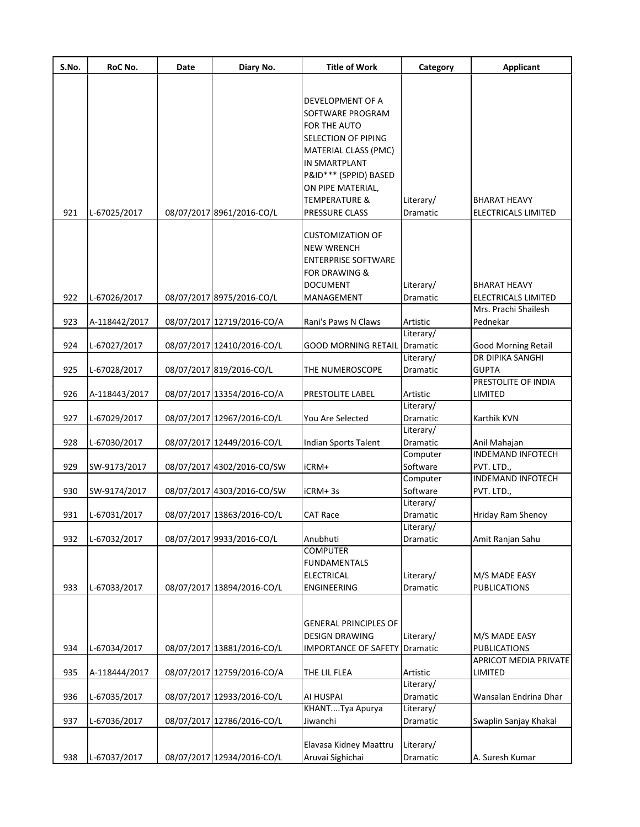| S.No. | RoC No.       | Date | Diary No.                  | <b>Title of Work</b>                 | Category              | <b>Applicant</b>           |
|-------|---------------|------|----------------------------|--------------------------------------|-----------------------|----------------------------|
|       |               |      |                            |                                      |                       |                            |
|       |               |      |                            | DEVELOPMENT OF A<br>SOFTWARE PROGRAM |                       |                            |
|       |               |      |                            | FOR THE AUTO<br>SELECTION OF PIPING  |                       |                            |
|       |               |      |                            | <b>MATERIAL CLASS (PMC)</b>          |                       |                            |
|       |               |      |                            | <b>IN SMARTPLANT</b>                 |                       |                            |
|       |               |      |                            | P&ID*** (SPPID) BASED                |                       |                            |
|       |               |      |                            | ON PIPE MATERIAL,                    |                       |                            |
|       |               |      |                            | <b>TEMPERATURE &amp;</b>             | Literary/             | <b>BHARAT HEAVY</b>        |
| 921   | L-67025/2017  |      | 08/07/2017 8961/2016-CO/L  | PRESSURE CLASS                       | Dramatic              | <b>ELECTRICALS LIMITED</b> |
|       |               |      |                            | <b>CUSTOMIZATION OF</b>              |                       |                            |
|       |               |      |                            | <b>NEW WRENCH</b>                    |                       |                            |
|       |               |      |                            | <b>ENTERPRISE SOFTWARE</b>           |                       |                            |
|       |               |      |                            | <b>FOR DRAWING &amp;</b>             |                       |                            |
|       |               |      |                            | <b>DOCUMENT</b>                      | Literary/             | <b>BHARAT HEAVY</b>        |
| 922   | L-67026/2017  |      | 08/07/2017 8975/2016-CO/L  | MANAGEMENT                           | Dramatic              | <b>ELECTRICALS LIMITED</b> |
|       |               |      |                            |                                      |                       | Mrs. Prachi Shailesh       |
| 923   | A-118442/2017 |      | 08/07/2017 12719/2016-CO/A | Rani's Paws N Claws                  | Artistic<br>Literary/ | Pednekar                   |
| 924   | L-67027/2017  |      | 08/07/2017 12410/2016-CO/L | <b>GOOD MORNING RETAIL Dramatic</b>  |                       | <b>Good Morning Retail</b> |
|       |               |      |                            |                                      | Literary/             | DR DIPIKA SANGHI           |
| 925   | L-67028/2017  |      | 08/07/2017 819/2016-CO/L   | THE NUMEROSCOPE                      | Dramatic              | <b>GUPTA</b>               |
|       |               |      |                            |                                      |                       | PRESTOLITE OF INDIA        |
| 926   | A-118443/2017 |      | 08/07/2017 13354/2016-CO/A | PRESTOLITE LABEL                     | Artistic              | LIMITED                    |
|       |               |      |                            |                                      | Literary/             |                            |
| 927   | L-67029/2017  |      | 08/07/2017 12967/2016-CO/L | You Are Selected                     | Dramatic              | Karthik KVN                |
| 928   | L-67030/2017  |      | 08/07/2017 12449/2016-CO/L | Indian Sports Talent                 | Literary/<br>Dramatic | Anil Mahajan               |
|       |               |      |                            |                                      | Computer              | <b>INDEMAND INFOTECH</b>   |
| 929   | SW-9173/2017  |      | 08/07/2017 4302/2016-CO/SW | iCRM+                                | Software              | PVT. LTD.,                 |
|       |               |      |                            |                                      | Computer              | <b>INDEMAND INFOTECH</b>   |
| 930   | SW-9174/2017  |      | 08/07/2017 4303/2016-CO/SW | iCRM+3s                              | Software              | PVT. LTD.,                 |
|       |               |      |                            |                                      | Literary/             |                            |
| 931   | L-67031/2017  |      | 08/07/2017 13863/2016-CO/L | <b>CAT Race</b>                      | Dramatic              | Hriday Ram Shenoy          |
| 932   | L-67032/2017  |      | 08/07/2017 9933/2016-CO/L  | Anubhuti                             | Literary/<br>Dramatic | Amit Ranjan Sahu           |
|       |               |      |                            | <b>COMPUTER</b>                      |                       |                            |
|       |               |      |                            | <b>FUNDAMENTALS</b>                  |                       |                            |
|       |               |      |                            | <b>ELECTRICAL</b>                    | Literary/             | M/S MADE EASY              |
| 933   | L-67033/2017  |      | 08/07/2017 13894/2016-CO/L | <b>ENGINEERING</b>                   | Dramatic              | <b>PUBLICATIONS</b>        |
|       |               |      |                            |                                      |                       |                            |
|       |               |      |                            | <b>GENERAL PRINCIPLES OF</b>         |                       |                            |
|       |               |      |                            | <b>DESIGN DRAWING</b>                | Literary/             | M/S MADE EASY              |
| 934   | L-67034/2017  |      | 08/07/2017 13881/2016-CO/L | <b>IMPORTANCE OF SAFETY Dramatic</b> |                       | <b>PUBLICATIONS</b>        |
|       |               |      |                            |                                      |                       | APRICOT MEDIA PRIVATE      |
| 935   | A-118444/2017 |      | 08/07/2017 12759/2016-CO/A | THE LIL FLEA                         | Artistic              | LIMITED                    |
|       |               |      |                            |                                      | Literary/             |                            |
| 936   | L-67035/2017  |      | 08/07/2017 12933/2016-CO/L | AI HUSPAI                            | Dramatic              | Wansalan Endrina Dhar      |
|       |               |      |                            | KHANTTya Apurya                      | Literary/             |                            |
| 937   | L-67036/2017  |      | 08/07/2017 12786/2016-CO/L | Jiwanchi                             | Dramatic              | Swaplin Sanjay Khakal      |
|       |               |      |                            | Elavasa Kidney Maattru               | Literary/             |                            |
| 938   | L-67037/2017  |      | 08/07/2017 12934/2016-CO/L | Aruvai Sighichai                     | Dramatic              | A. Suresh Kumar            |
|       |               |      |                            |                                      |                       |                            |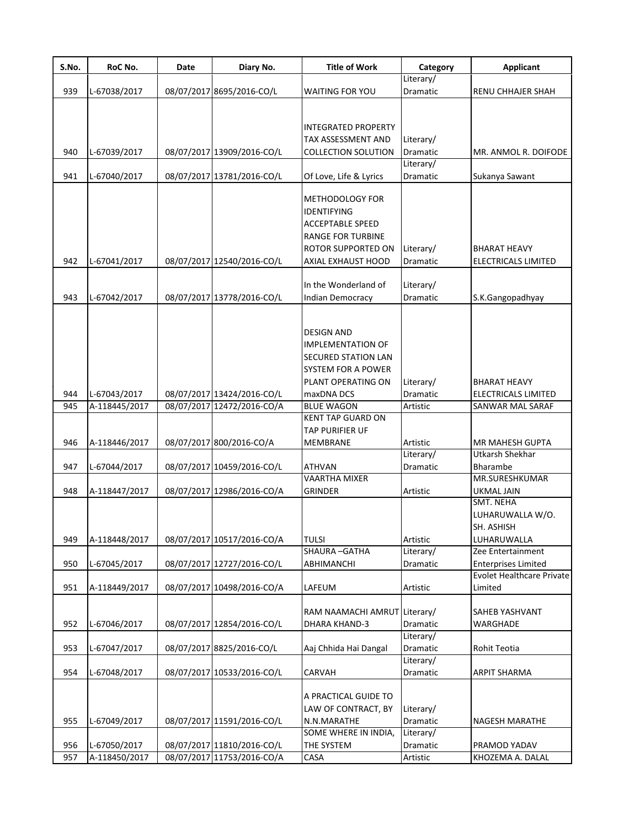| S.No. | RoC No.       | Date | Diary No.                  | <b>Title of Work</b>       | Category        | <b>Applicant</b>                 |
|-------|---------------|------|----------------------------|----------------------------|-----------------|----------------------------------|
|       |               |      |                            |                            | Literary/       |                                  |
| 939   | L-67038/2017  |      | 08/07/2017 8695/2016-CO/L  | <b>WAITING FOR YOU</b>     | <b>Dramatic</b> | <b>RENU CHHAJER SHAH</b>         |
|       |               |      |                            |                            |                 |                                  |
|       |               |      |                            |                            |                 |                                  |
|       |               |      |                            | <b>INTEGRATED PROPERTY</b> |                 |                                  |
|       |               |      |                            | TAX ASSESSMENT AND         | Literary/       |                                  |
| 940   | L-67039/2017  |      | 08/07/2017 13909/2016-CO/L | <b>COLLECTION SOLUTION</b> | <b>Dramatic</b> | MR. ANMOL R. DOIFODE             |
|       |               |      |                            |                            | Literary/       |                                  |
| 941   | L-67040/2017  |      | 08/07/2017 13781/2016-CO/L | Of Love, Life & Lyrics     | Dramatic        | Sukanya Sawant                   |
|       |               |      |                            |                            |                 |                                  |
|       |               |      |                            | METHODOLOGY FOR            |                 |                                  |
|       |               |      |                            | <b>IDENTIFYING</b>         |                 |                                  |
|       |               |      |                            | <b>ACCEPTABLE SPEED</b>    |                 |                                  |
|       |               |      |                            | <b>RANGE FOR TURBINE</b>   |                 |                                  |
|       |               |      |                            | <b>ROTOR SUPPORTED ON</b>  | Literary/       | <b>BHARAT HEAVY</b>              |
| 942   | L-67041/2017  |      | 08/07/2017 12540/2016-CO/L | AXIAL EXHAUST HOOD         | <b>Dramatic</b> | ELECTRICALS LIMITED              |
|       |               |      |                            |                            |                 |                                  |
|       |               |      |                            | In the Wonderland of       | Literary/       |                                  |
| 943   | L-67042/2017  |      | 08/07/2017 13778/2016-CO/L | <b>Indian Democracy</b>    | Dramatic        | S.K.Gangopadhyay                 |
|       |               |      |                            |                            |                 |                                  |
|       |               |      |                            |                            |                 |                                  |
|       |               |      |                            | <b>DESIGN AND</b>          |                 |                                  |
|       |               |      |                            | <b>IMPLEMENTATION OF</b>   |                 |                                  |
|       |               |      |                            | SECURED STATION LAN        |                 |                                  |
|       |               |      |                            | SYSTEM FOR A POWER         |                 |                                  |
|       |               |      |                            | PLANT OPERATING ON         | Literary/       | <b>BHARAT HEAVY</b>              |
| 944   | L-67043/2017  |      | 08/07/2017 13424/2016-CO/L | maxDNA DCS                 | <b>Dramatic</b> | ELECTRICALS LIMITED              |
| 945   | A-118445/2017 |      | 08/07/2017 12472/2016-CO/A | <b>BLUE WAGON</b>          | Artistic        | SANWAR MAL SARAF                 |
|       |               |      |                            | <b>KENT TAP GUARD ON</b>   |                 |                                  |
|       |               |      |                            | <b>TAP PURIFIER UF</b>     |                 |                                  |
| 946   | A-118446/2017 |      | 08/07/2017 800/2016-CO/A   | <b>MEMBRANE</b>            | Artistic        | <b>MR MAHESH GUPTA</b>           |
|       |               |      |                            |                            | Literary/       | Utkarsh Shekhar                  |
| 947   | L-67044/2017  |      | 08/07/2017 10459/2016-CO/L | <b>ATHVAN</b>              | <b>Dramatic</b> | Bharambe                         |
|       |               |      |                            | <b>VAARTHA MIXER</b>       |                 | MR.SURESHKUMAR                   |
| 948   | A-118447/2017 |      | 08/07/2017 12986/2016-CO/A | <b>GRINDER</b>             | Artistic        | <b>UKMAL JAIN</b>                |
|       |               |      |                            |                            |                 | SMT. NEHA                        |
|       |               |      |                            |                            |                 | LUHARUWALLA W/O.                 |
|       |               |      |                            |                            |                 | SH. ASHISH                       |
| 949   | A-118448/2017 |      | 08/07/2017 10517/2016-CO/A | <b>TULSI</b>               | Artistic        | LUHARUWALLA                      |
|       |               |      |                            | SHAURA-GATHA               | Literary/       | Zee Entertainment                |
| 950   | L-67045/2017  |      | 08/07/2017 12727/2016-CO/L | ABHIMANCHI                 | <b>Dramatic</b> | <b>Enterprises Limited</b>       |
|       |               |      |                            |                            |                 | <b>Evolet Healthcare Private</b> |
| 951   | A-118449/2017 |      | 08/07/2017 10498/2016-CO/A | LAFEUM                     | Artistic        | Limited                          |
|       |               |      |                            |                            |                 |                                  |
|       |               |      |                            | RAM NAAMACHI AMRUT         | Literary/       | SAHEB YASHVANT                   |
| 952   | L-67046/2017  |      | 08/07/2017 12854/2016-CO/L | DHARA KHAND-3              | Dramatic        | WARGHADE                         |
|       |               |      |                            |                            | Literary/       |                                  |
| 953   | L-67047/2017  |      | 08/07/2017 8825/2016-CO/L  | Aaj Chhida Hai Dangal      | Dramatic        | Rohit Teotia                     |
|       |               |      |                            |                            | Literary/       |                                  |
| 954   | L-67048/2017  |      | 08/07/2017 10533/2016-CO/L | CARVAH                     | Dramatic        | <b>ARPIT SHARMA</b>              |
|       |               |      |                            |                            |                 |                                  |
|       |               |      |                            | A PRACTICAL GUIDE TO       |                 |                                  |
|       |               |      |                            | LAW OF CONTRACT, BY        | Literary/       |                                  |
| 955   | L-67049/2017  |      | 08/07/2017 11591/2016-CO/L | N.N.MARATHE                | Dramatic        | NAGESH MARATHE                   |
|       |               |      |                            | SOME WHERE IN INDIA,       | Literary/       |                                  |
| 956   | L-67050/2017  |      | 08/07/2017 11810/2016-CO/L | THE SYSTEM                 | Dramatic        | PRAMOD YADAV                     |
| 957   | A-118450/2017 |      | 08/07/2017 11753/2016-CO/A | CASA                       | Artistic        | KHOZEMA A. DALAL                 |
|       |               |      |                            |                            |                 |                                  |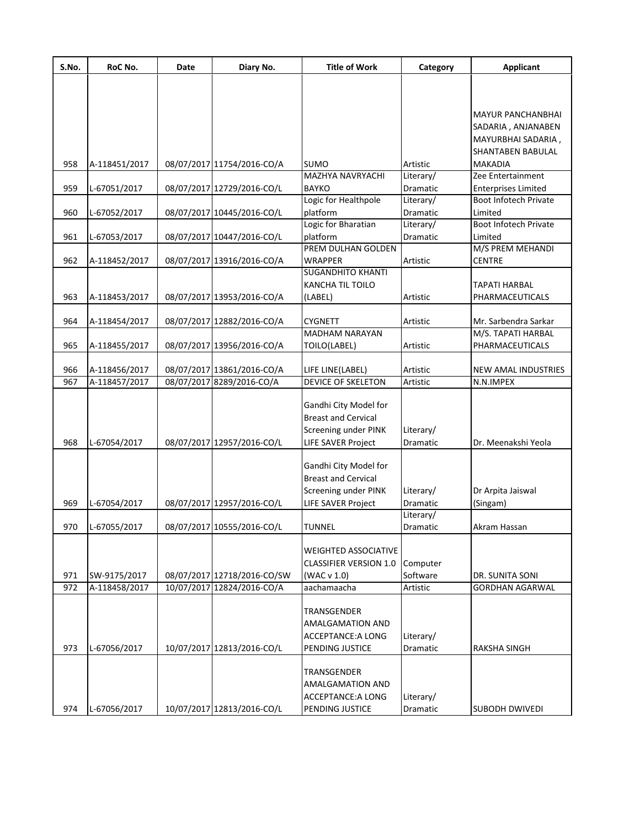| S.No. | RoC No.       | <b>Date</b> | Diary No.                   | <b>Title of Work</b>                                                                              | Category              | <b>Applicant</b>                           |
|-------|---------------|-------------|-----------------------------|---------------------------------------------------------------------------------------------------|-----------------------|--------------------------------------------|
|       |               |             |                             |                                                                                                   |                       |                                            |
|       |               |             |                             |                                                                                                   |                       |                                            |
|       |               |             |                             |                                                                                                   |                       | <b>MAYUR PANCHANBHAI</b>                   |
|       |               |             |                             |                                                                                                   |                       | SADARIA, ANJANABEN                         |
|       |               |             |                             |                                                                                                   |                       | MAYURBHAI SADARIA,                         |
|       |               |             |                             |                                                                                                   |                       | SHANTABEN BABULAL                          |
| 958   | A-118451/2017 |             | 08/07/2017 11754/2016-CO/A  | <b>SUMO</b>                                                                                       | Artistic              | <b>MAKADIA</b>                             |
|       |               |             |                             | <b>MAZHYA NAVRYACHI</b>                                                                           | Literary/             | Zee Entertainment                          |
| 959   | L-67051/2017  |             | 08/07/2017 12729/2016-CO/L  | <b>BAYKO</b>                                                                                      | Dramatic              | <b>Enterprises Limited</b>                 |
|       |               |             |                             | Logic for Healthpole                                                                              | Literary/             | Boot Infotech Private                      |
| 960   | L-67052/2017  |             | 08/07/2017 10445/2016-CO/L  | platform                                                                                          | Dramatic              | Limited                                    |
|       |               |             |                             | Logic for Bharatian                                                                               | Literary/             | Boot Infotech Private                      |
| 961   | L-67053/2017  |             | 08/07/2017 10447/2016-CO/L  | platform                                                                                          | Dramatic              | Limited                                    |
|       |               |             |                             | PREM DULHAN GOLDEN                                                                                |                       | M/S PREM MEHANDI                           |
| 962   | A-118452/2017 |             | 08/07/2017 13916/2016-CO/A  | <b>WRAPPER</b>                                                                                    | Artistic              | <b>CENTRE</b>                              |
|       |               |             |                             | <b>SUGANDHITO KHANTI</b>                                                                          |                       |                                            |
|       |               |             |                             | KANCHA TIL TOILO                                                                                  |                       | <b>TAPATI HARBAL</b>                       |
| 963   | A-118453/2017 |             | 08/07/2017 13953/2016-CO/A  | (LABEL)                                                                                           | Artistic              | PHARMACEUTICALS                            |
|       |               |             |                             |                                                                                                   |                       |                                            |
| 964   | A-118454/2017 |             | 08/07/2017 12882/2016-CO/A  | <b>CYGNETT</b><br><b>MADHAM NARAYAN</b>                                                           | Artistic              | Mr. Sarbendra Sarkar<br>M/S. TAPATI HARBAL |
|       |               |             |                             |                                                                                                   | Artistic              |                                            |
| 965   | A-118455/2017 |             | 08/07/2017 13956/2016-CO/A  | TOILO(LABEL)                                                                                      |                       | PHARMACEUTICALS                            |
| 966   | A-118456/2017 |             | 08/07/2017 13861/2016-CO/A  | LIFE LINE(LABEL)                                                                                  | Artistic              | <b>NEW AMAL INDUSTRIES</b>                 |
| 967   | A-118457/2017 |             | 08/07/2017 8289/2016-CO/A   | <b>DEVICE OF SKELETON</b>                                                                         | Artistic              | N.N.IMPEX                                  |
| 968   | L-67054/2017  |             | 08/07/2017 12957/2016-CO/L  | Gandhi City Model for<br><b>Breast and Cervical</b><br>Screening under PINK<br>LIFE SAVER Project | Literary/<br>Dramatic | Dr. Meenakshi Yeola                        |
|       |               |             |                             | Gandhi City Model for<br><b>Breast and Cervical</b><br>Screening under PINK                       | Literary/             | Dr Arpita Jaiswal                          |
| 969   | L-67054/2017  |             | 08/07/2017 12957/2016-CO/L  | <b>LIFE SAVER Project</b>                                                                         | Dramatic              | (Singam)                                   |
|       |               |             |                             |                                                                                                   | Literary/             |                                            |
| 970   | L-67055/2017  |             | 08/07/2017 10555/2016-CO/L  | TUNNEL                                                                                            | Dramatic              | Akram Hassan                               |
| 971   | SW-9175/2017  |             | 08/07/2017 12718/2016-CO/SW | <b>WEIGHTED ASSOCIATIVE</b><br><b>CLASSIFIER VERSION 1.0</b><br>(WAC v 1.0)                       | Computer<br>Software  | DR. SUNITA SONI                            |
| 972   | A-118458/2017 |             | 10/07/2017 12824/2016-CO/A  | aachamaacha                                                                                       | Artistic              | <b>GORDHAN AGARWAL</b>                     |
|       |               |             |                             |                                                                                                   |                       |                                            |
| 973   | L-67056/2017  |             | 10/07/2017 12813/2016-CO/L  | TRANSGENDER<br><b>AMALGAMATION AND</b><br><b>ACCEPTANCE: A LONG</b><br>PENDING JUSTICE            | Literary/<br>Dramatic | <b>RAKSHA SINGH</b>                        |
|       |               |             |                             | TRANSGENDER<br><b>AMALGAMATION AND</b><br>ACCEPTANCE: A LONG                                      | Literary/             |                                            |
| 974   | L-67056/2017  |             | 10/07/2017 12813/2016-CO/L  | PENDING JUSTICE                                                                                   | Dramatic              | <b>SUBODH DWIVEDI</b>                      |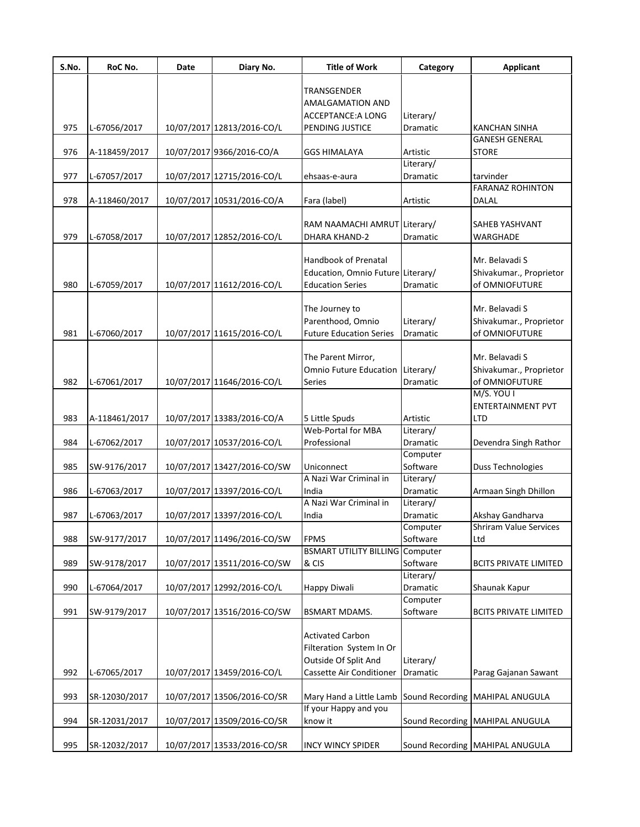| S.No. | RoC No.       | <b>Date</b> | Diary No.                   | <b>Title of Work</b>                   | Category               | <b>Applicant</b>                |
|-------|---------------|-------------|-----------------------------|----------------------------------------|------------------------|---------------------------------|
|       |               |             |                             | TRANSGENDER                            |                        |                                 |
|       |               |             |                             | AMALGAMATION AND                       |                        |                                 |
|       |               |             |                             | ACCEPTANCE: A LONG                     | Literary/              |                                 |
| 975   | L-67056/2017  |             | 10/07/2017 12813/2016-CO/L  | PENDING JUSTICE                        | <b>Dramatic</b>        | <b>KANCHAN SINHA</b>            |
|       |               |             |                             |                                        |                        | <b>GANESH GENERAL</b>           |
| 976   | A-118459/2017 |             | 10/07/2017 9366/2016-CO/A   | <b>GGS HIMALAYA</b>                    | Artistic               | <b>STORE</b>                    |
|       |               |             |                             |                                        | Literary/              |                                 |
| 977   | L-67057/2017  |             | 10/07/2017 12715/2016-CO/L  | ehsaas-e-aura                          | Dramatic               | tarvinder                       |
|       |               |             |                             |                                        |                        | <b>FARANAZ ROHINTON</b>         |
| 978   | A-118460/2017 |             | 10/07/2017 10531/2016-CO/A  | Fara (label)                           | Artistic               | DALAL                           |
|       |               |             |                             |                                        |                        |                                 |
|       |               |             |                             | RAM NAAMACHI AMRUT Literary/           |                        | SAHEB YASHVANT                  |
| 979   | L-67058/2017  |             | 10/07/2017 12852/2016-CO/L  | DHARA KHAND-2                          | Dramatic               | WARGHADE                        |
|       |               |             |                             |                                        |                        |                                 |
|       |               |             |                             | Handbook of Prenatal                   |                        | Mr. Belavadi S                  |
|       |               |             |                             | Education, Omnio Future Literary/      |                        | Shivakumar., Proprietor         |
| 980   | L-67059/2017  |             | 10/07/2017 11612/2016-CO/L  | <b>Education Series</b>                | <b>Dramatic</b>        | of OMNIOFUTURE                  |
|       |               |             |                             |                                        |                        | Mr. Belavadi S                  |
|       |               |             |                             | The Journey to<br>Parenthood, Omnio    | Literary/              | Shivakumar., Proprietor         |
| 981   | L-67060/2017  |             | 10/07/2017 11615/2016-CO/L  | <b>Future Education Series</b>         | Dramatic               | of OMNIOFUTURE                  |
|       |               |             |                             |                                        |                        |                                 |
|       |               |             |                             | The Parent Mirror,                     |                        | Mr. Belavadi S                  |
|       |               |             |                             | Omnio Future Education Literary/       |                        | Shivakumar., Proprietor         |
| 982   | L-67061/2017  |             | 10/07/2017 11646/2016-CO/L  | Series                                 | Dramatic               | of OMNIOFUTURE                  |
|       |               |             |                             |                                        |                        | M/S. YOU I                      |
|       |               |             |                             |                                        |                        | <b>ENTERTAINMENT PVT</b>        |
| 983   | A-118461/2017 |             | 10/07/2017 13383/2016-CO/A  | 5 Little Spuds                         | Artistic               | <b>LTD</b>                      |
|       |               |             |                             | <b>Web-Portal for MBA</b>              | Literary/              |                                 |
| 984   | L-67062/2017  |             | 10/07/2017 10537/2016-CO/L  | Professional                           | Dramatic               | Devendra Singh Rathor           |
|       |               |             |                             |                                        | Computer               |                                 |
| 985   | SW-9176/2017  |             | 10/07/2017 13427/2016-CO/SW | Uniconnect                             | Software               | Duss Technologies               |
|       |               |             |                             | A Nazi War Criminal in                 | Literary/              |                                 |
| 986   | L-67063/2017  |             | 10/07/2017 13397/2016-CO/L  | India                                  | Dramatic               | Armaan Singh Dhillon            |
|       |               |             |                             | A Nazi War Criminal in                 | Literary/              |                                 |
| 987   | L-67063/2017  |             | 10/07/2017 13397/2016-CO/L  | India                                  | Dramatic               | Akshay Gandharva                |
|       |               |             |                             |                                        | Computer               | <b>Shriram Value Services</b>   |
| 988   | SW-9177/2017  |             | 10/07/2017 11496/2016-CO/SW | <b>FPMS</b>                            | Software               | Ltd                             |
|       |               |             |                             | <b>BSMART UTILITY BILLING Computer</b> |                        |                                 |
| 989   | SW-9178/2017  |             | 10/07/2017 13511/2016-CO/SW | & CIS                                  | Software               | <b>BCITS PRIVATE LIMITED</b>    |
|       |               |             |                             |                                        | Literary/              |                                 |
| 990   | L-67064/2017  |             | 10/07/2017 12992/2016-CO/L  | Happy Diwali                           | Dramatic               | Shaunak Kapur                   |
|       |               |             |                             |                                        | Computer               |                                 |
| 991   | SW-9179/2017  |             | 10/07/2017 13516/2016-CO/SW | <b>BSMART MDAMS.</b>                   | Software               | <b>BCITS PRIVATE LIMITED</b>    |
|       |               |             |                             |                                        |                        |                                 |
|       |               |             |                             | <b>Activated Carbon</b>                |                        |                                 |
|       |               |             |                             | Filteration System In Or               |                        |                                 |
|       |               |             |                             | Outside Of Split And                   | Literary/              |                                 |
| 992   | L-67065/2017  |             | 10/07/2017 13459/2016-CO/L  | Cassette Air Conditioner               | Dramatic               | Parag Gajanan Sawant            |
|       |               |             |                             |                                        |                        |                                 |
| 993   | SR-12030/2017 |             | 10/07/2017 13506/2016-CO/SR | Mary Hand a Little Lamb                | Sound Recording        | MAHIPAL ANUGULA                 |
|       |               |             |                             | If your Happy and you                  |                        |                                 |
| 994   | SR-12031/2017 |             | 10/07/2017 13509/2016-CO/SR | know it                                | <b>Sound Recording</b> | MAHIPAL ANUGULA                 |
|       |               |             |                             |                                        |                        |                                 |
| 995   | SR-12032/2017 |             | 10/07/2017 13533/2016-CO/SR | <b>INCY WINCY SPIDER</b>               |                        | Sound Recording MAHIPAL ANUGULA |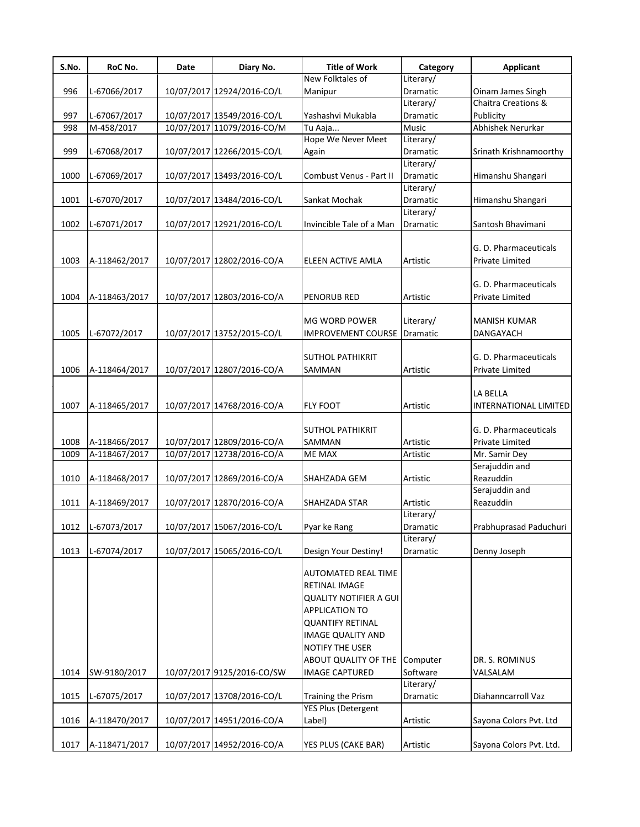| S.No. | RoC No.       | Date | Diary No.                  | <b>Title of Work</b>          | Category        | Applicant               |
|-------|---------------|------|----------------------------|-------------------------------|-----------------|-------------------------|
|       |               |      |                            | New Folktales of              | Literary/       |                         |
| 996   | L-67066/2017  |      | 10/07/2017 12924/2016-CO/L | Manipur                       | Dramatic        | Oinam James Singh       |
|       |               |      |                            |                               | Literary/       | Chaitra Creations &     |
| 997   | L-67067/2017  |      | 10/07/2017 13549/2016-CO/L | Yashashvi Mukabla             | Dramatic        | Publicity               |
| 998   | M-458/2017    |      | 10/07/2017 11079/2016-CO/M | Tu Aaja                       | <b>Music</b>    | Abhishek Nerurkar       |
|       |               |      |                            | Hope We Never Meet            | Literary/       |                         |
| 999   | L-67068/2017  |      | 10/07/2017 12266/2015-CO/L | Again                         | Dramatic        | Srinath Krishnamoorthy  |
|       |               |      |                            |                               | Literary/       |                         |
| 1000  | L-67069/2017  |      | 10/07/2017 13493/2016-CO/L | Combust Venus - Part II       | <b>Dramatic</b> | Himanshu Shangari       |
|       |               |      |                            |                               | Literary/       |                         |
| 1001  | L-67070/2017  |      | 10/07/2017 13484/2016-CO/L | Sankat Mochak                 | Dramatic        | Himanshu Shangari       |
|       |               |      |                            |                               | Literary/       |                         |
| 1002  | L-67071/2017  |      | 10/07/2017 12921/2016-CO/L | Invincible Tale of a Man      | Dramatic        | Santosh Bhavimani       |
|       |               |      |                            |                               |                 |                         |
|       |               |      |                            |                               |                 | G. D. Pharmaceuticals   |
| 1003  | A-118462/2017 |      | 10/07/2017 12802/2016-CO/A | ELEEN ACTIVE AMLA             | Artistic        | <b>Private Limited</b>  |
|       |               |      |                            |                               |                 |                         |
|       |               |      |                            |                               |                 | G. D. Pharmaceuticals   |
| 1004  | A-118463/2017 |      | 10/07/2017 12803/2016-CO/A | <b>PENORUB RED</b>            | Artistic        | <b>Private Limited</b>  |
|       |               |      |                            |                               |                 |                         |
|       |               |      |                            | <b>MG WORD POWER</b>          | Literary/       | <b>MANISH KUMAR</b>     |
| 1005  | L-67072/2017  |      | 10/07/2017 13752/2015-CO/L | <b>IMPROVEMENT COURSE</b>     | Dramatic        | DANGAYACH               |
|       |               |      |                            |                               |                 |                         |
|       |               |      |                            | <b>SUTHOL PATHIKRIT</b>       |                 | G. D. Pharmaceuticals   |
| 1006  | A-118464/2017 |      | 10/07/2017 12807/2016-CO/A | SAMMAN                        | Artistic        | Private Limited         |
|       |               |      |                            |                               |                 |                         |
|       |               |      |                            |                               |                 | LA BELLA                |
| 1007  | A-118465/2017 |      | 10/07/2017 14768/2016-CO/A | <b>FLY FOOT</b>               | Artistic        | INTERNATIONAL LIMITED   |
|       |               |      |                            |                               |                 |                         |
|       |               |      |                            | <b>SUTHOL PATHIKRIT</b>       |                 | G. D. Pharmaceuticals   |
| 1008  | A-118466/2017 |      | 10/07/2017 12809/2016-CO/A | <b>SAMMAN</b>                 | Artistic        | Private Limited         |
| 1009  | A-118467/2017 |      | 10/07/2017 12738/2016-CO/A | <b>ME MAX</b>                 | Artistic        | Mr. Samir Dey           |
|       |               |      |                            |                               |                 | Serajuddin and          |
| 1010  | A-118468/2017 |      | 10/07/2017 12869/2016-CO/A | SHAHZADA GEM                  | Artistic        | Reazuddin               |
|       |               |      |                            |                               |                 | Serajuddin and          |
| 1011  | A-118469/2017 |      | 10/07/2017 12870/2016-CO/A | SHAHZADA STAR                 | Artistic        | Reazuddin               |
|       |               |      |                            |                               | Literary/       |                         |
| 1012  | L-67073/2017  |      | 10/07/2017 15067/2016-CO/L | Pyar ke Rang                  | Dramatic        | Prabhuprasad Paduchuri  |
|       |               |      |                            |                               | Literary/       |                         |
| 1013  | L-67074/2017  |      | 10/07/2017 15065/2016-CO/L | Design Your Destiny!          | Dramatic        | Denny Joseph            |
|       |               |      |                            |                               |                 |                         |
|       |               |      |                            | <b>AUTOMATED REAL TIME</b>    |                 |                         |
|       |               |      |                            | RETINAL IMAGE                 |                 |                         |
|       |               |      |                            | <b>QUALITY NOTIFIER A GUI</b> |                 |                         |
|       |               |      |                            | <b>APPLICATION TO</b>         |                 |                         |
|       |               |      |                            | <b>QUANTIFY RETINAL</b>       |                 |                         |
|       |               |      |                            | <b>IMAGE QUALITY AND</b>      |                 |                         |
|       |               |      |                            | NOTIFY THE USER               |                 |                         |
|       |               |      |                            | ABOUT QUALITY OF THE          | Computer        | DR. S. ROMINUS          |
| 1014  | SW-9180/2017  |      | 10/07/2017 9125/2016-CO/SW | <b>IMAGE CAPTURED</b>         | Software        | VALSALAM                |
|       |               |      |                            |                               | Literary/       |                         |
| 1015  | L-67075/2017  |      | 10/07/2017 13708/2016-CO/L | Training the Prism            | Dramatic        | Diahanncarroll Vaz      |
|       |               |      |                            | YES Plus (Detergent           |                 |                         |
| 1016  | A-118470/2017 |      | 10/07/2017 14951/2016-CO/A | Label)                        | Artistic        | Sayona Colors Pvt. Ltd  |
|       |               |      |                            |                               |                 |                         |
| 1017  | A-118471/2017 |      | 10/07/2017 14952/2016-CO/A | YES PLUS (CAKE BAR)           | Artistic        | Sayona Colors Pvt. Ltd. |
|       |               |      |                            |                               |                 |                         |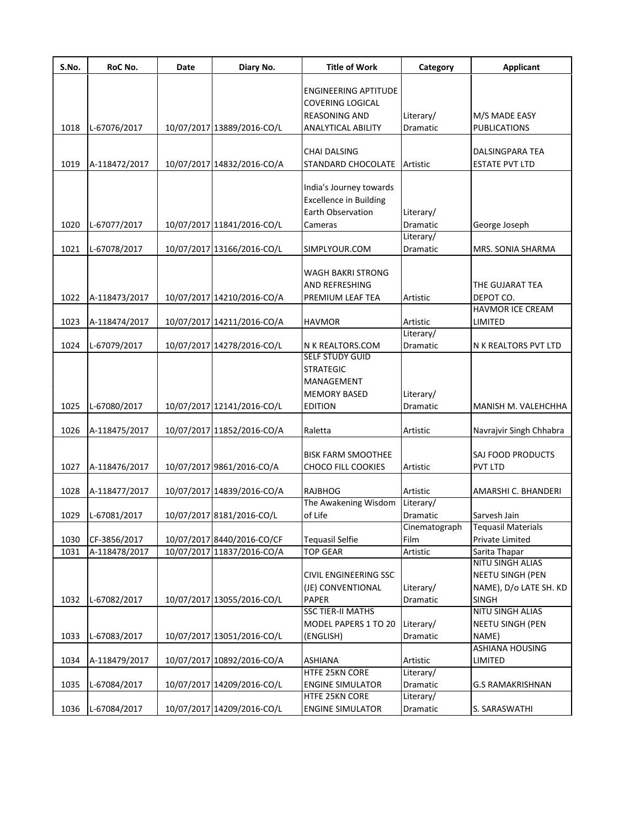| S.No. | RoC No.       | Date | Diary No.                  | <b>Title of Work</b>          | Category      | <b>Applicant</b>          |
|-------|---------------|------|----------------------------|-------------------------------|---------------|---------------------------|
|       |               |      |                            | <b>ENGINEERING APTITUDE</b>   |               |                           |
|       |               |      |                            | <b>COVERING LOGICAL</b>       |               |                           |
|       |               |      |                            | <b>REASONING AND</b>          | Literary/     | M/S MADE EASY             |
| 1018  | L-67076/2017  |      | 10/07/2017 13889/2016-CO/L | <b>ANALYTICAL ABILITY</b>     | Dramatic      | <b>PUBLICATIONS</b>       |
|       |               |      |                            |                               |               |                           |
|       |               |      |                            | <b>CHAI DALSING</b>           |               | DALSINGPARA TEA           |
| 1019  | A-118472/2017 |      | 10/07/2017 14832/2016-CO/A | STANDARD CHOCOLATE            | Artistic      | <b>ESTATE PVT LTD</b>     |
|       |               |      |                            |                               |               |                           |
|       |               |      |                            | India's Journey towards       |               |                           |
|       |               |      |                            | <b>Excellence in Building</b> |               |                           |
|       |               |      |                            | <b>Earth Observation</b>      | Literary/     |                           |
| 1020  | L-67077/2017  |      | 10/07/2017 11841/2016-CO/L | Cameras                       | Dramatic      | George Joseph             |
|       |               |      |                            |                               | Literary/     |                           |
| 1021  | L-67078/2017  |      | 10/07/2017 13166/2016-CO/L | SIMPLYOUR.COM                 | Dramatic      | MRS. SONIA SHARMA         |
|       |               |      |                            |                               |               |                           |
|       |               |      |                            | <b>WAGH BAKRI STRONG</b>      |               |                           |
|       |               |      |                            | <b>AND REFRESHING</b>         |               | THE GUJARAT TEA           |
| 1022  | A-118473/2017 |      | 10/07/2017 14210/2016-CO/A | PREMIUM LEAF TEA              | Artistic      | DEPOT CO.                 |
|       |               |      |                            |                               |               | <b>HAVMOR ICE CREAM</b>   |
| 1023  | A-118474/2017 |      | 10/07/2017 14211/2016-CO/A | <b>HAVMOR</b>                 | Artistic      | LIMITED                   |
|       |               |      |                            |                               | Literary/     |                           |
| 1024  | L-67079/2017  |      | 10/07/2017 14278/2016-CO/L | N K REALTORS.COM              | Dramatic      | N K REALTORS PVT LTD      |
|       |               |      |                            | <b>SELF STUDY GUID</b>        |               |                           |
|       |               |      |                            | <b>STRATEGIC</b>              |               |                           |
|       |               |      |                            | MANAGEMENT                    |               |                           |
|       |               |      |                            | <b>MEMORY BASED</b>           | Literary/     |                           |
| 1025  | L-67080/2017  |      | 10/07/2017 12141/2016-CO/L | <b>EDITION</b>                | Dramatic      | MANISH M. VALEHCHHA       |
| 1026  | A-118475/2017 |      | 10/07/2017 11852/2016-CO/A | Raletta                       | Artistic      | Navrajvir Singh Chhabra   |
|       |               |      |                            |                               |               |                           |
|       |               |      |                            | <b>BISK FARM SMOOTHEE</b>     |               | SAJ FOOD PRODUCTS         |
| 1027  | A-118476/2017 |      | 10/07/2017 9861/2016-CO/A  | <b>CHOCO FILL COOKIES</b>     | Artistic      | PVT LTD                   |
|       |               |      |                            |                               |               |                           |
| 1028  | A-118477/2017 |      | 10/07/2017 14839/2016-CO/A | RAJBHOG                       | Artistic      | AMARSHI C. BHANDERI       |
|       |               |      |                            | The Awakening Wisdom          | Literary/     |                           |
| 1029  | L-67081/2017  |      | 10/07/2017 8181/2016-CO/L  | of Life                       | Dramatic      | Sarvesh Jain              |
|       |               |      |                            |                               | Cinematograph | <b>Tequasil Materials</b> |
| 1030  | CF-3856/2017  |      | 10/07/2017 8440/2016-CO/CF | <b>Tequasil Selfie</b>        | Film          | <b>Private Limited</b>    |
| 1031  | A-118478/2017 |      | 10/07/2017 11837/2016-CO/A | <b>TOP GEAR</b>               | Artistic      | Sarita Thapar             |
|       |               |      |                            |                               |               | NITU SINGH ALIAS          |
|       |               |      |                            | CIVIL ENGINEERING SSC         |               | <b>NEETU SINGH (PEN</b>   |
|       |               |      |                            | (JE) CONVENTIONAL             | Literary/     | NAME), D/o LATE SH. KD    |
| 1032  | L-67082/2017  |      | 10/07/2017 13055/2016-CO/L | <b>PAPER</b>                  | Dramatic      | <b>SINGH</b>              |
|       |               |      |                            | <b>SSC TIER-II MATHS</b>      |               | NITU SINGH ALIAS          |
|       |               |      |                            | MODEL PAPERS 1 TO 20          | Literary/     | <b>NEETU SINGH (PEN</b>   |
| 1033  | L-67083/2017  |      | 10/07/2017 13051/2016-CO/L | (ENGLISH)                     | Dramatic      | NAME)                     |
|       |               |      |                            |                               |               | <b>ASHIANA HOUSING</b>    |
| 1034  | A-118479/2017 |      | 10/07/2017 10892/2016-CO/A | <b>ASHIANA</b>                | Artistic      | LIMITED                   |
|       |               |      |                            | HTFE 25KN CORE                | Literary/     |                           |
| 1035  | L-67084/2017  |      | 10/07/2017 14209/2016-CO/L | <b>ENGINE SIMULATOR</b>       | Dramatic      | <b>G.S RAMAKRISHNAN</b>   |
|       |               |      |                            | HTFE 25KN CORE                | Literary/     |                           |
| 1036  | L-67084/2017  |      | 10/07/2017 14209/2016-CO/L | <b>ENGINE SIMULATOR</b>       | Dramatic      | S. SARASWATHI             |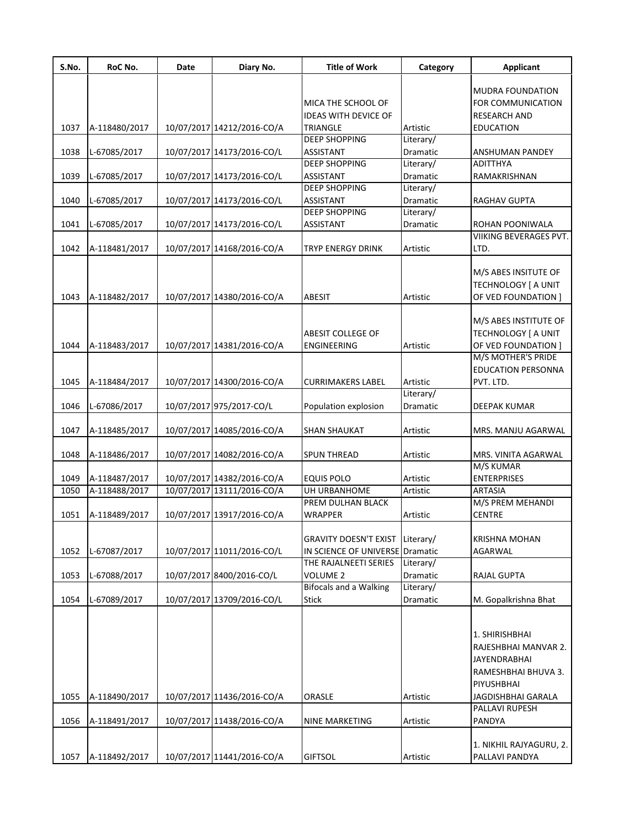| S.No. | RoC No.       | Date | Diary No.                  | <b>Title of Work</b>            | Category  | <b>Applicant</b>        |
|-------|---------------|------|----------------------------|---------------------------------|-----------|-------------------------|
|       |               |      |                            |                                 |           | <b>MUDRA FOUNDATION</b> |
|       |               |      |                            | MICA THE SCHOOL OF              |           | FOR COMMUNICATION       |
|       |               |      |                            | <b>IDEAS WITH DEVICE OF</b>     |           | <b>RESEARCH AND</b>     |
| 1037  | A-118480/2017 |      | 10/07/2017 14212/2016-CO/A | <b>TRIANGLE</b>                 | Artistic  | <b>EDUCATION</b>        |
|       |               |      |                            | <b>DEEP SHOPPING</b>            | Literary/ |                         |
| 1038  | L-67085/2017  |      | 10/07/2017 14173/2016-CO/L | ASSISTANT                       | Dramatic  | ANSHUMAN PANDEY         |
|       |               |      |                            | <b>DEEP SHOPPING</b>            | Literary/ | <b>ADITTHYA</b>         |
| 1039  | L-67085/2017  |      | 10/07/2017 14173/2016-CO/L | <b>ASSISTANT</b>                | Dramatic  | RAMAKRISHNAN            |
|       |               |      |                            | <b>DEEP SHOPPING</b>            | Literary/ |                         |
| 1040  | L-67085/2017  |      | 10/07/2017 14173/2016-CO/L | <b>ASSISTANT</b>                | Dramatic  | RAGHAV GUPTA            |
|       |               |      |                            | <b>DEEP SHOPPING</b>            | Literary/ |                         |
| 1041  | L-67085/2017  |      | 10/07/2017 14173/2016-CO/L | <b>ASSISTANT</b>                | Dramatic  | ROHAN POONIWALA         |
|       |               |      |                            |                                 |           | VIIKING BEVERAGES PVT.  |
| 1042  | A-118481/2017 |      | 10/07/2017 14168/2016-CO/A | TRYP ENERGY DRINK               | Artistic  | LTD.                    |
|       |               |      |                            |                                 |           |                         |
|       |               |      |                            |                                 |           | M/S ABES INSITUTE OF    |
|       |               |      |                            |                                 |           | TECHNOLOGY   A UNIT     |
| 1043  | A-118482/2017 |      | 10/07/2017 14380/2016-CO/A | <b>ABESIT</b>                   | Artistic  | OF VED FOUNDATION ]     |
|       |               |      |                            |                                 |           |                         |
|       |               |      |                            |                                 |           | M/S ABES INSTITUTE OF   |
|       |               |      |                            | ABESIT COLLEGE OF               |           | TECHNOLOGY [ A UNIT     |
| 1044  | A-118483/2017 |      | 10/07/2017 14381/2016-CO/A | <b>ENGINEERING</b>              | Artistic  | OF VED FOUNDATION ]     |
|       |               |      |                            |                                 |           | M/S MOTHER'S PRIDE      |
|       |               |      |                            |                                 |           | EDUCATION PERSONNA      |
| 1045  | A-118484/2017 |      | 10/07/2017 14300/2016-CO/A | <b>CURRIMAKERS LABEL</b>        | Artistic  | PVT. LTD.               |
|       |               |      |                            |                                 | Literary/ |                         |
| 1046  | L-67086/2017  |      | 10/07/2017 975/2017-CO/L   | Population explosion            | Dramatic  | DEEPAK KUMAR            |
|       |               |      |                            |                                 |           |                         |
| 1047  | A-118485/2017 |      | 10/07/2017 14085/2016-CO/A | <b>SHAN SHAUKAT</b>             | Artistic  | MRS. MANJU AGARWAL      |
|       |               |      |                            |                                 |           |                         |
| 1048  | A-118486/2017 |      | 10/07/2017 14082/2016-CO/A | <b>SPUN THREAD</b>              | Artistic  | MRS. VINITA AGARWAL     |
|       |               |      |                            |                                 |           | M/S KUMAR               |
| 1049  | A-118487/2017 |      | 10/07/2017 14382/2016-CO/A | <b>EQUIS POLO</b>               | Artistic  | <b>ENTERPRISES</b>      |
| 1050  | A-118488/2017 |      | 10/07/2017 13111/2016-CO/A | UH URBANHOME                    | Artistic  | <b>ARTASIA</b>          |
|       |               |      |                            | PREM DULHAN BLACK               |           | M/S PREM MEHANDI        |
| 1051  | A-118489/2017 |      | 10/07/2017 13917/2016-CO/A | <b>WRAPPER</b>                  | Artistic  | <b>CENTRE</b>           |
|       |               |      |                            |                                 |           |                         |
|       |               |      |                            | <b>GRAVITY DOESN'T EXIST</b>    | Literary/ | <b>KRISHNA MOHAN</b>    |
| 1052  | L-67087/2017  |      | 10/07/2017 11011/2016-CO/L | IN SCIENCE OF UNIVERSE Dramatic |           | AGARWAL                 |
|       |               |      |                            | THE RAJALNEETI SERIES           | Literary/ |                         |
| 1053  | L-67088/2017  |      | 10/07/2017 8400/2016-CO/L  | <b>VOLUME 2</b>                 | Dramatic  | RAJAL GUPTA             |
|       |               |      |                            | <b>Bifocals and a Walking</b>   | Literary/ |                         |
| 1054  | L-67089/2017  |      | 10/07/2017 13709/2016-CO/L | <b>Stick</b>                    | Dramatic  | M. Gopalkrishna Bhat    |
|       |               |      |                            |                                 |           |                         |
|       |               |      |                            |                                 |           |                         |
|       |               |      |                            |                                 |           | 1. SHIRISHBHAI          |
|       |               |      |                            |                                 |           | RAJESHBHAI MANVAR 2.    |
|       |               |      |                            |                                 |           | JAYENDRABHAI            |
|       |               |      |                            |                                 |           | RAMESHBHAI BHUVA 3.     |
|       |               |      |                            |                                 |           | PIYUSHBHAI              |
| 1055  | A-118490/2017 |      | 10/07/2017 11436/2016-CO/A | ORASLE                          | Artistic  | JAGDISHBHAI GARALA      |
|       |               |      |                            |                                 |           | PALLAVI RUPESH          |
| 1056  | A-118491/2017 |      | 10/07/2017 11438/2016-CO/A | <b>NINE MARKETING</b>           | Artistic  | PANDYA                  |
|       |               |      |                            |                                 |           |                         |
|       |               |      |                            |                                 |           | 1. NIKHIL RAJYAGURU, 2. |
| 1057  | A-118492/2017 |      | 10/07/2017 11441/2016-CO/A | <b>GIFTSOL</b>                  | Artistic  | PALLAVI PANDYA          |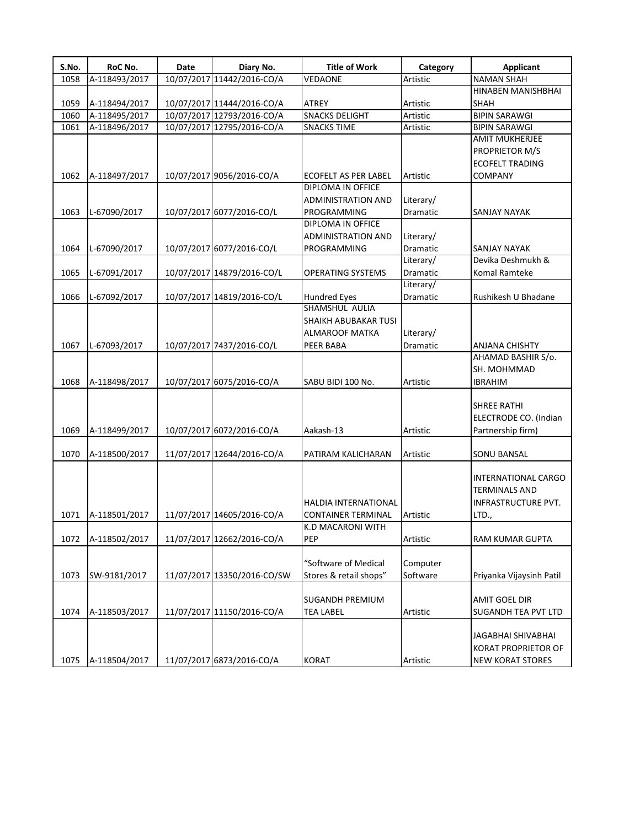| S.No. | RoC No.       | Date | Diary No.                   | <b>Title of Work</b>        | Category  | <b>Applicant</b>         |
|-------|---------------|------|-----------------------------|-----------------------------|-----------|--------------------------|
| 1058  | A-118493/2017 |      | 10/07/2017 11442/2016-CO/A  | VEDAONE                     | Artistic  | <b>NAMAN SHAH</b>        |
|       |               |      |                             |                             |           | HINABEN MANISHBHAI       |
| 1059  | A-118494/2017 |      | 10/07/2017 11444/2016-CO/A  | <b>ATREY</b>                | Artistic  | SHAH                     |
| 1060  | A-118495/2017 |      | 10/07/2017 12793/2016-CO/A  | <b>SNACKS DELIGHT</b>       | Artistic  | <b>BIPIN SARAWGI</b>     |
| 1061  | A-118496/2017 |      | 10/07/2017 12795/2016-CO/A  | <b>SNACKS TIME</b>          | Artistic  | <b>BIPIN SARAWGI</b>     |
|       |               |      |                             |                             |           | <b>AMIT MUKHERJEE</b>    |
|       |               |      |                             |                             |           | PROPRIETOR M/S           |
|       |               |      |                             |                             |           | <b>ECOFELT TRADING</b>   |
| 1062  | A-118497/2017 |      | 10/07/2017 9056/2016-CO/A   | <b>ECOFELT AS PER LABEL</b> | Artistic  | COMPANY                  |
|       |               |      |                             | DIPLOMA IN OFFICE           |           |                          |
|       |               |      |                             | <b>ADMINISTRATION AND</b>   | Literary/ |                          |
| 1063  | L-67090/2017  |      | 10/07/2017 6077/2016-CO/L   | PROGRAMMING                 | Dramatic  | SANJAY NAYAK             |
|       |               |      |                             | DIPLOMA IN OFFICE           |           |                          |
|       |               |      |                             | <b>ADMINISTRATION AND</b>   | Literary/ |                          |
| 1064  | L-67090/2017  |      | 10/07/2017 6077/2016-CO/L   | PROGRAMMING                 | Dramatic  | <b>SANJAY NAYAK</b>      |
|       |               |      |                             |                             | Literary/ | Devika Deshmukh &        |
| 1065  | L-67091/2017  |      | 10/07/2017 14879/2016-CO/L  | <b>OPERATING SYSTEMS</b>    | Dramatic  | Komal Ramteke            |
|       |               |      |                             |                             | Literary/ |                          |
| 1066  | L-67092/2017  |      | 10/07/2017 14819/2016-CO/L  | <b>Hundred Eyes</b>         | Dramatic  | Rushikesh U Bhadane      |
|       |               |      |                             | SHAMSHUL AULIA              |           |                          |
|       |               |      |                             | SHAIKH ABUBAKAR TUSI        |           |                          |
|       |               |      |                             | ALMAROOF MATKA              | Literary/ |                          |
| 1067  | L-67093/2017  |      | 10/07/2017 7437/2016-CO/L   | PEER BABA                   | Dramatic  | <b>ANJANA CHISHTY</b>    |
|       |               |      |                             |                             |           | AHAMAD BASHIR S/o.       |
|       |               |      |                             |                             |           | SH. MOHMMAD              |
| 1068  | A-118498/2017 |      | 10/07/2017 6075/2016-CO/A   | SABU BIDI 100 No.           | Artistic  | <b>IBRAHIM</b>           |
|       |               |      |                             |                             |           |                          |
|       |               |      |                             |                             |           | SHREE RATHI              |
|       |               |      |                             |                             |           | ELECTRODE CO. (Indian    |
| 1069  | A-118499/2017 |      | 10/07/2017 6072/2016-CO/A   | Aakash-13                   | Artistic  | Partnership firm)        |
|       |               |      |                             |                             |           |                          |
| 1070  | A-118500/2017 |      | 11/07/2017 12644/2016-CO/A  | PATIRAM KALICHARAN          | Artistic  | SONU BANSAL              |
|       |               |      |                             |                             |           |                          |
|       |               |      |                             |                             |           | INTERNATIONAL CARGO      |
|       |               |      |                             |                             |           | TERMINALS AND            |
|       |               |      |                             | <b>HALDIA INTERNATIONAL</b> |           | INFRASTRUCTURE PVT.      |
| 1071  | A-118501/2017 |      | 11/07/2017 14605/2016-CO/A  | <b>CONTAINER TERMINAL</b>   | Artistic  | LTD.,                    |
|       |               |      |                             | K.D MACARONI WITH           |           |                          |
| 1072  | A-118502/2017 |      | 11/07/2017 12662/2016-CO/A  | PEP                         | Artistic  | <b>RAM KUMAR GUPTA</b>   |
|       |               |      |                             |                             |           |                          |
|       |               |      |                             | "Software of Medical        | Computer  |                          |
| 1073  | SW-9181/2017  |      | 11/07/2017 13350/2016-CO/SW | Stores & retail shops"      | Software  | Priyanka Vijaysinh Patil |
|       |               |      |                             |                             |           |                          |
|       |               |      |                             | <b>SUGANDH PREMIUM</b>      |           | AMIT GOEL DIR            |
| 1074  | A-118503/2017 |      | 11/07/2017 11150/2016-CO/A  | <b>TEA LABEL</b>            | Artistic  | SUGANDH TEA PVT LTD      |
|       |               |      |                             |                             |           |                          |
|       |               |      |                             |                             |           | JAGABHAI SHIVABHAI       |
|       |               |      |                             |                             |           | KORAT PROPRIETOR OF      |
| 1075  | A-118504/2017 |      | 11/07/2017 6873/2016-CO/A   | <b>KORAT</b>                | Artistic  | <b>NEW KORAT STORES</b>  |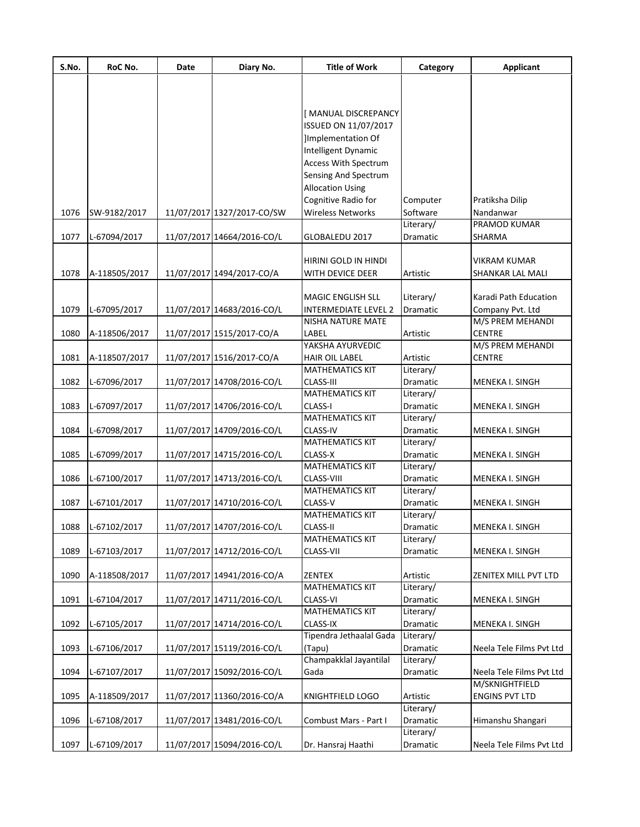| S.No. | RoC No.       | Date | Diary No.                  | <b>Title of Work</b>             | Category              | <b>Applicant</b>         |
|-------|---------------|------|----------------------------|----------------------------------|-----------------------|--------------------------|
|       |               |      |                            |                                  |                       |                          |
|       |               |      |                            |                                  |                       |                          |
|       |               |      |                            | [MANUAL DISCREPANCY              |                       |                          |
|       |               |      |                            | ISSUED ON 11/07/2017             |                       |                          |
|       |               |      |                            | Implementation Of                |                       |                          |
|       |               |      |                            | Intelligent Dynamic              |                       |                          |
|       |               |      |                            | Access With Spectrum             |                       |                          |
|       |               |      |                            | Sensing And Spectrum             |                       |                          |
|       |               |      |                            | <b>Allocation Using</b>          |                       |                          |
|       |               |      |                            | Cognitive Radio for              | Computer              | Pratiksha Dilip          |
| 1076  | SW-9182/2017  |      | 11/07/2017 1327/2017-CO/SW | <b>Wireless Networks</b>         | Software              | Nandanwar                |
|       |               |      |                            |                                  | Literary/             | PRAMOD KUMAR             |
| 1077  | L-67094/2017  |      | 11/07/2017 14664/2016-CO/L | GLOBALEDU 2017                   | Dramatic              | SHARMA                   |
|       |               |      |                            |                                  |                       |                          |
|       |               |      |                            | HIRINI GOLD IN HINDI             |                       | <b>VIKRAM KUMAR</b>      |
| 1078  | A-118505/2017 |      | 11/07/2017 1494/2017-CO/A  | WITH DEVICE DEER                 | Artistic              | SHANKAR LAL MALI         |
|       |               |      |                            | <b>MAGIC ENGLISH SLL</b>         | Literary/             | Karadi Path Education    |
| 1079  | L-67095/2017  |      | 11/07/2017 14683/2016-CO/L | <b>INTERMEDIATE LEVEL 2</b>      | Dramatic              | Company Pvt. Ltd         |
|       |               |      |                            | NISHA NATURE MATE                |                       | M/S PREM MEHANDI         |
| 1080  | A-118506/2017 |      | 11/07/2017 1515/2017-CO/A  | LABEL                            | Artistic              | <b>CENTRE</b>            |
|       |               |      |                            | YAKSHA AYURVEDIC                 |                       | M/S PREM MEHANDI         |
| 1081  | A-118507/2017 |      | 11/07/2017 1516/2017-CO/A  | HAIR OIL LABEL                   | Artistic              | <b>CENTRE</b>            |
|       |               |      |                            | <b>MATHEMATICS KIT</b>           | Literary/             |                          |
| 1082  | L-67096/2017  |      | 11/07/2017 14708/2016-CO/L | <b>CLASS-III</b>                 | Dramatic              | MENEKA I. SINGH          |
|       |               |      |                            | <b>MATHEMATICS KIT</b>           | Literary/             |                          |
| 1083  | L-67097/2017  |      | 11/07/2017 14706/2016-CO/L | CLASS-I                          | Dramatic              | MENEKA I. SINGH          |
|       |               |      |                            | <b>MATHEMATICS KIT</b>           | Literary/             |                          |
| 1084  | L-67098/2017  |      | 11/07/2017 14709/2016-CO/L | CLASS-IV                         | Dramatic              | MENEKA I. SINGH          |
|       |               |      |                            | <b>MATHEMATICS KIT</b>           | Literary/             |                          |
| 1085  | L-67099/2017  |      | 11/07/2017 14715/2016-CO/L | CLASS-X                          | Dramatic              | MENEKA I. SINGH          |
|       |               |      |                            | <b>MATHEMATICS KIT</b>           | Literary/             |                          |
| 1086  | L-67100/2017  |      | 11/07/2017 14713/2016-CO/L | CLASS-VIII                       | Dramatic              | MENEKA I. SINGH          |
|       |               |      |                            | <b>MATHEMATICS KIT</b>           | Literary/             |                          |
| 1087  | L-67101/2017  |      | 11/07/2017 14710/2016-CO/L | CLASS-V                          | Dramatic              | MENEKA I. SINGH          |
|       |               |      |                            | <b>MATHEMATICS KIT</b>           | Literary/             |                          |
| 1088  | L-67102/2017  |      | 11/07/2017 14707/2016-CO/L | CLASS-II                         | Dramatic              | MENEKA I. SINGH          |
|       |               |      |                            | <b>MATHEMATICS KIT</b>           | Literary/             |                          |
| 1089  | L-67103/2017  |      | 11/07/2017 14712/2016-CO/L | CLASS-VII                        | Dramatic              | MENEKA I. SINGH          |
|       |               |      |                            |                                  |                       |                          |
| 1090  | A-118508/2017 |      | 11/07/2017 14941/2016-CO/A | ZENTEX                           | Artistic              | ZENITEX MILL PVT LTD     |
|       |               |      |                            | <b>MATHEMATICS KIT</b>           | Literary/             |                          |
| 1091  | L-67104/2017  |      | 11/07/2017 14711/2016-CO/L | CLASS-VI                         | Dramatic              | MENEKA I. SINGH          |
|       |               |      |                            | <b>MATHEMATICS KIT</b>           | Literary/             |                          |
| 1092  | L-67105/2017  |      | 11/07/2017 14714/2016-CO/L | <b>CLASS-IX</b>                  | Dramatic              | MENEKA I. SINGH          |
|       |               |      |                            | Tipendra Jethaalal Gada          | Literary/             |                          |
| 1093  | L-67106/2017  |      | 11/07/2017 15119/2016-CO/L | (Tapu)<br>Champakklal Jayantilal | Dramatic              | Neela Tele Films Pvt Ltd |
|       |               |      |                            |                                  | Literary/             |                          |
| 1094  | L-67107/2017  |      | 11/07/2017 15092/2016-CO/L | Gada                             | Dramatic              | Neela Tele Films Pvt Ltd |
|       |               |      |                            |                                  |                       | M/SKNIGHTFIELD           |
| 1095  | A-118509/2017 |      | 11/07/2017 11360/2016-CO/A | KNIGHTFIELD LOGO                 | Artistic<br>Literary/ | <b>ENGINS PVT LTD</b>    |
| 1096  | L-67108/2017  |      | 11/07/2017 13481/2016-CO/L | Combust Mars - Part I            | Dramatic              | Himanshu Shangari        |
|       |               |      |                            |                                  | Literary/             |                          |
| 1097  | L-67109/2017  |      | 11/07/2017 15094/2016-CO/L | Dr. Hansraj Haathi               | Dramatic              | Neela Tele Films Pvt Ltd |
|       |               |      |                            |                                  |                       |                          |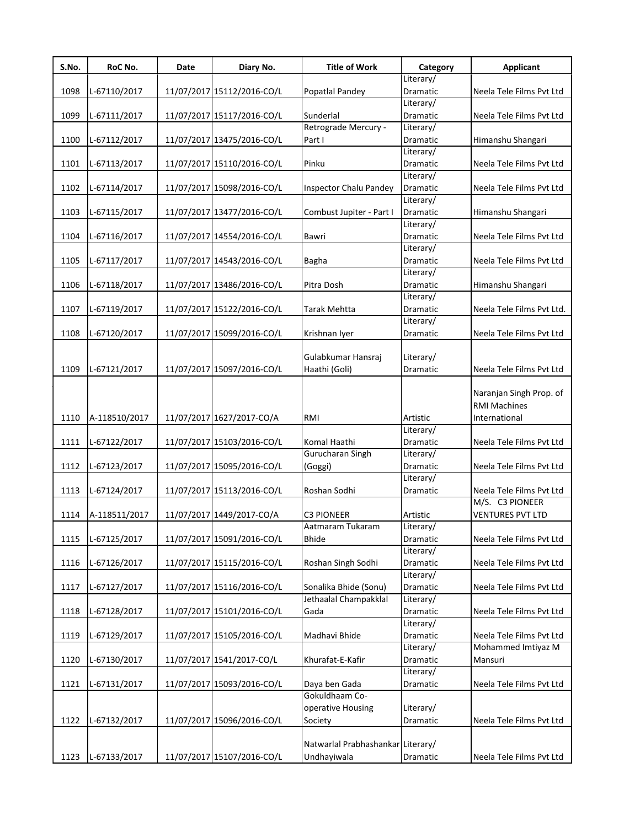| S.No. | RoC No.       | Date | Diary No.                  | <b>Title of Work</b>              | Category              | Applicant                 |
|-------|---------------|------|----------------------------|-----------------------------------|-----------------------|---------------------------|
|       |               |      |                            |                                   | Literary/             |                           |
| 1098  | L-67110/2017  |      | 11/07/2017 15112/2016-CO/L | Popatlal Pandey                   | Dramatic              | Neela Tele Films Pvt Ltd  |
|       |               |      |                            |                                   | Literary/             |                           |
| 1099  | L-67111/2017  |      | 11/07/2017 15117/2016-CO/L | Sunderlal                         | Dramatic              | Neela Tele Films Pvt Ltd  |
|       |               |      |                            | Retrograde Mercury -              | Literary/             |                           |
| 1100  | L-67112/2017  |      | 11/07/2017 13475/2016-CO/L | Part I                            | Dramatic              | Himanshu Shangari         |
|       |               |      |                            |                                   | Literary/             |                           |
| 1101  | L-67113/2017  |      | 11/07/2017 15110/2016-CO/L | Pinku                             | Dramatic              | Neela Tele Films Pvt Ltd  |
| 1102  |               |      | 11/07/2017 15098/2016-CO/L |                                   | Literary/<br>Dramatic | Neela Tele Films Pvt Ltd  |
|       | L-67114/2017  |      |                            | Inspector Chalu Pandey            | Literary/             |                           |
| 1103  | L-67115/2017  |      | 11/07/2017 13477/2016-CO/L | Combust Jupiter - Part I          | Dramatic              | Himanshu Shangari         |
|       |               |      |                            |                                   | Literary/             |                           |
| 1104  | L-67116/2017  |      | 11/07/2017 14554/2016-CO/L | Bawri                             | Dramatic              | Neela Tele Films Pvt Ltd  |
|       |               |      |                            |                                   | Literary/             |                           |
| 1105  | L-67117/2017  |      | 11/07/2017 14543/2016-CO/L | <b>Bagha</b>                      | Dramatic              | Neela Tele Films Pvt Ltd  |
|       |               |      |                            |                                   | Literary/             |                           |
| 1106  | L-67118/2017  |      | 11/07/2017 13486/2016-CO/L | Pitra Dosh                        | Dramatic              | Himanshu Shangari         |
|       |               |      |                            |                                   | Literary/             |                           |
| 1107  | L-67119/2017  |      | 11/07/2017 15122/2016-CO/L | Tarak Mehtta                      | Dramatic              | Neela Tele Films Pvt Ltd. |
|       |               |      |                            |                                   | Literary/             |                           |
| 1108  | L-67120/2017  |      | 11/07/2017 15099/2016-CO/L | Krishnan Iyer                     | Dramatic              | Neela Tele Films Pvt Ltd  |
|       |               |      |                            |                                   |                       |                           |
|       |               |      |                            | Gulabkumar Hansraj                | Literary/             |                           |
| 1109  | L-67121/2017  |      | 11/07/2017 15097/2016-CO/L | Haathi (Goli)                     | Dramatic              | Neela Tele Films Pvt Ltd  |
|       |               |      |                            |                                   |                       |                           |
|       |               |      |                            |                                   |                       | Naranjan Singh Prop. of   |
|       |               |      |                            |                                   |                       | <b>RMI Machines</b>       |
| 1110  | A-118510/2017 |      | 11/07/2017 1627/2017-CO/A  | RMI                               | Artistic              | International             |
|       |               |      |                            |                                   | Literary/             |                           |
| 1111  | L-67122/2017  |      | 11/07/2017 15103/2016-CO/L | Komal Haathi                      | Dramatic              | Neela Tele Films Pvt Ltd  |
|       |               |      |                            | Gurucharan Singh                  | Literary/             |                           |
| 1112  | L-67123/2017  |      | 11/07/2017 15095/2016-CO/L | (Goggi)                           | Dramatic              | Neela Tele Films Pvt Ltd  |
|       |               |      |                            |                                   | Literary/             |                           |
| 1113  | L-67124/2017  |      | 11/07/2017 15113/2016-CO/L | Roshan Sodhi                      | Dramatic              | Neela Tele Films Pvt Ltd  |
|       |               |      |                            |                                   |                       | M/S. C3 PIONEER           |
| 1114  | A-118511/2017 |      | 11/07/2017 1449/2017-CO/A  | <b>C3 PIONEER</b>                 | Artistic              | <b>VENTURES PVT LTD</b>   |
|       |               |      |                            | Aatmaram Tukaram                  | Literary/             |                           |
| 1115  | L-67125/2017  |      | 11/07/2017 15091/2016-CO/L | <b>Bhide</b>                      | Dramatic              | Neela Tele Films Pvt Ltd  |
|       |               |      |                            |                                   | Literary/             |                           |
| 1116  | L-67126/2017  |      | 11/07/2017 15115/2016-CO/L | Roshan Singh Sodhi                | Dramatic              | Neela Tele Films Pvt Ltd  |
|       |               |      |                            |                                   | Literary/             |                           |
| 1117  | L-67127/2017  |      | 11/07/2017 15116/2016-CO/L | Sonalika Bhide (Sonu)             | Dramatic              | Neela Tele Films Pvt Ltd  |
|       |               |      |                            | Jethaalal Champakklal             | Literary/             |                           |
| 1118  | L-67128/2017  |      | 11/07/2017 15101/2016-CO/L | Gada                              | Dramatic              | Neela Tele Films Pvt Ltd  |
|       |               |      |                            |                                   | Literary/             |                           |
| 1119  | L-67129/2017  |      | 11/07/2017 15105/2016-CO/L | Madhavi Bhide                     | Dramatic              | Neela Tele Films Pvt Ltd  |
|       |               |      |                            |                                   | Literary/             | Mohammed Imtiyaz M        |
| 1120  | L-67130/2017  |      | 11/07/2017 1541/2017-CO/L  | Khurafat-E-Kafir                  | Dramatic              | Mansuri                   |
|       |               |      |                            |                                   | Literary/             |                           |
| 1121  | L-67131/2017  |      | 11/07/2017 15093/2016-CO/L | Daya ben Gada                     | Dramatic              | Neela Tele Films Pvt Ltd  |
|       |               |      |                            | Gokuldhaam Co-                    |                       |                           |
|       |               |      |                            | operative Housing                 | Literary/             |                           |
| 1122  | L-67132/2017  |      | 11/07/2017 15096/2016-CO/L | Society                           | Dramatic              | Neela Tele Films Pvt Ltd  |
|       |               |      |                            |                                   |                       |                           |
|       |               |      |                            | Natwarlal Prabhashankar Literary/ |                       |                           |
| 1123  | L-67133/2017  |      | 11/07/2017 15107/2016-CO/L | Undhayiwala                       | Dramatic              | Neela Tele Films Pvt Ltd  |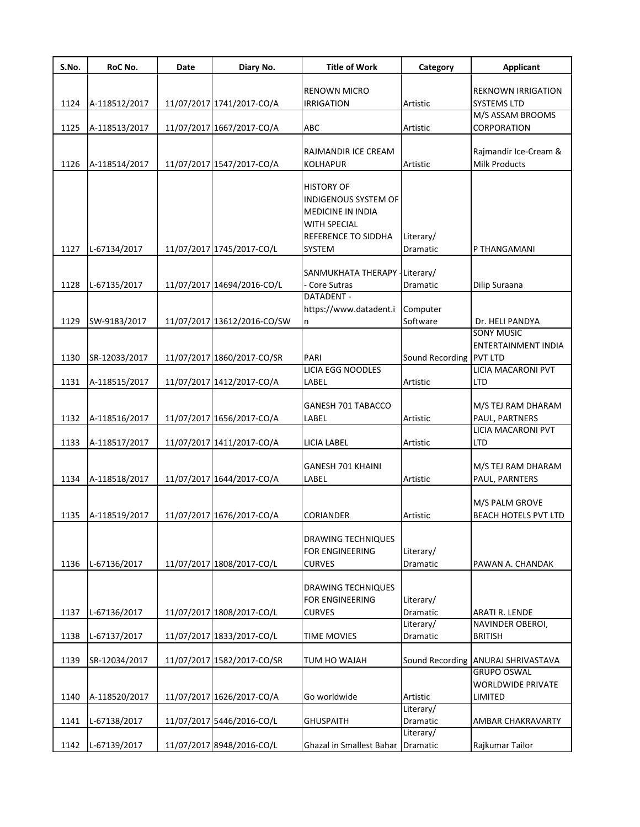| S.No. | RoC No.       | Date | Diary No.                   | <b>Title of Work</b>              | Category                | <b>Applicant</b>                     |
|-------|---------------|------|-----------------------------|-----------------------------------|-------------------------|--------------------------------------|
|       |               |      |                             | <b>RENOWN MICRO</b>               |                         | <b>REKNOWN IRRIGATION</b>            |
| 1124  | A-118512/2017 |      | 11/07/2017 1741/2017-CO/A   | <b>IRRIGATION</b>                 | Artistic                | <b>SYSTEMS LTD</b>                   |
|       |               |      |                             |                                   |                         | M/S ASSAM BROOMS                     |
| 1125  | A-118513/2017 |      | 11/07/2017 1667/2017-CO/A   | ABC                               | Artistic                | CORPORATION                          |
|       |               |      |                             |                                   |                         |                                      |
|       |               |      |                             | RAJMANDIR ICE CREAM               |                         | Rajmandir Ice-Cream &                |
| 1126  | A-118514/2017 |      | 11/07/2017 1547/2017-CO/A   | <b>KOLHAPUR</b>                   | Artistic                | <b>Milk Products</b>                 |
|       |               |      |                             | <b>HISTORY OF</b>                 |                         |                                      |
|       |               |      |                             | <b>INDIGENOUS SYSTEM OF</b>       |                         |                                      |
|       |               |      |                             | <b>MEDICINE IN INDIA</b>          |                         |                                      |
|       |               |      |                             | <b>WITH SPECIAL</b>               |                         |                                      |
|       |               |      |                             | REFERENCE TO SIDDHA               | Literary/               |                                      |
| 1127  | L-67134/2017  |      | 11/07/2017 1745/2017-CO/L   | <b>SYSTEM</b>                     | Dramatic                | P THANGAMANI                         |
|       |               |      |                             |                                   |                         |                                      |
|       |               |      |                             | SANMUKHATA THERAPY                | Literary/               |                                      |
| 1128  | L-67135/2017  |      | 11/07/2017 14694/2016-CO/L  | Core Sutras                       | Dramatic                | Dilip Suraana                        |
|       |               |      |                             | DATADENT -                        |                         |                                      |
|       |               |      |                             | https://www.datadent.i            | Computer                |                                      |
| 1129  | SW-9183/2017  |      | 11/07/2017 13612/2016-CO/SW | n                                 | Software                | Dr. HELI PANDYA<br><b>SONY MUSIC</b> |
|       |               |      |                             |                                   |                         | ENTERTAINMENT INDIA                  |
| 1130  | SR-12033/2017 |      | 11/07/2017 1860/2017-CO/SR  | PARI                              | Sound Recording PVT LTD |                                      |
|       |               |      |                             | <b>LICIA EGG NOODLES</b>          |                         | LICIA MACARONI PVT                   |
| 1131  | A-118515/2017 |      | 11/07/2017 1412/2017-CO/A   | LABEL                             | Artistic                | <b>LTD</b>                           |
|       |               |      |                             |                                   |                         |                                      |
|       |               |      |                             | GANESH 701 TABACCO                |                         | M/S TEJ RAM DHARAM                   |
| 1132  | A-118516/2017 |      | 11/07/2017 1656/2017-CO/A   | LABEL                             | Artistic                | PAUL, PARTNERS                       |
|       |               |      |                             |                                   |                         | <b>LICIA MACARONI PVT</b>            |
| 1133  | A-118517/2017 |      | 11/07/2017 1411/2017-CO/A   | <b>LICIA LABEL</b>                | Artistic                | LTD                                  |
|       |               |      |                             |                                   |                         |                                      |
|       |               |      |                             | GANESH 701 KHAINI                 |                         | M/S TEJ RAM DHARAM                   |
| 1134  | A-118518/2017 |      | 11/07/2017 1644/2017-CO/A   | LABEL                             | Artistic                | PAUL, PARNTERS                       |
|       |               |      |                             |                                   |                         | M/S PALM GROVE                       |
| 1135  | A-118519/2017 |      | 11/07/2017 1676/2017-CO/A   | <b>CORIANDER</b>                  | Artistic                | BEACH HOTELS PVT LTD                 |
|       |               |      |                             |                                   |                         |                                      |
|       |               |      |                             | <b>DRAWING TECHNIQUES</b>         |                         |                                      |
|       |               |      |                             | <b>FOR ENGINEERING</b>            | Literary/               |                                      |
| 1136  | L-67136/2017  |      | 11/07/2017 1808/2017-CO/L   | <b>CURVES</b>                     | Dramatic                | PAWAN A. CHANDAK                     |
|       |               |      |                             |                                   |                         |                                      |
|       |               |      |                             | <b>DRAWING TECHNIQUES</b>         |                         |                                      |
|       |               |      |                             | <b>FOR ENGINEERING</b>            | Literary/               |                                      |
| 1137  | L-67136/2017  |      | 11/07/2017 1808/2017-CO/L   | <b>CURVES</b>                     | Dramatic<br>Literary/   | ARATI R. LENDE<br>NAVINDER OBEROI,   |
| 1138  | L-67137/2017  |      | 11/07/2017 1833/2017-CO/L   | <b>TIME MOVIES</b>                | Dramatic                | <b>BRITISH</b>                       |
|       |               |      |                             |                                   |                         |                                      |
| 1139  | SR-12034/2017 |      | 11/07/2017 1582/2017-CO/SR  | <b>TUM HO WAJAH</b>               | Sound Recording         | ANURAJ SHRIVASTAVA                   |
|       |               |      |                             |                                   |                         | <b>GRUPO OSWAL</b>                   |
|       |               |      |                             |                                   |                         | <b>WORLDWIDE PRIVATE</b>             |
| 1140  | A-118520/2017 |      | 11/07/2017 1626/2017-CO/A   | Go worldwide                      | Artistic                | LIMITED                              |
|       |               |      |                             |                                   | Literary/               |                                      |
| 1141  | L-67138/2017  |      | 11/07/2017 5446/2016-CO/L   | <b>GHUSPAITH</b>                  | Dramatic                | AMBAR CHAKRAVARTY                    |
|       |               |      |                             |                                   | Literary/               |                                      |
| 1142  | L-67139/2017  |      | 11/07/2017 8948/2016-CO/L   | Ghazal in Smallest Bahar Dramatic |                         | Rajkumar Tailor                      |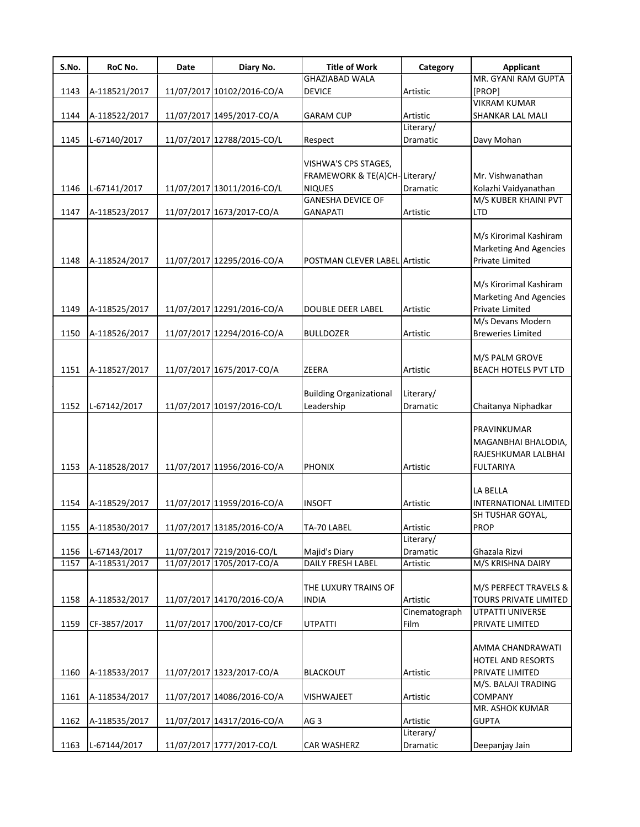| S.No. | RoC No.       | Date | Diary No.                  | <b>Title of Work</b>           | Category      | <b>Applicant</b>              |
|-------|---------------|------|----------------------------|--------------------------------|---------------|-------------------------------|
|       |               |      |                            | <b>GHAZIABAD WALA</b>          |               | MR. GYANI RAM GUPTA           |
| 1143  | A-118521/2017 |      | 11/07/2017 10102/2016-CO/A | <b>DEVICE</b>                  | Artistic      | [PROP]                        |
|       |               |      |                            |                                |               | <b>VIKRAM KUMAR</b>           |
| 1144  | A-118522/2017 |      | 11/07/2017 1495/2017-CO/A  | <b>GARAM CUP</b>               | Artistic      | SHANKAR LAL MALI              |
|       |               |      |                            |                                | Literary/     |                               |
| 1145  | L-67140/2017  |      | 11/07/2017 12788/2015-CO/L | Respect                        | Dramatic      | Davy Mohan                    |
|       |               |      |                            |                                |               |                               |
|       |               |      |                            | VISHWA'S CPS STAGES,           |               |                               |
|       |               |      |                            | FRAMEWORK & TE(A)CH-Literary/  |               | Mr. Vishwanathan              |
| 1146  | L-67141/2017  |      | 11/07/2017 13011/2016-CO/L | <b>NIQUES</b>                  | Dramatic      | Kolazhi Vaidyanathan          |
|       |               |      |                            | <b>GANESHA DEVICE OF</b>       |               | M/S KUBER KHAINI PVT          |
| 1147  | A-118523/2017 |      | 11/07/2017 1673/2017-CO/A  | <b>GANAPATI</b>                | Artistic      | <b>LTD</b>                    |
|       |               |      |                            |                                |               |                               |
|       |               |      |                            |                                |               | M/s Kirorimal Kashiram        |
|       |               |      |                            |                                |               | <b>Marketing And Agencies</b> |
| 1148  | A-118524/2017 |      | 11/07/2017 12295/2016-CO/A | POSTMAN CLEVER LABEL Artistic  |               | Private Limited               |
|       |               |      |                            |                                |               |                               |
|       |               |      |                            |                                |               | M/s Kirorimal Kashiram        |
|       |               |      |                            |                                |               | <b>Marketing And Agencies</b> |
| 1149  | A-118525/2017 |      | 11/07/2017 12291/2016-CO/A | <b>DOUBLE DEER LABEL</b>       | Artistic      | Private Limited               |
|       |               |      |                            |                                |               | M/s Devans Modern             |
| 1150  | A-118526/2017 |      | 11/07/2017 12294/2016-CO/A | <b>BULLDOZER</b>               | Artistic      | <b>Breweries Limited</b>      |
|       |               |      |                            |                                |               |                               |
|       |               |      |                            |                                |               | M/S PALM GROVE                |
| 1151  | A-118527/2017 |      | 11/07/2017 1675/2017-CO/A  | ZEERA                          | Artistic      | BEACH HOTELS PVT LTD          |
|       |               |      |                            |                                |               |                               |
|       |               |      |                            | <b>Building Organizational</b> | Literary/     |                               |
| 1152  | L-67142/2017  |      | 11/07/2017 10197/2016-CO/L | Leadership                     | Dramatic      | Chaitanya Niphadkar           |
|       |               |      |                            |                                |               |                               |
|       |               |      |                            |                                |               | PRAVINKUMAR                   |
|       |               |      |                            |                                |               |                               |
|       |               |      |                            |                                |               | MAGANBHAI BHALODIA,           |
|       |               |      |                            |                                |               | RAJESHKUMAR LALBHAI           |
| 1153  | A-118528/2017 |      | 11/07/2017 11956/2016-CO/A | <b>PHONIX</b>                  | Artistic      | <b>FULTARIYA</b>              |
|       |               |      |                            |                                |               |                               |
|       |               |      |                            |                                |               | LA BELLA                      |
| 1154  | A-118529/2017 |      | 11/07/2017 11959/2016-CO/A | <b>INSOFT</b>                  | Artistic      | <b>INTERNATIONAL LIMITED</b>  |
|       |               |      |                            |                                |               | SH TUSHAR GOYAL,              |
| 1155  | A-118530/2017 |      | 11/07/2017 13185/2016-CO/A | TA-70 LABEL                    | Artistic      | <b>PROP</b>                   |
|       |               |      |                            |                                | Literary/     |                               |
| 1156  | L-67143/2017  |      | 11/07/2017 7219/2016-CO/L  | Majid's Diary                  | Dramatic      | Ghazala Rizvi                 |
| 1157  | A-118531/2017 |      | 11/07/2017 1705/2017-CO/A  | DAILY FRESH LABEL              | Artistic      | M/S KRISHNA DAIRY             |
|       |               |      |                            |                                |               |                               |
|       |               |      |                            | THE LUXURY TRAINS OF           |               | M/S PERFECT TRAVELS &         |
| 1158  | A-118532/2017 |      | 11/07/2017 14170/2016-CO/A | <b>INDIA</b>                   | Artistic      | <b>TOURS PRIVATE LIMITED</b>  |
|       |               |      |                            |                                | Cinematograph | UTPATTI UNIVERSE              |
| 1159  | CF-3857/2017  |      | 11/07/2017 1700/2017-CO/CF | <b>UTPATTI</b>                 | Film          | PRIVATE LIMITED               |
|       |               |      |                            |                                |               |                               |
|       |               |      |                            |                                |               | AMMA CHANDRAWATI              |
|       |               |      |                            |                                |               | <b>HOTEL AND RESORTS</b>      |
| 1160  | A-118533/2017 |      | 11/07/2017 1323/2017-CO/A  | <b>BLACKOUT</b>                | Artistic      | PRIVATE LIMITED               |
|       |               |      |                            |                                |               | M/S. BALAJI TRADING           |
| 1161  | A-118534/2017 |      | 11/07/2017 14086/2016-CO/A | <b>VISHWAJEET</b>              | Artistic      | <b>COMPANY</b>                |
|       |               |      |                            |                                |               | MR. ASHOK KUMAR               |
| 1162  | A-118535/2017 |      | 11/07/2017 14317/2016-CO/A | AG <sub>3</sub>                | Artistic      | <b>GUPTA</b>                  |
|       |               |      |                            |                                | Literary/     |                               |
|       |               |      | 11/07/2017 1777/2017-CO/L  |                                |               |                               |
| 1163  | L-67144/2017  |      |                            | CAR WASHERZ                    | Dramatic      | Deepanjay Jain                |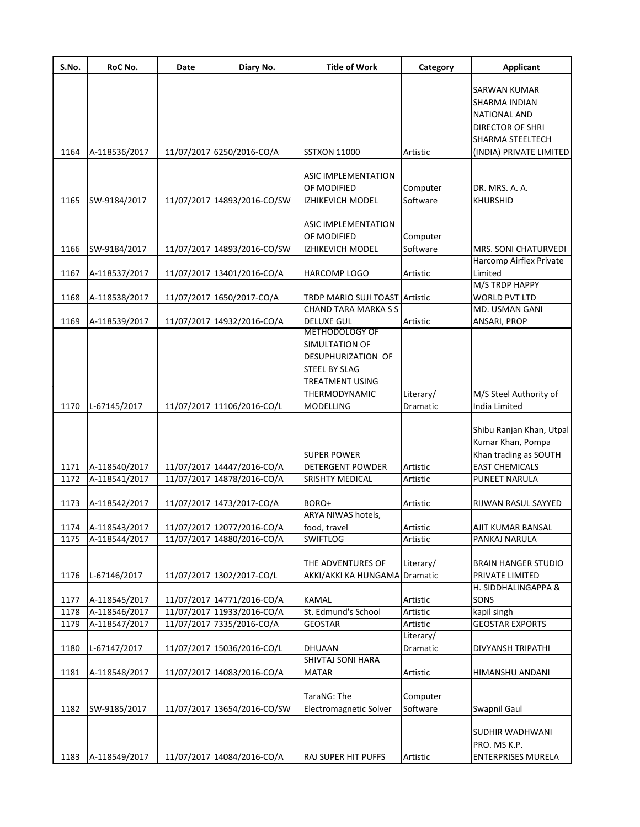| SARWAN KUMAR<br>SHARMA INDIAN<br>NATIONAL AND<br>DIRECTOR OF SHRI<br>SHARMA STEELTECH<br>11/07/2017 6250/2016-CO/A<br>A-118536/2017<br>Artistic<br><b>SSTXON 11000</b><br>(INDIA) PRIVATE LIMITED<br>ASIC IMPLEMENTATION<br>OF MODIFIED<br>Computer<br>DR. MRS. A. A.<br>Software<br>1165<br>11/07/2017 14893/2016-CO/SW<br><b>KHURSHID</b><br>SW-9184/2017<br>IZHIKEVICH MODEL<br>ASIC IMPLEMENTATION<br>OF MODIFIED<br>Computer<br>SW-9184/2017<br>11/07/2017 14893/2016-CO/SW<br>Software<br>MRS. SONI CHATURVEDI<br>1166<br>IZHIKEVICH MODEL<br>Harcomp Airflex Private<br>1167<br>A-118537/2017<br>11/07/2017 13401/2016-CO/A<br><b>HARCOMP LOGO</b><br>Artistic<br>Limited<br>M/S TRDP HAPPY<br>1168<br>A-118538/2017<br>11/07/2017 1650/2017-CO/A<br><b>WORLD PVT LTD</b><br><b>TRDP MARIO SUJI TOAST Artistic</b><br>MD. USMAN GANI<br>CHAND TARA MARKA S S<br>11/07/2017 14932/2016-CO/A<br>1169<br>A-118539/2017<br><b>DELUXE GUL</b><br>Artistic<br>ANSARI, PROP<br><b>METHODOLOGY OF</b><br>SIMULTATION OF<br>DESUPHURIZATION OF<br><b>STEEL BY SLAG</b><br><b>TREATMENT USING</b><br>M/S Steel Authority of<br><b>THERMODYNAMIC</b><br>Literary/<br>11/07/2017 11106/2016-CO/L<br>L-67145/2017<br>India Limited<br><b>MODELLING</b><br>Dramatic<br>Shibu Ranjan Khan, Utpal<br>Kumar Khan, Pompa<br>Khan trading as SOUTH<br><b>SUPER POWER</b><br>11/07/2017 14447/2016-CO/A<br><b>EAST CHEMICALS</b><br>A-118540/2017<br><b>DETERGENT POWDER</b><br>Artistic<br>11/07/2017 14878/2016-CO/A<br>PUNEET NARULA<br>A-118541/2017<br><b>SRISHTY MEDICAL</b><br>Artistic<br>11/07/2017 1473/2017-CO/A<br>1173<br>A-118542/2017<br>BORO+<br>Artistic<br>RIJWAN RASUL SAYYED<br>ARYA NIWAS hotels,<br>A-118543/2017<br>11/07/2017 12077/2016-CO/A<br>Artistic<br>AJIT KUMAR BANSAL<br>1174<br>food, travel<br>11/07/2017 14880/2016-CO/A<br>A-118544/2017<br>1175<br><b>SWIFTLOG</b><br>Artistic<br>PANKAJ NARULA<br>THE ADVENTURES OF<br>Literary/<br><b>BRAIN HANGER STUDIO</b><br>11/07/2017 1302/2017-CO/L<br>1176<br>L-67146/2017<br>AKKI/AKKI KA HUNGAMA<br>Dramatic<br>PRIVATE LIMITED<br>H. SIDDHALINGAPPA &<br>11/07/2017 14771/2016-CO/A<br>KAMAL<br>SONS<br>A-118545/2017<br>Artistic<br>1177<br>11/07/2017 11933/2016-CO/A<br>St. Edmund's School<br>1178<br>A-118546/2017<br>Artistic<br>kapil singh<br>1179<br>A-118547/2017<br>11/07/2017 7335/2016-CO/A<br><b>GEOSTAR</b><br><b>GEOSTAR EXPORTS</b><br>Artistic<br>Literary/<br>1180<br>L-67147/2017<br>11/07/2017 15036/2016-CO/L<br>Dramatic<br><b>DHUAAN</b><br>DIVYANSH TRIPATHI<br>SHIVTAJ SONI HARA<br>11/07/2017 14083/2016-CO/A<br>A-118548/2017<br><b>MATAR</b><br>Artistic<br>HIMANSHU ANDANI<br>TaraNG: The<br>Computer<br>Software<br>11/07/2017 13654/2016-CO/SW<br>Electromagnetic Solver<br>SW-9185/2017<br>Swapnil Gaul<br>SUDHIR WADHWANI<br>PRO. MS K.P.<br>A-118549/2017<br>11/07/2017 14084/2016-CO/A<br><b>RAJ SUPER HIT PUFFS</b><br>Artistic<br><b>ENTERPRISES MURELA</b> | S.No. | RoC No. | Date | Diary No. | <b>Title of Work</b> | Category | <b>Applicant</b> |
|-------------------------------------------------------------------------------------------------------------------------------------------------------------------------------------------------------------------------------------------------------------------------------------------------------------------------------------------------------------------------------------------------------------------------------------------------------------------------------------------------------------------------------------------------------------------------------------------------------------------------------------------------------------------------------------------------------------------------------------------------------------------------------------------------------------------------------------------------------------------------------------------------------------------------------------------------------------------------------------------------------------------------------------------------------------------------------------------------------------------------------------------------------------------------------------------------------------------------------------------------------------------------------------------------------------------------------------------------------------------------------------------------------------------------------------------------------------------------------------------------------------------------------------------------------------------------------------------------------------------------------------------------------------------------------------------------------------------------------------------------------------------------------------------------------------------------------------------------------------------------------------------------------------------------------------------------------------------------------------------------------------------------------------------------------------------------------------------------------------------------------------------------------------------------------------------------------------------------------------------------------------------------------------------------------------------------------------------------------------------------------------------------------------------------------------------------------------------------------------------------------------------------------------------------------------------------------------------------------------------------------------------------------------------------------------------------------------------------------------------------------------------------------------------------------------------------------------------------------------------------------------------------------------------------------------------------------------------------|-------|---------|------|-----------|----------------------|----------|------------------|
|                                                                                                                                                                                                                                                                                                                                                                                                                                                                                                                                                                                                                                                                                                                                                                                                                                                                                                                                                                                                                                                                                                                                                                                                                                                                                                                                                                                                                                                                                                                                                                                                                                                                                                                                                                                                                                                                                                                                                                                                                                                                                                                                                                                                                                                                                                                                                                                                                                                                                                                                                                                                                                                                                                                                                                                                                                                                                                                                                                         |       |         |      |           |                      |          |                  |
|                                                                                                                                                                                                                                                                                                                                                                                                                                                                                                                                                                                                                                                                                                                                                                                                                                                                                                                                                                                                                                                                                                                                                                                                                                                                                                                                                                                                                                                                                                                                                                                                                                                                                                                                                                                                                                                                                                                                                                                                                                                                                                                                                                                                                                                                                                                                                                                                                                                                                                                                                                                                                                                                                                                                                                                                                                                                                                                                                                         |       |         |      |           |                      |          |                  |
|                                                                                                                                                                                                                                                                                                                                                                                                                                                                                                                                                                                                                                                                                                                                                                                                                                                                                                                                                                                                                                                                                                                                                                                                                                                                                                                                                                                                                                                                                                                                                                                                                                                                                                                                                                                                                                                                                                                                                                                                                                                                                                                                                                                                                                                                                                                                                                                                                                                                                                                                                                                                                                                                                                                                                                                                                                                                                                                                                                         |       |         |      |           |                      |          |                  |
|                                                                                                                                                                                                                                                                                                                                                                                                                                                                                                                                                                                                                                                                                                                                                                                                                                                                                                                                                                                                                                                                                                                                                                                                                                                                                                                                                                                                                                                                                                                                                                                                                                                                                                                                                                                                                                                                                                                                                                                                                                                                                                                                                                                                                                                                                                                                                                                                                                                                                                                                                                                                                                                                                                                                                                                                                                                                                                                                                                         |       |         |      |           |                      |          |                  |
|                                                                                                                                                                                                                                                                                                                                                                                                                                                                                                                                                                                                                                                                                                                                                                                                                                                                                                                                                                                                                                                                                                                                                                                                                                                                                                                                                                                                                                                                                                                                                                                                                                                                                                                                                                                                                                                                                                                                                                                                                                                                                                                                                                                                                                                                                                                                                                                                                                                                                                                                                                                                                                                                                                                                                                                                                                                                                                                                                                         |       |         |      |           |                      |          |                  |
|                                                                                                                                                                                                                                                                                                                                                                                                                                                                                                                                                                                                                                                                                                                                                                                                                                                                                                                                                                                                                                                                                                                                                                                                                                                                                                                                                                                                                                                                                                                                                                                                                                                                                                                                                                                                                                                                                                                                                                                                                                                                                                                                                                                                                                                                                                                                                                                                                                                                                                                                                                                                                                                                                                                                                                                                                                                                                                                                                                         |       |         |      |           |                      |          |                  |
|                                                                                                                                                                                                                                                                                                                                                                                                                                                                                                                                                                                                                                                                                                                                                                                                                                                                                                                                                                                                                                                                                                                                                                                                                                                                                                                                                                                                                                                                                                                                                                                                                                                                                                                                                                                                                                                                                                                                                                                                                                                                                                                                                                                                                                                                                                                                                                                                                                                                                                                                                                                                                                                                                                                                                                                                                                                                                                                                                                         | 1164  |         |      |           |                      |          |                  |
|                                                                                                                                                                                                                                                                                                                                                                                                                                                                                                                                                                                                                                                                                                                                                                                                                                                                                                                                                                                                                                                                                                                                                                                                                                                                                                                                                                                                                                                                                                                                                                                                                                                                                                                                                                                                                                                                                                                                                                                                                                                                                                                                                                                                                                                                                                                                                                                                                                                                                                                                                                                                                                                                                                                                                                                                                                                                                                                                                                         |       |         |      |           |                      |          |                  |
|                                                                                                                                                                                                                                                                                                                                                                                                                                                                                                                                                                                                                                                                                                                                                                                                                                                                                                                                                                                                                                                                                                                                                                                                                                                                                                                                                                                                                                                                                                                                                                                                                                                                                                                                                                                                                                                                                                                                                                                                                                                                                                                                                                                                                                                                                                                                                                                                                                                                                                                                                                                                                                                                                                                                                                                                                                                                                                                                                                         |       |         |      |           |                      |          |                  |
|                                                                                                                                                                                                                                                                                                                                                                                                                                                                                                                                                                                                                                                                                                                                                                                                                                                                                                                                                                                                                                                                                                                                                                                                                                                                                                                                                                                                                                                                                                                                                                                                                                                                                                                                                                                                                                                                                                                                                                                                                                                                                                                                                                                                                                                                                                                                                                                                                                                                                                                                                                                                                                                                                                                                                                                                                                                                                                                                                                         |       |         |      |           |                      |          |                  |
|                                                                                                                                                                                                                                                                                                                                                                                                                                                                                                                                                                                                                                                                                                                                                                                                                                                                                                                                                                                                                                                                                                                                                                                                                                                                                                                                                                                                                                                                                                                                                                                                                                                                                                                                                                                                                                                                                                                                                                                                                                                                                                                                                                                                                                                                                                                                                                                                                                                                                                                                                                                                                                                                                                                                                                                                                                                                                                                                                                         |       |         |      |           |                      |          |                  |
|                                                                                                                                                                                                                                                                                                                                                                                                                                                                                                                                                                                                                                                                                                                                                                                                                                                                                                                                                                                                                                                                                                                                                                                                                                                                                                                                                                                                                                                                                                                                                                                                                                                                                                                                                                                                                                                                                                                                                                                                                                                                                                                                                                                                                                                                                                                                                                                                                                                                                                                                                                                                                                                                                                                                                                                                                                                                                                                                                                         |       |         |      |           |                      |          |                  |
|                                                                                                                                                                                                                                                                                                                                                                                                                                                                                                                                                                                                                                                                                                                                                                                                                                                                                                                                                                                                                                                                                                                                                                                                                                                                                                                                                                                                                                                                                                                                                                                                                                                                                                                                                                                                                                                                                                                                                                                                                                                                                                                                                                                                                                                                                                                                                                                                                                                                                                                                                                                                                                                                                                                                                                                                                                                                                                                                                                         |       |         |      |           |                      |          |                  |
|                                                                                                                                                                                                                                                                                                                                                                                                                                                                                                                                                                                                                                                                                                                                                                                                                                                                                                                                                                                                                                                                                                                                                                                                                                                                                                                                                                                                                                                                                                                                                                                                                                                                                                                                                                                                                                                                                                                                                                                                                                                                                                                                                                                                                                                                                                                                                                                                                                                                                                                                                                                                                                                                                                                                                                                                                                                                                                                                                                         |       |         |      |           |                      |          |                  |
|                                                                                                                                                                                                                                                                                                                                                                                                                                                                                                                                                                                                                                                                                                                                                                                                                                                                                                                                                                                                                                                                                                                                                                                                                                                                                                                                                                                                                                                                                                                                                                                                                                                                                                                                                                                                                                                                                                                                                                                                                                                                                                                                                                                                                                                                                                                                                                                                                                                                                                                                                                                                                                                                                                                                                                                                                                                                                                                                                                         |       |         |      |           |                      |          |                  |
|                                                                                                                                                                                                                                                                                                                                                                                                                                                                                                                                                                                                                                                                                                                                                                                                                                                                                                                                                                                                                                                                                                                                                                                                                                                                                                                                                                                                                                                                                                                                                                                                                                                                                                                                                                                                                                                                                                                                                                                                                                                                                                                                                                                                                                                                                                                                                                                                                                                                                                                                                                                                                                                                                                                                                                                                                                                                                                                                                                         |       |         |      |           |                      |          |                  |
|                                                                                                                                                                                                                                                                                                                                                                                                                                                                                                                                                                                                                                                                                                                                                                                                                                                                                                                                                                                                                                                                                                                                                                                                                                                                                                                                                                                                                                                                                                                                                                                                                                                                                                                                                                                                                                                                                                                                                                                                                                                                                                                                                                                                                                                                                                                                                                                                                                                                                                                                                                                                                                                                                                                                                                                                                                                                                                                                                                         |       |         |      |           |                      |          |                  |
|                                                                                                                                                                                                                                                                                                                                                                                                                                                                                                                                                                                                                                                                                                                                                                                                                                                                                                                                                                                                                                                                                                                                                                                                                                                                                                                                                                                                                                                                                                                                                                                                                                                                                                                                                                                                                                                                                                                                                                                                                                                                                                                                                                                                                                                                                                                                                                                                                                                                                                                                                                                                                                                                                                                                                                                                                                                                                                                                                                         |       |         |      |           |                      |          |                  |
|                                                                                                                                                                                                                                                                                                                                                                                                                                                                                                                                                                                                                                                                                                                                                                                                                                                                                                                                                                                                                                                                                                                                                                                                                                                                                                                                                                                                                                                                                                                                                                                                                                                                                                                                                                                                                                                                                                                                                                                                                                                                                                                                                                                                                                                                                                                                                                                                                                                                                                                                                                                                                                                                                                                                                                                                                                                                                                                                                                         |       |         |      |           |                      |          |                  |
|                                                                                                                                                                                                                                                                                                                                                                                                                                                                                                                                                                                                                                                                                                                                                                                                                                                                                                                                                                                                                                                                                                                                                                                                                                                                                                                                                                                                                                                                                                                                                                                                                                                                                                                                                                                                                                                                                                                                                                                                                                                                                                                                                                                                                                                                                                                                                                                                                                                                                                                                                                                                                                                                                                                                                                                                                                                                                                                                                                         |       |         |      |           |                      |          |                  |
|                                                                                                                                                                                                                                                                                                                                                                                                                                                                                                                                                                                                                                                                                                                                                                                                                                                                                                                                                                                                                                                                                                                                                                                                                                                                                                                                                                                                                                                                                                                                                                                                                                                                                                                                                                                                                                                                                                                                                                                                                                                                                                                                                                                                                                                                                                                                                                                                                                                                                                                                                                                                                                                                                                                                                                                                                                                                                                                                                                         |       |         |      |           |                      |          |                  |
|                                                                                                                                                                                                                                                                                                                                                                                                                                                                                                                                                                                                                                                                                                                                                                                                                                                                                                                                                                                                                                                                                                                                                                                                                                                                                                                                                                                                                                                                                                                                                                                                                                                                                                                                                                                                                                                                                                                                                                                                                                                                                                                                                                                                                                                                                                                                                                                                                                                                                                                                                                                                                                                                                                                                                                                                                                                                                                                                                                         |       |         |      |           |                      |          |                  |
|                                                                                                                                                                                                                                                                                                                                                                                                                                                                                                                                                                                                                                                                                                                                                                                                                                                                                                                                                                                                                                                                                                                                                                                                                                                                                                                                                                                                                                                                                                                                                                                                                                                                                                                                                                                                                                                                                                                                                                                                                                                                                                                                                                                                                                                                                                                                                                                                                                                                                                                                                                                                                                                                                                                                                                                                                                                                                                                                                                         |       |         |      |           |                      |          |                  |
|                                                                                                                                                                                                                                                                                                                                                                                                                                                                                                                                                                                                                                                                                                                                                                                                                                                                                                                                                                                                                                                                                                                                                                                                                                                                                                                                                                                                                                                                                                                                                                                                                                                                                                                                                                                                                                                                                                                                                                                                                                                                                                                                                                                                                                                                                                                                                                                                                                                                                                                                                                                                                                                                                                                                                                                                                                                                                                                                                                         |       |         |      |           |                      |          |                  |
|                                                                                                                                                                                                                                                                                                                                                                                                                                                                                                                                                                                                                                                                                                                                                                                                                                                                                                                                                                                                                                                                                                                                                                                                                                                                                                                                                                                                                                                                                                                                                                                                                                                                                                                                                                                                                                                                                                                                                                                                                                                                                                                                                                                                                                                                                                                                                                                                                                                                                                                                                                                                                                                                                                                                                                                                                                                                                                                                                                         |       |         |      |           |                      |          |                  |
|                                                                                                                                                                                                                                                                                                                                                                                                                                                                                                                                                                                                                                                                                                                                                                                                                                                                                                                                                                                                                                                                                                                                                                                                                                                                                                                                                                                                                                                                                                                                                                                                                                                                                                                                                                                                                                                                                                                                                                                                                                                                                                                                                                                                                                                                                                                                                                                                                                                                                                                                                                                                                                                                                                                                                                                                                                                                                                                                                                         |       |         |      |           |                      |          |                  |
|                                                                                                                                                                                                                                                                                                                                                                                                                                                                                                                                                                                                                                                                                                                                                                                                                                                                                                                                                                                                                                                                                                                                                                                                                                                                                                                                                                                                                                                                                                                                                                                                                                                                                                                                                                                                                                                                                                                                                                                                                                                                                                                                                                                                                                                                                                                                                                                                                                                                                                                                                                                                                                                                                                                                                                                                                                                                                                                                                                         |       |         |      |           |                      |          |                  |
|                                                                                                                                                                                                                                                                                                                                                                                                                                                                                                                                                                                                                                                                                                                                                                                                                                                                                                                                                                                                                                                                                                                                                                                                                                                                                                                                                                                                                                                                                                                                                                                                                                                                                                                                                                                                                                                                                                                                                                                                                                                                                                                                                                                                                                                                                                                                                                                                                                                                                                                                                                                                                                                                                                                                                                                                                                                                                                                                                                         | 1170  |         |      |           |                      |          |                  |
|                                                                                                                                                                                                                                                                                                                                                                                                                                                                                                                                                                                                                                                                                                                                                                                                                                                                                                                                                                                                                                                                                                                                                                                                                                                                                                                                                                                                                                                                                                                                                                                                                                                                                                                                                                                                                                                                                                                                                                                                                                                                                                                                                                                                                                                                                                                                                                                                                                                                                                                                                                                                                                                                                                                                                                                                                                                                                                                                                                         |       |         |      |           |                      |          |                  |
|                                                                                                                                                                                                                                                                                                                                                                                                                                                                                                                                                                                                                                                                                                                                                                                                                                                                                                                                                                                                                                                                                                                                                                                                                                                                                                                                                                                                                                                                                                                                                                                                                                                                                                                                                                                                                                                                                                                                                                                                                                                                                                                                                                                                                                                                                                                                                                                                                                                                                                                                                                                                                                                                                                                                                                                                                                                                                                                                                                         |       |         |      |           |                      |          |                  |
|                                                                                                                                                                                                                                                                                                                                                                                                                                                                                                                                                                                                                                                                                                                                                                                                                                                                                                                                                                                                                                                                                                                                                                                                                                                                                                                                                                                                                                                                                                                                                                                                                                                                                                                                                                                                                                                                                                                                                                                                                                                                                                                                                                                                                                                                                                                                                                                                                                                                                                                                                                                                                                                                                                                                                                                                                                                                                                                                                                         |       |         |      |           |                      |          |                  |
|                                                                                                                                                                                                                                                                                                                                                                                                                                                                                                                                                                                                                                                                                                                                                                                                                                                                                                                                                                                                                                                                                                                                                                                                                                                                                                                                                                                                                                                                                                                                                                                                                                                                                                                                                                                                                                                                                                                                                                                                                                                                                                                                                                                                                                                                                                                                                                                                                                                                                                                                                                                                                                                                                                                                                                                                                                                                                                                                                                         |       |         |      |           |                      |          |                  |
|                                                                                                                                                                                                                                                                                                                                                                                                                                                                                                                                                                                                                                                                                                                                                                                                                                                                                                                                                                                                                                                                                                                                                                                                                                                                                                                                                                                                                                                                                                                                                                                                                                                                                                                                                                                                                                                                                                                                                                                                                                                                                                                                                                                                                                                                                                                                                                                                                                                                                                                                                                                                                                                                                                                                                                                                                                                                                                                                                                         | 1171  |         |      |           |                      |          |                  |
|                                                                                                                                                                                                                                                                                                                                                                                                                                                                                                                                                                                                                                                                                                                                                                                                                                                                                                                                                                                                                                                                                                                                                                                                                                                                                                                                                                                                                                                                                                                                                                                                                                                                                                                                                                                                                                                                                                                                                                                                                                                                                                                                                                                                                                                                                                                                                                                                                                                                                                                                                                                                                                                                                                                                                                                                                                                                                                                                                                         | 1172  |         |      |           |                      |          |                  |
|                                                                                                                                                                                                                                                                                                                                                                                                                                                                                                                                                                                                                                                                                                                                                                                                                                                                                                                                                                                                                                                                                                                                                                                                                                                                                                                                                                                                                                                                                                                                                                                                                                                                                                                                                                                                                                                                                                                                                                                                                                                                                                                                                                                                                                                                                                                                                                                                                                                                                                                                                                                                                                                                                                                                                                                                                                                                                                                                                                         |       |         |      |           |                      |          |                  |
|                                                                                                                                                                                                                                                                                                                                                                                                                                                                                                                                                                                                                                                                                                                                                                                                                                                                                                                                                                                                                                                                                                                                                                                                                                                                                                                                                                                                                                                                                                                                                                                                                                                                                                                                                                                                                                                                                                                                                                                                                                                                                                                                                                                                                                                                                                                                                                                                                                                                                                                                                                                                                                                                                                                                                                                                                                                                                                                                                                         |       |         |      |           |                      |          |                  |
|                                                                                                                                                                                                                                                                                                                                                                                                                                                                                                                                                                                                                                                                                                                                                                                                                                                                                                                                                                                                                                                                                                                                                                                                                                                                                                                                                                                                                                                                                                                                                                                                                                                                                                                                                                                                                                                                                                                                                                                                                                                                                                                                                                                                                                                                                                                                                                                                                                                                                                                                                                                                                                                                                                                                                                                                                                                                                                                                                                         |       |         |      |           |                      |          |                  |
|                                                                                                                                                                                                                                                                                                                                                                                                                                                                                                                                                                                                                                                                                                                                                                                                                                                                                                                                                                                                                                                                                                                                                                                                                                                                                                                                                                                                                                                                                                                                                                                                                                                                                                                                                                                                                                                                                                                                                                                                                                                                                                                                                                                                                                                                                                                                                                                                                                                                                                                                                                                                                                                                                                                                                                                                                                                                                                                                                                         |       |         |      |           |                      |          |                  |
|                                                                                                                                                                                                                                                                                                                                                                                                                                                                                                                                                                                                                                                                                                                                                                                                                                                                                                                                                                                                                                                                                                                                                                                                                                                                                                                                                                                                                                                                                                                                                                                                                                                                                                                                                                                                                                                                                                                                                                                                                                                                                                                                                                                                                                                                                                                                                                                                                                                                                                                                                                                                                                                                                                                                                                                                                                                                                                                                                                         |       |         |      |           |                      |          |                  |
|                                                                                                                                                                                                                                                                                                                                                                                                                                                                                                                                                                                                                                                                                                                                                                                                                                                                                                                                                                                                                                                                                                                                                                                                                                                                                                                                                                                                                                                                                                                                                                                                                                                                                                                                                                                                                                                                                                                                                                                                                                                                                                                                                                                                                                                                                                                                                                                                                                                                                                                                                                                                                                                                                                                                                                                                                                                                                                                                                                         |       |         |      |           |                      |          |                  |
|                                                                                                                                                                                                                                                                                                                                                                                                                                                                                                                                                                                                                                                                                                                                                                                                                                                                                                                                                                                                                                                                                                                                                                                                                                                                                                                                                                                                                                                                                                                                                                                                                                                                                                                                                                                                                                                                                                                                                                                                                                                                                                                                                                                                                                                                                                                                                                                                                                                                                                                                                                                                                                                                                                                                                                                                                                                                                                                                                                         |       |         |      |           |                      |          |                  |
|                                                                                                                                                                                                                                                                                                                                                                                                                                                                                                                                                                                                                                                                                                                                                                                                                                                                                                                                                                                                                                                                                                                                                                                                                                                                                                                                                                                                                                                                                                                                                                                                                                                                                                                                                                                                                                                                                                                                                                                                                                                                                                                                                                                                                                                                                                                                                                                                                                                                                                                                                                                                                                                                                                                                                                                                                                                                                                                                                                         |       |         |      |           |                      |          |                  |
|                                                                                                                                                                                                                                                                                                                                                                                                                                                                                                                                                                                                                                                                                                                                                                                                                                                                                                                                                                                                                                                                                                                                                                                                                                                                                                                                                                                                                                                                                                                                                                                                                                                                                                                                                                                                                                                                                                                                                                                                                                                                                                                                                                                                                                                                                                                                                                                                                                                                                                                                                                                                                                                                                                                                                                                                                                                                                                                                                                         |       |         |      |           |                      |          |                  |
|                                                                                                                                                                                                                                                                                                                                                                                                                                                                                                                                                                                                                                                                                                                                                                                                                                                                                                                                                                                                                                                                                                                                                                                                                                                                                                                                                                                                                                                                                                                                                                                                                                                                                                                                                                                                                                                                                                                                                                                                                                                                                                                                                                                                                                                                                                                                                                                                                                                                                                                                                                                                                                                                                                                                                                                                                                                                                                                                                                         |       |         |      |           |                      |          |                  |
|                                                                                                                                                                                                                                                                                                                                                                                                                                                                                                                                                                                                                                                                                                                                                                                                                                                                                                                                                                                                                                                                                                                                                                                                                                                                                                                                                                                                                                                                                                                                                                                                                                                                                                                                                                                                                                                                                                                                                                                                                                                                                                                                                                                                                                                                                                                                                                                                                                                                                                                                                                                                                                                                                                                                                                                                                                                                                                                                                                         |       |         |      |           |                      |          |                  |
|                                                                                                                                                                                                                                                                                                                                                                                                                                                                                                                                                                                                                                                                                                                                                                                                                                                                                                                                                                                                                                                                                                                                                                                                                                                                                                                                                                                                                                                                                                                                                                                                                                                                                                                                                                                                                                                                                                                                                                                                                                                                                                                                                                                                                                                                                                                                                                                                                                                                                                                                                                                                                                                                                                                                                                                                                                                                                                                                                                         |       |         |      |           |                      |          |                  |
|                                                                                                                                                                                                                                                                                                                                                                                                                                                                                                                                                                                                                                                                                                                                                                                                                                                                                                                                                                                                                                                                                                                                                                                                                                                                                                                                                                                                                                                                                                                                                                                                                                                                                                                                                                                                                                                                                                                                                                                                                                                                                                                                                                                                                                                                                                                                                                                                                                                                                                                                                                                                                                                                                                                                                                                                                                                                                                                                                                         |       |         |      |           |                      |          |                  |
|                                                                                                                                                                                                                                                                                                                                                                                                                                                                                                                                                                                                                                                                                                                                                                                                                                                                                                                                                                                                                                                                                                                                                                                                                                                                                                                                                                                                                                                                                                                                                                                                                                                                                                                                                                                                                                                                                                                                                                                                                                                                                                                                                                                                                                                                                                                                                                                                                                                                                                                                                                                                                                                                                                                                                                                                                                                                                                                                                                         |       |         |      |           |                      |          |                  |
|                                                                                                                                                                                                                                                                                                                                                                                                                                                                                                                                                                                                                                                                                                                                                                                                                                                                                                                                                                                                                                                                                                                                                                                                                                                                                                                                                                                                                                                                                                                                                                                                                                                                                                                                                                                                                                                                                                                                                                                                                                                                                                                                                                                                                                                                                                                                                                                                                                                                                                                                                                                                                                                                                                                                                                                                                                                                                                                                                                         |       |         |      |           |                      |          |                  |
|                                                                                                                                                                                                                                                                                                                                                                                                                                                                                                                                                                                                                                                                                                                                                                                                                                                                                                                                                                                                                                                                                                                                                                                                                                                                                                                                                                                                                                                                                                                                                                                                                                                                                                                                                                                                                                                                                                                                                                                                                                                                                                                                                                                                                                                                                                                                                                                                                                                                                                                                                                                                                                                                                                                                                                                                                                                                                                                                                                         | 1181  |         |      |           |                      |          |                  |
|                                                                                                                                                                                                                                                                                                                                                                                                                                                                                                                                                                                                                                                                                                                                                                                                                                                                                                                                                                                                                                                                                                                                                                                                                                                                                                                                                                                                                                                                                                                                                                                                                                                                                                                                                                                                                                                                                                                                                                                                                                                                                                                                                                                                                                                                                                                                                                                                                                                                                                                                                                                                                                                                                                                                                                                                                                                                                                                                                                         |       |         |      |           |                      |          |                  |
|                                                                                                                                                                                                                                                                                                                                                                                                                                                                                                                                                                                                                                                                                                                                                                                                                                                                                                                                                                                                                                                                                                                                                                                                                                                                                                                                                                                                                                                                                                                                                                                                                                                                                                                                                                                                                                                                                                                                                                                                                                                                                                                                                                                                                                                                                                                                                                                                                                                                                                                                                                                                                                                                                                                                                                                                                                                                                                                                                                         |       |         |      |           |                      |          |                  |
|                                                                                                                                                                                                                                                                                                                                                                                                                                                                                                                                                                                                                                                                                                                                                                                                                                                                                                                                                                                                                                                                                                                                                                                                                                                                                                                                                                                                                                                                                                                                                                                                                                                                                                                                                                                                                                                                                                                                                                                                                                                                                                                                                                                                                                                                                                                                                                                                                                                                                                                                                                                                                                                                                                                                                                                                                                                                                                                                                                         | 1182  |         |      |           |                      |          |                  |
|                                                                                                                                                                                                                                                                                                                                                                                                                                                                                                                                                                                                                                                                                                                                                                                                                                                                                                                                                                                                                                                                                                                                                                                                                                                                                                                                                                                                                                                                                                                                                                                                                                                                                                                                                                                                                                                                                                                                                                                                                                                                                                                                                                                                                                                                                                                                                                                                                                                                                                                                                                                                                                                                                                                                                                                                                                                                                                                                                                         |       |         |      |           |                      |          |                  |
|                                                                                                                                                                                                                                                                                                                                                                                                                                                                                                                                                                                                                                                                                                                                                                                                                                                                                                                                                                                                                                                                                                                                                                                                                                                                                                                                                                                                                                                                                                                                                                                                                                                                                                                                                                                                                                                                                                                                                                                                                                                                                                                                                                                                                                                                                                                                                                                                                                                                                                                                                                                                                                                                                                                                                                                                                                                                                                                                                                         |       |         |      |           |                      |          |                  |
|                                                                                                                                                                                                                                                                                                                                                                                                                                                                                                                                                                                                                                                                                                                                                                                                                                                                                                                                                                                                                                                                                                                                                                                                                                                                                                                                                                                                                                                                                                                                                                                                                                                                                                                                                                                                                                                                                                                                                                                                                                                                                                                                                                                                                                                                                                                                                                                                                                                                                                                                                                                                                                                                                                                                                                                                                                                                                                                                                                         |       |         |      |           |                      |          |                  |
|                                                                                                                                                                                                                                                                                                                                                                                                                                                                                                                                                                                                                                                                                                                                                                                                                                                                                                                                                                                                                                                                                                                                                                                                                                                                                                                                                                                                                                                                                                                                                                                                                                                                                                                                                                                                                                                                                                                                                                                                                                                                                                                                                                                                                                                                                                                                                                                                                                                                                                                                                                                                                                                                                                                                                                                                                                                                                                                                                                         | 1183  |         |      |           |                      |          |                  |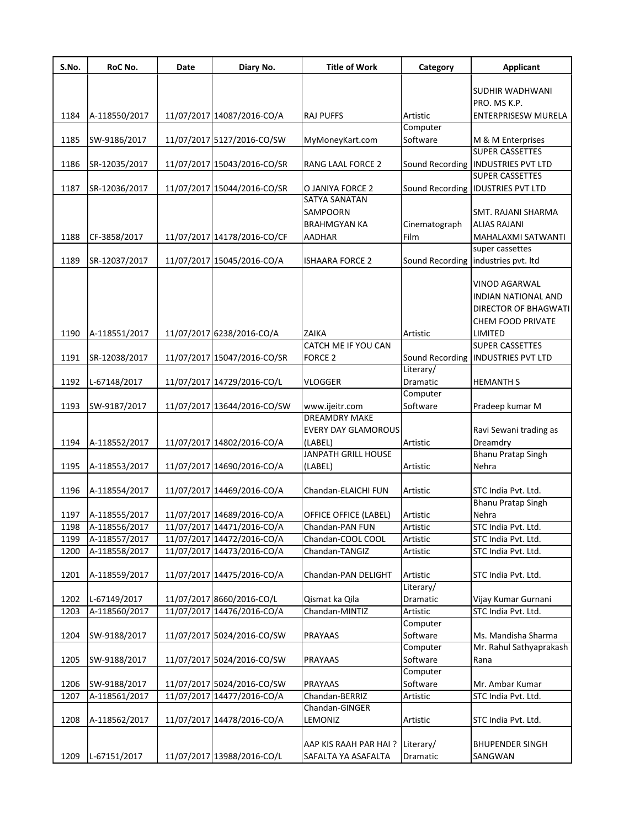| S.No. | RoC No.       | Date | Diary No.                   | <b>Title of Work</b>              | Category              | <b>Applicant</b>                           |
|-------|---------------|------|-----------------------------|-----------------------------------|-----------------------|--------------------------------------------|
|       |               |      |                             |                                   |                       | SUDHIR WADHWANI                            |
| 1184  | A-118550/2017 |      | 11/07/2017 14087/2016-CO/A  | <b>RAJ PUFFS</b>                  | Artistic              | PRO. MS K.P.<br>ENTERPRISESW MURELA        |
|       |               |      |                             |                                   | Computer              |                                            |
| 1185  | SW-9186/2017  |      | 11/07/2017 5127/2016-CO/SW  | MyMoneyKart.com                   | Software              | M & M Enterprises                          |
|       |               |      |                             |                                   |                       | <b>SUPER CASSETTES</b>                     |
| 1186  | SR-12035/2017 |      | 11/07/2017 15043/2016-CO/SR | RANG LAAL FORCE 2                 |                       | Sound Recording   INDUSTRIES PVT LTD       |
|       |               |      |                             |                                   |                       | <b>SUPER CASSETTES</b>                     |
| 1187  | SR-12036/2017 |      | 11/07/2017 15044/2016-CO/SR | O JANIYA FORCE 2<br>SATYA SANATAN |                       | Sound Recording IDUSTRIES PVT LTD          |
|       |               |      |                             | SAMPOORN                          |                       |                                            |
|       |               |      |                             |                                   |                       | SMT. RAJANI SHARMA                         |
|       |               |      |                             | <b>BRAHMGYAN KA</b>               | Cinematograph<br>Film | <b>ALIAS RAJANI</b>                        |
| 1188  | CF-3858/2017  |      | 11/07/2017 14178/2016-CO/CF | <b>AADHAR</b>                     |                       | MAHALAXMI SATWANTI<br>super cassettes      |
| 1189  | SR-12037/2017 |      | 11/07/2017 15045/2016-CO/A  | <b>ISHAARA FORCE 2</b>            |                       | Sound Recording industries pvt. Itd        |
|       |               |      |                             |                                   |                       |                                            |
|       |               |      |                             |                                   |                       | VINOD AGARWAL                              |
|       |               |      |                             |                                   |                       | INDIAN NATIONAL AND                        |
|       |               |      |                             |                                   |                       | DIRECTOR OF BHAGWATI                       |
|       |               |      |                             |                                   |                       | CHEM FOOD PRIVATE                          |
| 1190  | A-118551/2017 |      | 11/07/2017 6238/2016-CO/A   | ZAIKA                             | Artistic              | LIMITED                                    |
|       |               |      |                             | CATCH ME IF YOU CAN               |                       | <b>SUPER CASSETTES</b>                     |
| 1191  | SR-12038/2017 |      | 11/07/2017 15047/2016-CO/SR | <b>FORCE 2</b>                    |                       | Sound Recording   INDUSTRIES PVT LTD       |
|       |               |      |                             |                                   | Literary/             |                                            |
| 1192  | L-67148/2017  |      | 11/07/2017 14729/2016-CO/L  | <b>VLOGGER</b>                    | Dramatic              | <b>HEMANTH S</b>                           |
|       |               |      |                             |                                   | Computer              |                                            |
| 1193  | SW-9187/2017  |      | 11/07/2017 13644/2016-CO/SW | www.ijeitr.com                    | Software              | Pradeep kumar M                            |
|       |               |      |                             | <b>DREAMDRY MAKE</b>              |                       |                                            |
|       |               |      |                             | <b>EVERY DAY GLAMOROUS</b>        |                       | Ravi Sewani trading as                     |
| 1194  | A-118552/2017 |      | 11/07/2017 14802/2016-CO/A  | (LABEL)                           | Artistic              | Dreamdry                                   |
|       |               |      |                             | JANPATH GRILL HOUSE               |                       | <b>Bhanu Pratap Singh</b>                  |
| 1195  | A-118553/2017 |      | 11/07/2017 14690/2016-CO/A  | (LABEL)                           | Artistic              | Nehra                                      |
|       |               |      |                             |                                   |                       |                                            |
| 1196  | A-118554/2017 |      | 11/07/2017 14469/2016-CO/A  | Chandan-ELAICHI FUN               | Artistic              | STC India Pvt. Ltd.                        |
|       |               |      |                             |                                   |                       | <b>Bhanu Pratap Singh</b>                  |
| 1197  | A-118555/2017 |      | 11/07/2017 14689/2016-CO/A  | OFFICE OFFICE (LABEL)             | Artistic              | Nehra                                      |
| 1198  | A-118556/2017 |      | 11/07/2017 14471/2016-CO/A  | Chandan-PAN FUN                   | Artistic              | STC India Pvt. Ltd.                        |
| 1199  | A-118557/2017 |      | 11/07/2017 14472/2016-CO/A  | Chandan-COOL COOL                 | Artistic              | STC India Pvt. Ltd.                        |
| 1200  | A-118558/2017 |      | 11/07/2017 14473/2016-CO/A  | Chandan-TANGIZ                    | Artistic              | STC India Pvt. Ltd.                        |
|       |               |      |                             |                                   |                       |                                            |
| 1201  | A-118559/2017 |      | 11/07/2017 14475/2016-CO/A  | Chandan-PAN DELIGHT               | Artistic<br>Literary/ | STC India Pvt. Ltd.                        |
| 1202  | L-67149/2017  |      | 11/07/2017 8660/2016-CO/L   | Qismat ka Qila                    | Dramatic              |                                            |
| 1203  | A-118560/2017 |      | 11/07/2017 14476/2016-CO/A  | Chandan-MINTIZ                    | Artistic              | Vijay Kumar Gurnani<br>STC India Pvt. Ltd. |
|       |               |      |                             |                                   | Computer              |                                            |
| 1204  | SW-9188/2017  |      | 11/07/2017 5024/2016-CO/SW  | PRAYAAS                           | Software              | Ms. Mandisha Sharma                        |
|       |               |      |                             |                                   | Computer              | Mr. Rahul Sathyaprakash                    |
| 1205  | SW-9188/2017  |      | 11/07/2017 5024/2016-CO/SW  | PRAYAAS                           | Software              | Rana                                       |
|       |               |      |                             |                                   | Computer              |                                            |
| 1206  | SW-9188/2017  |      | 11/07/2017 5024/2016-CO/SW  | PRAYAAS                           | Software              | Mr. Ambar Kumar                            |
| 1207  | A-118561/2017 |      | 11/07/2017 14477/2016-CO/A  | Chandan-BERRIZ                    | Artistic              | STC India Pvt. Ltd.                        |
|       |               |      |                             | Chandan-GINGER                    |                       |                                            |
| 1208  | A-118562/2017 |      | 11/07/2017 14478/2016-CO/A  | LEMONIZ                           | Artistic              | STC India Pvt. Ltd.                        |
|       |               |      |                             |                                   |                       |                                            |
|       |               |      |                             | AAP KIS RAAH PAR HAI?             | Literary/             | <b>BHUPENDER SINGH</b>                     |
| 1209  | L-67151/2017  |      | 11/07/2017 13988/2016-CO/L  | SAFALTA YA ASAFALTA               | Dramatic              | SANGWAN                                    |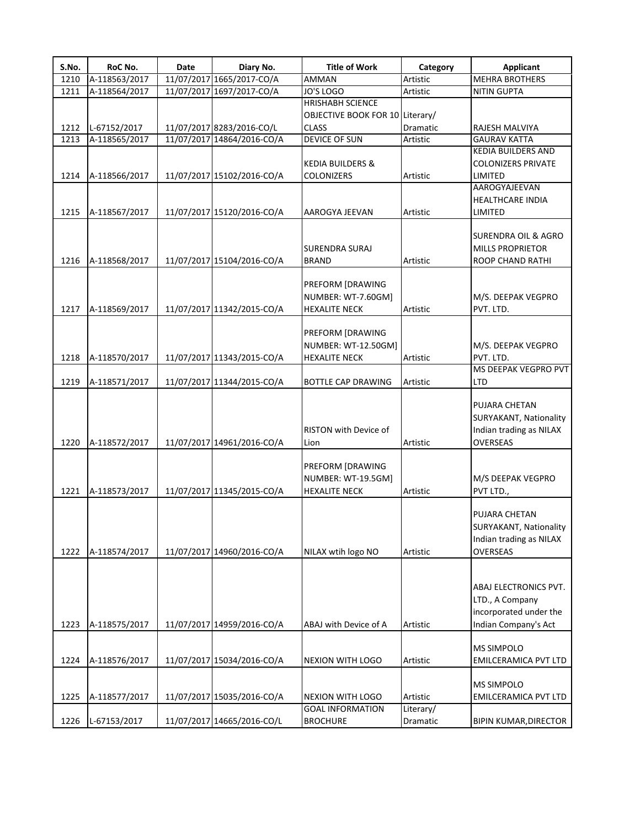| S.No. | RoC No.       | Date | Diary No.                  | <b>Title of Work</b>            | Category        | <b>Applicant</b>             |
|-------|---------------|------|----------------------------|---------------------------------|-----------------|------------------------------|
| 1210  | A-118563/2017 |      | 11/07/2017 1665/2017-CO/A  | AMMAN                           | Artistic        | <b>MEHRA BROTHERS</b>        |
| 1211  | A-118564/2017 |      | 11/07/2017 1697/2017-CO/A  | JO'S LOGO                       | Artistic        | <b>NITIN GUPTA</b>           |
|       |               |      |                            | <b>HRISHABH SCIENCE</b>         |                 |                              |
|       |               |      |                            | OBJECTIVE BOOK FOR 10 Literary/ |                 |                              |
| 1212  | L-67152/2017  |      | 11/07/2017 8283/2016-CO/L  | <b>CLASS</b>                    | <b>Dramatic</b> | RAJESH MALVIYA               |
| 1213  | A-118565/2017 |      | 11/07/2017 14864/2016-CO/A | DEVICE OF SUN                   | Artistic        | <b>GAURAV KATTA</b>          |
|       |               |      |                            |                                 |                 | <b>KEDIA BUILDERS AND</b>    |
|       |               |      |                            | <b>KEDIA BUILDERS &amp;</b>     |                 | <b>COLONIZERS PRIVATE</b>    |
| 1214  | A-118566/2017 |      | 11/07/2017 15102/2016-CO/A | <b>COLONIZERS</b>               | Artistic        | LIMITED                      |
|       |               |      |                            |                                 |                 | AAROGYAJEEVAN                |
|       |               |      |                            |                                 |                 | HEALTHCARE INDIA             |
| 1215  | A-118567/2017 |      | 11/07/2017 15120/2016-CO/A | AAROGYA JEEVAN                  | Artistic        | LIMITED                      |
|       |               |      |                            |                                 |                 |                              |
|       |               |      |                            |                                 |                 |                              |
|       |               |      |                            |                                 |                 | SURENDRA OIL & AGRO          |
|       |               |      |                            | <b>SURENDRA SURAJ</b>           |                 | <b>MILLS PROPRIETOR</b>      |
| 1216  | A-118568/2017 |      | 11/07/2017 15104/2016-CO/A | <b>BRAND</b>                    | Artistic        | <b>ROOP CHAND RATHI</b>      |
|       |               |      |                            |                                 |                 |                              |
|       |               |      |                            | PREFORM [DRAWING                |                 |                              |
|       |               |      |                            | NUMBER: WT-7.60GM]              |                 | M/S. DEEPAK VEGPRO           |
| 1217  | A-118569/2017 |      | 11/07/2017 11342/2015-CO/A | <b>HEXALITE NECK</b>            | Artistic        | PVT. LTD.                    |
|       |               |      |                            |                                 |                 |                              |
|       |               |      |                            | <b>PREFORM [DRAWING</b>         |                 |                              |
|       |               |      |                            | NUMBER: WT-12.50GM]             |                 | M/S. DEEPAK VEGPRO           |
| 1218  | A-118570/2017 |      | 11/07/2017 11343/2015-CO/A | <b>HEXALITE NECK</b>            | Artistic        | PVT. LTD.                    |
|       |               |      |                            |                                 |                 | MS DEEPAK VEGPRO PVT         |
| 1219  | A-118571/2017 |      | 11/07/2017 11344/2015-CO/A | <b>BOTTLE CAP DRAWING</b>       | Artistic        | LTD                          |
|       |               |      |                            |                                 |                 |                              |
|       |               |      |                            |                                 |                 | PUJARA CHETAN                |
|       |               |      |                            |                                 |                 | SURYAKANT, Nationality       |
|       |               |      |                            | <b>RISTON with Device of</b>    |                 | Indian trading as NILAX      |
| 1220  | A-118572/2017 |      | 11/07/2017 14961/2016-CO/A | Lion                            | Artistic        | OVERSEAS                     |
|       |               |      |                            |                                 |                 |                              |
|       |               |      |                            | <b>PREFORM [DRAWING</b>         |                 |                              |
|       |               |      |                            | NUMBER: WT-19.5GM]              |                 | M/S DEEPAK VEGPRO            |
| 1221  | A-118573/2017 |      | 11/07/2017 11345/2015-CO/A | <b>HEXALITE NECK</b>            | Artistic        | PVT LTD.,                    |
|       |               |      |                            |                                 |                 |                              |
|       |               |      |                            |                                 |                 | PUJARA CHETAN                |
|       |               |      |                            |                                 |                 | SURYAKANT, Nationality       |
|       |               |      |                            |                                 |                 | Indian trading as NILAX      |
| 1222  | A-118574/2017 |      | 11/07/2017 14960/2016-CO/A | NILAX wtih logo NO              | Artistic        | <b>OVERSEAS</b>              |
|       |               |      |                            |                                 |                 |                              |
|       |               |      |                            |                                 |                 |                              |
|       |               |      |                            |                                 |                 | ABAJ ELECTRONICS PVT.        |
|       |               |      |                            |                                 |                 | LTD., A Company              |
|       |               |      |                            |                                 |                 | incorporated under the       |
| 1223  | A-118575/2017 |      | 11/07/2017 14959/2016-CO/A | ABAJ with Device of A           | Artistic        | Indian Company's Act         |
|       |               |      |                            |                                 |                 |                              |
|       |               |      |                            |                                 |                 | <b>MS SIMPOLO</b>            |
| 1224  | A-118576/2017 |      | 11/07/2017 15034/2016-CO/A | <b>NEXION WITH LOGO</b>         | Artistic        | <b>EMILCERAMICA PVT LTD</b>  |
|       |               |      |                            |                                 |                 |                              |
|       |               |      |                            |                                 |                 | <b>MS SIMPOLO</b>            |
|       |               |      |                            |                                 | Artistic        |                              |
| 1225  | A-118577/2017 |      | 11/07/2017 15035/2016-CO/A | <b>NEXION WITH LOGO</b>         |                 | EMILCERAMICA PVT LTD         |
|       |               |      |                            | <b>GOAL INFORMATION</b>         | Literary/       |                              |
| 1226  | L-67153/2017  |      | 11/07/2017 14665/2016-CO/L | <b>BROCHURE</b>                 | Dramatic        | <b>BIPIN KUMAR, DIRECTOR</b> |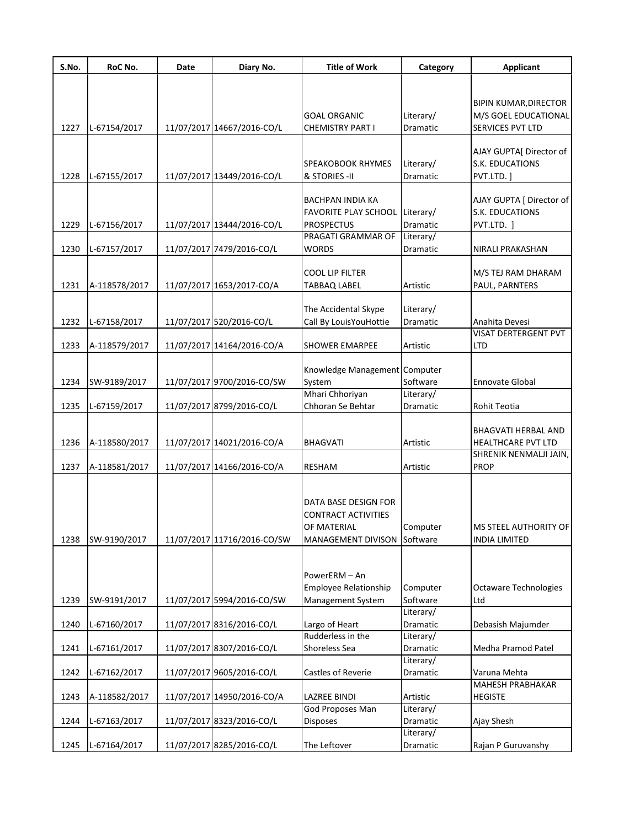| S.No. | RoC No.       | Date | Diary No.                   | <b>Title of Work</b>                               | Category  | <b>Applicant</b>                            |
|-------|---------------|------|-----------------------------|----------------------------------------------------|-----------|---------------------------------------------|
|       |               |      |                             |                                                    |           |                                             |
|       |               |      |                             |                                                    |           | <b>BIPIN KUMAR, DIRECTOR</b>                |
|       |               |      |                             | <b>GOAL ORGANIC</b>                                | Literary/ | M/S GOEL EDUCATIONAL                        |
| 1227  | L-67154/2017  |      | 11/07/2017 14667/2016-CO/L  | <b>CHEMISTRY PART I</b>                            | Dramatic  | SERVICES PVT LTD                            |
|       |               |      |                             |                                                    |           |                                             |
|       |               |      |                             |                                                    |           | AJAY GUPTA[ Director of                     |
|       |               |      |                             | <b>SPEAKOBOOK RHYMES</b>                           | Literary/ | S.K. EDUCATIONS                             |
| 1228  | L-67155/2017  |      | 11/07/2017 13449/2016-CO/L  | & STORIES - II                                     | Dramatic  | PVT.LTD. ]                                  |
|       |               |      |                             |                                                    |           |                                             |
|       |               |      |                             | BACHPAN INDIA KA<br>FAVORITE PLAY SCHOOL Literary/ |           | AJAY GUPTA   Director of<br>S.K. EDUCATIONS |
| 1229  | L-67156/2017  |      | 11/07/2017 13444/2016-CO/L  | <b>PROSPECTUS</b>                                  | Dramatic  | PVT.LTD. ]                                  |
|       |               |      |                             | PRAGATI GRAMMAR OF                                 | Literary/ |                                             |
| 1230  | L-67157/2017  |      | 11/07/2017 7479/2016-CO/L   | <b>WORDS</b>                                       | Dramatic  | NIRALI PRAKASHAN                            |
|       |               |      |                             |                                                    |           |                                             |
|       |               |      |                             | <b>COOL LIP FILTER</b>                             |           | M/S TEJ RAM DHARAM                          |
| 1231  | A-118578/2017 |      | 11/07/2017 1653/2017-CO/A   | <b>TABBAQ LABEL</b>                                | Artistic  | PAUL, PARNTERS                              |
|       |               |      |                             |                                                    |           |                                             |
|       |               |      |                             | The Accidental Skype                               | Literary/ |                                             |
| 1232  | L-67158/2017  |      | 11/07/2017 520/2016-CO/L    | Call By LouisYouHottie                             | Dramatic  | Anahita Devesi                              |
|       |               |      |                             |                                                    |           | <b>VISAT DERTERGENT PVT</b>                 |
| 1233  | A-118579/2017 |      | 11/07/2017 14164/2016-CO/A  | <b>SHOWER EMARPEE</b>                              | Artistic  | <b>LTD</b>                                  |
|       |               |      |                             |                                                    |           |                                             |
|       |               |      |                             | Knowledge Management Computer                      |           |                                             |
| 1234  | SW-9189/2017  |      | 11/07/2017 9700/2016-CO/SW  | System                                             | Software  | <b>Ennovate Global</b>                      |
|       |               |      |                             | Mhari Chhoriyan                                    | Literary/ |                                             |
| 1235  | L-67159/2017  |      | 11/07/2017 8799/2016-CO/L   | Chhoran Se Behtar                                  | Dramatic  | Rohit Teotia                                |
|       |               |      |                             |                                                    |           | BHAGVATI HERBAL AND                         |
| 1236  | A-118580/2017 |      | 11/07/2017 14021/2016-CO/A  | <b>BHAGVATI</b>                                    | Artistic  | HEALTHCARE PVT LTD                          |
|       |               |      |                             |                                                    |           | SHRENIK NENMALJI JAIN,                      |
| 1237  | A-118581/2017 |      | 11/07/2017 14166/2016-CO/A  | <b>RESHAM</b>                                      | Artistic  | <b>PROP</b>                                 |
|       |               |      |                             |                                                    |           |                                             |
|       |               |      |                             |                                                    |           |                                             |
|       |               |      |                             | DATA BASE DESIGN FOR                               |           |                                             |
|       |               |      |                             | <b>CONTRACT ACTIVITIES</b>                         |           |                                             |
|       |               |      |                             | OF MATERIAL                                        | Computer  | MS STEEL AUTHORITY OF                       |
| 1238  | SW-9190/2017  |      | 11/07/2017 11716/2016-CO/SW | MANAGEMENT DIVISON Software                        |           | <b>INDIA LIMITED</b>                        |
|       |               |      |                             |                                                    |           |                                             |
|       |               |      |                             |                                                    |           |                                             |
|       |               |      |                             | PowerERM - An<br>Employee Relationship             | Computer  | <b>Octaware Technologies</b>                |
| 1239  | SW-9191/2017  |      | 11/07/2017 5994/2016-CO/SW  | Management System                                  | Software  | Ltd                                         |
|       |               |      |                             |                                                    | Literary/ |                                             |
| 1240  | L-67160/2017  |      | 11/07/2017 8316/2016-CO/L   | Largo of Heart                                     | Dramatic  | Debasish Majumder                           |
|       |               |      |                             | Rudderless in the                                  | Literary/ |                                             |
| 1241  | L-67161/2017  |      | 11/07/2017 8307/2016-CO/L   | Shoreless Sea                                      | Dramatic  | Medha Pramod Patel                          |
|       |               |      |                             |                                                    | Literary/ |                                             |
| 1242  | L-67162/2017  |      | 11/07/2017 9605/2016-CO/L   | Castles of Reverie                                 | Dramatic  | Varuna Mehta                                |
|       |               |      |                             |                                                    |           | <b>MAHESH PRABHAKAR</b>                     |
| 1243  | A-118582/2017 |      | 11/07/2017 14950/2016-CO/A  | <b>LAZREE BINDI</b>                                | Artistic  | <b>HEGISTE</b>                              |
|       |               |      |                             | God Proposes Man                                   | Literary/ |                                             |
| 1244  | L-67163/2017  |      | 11/07/2017 8323/2016-CO/L   | Disposes                                           | Dramatic  | Ajay Shesh                                  |
|       |               |      |                             |                                                    | Literary/ |                                             |
| 1245  | L-67164/2017  |      | 11/07/2017 8285/2016-CO/L   | The Leftover                                       | Dramatic  | Rajan P Guruvanshy                          |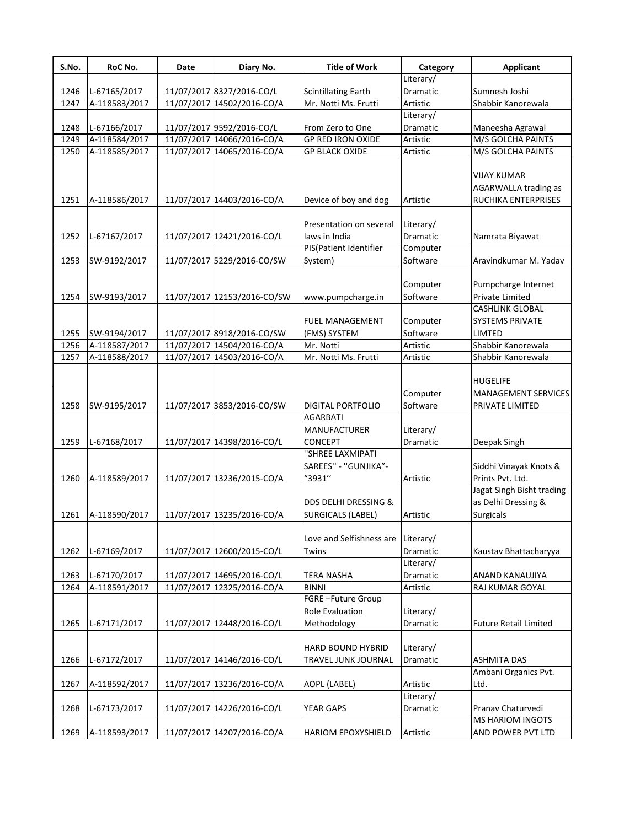| S.No. | RoC No.       | Date | Diary No.                   | <b>Title of Work</b>       | Category  | <b>Applicant</b>             |
|-------|---------------|------|-----------------------------|----------------------------|-----------|------------------------------|
|       |               |      |                             |                            | Literary/ |                              |
| 1246  | L-67165/2017  |      | 11/07/2017 8327/2016-CO/L   | <b>Scintillating Earth</b> | Dramatic  | Sumnesh Joshi                |
| 1247  | A-118583/2017 |      | 11/07/2017 14502/2016-CO/A  | Mr. Notti Ms. Frutti       | Artistic  | Shabbir Kanorewala           |
|       |               |      |                             |                            | Literary/ |                              |
| 1248  | L-67166/2017  |      | 11/07/2017 9592/2016-CO/L   | From Zero to One           | Dramatic  | Maneesha Agrawal             |
| 1249  | A-118584/2017 |      | 11/07/2017 14066/2016-CO/A  | <b>GP RED IRON OXIDE</b>   | Artistic  | M/S GOLCHA PAINTS            |
| 1250  | A-118585/2017 |      | 11/07/2017 14065/2016-CO/A  | <b>GP BLACK OXIDE</b>      | Artistic  | M/S GOLCHA PAINTS            |
|       |               |      |                             |                            |           | <b>VIJAY KUMAR</b>           |
|       |               |      |                             |                            |           | AGARWALLA trading as         |
| 1251  | A-118586/2017 |      | 11/07/2017 14403/2016-CO/A  | Device of boy and dog      | Artistic  | <b>RUCHIKA ENTERPRISES</b>   |
|       |               |      |                             |                            |           |                              |
|       |               |      |                             | Presentation on several    | Literary/ |                              |
| 1252  | L-67167/2017  |      | 11/07/2017 12421/2016-CO/L  | laws in India              | Dramatic  | Namrata Biyawat              |
|       |               |      |                             | PIS(Patient Identifier     | Computer  |                              |
| 1253  | SW-9192/2017  |      | 11/07/2017 5229/2016-CO/SW  | System)                    | Software  | Aravindkumar M. Yadav        |
|       |               |      |                             |                            |           |                              |
|       |               |      |                             |                            | Computer  | Pumpcharge Internet          |
| 1254  | SW-9193/2017  |      | 11/07/2017 12153/2016-CO/SW | www.pumpcharge.in          | Software  | Private Limited              |
|       |               |      |                             |                            |           | <b>CASHLINK GLOBAL</b>       |
|       |               |      |                             | FUEL MANAGEMENT            | Computer  | SYSTEMS PRIVATE              |
| 1255  | SW-9194/2017  |      | 11/07/2017 8918/2016-CO/SW  | (FMS) SYSTEM               | Software  | LIMTED                       |
| 1256  | A-118587/2017 |      | 11/07/2017 14504/2016-CO/A  | Mr. Notti                  | Artistic  | Shabbir Kanorewala           |
| 1257  | A-118588/2017 |      | 11/07/2017 14503/2016-CO/A  | Mr. Notti Ms. Frutti       | Artistic  | Shabbir Kanorewala           |
|       |               |      |                             |                            |           |                              |
|       |               |      |                             |                            |           | <b>HUGELIFE</b>              |
|       |               |      |                             |                            | Computer  | <b>MANAGEMENT SERVICES</b>   |
| 1258  | SW-9195/2017  |      | 11/07/2017 3853/2016-CO/SW  | <b>DIGITAL PORTFOLIO</b>   | Software  | PRIVATE LIMITED              |
|       |               |      |                             | AGARBATI                   |           |                              |
|       |               |      |                             | <b>MANUFACTURER</b>        | Literary/ |                              |
| 1259  | L-67168/2017  |      | 11/07/2017 14398/2016-CO/L  | CONCEPT                    | Dramatic  | Deepak Singh                 |
|       |               |      |                             | "SHREE LAXMIPATI           |           |                              |
|       |               |      |                             | SAREES" - "GUNJIKA"-       |           | Siddhi Vinayak Knots &       |
| 1260  | A-118589/2017 |      | 11/07/2017 13236/2015-CO/A  | "3931"                     | Artistic  | Prints Pvt. Ltd.             |
|       |               |      |                             |                            |           | Jagat Singh Bisht trading    |
|       |               |      |                             | DDS DELHI DRESSING &       |           | as Delhi Dressing &          |
| 1261  | A-118590/2017 |      | 11/07/2017 13235/2016-CO/A  | SURGICALS (LABEL)          | Artistic  | Surgicals                    |
|       |               |      |                             |                            |           |                              |
|       |               |      |                             | Love and Selfishness are   | Literary/ |                              |
| 1262  | L-67169/2017  |      | 11/07/2017 12600/2015-CO/L  | Twins                      | Dramatic  | Kaustav Bhattacharyya        |
|       |               |      |                             |                            | Literary/ |                              |
| 1263  | L-67170/2017  |      | 11/07/2017 14695/2016-CO/L  | <b>TERA NASHA</b>          | Dramatic  | ANAND KANAUJIYA              |
| 1264  | A-118591/2017 |      | 11/07/2017 12325/2016-CO/A  | <b>BINNI</b>               | Artistic  | RAJ KUMAR GOYAL              |
|       |               |      |                             | FGRE-Future Group          |           |                              |
|       |               |      |                             | <b>Role Evaluation</b>     | Literary/ |                              |
| 1265  | L-67171/2017  |      | 11/07/2017 12448/2016-CO/L  | Methodology                | Dramatic  | <b>Future Retail Limited</b> |
|       |               |      |                             |                            |           |                              |
|       |               |      |                             | HARD BOUND HYBRID          | Literary/ |                              |
| 1266  | L-67172/2017  |      | 11/07/2017 14146/2016-CO/L  | TRAVEL JUNK JOURNAL        | Dramatic  | <b>ASHMITA DAS</b>           |
|       |               |      |                             |                            |           | Ambani Organics Pvt.         |
| 1267  | A-118592/2017 |      | 11/07/2017 13236/2016-CO/A  | AOPL (LABEL)               | Artistic  | Ltd.                         |
|       |               |      |                             |                            | Literary/ |                              |
| 1268  | L-67173/2017  |      | 11/07/2017 14226/2016-CO/L  | YEAR GAPS                  | Dramatic  | Pranav Chaturvedi            |
|       |               |      |                             |                            |           | MS HARIOM INGOTS             |
| 1269  | A-118593/2017 |      | 11/07/2017 14207/2016-CO/A  | HARIOM EPOXYSHIELD         | Artistic  | AND POWER PVT LTD            |
|       |               |      |                             |                            |           |                              |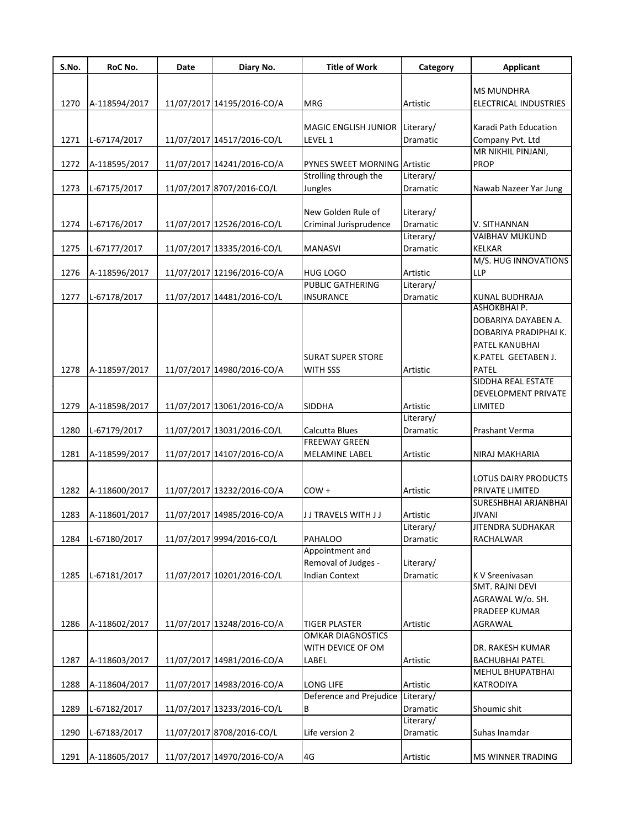| S.No. | RoC No.       | Date | Diary No.                  | <b>Title of Work</b>                          | Category              | <b>Applicant</b>                        |
|-------|---------------|------|----------------------------|-----------------------------------------------|-----------------------|-----------------------------------------|
|       |               |      |                            |                                               |                       | <b>MS MUNDHRA</b>                       |
| 1270  | A-118594/2017 |      | 11/07/2017 14195/2016-CO/A | <b>MRG</b>                                    | Artistic              | ELECTRICAL INDUSTRIES                   |
|       |               |      |                            |                                               |                       |                                         |
|       |               |      |                            | MAGIC ENGLISH JUNIOR Literary/                |                       | Karadi Path Education                   |
| 1271  | L-67174/2017  |      | 11/07/2017 14517/2016-CO/L | LEVEL 1                                       | Dramatic              | Company Pvt. Ltd                        |
| 1272  | A-118595/2017 |      | 11/07/2017 14241/2016-CO/A | <b>PYNES SWEET MORNING Artistic</b>           |                       | MR NIKHIL PINJANI,<br><b>PROP</b>       |
|       |               |      |                            | Strolling through the                         | Literary/             |                                         |
| 1273  | L-67175/2017  |      | 11/07/2017 8707/2016-CO/L  | Jungles                                       | Dramatic              | Nawab Nazeer Yar Jung                   |
|       |               |      |                            |                                               |                       |                                         |
|       |               |      |                            | New Golden Rule of                            | Literary/             |                                         |
| 1274  | L-67176/2017  |      | 11/07/2017 12526/2016-CO/L | Criminal Jurisprudence                        | Dramatic<br>Literary/ | V. SITHANNAN<br><b>VAIBHAV MUKUND</b>   |
| 1275  | L-67177/2017  |      | 11/07/2017 13335/2016-CO/L | <b>MANASVI</b>                                | Dramatic              | <b>KELKAR</b>                           |
|       |               |      |                            |                                               |                       | M/S. HUG INNOVATIONS                    |
| 1276  | A-118596/2017 |      | 11/07/2017 12196/2016-CO/A | <b>HUG LOGO</b>                               | Artistic              | <b>LLP</b>                              |
|       |               |      |                            | PUBLIC GATHERING                              | Literary/             |                                         |
| 1277  | L-67178/2017  |      | 11/07/2017 14481/2016-CO/L | <b>INSURANCE</b>                              | Dramatic              | KUNAL BUDHRAJA<br>ASHOKBHAI P.          |
|       |               |      |                            |                                               |                       | DOBARIYA DAYABEN A.                     |
|       |               |      |                            |                                               |                       | DOBARIYA PRADIPHAI K.                   |
|       |               |      |                            |                                               |                       | PATEL KANUBHAI                          |
|       |               |      |                            | <b>SURAT SUPER STORE</b>                      |                       | K.PATEL GEETABEN J.                     |
| 1278  | A-118597/2017 |      | 11/07/2017 14980/2016-CO/A | <b>WITH SSS</b>                               | Artistic              | <b>PATEL</b>                            |
|       |               |      |                            |                                               |                       | SIDDHA REAL ESTATE                      |
| 1279  | A-118598/2017 |      | 11/07/2017 13061/2016-CO/A | <b>SIDDHA</b>                                 | Artistic              | DEVELOPMENT PRIVATE<br>LIMITED          |
|       |               |      |                            |                                               | Literary/             |                                         |
| 1280  | L-67179/2017  |      | 11/07/2017 13031/2016-CO/L | Calcutta Blues                                | Dramatic              | Prashant Verma                          |
|       |               |      |                            | <b>FREEWAY GREEN</b>                          |                       |                                         |
| 1281  | A-118599/2017 |      | 11/07/2017 14107/2016-CO/A | MELAMINE LABEL                                | Artistic              | NIRAJ MAKHARIA                          |
|       |               |      |                            |                                               |                       |                                         |
| 1282  | A-118600/2017 |      | 11/07/2017 13232/2016-CO/A | $COW +$                                       | Artistic              | LOTUS DAIRY PRODUCTS<br>PRIVATE LIMITED |
|       |               |      |                            |                                               |                       | SURESHBHAI ARJANBHAI                    |
| 1283  | A-118601/2017 |      | 11/07/2017 14985/2016-CO/A | J J TRAVELS WITH J J                          | Artistic              | <b>JIVANI</b>                           |
|       |               |      |                            |                                               | Literary/             | <b>JITENDRA SUDHAKAR</b>                |
| 1284  | L-67180/2017  |      | 11/07/2017 9994/2016-CO/L  | PAHALOO                                       | Dramatic              | <b>RACHALWAR</b>                        |
|       |               |      |                            | Appointment and<br>Removal of Judges -        | Literary/             |                                         |
| 1285  | L-67181/2017  |      | 11/07/2017 10201/2016-CO/L | <b>Indian Context</b>                         | Dramatic              | K V Sreenivasan                         |
|       |               |      |                            |                                               |                       | SMT. RAJNI DEVI                         |
|       |               |      |                            |                                               |                       | AGRAWAL W/o. SH.                        |
|       |               |      |                            |                                               |                       | PRADEEP KUMAR                           |
| 1286  | A-118602/2017 |      | 11/07/2017 13248/2016-CO/A | <b>TIGER PLASTER</b>                          | Artistic              | AGRAWAL                                 |
|       |               |      |                            | <b>OMKAR DIAGNOSTICS</b><br>WITH DEVICE OF OM |                       | DR. RAKESH KUMAR                        |
| 1287  | A-118603/2017 |      | 11/07/2017 14981/2016-CO/A | LABEL                                         | Artistic              | <b>BACHUBHAI PATEL</b>                  |
|       |               |      |                            |                                               |                       | MEHUL BHUPATBHAI                        |
| 1288  | A-118604/2017 |      | 11/07/2017 14983/2016-CO/A | LONG LIFE                                     | Artistic              | KATRODIYA                               |
|       |               |      |                            | Deference and Prejudice                       | Literary/             |                                         |
| 1289  | L-67182/2017  |      | 11/07/2017 13233/2016-CO/L | В                                             | Dramatic              | Shoumic shit                            |
| 1290  | L-67183/2017  |      | 11/07/2017 8708/2016-CO/L  | Life version 2                                | Literary/<br>Dramatic | Suhas Inamdar                           |
|       |               |      |                            |                                               |                       |                                         |
| 1291  | A-118605/2017 |      | 11/07/2017 14970/2016-CO/A | 4G                                            | Artistic              | <b>MS WINNER TRADING</b>                |
|       |               |      |                            |                                               |                       |                                         |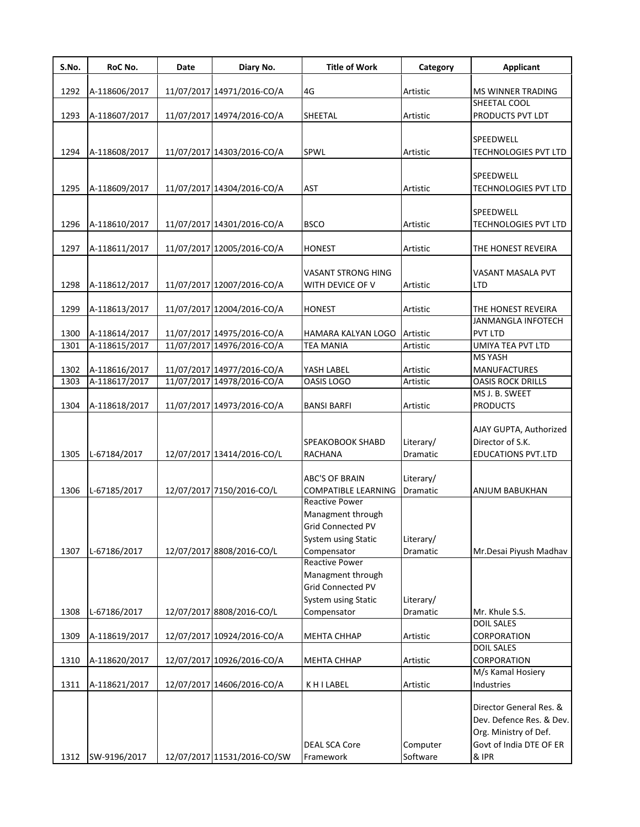| S.No. | RoC No.       | Date | Diary No.                   | <b>Title of Work</b>                                                   | Category              | <b>Applicant</b>                                                             |
|-------|---------------|------|-----------------------------|------------------------------------------------------------------------|-----------------------|------------------------------------------------------------------------------|
|       |               |      | 11/07/2017 14971/2016-CO/A  |                                                                        |                       | <b>MS WINNER TRADING</b>                                                     |
| 1292  | A-118606/2017 |      |                             | 4G                                                                     | Artistic              | SHEETAL COOL                                                                 |
| 1293  | A-118607/2017 |      | 11/07/2017 14974/2016-CO/A  | SHEETAL                                                                | Artistic              | PRODUCTS PVT LDT                                                             |
|       |               |      |                             |                                                                        |                       |                                                                              |
|       |               |      |                             |                                                                        |                       | SPEEDWELL                                                                    |
| 1294  | A-118608/2017 |      | 11/07/2017 14303/2016-CO/A  | SPWL                                                                   | Artistic              | <b>TECHNOLOGIES PVT LTD</b>                                                  |
|       |               |      |                             |                                                                        |                       |                                                                              |
|       |               |      |                             |                                                                        |                       | SPEEDWELL                                                                    |
| 1295  | A-118609/2017 |      | 11/07/2017 14304/2016-CO/A  | AST                                                                    | Artistic              | <b>TECHNOLOGIES PVT LTD</b>                                                  |
|       |               |      |                             |                                                                        |                       |                                                                              |
|       |               |      |                             |                                                                        |                       | SPEEDWELL                                                                    |
| 1296  | A-118610/2017 |      | 11/07/2017 14301/2016-CO/A  | <b>BSCO</b>                                                            | Artistic              | <b>TECHNOLOGIES PVT LTD</b>                                                  |
|       |               |      |                             |                                                                        |                       |                                                                              |
| 1297  | A-118611/2017 |      | 11/07/2017 12005/2016-CO/A  | <b>HONEST</b>                                                          | Artistic              | THE HONEST REVEIRA                                                           |
|       |               |      |                             |                                                                        |                       |                                                                              |
|       |               |      |                             | VASANT STRONG HING                                                     |                       | VASANT MASALA PVT                                                            |
| 1298  | A-118612/2017 |      | 11/07/2017 12007/2016-CO/A  | WITH DEVICE OF V                                                       | Artistic              | LTD                                                                          |
| 1299  | A-118613/2017 |      | 11/07/2017 12004/2016-CO/A  | <b>HONEST</b>                                                          | Artistic              | THE HONEST REVEIRA                                                           |
|       |               |      |                             |                                                                        |                       | JANMANGLA INFOTECH                                                           |
| 1300  | A-118614/2017 |      | 11/07/2017 14975/2016-CO/A  | HAMARA KALYAN LOGO                                                     | Artistic              | <b>PVT LTD</b>                                                               |
| 1301  | A-118615/2017 |      | 11/07/2017 14976/2016-CO/A  | TEA MANIA                                                              | Artistic              | UMIYA TEA PVT LTD                                                            |
|       |               |      |                             |                                                                        |                       | <b>MS YASH</b>                                                               |
| 1302  | A-118616/2017 |      | 11/07/2017 14977/2016-CO/A  | YASH LABEL                                                             | Artistic              | <b>MANUFACTURES</b>                                                          |
| 1303  | A-118617/2017 |      | 11/07/2017 14978/2016-CO/A  | OASIS LOGO                                                             | Artistic              | <b>OASIS ROCK DRILLS</b>                                                     |
|       |               |      |                             |                                                                        |                       | MS J. B. SWEET                                                               |
| 1304  | A-118618/2017 |      | 11/07/2017 14973/2016-CO/A  | <b>BANSI BARFI</b>                                                     | Artistic              | <b>PRODUCTS</b>                                                              |
|       |               |      |                             |                                                                        |                       | AJAY GUPTA, Authorized<br>Director of S.K.                                   |
| 1305  | L-67184/2017  |      | 12/07/2017 13414/2016-CO/L  | SPEAKOBOOK SHABD<br>RACHANA                                            | Literary/<br>Dramatic | <b>EDUCATIONS PVT.LTD</b>                                                    |
|       |               |      |                             |                                                                        |                       |                                                                              |
|       |               |      |                             | <b>ABC'S OF BRAIN</b>                                                  | Literary/             |                                                                              |
| 1306  | L-67185/2017  |      | 12/07/2017 7150/2016-CO/L   | <b>COMPATIBLE LEARNING</b>                                             | Dramatic              | ANJUM BABUKHAN                                                               |
|       |               |      |                             | Reactive Power                                                         |                       |                                                                              |
|       |               |      |                             | Managment through<br><b>Grid Connected PV</b>                          |                       |                                                                              |
|       |               |      |                             | System using Static                                                    | Literary/             |                                                                              |
| 1307  | L-67186/2017  |      | 12/07/2017 8808/2016-CO/L   | Compensator                                                            | Dramatic              | Mr.Desai Piyush Madhav                                                       |
|       |               |      |                             | <b>Reactive Power</b><br>Managment through<br><b>Grid Connected PV</b> |                       |                                                                              |
|       |               |      |                             | System using Static                                                    | Literary/             |                                                                              |
| 1308  | L-67186/2017  |      | 12/07/2017 8808/2016-CO/L   | Compensator                                                            | Dramatic              | Mr. Khule S.S.<br><b>DOIL SALES</b>                                          |
| 1309  | A-118619/2017 |      | 12/07/2017 10924/2016-CO/A  | MEHTA CHHAP                                                            | Artistic              | CORPORATION                                                                  |
|       |               |      |                             |                                                                        |                       | <b>DOIL SALES</b>                                                            |
| 1310  | A-118620/2017 |      | 12/07/2017 10926/2016-CO/A  | MEHTA CHHAP                                                            | Artistic              | CORPORATION                                                                  |
|       |               |      |                             |                                                                        |                       | M/s Kamal Hosiery                                                            |
| 1311  | A-118621/2017 |      | 12/07/2017 14606/2016-CO/A  | KHILABEL                                                               | Artistic              | Industries                                                                   |
|       |               |      |                             |                                                                        |                       | Director General Res. &<br>Dev. Defence Res. & Dev.<br>Org. Ministry of Def. |
|       |               |      |                             | <b>DEAL SCA Core</b>                                                   | Computer              | Govt of India DTE OF ER                                                      |
| 1312  | SW-9196/2017  |      | 12/07/2017 11531/2016-CO/SW | Framework                                                              | Software              | & IPR                                                                        |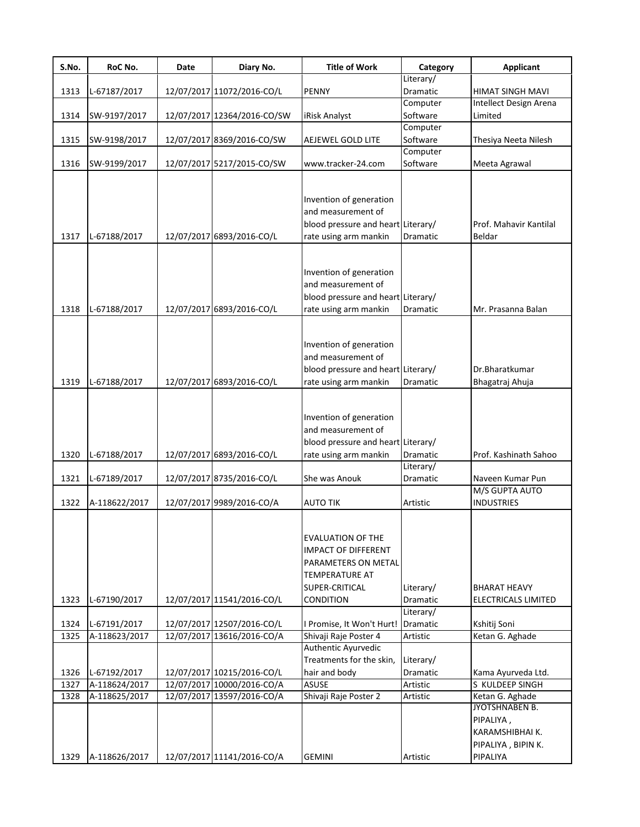| S.No.        | RoC No.                       | Date | Diary No.                                                | <b>Title of Work</b>                                                                                                                  | Category                           | <b>Applicant</b>                                                                 |
|--------------|-------------------------------|------|----------------------------------------------------------|---------------------------------------------------------------------------------------------------------------------------------------|------------------------------------|----------------------------------------------------------------------------------|
|              |                               |      |                                                          |                                                                                                                                       | Literary/                          |                                                                                  |
| 1313         | L-67187/2017                  |      | 12/07/2017 11072/2016-CO/L                               | <b>PENNY</b>                                                                                                                          | Dramatic                           | HIMAT SINGH MAVI                                                                 |
|              |                               |      |                                                          |                                                                                                                                       | Computer                           | Intellect Design Arena                                                           |
| 1314         | SW-9197/2017                  |      | 12/07/2017 12364/2016-CO/SW                              | iRisk Analyst                                                                                                                         | Software                           | Limited                                                                          |
|              |                               |      |                                                          |                                                                                                                                       | Computer                           |                                                                                  |
| 1315         | SW-9198/2017                  |      | 12/07/2017 8369/2016-CO/SW                               | AEJEWEL GOLD LITE                                                                                                                     | Software<br>Computer               | Thesiya Neeta Nilesh                                                             |
|              |                               |      |                                                          |                                                                                                                                       | Software                           |                                                                                  |
| 1316         | SW-9199/2017                  |      | 12/07/2017 5217/2015-CO/SW                               | www.tracker-24.com                                                                                                                    |                                    | Meeta Agrawal                                                                    |
| 1317         | L-67188/2017                  |      | 12/07/2017 6893/2016-CO/L                                | Invention of generation<br>and measurement of<br>blood pressure and heart Literary/<br>rate using arm mankin                          | Dramatic                           | Prof. Mahavir Kantilal<br>Beldar                                                 |
| 1318         | L-67188/2017                  |      | 12/07/2017 6893/2016-CO/L                                | Invention of generation<br>and measurement of<br>blood pressure and heart Literary/<br>rate using arm mankin                          | <b>Dramatic</b>                    | Mr. Prasanna Balan                                                               |
| 1319         | L-67188/2017                  |      | 12/07/2017 6893/2016-CO/L                                | Invention of generation<br>and measurement of<br>blood pressure and heart Literary/<br>rate using arm mankin                          | Dramatic                           | Dr.Bharatkumar<br>Bhagatraj Ahuja                                                |
| 1320         | L-67188/2017                  |      | 12/07/2017 6893/2016-CO/L                                | Invention of generation<br>and measurement of<br>blood pressure and heart Literary/<br>rate using arm mankin                          | Dramatic                           | Prof. Kashinath Sahoo                                                            |
| 1321         | L-67189/2017                  |      | 12/07/2017 8735/2016-CO/L                                | She was Anouk                                                                                                                         | Literary/<br>Dramatic              | Naveen Kumar Pun                                                                 |
|              |                               |      |                                                          |                                                                                                                                       |                                    | M/S GUPTA AUTO                                                                   |
| 1322         | A-118622/2017                 |      | 12/07/2017 9989/2016-CO/A                                | <b>AUTO TIK</b>                                                                                                                       | Artistic                           | <b>INDUSTRIES</b>                                                                |
| 1323         | L-67190/2017                  |      | 12/07/2017 11541/2016-CO/L                               | <b>EVALUATION OF THE</b><br><b>IMPACT OF DIFFERENT</b><br>PARAMETERS ON METAL<br><b>TEMPERATURE AT</b><br>SUPER-CRITICAL<br>CONDITION | Literary/<br>Dramatic<br>Literary/ | <b>BHARAT HEAVY</b><br>ELECTRICALS LIMITED                                       |
| 1324         | L-67191/2017                  |      | 12/07/2017 12507/2016-CO/L                               | I Promise, It Won't Hurt!                                                                                                             | Dramatic                           | Kshitij Soni                                                                     |
| 1325         | A-118623/2017                 |      | 12/07/2017 13616/2016-CO/A                               | Shivaji Raje Poster 4                                                                                                                 | Artistic                           | Ketan G. Aghade                                                                  |
| 1326<br>1327 | L-67192/2017<br>A-118624/2017 |      | 12/07/2017 10215/2016-CO/L<br>12/07/2017 10000/2016-CO/A | Authentic Ayurvedic<br>Treatments for the skin,<br>hair and body<br><b>ASUSE</b>                                                      | Literary/<br>Dramatic<br>Artistic  | Kama Ayurveda Ltd.<br>S KULDEEP SINGH                                            |
| 1328         | A-118625/2017                 |      | 12/07/2017 13597/2016-CO/A                               | Shivaji Raje Poster 2                                                                                                                 | Artistic                           | Ketan G. Aghade                                                                  |
| 1329         | A-118626/2017                 |      | 12/07/2017 11141/2016-CO/A                               | <b>GEMINI</b>                                                                                                                         | Artistic                           | JYOTSHNABEN B.<br>PIPALIYA,<br>KARAMSHIBHAI K.<br>PIPALIYA, BIPIN K.<br>PIPALIYA |
|              |                               |      |                                                          |                                                                                                                                       |                                    |                                                                                  |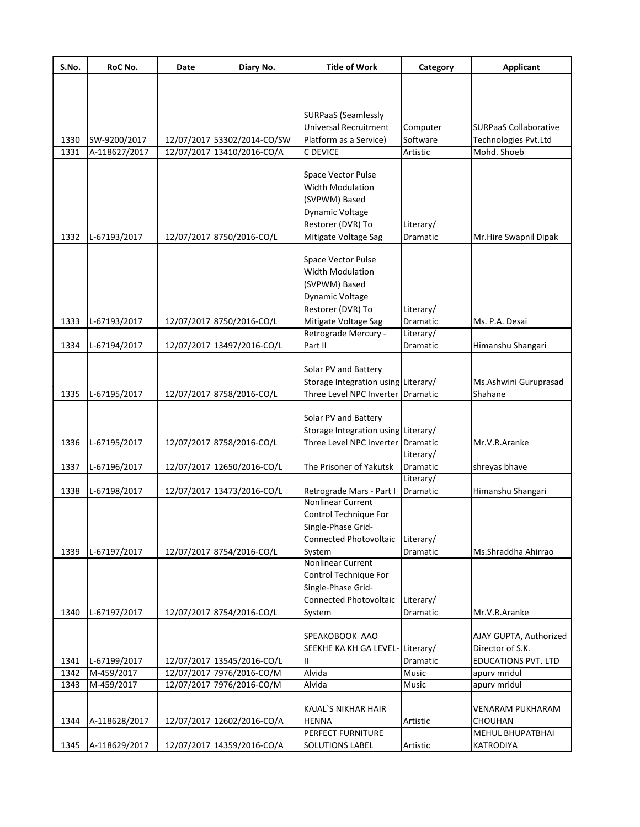| S.No. | RoC No.       | Date | Diary No.                   | <b>Title of Work</b>                | Category        | <b>Applicant</b>             |
|-------|---------------|------|-----------------------------|-------------------------------------|-----------------|------------------------------|
|       |               |      |                             |                                     |                 |                              |
|       |               |      |                             |                                     |                 |                              |
|       |               |      |                             | <b>SURPaaS (Seamlessly</b>          |                 |                              |
|       |               |      |                             | <b>Universal Recruitment</b>        | Computer        | <b>SURPaaS Collaborative</b> |
| 1330  | SW-9200/2017  |      | 12/07/2017 53302/2014-CO/SW | Platform as a Service)              | Software        | Technologies Pvt.Ltd         |
| 1331  | A-118627/2017 |      | 12/07/2017 13410/2016-CO/A  | C DEVICE                            | Artistic        | Mohd. Shoeb                  |
|       |               |      |                             |                                     |                 |                              |
|       |               |      |                             | <b>Space Vector Pulse</b>           |                 |                              |
|       |               |      |                             | <b>Width Modulation</b>             |                 |                              |
|       |               |      |                             | (SVPWM) Based                       |                 |                              |
|       |               |      |                             | Dynamic Voltage                     |                 |                              |
|       |               |      |                             | Restorer (DVR) To                   | Literary/       |                              |
| 1332  | L-67193/2017  |      | 12/07/2017 8750/2016-CO/L   | Mitigate Voltage Sag                | Dramatic        | Mr.Hire Swapnil Dipak        |
|       |               |      |                             |                                     |                 |                              |
|       |               |      |                             | <b>Space Vector Pulse</b>           |                 |                              |
|       |               |      |                             | <b>Width Modulation</b>             |                 |                              |
|       |               |      |                             | (SVPWM) Based                       |                 |                              |
|       |               |      |                             | <b>Dynamic Voltage</b>              |                 |                              |
|       |               |      |                             | Restorer (DVR) To                   | Literary/       |                              |
| 1333  | L-67193/2017  |      | 12/07/2017 8750/2016-CO/L   | Mitigate Voltage Sag                | Dramatic        | Ms. P.A. Desai               |
|       |               |      |                             | Retrograde Mercury -                | Literary/       |                              |
| 1334  | L-67194/2017  |      | 12/07/2017 13497/2016-CO/L  | Part II                             | Dramatic        | Himanshu Shangari            |
|       |               |      |                             |                                     |                 |                              |
|       |               |      |                             | Solar PV and Battery                |                 |                              |
|       |               |      |                             | Storage Integration using Literary/ |                 | Ms.Ashwini Guruprasad        |
| 1335  | L-67195/2017  |      | 12/07/2017 8758/2016-CO/L   | Three Level NPC Inverter Dramatic   |                 | Shahane                      |
|       |               |      |                             |                                     |                 |                              |
|       |               |      |                             | Solar PV and Battery                |                 |                              |
|       |               |      |                             | Storage Integration using Literary/ |                 |                              |
| 1336  | L-67195/2017  |      | 12/07/2017 8758/2016-CO/L   | Three Level NPC Inverter Dramatic   |                 | Mr.V.R.Aranke                |
|       |               |      |                             |                                     | Literary/       |                              |
| 1337  | L-67196/2017  |      | 12/07/2017 12650/2016-CO/L  | The Prisoner of Yakutsk             | Dramatic        | shreyas bhave                |
|       |               |      |                             |                                     | Literary/       |                              |
| 1338  | L-67198/2017  |      | 12/07/2017 13473/2016-CO/L  | Retrograde Mars - Part I            | <b>Dramatic</b> | Himanshu Shangari            |
|       |               |      |                             | <b>Nonlinear Current</b>            |                 |                              |
|       |               |      |                             | Control Technique For               |                 |                              |
|       |               |      |                             | Single-Phase Grid-                  |                 |                              |
|       |               |      |                             | Connected Photovoltaic              | Literary/       |                              |
| 1339  | L-67197/2017  |      | 12/07/2017 8754/2016-CO/L   | System                              | Dramatic        | Ms.Shraddha Ahirrao          |
|       |               |      |                             | Nonlinear Current                   |                 |                              |
|       |               |      |                             | Control Technique For               |                 |                              |
|       |               |      |                             | Single-Phase Grid-                  |                 |                              |
|       |               |      |                             | <b>Connected Photovoltaic</b>       | Literary/       |                              |
| 1340  | L-67197/2017  |      | 12/07/2017 8754/2016-CO/L   | System                              | <b>Dramatic</b> | Mr.V.R.Aranke                |
|       |               |      |                             |                                     |                 |                              |
|       |               |      |                             | SPEAKOBOOK AAO                      |                 | AJAY GUPTA, Authorized       |
|       |               |      |                             | SEEKHE KA KH GA LEVEL-Literary/     |                 | Director of S.K.             |
| 1341  | L-67199/2017  |      | 12/07/2017 13545/2016-CO/L  | Ш                                   | Dramatic        | <b>EDUCATIONS PVT. LTD</b>   |
| 1342  | M-459/2017    |      | 12/07/2017 7976/2016-CO/M   | Alvida                              | Music           | apurv mridul                 |
| 1343  | M-459/2017    |      | 12/07/2017 7976/2016-CO/M   | Alvida                              | Music           | apurv mridul                 |
|       |               |      |                             |                                     |                 |                              |
|       |               |      |                             | <b>KAJAL'S NIKHAR HAIR</b>          |                 | VENARAM PUKHARAM             |
| 1344  | A-118628/2017 |      | 12/07/2017 12602/2016-CO/A  | <b>HENNA</b>                        | Artistic        | CHOUHAN                      |
|       |               |      |                             | PERFECT FURNITURE                   |                 | MEHUL BHUPATBHAI             |
| 1345  | A-118629/2017 |      | 12/07/2017 14359/2016-CO/A  | SOLUTIONS LABEL                     | Artistic        | KATRODIYA                    |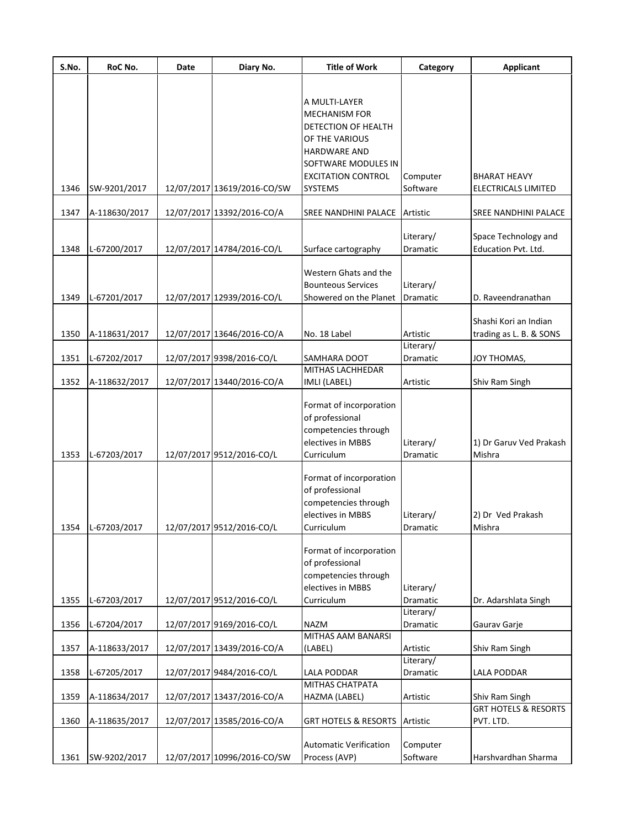| S.No. | RoC No.       | Date | Diary No.                   | <b>Title of Work</b>                                                                                                                                                        | Category                           | <b>Applicant</b>                                 |
|-------|---------------|------|-----------------------------|-----------------------------------------------------------------------------------------------------------------------------------------------------------------------------|------------------------------------|--------------------------------------------------|
| 1346  | SW-9201/2017  |      | 12/07/2017 13619/2016-CO/SW | A MULTI-LAYER<br><b>MECHANISM FOR</b><br>DETECTION OF HEALTH<br>OF THE VARIOUS<br><b>HARDWARE AND</b><br>SOFTWARE MODULES IN<br><b>EXCITATION CONTROL</b><br><b>SYSTEMS</b> | Computer<br>Software               | <b>BHARAT HEAVY</b><br>ELECTRICALS LIMITED       |
| 1347  | A-118630/2017 |      | 12/07/2017 13392/2016-CO/A  | SREE NANDHINI PALACE                                                                                                                                                        | Artistic                           | SREE NANDHINI PALACE                             |
| 1348  | L-67200/2017  |      | 12/07/2017 14784/2016-CO/L  | Surface cartography                                                                                                                                                         | Literary/<br>Dramatic              | Space Technology and<br>Education Pvt. Ltd.      |
| 1349  | L-67201/2017  |      | 12/07/2017 12939/2016-CO/L  | Western Ghats and the<br><b>Bounteous Services</b><br>Showered on the Planet                                                                                                | Literary/<br>Dramatic              | D. Raveendranathan                               |
| 1350  | A-118631/2017 |      | 12/07/2017 13646/2016-CO/A  | No. 18 Label                                                                                                                                                                | Artistic                           | Shashi Kori an Indian<br>trading as L. B. & SONS |
| 1351  | L-67202/2017  |      | 12/07/2017 9398/2016-CO/L   | SAMHARA DOOT                                                                                                                                                                | Literary/<br>Dramatic              | JOY THOMAS,                                      |
| 1352  | A-118632/2017 |      | 12/07/2017 13440/2016-CO/A  | MITHAS LACHHEDAR<br>IMLI (LABEL)                                                                                                                                            | Artistic                           | Shiv Ram Singh                                   |
| 1353  | L-67203/2017  |      | 12/07/2017 9512/2016-CO/L   | Format of incorporation<br>of professional<br>competencies through<br>electives in MBBS<br>Curriculum                                                                       | Literary/<br>Dramatic              | 1) Dr Garuv Ved Prakash<br>Mishra                |
| 1354  | L-67203/2017  |      | 12/07/2017 9512/2016-CO/L   | Format of incorporation<br>of professional<br>competencies through<br>electives in MBBS<br>Curriculum                                                                       | Literary/<br>Dramatic              | 2) Dr Ved Prakash<br>Mishra                      |
| 1355  | L-67203/2017  |      | 12/07/2017 9512/2016-CO/L   | Format of incorporation<br>of professional<br>competencies through<br>electives in MBBS<br>Curriculum                                                                       | Literary/<br>Dramatic<br>Literary/ | Dr. Adarshlata Singh                             |
| 1356  | L-67204/2017  |      | 12/07/2017 9169/2016-CO/L   | <b>NAZM</b>                                                                                                                                                                 | Dramatic                           | Gaurav Garje                                     |
| 1357  | A-118633/2017 |      | 12/07/2017 13439/2016-CO/A  | MITHAS AAM BANARSI<br>(LABEL)                                                                                                                                               | Artistic<br>Literary/              | Shiv Ram Singh                                   |
| 1358  | L-67205/2017  |      | 12/07/2017 9484/2016-CO/L   | LALA PODDAR                                                                                                                                                                 | Dramatic                           | LALA PODDAR                                      |
| 1359  | A-118634/2017 |      | 12/07/2017 13437/2016-CO/A  | <b>MITHAS CHATPATA</b><br>HAZMA (LABEL)                                                                                                                                     | Artistic                           | Shiv Ram Singh                                   |
| 1360  | A-118635/2017 |      | 12/07/2017 13585/2016-CO/A  | <b>GRT HOTELS &amp; RESORTS</b>                                                                                                                                             | Artistic                           | <b>GRT HOTELS &amp; RESORTS</b><br>PVT. LTD.     |
| 1361  | SW-9202/2017  |      | 12/07/2017 10996/2016-CO/SW | <b>Automatic Verification</b><br>Process (AVP)                                                                                                                              | Computer<br>Software               | Harshvardhan Sharma                              |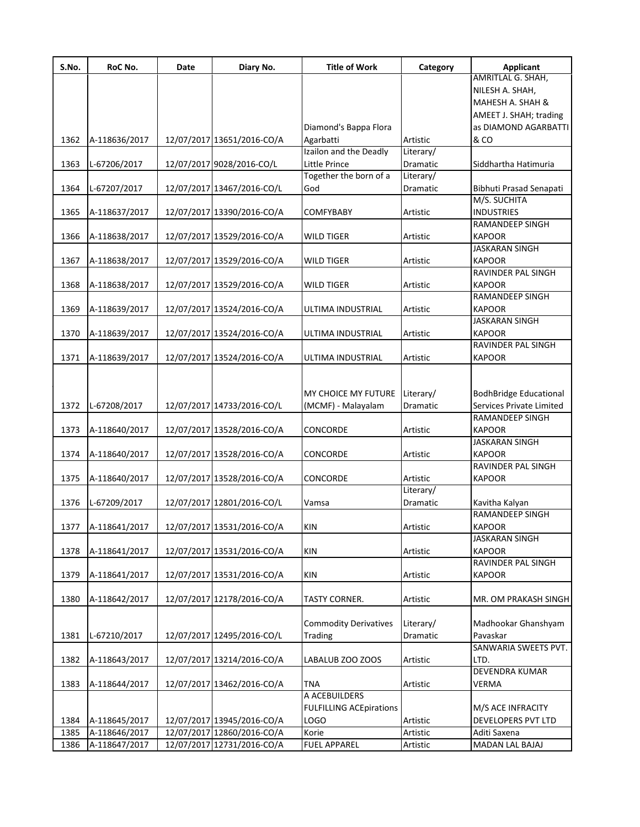| S.No. | RoC No.       | Date | Diary No.                  | <b>Title of Work</b>           | Category  | Applicant                     |
|-------|---------------|------|----------------------------|--------------------------------|-----------|-------------------------------|
|       |               |      |                            |                                |           | AMRITLAL G. SHAH,             |
|       |               |      |                            |                                |           | NILESH A. SHAH,               |
|       |               |      |                            |                                |           | MAHESH A. SHAH &              |
|       |               |      |                            |                                |           | AMEET J. SHAH; trading        |
|       |               |      |                            | Diamond's Bappa Flora          |           | as DIAMOND AGARBATTI          |
| 1362  | A-118636/2017 |      | 12/07/2017 13651/2016-CO/A | Agarbatti                      | Artistic  | & CO                          |
|       |               |      |                            | Izailon and the Deadly         | Literary/ |                               |
| 1363  | L-67206/2017  |      | 12/07/2017 9028/2016-CO/L  | Little Prince                  | Dramatic  | Siddhartha Hatimuria          |
|       |               |      |                            | Together the born of a         | Literary/ |                               |
| 1364  | L-67207/2017  |      | 12/07/2017 13467/2016-CO/L | God                            | Dramatic  | Bibhuti Prasad Senapati       |
|       |               |      |                            |                                |           | M/S. SUCHITA                  |
| 1365  | A-118637/2017 |      | 12/07/2017 13390/2016-CO/A | <b>COMFYBABY</b>               | Artistic  | <b>INDUSTRIES</b>             |
|       |               |      |                            |                                |           | RAMANDEEP SINGH               |
| 1366  | A-118638/2017 |      | 12/07/2017 13529/2016-CO/A | <b>WILD TIGER</b>              | Artistic  | <b>KAPOOR</b>                 |
|       |               |      |                            |                                |           | JASKARAN SINGH                |
| 1367  | A-118638/2017 |      | 12/07/2017 13529/2016-CO/A | <b>WILD TIGER</b>              | Artistic  | <b>KAPOOR</b>                 |
|       |               |      |                            |                                |           | <b>RAVINDER PAL SINGH</b>     |
| 1368  | A-118638/2017 |      | 12/07/2017 13529/2016-CO/A | <b>WILD TIGER</b>              | Artistic  | <b>KAPOOR</b>                 |
|       |               |      |                            |                                |           | RAMANDEEP SINGH               |
| 1369  | A-118639/2017 |      | 12/07/2017 13524/2016-CO/A | ULTIMA INDUSTRIAL              | Artistic  | <b>KAPOOR</b>                 |
|       |               |      |                            |                                |           | JASKARAN SINGH                |
| 1370  | A-118639/2017 |      | 12/07/2017 13524/2016-CO/A | ULTIMA INDUSTRIAL              | Artistic  | <b>KAPOOR</b>                 |
|       |               |      |                            |                                |           | <b>RAVINDER PAL SINGH</b>     |
| 1371  | A-118639/2017 |      | 12/07/2017 13524/2016-CO/A | ULTIMA INDUSTRIAL              | Artistic  | <b>KAPOOR</b>                 |
|       |               |      |                            |                                |           |                               |
|       |               |      |                            |                                |           |                               |
|       |               |      |                            |                                |           |                               |
|       |               |      |                            | MY CHOICE MY FUTURE            | Literary/ | <b>BodhBridge Educational</b> |
| 1372  | L-67208/2017  |      | 12/07/2017 14733/2016-CO/L | (MCMF) - Malayalam             | Dramatic  | Services Private Limited      |
|       |               |      |                            |                                |           | <b>RAMANDEEP SINGH</b>        |
| 1373  | A-118640/2017 |      | 12/07/2017 13528/2016-CO/A | CONCORDE                       | Artistic  | <b>KAPOOR</b>                 |
|       |               |      |                            |                                |           | <b>JASKARAN SINGH</b>         |
| 1374  | A-118640/2017 |      | 12/07/2017 13528/2016-CO/A | CONCORDE                       | Artistic  | <b>KAPOOR</b>                 |
|       |               |      |                            |                                |           | RAVINDER PAL SINGH            |
| 1375  | A-118640/2017 |      | 12/07/2017 13528/2016-CO/A | CONCORDE                       | Artistic  | <b>KAPOOR</b>                 |
|       |               |      |                            |                                | Literary/ |                               |
| 1376  | L-67209/2017  |      | 12/07/2017 12801/2016-CO/L | Vamsa                          | Dramatic  | Kavitha Kalyan                |
|       |               |      |                            |                                |           | <b>RAMANDEEP SINGH</b>        |
| 1377  | A-118641/2017 |      | 12/07/2017 13531/2016-CO/A | KIN                            | Artistic  | <b>KAPOOR</b>                 |
|       |               |      |                            |                                |           | <b>JASKARAN SINGH</b>         |
| 1378  | A-118641/2017 |      | 12/07/2017 13531/2016-CO/A | <b>KIN</b>                     | Artistic  | <b>KAPOOR</b>                 |
|       |               |      |                            |                                |           | <b>RAVINDER PAL SINGH</b>     |
| 1379  | A-118641/2017 |      | 12/07/2017 13531/2016-CO/A | KIN                            | Artistic  | <b>KAPOOR</b>                 |
|       |               |      |                            |                                |           |                               |
| 1380  | A-118642/2017 |      | 12/07/2017 12178/2016-CO/A | TASTY CORNER.                  | Artistic  | MR. OM PRAKASH SINGH          |
|       |               |      |                            |                                |           |                               |
|       |               |      |                            | <b>Commodity Derivatives</b>   | Literary/ | Madhookar Ghanshyam           |
| 1381  | L-67210/2017  |      | 12/07/2017 12495/2016-CO/L | <b>Trading</b>                 | Dramatic  | Pavaskar                      |
|       |               |      |                            |                                |           | SANWARIA SWEETS PVT.          |
| 1382  | A-118643/2017 |      | 12/07/2017 13214/2016-CO/A | LABALUB ZOO ZOOS               | Artistic  | LTD.                          |
|       |               |      |                            |                                |           | DEVENDRA KUMAR                |
| 1383  | A-118644/2017 |      | 12/07/2017 13462/2016-CO/A | <b>TNA</b>                     | Artistic  | VERMA                         |
|       |               |      |                            | A ACEBUILDERS                  |           |                               |
|       |               |      |                            | <b>FULFILLING ACEpirations</b> |           | M/S ACE INFRACITY             |
|       |               |      |                            |                                |           |                               |
| 1384  | A-118645/2017 |      | 12/07/2017 13945/2016-CO/A | <b>LOGO</b>                    | Artistic  | DEVELOPERS PVT LTD            |
| 1385  | A-118646/2017 |      | 12/07/2017 12860/2016-CO/A | Korie                          | Artistic  | Aditi Saxena                  |
| 1386  | A-118647/2017 |      | 12/07/2017 12731/2016-CO/A | <b>FUEL APPAREL</b>            | Artistic  | MADAN LAL BAJAJ               |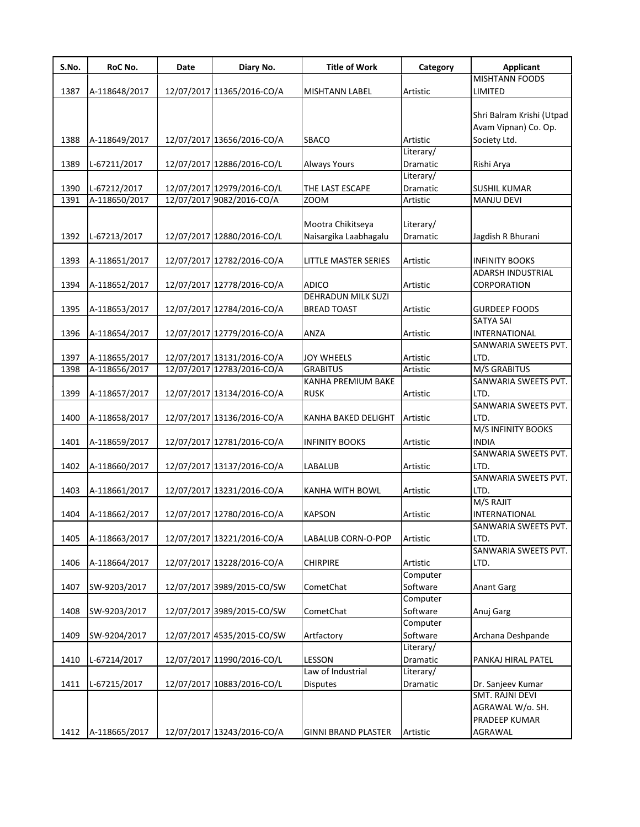| S.No. | RoC No.       | Date | Diary No.                  | <b>Title of Work</b>                  | Category  | <b>Applicant</b>                      |
|-------|---------------|------|----------------------------|---------------------------------------|-----------|---------------------------------------|
|       |               |      |                            |                                       |           | <b>MISHTANN FOODS</b>                 |
| 1387  | A-118648/2017 |      | 12/07/2017 11365/2016-CO/A | <b>MISHTANN LABEL</b>                 | Artistic  | LIMITED                               |
|       |               |      |                            |                                       |           | Shri Balram Krishi (Utpad             |
|       |               |      |                            |                                       |           | Avam Vipnan) Co. Op.                  |
| 1388  |               |      | 12/07/2017 13656/2016-CO/A | SBACO                                 | Artistic  | Society Ltd.                          |
|       | A-118649/2017 |      |                            |                                       | Literary/ |                                       |
| 1389  | L-67211/2017  |      | 12/07/2017 12886/2016-CO/L |                                       | Dramatic  |                                       |
|       |               |      |                            | Always Yours                          | Literary/ | Rishi Arya                            |
| 1390  | L-67212/2017  |      | 12/07/2017 12979/2016-CO/L | THE LAST ESCAPE                       | Dramatic  | <b>SUSHIL KUMAR</b>                   |
| 1391  | A-118650/2017 |      | 12/07/2017 9082/2016-CO/A  | <b>ZOOM</b>                           | Artistic  | MANJU DEVI                            |
|       |               |      |                            |                                       |           |                                       |
|       |               |      |                            | Mootra Chikitseya                     | Literary/ |                                       |
| 1392  | L-67213/2017  |      | 12/07/2017 12880/2016-CO/L | Naisargika Laabhagalu                 | Dramatic  | Jagdish R Bhurani                     |
|       |               |      |                            |                                       |           |                                       |
| 1393  | A-118651/2017 |      | 12/07/2017 12782/2016-CO/A | LITTLE MASTER SERIES                  | Artistic  | <b>INFINITY BOOKS</b>                 |
|       |               |      |                            |                                       |           | <b>ADARSH INDUSTRIAL</b>              |
| 1394  | A-118652/2017 |      | 12/07/2017 12778/2016-CO/A | <b>ADICO</b>                          | Artistic  | CORPORATION                           |
|       |               |      |                            | <b>DEHRADUN MILK SUZI</b>             |           |                                       |
| 1395  | A-118653/2017 |      | 12/07/2017 12784/2016-CO/A | <b>BREAD TOAST</b>                    | Artistic  | <b>GURDEEP FOODS</b>                  |
|       |               |      |                            |                                       |           | <b>SATYA SAI</b>                      |
|       | A-118654/2017 |      |                            |                                       |           |                                       |
| 1396  |               |      | 12/07/2017 12779/2016-CO/A | ANZA                                  | Artistic  | INTERNATIONAL<br>SANWARIA SWEETS PVT. |
|       |               |      | 12/07/2017 13131/2016-CO/A |                                       |           | LTD.                                  |
| 1397  | A-118655/2017 |      |                            | <b>JOY WHEELS</b>                     | Artistic  |                                       |
| 1398  | A-118656/2017 |      | 12/07/2017 12783/2016-CO/A | <b>GRABITUS</b><br>KANHA PREMIUM BAKE | Artistic  | M/S GRABITUS<br>SANWARIA SWEETS PVT.  |
|       |               |      |                            |                                       |           |                                       |
| 1399  | A-118657/2017 |      | 12/07/2017 13134/2016-CO/A | <b>RUSK</b>                           | Artistic  | LTD.                                  |
|       |               |      |                            |                                       |           | SANWARIA SWEETS PVT.                  |
| 1400  | A-118658/2017 |      | 12/07/2017 13136/2016-CO/A | KANHA BAKED DELIGHT                   | Artistic  | LTD.<br>M/S INFINITY BOOKS            |
|       |               |      |                            |                                       |           |                                       |
| 1401  | A-118659/2017 |      | 12/07/2017 12781/2016-CO/A | <b>INFINITY BOOKS</b>                 | Artistic  | <b>INDIA</b>                          |
|       |               |      |                            |                                       |           | SANWARIA SWEETS PVT.                  |
| 1402  | A-118660/2017 |      | 12/07/2017 13137/2016-CO/A | LABALUB                               | Artistic  | LTD.                                  |
|       |               |      |                            |                                       |           | SANWARIA SWEETS PVT.                  |
| 1403  | A-118661/2017 |      | 12/07/2017 13231/2016-CO/A | KANHA WITH BOWL                       | Artistic  | LTD.                                  |
|       |               |      |                            |                                       |           | M/S RAJIT                             |
| 1404  | A-118662/2017 |      | 12/07/2017 12780/2016-CO/A | <b>KAPSON</b>                         | Artistic  | INTERNATIONAL                         |
|       |               |      |                            |                                       |           | SANWARIA SWEETS PVT.                  |
| 1405  | A-118663/2017 |      | 12/07/2017 13221/2016-CO/A | LABALUB CORN-O-POP                    | Artistic  | LTD.                                  |
|       |               |      |                            |                                       |           | SANWARIA SWEETS PVT.                  |
| 1406  | A-118664/2017 |      | 12/07/2017 13228/2016-CO/A | <b>CHIRPIRE</b>                       | Artistic  | LTD.                                  |
|       |               |      |                            |                                       | Computer  |                                       |
| 1407  | SW-9203/2017  |      | 12/07/2017 3989/2015-CO/SW | CometChat                             | Software  | <b>Anant Garg</b>                     |
|       |               |      |                            |                                       | Computer  |                                       |
| 1408  | SW-9203/2017  |      | 12/07/2017 3989/2015-CO/SW | CometChat                             | Software  | Anuj Garg                             |
|       |               |      |                            |                                       | Computer  |                                       |
| 1409  | SW-9204/2017  |      | 12/07/2017 4535/2015-CO/SW | Artfactory                            | Software  | Archana Deshpande                     |
|       |               |      |                            |                                       | Literary/ |                                       |
| 1410  | L-67214/2017  |      | 12/07/2017 11990/2016-CO/L | LESSON                                | Dramatic  | PANKAJ HIRAL PATEL                    |
|       |               |      |                            | Law of Industrial                     | Literary/ |                                       |
| 1411  | L-67215/2017  |      | 12/07/2017 10883/2016-CO/L | <b>Disputes</b>                       | Dramatic  | Dr. Sanjeev Kumar                     |
|       |               |      |                            |                                       |           | SMT. RAJNI DEVI                       |
|       |               |      |                            |                                       |           | AGRAWAL W/o. SH.                      |
|       |               |      |                            |                                       |           | PRADEEP KUMAR                         |
| 1412  | A-118665/2017 |      | 12/07/2017 13243/2016-CO/A | <b>GINNI BRAND PLASTER</b>            | Artistic  | AGRAWAL                               |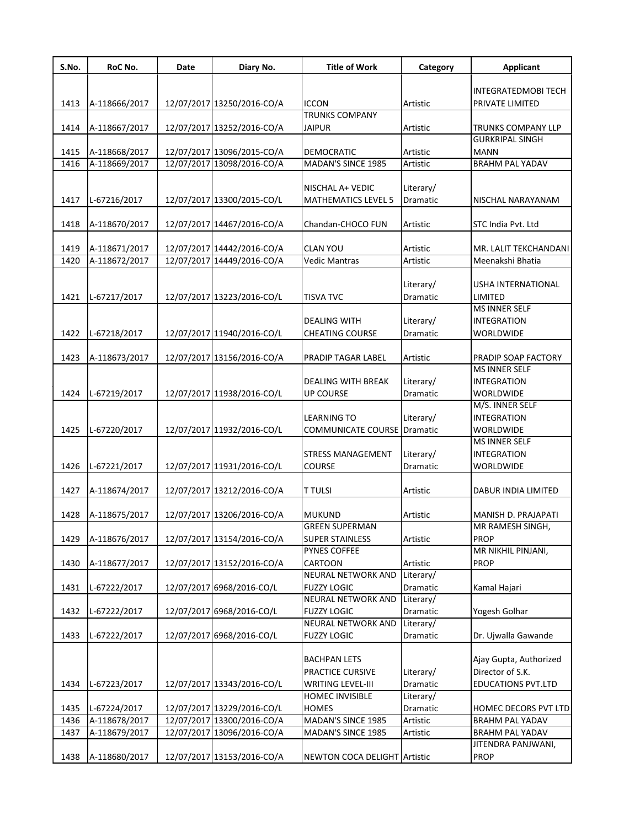| S.No.        | RoC No.                        | Date | Diary No.                                                | <b>Title of Work</b>                    | Category              | <b>Applicant</b>                             |
|--------------|--------------------------------|------|----------------------------------------------------------|-----------------------------------------|-----------------------|----------------------------------------------|
|              |                                |      |                                                          |                                         |                       | <b>INTEGRATEDMOBI TECH</b>                   |
| 1413         | A-118666/2017                  |      | 12/07/2017 13250/2016-CO/A                               | <b>ICCON</b>                            | Artistic              | PRIVATE LIMITED                              |
|              |                                |      |                                                          | <b>TRUNKS COMPANY</b>                   |                       |                                              |
| 1414         | A-118667/2017                  |      | 12/07/2017 13252/2016-CO/A                               | <b>JAIPUR</b>                           | Artistic              | TRUNKS COMPANY LLP                           |
|              |                                |      |                                                          |                                         |                       | <b>GURKRIPAL SINGH</b>                       |
| 1415<br>1416 | A-118668/2017<br>A-118669/2017 |      | 12/07/2017 13096/2015-CO/A<br>12/07/2017 13098/2016-CO/A | <b>DEMOCRATIC</b><br>MADAN'S SINCE 1985 | Artistic<br>Artistic  | <b>MANN</b><br><b>BRAHM PAL YADAV</b>        |
|              |                                |      |                                                          |                                         |                       |                                              |
|              |                                |      |                                                          | NISCHAL A+ VEDIC                        | Literary/             |                                              |
| 1417         | L-67216/2017                   |      | 12/07/2017 13300/2015-CO/L                               | <b>MATHEMATICS LEVEL 5</b>              | Dramatic              | NISCHAL NARAYANAM                            |
|              |                                |      |                                                          |                                         |                       |                                              |
| 1418         | A-118670/2017                  |      | 12/07/2017 14467/2016-CO/A                               | Chandan-CHOCO FUN                       | Artistic              | STC India Pvt. Ltd                           |
| 1419         | A-118671/2017                  |      | 12/07/2017 14442/2016-CO/A                               | <b>CLAN YOU</b>                         | Artistic              | MR. LALIT TEKCHANDANI                        |
| 1420         | A-118672/2017                  |      | 12/07/2017 14449/2016-CO/A                               | <b>Vedic Mantras</b>                    | Artistic              | Meenakshi Bhatia                             |
|              |                                |      |                                                          |                                         |                       |                                              |
|              |                                |      |                                                          |                                         | Literary/             | USHA INTERNATIONAL                           |
| 1421         | L-67217/2017                   |      | 12/07/2017 13223/2016-CO/L                               | <b>TISVA TVC</b>                        | Dramatic              | LIMITED                                      |
|              |                                |      |                                                          | <b>DEALING WITH</b>                     | Literary/             | <b>MS INNER SELF</b><br><b>INTEGRATION</b>   |
| 1422         | L-67218/2017                   |      | 12/07/2017 11940/2016-CO/L                               | <b>CHEATING COURSE</b>                  | Dramatic              | WORLDWIDE                                    |
|              |                                |      |                                                          |                                         |                       |                                              |
| 1423         | A-118673/2017                  |      | 12/07/2017 13156/2016-CO/A                               | PRADIP TAGAR LABEL                      | Artistic              | PRADIP SOAP FACTORY                          |
|              |                                |      |                                                          |                                         |                       | <b>MS INNER SELF</b>                         |
|              |                                |      |                                                          | <b>DEALING WITH BREAK</b>               | Literary/             | <b>INTEGRATION</b>                           |
| 1424         | L-67219/2017                   |      | 12/07/2017 11938/2016-CO/L                               | <b>UP COURSE</b>                        | Dramatic              | WORLDWIDE<br>M/S. INNER SELF                 |
|              |                                |      |                                                          | <b>LEARNING TO</b>                      | Literary/             | <b>INTEGRATION</b>                           |
| 1425         | L-67220/2017                   |      | 12/07/2017 11932/2016-CO/L                               | <b>COMMUNICATE COURSE Dramatic</b>      |                       | WORLDWIDE                                    |
|              |                                |      |                                                          |                                         |                       | MS INNER SELF                                |
|              |                                |      |                                                          | <b>STRESS MANAGEMENT</b>                | Literary/             | <b>INTEGRATION</b>                           |
| 1426         | L-67221/2017                   |      | 12/07/2017 11931/2016-CO/L                               | COURSE                                  | Dramatic              | WORLDWIDE                                    |
| 1427         | A-118674/2017                  |      | 12/07/2017 13212/2016-CO/A                               | <b>T TULSI</b>                          | Artistic              | DABUR INDIA LIMITED                          |
|              |                                |      |                                                          |                                         |                       |                                              |
| 1428         | A-118675/2017                  |      | 12/07/2017 13206/2016-CO/A                               | <b>MUKUND</b>                           | Artistic              | MANISH D. PRAJAPATI                          |
|              |                                |      |                                                          | <b>GREEN SUPERMAN</b>                   |                       | MR RAMESH SINGH,                             |
| 1429         | A-118676/2017                  |      | 12/07/2017 13154/2016-CO/A                               | <b>SUPER STAINLESS</b>                  | Artistic              | <b>PROP</b>                                  |
|              |                                |      |                                                          | <b>PYNES COFFEE</b>                     |                       | MR NIKHIL PINJANI,                           |
| 1430         | A-118677/2017                  |      | 12/07/2017 13152/2016-CO/A                               | <b>CARTOON</b><br>NEURAL NETWORK AND    | Artistic<br>Literary/ | PROP                                         |
| 1431         | L-67222/2017                   |      | 12/07/2017 6968/2016-CO/L                                | <b>FUZZY LOGIC</b>                      | Dramatic              | Kamal Hajari                                 |
|              |                                |      |                                                          | NEURAL NETWORK AND                      | Literary/             |                                              |
| 1432         | L-67222/2017                   |      | 12/07/2017 6968/2016-CO/L                                | <b>FUZZY LOGIC</b>                      | Dramatic              | Yogesh Golhar                                |
|              |                                |      |                                                          | NEURAL NETWORK AND                      | Literary/             |                                              |
| 1433         | L-67222/2017                   |      | 12/07/2017 6968/2016-CO/L                                | <b>FUZZY LOGIC</b>                      | Dramatic              | Dr. Ujwalla Gawande                          |
|              |                                |      |                                                          | <b>BACHPAN LETS</b>                     |                       | Ajay Gupta, Authorized                       |
|              |                                |      |                                                          | PRACTICE CURSIVE                        | Literary/             | Director of S.K.                             |
| 1434         | L-67223/2017                   |      | 12/07/2017 13343/2016-CO/L                               | <b>WRITING LEVEL-III</b>                | Dramatic              | <b>EDUCATIONS PVT.LTD</b>                    |
|              |                                |      |                                                          | <b>HOMEC INVISIBLE</b>                  | Literary/             |                                              |
| 1435         | L-67224/2017                   |      | 12/07/2017 13229/2016-CO/L                               | <b>HOMES</b>                            | Dramatic              | HOMEC DECORS PVT LTD                         |
| 1436         | A-118678/2017                  |      | 12/07/2017 13300/2016-CO/A                               | MADAN'S SINCE 1985                      | Artistic              | <b>BRAHM PAL YADAV</b>                       |
| 1437         | A-118679/2017                  |      | 12/07/2017 13096/2016-CO/A                               | MADAN'S SINCE 1985                      | Artistic              | <b>BRAHM PAL YADAV</b><br>JITENDRA PANJWANI, |
| 1438         | A-118680/2017                  |      | 12/07/2017 13153/2016-CO/A                               | NEWTON COCA DELIGHT Artistic            |                       | PROP                                         |
|              |                                |      |                                                          |                                         |                       |                                              |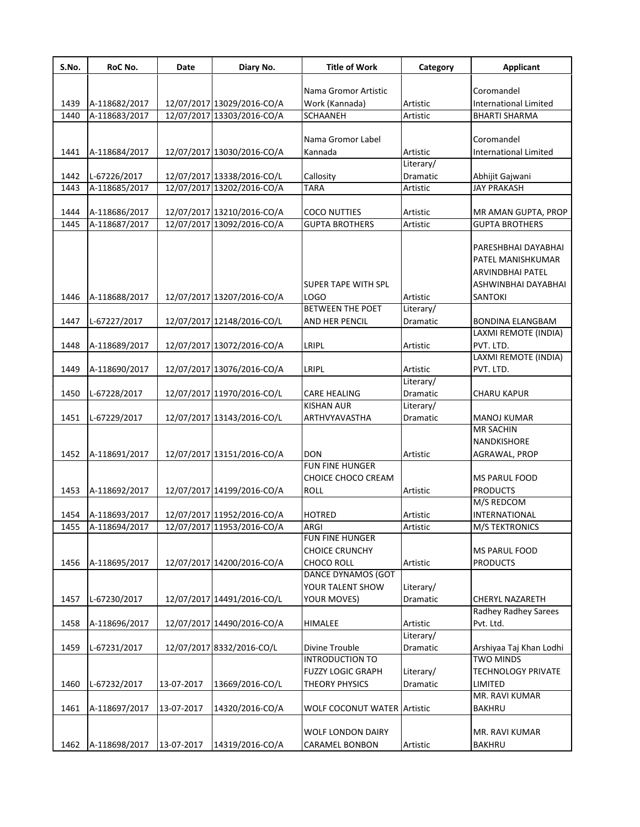| S.No. | RoC No.       | Date       | Diary No.                  | <b>Title of Work</b>        | Category  | <b>Applicant</b>             |
|-------|---------------|------------|----------------------------|-----------------------------|-----------|------------------------------|
|       |               |            |                            |                             |           |                              |
|       |               |            |                            | Nama Gromor Artistic        |           | Coromandel                   |
| 1439  | A-118682/2017 |            | 12/07/2017 13029/2016-CO/A | Work (Kannada)              | Artistic  | <b>International Limited</b> |
| 1440  | A-118683/2017 |            | 12/07/2017 13303/2016-CO/A | <b>SCHAANEH</b>             | Artistic  | <b>BHARTI SHARMA</b>         |
|       |               |            |                            |                             |           |                              |
|       |               |            |                            | Nama Gromor Label           |           | Coromandel                   |
| 1441  | A-118684/2017 |            | 12/07/2017 13030/2016-CO/A | Kannada                     | Artistic  | <b>International Limited</b> |
|       |               |            |                            |                             | Literary/ |                              |
| 1442  | L-67226/2017  |            | 12/07/2017 13338/2016-CO/L | Callosity                   | Dramatic  | Abhijit Gajwani              |
| 1443  | A-118685/2017 |            | 12/07/2017 13202/2016-CO/A | <b>TARA</b>                 | Artistic  | <b>JAY PRAKASH</b>           |
|       |               |            |                            |                             |           |                              |
| 1444  | A-118686/2017 |            | 12/07/2017 13210/2016-CO/A | <b>COCO NUTTIES</b>         | Artistic  | MR AMAN GUPTA, PROP          |
| 1445  | A-118687/2017 |            | 12/07/2017 13092/2016-CO/A | <b>GUPTA BROTHERS</b>       | Artistic  | <b>GUPTA BROTHERS</b>        |
|       |               |            |                            |                             |           | PARESHBHAI DAYABHAI          |
|       |               |            |                            |                             |           |                              |
|       |               |            |                            |                             |           | PATEL MANISHKUMAR            |
|       |               |            |                            |                             |           | ARVINDBHAI PATEL             |
|       |               |            |                            | <b>SUPER TAPE WITH SPL</b>  |           | ASHWINBHAI DAYABHAI          |
| 1446  | A-118688/2017 |            | 12/07/2017 13207/2016-CO/A | LOGO                        | Artistic  | SANTOKI                      |
|       |               |            |                            | <b>BETWEEN THE POET</b>     | Literary/ |                              |
| 1447  | L-67227/2017  |            | 12/07/2017 12148/2016-CO/L | <b>AND HER PENCIL</b>       | Dramatic  | <b>BONDINA ELANGBAM</b>      |
|       |               |            |                            |                             |           | LAXMI REMOTE (INDIA)         |
| 1448  | A-118689/2017 |            | 12/07/2017 13072/2016-CO/A | LRIPL                       | Artistic  | PVT. LTD.                    |
|       |               |            |                            |                             |           | LAXMI REMOTE (INDIA)         |
| 1449  | A-118690/2017 |            | 12/07/2017 13076/2016-CO/A | LRIPL                       | Artistic  | PVT. LTD.                    |
|       |               |            |                            |                             | Literary/ |                              |
| 1450  | L-67228/2017  |            | 12/07/2017 11970/2016-CO/L | <b>CARE HEALING</b>         | Dramatic  | <b>CHARU KAPUR</b>           |
|       |               |            |                            | <b>KISHAN AUR</b>           | Literary/ |                              |
| 1451  | L-67229/2017  |            | 12/07/2017 13143/2016-CO/L | ARTHVYAVASTHA               | Dramatic  | <b>MANOJ KUMAR</b>           |
|       |               |            |                            |                             |           | <b>MR SACHIN</b>             |
|       |               |            |                            |                             |           | NANDKISHORE                  |
| 1452  | A-118691/2017 |            | 12/07/2017 13151/2016-CO/A | <b>DON</b>                  | Artistic  | AGRAWAL, PROP                |
|       |               |            |                            | FUN FINE HUNGER             |           |                              |
|       |               |            |                            | CHOICE CHOCO CREAM          |           | <b>MS PARUL FOOD</b>         |
| 1453  | A-118692/2017 |            | 12/07/2017 14199/2016-CO/A | <b>ROLL</b>                 | Artistic  | <b>PRODUCTS</b>              |
|       |               |            |                            |                             |           | M/S REDCOM                   |
| 1454  | A-118693/2017 |            | 12/07/2017 11952/2016-CO/A | <b>HOTRED</b>               | Artistic  | INTERNATIONAL                |
| 1455  | A-118694/2017 |            | 12/07/2017 11953/2016-CO/A | ARGI                        | Artistic  | <b>M/S TEKTRONICS</b>        |
|       |               |            |                            | FUN FINE HUNGER             |           |                              |
|       |               |            |                            | <b>CHOICE CRUNCHY</b>       |           | MS PARUL FOOD                |
| 1456  | A-118695/2017 |            | 12/07/2017 14200/2016-CO/A | <b>CHOCO ROLL</b>           | Artistic  | <b>PRODUCTS</b>              |
|       |               |            |                            | DANCE DYNAMOS (GOT          |           |                              |
|       |               |            |                            | YOUR TALENT SHOW            | Literary/ |                              |
| 1457  | L-67230/2017  |            | 12/07/2017 14491/2016-CO/L | <b>YOUR MOVES)</b>          | Dramatic  | CHERYL NAZARETH              |
|       |               |            |                            |                             |           | Radhey Radhey Sarees         |
| 1458  | A-118696/2017 |            | 12/07/2017 14490/2016-CO/A | <b>HIMALEE</b>              | Artistic  | Pvt. Ltd.                    |
|       |               |            |                            |                             | Literary/ |                              |
| 1459  | L-67231/2017  |            | 12/07/2017 8332/2016-CO/L  | Divine Trouble              | Dramatic  | Arshiyaa Taj Khan Lodhi      |
|       |               |            |                            | <b>INTRODUCTION TO</b>      |           | <b>TWO MINDS</b>             |
|       |               |            |                            | <b>FUZZY LOGIC GRAPH</b>    | Literary/ | <b>TECHNOLOGY PRIVATE</b>    |
| 1460  | L-67232/2017  | 13-07-2017 | 13669/2016-CO/L            | <b>THEORY PHYSICS</b>       | Dramatic  | LIMITED                      |
|       |               |            |                            |                             |           | MR. RAVI KUMAR               |
| 1461  | A-118697/2017 | 13-07-2017 | 14320/2016-CO/A            | WOLF COCONUT WATER Artistic |           | BAKHRU                       |
|       |               |            |                            |                             |           |                              |
|       |               |            |                            | <b>WOLF LONDON DAIRY</b>    |           | MR. RAVI KUMAR               |
| 1462  | A-118698/2017 | 13-07-2017 | 14319/2016-CO/A            | CARAMEL BONBON              | Artistic  | <b>BAKHRU</b>                |
|       |               |            |                            |                             |           |                              |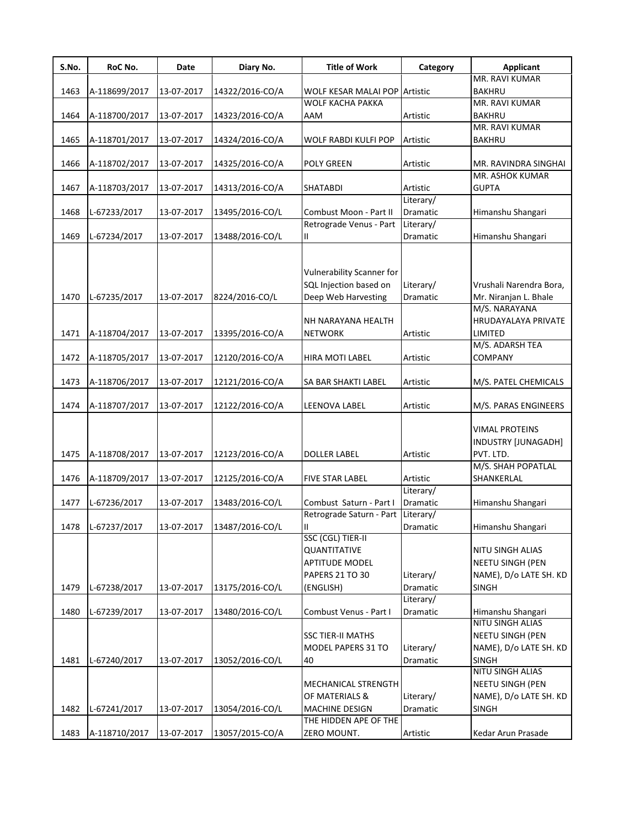| S.No. | RoC No.       | Date       | Diary No.       | <b>Title of Work</b>                                                       | Category              | <b>Applicant</b>                                                                      |
|-------|---------------|------------|-----------------|----------------------------------------------------------------------------|-----------------------|---------------------------------------------------------------------------------------|
|       |               |            |                 |                                                                            |                       | MR. RAVI KUMAR                                                                        |
| 1463  | A-118699/2017 | 13-07-2017 | 14322/2016-CO/A | WOLF KESAR MALAI POP Artistic                                              |                       | <b>BAKHRU</b>                                                                         |
|       |               |            |                 | <b>WOLF KACHA PAKKA</b>                                                    |                       | MR. RAVI KUMAR                                                                        |
| 1464  | A-118700/2017 | 13-07-2017 | 14323/2016-CO/A | AAM                                                                        | Artistic              | <b>BAKHRU</b>                                                                         |
|       |               |            |                 |                                                                            |                       | MR. RAVI KUMAR                                                                        |
| 1465  | A-118701/2017 | 13-07-2017 | 14324/2016-CO/A | WOLF RABDI KULFI POP                                                       | Artistic              | <b>BAKHRU</b>                                                                         |
|       |               |            |                 |                                                                            |                       |                                                                                       |
| 1466  | A-118702/2017 | 13-07-2017 | 14325/2016-CO/A | <b>POLY GREEN</b>                                                          | Artistic              | MR. RAVINDRA SINGHAI                                                                  |
|       |               |            |                 |                                                                            |                       | MR. ASHOK KUMAR                                                                       |
| 1467  | A-118703/2017 | 13-07-2017 | 14313/2016-CO/A | <b>SHATABDI</b>                                                            | Artistic              | <b>GUPTA</b>                                                                          |
|       |               |            |                 |                                                                            | Literary/             |                                                                                       |
| 1468  | L-67233/2017  | 13-07-2017 | 13495/2016-CO/L | Combust Moon - Part II                                                     | Dramatic              | Himanshu Shangari                                                                     |
|       |               |            |                 | Retrograde Venus - Part                                                    | Literary/             |                                                                                       |
| 1469  | L-67234/2017  | 13-07-2017 | 13488/2016-CO/L | Ш.                                                                         | Dramatic              | Himanshu Shangari                                                                     |
| 1470  | L-67235/2017  | 13-07-2017 | 8224/2016-CO/L  | Vulnerability Scanner for<br>SQL Injection based on<br>Deep Web Harvesting | Literary/<br>Dramatic | Vrushali Narendra Bora,<br>Mr. Niranjan L. Bhale<br>M/S. NARAYANA                     |
|       |               |            |                 | NH NARAYANA HEALTH                                                         |                       | HRUDAYALAYA PRIVATE                                                                   |
| 1471  | A-118704/2017 | 13-07-2017 | 13395/2016-CO/A | <b>NETWORK</b>                                                             | Artistic              | LIMITED                                                                               |
|       |               |            |                 |                                                                            |                       | M/S. ADARSH TEA                                                                       |
| 1472  | A-118705/2017 | 13-07-2017 | 12120/2016-CO/A | HIRA MOTI LABEL                                                            | Artistic              | COMPANY                                                                               |
|       |               |            |                 |                                                                            |                       |                                                                                       |
| 1473  | A-118706/2017 | 13-07-2017 | 12121/2016-CO/A | SA BAR SHAKTI LABEL                                                        | Artistic              | M/S. PATEL CHEMICALS                                                                  |
|       |               |            |                 |                                                                            |                       |                                                                                       |
| 1474  | A-118707/2017 | 13-07-2017 | 12122/2016-CO/A | LEENOVA LABEL                                                              | Artistic              | M/S. PARAS ENGINEERS                                                                  |
| 1475  | A-118708/2017 | 13-07-2017 | 12123/2016-CO/A | <b>DOLLER LABEL</b>                                                        | Artistic              | <b>VIMAL PROTEINS</b><br>INDUSTRY [JUNAGADH]<br>PVT. LTD.<br>M/S. SHAH POPATLAL       |
| 1476  | A-118709/2017 | 13-07-2017 | 12125/2016-CO/A | <b>FIVE STAR LABEL</b>                                                     | Artistic              | SHANKERLAL                                                                            |
|       |               |            |                 |                                                                            | Literary/             |                                                                                       |
| 1477  | L-67236/2017  | 13-07-2017 | 13483/2016-CO/L | Combust Saturn - Part I                                                    | Dramatic              | Himanshu Shangari                                                                     |
|       |               |            |                 | Retrograde Saturn - Part                                                   | Literary/             |                                                                                       |
| 1478  | L-67237/2017  | 13-07-2017 | 13487/2016-CO/L | Ш<br>SSC (CGL) TIER-II                                                     | Dramatic              | Himanshu Shangari                                                                     |
| 1479  | L-67238/2017  | 13-07-2017 | 13175/2016-CO/L | QUANTITATIVE<br><b>APTITUDE MODEL</b><br>PAPERS 21 TO 30<br>(ENGLISH)      | Literary/<br>Dramatic | <b>NITU SINGH ALIAS</b><br>NEETU SINGH (PEN<br>NAME), D/o LATE SH. KD<br><b>SINGH</b> |
|       |               |            |                 |                                                                            | Literary/             |                                                                                       |
| 1480  | L-67239/2017  | 13-07-2017 | 13480/2016-CO/L | Combust Venus - Part I                                                     | Dramatic              | Himanshu Shangari                                                                     |
| 1481  | L-67240/2017  | 13-07-2017 | 13052/2016-CO/L | <b>SSC TIER-II MATHS</b><br>MODEL PAPERS 31 TO<br>40                       | Literary/<br>Dramatic | NITU SINGH ALIAS<br>NEETU SINGH (PEN<br>NAME), D/o LATE SH. KD<br><b>SINGH</b>        |
| 1482  | L-67241/2017  | 13-07-2017 | 13054/2016-CO/L | MECHANICAL STRENGTH<br>OF MATERIALS &<br><b>MACHINE DESIGN</b>             | Literary/<br>Dramatic | NITU SINGH ALIAS<br><b>NEETU SINGH (PEN</b><br>NAME), D/o LATE SH. KD<br><b>SINGH</b> |
|       |               |            |                 | THE HIDDEN APE OF THE                                                      |                       |                                                                                       |
| 1483  | A-118710/2017 | 13-07-2017 | 13057/2015-CO/A | ZERO MOUNT.                                                                | Artistic              | Kedar Arun Prasade                                                                    |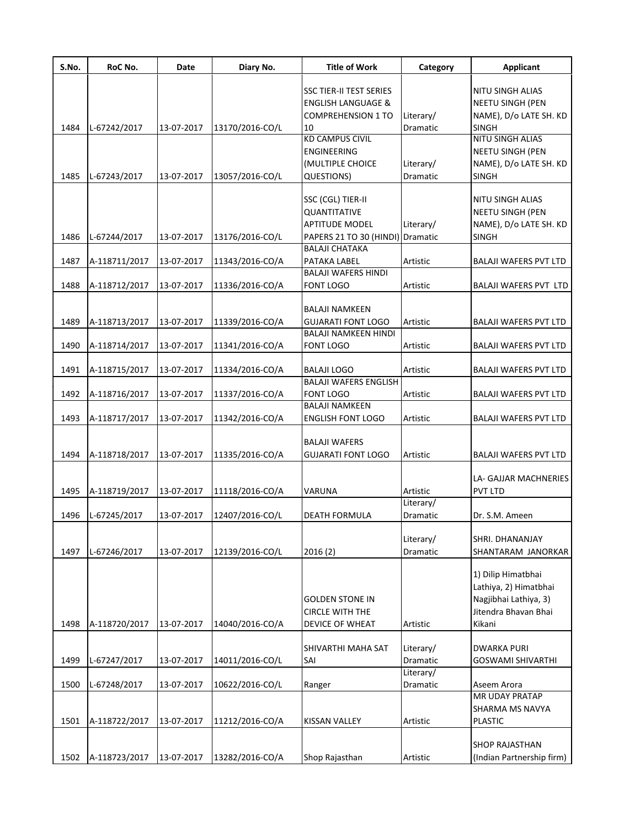| S.No. | RoC No.       | <b>Date</b> | Diary No.       | <b>Title of Work</b>           | Category  | Applicant                    |
|-------|---------------|-------------|-----------------|--------------------------------|-----------|------------------------------|
|       |               |             |                 |                                |           |                              |
|       |               |             |                 | <b>SSC TIER-II TEST SERIES</b> |           | NITU SINGH ALIAS             |
|       |               |             |                 | <b>ENGLISH LANGUAGE &amp;</b>  |           | <b>NEETU SINGH (PEN</b>      |
|       |               |             |                 | <b>COMPREHENSION 1 TO</b>      | Literary/ | NAME), D/o LATE SH. KD       |
| 1484  | L-67242/2017  | 13-07-2017  | 13170/2016-CO/L | 10                             | Dramatic  | <b>SINGH</b>                 |
|       |               |             |                 | <b>KD CAMPUS CIVIL</b>         |           | <b>NITU SINGH ALIAS</b>      |
|       |               |             |                 | ENGINEERING                    |           | <b>NEETU SINGH (PEN</b>      |
|       |               |             |                 | (MULTIPLE CHOICE               | Literary/ | NAME), D/o LATE SH. KD       |
| 1485  | L-67243/2017  | 13-07-2017  | 13057/2016-CO/L | QUESTIONS)                     | Dramatic  | <b>SINGH</b>                 |
|       |               |             |                 |                                |           |                              |
|       |               |             |                 | SSC (CGL) TIER-II              |           | NITU SINGH ALIAS             |
|       |               |             |                 | QUANTITATIVE                   |           | <b>NEETU SINGH (PEN</b>      |
|       |               |             |                 | <b>APTITUDE MODEL</b>          | Literary/ | NAME), D/o LATE SH. KD       |
| 1486  | L-67244/2017  | 13-07-2017  | 13176/2016-CO/L | PAPERS 21 TO 30 (HINDI)        | Dramatic  | <b>SINGH</b>                 |
|       |               |             |                 | <b>BALAJI CHATAKA</b>          |           |                              |
| 1487  | A-118711/2017 | 13-07-2017  | 11343/2016-CO/A | PATAKA LABEL                   | Artistic  | <b>BALAJI WAFERS PVT LTD</b> |
|       |               |             |                 | <b>BALAJI WAFERS HINDI</b>     |           |                              |
| 1488  | A-118712/2017 | 13-07-2017  | 11336/2016-CO/A | FONT LOGO                      | Artistic  | BALAJI WAFERS PVT LTD        |
|       |               |             |                 |                                |           |                              |
|       |               |             |                 | <b>BALAJI NAMKEEN</b>          |           |                              |
| 1489  | A-118713/2017 | 13-07-2017  | 11339/2016-CO/A | <b>GUJARATI FONT LOGO</b>      | Artistic  | <b>BALAJI WAFERS PVT LTD</b> |
|       |               |             |                 | <b>BALAJI NAMKEEN HINDI</b>    |           |                              |
| 1490  | A-118714/2017 | 13-07-2017  | 11341/2016-CO/A | FONT LOGO                      | Artistic  | <b>BALAJI WAFERS PVT LTD</b> |
|       |               |             |                 |                                |           |                              |
| 1491  | A-118715/2017 | 13-07-2017  | 11334/2016-CO/A | <b>BALAJI LOGO</b>             | Artistic  | <b>BALAJI WAFERS PVT LTD</b> |
|       |               |             |                 | <b>BALAJI WAFERS ENGLISH</b>   |           |                              |
| 1492  | A-118716/2017 | 13-07-2017  | 11337/2016-CO/A | FONT LOGO                      | Artistic  | <b>BALAJI WAFERS PVT LTD</b> |
|       |               |             |                 | <b>BALAJI NAMKEEN</b>          |           |                              |
| 1493  | A-118717/2017 | 13-07-2017  | 11342/2016-CO/A | <b>ENGLISH FONT LOGO</b>       | Artistic  | <b>BALAJI WAFERS PVT LTD</b> |
|       |               |             |                 |                                |           |                              |
|       |               |             |                 | <b>BALAJI WAFERS</b>           |           |                              |
| 1494  | A-118718/2017 | 13-07-2017  | 11335/2016-CO/A | <b>GUJARATI FONT LOGO</b>      | Artistic  | BALAJI WAFERS PVT LTD        |
|       |               |             |                 |                                |           |                              |
|       |               |             |                 |                                |           | LA- GAJJAR MACHNERIES        |
| 1495  | A-118719/2017 | 13-07-2017  | 11118/2016-CO/A | <b>VARUNA</b>                  | Artistic  | PVT LTD                      |
|       |               |             |                 |                                | Literary/ |                              |
| 1496  | L-67245/2017  | 13-07-2017  | 12407/2016-CO/L | DEATH FORMULA                  | Dramatic  | Dr. S.M. Ameen               |
|       |               |             |                 |                                |           |                              |
|       |               |             |                 |                                | Literary/ | SHRI. DHANANJAY              |
| 1497  | L-67246/2017  | 13-07-2017  | 12139/2016-CO/L | 2016(2)                        | Dramatic  | SHANTARAM JANORKAR           |
|       |               |             |                 |                                |           |                              |
|       |               |             |                 |                                |           | 1) Dilip Himatbhai           |
|       |               |             |                 |                                |           | Lathiya, 2) Himatbhai        |
|       |               |             |                 | <b>GOLDEN STONE IN</b>         |           | Nagjibhai Lathiya, 3)        |
|       |               |             |                 | <b>CIRCLE WITH THE</b>         |           | Jitendra Bhavan Bhai         |
| 1498  | A-118720/2017 | 13-07-2017  | 14040/2016-CO/A | DEVICE OF WHEAT                | Artistic  | Kikani                       |
|       |               |             |                 |                                |           |                              |
|       |               |             |                 | SHIVARTHI MAHA SAT             | Literary/ | <b>DWARKA PURI</b>           |
| 1499  | L-67247/2017  | 13-07-2017  | 14011/2016-CO/L | SAI                            | Dramatic  | <b>GOSWAMI SHIVARTHI</b>     |
|       |               |             |                 |                                | Literary/ |                              |
| 1500  | L-67248/2017  | 13-07-2017  | 10622/2016-CO/L | Ranger                         | Dramatic  | Aseem Arora                  |
|       |               |             |                 |                                |           | <b>MR UDAY PRATAP</b>        |
|       |               |             |                 |                                |           | SHARMA MS NAVYA              |
| 1501  | A-118722/2017 | 13-07-2017  | 11212/2016-CO/A | <b>KISSAN VALLEY</b>           | Artistic  | <b>PLASTIC</b>               |
|       |               |             |                 |                                |           |                              |
|       |               |             |                 |                                |           | <b>SHOP RAJASTHAN</b>        |
| 1502  | A-118723/2017 | 13-07-2017  | 13282/2016-CO/A | Shop Rajasthan                 | Artistic  | (Indian Partnership firm)    |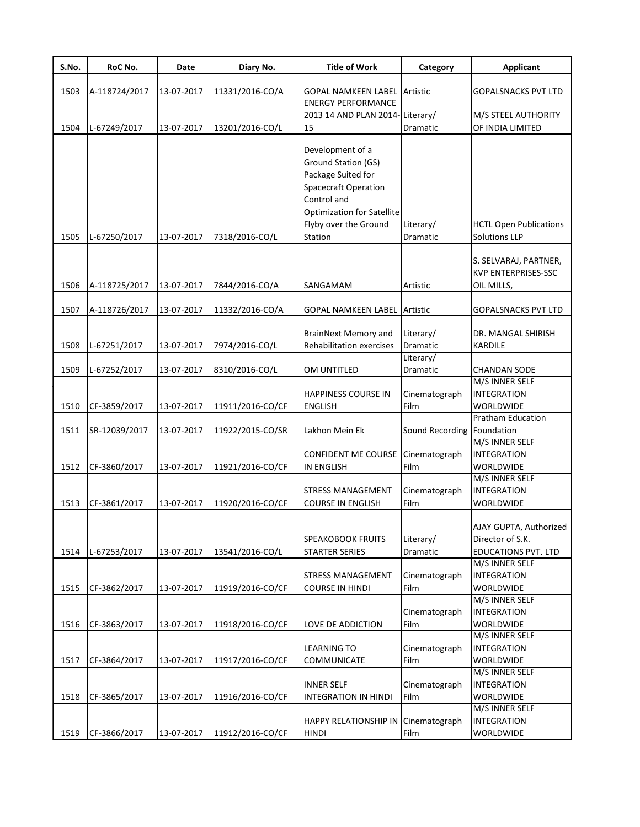| S.No. | RoC No.       | Date       | Diary No.        | <b>Title of Work</b>                                    | Category        | <b>Applicant</b>              |
|-------|---------------|------------|------------------|---------------------------------------------------------|-----------------|-------------------------------|
|       |               |            |                  |                                                         |                 |                               |
| 1503  | A-118724/2017 | 13-07-2017 | 11331/2016-CO/A  | <b>GOPAL NAMKEEN LABEL</b><br><b>ENERGY PERFORMANCE</b> | Artistic        | <b>GOPALSNACKS PVT LTD</b>    |
|       |               |            |                  | 2013 14 AND PLAN 2014-                                  | Literary/       | M/S STEEL AUTHORITY           |
| 1504  | L-67249/2017  | 13-07-2017 | 13201/2016-CO/L  | 15                                                      | Dramatic        | OF INDIA LIMITED              |
|       |               |            |                  |                                                         |                 |                               |
|       |               |            |                  | Development of a                                        |                 |                               |
|       |               |            |                  | Ground Station (GS)                                     |                 |                               |
|       |               |            |                  | Package Suited for                                      |                 |                               |
|       |               |            |                  | Spacecraft Operation<br>Control and                     |                 |                               |
|       |               |            |                  |                                                         |                 |                               |
|       |               |            |                  | <b>Optimization for Satellite</b>                       |                 |                               |
|       |               |            |                  | Flyby over the Ground                                   | Literary/       | <b>HCTL Open Publications</b> |
| 1505  | L-67250/2017  | 13-07-2017 | 7318/2016-CO/L   | Station                                                 | Dramatic        | <b>Solutions LLP</b>          |
|       |               |            |                  |                                                         |                 | S. SELVARAJ, PARTNER,         |
|       |               |            |                  |                                                         |                 | <b>KVP ENTERPRISES-SSC</b>    |
| 1506  | A-118725/2017 | 13-07-2017 | 7844/2016-CO/A   | SANGAMAM                                                | Artistic        | OIL MILLS,                    |
|       |               |            |                  |                                                         |                 |                               |
| 1507  | A-118726/2017 | 13-07-2017 | 11332/2016-CO/A  | <b>GOPAL NAMKEEN LABEL Artistic</b>                     |                 | <b>GOPALSNACKS PVT LTD</b>    |
|       |               |            |                  |                                                         |                 |                               |
|       |               |            |                  | <b>BrainNext Memory and</b>                             | Literary/       | DR. MANGAL SHIRISH            |
| 1508  | L-67251/2017  | 13-07-2017 | 7974/2016-CO/L   | Rehabilitation exercises                                | <b>Dramatic</b> | <b>KARDILE</b>                |
|       |               |            |                  |                                                         | Literary/       |                               |
| 1509  | L-67252/2017  | 13-07-2017 | 8310/2016-CO/L   | OM UNTITLED                                             | Dramatic        | <b>CHANDAN SODE</b>           |
|       |               |            |                  |                                                         |                 | M/S INNER SELF                |
|       |               |            |                  | <b>HAPPINESS COURSE IN</b>                              | Cinematograph   | <b>INTEGRATION</b>            |
| 1510  | CF-3859/2017  | 13-07-2017 | 11911/2016-CO/CF | <b>ENGLISH</b>                                          | Film            | <b>WORLDWIDE</b>              |
|       |               |            |                  |                                                         |                 | Pratham Education             |
| 1511  | SR-12039/2017 | 13-07-2017 | 11922/2015-CO/SR | Lakhon Mein Ek                                          | Sound Recording | Foundation                    |
|       |               |            |                  |                                                         |                 | M/S INNER SELF                |
|       |               |            |                  | <b>CONFIDENT ME COURSE</b>                              | Cinematograph   | <b>INTEGRATION</b>            |
| 1512  | CF-3860/2017  | 13-07-2017 | 11921/2016-CO/CF | <b>IN ENGLISH</b>                                       | Film            | <b>WORLDWIDE</b>              |
|       |               |            |                  |                                                         |                 | M/S INNER SELF                |
|       |               |            |                  | STRESS MANAGEMENT                                       | Cinematograph   | <b>INTEGRATION</b>            |
| 1513  | CF-3861/2017  | 13-07-2017 | 11920/2016-CO/CF | <b>COURSE IN ENGLISH</b>                                | Film            | <b>WORLDWIDE</b>              |
|       |               |            |                  |                                                         |                 | AJAY GUPTA, Authorized        |
|       |               |            |                  | <b>SPEAKOBOOK FRUITS</b>                                | Literary/       | Director of S.K.              |
| 1514  | L-67253/2017  | 13-07-2017 | 13541/2016-CO/L  | STARTER SERIES                                          | Dramatic        | <b>EDUCATIONS PVT. LTD</b>    |
|       |               |            |                  |                                                         |                 | M/S INNER SELF                |
|       |               |            |                  | <b>STRESS MANAGEMENT</b>                                | Cinematograph   | <b>INTEGRATION</b>            |
| 1515  | CF-3862/2017  | 13-07-2017 | 11919/2016-CO/CF | <b>COURSE IN HINDI</b>                                  | Film            | WORLDWIDE                     |
|       |               |            |                  |                                                         |                 | M/S INNER SELF                |
|       |               |            |                  |                                                         | Cinematograph   | <b>INTEGRATION</b>            |
| 1516  | CF-3863/2017  | 13-07-2017 | 11918/2016-CO/CF | LOVE DE ADDICTION                                       | Film            | WORLDWIDE                     |
|       |               |            |                  |                                                         |                 | M/S INNER SELF                |
|       |               |            |                  | <b>LEARNING TO</b>                                      | Cinematograph   | <b>INTEGRATION</b>            |
| 1517  | CF-3864/2017  | 13-07-2017 | 11917/2016-CO/CF | COMMUNICATE                                             | Film            | WORLDWIDE                     |
|       |               |            |                  |                                                         |                 | M/S INNER SELF                |
|       |               |            |                  | <b>INNER SELF</b>                                       | Cinematograph   | <b>INTEGRATION</b>            |
| 1518  | CF-3865/2017  | 13-07-2017 | 11916/2016-CO/CF | INTEGRATION IN HINDI                                    | Film            | WORLDWIDE                     |
|       |               |            |                  |                                                         |                 | M/S INNER SELF                |
|       |               |            |                  | HAPPY RELATIONSHIP IN                                   | Cinematograph   | <b>INTEGRATION</b>            |
| 1519  | CF-3866/2017  | 13-07-2017 | 11912/2016-CO/CF | <b>HINDI</b>                                            | Film            | WORLDWIDE                     |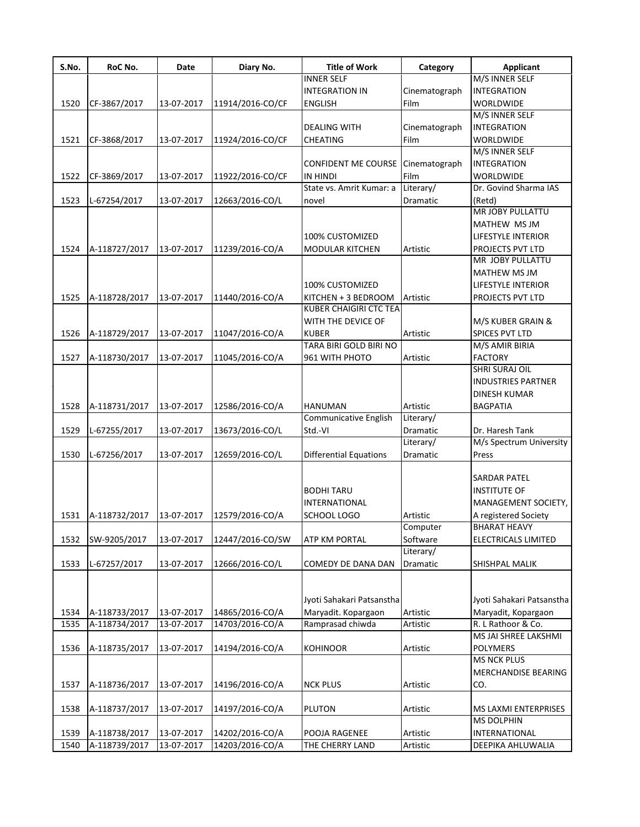| S.No. | RoC No.       | Date       | Diary No.        | <b>Title of Work</b>          | Category      | <b>Applicant</b>           |
|-------|---------------|------------|------------------|-------------------------------|---------------|----------------------------|
|       |               |            |                  | <b>INNER SELF</b>             |               | M/S INNER SELF             |
|       |               |            |                  | <b>INTEGRATION IN</b>         | Cinematograph | <b>INTEGRATION</b>         |
| 1520  | CF-3867/2017  | 13-07-2017 | 11914/2016-CO/CF | <b>ENGLISH</b>                | Film          | WORLDWIDE                  |
|       |               |            |                  |                               |               | M/S INNER SELF             |
|       |               |            |                  | <b>DEALING WITH</b>           | Cinematograph | <b>INTEGRATION</b>         |
| 1521  | CF-3868/2017  | 13-07-2017 | 11924/2016-CO/CF | CHEATING                      | Film          | <b>WORLDWIDE</b>           |
|       |               |            |                  |                               |               | M/S INNER SELF             |
|       |               |            |                  | <b>CONFIDENT ME COURSE</b>    | Cinematograph | <b>INTEGRATION</b>         |
| 1522  | CF-3869/2017  | 13-07-2017 | 11922/2016-CO/CF | IN HINDI                      | Film          | WORLDWIDE                  |
|       |               |            |                  | State vs. Amrit Kumar: a      | Literary/     | Dr. Govind Sharma IAS      |
| 1523  | L-67254/2017  | 13-07-2017 | 12663/2016-CO/L  | novel                         | Dramatic      | (Retd)                     |
|       |               |            |                  |                               |               | MR JOBY PULLATTU           |
|       |               |            |                  |                               |               | MATHEW MS JM               |
|       |               |            |                  | 100% CUSTOMIZED               |               | <b>LIFESTYLE INTERIOR</b>  |
| 1524  | A-118727/2017 | 13-07-2017 | 11239/2016-CO/A  | <b>MODULAR KITCHEN</b>        | Artistic      | PROJECTS PVT LTD           |
|       |               |            |                  |                               |               | MR JOBY PULLATTU           |
|       |               |            |                  |                               |               | <b>MATHEW MS JM</b>        |
|       |               |            |                  | 100% CUSTOMIZED               |               | <b>LIFESTYLE INTERIOR</b>  |
| 1525  | A-118728/2017 | 13-07-2017 | 11440/2016-CO/A  | KITCHEN + 3 BEDROOM           | Artistic      | PROJECTS PVT LTD           |
|       |               |            |                  | <b>KUBER CHAIGIRI CTC TEA</b> |               |                            |
|       |               |            |                  |                               |               |                            |
|       |               |            |                  | WITH THE DEVICE OF            |               | M/S KUBER GRAIN &          |
| 1526  | A-118729/2017 | 13-07-2017 | 11047/2016-CO/A  | <b>KUBER</b>                  | Artistic      | SPICES PVT LTD             |
|       |               |            |                  | TARA BIRI GOLD BIRI NO        |               | M/S AMIR BIRIA             |
| 1527  | A-118730/2017 | 13-07-2017 | 11045/2016-CO/A  | 961 WITH PHOTO                | Artistic      | <b>FACTORY</b>             |
|       |               |            |                  |                               |               | <b>SHRI SURAJ OIL</b>      |
|       |               |            |                  |                               |               | <b>INDUSTRIES PARTNER</b>  |
|       |               |            |                  |                               |               | <b>DINESH KUMAR</b>        |
| 1528  | A-118731/2017 | 13-07-2017 | 12586/2016-CO/A  | <b>HANUMAN</b>                | Artistic      | <b>BAGPATIA</b>            |
|       |               |            |                  | Communicative English         | Literary/     |                            |
| 1529  | L-67255/2017  | 13-07-2017 | 13673/2016-CO/L  | Std.-VI                       | Dramatic      | Dr. Haresh Tank            |
|       |               |            |                  |                               | Literary/     | M/s Spectrum University    |
| 1530  | L-67256/2017  | 13-07-2017 | 12659/2016-CO/L  | <b>Differential Equations</b> | Dramatic      | Press                      |
|       |               |            |                  |                               |               |                            |
|       |               |            |                  |                               |               | <b>SARDAR PATEL</b>        |
|       |               |            |                  | <b>BODHITARU</b>              |               | <b>INSTITUTE OF</b>        |
|       |               |            |                  | <b>INTERNATIONAL</b>          |               | MANAGEMENT SOCIETY,        |
| 1531  | A-118732/2017 | 13-07-2017 | 12579/2016-CO/A  | SCHOOL LOGO                   | Artistic      | A registered Society       |
|       |               |            |                  |                               | Computer      | <b>BHARAT HEAVY</b>        |
| 1532  | SW-9205/2017  | 13-07-2017 | 12447/2016-CO/SW | ATP KM PORTAL                 | Software      | ELECTRICALS LIMITED        |
|       |               |            |                  |                               | Literary/     |                            |
| 1533  | L-67257/2017  | 13-07-2017 | 12666/2016-CO/L  | COMEDY DE DANA DAN            | Dramatic      | SHISHPAL MALIK             |
|       |               |            |                  |                               |               |                            |
|       |               |            |                  |                               |               |                            |
|       |               |            |                  | Jyoti Sahakari Patsanstha     |               | Jyoti Sahakari Patsanstha  |
| 1534  | A-118733/2017 | 13-07-2017 | 14865/2016-CO/A  | Maryadit. Kopargaon           | Artistic      | Maryadit, Kopargaon        |
| 1535  | A-118734/2017 | 13-07-2017 | 14703/2016-CO/A  | Ramprasad chiwda              | Artistic      | R. L Rathoor & Co.         |
|       |               |            |                  |                               |               | MS JAI SHREE LAKSHMI       |
| 1536  | A-118735/2017 | 13-07-2017 | 14194/2016-CO/A  | <b>KOHINOOR</b>               | Artistic      | POLYMERS                   |
|       |               |            |                  |                               |               | <b>MS NCK PLUS</b>         |
|       |               |            |                  |                               |               |                            |
|       |               |            |                  |                               |               | <b>MERCHANDISE BEARING</b> |
| 1537  | A-118736/2017 | 13-07-2017 | 14196/2016-CO/A  | <b>NCK PLUS</b>               | Artistic      | CO.                        |
|       |               |            |                  |                               |               |                            |
| 1538  | A-118737/2017 | 13-07-2017 | 14197/2016-CO/A  | PLUTON                        | Artistic      | MS LAXMI ENTERPRISES       |
|       |               |            |                  |                               |               | <b>MS DOLPHIN</b>          |
| 1539  | A-118738/2017 | 13-07-2017 | 14202/2016-CO/A  | POOJA RAGENEE                 | Artistic      | INTERNATIONAL              |
| 1540  | A-118739/2017 | 13-07-2017 | 14203/2016-CO/A  | THE CHERRY LAND               | Artistic      | DEEPIKA AHLUWALIA          |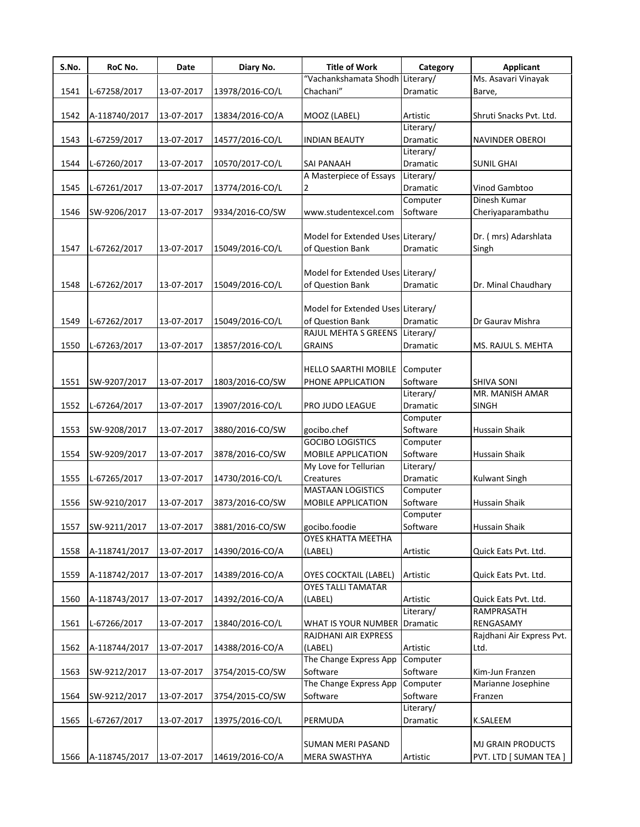| S.No. | RoC No.       | Date       | Diary No.       | <b>Title of Work</b>                | Category        | <b>Applicant</b>          |
|-------|---------------|------------|-----------------|-------------------------------------|-----------------|---------------------------|
|       |               |            |                 | "Vachankshamata Shodh Literary/     |                 | Ms. Asavari Vinayak       |
| 1541  | L-67258/2017  | 13-07-2017 | 13978/2016-CO/L | Chachani"                           | Dramatic        | Barve,                    |
|       |               |            |                 |                                     |                 |                           |
| 1542  | A-118740/2017 | 13-07-2017 | 13834/2016-CO/A | MOOZ (LABEL)                        | Artistic        | Shruti Snacks Pvt. Ltd.   |
|       |               |            |                 |                                     | Literary/       |                           |
| 1543  | L-67259/2017  | 13-07-2017 | 14577/2016-CO/L | <b>INDIAN BEAUTY</b>                | Dramatic        | NAVINDER OBEROI           |
|       |               |            |                 |                                     | Literary/       |                           |
| 1544  | L-67260/2017  | 13-07-2017 | 10570/2017-CO/L | SAI PANAAH                          | Dramatic        | <b>SUNIL GHAI</b>         |
|       |               |            |                 | A Masterpiece of Essays             | Literary/       |                           |
| 1545  | L-67261/2017  | 13-07-2017 | 13774/2016-CO/L | 2                                   | Dramatic        | Vinod Gambtoo             |
|       |               |            |                 |                                     | Computer        | Dinesh Kumar              |
| 1546  | SW-9206/2017  | 13-07-2017 | 9334/2016-CO/SW | www.studentexcel.com                | Software        | Cheriyaparambathu         |
|       |               |            |                 |                                     |                 |                           |
|       |               |            |                 | Model for Extended Uses Literary/   |                 | Dr. (mrs) Adarshlata      |
| 1547  | L-67262/2017  | 13-07-2017 | 15049/2016-CO/L | of Question Bank                    | Dramatic        | Singh                     |
|       |               |            |                 | Model for Extended Uses Literary/   |                 |                           |
|       |               |            |                 | of Question Bank                    | Dramatic        |                           |
| 1548  | L-67262/2017  | 13-07-2017 | 15049/2016-CO/L |                                     |                 | Dr. Minal Chaudhary       |
|       |               |            |                 | Model for Extended Uses Literary/   |                 |                           |
| 1549  | L-67262/2017  | 13-07-2017 | 15049/2016-CO/L | of Question Bank                    | Dramatic        | Dr Gaurav Mishra          |
|       |               |            |                 | RAJUL MEHTA S GREENS                | Literary/       |                           |
| 1550  | L-67263/2017  | 13-07-2017 | 13857/2016-CO/L | <b>GRAINS</b>                       | <b>Dramatic</b> | MS. RAJUL S. MEHTA        |
|       |               |            |                 |                                     |                 |                           |
|       |               |            |                 | HELLO SAARTHI MOBILE                | Computer        |                           |
| 1551  | SW-9207/2017  | 13-07-2017 | 1803/2016-CO/SW | PHONE APPLICATION                   | Software        | SHIVA SONI                |
|       |               |            |                 |                                     | Literary/       | MR. MANISH AMAR           |
| 1552  | L-67264/2017  | 13-07-2017 | 13907/2016-CO/L | PRO JUDO LEAGUE                     | Dramatic        | <b>SINGH</b>              |
|       |               |            |                 |                                     | Computer        |                           |
| 1553  | SW-9208/2017  | 13-07-2017 | 3880/2016-CO/SW | gocibo.chef                         | Software        | <b>Hussain Shaik</b>      |
|       |               |            |                 | <b>GOCIBO LOGISTICS</b>             | Computer        |                           |
| 1554  | SW-9209/2017  | 13-07-2017 | 3878/2016-CO/SW | MOBILE APPLICATION                  | Software        | Hussain Shaik             |
|       |               |            |                 | My Love for Tellurian               | Literary/       |                           |
| 1555  | L-67265/2017  | 13-07-2017 | 14730/2016-CO/L | Creatures                           | Dramatic        | Kulwant Singh             |
|       |               |            |                 | <b>MASTAAN LOGISTICS</b>            | Computer        |                           |
| 1556  | SW-9210/2017  | 13-07-2017 | 3873/2016-CO/SW | MOBILE APPLICATION                  | Software        | <b>Hussain Shaik</b>      |
|       |               |            |                 |                                     | Computer        |                           |
| 1557  | SW-9211/2017  | 13-07-2017 | 3881/2016-CO/SW | gocibo.foodie                       | Software        | Hussain Shaik             |
|       |               |            |                 | OYES KHATTA MEETHA                  |                 |                           |
| 1558  | A-118741/2017 | 13-07-2017 | 14390/2016-CO/A | (LABEL)                             | Artistic        | Quick Eats Pvt. Ltd.      |
|       |               |            |                 |                                     |                 |                           |
| 1559  | A-118742/2017 | 13-07-2017 | 14389/2016-CO/A | <b>OYES COCKTAIL (LABEL)</b>        | Artistic        | Quick Eats Pvt. Ltd.      |
|       |               |            |                 | <b>OYES TALLI TAMATAR</b>           |                 |                           |
| 1560  | A-118743/2017 | 13-07-2017 | 14392/2016-CO/A | (LABEL)                             | Artistic        | Quick Eats Pvt. Ltd.      |
|       |               |            |                 |                                     | Literary/       | RAMPRASATH                |
| 1561  | L-67266/2017  | 13-07-2017 | 13840/2016-CO/L | <b>WHAT IS YOUR NUMBER Dramatic</b> |                 | RENGASAMY                 |
|       |               |            |                 | RAJDHANI AIR EXPRESS                |                 | Rajdhani Air Express Pvt. |
| 1562  | A-118744/2017 | 13-07-2017 | 14388/2016-CO/A | (LABEL)                             | Artistic        | Ltd.                      |
|       |               |            |                 | The Change Express App              | Computer        |                           |
| 1563  | SW-9212/2017  | 13-07-2017 | 3754/2015-CO/SW | Software                            | Software        | Kim-Jun Franzen           |
|       |               |            |                 | The Change Express App              | Computer        | Marianne Josephine        |
| 1564  | SW-9212/2017  | 13-07-2017 | 3754/2015-CO/SW | Software                            | Software        | Franzen                   |
|       |               |            |                 |                                     | Literary/       |                           |
| 1565  | L-67267/2017  | 13-07-2017 | 13975/2016-CO/L | PERMUDA                             | Dramatic        | K.SALEEM                  |
|       |               |            |                 |                                     |                 |                           |
|       |               |            |                 | SUMAN MERI PASAND                   |                 | <b>MJ GRAIN PRODUCTS</b>  |
| 1566  | A-118745/2017 | 13-07-2017 | 14619/2016-CO/A | MERA SWASTHYA                       | Artistic        | PVT. LTD [ SUMAN TEA ]    |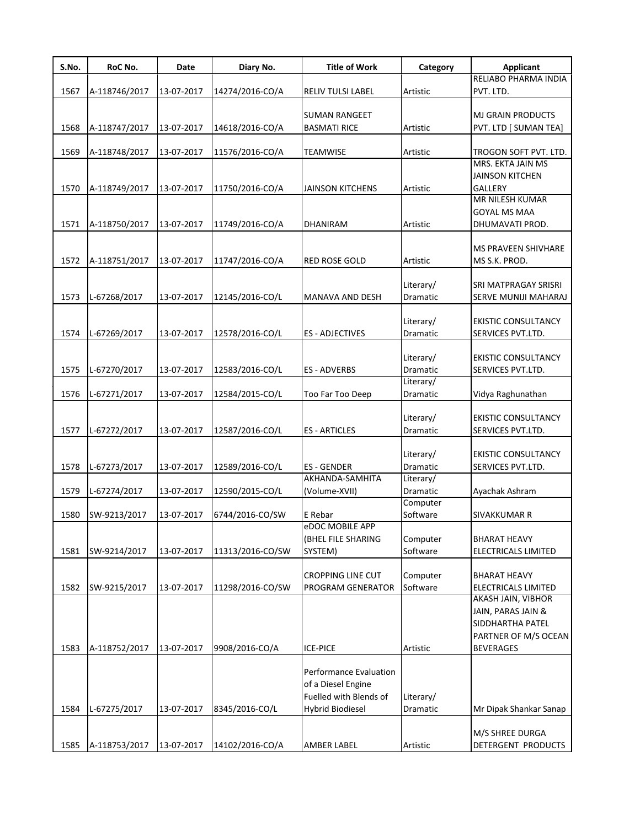| S.No. | RoC No.       | Date       | Diary No.        | <b>Title of Work</b>     | Category  | <b>Applicant</b>                           |
|-------|---------------|------------|------------------|--------------------------|-----------|--------------------------------------------|
|       |               |            |                  |                          |           | RELIABO PHARMA INDIA                       |
| 1567  | A-118746/2017 | 13-07-2017 | 14274/2016-CO/A  | <b>RELIV TULSI LABEL</b> | Artistic  | PVT. LTD.                                  |
|       |               |            |                  |                          |           |                                            |
|       |               |            |                  | <b>SUMAN RANGEET</b>     |           | <b>MJ GRAIN PRODUCTS</b>                   |
| 1568  | A-118747/2017 | 13-07-2017 | 14618/2016-CO/A  | <b>BASMATI RICE</b>      | Artistic  | PVT. LTD [ SUMAN TEA]                      |
|       |               |            |                  |                          |           |                                            |
| 1569  | A-118748/2017 | 13-07-2017 | 11576/2016-CO/A  | TEAMWISE                 | Artistic  | TROGON SOFT PVT. LTD.<br>MRS. EKTA JAIN MS |
|       |               |            |                  |                          |           | <b>JAINSON KITCHEN</b>                     |
| 1570  | A-118749/2017 | 13-07-2017 | 11750/2016-CO/A  | <b>JAINSON KITCHENS</b>  | Artistic  | <b>GALLERY</b>                             |
|       |               |            |                  |                          |           | MR NILESH KUMAR                            |
|       |               |            |                  |                          |           | <b>GOYAL MS MAA</b>                        |
| 1571  | A-118750/2017 | 13-07-2017 | 11749/2016-CO/A  | <b>DHANIRAM</b>          | Artistic  | DHUMAVATI PROD.                            |
|       |               |            |                  |                          |           |                                            |
|       |               |            |                  |                          |           | <b>MS PRAVEEN SHIVHARE</b>                 |
| 1572  | A-118751/2017 | 13-07-2017 | 11747/2016-CO/A  | <b>RED ROSE GOLD</b>     | Artistic  | MS S.K. PROD.                              |
|       |               |            |                  |                          |           |                                            |
|       |               |            |                  |                          | Literary/ | SRI MATPRAGAY SRISRI                       |
| 1573  | L-67268/2017  | 13-07-2017 | 12145/2016-CO/L  | MANAVA AND DESH          | Dramatic  | SERVE MUNIJI MAHARAJ                       |
|       |               |            |                  |                          |           |                                            |
|       |               |            |                  |                          | Literary/ | <b>EKISTIC CONSULTANCY</b>                 |
| 1574  | L-67269/2017  | 13-07-2017 | 12578/2016-CO/L  | <b>ES - ADJECTIVES</b>   | Dramatic  | SERVICES PVT.LTD.                          |
|       |               |            |                  |                          |           |                                            |
|       |               |            |                  |                          | Literary/ | <b>EKISTIC CONSULTANCY</b>                 |
| 1575  | L-67270/2017  | 13-07-2017 | 12583/2016-CO/L  | ES - ADVERBS             | Dramatic  | SERVICES PVT.LTD.                          |
|       |               |            |                  |                          | Literary/ |                                            |
| 1576  | L-67271/2017  | 13-07-2017 | 12584/2015-CO/L  | Too Far Too Deep         | Dramatic  | Vidya Raghunathan                          |
|       |               |            |                  |                          |           |                                            |
|       |               |            |                  |                          | Literary/ | <b>EKISTIC CONSULTANCY</b>                 |
| 1577  | L-67272/2017  | 13-07-2017 | 12587/2016-CO/L  | <b>ES-ARTICLES</b>       | Dramatic  | SERVICES PVT.LTD.                          |
|       |               |            |                  |                          | Literary/ | <b>EKISTIC CONSULTANCY</b>                 |
| 1578  |               | 13-07-2017 |                  | <b>ES-GENDER</b>         | Dramatic  | SERVICES PVT.LTD.                          |
|       | L-67273/2017  |            | 12589/2016-CO/L  | AKHANDA-SAMHITA          | Literary/ |                                            |
| 1579  | L-67274/2017  | 13-07-2017 | 12590/2015-CO/L  | (Volume-XVII)            | Dramatic  | Ayachak Ashram                             |
|       |               |            |                  |                          | Computer  |                                            |
| 1580  | SW-9213/2017  | 13-07-2017 | 6744/2016-CO/SW  | E Rebar                  | Software  | <b>SIVAKKUMAR R</b>                        |
|       |               |            |                  | eDOC MOBILE APP          |           |                                            |
|       |               |            |                  | (BHEL FILE SHARING       | Computer  | <b>BHARAT HEAVY</b>                        |
| 1581  | SW-9214/2017  | 13-07-2017 | 11313/2016-CO/SW | SYSTEM)                  | Software  | <b>ELECTRICALS LIMITED</b>                 |
|       |               |            |                  |                          |           |                                            |
|       |               |            |                  | <b>CROPPING LINE CUT</b> | Computer  | <b>BHARAT HEAVY</b>                        |
| 1582  | SW-9215/2017  | 13-07-2017 | 11298/2016-CO/SW | PROGRAM GENERATOR        | Software  | ELECTRICALS LIMITED                        |
|       |               |            |                  |                          |           | <b>AKASH JAIN, VIBHOR</b>                  |
|       |               |            |                  |                          |           | JAIN, PARAS JAIN &                         |
|       |               |            |                  |                          |           | SIDDHARTHA PATEL                           |
|       |               |            |                  |                          |           | PARTNER OF M/S OCEAN                       |
| 1583  | A-118752/2017 | 13-07-2017 | 9908/2016-CO/A   | <b>ICE-PICE</b>          | Artistic  | <b>BEVERAGES</b>                           |
|       |               |            |                  |                          |           |                                            |
|       |               |            |                  | Performance Evaluation   |           |                                            |
|       |               |            |                  | of a Diesel Engine       |           |                                            |
|       |               |            |                  | Fuelled with Blends of   | Literary/ |                                            |
| 1584  | L-67275/2017  | 13-07-2017 | 8345/2016-CO/L   | <b>Hybrid Biodiesel</b>  | Dramatic  | Mr Dipak Shankar Sanap                     |
|       |               |            |                  |                          |           |                                            |
|       |               |            |                  |                          |           | M/S SHREE DURGA                            |
| 1585  | A-118753/2017 | 13-07-2017 | 14102/2016-CO/A  | AMBER LABEL              | Artistic  | DETERGENT PRODUCTS                         |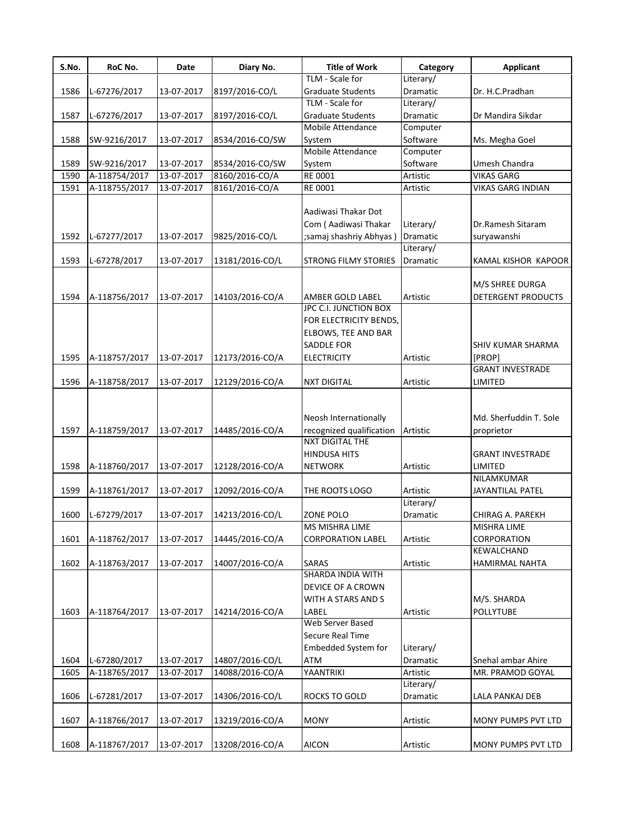| S.No. | RoC No.       | Date       | Diary No.       | <b>Title of Work</b><br>TLM - Scale for            | Category<br>Literary/ | <b>Applicant</b>          |
|-------|---------------|------------|-----------------|----------------------------------------------------|-----------------------|---------------------------|
| 1586  | L-67276/2017  | 13-07-2017 | 8197/2016-CO/L  | <b>Graduate Students</b>                           | Dramatic              | Dr. H.C.Pradhan           |
|       |               |            |                 | TLM - Scale for                                    | Literary/             |                           |
|       |               |            |                 |                                                    | Dramatic              |                           |
| 1587  | L-67276/2017  | 13-07-2017 | 8197/2016-CO/L  | <b>Graduate Students</b><br>Mobile Attendance      |                       | Dr Mandira Sikdar         |
|       |               |            |                 |                                                    | Computer              |                           |
| 1588  | SW-9216/2017  | 13-07-2017 | 8534/2016-CO/SW | System                                             | Software              | Ms. Megha Goel            |
|       |               |            |                 | Mobile Attendance                                  | Computer              |                           |
| 1589  | SW-9216/2017  | 13-07-2017 | 8534/2016-CO/SW | System                                             | Software              | Umesh Chandra             |
| 1590  | A-118754/2017 | 13-07-2017 | 8160/2016-CO/A  | RE 0001                                            | Artistic              | <b>VIKAS GARG</b>         |
| 1591  | A-118755/2017 | 13-07-2017 | 8161/2016-CO/A  | RE 0001                                            | Artistic              | <b>VIKAS GARG INDIAN</b>  |
|       |               |            |                 |                                                    |                       |                           |
|       |               |            |                 | Aadiwasi Thakar Dot                                |                       |                           |
|       |               |            |                 | Com (Aadiwasi Thakar                               | Literary/             | Dr.Ramesh Sitaram         |
| 1592  | L-67277/2017  | 13-07-2017 | 9825/2016-CO/L  | ;samaj shashriy Abhyas)                            | Dramatic              | suryawanshi               |
|       |               |            |                 |                                                    | Literary/             |                           |
| 1593  | L-67278/2017  | 13-07-2017 | 13181/2016-CO/L | <b>STRONG FILMY STORIES</b>                        | Dramatic              | KAMAL KISHOR KAPOOR       |
|       |               |            |                 |                                                    |                       |                           |
|       |               |            |                 |                                                    |                       | M/S SHREE DURGA           |
| 1594  | A-118756/2017 | 13-07-2017 | 14103/2016-CO/A | <b>AMBER GOLD LABEL</b>                            | Artistic              | <b>DETERGENT PRODUCTS</b> |
|       |               |            |                 | JPC C.I. JUNCTION BOX                              |                       |                           |
|       |               |            |                 | FOR ELECTRICITY BENDS,                             |                       |                           |
|       |               |            |                 | ELBOWS, TEE AND BAR                                |                       |                           |
|       |               |            |                 | <b>SADDLE FOR</b>                                  |                       | SHIV KUMAR SHARMA         |
| 1595  | A-118757/2017 | 13-07-2017 | 12173/2016-CO/A | <b>ELECTRICITY</b>                                 | Artistic              | [PROP]                    |
|       |               |            |                 |                                                    |                       | <b>GRANT INVESTRADE</b>   |
| 1596  | A-118758/2017 | 13-07-2017 | 12129/2016-CO/A | <b>NXT DIGITAL</b>                                 | Artistic              | LIMITED                   |
|       |               |            |                 |                                                    |                       |                           |
|       |               |            |                 |                                                    |                       |                           |
|       |               |            |                 | Neosh Internationally                              |                       | Md. Sherfuddin T. Sole    |
|       |               |            |                 |                                                    |                       |                           |
| 1597  | A-118759/2017 | 13-07-2017 | 14485/2016-CO/A | recognized qualification<br><b>NXT DIGITAL THE</b> | Artistic              | proprietor                |
|       |               |            |                 |                                                    |                       |                           |
|       |               |            |                 | <b>HINDUSA HITS</b>                                |                       | <b>GRANT INVESTRADE</b>   |
| 1598  | A-118760/2017 | 13-07-2017 | 12128/2016-CO/A | <b>NETWORK</b>                                     | Artistic              | <b>LIMITED</b>            |
|       |               |            |                 |                                                    |                       | NILAMKUMAR                |
| 1599  | A-118761/2017 | 13-07-2017 | 12092/2016-CO/A | THE ROOTS LOGO                                     | Artistic              | JAYANTILAL PATEL          |
|       |               |            |                 |                                                    | Literary/             |                           |
| 1600  | L-67279/2017  | 13-07-2017 | 14213/2016-CO/L | ZONE POLO                                          | Dramatic              | <b>CHIRAG A. PAREKH</b>   |
|       |               |            |                 | MS MISHRA LIME                                     |                       | <b>MISHRA LIME</b>        |
| 1601  | A-118762/2017 | 13-07-2017 | 14445/2016-CO/A | <b>CORPORATION LABEL</b>                           | Artistic              | CORPORATION               |
|       |               |            |                 |                                                    |                       | KEWALCHAND                |
| 1602  | A-118763/2017 | 13-07-2017 | 14007/2016-CO/A | <b>SARAS</b>                                       | Artistic              | HAMIRMAL NAHTA            |
|       |               |            |                 | SHARDA INDIA WITH                                  |                       |                           |
|       |               |            |                 | DEVICE OF A CROWN                                  |                       |                           |
|       |               |            |                 | WITH A STARS AND S                                 |                       | M/S. SHARDA               |
| 1603  | A-118764/2017 | 13-07-2017 | 14214/2016-CO/A | LABEL                                              | Artistic              | POLLYTUBE                 |
|       |               |            |                 | Web Server Based                                   |                       |                           |
|       |               |            |                 | Secure Real Time                                   |                       |                           |
|       |               |            |                 | Embedded System for                                | Literary/             |                           |
| 1604  | L-67280/2017  | 13-07-2017 | 14807/2016-CO/L | ATM                                                | Dramatic              | Snehal ambar Ahire        |
| 1605  | A-118765/2017 | 13-07-2017 | 14088/2016-CO/A | YAANTRIKI                                          | Artistic              | MR. PRAMOD GOYAL          |
|       |               |            |                 |                                                    | Literary/             |                           |
| 1606  | L-67281/2017  | 13-07-2017 | 14306/2016-CO/L | ROCKS TO GOLD                                      | Dramatic              | LALA PANKAJ DEB           |
|       |               |            |                 |                                                    |                       |                           |
|       |               |            |                 |                                                    |                       |                           |
| 1607  | A-118766/2017 | 13-07-2017 | 13219/2016-CO/A | <b>MONY</b>                                        | Artistic              | MONY PUMPS PVT LTD        |
|       |               |            |                 |                                                    |                       |                           |
| 1608  | A-118767/2017 | 13-07-2017 | 13208/2016-CO/A | <b>AICON</b>                                       | Artistic              | <b>MONY PUMPS PVT LTD</b> |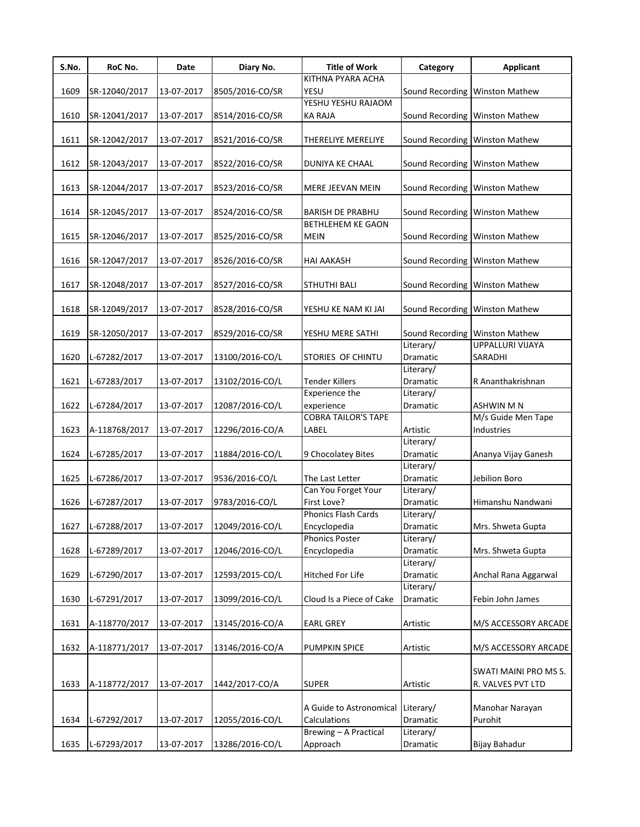| S.No. | RoC No.       | Date       | Diary No.       | <b>Title of Work</b>                    | Category              | <b>Applicant</b>                 |
|-------|---------------|------------|-----------------|-----------------------------------------|-----------------------|----------------------------------|
|       |               |            |                 | KITHNA PYARA ACHA                       |                       |                                  |
| 1609  | SR-12040/2017 | 13-07-2017 | 8505/2016-CO/SR | YESU                                    |                       | Sound Recording Winston Mathew   |
|       |               |            |                 | YESHU YESHU RAJAOM                      |                       |                                  |
| 1610  | SR-12041/2017 | 13-07-2017 | 8514/2016-CO/SR | <b>KA RAJA</b>                          |                       | Sound Recording   Winston Mathew |
|       |               |            |                 |                                         |                       |                                  |
| 1611  | SR-12042/2017 | 13-07-2017 | 8521/2016-CO/SR | THERELIYE MERELIYE                      |                       | Sound Recording Winston Mathew   |
| 1612  | SR-12043/2017 | 13-07-2017 | 8522/2016-CO/SR | DUNIYA KE CHAAL                         |                       | Sound Recording   Winston Mathew |
|       |               |            |                 |                                         |                       |                                  |
| 1613  | SR-12044/2017 | 13-07-2017 | 8523/2016-CO/SR | MERE JEEVAN MEIN                        |                       | Sound Recording Winston Mathew   |
|       |               |            |                 |                                         |                       |                                  |
| 1614  | SR-12045/2017 | 13-07-2017 | 8524/2016-CO/SR | <b>BARISH DE PRABHU</b>                 |                       | Sound Recording Winston Mathew   |
|       |               |            |                 | <b>BETHLEHEM KE GAON</b>                |                       |                                  |
| 1615  | SR-12046/2017 | 13-07-2017 | 8525/2016-CO/SR | <b>MEIN</b>                             |                       | Sound Recording   Winston Mathew |
|       |               |            |                 |                                         |                       |                                  |
| 1616  | SR-12047/2017 | 13-07-2017 | 8526/2016-CO/SR | <b>HAI AAKASH</b>                       |                       | Sound Recording Winston Mathew   |
|       |               |            |                 |                                         |                       |                                  |
| 1617  | SR-12048/2017 | 13-07-2017 | 8527/2016-CO/SR | <b>STHUTHI BALI</b>                     |                       | Sound Recording Winston Mathew   |
|       |               |            |                 |                                         |                       |                                  |
| 1618  | SR-12049/2017 | 13-07-2017 | 8528/2016-CO/SR | YESHU KE NAM KI JAI                     |                       | Sound Recording Winston Mathew   |
|       |               |            |                 |                                         |                       |                                  |
| 1619  | SR-12050/2017 | 13-07-2017 | 8529/2016-CO/SR | YESHU MERE SATHI                        |                       | Sound Recording Winston Mathew   |
|       |               |            |                 |                                         | Literary/             | UPPALLURI VIJAYA                 |
| 1620  | L-67282/2017  | 13-07-2017 | 13100/2016-CO/L | STORIES OF CHINTU                       | Dramatic              | SARADHI                          |
|       |               |            |                 |                                         | Literary/             |                                  |
| 1621  | L-67283/2017  | 13-07-2017 | 13102/2016-CO/L | Tender Killers<br><b>Experience the</b> | Dramatic<br>Literary/ | R Ananthakrishnan                |
| 1622  | L-67284/2017  | 13-07-2017 | 12087/2016-CO/L | experience                              | Dramatic              | <b>ASHWIN M N</b>                |
|       |               |            |                 | <b>COBRA TAILOR'S TAPE</b>              |                       | M/s Guide Men Tape               |
| 1623  | A-118768/2017 | 13-07-2017 | 12296/2016-CO/A | LABEL                                   | Artistic              | Industries                       |
|       |               |            |                 |                                         | Literary/             |                                  |
| 1624  | L-67285/2017  | 13-07-2017 | 11884/2016-CO/L | 9 Chocolatey Bites                      | Dramatic              | Ananya Vijay Ganesh              |
|       |               |            |                 |                                         | Literary/             |                                  |
| 1625  | L-67286/2017  | 13-07-2017 | 9536/2016-CO/L  | The Last Letter                         | Dramatic              | Jebilion Boro                    |
|       |               |            |                 | Can You Forget Your                     | Literary/             |                                  |
| 1626  | L-67287/2017  | 13-07-2017 | 9783/2016-CO/L  | First Love?                             | Dramatic              | Himanshu Nandwani                |
|       |               |            |                 | Phonics Flash Cards                     | Literary/             |                                  |
| 1627  | L-67288/2017  | 13-07-2017 | 12049/2016-CO/L | Encyclopedia                            | Dramatic              | Mrs. Shweta Gupta                |
|       |               |            |                 | <b>Phonics Poster</b>                   | Literary/             |                                  |
| 1628  | L-67289/2017  | 13-07-2017 | 12046/2016-CO/L | Encyclopedia                            | Dramatic              | Mrs. Shweta Gupta                |
|       |               |            |                 |                                         | Literary/             |                                  |
| 1629  | L-67290/2017  | 13-07-2017 | 12593/2015-CO/L | Hitched For Life                        | Dramatic              | Anchal Rana Aggarwal             |
|       |               |            |                 |                                         | Literary/             |                                  |
| 1630  | L-67291/2017  | 13-07-2017 | 13099/2016-CO/L | Cloud Is a Piece of Cake                | Dramatic              | Febin John James                 |
| 1631  | A-118770/2017 | 13-07-2017 | 13145/2016-CO/A |                                         |                       |                                  |
|       |               |            |                 | <b>EARL GREY</b>                        | Artistic              | M/S ACCESSORY ARCADE             |
| 1632  | A-118771/2017 | 13-07-2017 | 13146/2016-CO/A | PUMPKIN SPICE                           | Artistic              | M/S ACCESSORY ARCADE             |
|       |               |            |                 |                                         |                       |                                  |
|       |               |            |                 |                                         |                       | SWATI MAINI PRO MS S.            |
| 1633  | A-118772/2017 | 13-07-2017 | 1442/2017-CO/A  | <b>SUPER</b>                            | Artistic              | R. VALVES PVT LTD                |
|       |               |            |                 |                                         |                       |                                  |
|       |               |            |                 | A Guide to Astronomical                 | Literary/             | Manohar Narayan                  |
| 1634  | L-67292/2017  | 13-07-2017 | 12055/2016-CO/L | Calculations                            | Dramatic              | Purohit                          |
|       |               |            |                 | Brewing - A Practical                   | Literary/             |                                  |
| 1635  | L-67293/2017  | 13-07-2017 | 13286/2016-CO/L | Approach                                | Dramatic              | Bijay Bahadur                    |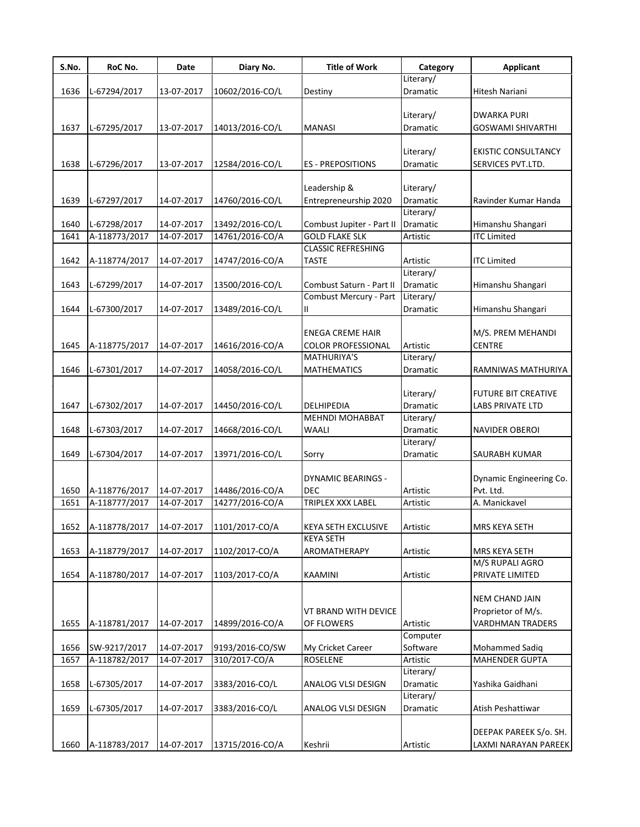| S.No. | RoC No.       | Date       | Diary No.       | <b>Title of Work</b>      | Category        | <b>Applicant</b>           |
|-------|---------------|------------|-----------------|---------------------------|-----------------|----------------------------|
|       |               |            |                 |                           | Literary/       |                            |
| 1636  | L-67294/2017  | 13-07-2017 | 10602/2016-CO/L | Destiny                   | Dramatic        | Hitesh Nariani             |
|       |               |            |                 |                           |                 |                            |
|       |               |            |                 |                           | Literary/       | <b>DWARKA PURI</b>         |
| 1637  | L-67295/2017  | 13-07-2017 | 14013/2016-CO/L | <b>MANASI</b>             | Dramatic        | <b>GOSWAMI SHIVARTHI</b>   |
|       |               |            |                 |                           |                 |                            |
|       |               |            |                 |                           | Literary/       | <b>EKISTIC CONSULTANCY</b> |
| 1638  | L-67296/2017  | 13-07-2017 | 12584/2016-CO/L | <b>ES - PREPOSITIONS</b>  | Dramatic        | SERVICES PVT.LTD.          |
|       |               |            |                 | Leadership &              | Literary/       |                            |
| 1639  | L-67297/2017  | 14-07-2017 |                 | Entrepreneurship 2020     | Dramatic        | Ravinder Kumar Handa       |
|       |               |            | 14760/2016-CO/L |                           | Literary/       |                            |
| 1640  | L-67298/2017  | 14-07-2017 | 13492/2016-CO/L | Combust Jupiter - Part II | Dramatic        | Himanshu Shangari          |
| 1641  | A-118773/2017 | 14-07-2017 | 14761/2016-CO/A | <b>GOLD FLAKE SLK</b>     | Artistic        | <b>ITC Limited</b>         |
|       |               |            |                 | <b>CLASSIC REFRESHING</b> |                 |                            |
| 1642  | A-118774/2017 | 14-07-2017 | 14747/2016-CO/A | <b>TASTE</b>              | Artistic        | <b>ITC Limited</b>         |
|       |               |            |                 |                           | Literary/       |                            |
| 1643  | L-67299/2017  | 14-07-2017 | 13500/2016-CO/L | Combust Saturn - Part II  | <b>Dramatic</b> | Himanshu Shangari          |
|       |               |            |                 | Combust Mercury - Part    | Literary/       |                            |
| 1644  | L-67300/2017  | 14-07-2017 | 13489/2016-CO/L | Ш                         | Dramatic        | Himanshu Shangari          |
|       |               |            |                 |                           |                 |                            |
|       |               |            |                 | <b>ENEGA CREME HAIR</b>   |                 | M/S. PREM MEHANDI          |
| 1645  | A-118775/2017 | 14-07-2017 | 14616/2016-CO/A | <b>COLOR PROFESSIONAL</b> | Artistic        | <b>CENTRE</b>              |
|       |               |            |                 | MATHURIYA'S               | Literary/       |                            |
| 1646  | L-67301/2017  | 14-07-2017 | 14058/2016-CO/L | <b>MATHEMATICS</b>        | Dramatic        | RAMNIWAS MATHURIYA         |
|       |               |            |                 |                           |                 |                            |
|       |               |            |                 |                           | Literary/       | <b>FUTURE BIT CREATIVE</b> |
| 1647  | L-67302/2017  | 14-07-2017 | 14450/2016-CO/L | DELHIPEDIA                | Dramatic        | LABS PRIVATE LTD           |
|       |               |            |                 | <b>MEHNDI MOHABBAT</b>    | Literary/       |                            |
| 1648  | L-67303/2017  | 14-07-2017 | 14668/2016-CO/L | <b>WAALI</b>              | Dramatic        | <b>NAVIDER OBEROI</b>      |
|       |               |            |                 |                           | Literary/       |                            |
| 1649  | L-67304/2017  | 14-07-2017 | 13971/2016-CO/L | Sorry                     | Dramatic        | SAURABH KUMAR              |
|       |               |            |                 |                           |                 |                            |
|       |               |            |                 | <b>DYNAMIC BEARINGS -</b> |                 | Dynamic Engineering Co.    |
| 1650  | A-118776/2017 | 14-07-2017 | 14486/2016-CO/A | <b>DEC</b>                | Artistic        | Pvt. Ltd.                  |
| 1651  | A-118777/2017 | 14-07-2017 | 14277/2016-CO/A | TRIPLEX XXX LABEL         | Artistic        | A. Manickavel              |
|       |               |            |                 |                           |                 |                            |
| 1652  | A-118778/2017 | 14-07-2017 | 1101/2017-CO/A  | KEYA SETH EXCLUSIVE       | Artistic        | MRS KEYA SETH              |
|       |               |            |                 | KEYA SETH                 |                 |                            |
| 1653  | A-118779/2017 | 14-07-2017 | 1102/2017-CO/A  | AROMATHERAPY              | Artistic        | MRS KEYA SETH              |
|       |               |            |                 |                           |                 | M/S RUPALI AGRO            |
| 1654  | A-118780/2017 | 14-07-2017 | 1103/2017-CO/A  | KAAMINI                   | Artistic        | PRIVATE LIMITED            |
|       |               |            |                 |                           |                 |                            |
|       |               |            |                 |                           |                 | <b>NEM CHAND JAIN</b>      |
|       |               |            |                 | VT BRAND WITH DEVICE      |                 | Proprietor of M/s.         |
| 1655  | A-118781/2017 | 14-07-2017 | 14899/2016-CO/A | OF FLOWERS                | Artistic        | <b>VARDHMAN TRADERS</b>    |
|       |               |            |                 |                           | Computer        |                            |
| 1656  | SW-9217/2017  | 14-07-2017 | 9193/2016-CO/SW | My Cricket Career         | Software        | Mohammed Sadiq             |
| 1657  | A-118782/2017 | 14-07-2017 | 310/2017-CO/A   | <b>ROSELENE</b>           | Artistic        | <b>MAHENDER GUPTA</b>      |
|       |               |            |                 |                           | Literary/       |                            |
| 1658  | L-67305/2017  | 14-07-2017 | 3383/2016-CO/L  | ANALOG VLSI DESIGN        | Dramatic        | Yashika Gaidhani           |
|       |               |            |                 |                           | Literary/       |                            |
| 1659  | L-67305/2017  | 14-07-2017 | 3383/2016-CO/L  | ANALOG VLSI DESIGN        | Dramatic        | Atish Peshattiwar          |
|       |               |            |                 |                           |                 |                            |
|       |               |            |                 |                           |                 | DEEPAK PAREEK S/o. SH.     |
| 1660  | A-118783/2017 | 14-07-2017 | 13715/2016-CO/A | Keshrii                   | Artistic        | LAXMI NARAYAN PAREEK       |
|       |               |            |                 |                           |                 |                            |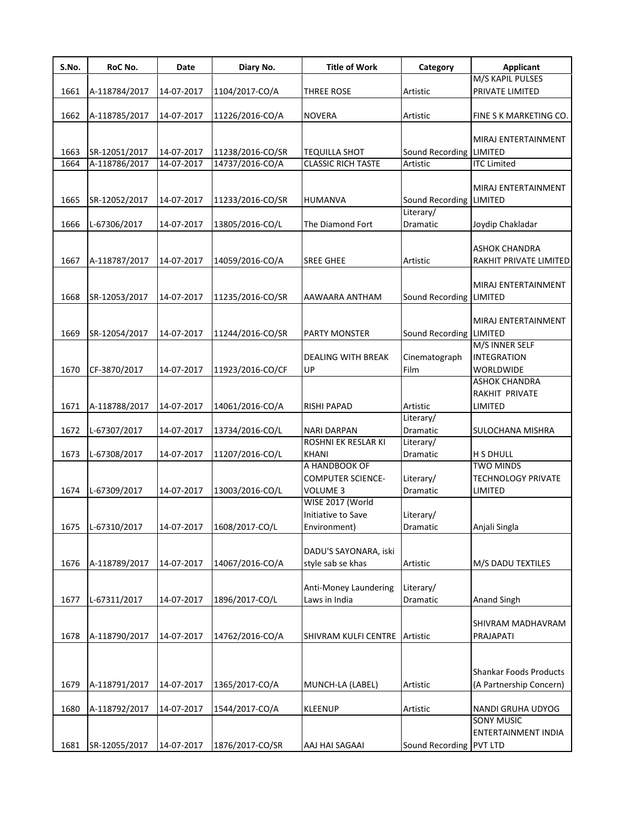| S.No. | RoC No.       | Date       | Diary No.        | <b>Title of Work</b>          | Category                | <b>Applicant</b>          |
|-------|---------------|------------|------------------|-------------------------------|-------------------------|---------------------------|
|       |               |            |                  |                               |                         | M/S KAPIL PULSES          |
| 1661  | A-118784/2017 | 14-07-2017 | 1104/2017-CO/A   | THREE ROSE                    | Artistic                | PRIVATE LIMITED           |
|       |               |            |                  |                               |                         |                           |
| 1662  | A-118785/2017 | 14-07-2017 | 11226/2016-CO/A  | <b>NOVERA</b>                 | Artistic                | FINE S K MARKETING CO.    |
|       |               |            |                  |                               |                         |                           |
|       |               |            |                  |                               |                         | MIRAJ ENTERTAINMENT       |
| 1663  | SR-12051/2017 | 14-07-2017 | 11238/2016-CO/SR | <b>TEQUILLA SHOT</b>          | Sound Recording LIMITED |                           |
| 1664  | A-118786/2017 | 14-07-2017 | 14737/2016-CO/A  | <b>CLASSIC RICH TASTE</b>     | Artistic                | <b>ITC Limited</b>        |
|       |               |            |                  |                               |                         | MIRAJ ENTERTAINMENT       |
| 1665  |               | 14-07-2017 |                  |                               | Sound Recording LIMITED |                           |
|       | SR-12052/2017 |            | 11233/2016-CO/SR | HUMANVA                       | Literary/               |                           |
| 1666  | L-67306/2017  | 14-07-2017 | 13805/2016-CO/L  | The Diamond Fort              | Dramatic                | Joydip Chakladar          |
|       |               |            |                  |                               |                         |                           |
|       |               |            |                  |                               |                         | <b>ASHOK CHANDRA</b>      |
| 1667  | A-118787/2017 | 14-07-2017 | 14059/2016-CO/A  | <b>SREE GHEE</b>              | Artistic                | RAKHIT PRIVATE LIMITED    |
|       |               |            |                  |                               |                         |                           |
|       |               |            |                  |                               |                         | MIRAJ ENTERTAINMENT       |
| 1668  | SR-12053/2017 | 14-07-2017 | 11235/2016-CO/SR | AAWAARA ANTHAM                | Sound Recording LIMITED |                           |
|       |               |            |                  |                               |                         |                           |
|       |               |            |                  |                               |                         | MIRAJ ENTERTAINMENT       |
| 1669  | SR-12054/2017 | 14-07-2017 | 11244/2016-CO/SR | PARTY MONSTER                 | Sound Recording LIMITED |                           |
|       |               |            |                  |                               |                         | M/S INNER SELF            |
|       |               |            |                  | DEALING WITH BREAK            | Cinematograph           | <b>INTEGRATION</b>        |
| 1670  | CF-3870/2017  | 14-07-2017 | 11923/2016-CO/CF | UP                            | Film                    | <b>WORLDWIDE</b>          |
|       |               |            |                  |                               |                         | <b>ASHOK CHANDRA</b>      |
|       |               |            |                  |                               |                         | RAKHIT PRIVATE            |
| 1671  | A-118788/2017 | 14-07-2017 | 14061/2016-CO/A  | <b>RISHI PAPAD</b>            | Artistic                | LIMITED                   |
|       |               |            |                  |                               | Literary/               |                           |
| 1672  | L-67307/2017  | 14-07-2017 | 13734/2016-CO/L  | <b>NARI DARPAN</b>            | <b>Dramatic</b>         | SULOCHANA MISHRA          |
|       |               |            |                  | ROSHNI EK RESLAR KI           | Literary/               |                           |
| 1673  | L-67308/2017  | 14-07-2017 | 11207/2016-CO/L  | <b>KHANI</b>                  | Dramatic                | <b>H S DHULL</b>          |
|       |               |            |                  | A HANDBOOK OF                 |                         | <b>TWO MINDS</b>          |
|       |               |            |                  | <b>COMPUTER SCIENCE-</b>      | Literary/               | <b>TECHNOLOGY PRIVATE</b> |
| 1674  | L-67309/2017  | 14-07-2017 | 13003/2016-CO/L  | <b>VOLUME 3</b>               | Dramatic                | <b>LIMITED</b>            |
|       |               |            |                  | WISE 2017 (World              |                         |                           |
|       |               |            |                  | Initiative to Save            | Literary/               |                           |
| 1675  | L-67310/2017  | 14-07-2017 | 1608/2017-CO/L   | Environment)                  | Dramatic                | Anjali Singla             |
|       |               |            |                  |                               |                         |                           |
|       |               |            |                  | DADU'S SAYONARA, iski         |                         |                           |
| 1676  | A-118789/2017 | 14-07-2017 | 14067/2016-CO/A  | style sab se khas             | Artistic                | M/S DADU TEXTILES         |
|       |               |            |                  |                               |                         |                           |
|       |               |            |                  | Anti-Money Laundering         | Literary/               |                           |
| 1677  | L-67311/2017  | 14-07-2017 | 1896/2017-CO/L   | Laws in India                 | Dramatic                | <b>Anand Singh</b>        |
|       |               |            |                  |                               |                         |                           |
|       |               |            |                  |                               |                         | SHIVRAM MADHAVRAM         |
| 1678  | A-118790/2017 | 14-07-2017 | 14762/2016-CO/A  | SHIVRAM KULFI CENTRE Artistic |                         | PRAJAPATI                 |
|       |               |            |                  |                               |                         |                           |
|       |               |            |                  |                               |                         |                           |
|       |               |            |                  |                               |                         | Shankar Foods Products    |
| 1679  | A-118791/2017 | 14-07-2017 | 1365/2017-CO/A   | MUNCH-LA (LABEL)              | Artistic                | (A Partnership Concern)   |
|       |               |            |                  |                               |                         |                           |
| 1680  | A-118792/2017 | 14-07-2017 | 1544/2017-CO/A   | <b>KLEENUP</b>                | Artistic                | NANDI GRUHA UDYOG         |
|       |               |            |                  |                               |                         | <b>SONY MUSIC</b>         |
|       |               |            |                  |                               |                         | ENTERTAINMENT INDIA       |
| 1681  | SR-12055/2017 | 14-07-2017 | 1876/2017-CO/SR  | AAJ HAI SAGAAI                | Sound Recording PVT LTD |                           |
|       |               |            |                  |                               |                         |                           |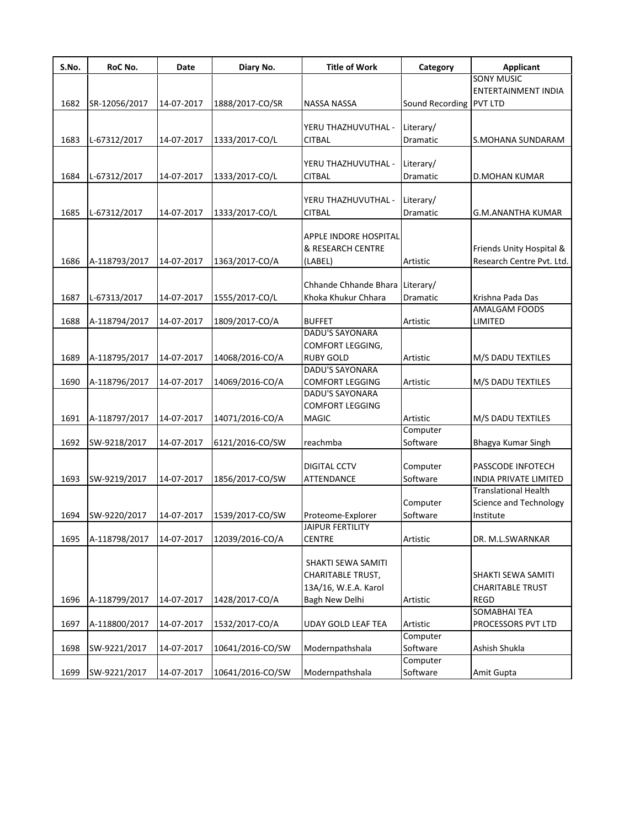| <b>SONY MUSIC</b><br><b>ENTERTAINMENT INDIA</b><br>Sound Recording PVT LTD<br>SR-12056/2017<br>14-07-2017<br>1888/2017-CO/SR<br><b>NASSA NASSA</b><br>Literary/<br>YERU THAZHUVUTHAL -<br>1683<br>L-67312/2017<br>14-07-2017<br>1333/2017-CO/L<br><b>CITBAL</b><br>Dramatic<br>S.MOHANA SUNDARAM<br>YERU THAZHUVUTHAL -<br>Literary/<br>L-67312/2017<br>14-07-2017<br>1333/2017-CO/L<br><b>CITBAL</b><br>Dramatic<br>D.MOHAN KUMAR<br>YERU THAZHUVUTHAL -<br>Literary/<br>1685<br>L-67312/2017<br>14-07-2017<br>1333/2017-CO/L<br><b>CITBAL</b><br>Dramatic<br><b>G.M.ANANTHA KUMAR</b><br>APPLE INDORE HOSPITAL<br>& RESEARCH CENTRE<br>Friends Unity Hospital &<br>1686<br>A-118793/2017<br>14-07-2017<br>1363/2017-CO/A<br>(LABEL)<br>Artistic<br>Research Centre Pvt. Ltd.<br>Chhande Chhande Bhara Literary/<br>L-67313/2017<br>14-07-2017<br>1555/2017-CO/L<br>Khoka Khukur Chhara<br>Krishna Pada Das<br>Dramatic<br><b>AMALGAM FOODS</b><br>1688<br>A-118794/2017<br>14-07-2017<br>1809/2017-CO/A<br><b>BUFFET</b><br>Artistic<br>LIMITED<br><b>DADU'S SAYONARA</b><br>COMFORT LEGGING,<br><b>RUBY GOLD</b><br>A-118795/2017<br>14-07-2017<br>14068/2016-CO/A<br>Artistic<br>M/S DADU TEXTILES<br><b>DADU'S SAYONARA</b><br>14-07-2017<br>A-118796/2017<br>14069/2016-CO/A<br><b>COMFORT LEGGING</b><br>Artistic<br>M/S DADU TEXTILES<br>DADU'S SAYONARA<br><b>COMFORT LEGGING</b><br>A-118797/2017<br><b>MAGIC</b><br>Artistic<br>14-07-2017<br>14071/2016-CO/A<br>M/S DADU TEXTILES<br>Computer<br>Software<br>14-07-2017<br>SW-9218/2017<br>6121/2016-CO/SW<br>reachmba<br>Bhagya Kumar Singh<br>Computer<br><b>DIGITAL CCTV</b><br><b>PASSCODE INFOTECH</b><br>Software<br>1693<br><b>INDIA PRIVATE LIMITED</b><br>SW-9219/2017<br>14-07-2017<br>1856/2017-CO/SW<br>ATTENDANCE<br><b>Translational Health</b><br>Computer<br>Science and Technology<br>Software<br>1694<br>SW-9220/2017<br>14-07-2017<br>1539/2017-CO/SW<br>Institute<br>Proteome-Explorer<br><b>JAIPUR FERTILITY</b><br>1695<br>A-118798/2017<br>14-07-2017<br>12039/2016-CO/A<br><b>CENTRE</b><br>Artistic<br>DR. M.L.SWARNKAR<br>SHAKTI SEWA SAMITI<br><b>CHARITABLE TRUST,</b><br><b>SHAKTI SEWA SAMITI</b><br>13A/16, W.E.A. Karol<br><b>CHARITABLE TRUST</b><br>1696<br>A-118799/2017<br>14-07-2017<br>1428/2017-CO/A<br>Bagh New Delhi<br><b>REGD</b><br>Artistic<br><b>SOMABHAI TEA</b><br>1697<br>A-118800/2017<br>14-07-2017<br>1532/2017-CO/A<br><b>UDAY GOLD LEAF TEA</b><br>Artistic<br><b>PROCESSORS PVT LTD</b><br>Computer<br>14-07-2017<br>Modernpathshala<br>Software<br>Ashish Shukla<br>SW-9221/2017<br>10641/2016-CO/SW<br>Computer | S.No. | RoC No.      | Date       | Diary No.        | <b>Title of Work</b> | Category | <b>Applicant</b> |
|--------------------------------------------------------------------------------------------------------------------------------------------------------------------------------------------------------------------------------------------------------------------------------------------------------------------------------------------------------------------------------------------------------------------------------------------------------------------------------------------------------------------------------------------------------------------------------------------------------------------------------------------------------------------------------------------------------------------------------------------------------------------------------------------------------------------------------------------------------------------------------------------------------------------------------------------------------------------------------------------------------------------------------------------------------------------------------------------------------------------------------------------------------------------------------------------------------------------------------------------------------------------------------------------------------------------------------------------------------------------------------------------------------------------------------------------------------------------------------------------------------------------------------------------------------------------------------------------------------------------------------------------------------------------------------------------------------------------------------------------------------------------------------------------------------------------------------------------------------------------------------------------------------------------------------------------------------------------------------------------------------------------------------------------------------------------------------------------------------------------------------------------------------------------------------------------------------------------------------------------------------------------------------------------------------------------------------------------------------------------------------------------------------------------------------------------------------------------------------------------------------------------------------------------------------------------------------------------------------------------------------------|-------|--------------|------------|------------------|----------------------|----------|------------------|
|                                                                                                                                                                                                                                                                                                                                                                                                                                                                                                                                                                                                                                                                                                                                                                                                                                                                                                                                                                                                                                                                                                                                                                                                                                                                                                                                                                                                                                                                                                                                                                                                                                                                                                                                                                                                                                                                                                                                                                                                                                                                                                                                                                                                                                                                                                                                                                                                                                                                                                                                                                                                                                      |       |              |            |                  |                      |          |                  |
|                                                                                                                                                                                                                                                                                                                                                                                                                                                                                                                                                                                                                                                                                                                                                                                                                                                                                                                                                                                                                                                                                                                                                                                                                                                                                                                                                                                                                                                                                                                                                                                                                                                                                                                                                                                                                                                                                                                                                                                                                                                                                                                                                                                                                                                                                                                                                                                                                                                                                                                                                                                                                                      |       |              |            |                  |                      |          |                  |
|                                                                                                                                                                                                                                                                                                                                                                                                                                                                                                                                                                                                                                                                                                                                                                                                                                                                                                                                                                                                                                                                                                                                                                                                                                                                                                                                                                                                                                                                                                                                                                                                                                                                                                                                                                                                                                                                                                                                                                                                                                                                                                                                                                                                                                                                                                                                                                                                                                                                                                                                                                                                                                      | 1682  |              |            |                  |                      |          |                  |
|                                                                                                                                                                                                                                                                                                                                                                                                                                                                                                                                                                                                                                                                                                                                                                                                                                                                                                                                                                                                                                                                                                                                                                                                                                                                                                                                                                                                                                                                                                                                                                                                                                                                                                                                                                                                                                                                                                                                                                                                                                                                                                                                                                                                                                                                                                                                                                                                                                                                                                                                                                                                                                      |       |              |            |                  |                      |          |                  |
|                                                                                                                                                                                                                                                                                                                                                                                                                                                                                                                                                                                                                                                                                                                                                                                                                                                                                                                                                                                                                                                                                                                                                                                                                                                                                                                                                                                                                                                                                                                                                                                                                                                                                                                                                                                                                                                                                                                                                                                                                                                                                                                                                                                                                                                                                                                                                                                                                                                                                                                                                                                                                                      |       |              |            |                  |                      |          |                  |
|                                                                                                                                                                                                                                                                                                                                                                                                                                                                                                                                                                                                                                                                                                                                                                                                                                                                                                                                                                                                                                                                                                                                                                                                                                                                                                                                                                                                                                                                                                                                                                                                                                                                                                                                                                                                                                                                                                                                                                                                                                                                                                                                                                                                                                                                                                                                                                                                                                                                                                                                                                                                                                      |       |              |            |                  |                      |          |                  |
|                                                                                                                                                                                                                                                                                                                                                                                                                                                                                                                                                                                                                                                                                                                                                                                                                                                                                                                                                                                                                                                                                                                                                                                                                                                                                                                                                                                                                                                                                                                                                                                                                                                                                                                                                                                                                                                                                                                                                                                                                                                                                                                                                                                                                                                                                                                                                                                                                                                                                                                                                                                                                                      |       |              |            |                  |                      |          |                  |
|                                                                                                                                                                                                                                                                                                                                                                                                                                                                                                                                                                                                                                                                                                                                                                                                                                                                                                                                                                                                                                                                                                                                                                                                                                                                                                                                                                                                                                                                                                                                                                                                                                                                                                                                                                                                                                                                                                                                                                                                                                                                                                                                                                                                                                                                                                                                                                                                                                                                                                                                                                                                                                      | 1684  |              |            |                  |                      |          |                  |
|                                                                                                                                                                                                                                                                                                                                                                                                                                                                                                                                                                                                                                                                                                                                                                                                                                                                                                                                                                                                                                                                                                                                                                                                                                                                                                                                                                                                                                                                                                                                                                                                                                                                                                                                                                                                                                                                                                                                                                                                                                                                                                                                                                                                                                                                                                                                                                                                                                                                                                                                                                                                                                      |       |              |            |                  |                      |          |                  |
|                                                                                                                                                                                                                                                                                                                                                                                                                                                                                                                                                                                                                                                                                                                                                                                                                                                                                                                                                                                                                                                                                                                                                                                                                                                                                                                                                                                                                                                                                                                                                                                                                                                                                                                                                                                                                                                                                                                                                                                                                                                                                                                                                                                                                                                                                                                                                                                                                                                                                                                                                                                                                                      |       |              |            |                  |                      |          |                  |
|                                                                                                                                                                                                                                                                                                                                                                                                                                                                                                                                                                                                                                                                                                                                                                                                                                                                                                                                                                                                                                                                                                                                                                                                                                                                                                                                                                                                                                                                                                                                                                                                                                                                                                                                                                                                                                                                                                                                                                                                                                                                                                                                                                                                                                                                                                                                                                                                                                                                                                                                                                                                                                      |       |              |            |                  |                      |          |                  |
|                                                                                                                                                                                                                                                                                                                                                                                                                                                                                                                                                                                                                                                                                                                                                                                                                                                                                                                                                                                                                                                                                                                                                                                                                                                                                                                                                                                                                                                                                                                                                                                                                                                                                                                                                                                                                                                                                                                                                                                                                                                                                                                                                                                                                                                                                                                                                                                                                                                                                                                                                                                                                                      |       |              |            |                  |                      |          |                  |
|                                                                                                                                                                                                                                                                                                                                                                                                                                                                                                                                                                                                                                                                                                                                                                                                                                                                                                                                                                                                                                                                                                                                                                                                                                                                                                                                                                                                                                                                                                                                                                                                                                                                                                                                                                                                                                                                                                                                                                                                                                                                                                                                                                                                                                                                                                                                                                                                                                                                                                                                                                                                                                      |       |              |            |                  |                      |          |                  |
|                                                                                                                                                                                                                                                                                                                                                                                                                                                                                                                                                                                                                                                                                                                                                                                                                                                                                                                                                                                                                                                                                                                                                                                                                                                                                                                                                                                                                                                                                                                                                                                                                                                                                                                                                                                                                                                                                                                                                                                                                                                                                                                                                                                                                                                                                                                                                                                                                                                                                                                                                                                                                                      |       |              |            |                  |                      |          |                  |
|                                                                                                                                                                                                                                                                                                                                                                                                                                                                                                                                                                                                                                                                                                                                                                                                                                                                                                                                                                                                                                                                                                                                                                                                                                                                                                                                                                                                                                                                                                                                                                                                                                                                                                                                                                                                                                                                                                                                                                                                                                                                                                                                                                                                                                                                                                                                                                                                                                                                                                                                                                                                                                      |       |              |            |                  |                      |          |                  |
|                                                                                                                                                                                                                                                                                                                                                                                                                                                                                                                                                                                                                                                                                                                                                                                                                                                                                                                                                                                                                                                                                                                                                                                                                                                                                                                                                                                                                                                                                                                                                                                                                                                                                                                                                                                                                                                                                                                                                                                                                                                                                                                                                                                                                                                                                                                                                                                                                                                                                                                                                                                                                                      |       |              |            |                  |                      |          |                  |
|                                                                                                                                                                                                                                                                                                                                                                                                                                                                                                                                                                                                                                                                                                                                                                                                                                                                                                                                                                                                                                                                                                                                                                                                                                                                                                                                                                                                                                                                                                                                                                                                                                                                                                                                                                                                                                                                                                                                                                                                                                                                                                                                                                                                                                                                                                                                                                                                                                                                                                                                                                                                                                      | 1687  |              |            |                  |                      |          |                  |
|                                                                                                                                                                                                                                                                                                                                                                                                                                                                                                                                                                                                                                                                                                                                                                                                                                                                                                                                                                                                                                                                                                                                                                                                                                                                                                                                                                                                                                                                                                                                                                                                                                                                                                                                                                                                                                                                                                                                                                                                                                                                                                                                                                                                                                                                                                                                                                                                                                                                                                                                                                                                                                      |       |              |            |                  |                      |          |                  |
|                                                                                                                                                                                                                                                                                                                                                                                                                                                                                                                                                                                                                                                                                                                                                                                                                                                                                                                                                                                                                                                                                                                                                                                                                                                                                                                                                                                                                                                                                                                                                                                                                                                                                                                                                                                                                                                                                                                                                                                                                                                                                                                                                                                                                                                                                                                                                                                                                                                                                                                                                                                                                                      |       |              |            |                  |                      |          |                  |
|                                                                                                                                                                                                                                                                                                                                                                                                                                                                                                                                                                                                                                                                                                                                                                                                                                                                                                                                                                                                                                                                                                                                                                                                                                                                                                                                                                                                                                                                                                                                                                                                                                                                                                                                                                                                                                                                                                                                                                                                                                                                                                                                                                                                                                                                                                                                                                                                                                                                                                                                                                                                                                      |       |              |            |                  |                      |          |                  |
|                                                                                                                                                                                                                                                                                                                                                                                                                                                                                                                                                                                                                                                                                                                                                                                                                                                                                                                                                                                                                                                                                                                                                                                                                                                                                                                                                                                                                                                                                                                                                                                                                                                                                                                                                                                                                                                                                                                                                                                                                                                                                                                                                                                                                                                                                                                                                                                                                                                                                                                                                                                                                                      |       |              |            |                  |                      |          |                  |
|                                                                                                                                                                                                                                                                                                                                                                                                                                                                                                                                                                                                                                                                                                                                                                                                                                                                                                                                                                                                                                                                                                                                                                                                                                                                                                                                                                                                                                                                                                                                                                                                                                                                                                                                                                                                                                                                                                                                                                                                                                                                                                                                                                                                                                                                                                                                                                                                                                                                                                                                                                                                                                      | 1689  |              |            |                  |                      |          |                  |
|                                                                                                                                                                                                                                                                                                                                                                                                                                                                                                                                                                                                                                                                                                                                                                                                                                                                                                                                                                                                                                                                                                                                                                                                                                                                                                                                                                                                                                                                                                                                                                                                                                                                                                                                                                                                                                                                                                                                                                                                                                                                                                                                                                                                                                                                                                                                                                                                                                                                                                                                                                                                                                      |       |              |            |                  |                      |          |                  |
|                                                                                                                                                                                                                                                                                                                                                                                                                                                                                                                                                                                                                                                                                                                                                                                                                                                                                                                                                                                                                                                                                                                                                                                                                                                                                                                                                                                                                                                                                                                                                                                                                                                                                                                                                                                                                                                                                                                                                                                                                                                                                                                                                                                                                                                                                                                                                                                                                                                                                                                                                                                                                                      | 1690  |              |            |                  |                      |          |                  |
|                                                                                                                                                                                                                                                                                                                                                                                                                                                                                                                                                                                                                                                                                                                                                                                                                                                                                                                                                                                                                                                                                                                                                                                                                                                                                                                                                                                                                                                                                                                                                                                                                                                                                                                                                                                                                                                                                                                                                                                                                                                                                                                                                                                                                                                                                                                                                                                                                                                                                                                                                                                                                                      |       |              |            |                  |                      |          |                  |
|                                                                                                                                                                                                                                                                                                                                                                                                                                                                                                                                                                                                                                                                                                                                                                                                                                                                                                                                                                                                                                                                                                                                                                                                                                                                                                                                                                                                                                                                                                                                                                                                                                                                                                                                                                                                                                                                                                                                                                                                                                                                                                                                                                                                                                                                                                                                                                                                                                                                                                                                                                                                                                      |       |              |            |                  |                      |          |                  |
|                                                                                                                                                                                                                                                                                                                                                                                                                                                                                                                                                                                                                                                                                                                                                                                                                                                                                                                                                                                                                                                                                                                                                                                                                                                                                                                                                                                                                                                                                                                                                                                                                                                                                                                                                                                                                                                                                                                                                                                                                                                                                                                                                                                                                                                                                                                                                                                                                                                                                                                                                                                                                                      | 1691  |              |            |                  |                      |          |                  |
|                                                                                                                                                                                                                                                                                                                                                                                                                                                                                                                                                                                                                                                                                                                                                                                                                                                                                                                                                                                                                                                                                                                                                                                                                                                                                                                                                                                                                                                                                                                                                                                                                                                                                                                                                                                                                                                                                                                                                                                                                                                                                                                                                                                                                                                                                                                                                                                                                                                                                                                                                                                                                                      |       |              |            |                  |                      |          |                  |
|                                                                                                                                                                                                                                                                                                                                                                                                                                                                                                                                                                                                                                                                                                                                                                                                                                                                                                                                                                                                                                                                                                                                                                                                                                                                                                                                                                                                                                                                                                                                                                                                                                                                                                                                                                                                                                                                                                                                                                                                                                                                                                                                                                                                                                                                                                                                                                                                                                                                                                                                                                                                                                      | 1692  |              |            |                  |                      |          |                  |
|                                                                                                                                                                                                                                                                                                                                                                                                                                                                                                                                                                                                                                                                                                                                                                                                                                                                                                                                                                                                                                                                                                                                                                                                                                                                                                                                                                                                                                                                                                                                                                                                                                                                                                                                                                                                                                                                                                                                                                                                                                                                                                                                                                                                                                                                                                                                                                                                                                                                                                                                                                                                                                      |       |              |            |                  |                      |          |                  |
|                                                                                                                                                                                                                                                                                                                                                                                                                                                                                                                                                                                                                                                                                                                                                                                                                                                                                                                                                                                                                                                                                                                                                                                                                                                                                                                                                                                                                                                                                                                                                                                                                                                                                                                                                                                                                                                                                                                                                                                                                                                                                                                                                                                                                                                                                                                                                                                                                                                                                                                                                                                                                                      |       |              |            |                  |                      |          |                  |
|                                                                                                                                                                                                                                                                                                                                                                                                                                                                                                                                                                                                                                                                                                                                                                                                                                                                                                                                                                                                                                                                                                                                                                                                                                                                                                                                                                                                                                                                                                                                                                                                                                                                                                                                                                                                                                                                                                                                                                                                                                                                                                                                                                                                                                                                                                                                                                                                                                                                                                                                                                                                                                      |       |              |            |                  |                      |          |                  |
|                                                                                                                                                                                                                                                                                                                                                                                                                                                                                                                                                                                                                                                                                                                                                                                                                                                                                                                                                                                                                                                                                                                                                                                                                                                                                                                                                                                                                                                                                                                                                                                                                                                                                                                                                                                                                                                                                                                                                                                                                                                                                                                                                                                                                                                                                                                                                                                                                                                                                                                                                                                                                                      |       |              |            |                  |                      |          |                  |
|                                                                                                                                                                                                                                                                                                                                                                                                                                                                                                                                                                                                                                                                                                                                                                                                                                                                                                                                                                                                                                                                                                                                                                                                                                                                                                                                                                                                                                                                                                                                                                                                                                                                                                                                                                                                                                                                                                                                                                                                                                                                                                                                                                                                                                                                                                                                                                                                                                                                                                                                                                                                                                      |       |              |            |                  |                      |          |                  |
|                                                                                                                                                                                                                                                                                                                                                                                                                                                                                                                                                                                                                                                                                                                                                                                                                                                                                                                                                                                                                                                                                                                                                                                                                                                                                                                                                                                                                                                                                                                                                                                                                                                                                                                                                                                                                                                                                                                                                                                                                                                                                                                                                                                                                                                                                                                                                                                                                                                                                                                                                                                                                                      |       |              |            |                  |                      |          |                  |
|                                                                                                                                                                                                                                                                                                                                                                                                                                                                                                                                                                                                                                                                                                                                                                                                                                                                                                                                                                                                                                                                                                                                                                                                                                                                                                                                                                                                                                                                                                                                                                                                                                                                                                                                                                                                                                                                                                                                                                                                                                                                                                                                                                                                                                                                                                                                                                                                                                                                                                                                                                                                                                      |       |              |            |                  |                      |          |                  |
|                                                                                                                                                                                                                                                                                                                                                                                                                                                                                                                                                                                                                                                                                                                                                                                                                                                                                                                                                                                                                                                                                                                                                                                                                                                                                                                                                                                                                                                                                                                                                                                                                                                                                                                                                                                                                                                                                                                                                                                                                                                                                                                                                                                                                                                                                                                                                                                                                                                                                                                                                                                                                                      |       |              |            |                  |                      |          |                  |
|                                                                                                                                                                                                                                                                                                                                                                                                                                                                                                                                                                                                                                                                                                                                                                                                                                                                                                                                                                                                                                                                                                                                                                                                                                                                                                                                                                                                                                                                                                                                                                                                                                                                                                                                                                                                                                                                                                                                                                                                                                                                                                                                                                                                                                                                                                                                                                                                                                                                                                                                                                                                                                      |       |              |            |                  |                      |          |                  |
|                                                                                                                                                                                                                                                                                                                                                                                                                                                                                                                                                                                                                                                                                                                                                                                                                                                                                                                                                                                                                                                                                                                                                                                                                                                                                                                                                                                                                                                                                                                                                                                                                                                                                                                                                                                                                                                                                                                                                                                                                                                                                                                                                                                                                                                                                                                                                                                                                                                                                                                                                                                                                                      |       |              |            |                  |                      |          |                  |
|                                                                                                                                                                                                                                                                                                                                                                                                                                                                                                                                                                                                                                                                                                                                                                                                                                                                                                                                                                                                                                                                                                                                                                                                                                                                                                                                                                                                                                                                                                                                                                                                                                                                                                                                                                                                                                                                                                                                                                                                                                                                                                                                                                                                                                                                                                                                                                                                                                                                                                                                                                                                                                      |       |              |            |                  |                      |          |                  |
|                                                                                                                                                                                                                                                                                                                                                                                                                                                                                                                                                                                                                                                                                                                                                                                                                                                                                                                                                                                                                                                                                                                                                                                                                                                                                                                                                                                                                                                                                                                                                                                                                                                                                                                                                                                                                                                                                                                                                                                                                                                                                                                                                                                                                                                                                                                                                                                                                                                                                                                                                                                                                                      |       |              |            |                  |                      |          |                  |
|                                                                                                                                                                                                                                                                                                                                                                                                                                                                                                                                                                                                                                                                                                                                                                                                                                                                                                                                                                                                                                                                                                                                                                                                                                                                                                                                                                                                                                                                                                                                                                                                                                                                                                                                                                                                                                                                                                                                                                                                                                                                                                                                                                                                                                                                                                                                                                                                                                                                                                                                                                                                                                      |       |              |            |                  |                      |          |                  |
|                                                                                                                                                                                                                                                                                                                                                                                                                                                                                                                                                                                                                                                                                                                                                                                                                                                                                                                                                                                                                                                                                                                                                                                                                                                                                                                                                                                                                                                                                                                                                                                                                                                                                                                                                                                                                                                                                                                                                                                                                                                                                                                                                                                                                                                                                                                                                                                                                                                                                                                                                                                                                                      |       |              |            |                  |                      |          |                  |
|                                                                                                                                                                                                                                                                                                                                                                                                                                                                                                                                                                                                                                                                                                                                                                                                                                                                                                                                                                                                                                                                                                                                                                                                                                                                                                                                                                                                                                                                                                                                                                                                                                                                                                                                                                                                                                                                                                                                                                                                                                                                                                                                                                                                                                                                                                                                                                                                                                                                                                                                                                                                                                      |       |              |            |                  |                      |          |                  |
|                                                                                                                                                                                                                                                                                                                                                                                                                                                                                                                                                                                                                                                                                                                                                                                                                                                                                                                                                                                                                                                                                                                                                                                                                                                                                                                                                                                                                                                                                                                                                                                                                                                                                                                                                                                                                                                                                                                                                                                                                                                                                                                                                                                                                                                                                                                                                                                                                                                                                                                                                                                                                                      | 1698  |              |            |                  |                      |          |                  |
|                                                                                                                                                                                                                                                                                                                                                                                                                                                                                                                                                                                                                                                                                                                                                                                                                                                                                                                                                                                                                                                                                                                                                                                                                                                                                                                                                                                                                                                                                                                                                                                                                                                                                                                                                                                                                                                                                                                                                                                                                                                                                                                                                                                                                                                                                                                                                                                                                                                                                                                                                                                                                                      |       |              |            |                  |                      |          |                  |
|                                                                                                                                                                                                                                                                                                                                                                                                                                                                                                                                                                                                                                                                                                                                                                                                                                                                                                                                                                                                                                                                                                                                                                                                                                                                                                                                                                                                                                                                                                                                                                                                                                                                                                                                                                                                                                                                                                                                                                                                                                                                                                                                                                                                                                                                                                                                                                                                                                                                                                                                                                                                                                      | 1699  | SW-9221/2017 | 14-07-2017 | 10641/2016-CO/SW | Modernpathshala      | Software | Amit Gupta       |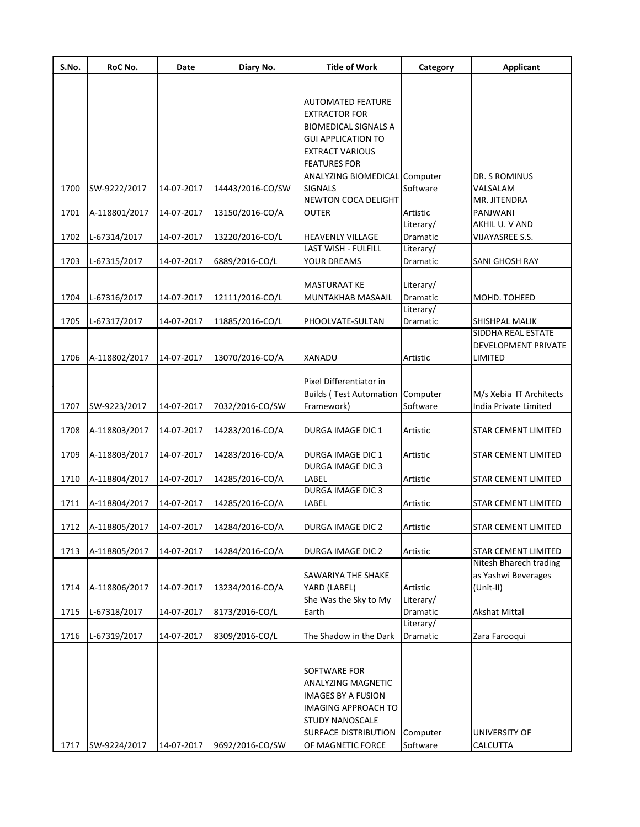| S.No. | RoC No.       | Date       | Diary No.        | <b>Title of Work</b>                         | Category              | <b>Applicant</b>                            |
|-------|---------------|------------|------------------|----------------------------------------------|-----------------------|---------------------------------------------|
|       |               |            |                  |                                              |                       |                                             |
|       |               |            |                  | <b>AUTOMATED FEATURE</b>                     |                       |                                             |
|       |               |            |                  | <b>EXTRACTOR FOR</b>                         |                       |                                             |
|       |               |            |                  | <b>BIOMEDICAL SIGNALS A</b>                  |                       |                                             |
|       |               |            |                  | <b>GUI APPLICATION TO</b>                    |                       |                                             |
|       |               |            |                  | <b>EXTRACT VARIOUS</b>                       |                       |                                             |
|       |               |            |                  | <b>FEATURES FOR</b>                          |                       |                                             |
|       |               |            |                  | ANALYZING BIOMEDICAL Computer                |                       | DR. S ROMINUS                               |
| 1700  | SW-9222/2017  | 14-07-2017 | 14443/2016-CO/SW | <b>SIGNALS</b><br><b>NEWTON COCA DELIGHT</b> | Software              | VALSALAM<br>MR. JITENDRA                    |
| 1701  | A-118801/2017 | 14-07-2017 | 13150/2016-CO/A  | <b>OUTER</b>                                 | Artistic              | PANJWANI                                    |
|       |               |            |                  |                                              | Literary/             | AKHIL U. V AND                              |
| 1702  | L-67314/2017  | 14-07-2017 | 13220/2016-CO/L  | <b>HEAVENLY VILLAGE</b>                      | Dramatic              | VIJAYASREE S.S.                             |
|       |               |            |                  | LAST WISH - FULFILL                          | Literary/             |                                             |
| 1703  | L-67315/2017  | 14-07-2017 | 6889/2016-CO/L   | <b>YOUR DREAMS</b>                           | <b>Dramatic</b>       | <b>SANI GHOSH RAY</b>                       |
|       |               |            |                  |                                              |                       |                                             |
|       |               |            |                  | <b>MASTURAAT KE</b>                          | Literary/             |                                             |
| 1704  | L-67316/2017  | 14-07-2017 | 12111/2016-CO/L  | MUNTAKHAB MASAAIL                            | Dramatic              | MOHD. TOHEED                                |
|       |               |            |                  |                                              | Literary/             |                                             |
| 1705  | L-67317/2017  | 14-07-2017 | 11885/2016-CO/L  | PHOOLVATE-SULTAN                             | Dramatic              | <b>SHISHPAL MALIK</b><br>SIDDHA REAL ESTATE |
|       |               |            |                  |                                              |                       | DEVELOPMENT PRIVATE                         |
| 1706  | A-118802/2017 | 14-07-2017 | 13070/2016-CO/A  | XANADU                                       | Artistic              | <b>LIMITED</b>                              |
|       |               |            |                  |                                              |                       |                                             |
|       |               |            |                  | Pixel Differentiator in                      |                       |                                             |
|       |               |            |                  | <b>Builds (Test Automation Computer</b>      |                       | M/s Xebia IT Architects                     |
| 1707  | SW-9223/2017  | 14-07-2017 | 7032/2016-CO/SW  | Framework)                                   | Software              | India Private Limited                       |
|       |               |            |                  |                                              |                       |                                             |
| 1708  | A-118803/2017 | 14-07-2017 | 14283/2016-CO/A  | DURGA IMAGE DIC 1                            | Artistic              | <b>STAR CEMENT LIMITED</b>                  |
|       |               |            |                  |                                              |                       |                                             |
| 1709  | A-118803/2017 | 14-07-2017 | 14283/2016-CO/A  | DURGA IMAGE DIC 1<br><b>DURGA IMAGE DIC3</b> | Artistic              | <b>STAR CEMENT LIMITED</b>                  |
| 1710  | A-118804/2017 | 14-07-2017 | 14285/2016-CO/A  | LABEL                                        | Artistic              | <b>STAR CEMENT LIMITED</b>                  |
|       |               |            |                  | <b>DURGA IMAGE DIC3</b>                      |                       |                                             |
| 1711  | A-118804/2017 | 14-07-2017 | 14285/2016-CO/A  | LABEL                                        | Artistic              | <b>STAR CEMENT LIMITED</b>                  |
|       |               |            |                  |                                              |                       |                                             |
| 1712  | A-118805/2017 | 14-07-2017 | 14284/2016-CO/A  | DURGA IMAGE DIC 2                            | Artistic              | STAR CEMENT LIMITED                         |
|       |               |            |                  |                                              |                       |                                             |
| 1713  | A-118805/2017 | 14-07-2017 | 14284/2016-CO/A  | DURGA IMAGE DIC 2                            | Artistic              | <b>STAR CEMENT LIMITED</b>                  |
|       |               |            |                  |                                              |                       | Nitesh Bharech trading                      |
|       |               |            |                  | <b>SAWARIYA THE SHAKE</b>                    |                       | as Yashwi Beverages                         |
| 1714  | A-118806/2017 | 14-07-2017 | 13234/2016-CO/A  | YARD (LABEL)<br>She Was the Sky to My        | Artistic<br>Literary/ | $(Unit-II)$                                 |
| 1715  | L-67318/2017  | 14-07-2017 | 8173/2016-CO/L   | Earth                                        | Dramatic              | <b>Akshat Mittal</b>                        |
|       |               |            |                  |                                              | Literary/             |                                             |
| 1716  | L-67319/2017  | 14-07-2017 | 8309/2016-CO/L   | The Shadow in the Dark                       | Dramatic              | Zara Farooqui                               |
|       |               |            |                  |                                              |                       |                                             |
|       |               |            |                  |                                              |                       |                                             |
|       |               |            |                  | SOFTWARE FOR                                 |                       |                                             |
|       |               |            |                  | <b>ANALYZING MAGNETIC</b>                    |                       |                                             |
|       |               |            |                  | <b>IMAGES BY A FUSION</b>                    |                       |                                             |
|       |               |            |                  | <b>IMAGING APPROACH TO</b>                   |                       |                                             |
|       |               |            |                  | <b>STUDY NANOSCALE</b>                       |                       |                                             |
|       |               |            |                  | <b>SURFACE DISTRIBUTION</b>                  | Computer              | <b>UNIVERSITY OF</b>                        |
| 1717  | SW-9224/2017  | 14-07-2017 | 9692/2016-CO/SW  | OF MAGNETIC FORCE                            | Software              | CALCUTTA                                    |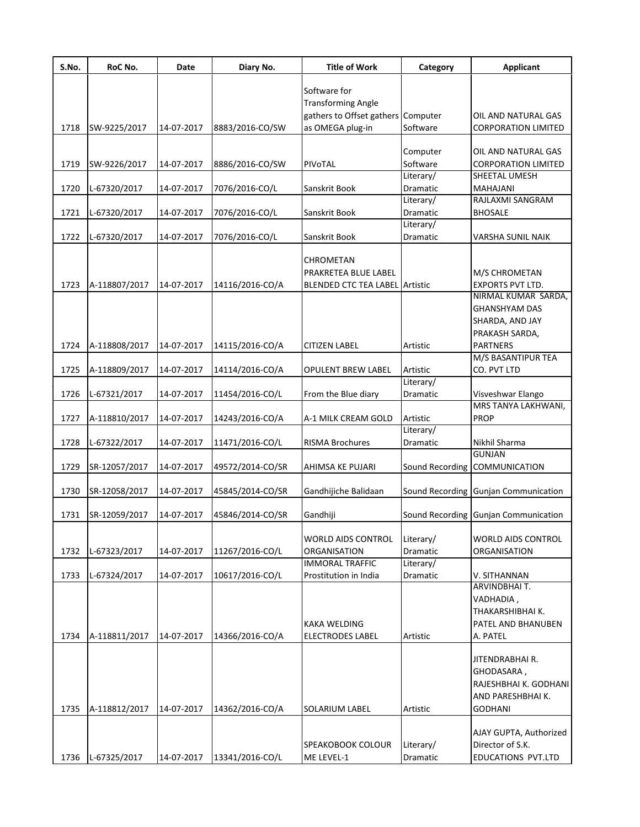| S.No. | RoC No.       | Date       | Diary No.        | <b>Title of Work</b>           | Category              | <b>Applicant</b>                     |
|-------|---------------|------------|------------------|--------------------------------|-----------------------|--------------------------------------|
|       |               |            |                  | Software for                   |                       |                                      |
|       |               |            |                  | <b>Transforming Angle</b>      |                       |                                      |
|       |               |            |                  | gathers to Offset gathers      | Computer              | OIL AND NATURAL GAS                  |
| 1718  | SW-9225/2017  | 14-07-2017 | 8883/2016-CO/SW  | as OMEGA plug-in               | Software              | <b>CORPORATION LIMITED</b>           |
|       |               |            |                  |                                |                       |                                      |
|       |               |            |                  |                                | Computer              | OIL AND NATURAL GAS                  |
| 1719  | SW-9226/2017  | 14-07-2017 | 8886/2016-CO/SW  | PIVOTAL                        | Software              | <b>CORPORATION LIMITED</b>           |
|       |               |            |                  |                                | Literary/             | SHEETAL UMESH                        |
| 1720  | L-67320/2017  | 14-07-2017 | 7076/2016-CO/L   | Sanskrit Book                  | Dramatic              | MAHAJANI                             |
|       |               |            |                  |                                | Literary/             | RAJLAXMI SANGRAM                     |
| 1721  | L-67320/2017  | 14-07-2017 | 7076/2016-CO/L   | Sanskrit Book                  | Dramatic              | <b>BHOSALE</b>                       |
|       |               |            |                  |                                | Literary/             |                                      |
| 1722  | L-67320/2017  | 14-07-2017 | 7076/2016-CO/L   | Sanskrit Book                  | Dramatic              | VARSHA SUNIL NAIK                    |
|       |               |            |                  | CHROMETAN                      |                       |                                      |
|       |               |            |                  | PRAKRETEA BLUE LABEL           |                       | M/S CHROMETAN                        |
| 1723  | A-118807/2017 | 14-07-2017 | 14116/2016-CO/A  | BLENDED CTC TEA LABEL Artistic |                       | <b>EXPORTS PVT LTD.</b>              |
|       |               |            |                  |                                |                       | NIRMAL KUMAR SARDA,                  |
|       |               |            |                  |                                |                       | <b>GHANSHYAM DAS</b>                 |
|       |               |            |                  |                                |                       | SHARDA, AND JAY                      |
|       |               |            |                  |                                |                       | PRAKASH SARDA,                       |
| 1724  | A-118808/2017 | 14-07-2017 | 14115/2016-CO/A  | <b>CITIZEN LABEL</b>           | Artistic              | <b>PARTNERS</b>                      |
|       |               |            |                  |                                |                       | M/S BASANTIPUR TEA                   |
| 1725  | A-118809/2017 | 14-07-2017 | 14114/2016-CO/A  | <b>OPULENT BREW LABEL</b>      | Artistic              | CO. PVT LTD                          |
|       |               |            |                  |                                | Literary/             |                                      |
| 1726  | L-67321/2017  | 14-07-2017 | 11454/2016-CO/L  | From the Blue diary            | Dramatic              | Visveshwar Elango                    |
|       |               |            |                  |                                |                       | MRS TANYA LAKHWANI,                  |
| 1727  | A-118810/2017 | 14-07-2017 | 14243/2016-CO/A  | A-1 MILK CREAM GOLD            | Artistic              | <b>PROP</b>                          |
| 1728  |               | 14-07-2017 |                  | <b>RISMA Brochures</b>         | Literary/<br>Dramatic | Nikhil Sharma                        |
|       | L-67322/2017  |            | 11471/2016-CO/L  |                                |                       | <b>GUNJAN</b>                        |
| 1729  | SR-12057/2017 | 14-07-2017 | 49572/2014-CO/SR | AHIMSA KE PUJARI               |                       | Sound Recording COMMUNICATION        |
|       |               |            |                  |                                |                       |                                      |
| 1730  | SR-12058/2017 | 14-07-2017 | 45845/2014-CO/SR | Gandhijiche Balidaan           |                       | Sound Recording Gunjan Communication |
|       |               |            |                  |                                |                       |                                      |
| 1731  | SR-12059/2017 | 14-07-2017 | 45846/2014-CO/SR | Gandhiji                       |                       | Sound Recording Gunjan Communication |
|       |               |            |                  |                                |                       |                                      |
|       |               |            |                  | <b>WORLD AIDS CONTROL</b>      | Literary/             | <b>WORLD AIDS CONTROL</b>            |
| 1732  | L-67323/2017  | 14-07-2017 | 11267/2016-CO/L  | <b>ORGANISATION</b>            | Dramatic              | ORGANISATION                         |
|       |               |            |                  | <b>IMMORAL TRAFFIC</b>         | Literary/             |                                      |
| 1733  | L-67324/2017  | 14-07-2017 | 10617/2016-CO/L  | Prostitution in India          | Dramatic              | V. SITHANNAN<br>ARVINDBHAI T.        |
|       |               |            |                  |                                |                       | VADHADIA,                            |
|       |               |            |                  |                                |                       | THAKARSHIBHAI K.                     |
|       |               |            |                  | <b>KAKA WELDING</b>            |                       | PATEL AND BHANUBEN                   |
| 1734  | A-118811/2017 | 14-07-2017 | 14366/2016-CO/A  | <b>ELECTRODES LABEL</b>        | Artistic              | A. PATEL                             |
|       |               |            |                  |                                |                       |                                      |
|       |               |            |                  |                                |                       | JITENDRABHAI R.                      |
|       |               |            |                  |                                |                       | GHODASARA,                           |
|       |               |            |                  |                                |                       | RAJESHBHAI K. GODHANI                |
|       |               |            |                  |                                |                       | AND PARESHBHAI K.                    |
| 1735  | A-118812/2017 | 14-07-2017 | 14362/2016-CO/A  | SOLARIUM LABEL                 | Artistic              | <b>GODHANI</b>                       |
|       |               |            |                  |                                |                       |                                      |
|       |               |            |                  |                                |                       | AJAY GUPTA, Authorized               |
|       |               |            |                  | SPEAKOBOOK COLOUR              | Literary/             | Director of S.K.                     |
| 1736  | L-67325/2017  | 14-07-2017 | 13341/2016-CO/L  | ME LEVEL-1                     | Dramatic              | EDUCATIONS PVT.LTD                   |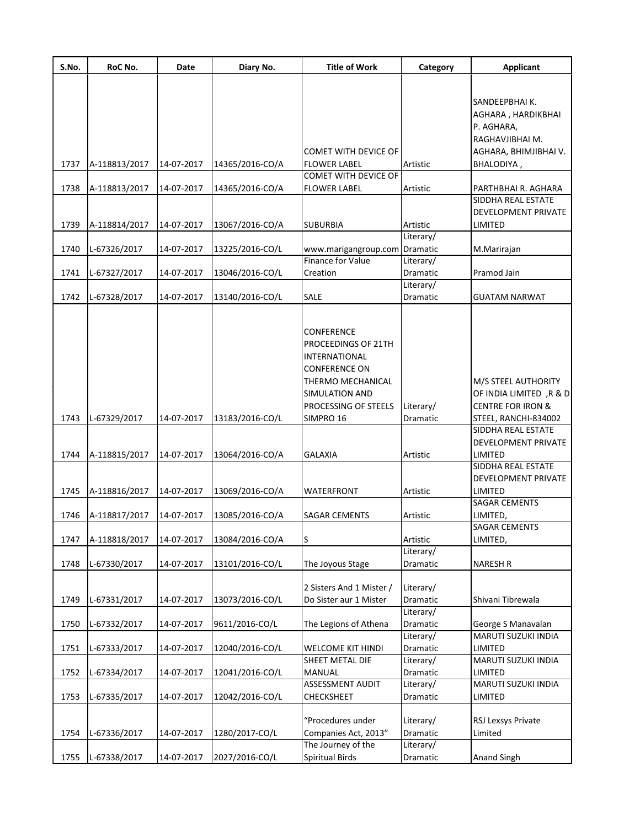| S.No. | RoC No.       | Date       | Diary No.       | <b>Title of Work</b>                                                                                                                      | Category              | <b>Applicant</b>                                                               |
|-------|---------------|------------|-----------------|-------------------------------------------------------------------------------------------------------------------------------------------|-----------------------|--------------------------------------------------------------------------------|
|       |               |            |                 |                                                                                                                                           |                       |                                                                                |
|       |               |            |                 |                                                                                                                                           |                       | SANDEEPBHAI K.<br>AGHARA, HARDIKBHAI<br>P. AGHARA,<br>RAGHAVJIBHAI M.          |
|       |               |            |                 | COMET WITH DEVICE OF                                                                                                                      |                       | AGHARA, BHIMJIBHAI V.                                                          |
| 1737  | A-118813/2017 | 14-07-2017 | 14365/2016-CO/A | <b>FLOWER LABEL</b>                                                                                                                       | Artistic              | BHALODIYA,                                                                     |
|       |               |            |                 | COMET WITH DEVICE OF                                                                                                                      |                       |                                                                                |
| 1738  | A-118813/2017 | 14-07-2017 | 14365/2016-CO/A | <b>FLOWER LABEL</b>                                                                                                                       | Artistic              | PARTHBHAI R. AGHARA                                                            |
|       |               |            |                 |                                                                                                                                           |                       | <b>SIDDHA REAL ESTATE</b><br>DEVELOPMENT PRIVATE                               |
| 1739  | A-118814/2017 | 14-07-2017 | 13067/2016-CO/A | <b>SUBURBIA</b>                                                                                                                           | Artistic              | LIMITED                                                                        |
|       |               |            |                 |                                                                                                                                           | Literary/             |                                                                                |
| 1740  | L-67326/2017  | 14-07-2017 | 13225/2016-CO/L | www.marigangroup.com                                                                                                                      | Dramatic              | M.Marirajan                                                                    |
|       |               |            |                 | Finance for Value                                                                                                                         | Literary/             |                                                                                |
| 1741  | L-67327/2017  | 14-07-2017 | 13046/2016-CO/L | Creation                                                                                                                                  | <b>Dramatic</b>       | Pramod Jain                                                                    |
|       |               |            |                 |                                                                                                                                           | Literary/             |                                                                                |
| 1742  | L-67328/2017  | 14-07-2017 | 13140/2016-CO/L | <b>SALE</b>                                                                                                                               | Dramatic              | GUATAM NARWAT                                                                  |
|       |               |            |                 | CONFERENCE<br>PROCEEDINGS OF 21TH<br>INTERNATIONAL<br><b>CONFERENCE ON</b><br>THERMO MECHANICAL<br>SIMULATION AND<br>PROCESSING OF STEELS | Literary/             | M/S STEEL AUTHORITY<br>OF INDIA LIMITED, R & D<br><b>CENTRE FOR IRON &amp;</b> |
| 1743  | L-67329/2017  | 14-07-2017 | 13183/2016-CO/L | SIMPRO 16                                                                                                                                 | Dramatic              | STEEL, RANCHI-834002                                                           |
| 1744  | A-118815/2017 | 14-07-2017 | 13064/2016-CO/A | GALAXIA                                                                                                                                   | Artistic              | SIDDHA REAL ESTATE<br>DEVELOPMENT PRIVATE<br>LIMITED                           |
|       |               |            |                 |                                                                                                                                           |                       | SIDDHA REAL ESTATE<br>DEVELOPMENT PRIVATE                                      |
| 1745  | A-118816/2017 | 14-07-2017 | 13069/2016-CO/A | WATERFRONT                                                                                                                                | Artistic              | LIMITED                                                                        |
|       |               |            |                 |                                                                                                                                           |                       | SAGAR CEMENTS                                                                  |
| 1746  | A-118817/2017 | 14-07-2017 | 13085/2016-CO/A | SAGAR CEMENTS                                                                                                                             | Artistic              | LIMITED,                                                                       |
|       |               |            |                 |                                                                                                                                           |                       | <b>SAGAR CEMENTS</b>                                                           |
| 1747  | A-118818/2017 | 14-07-2017 | 13084/2016-CO/A | S                                                                                                                                         | Artistic              | LIMITED,                                                                       |
|       |               |            |                 |                                                                                                                                           | Literary/             |                                                                                |
| 1748  | L-67330/2017  | 14-07-2017 | 13101/2016-CO/L | The Joyous Stage                                                                                                                          | Dramatic              | <b>NARESH R</b>                                                                |
| 1749  | L-67331/2017  | 14-07-2017 | 13073/2016-CO/L | 2 Sisters And 1 Mister /<br>Do Sister aur 1 Mister                                                                                        | Literary/<br>Dramatic | Shivani Tibrewala                                                              |
|       |               |            |                 |                                                                                                                                           | Literary/             |                                                                                |
| 1750  | L-67332/2017  | 14-07-2017 | 9611/2016-CO/L  | The Legions of Athena                                                                                                                     | Dramatic<br>Literary/ | George S Manavalan<br>MARUTI SUZUKI INDIA                                      |
| 1751  | L-67333/2017  | 14-07-2017 | 12040/2016-CO/L | <b>WELCOME KIT HINDI</b>                                                                                                                  | Dramatic              | LIMITED                                                                        |
| 1752  | L-67334/2017  | 14-07-2017 | 12041/2016-CO/L | SHEET METAL DIE<br><b>MANUAL</b>                                                                                                          | Literary/<br>Dramatic | MARUTI SUZUKI INDIA<br>LIMITED                                                 |
| 1753  | L-67335/2017  | 14-07-2017 | 12042/2016-CO/L | <b>ASSESSMENT AUDIT</b><br>CHECKSHEET                                                                                                     | Literary/<br>Dramatic | MARUTI SUZUKI INDIA<br>LIMITED                                                 |
| 1754  | L-67336/2017  | 14-07-2017 | 1280/2017-CO/L  | "Procedures under<br>Companies Act, 2013"                                                                                                 | Literary/<br>Dramatic | RSJ Lexsys Private<br>Limited                                                  |
|       |               |            |                 | The Journey of the                                                                                                                        | Literary/             |                                                                                |
| 1755  | L-67338/2017  | 14-07-2017 | 2027/2016-CO/L  | <b>Spiritual Birds</b>                                                                                                                    | Dramatic              | Anand Singh                                                                    |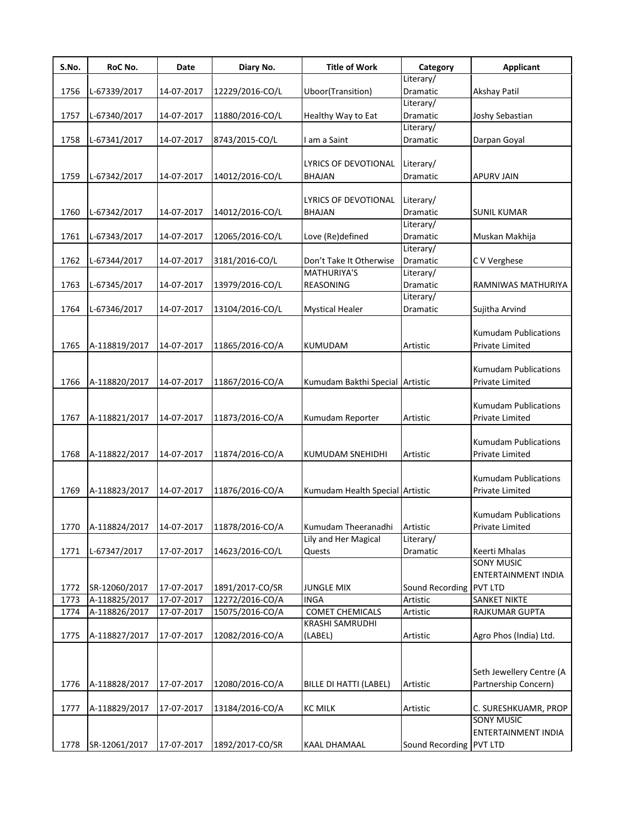| S.No. | RoC No.       | Date       | Diary No.       | <b>Title of Work</b>            | Category                | Applicant                   |
|-------|---------------|------------|-----------------|---------------------------------|-------------------------|-----------------------------|
|       |               |            |                 |                                 | Literary/               |                             |
| 1756  | L-67339/2017  | 14-07-2017 | 12229/2016-CO/L | Uboor(Transition)               | Dramatic                | <b>Akshay Patil</b>         |
|       |               |            |                 |                                 | Literary/               |                             |
| 1757  | L-67340/2017  | 14-07-2017 | 11880/2016-CO/L | Healthy Way to Eat              | Dramatic                | Joshy Sebastian             |
|       |               |            |                 |                                 | Literary/               |                             |
| 1758  | L-67341/2017  | 14-07-2017 | 8743/2015-CO/L  | I am a Saint                    | Dramatic                | Darpan Goyal                |
|       |               |            |                 |                                 |                         |                             |
|       |               |            |                 | LYRICS OF DEVOTIONAL            | Literary/               |                             |
| 1759  | L-67342/2017  | 14-07-2017 | 14012/2016-CO/L | <b>BHAJAN</b>                   | Dramatic                | <b>APURV JAIN</b>           |
|       |               |            |                 |                                 |                         |                             |
|       |               |            |                 | LYRICS OF DEVOTIONAL            | Literary/               |                             |
| 1760  | L-67342/2017  | 14-07-2017 | 14012/2016-CO/L | <b>BHAJAN</b>                   | Dramatic                | <b>SUNIL KUMAR</b>          |
|       |               |            |                 |                                 | Literary/               |                             |
| 1761  | L-67343/2017  | 14-07-2017 | 12065/2016-CO/L | Love (Re)defined                | Dramatic                | Muskan Makhija              |
|       |               |            |                 |                                 | Literary/               |                             |
| 1762  | L-67344/2017  | 14-07-2017 | 3181/2016-CO/L  | Don't Take It Otherwise         | Dramatic                | C V Verghese                |
|       |               |            |                 | <b>MATHURIYA'S</b>              | Literary/               |                             |
| 1763  | L-67345/2017  | 14-07-2017 | 13979/2016-CO/L | REASONING                       | Dramatic                | RAMNIWAS MATHURIYA          |
|       |               |            |                 |                                 | Literary/               |                             |
| 1764  | L-67346/2017  | 14-07-2017 | 13104/2016-CO/L | <b>Mystical Healer</b>          | Dramatic                | Sujitha Arvind              |
|       |               |            |                 |                                 |                         |                             |
|       |               |            |                 |                                 |                         | <b>Kumudam Publications</b> |
| 1765  | A-118819/2017 | 14-07-2017 | 11865/2016-CO/A | <b>KUMUDAM</b>                  | Artistic                | Private Limited             |
|       |               |            |                 |                                 |                         |                             |
|       |               |            |                 |                                 |                         | <b>Kumudam Publications</b> |
| 1766  | A-118820/2017 | 14-07-2017 | 11867/2016-CO/A | Kumudam Bakthi Special          | Artistic                | Private Limited             |
|       |               |            |                 |                                 |                         |                             |
|       |               |            |                 |                                 |                         | <b>Kumudam Publications</b> |
| 1767  | A-118821/2017 | 14-07-2017 | 11873/2016-CO/A | Kumudam Reporter                | Artistic                | Private Limited             |
|       |               |            |                 |                                 |                         |                             |
|       |               |            |                 |                                 |                         | <b>Kumudam Publications</b> |
| 1768  | A-118822/2017 | 14-07-2017 | 11874/2016-CO/A | <b>KUMUDAM SNEHIDHI</b>         | Artistic                | Private Limited             |
|       |               |            |                 |                                 |                         |                             |
|       |               |            |                 |                                 |                         |                             |
|       |               |            |                 |                                 |                         | <b>Kumudam Publications</b> |
| 1769  | A-118823/2017 | 14-07-2017 | 11876/2016-CO/A | Kumudam Health Special Artistic |                         | Private Limited             |
|       |               |            |                 |                                 |                         |                             |
|       |               |            |                 |                                 |                         | <b>Kumudam Publications</b> |
| 1770  | A-118824/2017 | 14-07-2017 | 11878/2016-CO/A | Kumudam Theeranadhi             | Artistic                | Private Limited             |
|       |               |            |                 | Lily and Her Magical            | Literary/               |                             |
| 1771  | L-67347/2017  | 17-07-2017 | 14623/2016-CO/L | Quests                          | Dramatic                | Keerti Mhalas               |
|       |               |            |                 |                                 |                         | <b>SONY MUSIC</b>           |
|       |               |            |                 |                                 |                         | ENTERTAINMENT INDIA         |
| 1772  | SR-12060/2017 | 17-07-2017 | 1891/2017-CO/SR | <b>JUNGLE MIX</b>               | Sound Recording PVT LTD |                             |
| 1773  | A-118825/2017 | 17-07-2017 | 12272/2016-CO/A | <b>INGA</b>                     | Artistic                | <b>SANKET NIKTE</b>         |
| 1774  | A-118826/2017 | 17-07-2017 | 15075/2016-CO/A | <b>COMET CHEMICALS</b>          | Artistic                | RAJKUMAR GUPTA              |
|       |               |            |                 | KRASHI SAMRUDHI                 |                         |                             |
| 1775  | A-118827/2017 | 17-07-2017 | 12082/2016-CO/A | (LABEL)                         | Artistic                | Agro Phos (India) Ltd.      |
|       |               |            |                 |                                 |                         |                             |
|       |               |            |                 |                                 |                         |                             |
|       |               |            |                 |                                 |                         | Seth Jewellery Centre (A    |
| 1776  | A-118828/2017 | 17-07-2017 | 12080/2016-CO/A | BILLE DI HATTI (LABEL)          | Artistic                | Partnership Concern)        |
|       |               |            |                 |                                 |                         |                             |
| 1777  | A-118829/2017 | 17-07-2017 | 13184/2016-CO/A | <b>KC MILK</b>                  | Artistic                | C. SURESHKUAMR, PROP        |
|       |               |            |                 |                                 |                         | <b>SONY MUSIC</b>           |
|       |               |            |                 |                                 |                         | ENTERTAINMENT INDIA         |
| 1778  | SR-12061/2017 | 17-07-2017 | 1892/2017-CO/SR | KAAL DHAMAAL                    | Sound Recording PVT LTD |                             |
|       |               |            |                 |                                 |                         |                             |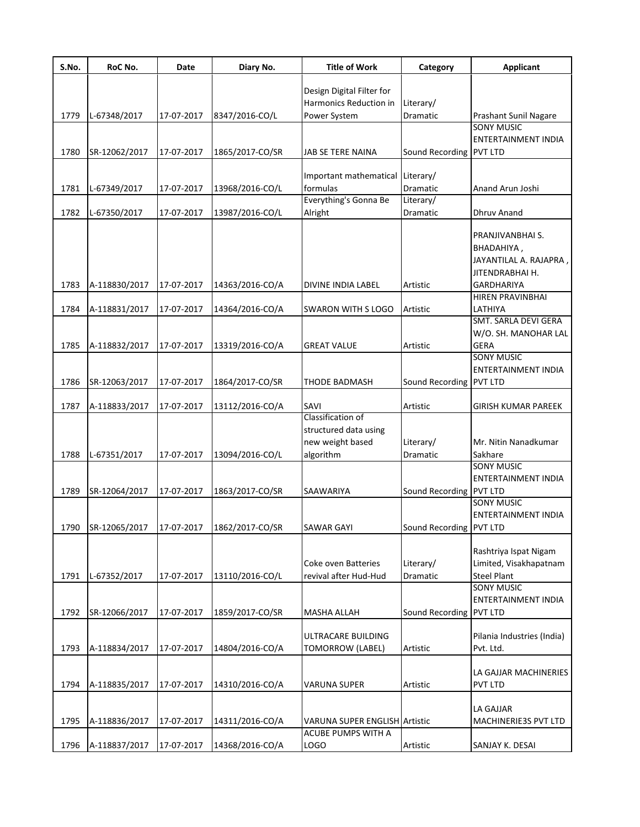| S.No. | RoC No.       | Date       | Diary No.       | <b>Title of Work</b>                 | Category                | <b>Applicant</b>                                  |
|-------|---------------|------------|-----------------|--------------------------------------|-------------------------|---------------------------------------------------|
|       |               |            |                 |                                      |                         |                                                   |
|       |               |            |                 | Design Digital Filter for            |                         |                                                   |
|       |               |            |                 | Harmonics Reduction in               | Literary/               |                                                   |
| 1779  | L-67348/2017  | 17-07-2017 | 8347/2016-CO/L  | Power System                         | Dramatic                | <b>Prashant Sunil Nagare</b><br><b>SONY MUSIC</b> |
|       |               |            |                 |                                      |                         |                                                   |
|       |               |            |                 |                                      |                         | ENTERTAINMENT INDIA                               |
| 1780  | SR-12062/2017 | 17-07-2017 | 1865/2017-CO/SR | JAB SE TERE NAINA                    | Sound Recording PVT LTD |                                                   |
|       |               |            |                 | Important mathematical               | Literary/               |                                                   |
| 1781  | L-67349/2017  | 17-07-2017 | 13968/2016-CO/L | formulas                             | Dramatic                | Anand Arun Joshi                                  |
|       |               |            |                 | Everything's Gonna Be                | Literary/               |                                                   |
| 1782  | L-67350/2017  | 17-07-2017 | 13987/2016-CO/L | Alright                              | Dramatic                | Dhruv Anand                                       |
|       |               |            |                 |                                      |                         |                                                   |
|       |               |            |                 |                                      |                         | PRANJIVANBHAI S.                                  |
|       |               |            |                 |                                      |                         | BHADAHIYA,                                        |
|       |               |            |                 |                                      |                         | JAYANTILAL A. RAJAPRA                             |
|       |               |            |                 |                                      |                         | JITENDRABHAI H.                                   |
| 1783  | A-118830/2017 | 17-07-2017 | 14363/2016-CO/A | <b>DIVINE INDIA LABEL</b>            | Artistic                | <b>GARDHARIYA</b>                                 |
|       |               |            |                 |                                      |                         | HIREN PRAVINBHAI                                  |
| 1784  | A-118831/2017 | 17-07-2017 | 14364/2016-CO/A | <b>SWARON WITH S LOGO</b>            | Artistic                | LATHIYA                                           |
|       |               |            |                 |                                      |                         | SMT. SARLA DEVI GERA                              |
|       |               |            |                 |                                      |                         | W/O. SH. MANOHAR LAL                              |
| 1785  | A-118832/2017 | 17-07-2017 | 13319/2016-CO/A | <b>GREAT VALUE</b>                   | Artistic                | <b>GERA</b>                                       |
|       |               |            |                 |                                      |                         | <b>SONY MUSIC</b>                                 |
|       |               |            |                 |                                      |                         | ENTERTAINMENT INDIA                               |
| 1786  | SR-12063/2017 | 17-07-2017 | 1864/2017-CO/SR | <b>THODE BADMASH</b>                 | Sound Recording PVT LTD |                                                   |
|       |               |            |                 |                                      |                         |                                                   |
| 1787  | A-118833/2017 | 17-07-2017 | 13112/2016-CO/A | SAVI                                 | Artistic                | <b>GIRISH KUMAR PAREEK</b>                        |
|       |               |            |                 | Classification of                    |                         |                                                   |
|       |               |            |                 | structured data using                |                         |                                                   |
|       |               |            |                 | new weight based                     | Literary/               | Mr. Nitin Nanadkumar                              |
| 1788  | L-67351/2017  | 17-07-2017 | 13094/2016-CO/L | algorithm                            | Dramatic                | Sakhare                                           |
|       |               |            |                 |                                      |                         | <b>SONY MUSIC</b>                                 |
|       |               |            |                 |                                      |                         | ENTERTAINMENT INDIA                               |
| 1789  | SR-12064/2017 | 17-07-2017 | 1863/2017-CO/SR | SAAWARIYA                            | Sound Recording PVT LTD | <b>SONY MUSIC</b>                                 |
|       |               |            |                 |                                      |                         | ENTERTAINMENT INDIA                               |
| 1790  | SR-12065/2017 | 17-07-2017 | 1862/2017-CO/SR | SAWAR GAYI                           | Sound Recording PVT LTD |                                                   |
|       |               |            |                 |                                      |                         |                                                   |
|       |               |            |                 |                                      |                         | Rashtriya Ispat Nigam                             |
|       |               |            |                 | Coke oven Batteries                  | Literary/               | Limited, Visakhapatnam                            |
| 1791  | L-67352/2017  | 17-07-2017 | 13110/2016-CO/L | revival after Hud-Hud                | Dramatic                | <b>Steel Plant</b>                                |
|       |               |            |                 |                                      |                         | <b>SONY MUSIC</b>                                 |
|       |               |            |                 |                                      |                         | <b>ENTERTAINMENT INDIA</b>                        |
| 1792  | SR-12066/2017 | 17-07-2017 | 1859/2017-CO/SR | <b>MASHA ALLAH</b>                   | Sound Recording PVT LTD |                                                   |
|       |               |            |                 |                                      |                         |                                                   |
|       |               |            |                 | ULTRACARE BUILDING                   |                         | Pilania Industries (India)                        |
| 1793  | A-118834/2017 | 17-07-2017 | 14804/2016-CO/A | <b>TOMORROW (LABEL)</b>              | Artistic                | Pvt. Ltd.                                         |
|       |               |            |                 |                                      |                         |                                                   |
|       |               |            |                 |                                      |                         | LA GAJJAR MACHINERIES                             |
| 1794  | A-118835/2017 | 17-07-2017 | 14310/2016-CO/A | <b>VARUNA SUPER</b>                  | Artistic                | PVT LTD                                           |
|       |               |            |                 |                                      |                         |                                                   |
|       |               |            |                 |                                      |                         | LA GAJJAR                                         |
| 1795  | A-118836/2017 | 17-07-2017 | 14311/2016-CO/A | <b>VARUNA SUPER ENGLISH Artistic</b> |                         | MACHINERIE3S PVT LTD                              |
|       |               |            |                 | <b>ACUBE PUMPS WITH A</b>            |                         |                                                   |
| 1796  | A-118837/2017 | 17-07-2017 | 14368/2016-CO/A | <b>LOGO</b>                          | Artistic                | SANJAY K. DESAI                                   |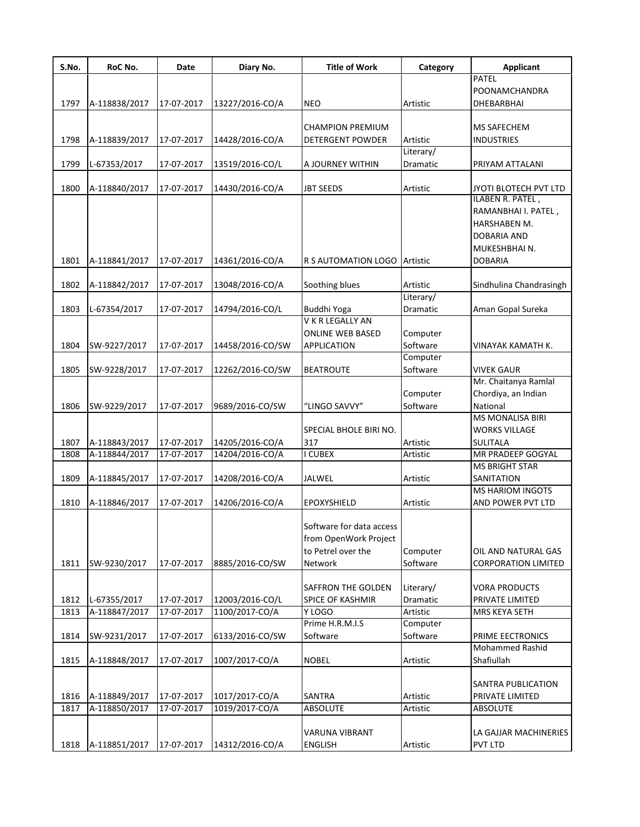| S.No. | RoC No.       | Date       | Diary No.        | <b>Title of Work</b>     | Category  | <b>Applicant</b>           |
|-------|---------------|------------|------------------|--------------------------|-----------|----------------------------|
|       |               |            |                  |                          |           | PATEL                      |
|       |               |            |                  |                          |           | POONAMCHANDRA              |
| 1797  | A-118838/2017 | 17-07-2017 | 13227/2016-CO/A  | <b>NEO</b>               | Artistic  | DHEBARBHAI                 |
|       |               |            |                  |                          |           |                            |
|       |               |            |                  | <b>CHAMPION PREMIUM</b>  |           | MS SAFECHEM                |
| 1798  | A-118839/2017 | 17-07-2017 | 14428/2016-CO/A  | DETERGENT POWDER         | Artistic  | <b>INDUSTRIES</b>          |
|       |               |            |                  |                          | Literary/ |                            |
| 1799  | L-67353/2017  | 17-07-2017 | 13519/2016-CO/L  | A JOURNEY WITHIN         | Dramatic  | PRIYAM ATTALANI            |
|       |               |            |                  |                          |           |                            |
| 1800  | A-118840/2017 | 17-07-2017 | 14430/2016-CO/A  | <b>JBT SEEDS</b>         | Artistic  | JYOTI BLOTECH PVT LTD      |
|       |               |            |                  |                          |           | ILABEN R. PATEL,           |
|       |               |            |                  |                          |           | RAMANBHAI I. PATEL,        |
|       |               |            |                  |                          |           | HARSHABEN M.               |
|       |               |            |                  |                          |           | <b>DOBARIA AND</b>         |
|       |               |            |                  |                          |           | MUKESHBHAI N.              |
| 1801  | A-118841/2017 | 17-07-2017 | 14361/2016-CO/A  | R S AUTOMATION LOGO      | Artistic  | <b>DOBARIA</b>             |
|       |               |            |                  |                          |           |                            |
| 1802  | A-118842/2017 | 17-07-2017 | 13048/2016-CO/A  | Soothing blues           | Artistic  | Sindhulina Chandrasingh    |
|       |               |            |                  |                          | Literary/ |                            |
| 1803  | L-67354/2017  | 17-07-2017 | 14794/2016-CO/L  | Buddhi Yoga              | Dramatic  | Aman Gopal Sureka          |
|       |               |            |                  | V K R LEGALLY AN         |           |                            |
|       |               |            |                  | <b>ONLINE WEB BASED</b>  | Computer  |                            |
| 1804  | SW-9227/2017  | 17-07-2017 | 14458/2016-CO/SW | <b>APPLICATION</b>       | Software  | VINAYAK KAMATH K.          |
|       |               |            |                  |                          | Computer  |                            |
| 1805  | SW-9228/2017  | 17-07-2017 | 12262/2016-CO/SW | <b>BEATROUTE</b>         | Software  | <b>VIVEK GAUR</b>          |
|       |               |            |                  |                          |           | Mr. Chaitanya Ramlal       |
|       |               |            |                  |                          | Computer  |                            |
|       |               |            |                  |                          |           | Chordiya, an Indian        |
| 1806  | SW-9229/2017  | 17-07-2017 | 9689/2016-CO/SW  | "LINGO SAVVY"            | Software  | National                   |
|       |               |            |                  |                          |           | <b>MS MONALISA BIRI</b>    |
|       |               |            |                  | SPECIAL BHOLE BIRI NO.   |           | <b>WORKS VILLAGE</b>       |
| 1807  | A-118843/2017 | 17-07-2017 | 14205/2016-CO/A  | 317                      | Artistic  | <b>SULITALA</b>            |
| 1808  | A-118844/2017 | 17-07-2017 | 14204/2016-CO/A  | I CUBEX                  | Artistic  | MR PRADEEP GOGYAL          |
|       |               |            |                  |                          |           | <b>MS BRIGHT STAR</b>      |
| 1809  | A-118845/2017 | 17-07-2017 | 14208/2016-CO/A  | JALWEL                   | Artistic  | SANITATION                 |
|       |               |            |                  |                          |           | <b>MS HARIOM INGOTS</b>    |
| 1810  | A-118846/2017 | 17-07-2017 | 14206/2016-CO/A  | EPOXYSHIELD              | Artistic  | AND POWER PVT LTD          |
|       |               |            |                  |                          |           |                            |
|       |               |            |                  | Software for data access |           |                            |
|       |               |            |                  | from OpenWork Project    |           |                            |
|       |               |            |                  | to Petrel over the       | Computer  | OIL AND NATURAL GAS        |
| 1811  | SW-9230/2017  | 17-07-2017 | 8885/2016-CO/SW  | Network                  | Software  | <b>CORPORATION LIMITED</b> |
|       |               |            |                  |                          |           |                            |
|       |               |            |                  | SAFFRON THE GOLDEN       | Literary/ | <b>VORA PRODUCTS</b>       |
| 1812  | L-67355/2017  | 17-07-2017 | 12003/2016-CO/L  | <b>SPICE OF KASHMIR</b>  | Dramatic  | PRIVATE LIMITED            |
| 1813  | A-118847/2017 | 17-07-2017 | 1100/2017-CO/A   | Y LOGO                   | Artistic  | MRS KEYA SETH              |
|       |               |            |                  | Prime H.R.M.I.S          | Computer  |                            |
| 1814  | SW-9231/2017  | 17-07-2017 | 6133/2016-CO/SW  | Software                 | Software  | PRIME EECTRONICS           |
|       |               |            |                  |                          |           | Mohammed Rashid            |
| 1815  | A-118848/2017 | 17-07-2017 | 1007/2017-CO/A   | <b>NOBEL</b>             | Artistic  | Shafiullah                 |
|       |               |            |                  |                          |           |                            |
|       |               |            |                  |                          |           | SANTRA PUBLICATION         |
| 1816  | A-118849/2017 | 17-07-2017 | 1017/2017-CO/A   | SANTRA                   | Artistic  | PRIVATE LIMITED            |
| 1817  | A-118850/2017 | 17-07-2017 | 1019/2017-CO/A   | ABSOLUTE                 | Artistic  | <b>ABSOLUTE</b>            |
|       |               |            |                  |                          |           |                            |
|       |               |            |                  |                          |           |                            |
|       |               |            |                  | VARUNA VIBRANT           |           | LA GAJJAR MACHINERIES      |
| 1818  | A-118851/2017 | 17-07-2017 | 14312/2016-CO/A  | <b>ENGLISH</b>           | Artistic  | PVT LTD                    |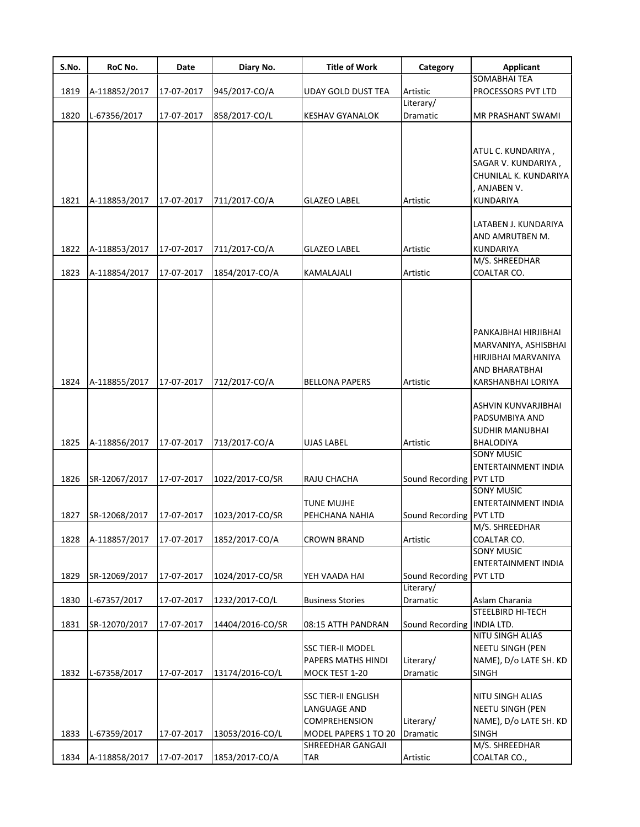| S.No. | RoC No.       | Date       | Diary No.        | <b>Title of Work</b>                                                                       | Category                     | <b>Applicant</b>                                                                                                   |
|-------|---------------|------------|------------------|--------------------------------------------------------------------------------------------|------------------------------|--------------------------------------------------------------------------------------------------------------------|
|       |               |            |                  |                                                                                            |                              | <b>SOMABHAI TEA</b>                                                                                                |
| 1819  | A-118852/2017 | 17-07-2017 | 945/2017-CO/A    | <b>UDAY GOLD DUST TEA</b>                                                                  | Artistic                     | PROCESSORS PVT LTD                                                                                                 |
|       |               |            |                  |                                                                                            | Literary/                    |                                                                                                                    |
| 1820  | L-67356/2017  | 17-07-2017 | 858/2017-CO/L    | KESHAV GYANALOK                                                                            | Dramatic                     | MR PRASHANT SWAMI                                                                                                  |
|       |               |            |                  |                                                                                            |                              |                                                                                                                    |
|       |               |            |                  |                                                                                            |                              | ATUL C. KUNDARIYA,<br>SAGAR V. KUNDARIYA,<br>CHUNILAL K. KUNDARIYA<br>. ANJABEN V.                                 |
| 1821  | A-118853/2017 | 17-07-2017 | 711/2017-CO/A    | <b>GLAZEO LABEL</b>                                                                        | Artistic                     | <b>KUNDARIYA</b>                                                                                                   |
| 1822  | A-118853/2017 | 17-07-2017 | 711/2017-CO/A    | <b>GLAZEO LABEL</b>                                                                        | Artistic                     | LATABEN J. KUNDARIYA<br>AND AMRUTBEN M.<br><b>KUNDARIYA</b>                                                        |
|       |               |            |                  |                                                                                            |                              | M/S. SHREEDHAR                                                                                                     |
| 1823  | A-118854/2017 | 17-07-2017 | 1854/2017-CO/A   | KAMALAJALI                                                                                 | Artistic                     | COALTAR CO.                                                                                                        |
| 1824  | A-118855/2017 | 17-07-2017 | 712/2017-CO/A    | <b>BELLONA PAPERS</b>                                                                      | Artistic                     | PANKAJBHAI HIRJIBHAI<br>MARVANIYA, ASHISBHAI<br>HIRJIBHAI MARVANIYA<br><b>AND BHARATBHAI</b><br>KARSHANBHAI LORIYA |
| 1825  | A-118856/2017 | 17-07-2017 | 713/2017-CO/A    | UJAS LABEL                                                                                 | Artistic                     | ASHVIN KUNVARJIBHAI<br>PADSUMBIYA AND<br><b>SUDHIR MANUBHAI</b><br>BHALODIYA                                       |
|       |               |            |                  |                                                                                            |                              | SONY MUSIC                                                                                                         |
|       |               |            |                  |                                                                                            |                              | ENTERTAINMENT INDIA                                                                                                |
| 1826  | SR-12067/2017 | 17-07-2017 | 1022/2017-CO/SR  | RAJU CHACHA                                                                                | Sound Recording PVT LTD      |                                                                                                                    |
| 1827  | SR-12068/2017 | 17-07-2017 | 1023/2017-CO/SR  | TUNE MUJHE<br>PEHCHANA NAHIA                                                               | Sound Recording PVT LTD      | <b>SONY MUSIC</b><br>ENTERTAINMENT INDIA                                                                           |
|       |               |            |                  |                                                                                            |                              | M/S. SHREEDHAR                                                                                                     |
| 1828  | A-118857/2017 | 17-07-2017 | 1852/2017-CO/A   | <b>CROWN BRAND</b>                                                                         | Artistic                     | COALTAR CO.                                                                                                        |
|       |               |            |                  |                                                                                            |                              | <b>SONY MUSIC</b><br>ENTERTAINMENT INDIA                                                                           |
| 1829  | SR-12069/2017 | 17-07-2017 | 1024/2017-CO/SR  | YEH VAADA HAI                                                                              | Sound Recording PVT LTD      |                                                                                                                    |
|       |               |            |                  |                                                                                            | Literary/                    |                                                                                                                    |
| 1830  | L-67357/2017  | 17-07-2017 | 1232/2017-CO/L   | <b>Business Stories</b>                                                                    | Dramatic                     | Aslam Charania                                                                                                     |
|       |               |            |                  |                                                                                            |                              | STEELBIRD HI-TECH                                                                                                  |
| 1831  | SR-12070/2017 | 17-07-2017 | 14404/2016-CO/SR | 08:15 ATTH PANDRAN                                                                         | Sound Recording   INDIA LTD. |                                                                                                                    |
| 1832  | L-67358/2017  | 17-07-2017 | 13174/2016-CO/L  | SSC TIER-II MODEL<br>PAPERS MATHS HINDI<br>MOCK TEST 1-20                                  | Literary/<br>Dramatic        | NITU SINGH ALIAS<br><b>NEETU SINGH (PEN</b><br>NAME), D/o LATE SH. KD<br><b>SINGH</b>                              |
| 1833  | L-67359/2017  | 17-07-2017 | 13053/2016-CO/L  | <b>SSC TIER-II ENGLISH</b><br>LANGUAGE AND<br><b>COMPREHENSION</b><br>MODEL PAPERS 1 TO 20 | Literary/<br>Dramatic        | NITU SINGH ALIAS<br>NEETU SINGH (PEN<br>NAME), D/o LATE SH. KD<br><b>SINGH</b>                                     |
| 1834  | A-118858/2017 | 17-07-2017 | 1853/2017-CO/A   | SHREEDHAR GANGAJI<br>TAR                                                                   | Artistic                     | M/S. SHREEDHAR<br>COALTAR CO.,                                                                                     |
|       |               |            |                  |                                                                                            |                              |                                                                                                                    |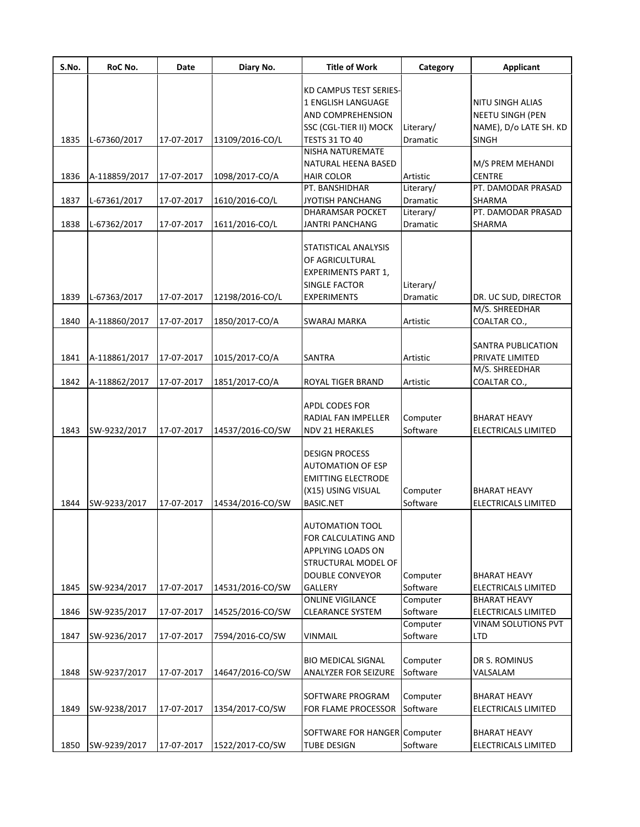| S.No. | RoC No.       | Date       | Diary No.        | <b>Title of Work</b>         | Category  | <b>Applicant</b>           |
|-------|---------------|------------|------------------|------------------------------|-----------|----------------------------|
|       |               |            |                  | KD CAMPUS TEST SERIES-       |           |                            |
|       |               |            |                  | 1 ENGLISH LANGUAGE           |           | NITU SINGH ALIAS           |
|       |               |            |                  |                              |           |                            |
|       |               |            |                  | AND COMPREHENSION            |           | <b>NEETU SINGH (PEN</b>    |
|       |               |            |                  | SSC (CGL-TIER II) MOCK       | Literary/ | NAME), D/o LATE SH. KD     |
| 1835  | L-67360/2017  | 17-07-2017 | 13109/2016-CO/L  | <b>TESTS 31 TO 40</b>        | Dramatic  | SINGH                      |
|       |               |            |                  | NISHA NATUREMATE             |           |                            |
|       |               |            |                  | NATURAL HEENA BASED          |           | M/S PREM MEHANDI           |
| 1836  | A-118859/2017 | 17-07-2017 | 1098/2017-CO/A   | <b>HAIR COLOR</b>            | Artistic  | <b>CENTRE</b>              |
|       |               |            |                  | PT. BANSHIDHAR               | Literary/ | PT. DAMODAR PRASAD         |
| 1837  | L-67361/2017  | 17-07-2017 | 1610/2016-CO/L   | JYOTISH PANCHANG             | Dramatic  | SHARMA                     |
|       |               |            |                  | DHARAMSAR POCKET             | Literary/ | PT. DAMODAR PRASAD         |
| 1838  | L-67362/2017  | 17-07-2017 | 1611/2016-CO/L   | <b>JANTRI PANCHANG</b>       | Dramatic  | SHARMA                     |
|       |               |            |                  | STATISTICAL ANALYSIS         |           |                            |
|       |               |            |                  | OF AGRICULTURAL              |           |                            |
|       |               |            |                  | <b>EXPERIMENTS PART 1,</b>   |           |                            |
|       |               |            |                  | <b>SINGLE FACTOR</b>         |           |                            |
|       |               |            |                  |                              | Literary/ |                            |
| 1839  | L-67363/2017  | 17-07-2017 | 12198/2016-CO/L  | <b>EXPERIMENTS</b>           | Dramatic  | DR. UC SUD, DIRECTOR       |
|       |               |            |                  |                              |           | M/S. SHREEDHAR             |
| 1840  | A-118860/2017 | 17-07-2017 | 1850/2017-CO/A   | <b>SWARAJ MARKA</b>          | Artistic  | COALTAR CO.,               |
|       |               |            |                  |                              |           | SANTRA PUBLICATION         |
| 1841  | A-118861/2017 | 17-07-2017 | 1015/2017-CO/A   | <b>SANTRA</b>                | Artistic  | PRIVATE LIMITED            |
|       |               |            |                  |                              |           | M/S. SHREEDHAR             |
| 1842  | A-118862/2017 | 17-07-2017 | 1851/2017-CO/A   | <b>ROYAL TIGER BRAND</b>     | Artistic  | COALTAR CO.,               |
|       |               |            |                  |                              |           |                            |
|       |               |            |                  | <b>APDL CODES FOR</b>        |           |                            |
|       |               |            |                  |                              |           |                            |
|       |               |            |                  | <b>RADIAL FAN IMPELLER</b>   | Computer  | <b>BHARAT HEAVY</b>        |
| 1843  | SW-9232/2017  | 17-07-2017 | 14537/2016-CO/SW | <b>NDV 21 HERAKLES</b>       | Software  | ELECTRICALS LIMITED        |
|       |               |            |                  |                              |           |                            |
|       |               |            |                  | <b>DESIGN PROCESS</b>        |           |                            |
|       |               |            |                  | <b>AUTOMATION OF ESP</b>     |           |                            |
|       |               |            |                  | <b>EMITTING ELECTRODE</b>    |           |                            |
|       |               |            |                  | (X15) USING VISUAL           | Computer  | BHARAT HEAVY               |
| 1844  | SW-9233/2017  | 17-07-2017 | 14534/2016-CO/SW | <b>BASIC.NET</b>             | Software  | ELECTRICALS LIMITED        |
|       |               |            |                  | <b>AUTOMATION TOOL</b>       |           |                            |
|       |               |            |                  |                              |           |                            |
|       |               |            |                  | FOR CALCULATING AND          |           |                            |
|       |               |            |                  | APPLYING LOADS ON            |           |                            |
|       |               |            |                  | STRUCTURAL MODEL OF          |           |                            |
|       |               |            |                  | <b>DOUBLE CONVEYOR</b>       | Computer  | <b>BHARAT HEAVY</b>        |
| 1845  | SW-9234/2017  | 17-07-2017 | 14531/2016-CO/SW | <b>GALLERY</b>               | Software  | ELECTRICALS LIMITED        |
|       |               |            |                  | <b>ONLINE VIGILANCE</b>      | Computer  | <b>BHARAT HEAVY</b>        |
| 1846  | SW-9235/2017  | 17-07-2017 | 14525/2016-CO/SW | <b>CLEARANCE SYSTEM</b>      | Software  | <b>ELECTRICALS LIMITED</b> |
|       |               |            |                  |                              | Computer  | VINAM SOLUTIONS PVT        |
| 1847  | SW-9236/2017  | 17-07-2017 | 7594/2016-CO/SW  | <b>VINMAIL</b>               | Software  | LTD                        |
|       |               |            |                  |                              |           |                            |
|       |               |            |                  | <b>BIO MEDICAL SIGNAL</b>    | Computer  | DR S. ROMINUS              |
| 1848  | SW-9237/2017  | 17-07-2017 | 14647/2016-CO/SW | <b>ANALYZER FOR SEIZURE</b>  | Software  | VALSALAM                   |
|       |               |            |                  | SOFTWARE PROGRAM             |           | <b>BHARAT HEAVY</b>        |
|       |               |            |                  |                              | Computer  |                            |
| 1849  | SW-9238/2017  | 17-07-2017 | 1354/2017-CO/SW  | FOR FLAME PROCESSOR          | Software  | ELECTRICALS LIMITED        |
|       |               |            |                  | SOFTWARE FOR HANGER Computer |           | <b>BHARAT HEAVY</b>        |
|       |               |            |                  |                              |           |                            |
| 1850  | SW-9239/2017  | 17-07-2017 | 1522/2017-CO/SW  | <b>TUBE DESIGN</b>           | Software  | ELECTRICALS LIMITED        |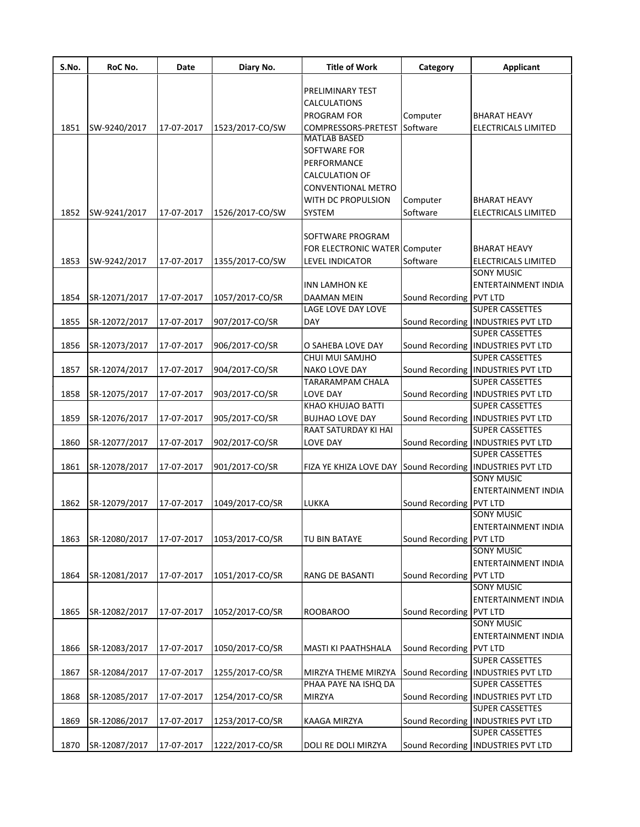| S.No. | RoC No.       | Date       | Diary No.       | <b>Title of Work</b>                                      | Category                | <b>Applicant</b>                                |
|-------|---------------|------------|-----------------|-----------------------------------------------------------|-------------------------|-------------------------------------------------|
|       |               |            |                 | PRELIMINARY TEST                                          |                         |                                                 |
|       |               |            |                 | CALCULATIONS                                              |                         |                                                 |
|       |               |            |                 | <b>PROGRAM FOR</b>                                        | Computer                | <b>BHARAT HEAVY</b>                             |
| 1851  | SW-9240/2017  | 17-07-2017 | 1523/2017-CO/SW | COMPRESSORS-PRETEST Software                              |                         | <b>ELECTRICALS LIMITED</b>                      |
|       |               |            |                 | <b>MATLAB BASED</b>                                       |                         |                                                 |
|       |               |            |                 | SOFTWARE FOR                                              |                         |                                                 |
|       |               |            |                 | PERFORMANCE                                               |                         |                                                 |
|       |               |            |                 | <b>CALCULATION OF</b>                                     |                         |                                                 |
|       |               |            |                 | <b>CONVENTIONAL METRO</b>                                 |                         |                                                 |
|       |               |            |                 | WITH DC PROPULSION                                        | Computer                | <b>BHARAT HEAVY</b>                             |
| 1852  | SW-9241/2017  | 17-07-2017 | 1526/2017-CO/SW | <b>SYSTEM</b>                                             | Software                | <b>ELECTRICALS LIMITED</b>                      |
|       |               |            |                 |                                                           |                         |                                                 |
|       |               |            |                 | SOFTWARE PROGRAM                                          |                         |                                                 |
|       |               |            |                 | FOR ELECTRONIC WATER Computer                             |                         | <b>BHARAT HEAVY</b>                             |
|       |               |            |                 |                                                           |                         |                                                 |
| 1853  | SW-9242/2017  | 17-07-2017 | 1355/2017-CO/SW | LEVEL INDICATOR                                           | Software                | <b>ELECTRICALS LIMITED</b><br><b>SONY MUSIC</b> |
|       |               |            |                 |                                                           |                         |                                                 |
|       |               |            |                 | <b>INN LAMHON KE</b>                                      |                         | <b>ENTERTAINMENT INDIA</b>                      |
| 1854  | SR-12071/2017 | 17-07-2017 | 1057/2017-CO/SR | <b>DAAMAN MEIN</b>                                        | Sound Recording PVT LTD |                                                 |
|       |               |            |                 | LAGE LOVE DAY LOVE                                        |                         | <b>SUPER CASSETTES</b>                          |
| 1855  | SR-12072/2017 | 17-07-2017 | 907/2017-CO/SR  | <b>DAY</b>                                                |                         | Sound Recording   INDUSTRIES PVT LTD            |
|       |               |            |                 |                                                           |                         | <b>SUPER CASSETTES</b>                          |
| 1856  | SR-12073/2017 | 17-07-2017 | 906/2017-CO/SR  | O SAHEBA LOVE DAY                                         |                         | Sound Recording   INDUSTRIES PVT LTD            |
|       |               |            |                 | CHUI MUI SAMJHO                                           |                         | <b>SUPER CASSETTES</b>                          |
| 1857  | SR-12074/2017 | 17-07-2017 | 904/2017-CO/SR  | NAKO LOVE DAY                                             |                         | Sound Recording   INDUSTRIES PVT LTD            |
|       |               |            |                 | TARARAMPAM CHALA                                          |                         | <b>SUPER CASSETTES</b>                          |
| 1858  | SR-12075/2017 | 17-07-2017 | 903/2017-CO/SR  | LOVE DAY                                                  |                         | Sound Recording   INDUSTRIES PVT LTD            |
|       |               |            |                 | KHAO KHUJAO BATTI                                         |                         | <b>SUPER CASSETTES</b>                          |
| 1859  | SR-12076/2017 | 17-07-2017 | 905/2017-CO/SR  | <b>BUJHAO LOVE DAY</b>                                    |                         | Sound Recording   INDUSTRIES PVT LTD            |
|       |               |            |                 | RAAT SATURDAY KI HAI                                      |                         | <b>SUPER CASSETTES</b>                          |
| 1860  | SR-12077/2017 | 17-07-2017 | 902/2017-CO/SR  | LOVE DAY                                                  |                         | Sound Recording   INDUSTRIES PVT LTD            |
|       |               |            |                 |                                                           |                         | <b>SUPER CASSETTES</b>                          |
| 1861  | SR-12078/2017 | 17-07-2017 | 901/2017-CO/SR  | FIZA YE KHIZA LOVE DAY Sound Recording INDUSTRIES PVT LTD |                         |                                                 |
|       |               |            |                 |                                                           |                         | <b>SONY MUSIC</b>                               |
|       |               |            |                 |                                                           |                         | <b>ENTERTAINMENT INDIA</b>                      |
| 1862  | SR-12079/2017 | 17-07-2017 | 1049/2017-CO/SR | LUKKA                                                     | Sound Recording PVT LTD |                                                 |
|       |               |            |                 |                                                           |                         | SONY MUSIC                                      |
|       |               |            |                 |                                                           |                         | JENTERTAINMENT INDIA                            |
| 1863  | SR-12080/2017 | 17-07-2017 | 1053/2017-CO/SR | TU BIN BATAYE                                             | Sound Recording PVT LTD |                                                 |
|       |               |            |                 |                                                           |                         | <b>SONY MUSIC</b>                               |
|       |               |            |                 |                                                           |                         | ENTERTAINMENT INDIA                             |
| 1864  | SR-12081/2017 | 17-07-2017 | 1051/2017-CO/SR | RANG DE BASANTI                                           | Sound Recording PVT LTD |                                                 |
|       |               |            |                 |                                                           |                         | <b>SONY MUSIC</b>                               |
|       |               |            |                 |                                                           |                         | ENTERTAINMENT INDIA                             |
| 1865  | SR-12082/2017 | 17-07-2017 | 1052/2017-CO/SR | <b>ROOBAROO</b>                                           | Sound Recording PVT LTD |                                                 |
|       |               |            |                 |                                                           |                         | <b>SONY MUSIC</b>                               |
|       |               |            |                 |                                                           |                         | <b>ENTERTAINMENT INDIA</b>                      |
| 1866  | SR-12083/2017 | 17-07-2017 | 1050/2017-CO/SR | MASTI KI PAATHSHALA                                       | Sound Recording PVT LTD |                                                 |
|       |               |            |                 |                                                           |                         | <b>SUPER CASSETTES</b>                          |
| 1867  | SR-12084/2017 | 17-07-2017 | 1255/2017-CO/SR | MIRZYA THEME MIRZYA                                       |                         | Sound Recording   INDUSTRIES PVT LTD            |
|       |               |            |                 | PHAA PAYE NA ISHQ DA                                      |                         | <b>SUPER CASSETTES</b>                          |
| 1868  | SR-12085/2017 | 17-07-2017 | 1254/2017-CO/SR | <b>MIRZYA</b>                                             |                         | Sound Recording   INDUSTRIES PVT LTD            |
|       |               |            |                 |                                                           |                         | <b>SUPER CASSETTES</b>                          |
| 1869  | SR-12086/2017 | 17-07-2017 | 1253/2017-CO/SR | KAAGA MIRZYA                                              |                         | Sound Recording   INDUSTRIES PVT LTD            |
|       |               |            |                 |                                                           |                         | <b>SUPER CASSETTES</b>                          |
| 1870  | SR-12087/2017 | 17-07-2017 | 1222/2017-CO/SR | DOLI RE DOLI MIRZYA                                       |                         | Sound Recording   INDUSTRIES PVT LTD            |
|       |               |            |                 |                                                           |                         |                                                 |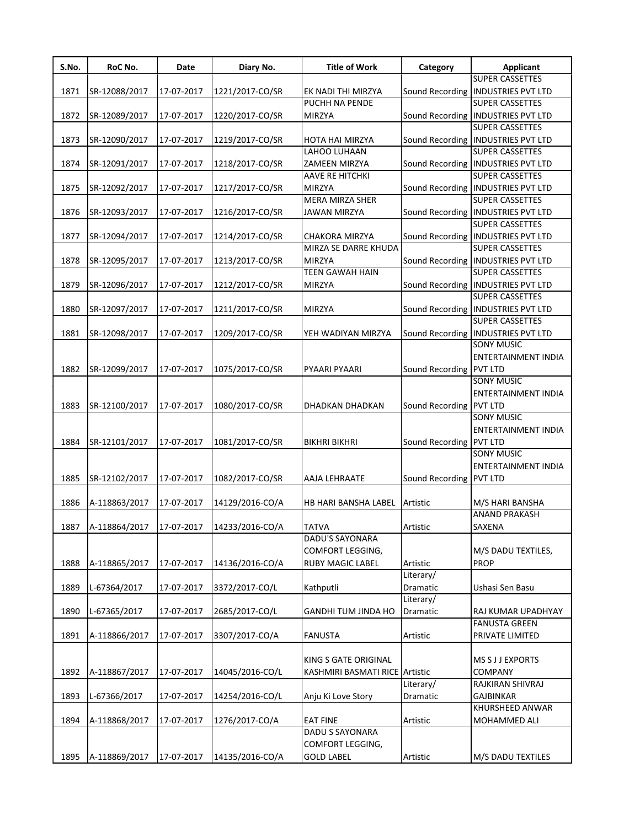| S.No. | RoC No.       | Date       | Diary No.       | <b>Title of Work</b>           | Category                | <b>Applicant</b>                     |
|-------|---------------|------------|-----------------|--------------------------------|-------------------------|--------------------------------------|
|       |               |            |                 |                                |                         | <b>SUPER CASSETTES</b>               |
| 1871  | SR-12088/2017 | 17-07-2017 | 1221/2017-CO/SR | EK NADI THI MIRZYA             | Sound Recording         | <b>INDUSTRIES PVT LTD</b>            |
|       |               |            |                 | PUCHH NA PENDE                 |                         | <b>SUPER CASSETTES</b>               |
| 1872  | SR-12089/2017 | 17-07-2017 | 1220/2017-CO/SR | <b>MIRZYA</b>                  |                         | Sound Recording   INDUSTRIES PVT LTD |
|       |               |            |                 |                                |                         | <b>SUPER CASSETTES</b>               |
| 1873  | SR-12090/2017 | 17-07-2017 | 1219/2017-CO/SR | HOTA HAI MIRZYA                |                         | Sound Recording   INDUSTRIES PVT LTD |
|       |               |            |                 | LAHOO LUHAAN                   |                         | <b>SUPER CASSETTES</b>               |
| 1874  | SR-12091/2017 | 17-07-2017 | 1218/2017-CO/SR | ZAMEEN MIRZYA                  |                         | Sound Recording   INDUSTRIES PVT LTD |
|       |               |            |                 | AAVE RE HITCHKI                |                         | <b>SUPER CASSETTES</b>               |
| 1875  | SR-12092/2017 | 17-07-2017 | 1217/2017-CO/SR | <b>MIRZYA</b>                  |                         | Sound Recording   INDUSTRIES PVT LTD |
|       |               |            |                 | MERA MIRZA SHER                |                         | <b>SUPER CASSETTES</b>               |
| 1876  | SR-12093/2017 | 17-07-2017 | 1216/2017-CO/SR | <b>JAWAN MIRZYA</b>            |                         | Sound Recording   INDUSTRIES PVT LTD |
|       |               |            |                 |                                |                         | <b>SUPER CASSETTES</b>               |
| 1877  | SR-12094/2017 | 17-07-2017 | 1214/2017-CO/SR | CHAKORA MIRZYA                 |                         | Sound Recording   INDUSTRIES PVT LTD |
|       |               |            |                 | MIRZA SE DARRE KHUDA           |                         | <b>SUPER CASSETTES</b>               |
| 1878  | SR-12095/2017 | 17-07-2017 | 1213/2017-CO/SR | <b>MIRZYA</b>                  |                         | Sound Recording INDUSTRIES PVT LTD   |
|       |               |            |                 | <b>TEEN GAWAH HAIN</b>         |                         | <b>SUPER CASSETTES</b>               |
| 1879  | SR-12096/2017 | 17-07-2017 | 1212/2017-CO/SR | <b>MIRZYA</b>                  |                         | Sound Recording   INDUSTRIES PVT LTD |
|       |               |            |                 |                                |                         | <b>SUPER CASSETTES</b>               |
| 1880  | SR-12097/2017 | 17-07-2017 | 1211/2017-CO/SR | <b>MIRZYA</b>                  | Sound Recording         | <b>INDUSTRIES PVT LTD</b>            |
|       |               |            |                 |                                |                         | <b>SUPER CASSETTES</b>               |
| 1881  | SR-12098/2017 | 17-07-2017 | 1209/2017-CO/SR | YEH WADIYAN MIRZYA             |                         | Sound Recording   INDUSTRIES PVT LTD |
|       |               |            |                 |                                |                         | <b>SONY MUSIC</b>                    |
|       |               |            |                 |                                |                         |                                      |
|       |               |            |                 |                                |                         | <b>ENTERTAINMENT INDIA</b>           |
| 1882  | SR-12099/2017 | 17-07-2017 | 1075/2017-CO/SR | PYAARI PYAARI                  | Sound Recording PVT LTD |                                      |
|       |               |            |                 |                                |                         | <b>SONY MUSIC</b>                    |
|       |               |            |                 |                                |                         | ENTERTAINMENT INDIA                  |
| 1883  | SR-12100/2017 | 17-07-2017 | 1080/2017-CO/SR | DHADKAN DHADKAN                | Sound Recording PVT LTD |                                      |
|       |               |            |                 |                                |                         | <b>SONY MUSIC</b>                    |
|       |               |            |                 |                                |                         | ENTERTAINMENT INDIA                  |
| 1884  | SR-12101/2017 | 17-07-2017 | 1081/2017-CO/SR | <b>BIKHRI BIKHRI</b>           | Sound Recording PVT LTD |                                      |
|       |               |            |                 |                                |                         | <b>SONY MUSIC</b>                    |
|       |               |            |                 |                                |                         | <b>ENTERTAINMENT INDIA</b>           |
| 1885  | SR-12102/2017 | 17-07-2017 | 1082/2017-CO/SR | <b>AAJA LEHRAATE</b>           | Sound Recording PVT LTD |                                      |
|       |               |            |                 |                                |                         |                                      |
| 1886  | A-118863/2017 | 17-07-2017 | 14129/2016-CO/A | HB HARI BANSHA LABEL           | Artistic                | M/S HARI BANSHA                      |
|       |               |            |                 |                                |                         | <b>ANAND PRAKASH</b>                 |
| 1887  | A-118864/2017 | 17-07-2017 | 14233/2016-CO/A | TATVA                          | Artistic                | SAXENA                               |
|       |               |            |                 | DADU'S SAYONARA                |                         |                                      |
|       |               |            |                 | COMFORT LEGGING,               |                         | M/S DADU TEXTILES,                   |
| 1888  | A-118865/2017 | 17-07-2017 | 14136/2016-CO/A | RUBY MAGIC LABEL               | Artistic                | PROP                                 |
|       |               |            |                 |                                | Literary/               |                                      |
| 1889  | L-67364/2017  | 17-07-2017 | 3372/2017-CO/L  | Kathputli                      | Dramatic                | Ushasi Sen Basu                      |
|       |               |            |                 |                                | Literary/               |                                      |
| 1890  | L-67365/2017  | 17-07-2017 | 2685/2017-CO/L  | <b>GANDHI TUM JINDA HO</b>     | Dramatic                | RAJ KUMAR UPADHYAY                   |
|       |               |            |                 |                                |                         | <b>FANUSTA GREEN</b>                 |
|       |               |            |                 |                                |                         |                                      |
| 1891  | A-118866/2017 | 17-07-2017 | 3307/2017-CO/A  | <b>FANUSTA</b>                 | Artistic                | PRIVATE LIMITED                      |
|       |               |            |                 |                                |                         |                                      |
|       |               |            |                 | <b>KING S GATE ORIGINAL</b>    |                         | MS S J J EXPORTS                     |
| 1892  | A-118867/2017 | 17-07-2017 | 14045/2016-CO/L | KASHMIRI BASMATI RICE Artistic |                         | COMPANY                              |
|       |               |            |                 |                                | Literary/               | RAJKIRAN SHIVRAJ                     |
| 1893  | L-67366/2017  | 17-07-2017 | 14254/2016-CO/L | Anju Ki Love Story             | Dramatic                | <b>GAJBINKAR</b>                     |
|       |               |            |                 |                                |                         | KHURSHEED ANWAR                      |
| 1894  | A-118868/2017 | 17-07-2017 | 1276/2017-CO/A  | <b>EAT FINE</b>                | Artistic                | MOHAMMED ALI                         |
|       |               |            |                 | DADU S SAYONARA                |                         |                                      |
|       |               |            |                 | COMFORT LEGGING,               |                         |                                      |
| 1895  | A-118869/2017 | 17-07-2017 | 14135/2016-CO/A | <b>GOLD LABEL</b>              | Artistic                | M/S DADU TEXTILES                    |
|       |               |            |                 |                                |                         |                                      |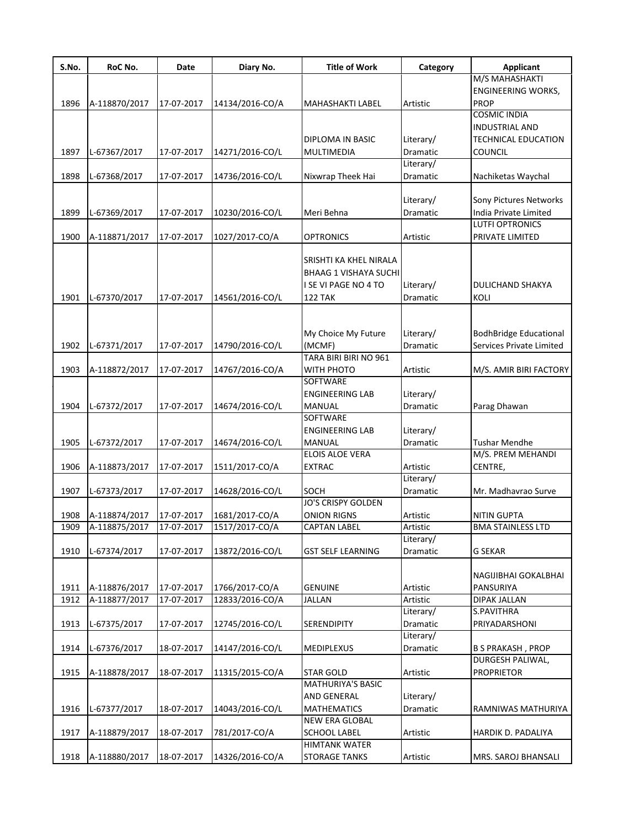| S.No. | RoC No.                        | Date       | Diary No.       | <b>Title of Work</b>                    | Category              | <b>Applicant</b>                                          |
|-------|--------------------------------|------------|-----------------|-----------------------------------------|-----------------------|-----------------------------------------------------------|
|       |                                |            |                 |                                         |                       | M/S MAHASHAKTI                                            |
|       |                                |            |                 |                                         |                       | <b>ENGINEERING WORKS,</b>                                 |
| 1896  | A-118870/2017                  | 17-07-2017 | 14134/2016-CO/A | MAHASHAKTI LABEL                        | Artistic              | <b>PROP</b>                                               |
|       |                                |            |                 |                                         |                       | <b>COSMIC INDIA</b>                                       |
|       |                                |            |                 |                                         |                       | INDUSTRIAL AND                                            |
|       |                                |            |                 | DIPLOMA IN BASIC                        | Literary/             | TECHNICAL EDUCATION                                       |
| 1897  | L-67367/2017                   | 17-07-2017 | 14271/2016-CO/L | MULTIMEDIA                              | Dramatic              | COUNCIL                                                   |
|       |                                |            |                 |                                         | Literary/             |                                                           |
| 1898  | L-67368/2017                   | 17-07-2017 | 14736/2016-CO/L | Nixwrap Theek Hai                       | Dramatic              | Nachiketas Waychal                                        |
|       |                                |            |                 |                                         |                       |                                                           |
|       |                                |            |                 |                                         | Literary/             | Sony Pictures Networks                                    |
| 1899  | L-67369/2017                   | 17-07-2017 | 10230/2016-CO/L | Meri Behna                              | Dramatic              | India Private Limited                                     |
|       |                                |            |                 |                                         |                       | <b>LUTFI OPTRONICS</b>                                    |
| 1900  | A-118871/2017                  | 17-07-2017 | 1027/2017-CO/A  | <b>OPTRONICS</b>                        | Artistic              | PRIVATE LIMITED                                           |
|       |                                |            |                 |                                         |                       |                                                           |
|       |                                |            |                 | SRISHTI KA KHEL NIRALA                  |                       |                                                           |
|       |                                |            |                 | <b>BHAAG 1 VISHAYA SUCHI</b>            |                       |                                                           |
| 1901  |                                |            |                 | I SE VI PAGE NO 4 TO<br><b>122 TAK</b>  | Literary/             | DULICHAND SHAKYA                                          |
|       | L-67370/2017                   | 17-07-2017 | 14561/2016-CO/L |                                         | Dramatic              | KOLI                                                      |
|       |                                |            |                 |                                         |                       |                                                           |
|       |                                |            |                 |                                         |                       |                                                           |
| 1902  | L-67371/2017                   | 17-07-2017 | 14790/2016-CO/L | My Choice My Future<br>(MCMF)           | Literary/<br>Dramatic | <b>BodhBridge Educational</b><br>Services Private Limited |
|       |                                |            |                 | TARA BIRI BIRI NO 961                   |                       |                                                           |
|       |                                |            |                 |                                         |                       |                                                           |
| 1903  | A-118872/2017                  | 17-07-2017 | 14767/2016-CO/A | WITH PHOTO<br>SOFTWARE                  | Artistic              | M/S. AMIR BIRI FACTORY                                    |
|       |                                |            |                 | <b>ENGINEERING LAB</b>                  |                       |                                                           |
| 1904  |                                |            |                 |                                         | Literary/             |                                                           |
|       | L-67372/2017                   | 17-07-2017 | 14674/2016-CO/L | MANUAL<br>SOFTWARE                      | Dramatic              | Parag Dhawan                                              |
|       |                                |            |                 |                                         |                       |                                                           |
| 1905  | L-67372/2017                   | 17-07-2017 | 14674/2016-CO/L | <b>ENGINEERING LAB</b><br><b>MANUAL</b> | Literary/<br>Dramatic | <b>Tushar Mendhe</b>                                      |
|       |                                |            |                 | <b>ELOIS ALOE VERA</b>                  |                       | M/S. PREM MEHANDI                                         |
| 1906  | A-118873/2017                  | 17-07-2017 | 1511/2017-CO/A  | <b>EXTRAC</b>                           | Artistic              | CENTRE,                                                   |
|       |                                |            |                 |                                         | Literary/             |                                                           |
| 1907  | L-67373/2017                   | 17-07-2017 |                 | SOCH                                    | Dramatic              | Mr. Madhavrao Surve                                       |
|       |                                |            | 14628/2016-CO/L | <b>JO'S CRISPY GOLDEN</b>               |                       |                                                           |
| 1908  |                                | 17-07-2017 | 1681/2017-CO/A  |                                         |                       |                                                           |
| 1909  | A-118874/2017<br>A-118875/2017 | 17-07-2017 | 1517/2017-CO/A  | ONION RIGNS<br><b>CAPTAN LABEL</b>      | Artistic<br>Artistic  | NITIN GUPTA<br><b>BMA STAINLESS LTD</b>                   |
|       |                                |            |                 |                                         | Literary/             |                                                           |
| 1910  | L-67374/2017                   | 17-07-2017 | 13872/2016-CO/L | GST SELF LEARNING                       | Dramatic              | <b>G SEKAR</b>                                            |
|       |                                |            |                 |                                         |                       |                                                           |
|       |                                |            |                 |                                         |                       | NAGIJIBHAI GOKALBHAI                                      |
| 1911  | A-118876/2017                  | 17-07-2017 | 1766/2017-CO/A  | <b>GENUINE</b>                          | Artistic              | PANSURIYA                                                 |
| 1912  | A-118877/2017                  | 17-07-2017 | 12833/2016-CO/A | <b>JALLAN</b>                           | Artistic              | <b>DIPAK JALLAN</b>                                       |
|       |                                |            |                 |                                         | Literary/             | S.PAVITHRA                                                |
| 1913  | L-67375/2017                   | 17-07-2017 | 12745/2016-CO/L | <b>SERENDIPITY</b>                      | Dramatic              | PRIYADARSHONI                                             |
|       |                                |            |                 |                                         | Literary/             |                                                           |
| 1914  | L-67376/2017                   | 18-07-2017 | 14147/2016-CO/L | <b>MEDIPLEXUS</b>                       | Dramatic              | <b>B S PRAKASH, PROP</b>                                  |
|       |                                |            |                 |                                         |                       | DURGESH PALIWAL,                                          |
| 1915  | A-118878/2017                  | 18-07-2017 | 11315/2015-CO/A | <b>STAR GOLD</b>                        | Artistic              | <b>PROPRIETOR</b>                                         |
|       |                                |            |                 | <b>MATHURIYA'S BASIC</b>                |                       |                                                           |
|       |                                |            |                 | AND GENERAL                             | Literary/             |                                                           |
| 1916  | L-67377/2017                   | 18-07-2017 | 14043/2016-CO/L | <b>MATHEMATICS</b>                      | Dramatic              | RAMNIWAS MATHURIYA                                        |
|       |                                |            |                 | NEW ERA GLOBAL                          |                       |                                                           |
| 1917  | A-118879/2017                  | 18-07-2017 | 781/2017-CO/A   | <b>SCHOOL LABEL</b>                     | Artistic              | HARDIK D. PADALIYA                                        |
|       |                                |            |                 | <b>HIMTANK WATER</b>                    |                       |                                                           |
| 1918  | A-118880/2017                  | 18-07-2017 | 14326/2016-CO/A | <b>STORAGE TANKS</b>                    | Artistic              | MRS. SAROJ BHANSALI                                       |
|       |                                |            |                 |                                         |                       |                                                           |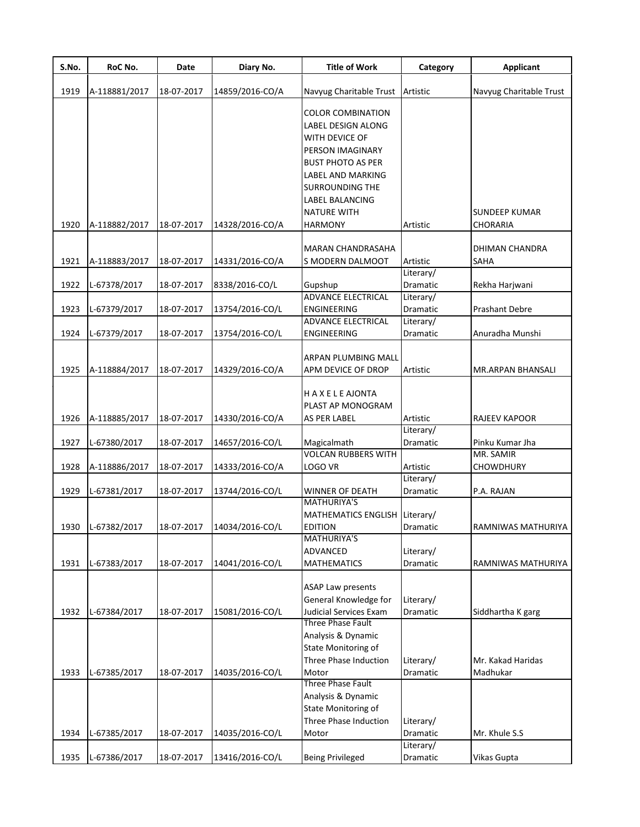| S.No. | RoC No.       | Date       | Diary No.       | <b>Title of Work</b>               | Category  | Applicant               |
|-------|---------------|------------|-----------------|------------------------------------|-----------|-------------------------|
| 1919  | A-118881/2017 | 18-07-2017 | 14859/2016-CO/A | Navyug Charitable Trust            | Artistic  | Navyug Charitable Trust |
|       |               |            |                 |                                    |           |                         |
|       |               |            |                 | COLOR COMBINATION                  |           |                         |
|       |               |            |                 | LABEL DESIGN ALONG                 |           |                         |
|       |               |            |                 | WITH DEVICE OF                     |           |                         |
|       |               |            |                 | PERSON IMAGINARY                   |           |                         |
|       |               |            |                 | <b>BUST PHOTO AS PER</b>           |           |                         |
|       |               |            |                 | LABEL AND MARKING                  |           |                         |
|       |               |            |                 | <b>SURROUNDING THE</b>             |           |                         |
|       |               |            |                 | LABEL BALANCING                    |           |                         |
|       |               |            |                 | <b>NATURE WITH</b>                 |           | SUNDEEP KUMAR           |
| 1920  | A-118882/2017 | 18-07-2017 | 14328/2016-CO/A | <b>HARMONY</b>                     | Artistic  | CHORARIA                |
|       |               |            |                 | <b>MARAN CHANDRASAHA</b>           |           | DHIMAN CHANDRA          |
| 1921  | A-118883/2017 | 18-07-2017 | 14331/2016-CO/A | S MODERN DALMOOT                   | Artistic  | SAHA                    |
|       |               |            |                 |                                    | Literary/ |                         |
| 1922  | L-67378/2017  | 18-07-2017 | 8338/2016-CO/L  | Gupshup                            | Dramatic  | Rekha Harjwani          |
|       |               |            |                 | <b>ADVANCE ELECTRICAL</b>          | Literary/ |                         |
| 1923  | L-67379/2017  | 18-07-2017 | 13754/2016-CO/L | <b>ENGINEERING</b>                 | Dramatic  | Prashant Debre          |
|       |               |            |                 | <b>ADVANCE ELECTRICAL</b>          | Literary/ |                         |
| 1924  | L-67379/2017  | 18-07-2017 | 13754/2016-CO/L | ENGINEERING                        | Dramatic  | Anuradha Munshi         |
|       |               |            |                 |                                    |           |                         |
|       |               |            |                 | ARPAN PLUMBING MALL                |           |                         |
| 1925  | A-118884/2017 | 18-07-2017 | 14329/2016-CO/A | APM DEVICE OF DROP                 | Artistic  | MR.ARPAN BHANSALI       |
|       |               |            |                 | <b>HAXELEAJONTA</b>                |           |                         |
|       |               |            |                 | PLAST AP MONOGRAM                  |           |                         |
| 1926  | A-118885/2017 | 18-07-2017 | 14330/2016-CO/A | <b>AS PER LABEL</b>                | Artistic  | <b>RAJEEV KAPOOR</b>    |
|       |               |            |                 |                                    | Literary/ |                         |
| 1927  | L-67380/2017  | 18-07-2017 | 14657/2016-CO/L |                                    | Dramatic  | Pinku Kumar Jha         |
|       |               |            |                 | Magicalmath<br>VOLCAN RUBBERS WITH |           | MR. SAMIR               |
|       |               |            |                 |                                    |           |                         |
| 1928  | A-118886/2017 | 18-07-2017 | 14333/2016-CO/A | LOGO VR                            | Artistic  | <b>CHOWDHURY</b>        |
|       |               |            |                 |                                    | Literary/ |                         |
| 1929  | L-67381/2017  | 18-07-2017 | 13744/2016-CO/L | WINNER OF DEATH                    | Dramatic  | P.A. RAJAN              |
|       |               |            |                 | <b>MATHURIYA'S</b>                 |           |                         |
|       |               |            |                 | MATHEMATICS ENGLISH Literary/      |           |                         |
| 1930  | L-67382/2017  | 18-07-2017 | 14034/2016-CO/L | EDITION                            | Dramatic  | RAMNIWAS MATHURIYA      |
|       |               |            |                 | <b>MATHURIYA'S</b>                 |           |                         |
|       |               |            |                 | ADVANCED                           | Literary/ |                         |
| 1931  | L-67383/2017  | 18-07-2017 | 14041/2016-CO/L | <b>MATHEMATICS</b>                 | Dramatic  | RAMNIWAS MATHURIYA      |
|       |               |            |                 | <b>ASAP Law presents</b>           |           |                         |
|       |               |            |                 | General Knowledge for              | Literary/ |                         |
| 1932  | L-67384/2017  | 18-07-2017 | 15081/2016-CO/L | Judicial Services Exam             | Dramatic  |                         |
|       |               |            |                 | <b>Three Phase Fault</b>           |           | Siddhartha K garg       |
|       |               |            |                 | Analysis & Dynamic                 |           |                         |
|       |               |            |                 |                                    |           |                         |
|       |               |            |                 | State Monitoring of                |           |                         |
|       |               |            |                 | Three Phase Induction              | Literary/ | Mr. Kakad Haridas       |
| 1933  | L-67385/2017  | 18-07-2017 | 14035/2016-CO/L | Motor                              | Dramatic  | Madhukar                |
|       |               |            |                 | Three Phase Fault                  |           |                         |
|       |               |            |                 | Analysis & Dynamic                 |           |                         |
|       |               |            |                 | State Monitoring of                |           |                         |
|       |               |            |                 | Three Phase Induction              | Literary/ |                         |
| 1934  | L-67385/2017  | 18-07-2017 | 14035/2016-CO/L | Motor                              | Dramatic  | Mr. Khule S.S           |
|       |               |            |                 |                                    | Literary/ |                         |
| 1935  | L-67386/2017  | 18-07-2017 | 13416/2016-CO/L | <b>Being Privileged</b>            | Dramatic  | Vikas Gupta             |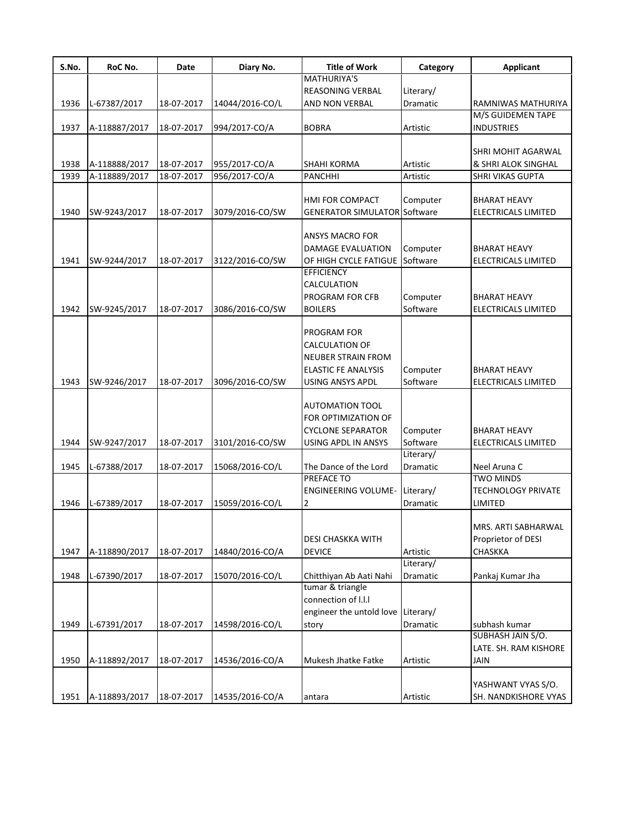| S.No. | RoC No.       | Date       | Diary No.       | <b>Title of Work</b>                | Category        | <b>Applicant</b>                          |
|-------|---------------|------------|-----------------|-------------------------------------|-----------------|-------------------------------------------|
|       |               |            |                 | MATHURIYA'S                         |                 |                                           |
|       |               |            |                 | <b>REASONING VERBAL</b>             | Literary/       |                                           |
| 1936  | L-67387/2017  | 18-07-2017 | 14044/2016-CO/L | AND NON VERBAL                      | Dramatic        | RAMNIWAS MATHURIYA                        |
|       |               |            |                 |                                     |                 | M/S GUIDEMEN TAPE                         |
| 1937  | A-118887/2017 | 18-07-2017 | 994/2017-CO/A   | <b>BOBRA</b>                        | Artistic        | <b>INDUSTRIES</b>                         |
|       |               |            |                 |                                     |                 |                                           |
|       |               |            |                 |                                     |                 | SHRI MOHIT AGARWAL                        |
| 1938  | A-118888/2017 | 18-07-2017 | 955/2017-CO/A   | SHAHI KORMA                         | Artistic        | & SHRI ALOK SINGHAL                       |
| 1939  | A-118889/2017 | 18-07-2017 | 956/2017-CO/A   | <b>PANCHHI</b>                      | Artistic        | SHRI VIKAS GUPTA                          |
|       |               |            |                 |                                     |                 |                                           |
|       |               |            |                 | HMI FOR COMPACT                     | Computer        | <b>BHARAT HEAVY</b>                       |
| 1940  | SW-9243/2017  | 18-07-2017 | 3079/2016-CO/SW | <b>GENERATOR SIMULATOR Software</b> |                 | ELECTRICALS LIMITED                       |
|       |               |            |                 |                                     |                 |                                           |
|       |               |            |                 | ANSYS MACRO FOR                     |                 |                                           |
|       |               |            |                 | DAMAGE EVALUATION                   | Computer        | <b>BHARAT HEAVY</b>                       |
| 1941  | SW-9244/2017  | 18-07-2017 | 3122/2016-CO/SW | OF HIGH CYCLE FATIGUE               | Software        | ELECTRICALS LIMITED                       |
|       |               |            |                 | <b>EFFICIENCY</b>                   |                 |                                           |
|       |               |            |                 | CALCULATION                         |                 |                                           |
|       |               |            |                 | PROGRAM FOR CFB                     | Computer        | <b>BHARAT HEAVY</b>                       |
| 1942  | SW-9245/2017  | 18-07-2017 | 3086/2016-CO/SW | <b>BOILERS</b>                      | Software        | ELECTRICALS LIMITED                       |
|       |               |            |                 |                                     |                 |                                           |
|       |               |            |                 | PROGRAM FOR                         |                 |                                           |
|       |               |            |                 | CALCULATION OF                      |                 |                                           |
|       |               |            |                 | NEUBER STRAIN FROM                  |                 |                                           |
|       |               |            |                 | <b>ELASTIC FE ANALYSIS</b>          | Computer        | BHARAT HEAVY                              |
| 1943  | SW-9246/2017  | 18-07-2017 | 3096/2016-CO/SW | <b>USING ANSYS APDL</b>             | Software        | ELECTRICALS LIMITED                       |
|       |               |            |                 |                                     |                 |                                           |
|       |               |            |                 | <b>AUTOMATION TOOL</b>              |                 |                                           |
|       |               |            |                 | FOR OPTIMIZATION OF                 |                 |                                           |
|       |               |            |                 | <b>CYCLONE SEPARATOR</b>            | Computer        | <b>BHARAT HEAVY</b>                       |
| 1944  | SW-9247/2017  | 18-07-2017 | 3101/2016-CO/SW | USING APDL IN ANSYS                 | Software        | ELECTRICALS LIMITED                       |
|       |               |            |                 |                                     | Literary/       |                                           |
| 1945  | L-67388/2017  | 18-07-2017 | 15068/2016-CO/L | The Dance of the Lord               | Dramatic        | Neel Aruna C                              |
|       |               |            |                 | PREFACE TO                          |                 | <b>TWO MINDS</b>                          |
|       |               |            |                 | <b>ENGINEERING VOLUME-</b>          | Literary/       | <b>TECHNOLOGY PRIVATE</b>                 |
| 1946  | L-67389/2017  | 18-07-2017 | 15059/2016-CO/L | $\overline{2}$                      | <b>Dramatic</b> | LIMITED                                   |
|       |               |            |                 |                                     |                 |                                           |
|       |               |            |                 |                                     |                 |                                           |
|       |               |            |                 |                                     |                 | MRS. ARTI SABHARWAL<br>Proprietor of DESI |
|       |               |            |                 | DESI CHASKKA WITH                   |                 |                                           |
| 1947  | A-118890/2017 | 18-07-2017 | 14840/2016-CO/A | <b>DEVICE</b>                       | Artistic        | <b>CHASKKA</b>                            |
|       |               |            |                 |                                     | Literary/       |                                           |
| 1948  | L-67390/2017  | 18-07-2017 | 15070/2016-CO/L | Chitthiyan Ab Aati Nahi             | Dramatic        | Pankaj Kumar Jha                          |
|       |               |            |                 | tumar & triangle                    |                 |                                           |
|       |               |            |                 | connection of I.I.I                 |                 |                                           |
|       |               |            |                 | engineer the untold love Literary/  |                 |                                           |
| 1949  | L-67391/2017  | 18-07-2017 | 14598/2016-CO/L | story                               | Dramatic        | subhash kumar                             |
|       |               |            |                 |                                     |                 | SUBHASH JAIN S/O.                         |
|       |               |            |                 |                                     |                 | LATE. SH. RAM KISHORE                     |
| 1950  | A-118892/2017 | 18-07-2017 | 14536/2016-CO/A | Mukesh Jhatke Fatke                 | Artistic        | <b>JAIN</b>                               |
|       |               |            |                 |                                     |                 |                                           |
|       |               |            |                 |                                     |                 | YASHWANT VYAS S/O.                        |
| 1951  | A-118893/2017 | 18-07-2017 | 14535/2016-CO/A | antara                              | Artistic        | SH. NANDKISHORE VYAS                      |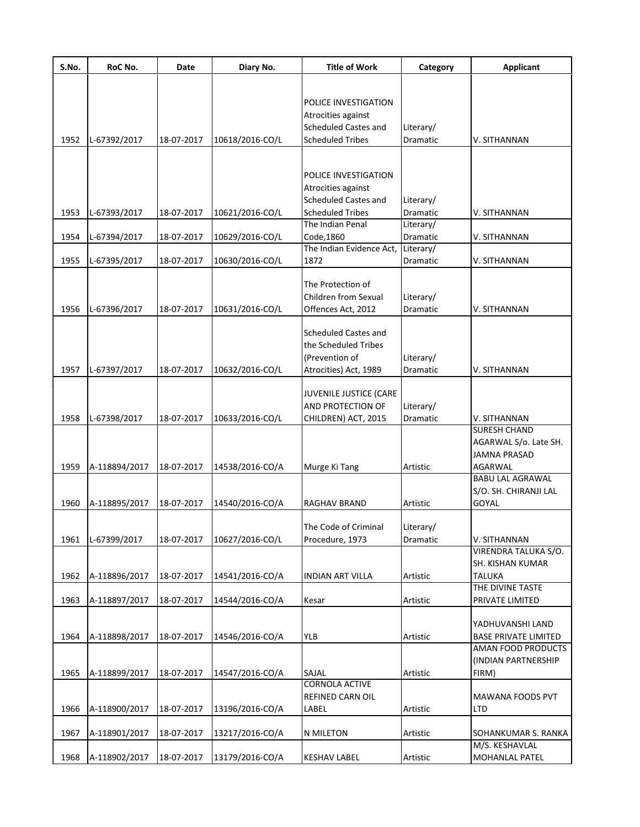| S.No. | RoC No.       | Date       | Diary No.       | <b>Title of Work</b>                    | Category              | <b>Applicant</b>                      |
|-------|---------------|------------|-----------------|-----------------------------------------|-----------------------|---------------------------------------|
|       |               |            |                 |                                         |                       |                                       |
|       |               |            |                 | POLICE INVESTIGATION                    |                       |                                       |
|       |               |            |                 | Atrocities against                      |                       |                                       |
|       |               |            |                 | Scheduled Castes and                    | Literary/             |                                       |
| 1952  | L-67392/2017  | 18-07-2017 | 10618/2016-CO/L | <b>Scheduled Tribes</b>                 | Dramatic              | V. SITHANNAN                          |
|       |               |            |                 |                                         |                       |                                       |
|       |               |            |                 |                                         |                       |                                       |
|       |               |            |                 | POLICE INVESTIGATION                    |                       |                                       |
|       |               |            |                 | Atrocities against                      |                       |                                       |
|       |               |            |                 | <b>Scheduled Castes and</b>             | Literary/             |                                       |
| 1953  | L-67393/2017  | 18-07-2017 | 10621/2016-CO/L | <b>Scheduled Tribes</b>                 | Dramatic              | V. SITHANNAN                          |
|       |               |            |                 | The Indian Penal                        | Literary/             |                                       |
| 1954  | L-67394/2017  | 18-07-2017 | 10629/2016-CO/L | Code, 1860                              | Dramatic              | V. SITHANNAN                          |
|       |               |            |                 | The Indian Evidence Act, Literary/      |                       |                                       |
| 1955  | L-67395/2017  | 18-07-2017 | 10630/2016-CO/L | 1872                                    | Dramatic              | V. SITHANNAN                          |
|       |               |            |                 | The Protection of                       |                       |                                       |
|       |               |            |                 | Children from Sexual                    | Literary/             |                                       |
| 1956  | L-67396/2017  | 18-07-2017 | 10631/2016-CO/L | Offences Act, 2012                      | Dramatic              | V. SITHANNAN                          |
|       |               |            |                 |                                         |                       |                                       |
|       |               |            |                 | <b>Scheduled Castes and</b>             |                       |                                       |
|       |               |            |                 | the Scheduled Tribes                    |                       |                                       |
|       |               |            |                 | (Prevention of                          | Literary/             |                                       |
| 1957  | L-67397/2017  | 18-07-2017 | 10632/2016-CO/L | Atrocities) Act, 1989                   | Dramatic              | V. SITHANNAN                          |
|       |               |            |                 |                                         |                       |                                       |
|       |               |            |                 | JUVENILE JUSTICE (CARE                  |                       |                                       |
|       |               |            |                 | AND PROTECTION OF                       | Literary/             |                                       |
| 1958  | L-67398/2017  | 18-07-2017 | 10633/2016-CO/L | CHILDREN) ACT, 2015                     | Dramatic              | V. SITHANNAN                          |
|       |               |            |                 |                                         |                       | <b>SURESH CHAND</b>                   |
|       |               |            |                 |                                         |                       | AGARWAL S/o. Late SH.                 |
|       |               |            |                 |                                         |                       | <b>JAMNA PRASAD</b>                   |
| 1959  | A-118894/2017 | 18-07-2017 | 14538/2016-CO/A | Murge Ki Tang                           | Artistic              | AGARWAL                               |
|       |               |            |                 |                                         |                       | <b>BABU LAL AGRAWAL</b>               |
|       |               |            |                 |                                         |                       | S/O. SH. CHIRANJI LAL                 |
| 1960  | A-118895/2017 | 18-07-2017 | 14540/2016-CO/A | RAGHAV BRAND                            | Artistic              | <b>GOYAL</b>                          |
|       |               |            |                 |                                         |                       |                                       |
| 1961  | L-67399/2017  | 18-07-2017 | 10627/2016-CO/L | The Code of Criminal<br>Procedure, 1973 | Literary/<br>Dramatic | V. SITHANNAN                          |
|       |               |            |                 |                                         |                       | VIRENDRA TALUKA S/O.                  |
|       |               |            |                 |                                         |                       | SH. KISHAN KUMAR                      |
| 1962  | A-118896/2017 | 18-07-2017 | 14541/2016-CO/A | <b>INDIAN ART VILLA</b>                 | Artistic              | <b>TALUKA</b>                         |
|       |               |            |                 |                                         |                       | THE DIVINE TASTE                      |
| 1963  | A-118897/2017 | 18-07-2017 | 14544/2016-CO/A | Kesar                                   | Artistic              | PRIVATE LIMITED                       |
|       |               |            |                 |                                         |                       |                                       |
|       |               |            |                 |                                         |                       | YADHUVANSHI LAND                      |
| 1964  | A-118898/2017 | 18-07-2017 | 14546/2016-CO/A | <b>YLB</b>                              | Artistic              | <b>BASE PRIVATE LIMITED</b>           |
|       |               |            |                 |                                         |                       | AMAN FOOD PRODUCTS                    |
|       |               |            |                 |                                         |                       | (INDIAN PARTNERSHIP                   |
| 1965  | A-118899/2017 | 18-07-2017 | 14547/2016-CO/A | SAJAL                                   | Artistic              | FIRM)                                 |
|       |               |            |                 | <b>CORNOLA ACTIVE</b>                   |                       |                                       |
|       |               |            |                 | REFINED CARN OIL                        |                       | MAWANA FOODS PVT                      |
| 1966  | A-118900/2017 | 18-07-2017 | 13196/2016-CO/A | LABEL                                   | Artistic              | <b>LTD</b>                            |
|       |               |            |                 |                                         |                       |                                       |
| 1967  | A-118901/2017 | 18-07-2017 | 13217/2016-CO/A | N MILETON                               | Artistic              | SOHANKUMAR S. RANKA<br>M/S. KESHAVLAL |
| 1968  |               |            |                 |                                         |                       |                                       |
|       | A-118902/2017 | 18-07-2017 | 13179/2016-CO/A | <b>KESHAV LABEL</b>                     | Artistic              | MOHANLAL PATEL                        |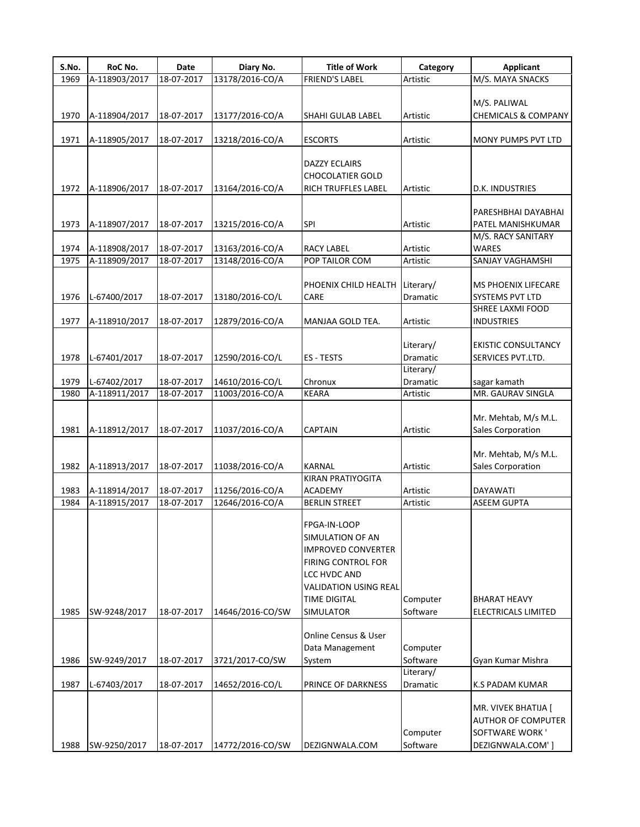| 1969<br>1970 | A-118903/2017<br>A-118904/2017 | 18-07-2017               | 13178/2016-CO/A                    | <b>FRIEND'S LABEL</b>                                                                                                                                                          | Artistic                     | M/S. MAYA SNACKS                                                                       |
|--------------|--------------------------------|--------------------------|------------------------------------|--------------------------------------------------------------------------------------------------------------------------------------------------------------------------------|------------------------------|----------------------------------------------------------------------------------------|
|              |                                |                          |                                    |                                                                                                                                                                                |                              |                                                                                        |
|              |                                | 18-07-2017               | 13177/2016-CO/A                    | SHAHI GULAB LABEL                                                                                                                                                              | Artistic                     | M/S. PALIWAL<br><b>CHEMICALS &amp; COMPANY</b>                                         |
| 1971         | A-118905/2017                  | 18-07-2017               | 13218/2016-CO/A                    | <b>ESCORTS</b>                                                                                                                                                                 | Artistic                     | MONY PUMPS PVT LTD                                                                     |
| 1972         | A-118906/2017                  | 18-07-2017               | 13164/2016-CO/A                    | <b>DAZZY ECLAIRS</b><br><b>CHOCOLATIER GOLD</b><br>RICH TRUFFLES LABEL                                                                                                         | Artistic                     | D.K. INDUSTRIES                                                                        |
| 1973         | A-118907/2017                  | 18-07-2017               | 13215/2016-CO/A                    | SPI                                                                                                                                                                            | Artistic                     | PARESHBHAI DAYABHAI<br>PATEL MANISHKUMAR                                               |
| 1974         | A-118908/2017                  | 18-07-2017               | 13163/2016-CO/A                    | <b>RACY LABEL</b>                                                                                                                                                              | Artistic                     | M/S. RACY SANITARY<br><b>WARES</b>                                                     |
| 1975         | A-118909/2017                  | 18-07-2017               | 13148/2016-CO/A                    | POP TAILOR COM                                                                                                                                                                 | Artistic                     | SANJAY VAGHAMSHI                                                                       |
| 1976         | L-67400/2017                   | 18-07-2017               | 13180/2016-CO/L                    | PHOENIX CHILD HEALTH<br><b>CARE</b>                                                                                                                                            | Literary/<br><b>Dramatic</b> | <b>MS PHOENIX LIFECARE</b><br><b>SYSTEMS PVT LTD</b><br>SHREE LAXMI FOOD               |
| 1977         | A-118910/2017                  | 18-07-2017               | 12879/2016-CO/A                    | MANJAA GOLD TEA.                                                                                                                                                               | Artistic                     | <b>INDUSTRIES</b>                                                                      |
| 1978         | L-67401/2017                   | 18-07-2017               | 12590/2016-CO/L                    | ES - TESTS                                                                                                                                                                     | Literary/<br>Dramatic        | <b>EKISTIC CONSULTANCY</b><br>SERVICES PVT.LTD.                                        |
| 1979         | L-67402/2017                   | 18-07-2017               | 14610/2016-CO/L                    | Chronux                                                                                                                                                                        | Literary/<br>Dramatic        | sagar kamath                                                                           |
| 1980         | A-118911/2017                  | 18-07-2017               | 11003/2016-CO/A                    | <b>KEARA</b>                                                                                                                                                                   | Artistic                     | MR. GAURAV SINGLA                                                                      |
| 1981         | A-118912/2017                  | 18-07-2017               | 11037/2016-CO/A                    | <b>CAPTAIN</b>                                                                                                                                                                 | Artistic                     | Mr. Mehtab, M/s M.L.<br>Sales Corporation                                              |
| 1982         | A-118913/2017                  | 18-07-2017               | 11038/2016-CO/A                    | <b>KARNAL</b>                                                                                                                                                                  | Artistic                     | Mr. Mehtab, M/s M.L.<br>Sales Corporation                                              |
|              |                                |                          |                                    | <b>KIRAN PRATIYOGITA</b>                                                                                                                                                       |                              |                                                                                        |
| 1983<br>1984 | A-118914/2017<br>A-118915/2017 | 18-07-2017<br>18-07-2017 | 11256/2016-CO/A<br>12646/2016-CO/A | <b>ACADEMY</b><br><b>BERLIN STREET</b>                                                                                                                                         | Artistic<br>Artistic         | <b>DAYAWATI</b><br><b>ASEEM GUPTA</b>                                                  |
| 1985         | SW-9248/2017                   | 18-07-2017               | 14646/2016-CO/SW                   | FPGA-IN-LOOP<br>SIMULATION OF AN<br><b>IMPROVED CONVERTER</b><br>FIRING CONTROL FOR<br><b>LCC HVDC AND</b><br><b>VALIDATION USING REAL</b><br><b>TIME DIGITAL</b><br>SIMULATOR | Computer<br>Software         | <b>BHARAT HEAVY</b><br>ELECTRICALS LIMITED                                             |
| 1986         | SW-9249/2017                   | 18-07-2017               | 3721/2017-CO/SW                    | Online Census & User<br>Data Management<br>System                                                                                                                              | Computer<br>Software         | Gyan Kumar Mishra                                                                      |
| 1987         | L-67403/2017                   | 18-07-2017               | 14652/2016-CO/L                    | PRINCE OF DARKNESS                                                                                                                                                             | Literary/<br>Dramatic        | K.S PADAM KUMAR                                                                        |
| 1988         | SW-9250/2017                   | 18-07-2017               | 14772/2016-CO/SW                   | DEZIGNWALA.COM                                                                                                                                                                 | Computer<br>Software         | MR. VIVEK BHATIJA [<br><b>AUTHOR OF COMPUTER</b><br>SOFTWARE WORK'<br>DEZIGNWALA.COM'] |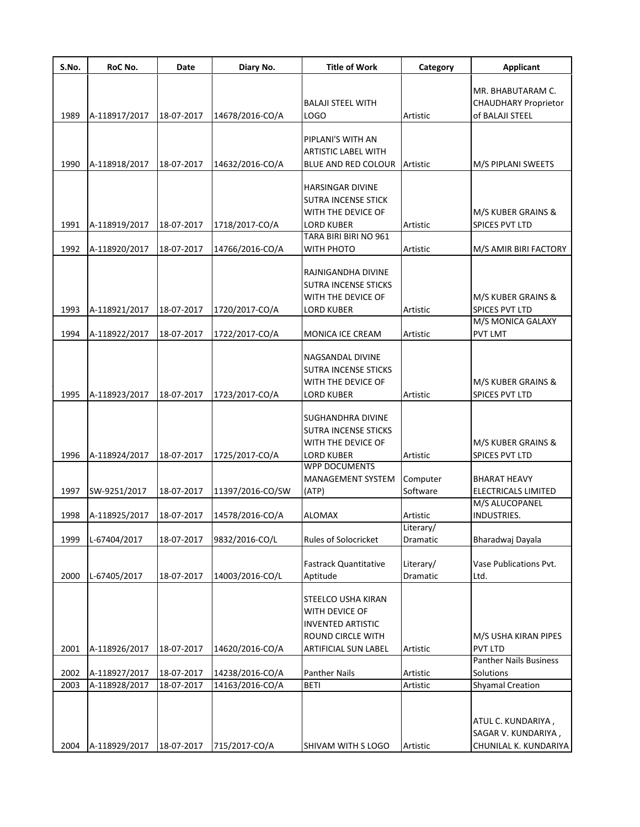| S.No.        | RoC No.                        | Date                     | Diary No.                          | <b>Title of Work</b>                                                                                                      | Category              | <b>Applicant</b>                                                    |
|--------------|--------------------------------|--------------------------|------------------------------------|---------------------------------------------------------------------------------------------------------------------------|-----------------------|---------------------------------------------------------------------|
| 1989         | A-118917/2017                  | 18-07-2017               | 14678/2016-CO/A                    | <b>BALAJI STEEL WITH</b><br>LOGO                                                                                          | Artistic              | MR. BHABUTARAM C.<br><b>CHAUDHARY Proprietor</b><br>of BALAJI STEEL |
|              |                                |                          |                                    | PIPLANI'S WITH AN<br><b>ARTISTIC LABEL WITH</b>                                                                           |                       |                                                                     |
| 1990         | A-118918/2017                  | 18-07-2017               | 14632/2016-CO/A                    | BLUE AND RED COLOUR                                                                                                       | Artistic              | M/S PIPLANI SWEETS                                                  |
| 1991         | A-118919/2017                  | 18-07-2017               | 1718/2017-CO/A                     | <b>HARSINGAR DIVINE</b><br><b>SUTRA INCENSE STICK</b><br>WITH THE DEVICE OF<br><b>LORD KUBER</b><br>TARA BIRI BIRI NO 961 | Artistic              | M/S KUBER GRAINS &<br>SPICES PVT LTD                                |
| 1992         | A-118920/2017                  | 18-07-2017               | 14766/2016-CO/A                    | WITH PHOTO                                                                                                                | Artistic              | M/S AMIR BIRI FACTORY                                               |
| 1993         | A-118921/2017                  | 18-07-2017               | 1720/2017-CO/A                     | RAJNIGANDHA DIVINE<br><b>SUTRA INCENSE STICKS</b><br>WITH THE DEVICE OF<br><b>LORD KUBER</b>                              | Artistic              | M/S KUBER GRAINS &<br><b>SPICES PVT LTD</b>                         |
| 1994         | A-118922/2017                  | 18-07-2017               | 1722/2017-CO/A                     | MONICA ICE CREAM                                                                                                          | Artistic              | M/S MONICA GALAXY<br><b>PVT LMT</b>                                 |
| 1995         | A-118923/2017                  | 18-07-2017               | 1723/2017-CO/A                     | NAGSANDAL DIVINE<br>SUTRA INCENSE STICKS<br>WITH THE DEVICE OF<br><b>LORD KUBER</b>                                       | Artistic              | M/S KUBER GRAINS &<br>SPICES PVT LTD                                |
| 1996         | A-118924/2017                  | 18-07-2017               | 1725/2017-CO/A                     | SUGHANDHRA DIVINE<br><b>SUTRA INCENSE STICKS</b><br>WITH THE DEVICE OF<br><b>LORD KUBER</b>                               | Artistic              | M/S KUBER GRAINS &<br><b>SPICES PVT LTD</b>                         |
| 1997         | SW-9251/2017                   | 18-07-2017               | 11397/2016-CO/SW                   | <b>WPP DOCUMENTS</b><br><b>MANAGEMENT SYSTEM</b><br>(ATP)                                                                 | Computer<br>Software  | <b>BHARAT HEAVY</b><br>ELECTRICALS LIMITED                          |
| 1998         | A-118925/2017                  | 18-07-2017               | 14578/2016-CO/A                    | <b>ALOMAX</b>                                                                                                             | Artistic              | M/S ALUCOPANEL<br>INDUSTRIES.                                       |
| 1999         | L-67404/2017                   | 18-07-2017               | 9832/2016-CO/L                     | <b>Rules of Solocricket</b>                                                                                               | Literary/<br>Dramatic | Bharadwaj Dayala                                                    |
| 2000         | L-67405/2017                   | 18-07-2017               | 14003/2016-CO/L                    | <b>Fastrack Quantitative</b><br>Aptitude                                                                                  | Literary/<br>Dramatic | Vase Publications Pvt.<br>Ltd.                                      |
| 2001         | A-118926/2017                  | 18-07-2017               | 14620/2016-CO/A                    | STEELCO USHA KIRAN<br>WITH DEVICE OF<br><b>INVENTED ARTISTIC</b><br>ROUND CIRCLE WITH<br><b>ARTIFICIAL SUN LABEL</b>      | Artistic              | M/S USHA KIRAN PIPES<br><b>PVT LTD</b>                              |
|              |                                |                          |                                    |                                                                                                                           |                       | <b>Panther Nails Business</b>                                       |
| 2002<br>2003 | A-118927/2017<br>A-118928/2017 | 18-07-2017<br>18-07-2017 | 14238/2016-CO/A<br>14163/2016-CO/A | <b>Panther Nails</b><br><b>BETI</b>                                                                                       | Artistic<br>Artistic  | Solutions<br><b>Shyamal Creation</b>                                |
| 2004         | A-118929/2017                  | 18-07-2017               | 715/2017-CO/A                      | SHIVAM WITH S LOGO                                                                                                        | Artistic              | ATUL C. KUNDARIYA,<br>SAGAR V. KUNDARIYA,<br>CHUNILAL K. KUNDARIYA  |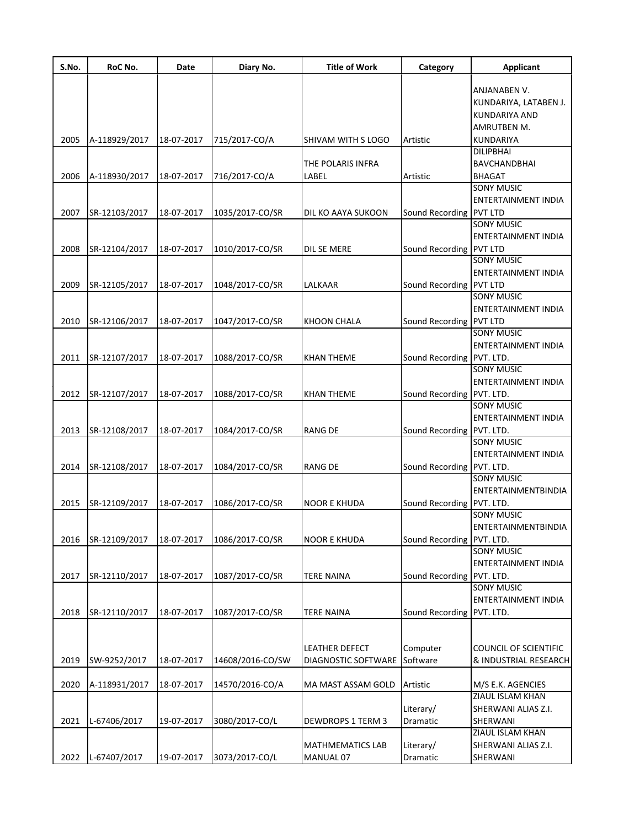| S.No. | RoC No.       | Date       | Diary No.        | <b>Title of Work</b>     | Category                    | <b>Applicant</b>             |
|-------|---------------|------------|------------------|--------------------------|-----------------------------|------------------------------|
|       |               |            |                  |                          |                             |                              |
|       |               |            |                  |                          |                             | ANJANABEN V.                 |
|       |               |            |                  |                          |                             | KUNDARIYA, LATABEN J.        |
|       |               |            |                  |                          |                             | KUNDARIYA AND                |
|       |               |            |                  |                          |                             | AMRUTBEN M.                  |
| 2005  | A-118929/2017 | 18-07-2017 | 715/2017-CO/A    | SHIVAM WITH S LOGO       | Artistic                    | <b>KUNDARIYA</b>             |
|       |               |            |                  |                          |                             | <b>DILIPBHAI</b>             |
|       |               |            |                  | THE POLARIS INFRA        |                             | <b>BAVCHANDBHAI</b>          |
| 2006  | A-118930/2017 | 18-07-2017 | 716/2017-CO/A    | LABEL                    | Artistic                    | <b>BHAGAT</b>                |
|       |               |            |                  |                          |                             | <b>SONY MUSIC</b>            |
|       |               |            |                  |                          |                             | ENTERTAINMENT INDIA          |
| 2007  | SR-12103/2017 | 18-07-2017 | 1035/2017-CO/SR  | DIL KO AAYA SUKOON       | Sound Recording PVT LTD     |                              |
|       |               |            |                  |                          |                             | <b>SONY MUSIC</b>            |
|       |               |            |                  |                          |                             | ENTERTAINMENT INDIA          |
| 2008  | SR-12104/2017 | 18-07-2017 | 1010/2017-CO/SR  | DIL SE MERE              | Sound Recording PVT LTD     |                              |
|       |               |            |                  |                          |                             | <b>SONY MUSIC</b>            |
|       |               |            |                  |                          |                             | <b>ENTERTAINMENT INDIA</b>   |
| 2009  | SR-12105/2017 | 18-07-2017 | 1048/2017-CO/SR  | LALKAAR                  | Sound Recording PVT LTD     |                              |
|       |               |            |                  |                          |                             | <b>SONY MUSIC</b>            |
|       |               |            |                  |                          |                             | <b>ENTERTAINMENT INDIA</b>   |
| 2010  | SR-12106/2017 | 18-07-2017 | 1047/2017-CO/SR  | <b>KHOON CHALA</b>       | Sound Recording PVT LTD     |                              |
|       |               |            |                  |                          |                             | <b>SONY MUSIC</b>            |
|       |               |            |                  |                          |                             | <b>ENTERTAINMENT INDIA</b>   |
|       |               |            | 1088/2017-CO/SR  |                          |                             |                              |
| 2011  | SR-12107/2017 | 18-07-2017 |                  | <b>KHAN THEME</b>        | Sound Recording PVT. LTD.   | <b>SONY MUSIC</b>            |
|       |               |            |                  |                          |                             |                              |
|       |               |            |                  |                          |                             | ENTERTAINMENT INDIA          |
| 2012  | SR-12107/2017 | 18-07-2017 | 1088/2017-CO/SR  | KHAN THEME               | Sound Recording PVT. LTD.   |                              |
|       |               |            |                  |                          |                             | SONY MUSIC                   |
|       |               |            |                  |                          |                             | ENTERTAINMENT INDIA          |
| 2013  | SR-12108/2017 | 18-07-2017 | 1084/2017-CO/SR  | <b>RANG DE</b>           | Sound Recording PVT. LTD.   |                              |
|       |               |            |                  |                          |                             | SONY MUSIC                   |
|       |               |            |                  |                          |                             | <b>ENTERTAINMENT INDIA</b>   |
| 2014  | SR-12108/2017 | 18-07-2017 | 1084/2017-CO/SR  | <b>RANG DE</b>           | Sound Recording PVT. LTD.   |                              |
|       |               |            |                  |                          |                             | <b>SONY MUSIC</b>            |
|       |               |            |                  |                          |                             | <b>ENTERTAINMENTBINDIA</b>   |
| 2015  | SR-12109/2017 | 18-07-2017 | 1086/2017-CO/SR  | <b>NOOR E KHUDA</b>      | Sound Recording   PVT. LTD. |                              |
|       |               |            |                  |                          |                             | <b>SONY MUSIC</b>            |
|       |               |            |                  |                          |                             | ENTERTAINMENTBINDIA          |
| 2016  | SR-12109/2017 | 18-07-2017 | 1086/2017-CO/SR  | <b>NOOR E KHUDA</b>      | Sound Recording PVT. LTD.   |                              |
|       |               |            |                  |                          |                             | <b>SONY MUSIC</b>            |
|       |               |            |                  |                          |                             | <b>ENTERTAINMENT INDIA</b>   |
| 2017  | SR-12110/2017 | 18-07-2017 | 1087/2017-CO/SR  | <b>TERE NAINA</b>        | Sound Recording PVT. LTD.   |                              |
|       |               |            |                  |                          |                             | <b>SONY MUSIC</b>            |
|       |               |            |                  |                          |                             | <b>ENTERTAINMENT INDIA</b>   |
| 2018  | SR-12110/2017 | 18-07-2017 | 1087/2017-CO/SR  | <b>TERE NAINA</b>        | Sound Recording PVT. LTD.   |                              |
|       |               |            |                  |                          |                             |                              |
|       |               |            |                  |                          |                             |                              |
|       |               |            |                  | LEATHER DEFECT           | Computer                    | <b>COUNCIL OF SCIENTIFIC</b> |
| 2019  | SW-9252/2017  | 18-07-2017 | 14608/2016-CO/SW | DIAGNOSTIC SOFTWARE      | Software                    | & INDUSTRIAL RESEARCH        |
|       |               |            |                  |                          |                             |                              |
| 2020  | A-118931/2017 | 18-07-2017 | 14570/2016-CO/A  | MA MAST ASSAM GOLD       | Artistic                    | M/S E.K. AGENCIES            |
|       |               |            |                  |                          |                             | ZIAUL ISLAM KHAN             |
|       |               |            |                  |                          |                             |                              |
|       |               |            |                  |                          | Literary/                   | SHERWANI ALIAS Z.I.          |
| 2021  | L-67406/2017  | 19-07-2017 | 3080/2017-CO/L   | <b>DEWDROPS 1 TERM 3</b> | Dramatic                    | SHERWANI                     |
|       |               |            |                  |                          |                             | ZIAUL ISLAM KHAN             |
|       |               |            |                  | <b>MATHMEMATICS LAB</b>  | Literary/                   | SHERWANI ALIAS Z.I.          |
| 2022  | L-67407/2017  | 19-07-2017 | 3073/2017-CO/L   | MANUAL 07                | Dramatic                    | SHERWANI                     |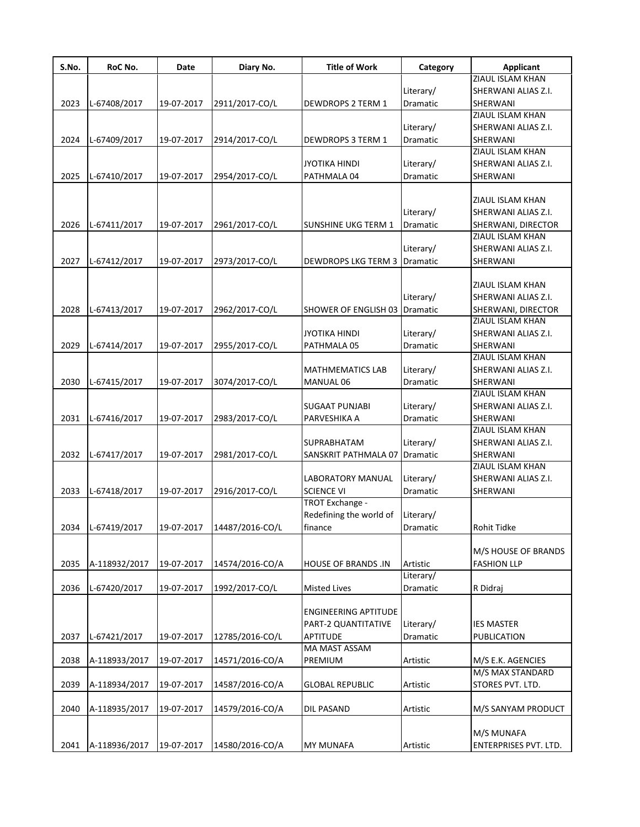| Literary/<br>2023<br>Dramatic<br>L-67408/2017<br>19-07-2017<br>2911/2017-CO/L<br>DEWDROPS 2 TERM 1<br>SHERWANI | <b>ZIAUL ISLAM KHAN</b><br>SHERWANI ALIAS Z.I.<br>ZIAUL ISLAM KHAN |
|----------------------------------------------------------------------------------------------------------------|--------------------------------------------------------------------|
|                                                                                                                |                                                                    |
|                                                                                                                |                                                                    |
|                                                                                                                |                                                                    |
|                                                                                                                |                                                                    |
| Literary/                                                                                                      | SHERWANI ALIAS Z.I.                                                |
| Dramatic<br>2024<br>L-67409/2017<br>19-07-2017<br>2914/2017-CO/L<br>SHERWANI<br>DEWDROPS 3 TERM 1              |                                                                    |
|                                                                                                                | ZIAUL ISLAM KHAN                                                   |
| Literary/<br><b>JYOTIKA HINDI</b>                                                                              | SHERWANI ALIAS Z.I.                                                |
| 2025<br>Dramatic<br>L-67410/2017<br>19-07-2017<br>2954/2017-CO/L<br>PATHMALA 04<br>SHERWANI                    |                                                                    |
|                                                                                                                |                                                                    |
|                                                                                                                | ZIAUL ISLAM KHAN                                                   |
| Literary/                                                                                                      | SHERWANI ALIAS Z.I.                                                |
| 2026<br>L-67411/2017<br>19-07-2017<br>2961/2017-CO/L<br><b>SUNSHINE UKG TERM 1</b><br>Dramatic                 | SHERWANI, DIRECTOR                                                 |
|                                                                                                                | ZIAUL ISLAM KHAN                                                   |
| Literary/                                                                                                      | SHERWANI ALIAS Z.I.                                                |
| 2027<br>L-67412/2017<br>19-07-2017<br>2973/2017-CO/L<br><b>DEWDROPS LKG TERM 3</b><br>Dramatic<br>SHERWANI     |                                                                    |
|                                                                                                                |                                                                    |
|                                                                                                                | ZIAUL ISLAM KHAN                                                   |
| Literary/                                                                                                      | SHERWANI ALIAS Z.I.                                                |
| 2028<br>L-67413/2017<br>19-07-2017<br>2962/2017-CO/L<br><b>SHOWER OF ENGLISH 03   Dramatic</b>                 | SHERWANI, DIRECTOR                                                 |
|                                                                                                                | ZIAUL ISLAM KHAN                                                   |
| Literary/<br><b>JYOTIKA HINDI</b>                                                                              | SHERWANI ALIAS Z.I.                                                |
| 2029<br>L-67414/2017<br>19-07-2017<br>2955/2017-CO/L<br>PATHMALA 05<br><b>Dramatic</b><br>SHERWANI             |                                                                    |
|                                                                                                                | ZIAUL ISLAM KHAN                                                   |
| Literary/<br><b>MATHMEMATICS LAB</b>                                                                           | SHERWANI ALIAS Z.I.                                                |
|                                                                                                                |                                                                    |
| 2030<br>3074/2017-CO/L<br>L-67415/2017<br>19-07-2017<br>MANUAL 06<br>Dramatic<br>SHERWANI                      | ZIAUL ISLAM KHAN                                                   |
|                                                                                                                |                                                                    |
| Literary/<br><b>SUGAAT PUNJABI</b>                                                                             | SHERWANI ALIAS Z.I.                                                |
| L-67416/2017<br>2031<br>19-07-2017<br>2983/2017-CO/L<br>PARVESHIKA A<br>Dramatic<br>SHERWANI                   |                                                                    |
|                                                                                                                | ZIAUL ISLAM KHAN                                                   |
| Literary/<br>SUPRABHATAM                                                                                       | SHERWANI ALIAS Z.I.                                                |
| SANSKRIT PATHMALA 07 Dramatic<br>2032<br>L-67417/2017<br>19-07-2017<br>2981/2017-CO/L<br>SHERWANI              |                                                                    |
|                                                                                                                | ZIAUL ISLAM KHAN                                                   |
| Literary/<br>LABORATORY MANUAL                                                                                 | SHERWANI ALIAS Z.I.                                                |
| <b>SCIENCE VI</b><br>2033<br>L-67418/2017<br>19-07-2017<br>2916/2017-CO/L<br>Dramatic<br>SHERWANI              |                                                                    |
| TROT Exchange -                                                                                                |                                                                    |
| Redefining the world of<br>Literary/                                                                           |                                                                    |
| L-67419/2017<br>2034<br>19-07-2017<br>14487/2016-CO/L<br>Rohit Tidke<br>finance<br>Dramatic                    |                                                                    |
|                                                                                                                |                                                                    |
|                                                                                                                | M/S HOUSE OF BRANDS                                                |
| 2035<br>A-118932/2017<br>19-07-2017<br>14574/2016-CO/A<br>Artistic<br><b>HOUSE OF BRANDS .IN</b>               | <b>FASHION LLP</b>                                                 |
| Literary/                                                                                                      |                                                                    |
| L-67420/2017<br>2036<br>19-07-2017<br>1992/2017-CO/L<br><b>Misted Lives</b><br>Dramatic<br>R Didraj            |                                                                    |
|                                                                                                                |                                                                    |
| ENGINEERING APTITUDE                                                                                           |                                                                    |
| Literary/<br>PART-2 QUANTITATIVE                                                                               | <b>IES MASTER</b>                                                  |
| <b>APTITUDE</b><br>Dramatic<br>2037<br>L-67421/2017<br>19-07-2017<br>12785/2016-CO/L                           | PUBLICATION                                                        |
| MA MAST ASSAM                                                                                                  |                                                                    |
| 2038<br>A-118933/2017<br>19-07-2017<br>14571/2016-CO/A<br>PREMIUM<br>Artistic                                  | M/S E.K. AGENCIES                                                  |
|                                                                                                                | M/S MAX STANDARD                                                   |
| 2039<br>A-118934/2017<br>19-07-2017<br>14587/2016-CO/A<br><b>GLOBAL REPUBLIC</b><br>Artistic                   | STORES PVT. LTD.                                                   |
|                                                                                                                |                                                                    |
| 2040<br>A-118935/2017<br>19-07-2017<br>14579/2016-CO/A<br>DIL PASAND<br>Artistic                               | M/S SANYAM PRODUCT                                                 |
|                                                                                                                |                                                                    |
|                                                                                                                | M/S MUNAFA                                                         |
| A-118936/2017<br>19-07-2017<br>14580/2016-CO/A<br>2041<br>MY MUNAFA<br>Artistic                                | ENTERPRISES PVT. LTD.                                              |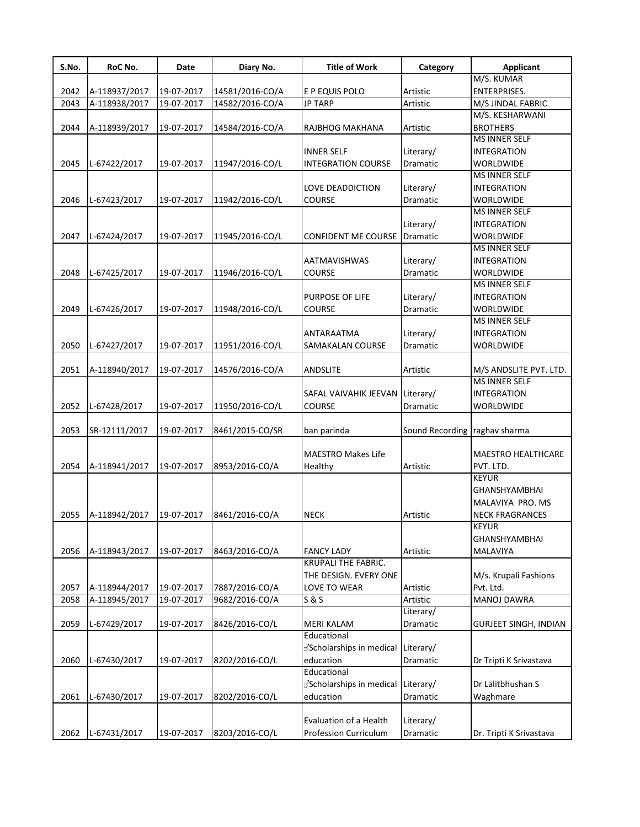| S.No. | RoC No.       | Date       | Diary No.       | <b>Title of Work</b>       | Category        | <b>Applicant</b>             |
|-------|---------------|------------|-----------------|----------------------------|-----------------|------------------------------|
|       |               |            |                 |                            |                 | M/S. KUMAR                   |
| 2042  | A-118937/2017 | 19-07-2017 | 14581/2016-CO/A | E P EQUIS POLO             | Artistic        | <b>ENTERPRISES.</b>          |
| 2043  | A-118938/2017 | 19-07-2017 | 14582/2016-CO/A | <b>JP TARP</b>             | Artistic        | M/S JINDAL FABRIC            |
|       |               |            |                 |                            |                 | M/S. KESHARWANI              |
| 2044  | A-118939/2017 | 19-07-2017 | 14584/2016-CO/A | RAJBHOG MAKHANA            | Artistic        | <b>BROTHERS</b>              |
|       |               |            |                 |                            |                 | <b>MS INNER SELF</b>         |
|       |               |            |                 | <b>INNER SELF</b>          | Literary/       | INTEGRATION                  |
| 2045  | L-67422/2017  | 19-07-2017 | 11947/2016-CO/L | <b>INTEGRATION COURSE</b>  | Dramatic        | WORLDWIDE                    |
|       |               |            |                 |                            |                 | <b>MS INNER SELF</b>         |
|       |               |            |                 | LOVE DEADDICTION           | Literary/       | <b>INTEGRATION</b>           |
| 2046  | L-67423/2017  | 19-07-2017 | 11942/2016-CO/L | <b>COURSE</b>              | Dramatic        | WORLDWIDE                    |
|       |               |            |                 |                            |                 | <b>MS INNER SELF</b>         |
|       |               |            |                 |                            | Literary/       | <b>INTEGRATION</b>           |
| 2047  | L-67424/2017  | 19-07-2017 | 11945/2016-CO/L | <b>CONFIDENT ME COURSE</b> | Dramatic        | <b>WORLDWIDE</b>             |
|       |               |            |                 |                            |                 | MS INNER SELF                |
|       |               |            |                 | AATMAVISHWAS               | Literary/       | <b>INTEGRATION</b>           |
| 2048  | L-67425/2017  | 19-07-2017 | 11946/2016-CO/L | COURSE                     | Dramatic        | WORLDWIDE                    |
|       |               |            |                 |                            |                 | <b>MS INNER SELF</b>         |
|       |               |            |                 | PURPOSE OF LIFE            | Literary/       | <b>INTEGRATION</b>           |
| 2049  |               |            |                 | <b>COURSE</b>              |                 | <b>WORLDWIDE</b>             |
|       | L-67426/2017  | 19-07-2017 | 11948/2016-CO/L |                            | Dramatic        | <b>MS INNER SELF</b>         |
|       |               |            |                 |                            |                 |                              |
|       |               |            |                 | ANTARAATMA                 | Literary/       | <b>INTEGRATION</b>           |
| 2050  | L-67427/2017  | 19-07-2017 | 11951/2016-CO/L | SAMAKALAN COURSE           | Dramatic        | WORLDWIDE                    |
|       |               |            |                 |                            |                 |                              |
| 2051  | A-118940/2017 | 19-07-2017 | 14576/2016-CO/A | ANDSLITE                   | Artistic        | M/S ANDSLITE PVT. LTD.       |
|       |               |            |                 |                            |                 | MS INNER SELF                |
|       |               |            |                 | SAFAL VAIVAHIK JEEVAN      | Literary/       | <b>INTEGRATION</b>           |
| 2052  | L-67428/2017  | 19-07-2017 | 11950/2016-CO/L | <b>COURSE</b>              | Dramatic        | WORLDWIDE                    |
|       |               |            |                 |                            |                 |                              |
| 2053  | SR-12111/2017 | 19-07-2017 | 8461/2015-CO/SR | ban parinda                | Sound Recording | raghav sharma                |
|       |               |            |                 |                            |                 |                              |
|       |               |            |                 | <b>MAESTRO Makes Life</b>  |                 | <b>MAESTRO HEALTHCARE</b>    |
| 2054  | A-118941/2017 | 19-07-2017 | 8953/2016-CO/A  | Healthy                    | Artistic        | PVT. LTD.                    |
|       |               |            |                 |                            |                 | <b>KEYUR</b>                 |
|       |               |            |                 |                            |                 | <b>GHANSHYAMBHAI</b>         |
|       |               |            |                 |                            |                 | MALAVIYA PRO. MS             |
| 2055  | A-118942/2017 | 19-07-2017 | 8461/2016-CO/A  | <b>NECK</b>                | Artistic        | <b>NECK FRAGRANCES</b>       |
|       |               |            |                 |                            |                 | <b>KEYUR</b>                 |
|       |               |            |                 |                            |                 | <b>GHANSHYAMBHAI</b>         |
| 2056  | A-118943/2017 | 19-07-2017 | 8463/2016-CO/A  | <b>FANCY LADY</b>          | Artistic        | MALAVIYA                     |
|       |               |            |                 | KRUPALI THE FABRIC.        |                 |                              |
|       |               |            |                 | THE DESIGN. EVERY ONE      |                 | M/s. Krupali Fashions        |
| 2057  | A-118944/2017 | 19-07-2017 | 7887/2016-CO/A  | LOVE TO WEAR               | Artistic        | Pvt. Ltd.                    |
| 2058  | A-118945/2017 | 19-07-2017 | 9682/2016-CO/A  | S & S                      | Artistic        | <b>MANOJ DAWRA</b>           |
|       |               |            |                 |                            | Literary/       |                              |
| 2059  | L-67429/2017  | 19-07-2017 | 8426/2016-CO/L  | <b>MERI KALAM</b>          | Dramatic        | <b>GURJEET SINGH, INDIAN</b> |
|       |               |            |                 | Educational                |                 |                              |
|       |               |            |                 |                            |                 |                              |
|       |               |            |                 | Scholarships in medical    | Literary/       |                              |
| 2060  | L-67430/2017  | 19-07-2017 | 8202/2016-CO/L  | education                  | Dramatic        | Dr Tripti K Srivastava       |
|       |               |            |                 | Educational                |                 |                              |
|       |               |            |                 | Scholarships in medical    | Literary/       | Dr Lalitbhushan S            |
| 2061  | L-67430/2017  | 19-07-2017 | 8202/2016-CO/L  | education                  | Dramatic        | Waghmare                     |
|       |               |            |                 |                            |                 |                              |
|       |               |            |                 | Evaluation of a Health     | Literary/       |                              |
| 2062  | L-67431/2017  | 19-07-2017 | 8203/2016-CO/L  | Profession Curriculum      | Dramatic        | Dr. Tripti K Srivastava      |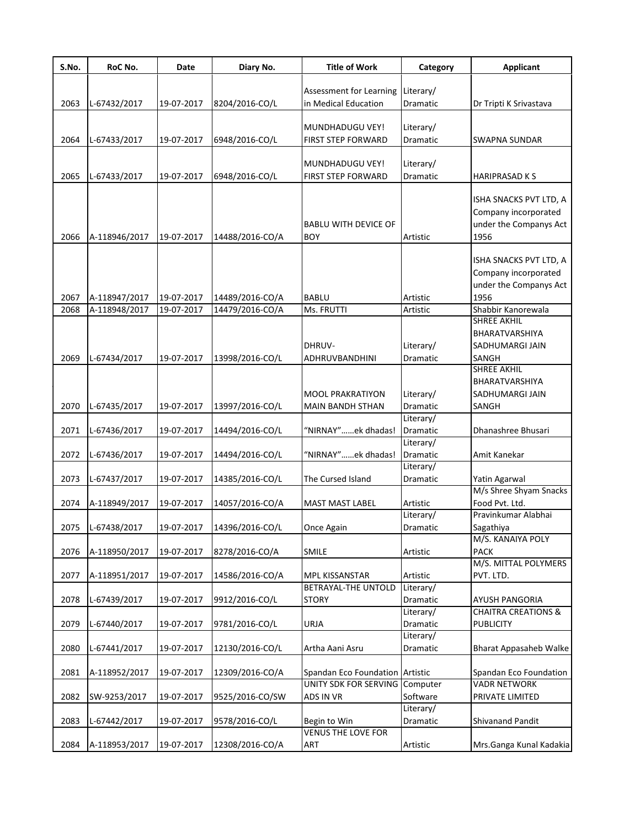| S.No. | RoC No.       | Date       | Diary No.       | <b>Title of Work</b>            | Category  | <b>Applicant</b>               |
|-------|---------------|------------|-----------------|---------------------------------|-----------|--------------------------------|
|       |               |            |                 |                                 |           |                                |
|       |               |            |                 | Assessment for Learning         | Literary/ |                                |
| 2063  | L-67432/2017  | 19-07-2017 | 8204/2016-CO/L  | in Medical Education            | Dramatic  | Dr Tripti K Srivastava         |
|       |               |            |                 |                                 |           |                                |
|       |               |            |                 | MUNDHADUGU VEY!                 | Literary/ |                                |
| 2064  | L-67433/2017  | 19-07-2017 | 6948/2016-CO/L  | FIRST STEP FORWARD              | Dramatic  | <b>SWAPNA SUNDAR</b>           |
|       |               |            |                 | MUNDHADUGU VEY!                 | Literary/ |                                |
| 2065  | L-67433/2017  | 19-07-2017 | 6948/2016-CO/L  | FIRST STEP FORWARD              | Dramatic  | <b>HARIPRASAD KS</b>           |
|       |               |            |                 |                                 |           |                                |
|       |               |            |                 |                                 |           | ISHA SNACKS PVT LTD, A         |
|       |               |            |                 |                                 |           | Company incorporated           |
|       |               |            |                 | <b>BABLU WITH DEVICE OF</b>     |           | under the Companys Act         |
| 2066  | A-118946/2017 | 19-07-2017 | 14488/2016-CO/A | <b>BOY</b>                      | Artistic  | 1956                           |
|       |               |            |                 |                                 |           |                                |
|       |               |            |                 |                                 |           | ISHA SNACKS PVT LTD, A         |
|       |               |            |                 |                                 |           | Company incorporated           |
|       |               |            |                 |                                 |           | under the Companys Act         |
| 2067  | A-118947/2017 | 19-07-2017 | 14489/2016-CO/A | <b>BABLU</b>                    | Artistic  | 1956                           |
| 2068  | A-118948/2017 | 19-07-2017 | 14479/2016-CO/A | Ms. FRUTTI                      | Artistic  | Shabbir Kanorewala             |
|       |               |            |                 |                                 |           | <b>SHREE AKHIL</b>             |
|       |               |            |                 |                                 |           | BHARATVARSHIYA                 |
|       |               |            |                 | DHRUV-                          | Literary/ | SADHUMARGI JAIN                |
| 2069  | L-67434/2017  | 19-07-2017 | 13998/2016-CO/L | ADHRUVBANDHINI                  | Dramatic  | SANGH                          |
|       |               |            |                 |                                 |           | SHREE AKHIL                    |
|       |               |            |                 |                                 |           | BHARATVARSHIYA                 |
|       |               |            |                 | <b>MOOL PRAKRATIYON</b>         | Literary/ | SADHUMARGI JAIN                |
| 2070  | L-67435/2017  | 19-07-2017 | 13997/2016-CO/L | MAIN BANDH STHAN                | Dramatic  | SANGH                          |
|       |               |            |                 |                                 | Literary/ |                                |
| 2071  | L-67436/2017  | 19-07-2017 | 14494/2016-CO/L | "NIRNAY"ek dhadas!              | Dramatic  | Dhanashree Bhusari             |
|       |               |            |                 |                                 | Literary/ |                                |
| 2072  | L-67436/2017  | 19-07-2017 | 14494/2016-CO/L | "NIRNAY"ek dhadas!              | Dramatic  | Amit Kanekar                   |
|       |               |            |                 |                                 | Literary/ |                                |
| 2073  | L-67437/2017  | 19-07-2017 | 14385/2016-CO/L | The Cursed Island               | Dramatic  | Yatin Agarwal                  |
|       |               |            |                 |                                 |           | M/s Shree Shyam Snacks         |
| 2074  | A-118949/2017 | 19-07-2017 | 14057/2016-CO/A | <b>MAST MAST LABEL</b>          | Artistic  | Food Pvt. Ltd.                 |
|       |               |            |                 |                                 | Literary/ | Pravinkumar Alabhai            |
| 2075  | L-67438/2017  | 19-07-2017 | 14396/2016-CO/L | Once Again                      | Dramatic  | Sagathiya                      |
|       |               |            |                 |                                 |           | M/S. KANAIYA POLY              |
| 2076  | A-118950/2017 | 19-07-2017 | 8278/2016-CO/A  | SMILE                           | Artistic  | <b>PACK</b>                    |
|       |               |            |                 |                                 |           | M/S. MITTAL POLYMERS           |
| 2077  | A-118951/2017 | 19-07-2017 | 14586/2016-CO/A | MPL KISSANSTAR                  | Artistic  | PVT. LTD.                      |
|       |               |            |                 | BETRAYAL-THE UNTOLD             | Literary/ |                                |
| 2078  | L-67439/2017  | 19-07-2017 | 9912/2016-CO/L  | <b>STORY</b>                    | Dramatic  | <b>AYUSH PANGORIA</b>          |
|       |               |            |                 |                                 | Literary/ | <b>CHAITRA CREATIONS &amp;</b> |
| 2079  | L-67440/2017  | 19-07-2017 | 9781/2016-CO/L  | URJA                            | Dramatic  | <b>PUBLICITY</b>               |
|       |               |            |                 |                                 | Literary/ |                                |
| 2080  | L-67441/2017  | 19-07-2017 | 12130/2016-CO/L | Artha Aani Asru                 | Dramatic  | <b>Bharat Appasaheb Walke</b>  |
|       |               |            |                 |                                 |           |                                |
| 2081  | A-118952/2017 | 19-07-2017 | 12309/2016-CO/A | Spandan Eco Foundation Artistic |           | Spandan Eco Foundation         |
|       |               |            |                 | UNITY SDK FOR SERVING           | Computer  | <b>VADR NETWORK</b>            |
| 2082  | SW-9253/2017  | 19-07-2017 | 9525/2016-CO/SW | ADS IN VR                       | Software  | PRIVATE LIMITED                |
|       |               |            |                 |                                 | Literary/ |                                |
| 2083  | L-67442/2017  | 19-07-2017 | 9578/2016-CO/L  | Begin to Win                    | Dramatic  | Shivanand Pandit               |
|       |               |            |                 | <b>VENUS THE LOVE FOR</b>       |           |                                |
| 2084  | A-118953/2017 | 19-07-2017 | 12308/2016-CO/A | ART                             | Artistic  | Mrs.Ganga Kunal Kadakia        |
|       |               |            |                 |                                 |           |                                |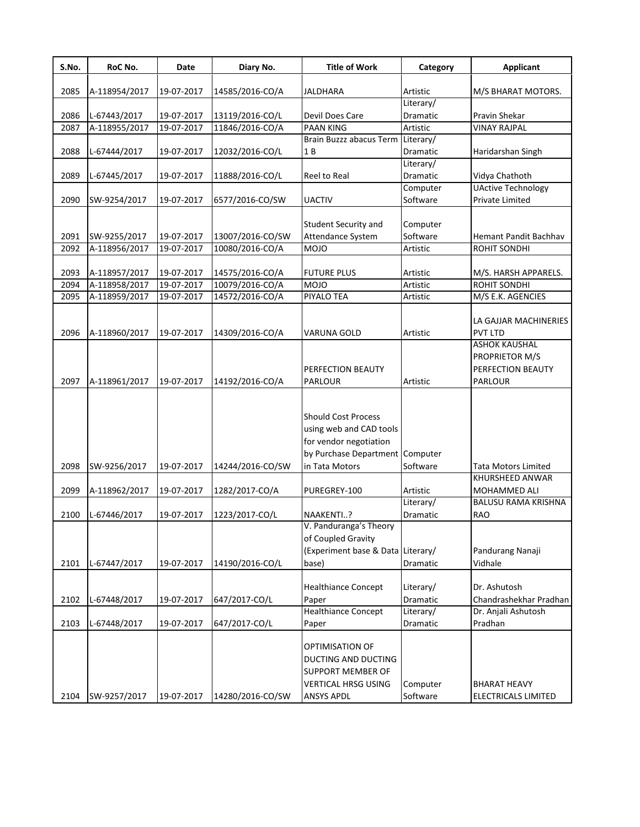| 2085<br>A-118954/2017<br>19-07-2017<br>14585/2016-CO/A<br>JALDHARA<br>Artistic<br>Literary/<br>19-07-2017<br>Devil Does Care<br>Pravin Shekar<br>2086<br>L-67443/2017<br>13119/2016-CO/L<br>Dramatic<br><b>PAAN KING</b><br>A-118955/2017<br>19-07-2017<br>11846/2016-CO/A<br><b>VINAY RAJPAL</b><br>2087<br>Artistic<br>Brain Buzzz abacus Term<br>Literary/<br>L-67444/2017<br>2088<br>19-07-2017<br>12032/2016-CO/L<br>1B<br>Dramatic<br>Haridarshan Singh<br>Literary/<br>Dramatic<br>Vidya Chathoth<br>2089<br>L-67445/2017<br>19-07-2017<br>11888/2016-CO/L<br>Reel to Real<br>Computer<br><b>UActive Technology</b><br>Software<br><b>Private Limited</b><br>2090<br>SW-9254/2017<br>19-07-2017<br>6577/2016-CO/SW<br><b>UACTIV</b><br>Student Security and<br>Computer<br>Software<br>SW-9255/2017<br>13007/2016-CO/SW<br>Attendance System<br>2091<br>19-07-2017<br>A-118956/2017<br>19-07-2017<br><b>MOJO</b><br>2092<br>10080/2016-CO/A<br>Artistic<br>ROHIT SONDHI<br>2093<br>A-118957/2017<br>19-07-2017<br>14575/2016-CO/A<br><b>FUTURE PLUS</b><br>Artistic<br>19-07-2017<br>10079/2016-CO/A<br><b>MOJO</b><br>ROHIT SONDHI<br>2094<br>A-118958/2017<br>Artistic<br>2095<br>A-118959/2017<br>19-07-2017<br>14572/2016-CO/A<br>PIYALO TEA<br>M/S E.K. AGENCIES<br>Artistic<br><b>PVT LTD</b><br>2096<br>A-118960/2017<br>19-07-2017<br>14309/2016-CO/A<br>VARUNA GOLD<br>Artistic<br><b>ASHOK KAUSHAL</b><br>PROPRIETOR M/S<br>PERFECTION BEAUTY<br>PERFECTION BEAUTY<br>2097<br>A-118961/2017<br>19-07-2017<br>14192/2016-CO/A<br>PARLOUR<br>PARLOUR<br>Artistic<br><b>Should Cost Process</b><br>using web and CAD tools<br>for vendor negotiation<br>by Purchase Department Computer<br>2098<br>19-07-2017<br>14244/2016-CO/SW<br>Software<br>SW-9256/2017<br>in Tata Motors<br><b>Tata Motors Limited</b><br>KHURSHEED ANWAR<br>2099<br>A-118962/2017<br>19-07-2017<br>1282/2017-CO/A<br>PUREGREY-100<br>Artistic<br>MOHAMMED ALI<br>Literary/<br><b>RAO</b><br>2100<br>L-67446/2017<br>19-07-2017<br>1223/2017-CO/L<br>NAAKENTI?<br>Dramatic<br>V. Panduranga's Theory<br>of Coupled Gravity<br>(Experiment base & Data Literary/<br>Pandurang Nanaji<br>2101<br>L-67447/2017<br>19-07-2017<br>14190/2016-CO/L<br>base)<br>Vidhale<br>Dramatic<br><b>Healthiance Concept</b><br>Dr. Ashutosh<br>Literary/<br>2102<br>19-07-2017<br>L-67448/2017<br>647/2017-CO/L<br>Dramatic<br>Paper<br><b>Healthiance Concept</b><br>Dr. Anjali Ashutosh<br>Literary/<br>2103<br>L-67448/2017<br>19-07-2017<br>647/2017-CO/L<br>Pradhan<br>Dramatic<br>Paper<br>OPTIMISATION OF | <b>Applicant</b>           |
|--------------------------------------------------------------------------------------------------------------------------------------------------------------------------------------------------------------------------------------------------------------------------------------------------------------------------------------------------------------------------------------------------------------------------------------------------------------------------------------------------------------------------------------------------------------------------------------------------------------------------------------------------------------------------------------------------------------------------------------------------------------------------------------------------------------------------------------------------------------------------------------------------------------------------------------------------------------------------------------------------------------------------------------------------------------------------------------------------------------------------------------------------------------------------------------------------------------------------------------------------------------------------------------------------------------------------------------------------------------------------------------------------------------------------------------------------------------------------------------------------------------------------------------------------------------------------------------------------------------------------------------------------------------------------------------------------------------------------------------------------------------------------------------------------------------------------------------------------------------------------------------------------------------------------------------------------------------------------------------------------------------------------------------------------------------------------------------------------------------------------------------------------------------------------------------------------------------------------------------------------------------------------------------------------------------------------------------------------------------------------------------------------------------------------------------------------------------------------------------------------------------------------------------------------------------------------------------|----------------------------|
|                                                                                                                                                                                                                                                                                                                                                                                                                                                                                                                                                                                                                                                                                                                                                                                                                                                                                                                                                                                                                                                                                                                                                                                                                                                                                                                                                                                                                                                                                                                                                                                                                                                                                                                                                                                                                                                                                                                                                                                                                                                                                                                                                                                                                                                                                                                                                                                                                                                                                                                                                                                      | M/S BHARAT MOTORS.         |
|                                                                                                                                                                                                                                                                                                                                                                                                                                                                                                                                                                                                                                                                                                                                                                                                                                                                                                                                                                                                                                                                                                                                                                                                                                                                                                                                                                                                                                                                                                                                                                                                                                                                                                                                                                                                                                                                                                                                                                                                                                                                                                                                                                                                                                                                                                                                                                                                                                                                                                                                                                                      |                            |
|                                                                                                                                                                                                                                                                                                                                                                                                                                                                                                                                                                                                                                                                                                                                                                                                                                                                                                                                                                                                                                                                                                                                                                                                                                                                                                                                                                                                                                                                                                                                                                                                                                                                                                                                                                                                                                                                                                                                                                                                                                                                                                                                                                                                                                                                                                                                                                                                                                                                                                                                                                                      |                            |
|                                                                                                                                                                                                                                                                                                                                                                                                                                                                                                                                                                                                                                                                                                                                                                                                                                                                                                                                                                                                                                                                                                                                                                                                                                                                                                                                                                                                                                                                                                                                                                                                                                                                                                                                                                                                                                                                                                                                                                                                                                                                                                                                                                                                                                                                                                                                                                                                                                                                                                                                                                                      |                            |
|                                                                                                                                                                                                                                                                                                                                                                                                                                                                                                                                                                                                                                                                                                                                                                                                                                                                                                                                                                                                                                                                                                                                                                                                                                                                                                                                                                                                                                                                                                                                                                                                                                                                                                                                                                                                                                                                                                                                                                                                                                                                                                                                                                                                                                                                                                                                                                                                                                                                                                                                                                                      |                            |
|                                                                                                                                                                                                                                                                                                                                                                                                                                                                                                                                                                                                                                                                                                                                                                                                                                                                                                                                                                                                                                                                                                                                                                                                                                                                                                                                                                                                                                                                                                                                                                                                                                                                                                                                                                                                                                                                                                                                                                                                                                                                                                                                                                                                                                                                                                                                                                                                                                                                                                                                                                                      |                            |
|                                                                                                                                                                                                                                                                                                                                                                                                                                                                                                                                                                                                                                                                                                                                                                                                                                                                                                                                                                                                                                                                                                                                                                                                                                                                                                                                                                                                                                                                                                                                                                                                                                                                                                                                                                                                                                                                                                                                                                                                                                                                                                                                                                                                                                                                                                                                                                                                                                                                                                                                                                                      |                            |
|                                                                                                                                                                                                                                                                                                                                                                                                                                                                                                                                                                                                                                                                                                                                                                                                                                                                                                                                                                                                                                                                                                                                                                                                                                                                                                                                                                                                                                                                                                                                                                                                                                                                                                                                                                                                                                                                                                                                                                                                                                                                                                                                                                                                                                                                                                                                                                                                                                                                                                                                                                                      |                            |
|                                                                                                                                                                                                                                                                                                                                                                                                                                                                                                                                                                                                                                                                                                                                                                                                                                                                                                                                                                                                                                                                                                                                                                                                                                                                                                                                                                                                                                                                                                                                                                                                                                                                                                                                                                                                                                                                                                                                                                                                                                                                                                                                                                                                                                                                                                                                                                                                                                                                                                                                                                                      |                            |
|                                                                                                                                                                                                                                                                                                                                                                                                                                                                                                                                                                                                                                                                                                                                                                                                                                                                                                                                                                                                                                                                                                                                                                                                                                                                                                                                                                                                                                                                                                                                                                                                                                                                                                                                                                                                                                                                                                                                                                                                                                                                                                                                                                                                                                                                                                                                                                                                                                                                                                                                                                                      |                            |
|                                                                                                                                                                                                                                                                                                                                                                                                                                                                                                                                                                                                                                                                                                                                                                                                                                                                                                                                                                                                                                                                                                                                                                                                                                                                                                                                                                                                                                                                                                                                                                                                                                                                                                                                                                                                                                                                                                                                                                                                                                                                                                                                                                                                                                                                                                                                                                                                                                                                                                                                                                                      |                            |
|                                                                                                                                                                                                                                                                                                                                                                                                                                                                                                                                                                                                                                                                                                                                                                                                                                                                                                                                                                                                                                                                                                                                                                                                                                                                                                                                                                                                                                                                                                                                                                                                                                                                                                                                                                                                                                                                                                                                                                                                                                                                                                                                                                                                                                                                                                                                                                                                                                                                                                                                                                                      |                            |
|                                                                                                                                                                                                                                                                                                                                                                                                                                                                                                                                                                                                                                                                                                                                                                                                                                                                                                                                                                                                                                                                                                                                                                                                                                                                                                                                                                                                                                                                                                                                                                                                                                                                                                                                                                                                                                                                                                                                                                                                                                                                                                                                                                                                                                                                                                                                                                                                                                                                                                                                                                                      | Hemant Pandit Bachhav      |
|                                                                                                                                                                                                                                                                                                                                                                                                                                                                                                                                                                                                                                                                                                                                                                                                                                                                                                                                                                                                                                                                                                                                                                                                                                                                                                                                                                                                                                                                                                                                                                                                                                                                                                                                                                                                                                                                                                                                                                                                                                                                                                                                                                                                                                                                                                                                                                                                                                                                                                                                                                                      |                            |
|                                                                                                                                                                                                                                                                                                                                                                                                                                                                                                                                                                                                                                                                                                                                                                                                                                                                                                                                                                                                                                                                                                                                                                                                                                                                                                                                                                                                                                                                                                                                                                                                                                                                                                                                                                                                                                                                                                                                                                                                                                                                                                                                                                                                                                                                                                                                                                                                                                                                                                                                                                                      |                            |
|                                                                                                                                                                                                                                                                                                                                                                                                                                                                                                                                                                                                                                                                                                                                                                                                                                                                                                                                                                                                                                                                                                                                                                                                                                                                                                                                                                                                                                                                                                                                                                                                                                                                                                                                                                                                                                                                                                                                                                                                                                                                                                                                                                                                                                                                                                                                                                                                                                                                                                                                                                                      | M/S. HARSH APPARELS.       |
|                                                                                                                                                                                                                                                                                                                                                                                                                                                                                                                                                                                                                                                                                                                                                                                                                                                                                                                                                                                                                                                                                                                                                                                                                                                                                                                                                                                                                                                                                                                                                                                                                                                                                                                                                                                                                                                                                                                                                                                                                                                                                                                                                                                                                                                                                                                                                                                                                                                                                                                                                                                      |                            |
|                                                                                                                                                                                                                                                                                                                                                                                                                                                                                                                                                                                                                                                                                                                                                                                                                                                                                                                                                                                                                                                                                                                                                                                                                                                                                                                                                                                                                                                                                                                                                                                                                                                                                                                                                                                                                                                                                                                                                                                                                                                                                                                                                                                                                                                                                                                                                                                                                                                                                                                                                                                      |                            |
|                                                                                                                                                                                                                                                                                                                                                                                                                                                                                                                                                                                                                                                                                                                                                                                                                                                                                                                                                                                                                                                                                                                                                                                                                                                                                                                                                                                                                                                                                                                                                                                                                                                                                                                                                                                                                                                                                                                                                                                                                                                                                                                                                                                                                                                                                                                                                                                                                                                                                                                                                                                      |                            |
|                                                                                                                                                                                                                                                                                                                                                                                                                                                                                                                                                                                                                                                                                                                                                                                                                                                                                                                                                                                                                                                                                                                                                                                                                                                                                                                                                                                                                                                                                                                                                                                                                                                                                                                                                                                                                                                                                                                                                                                                                                                                                                                                                                                                                                                                                                                                                                                                                                                                                                                                                                                      | LA GAJJAR MACHINERIES      |
|                                                                                                                                                                                                                                                                                                                                                                                                                                                                                                                                                                                                                                                                                                                                                                                                                                                                                                                                                                                                                                                                                                                                                                                                                                                                                                                                                                                                                                                                                                                                                                                                                                                                                                                                                                                                                                                                                                                                                                                                                                                                                                                                                                                                                                                                                                                                                                                                                                                                                                                                                                                      |                            |
|                                                                                                                                                                                                                                                                                                                                                                                                                                                                                                                                                                                                                                                                                                                                                                                                                                                                                                                                                                                                                                                                                                                                                                                                                                                                                                                                                                                                                                                                                                                                                                                                                                                                                                                                                                                                                                                                                                                                                                                                                                                                                                                                                                                                                                                                                                                                                                                                                                                                                                                                                                                      |                            |
|                                                                                                                                                                                                                                                                                                                                                                                                                                                                                                                                                                                                                                                                                                                                                                                                                                                                                                                                                                                                                                                                                                                                                                                                                                                                                                                                                                                                                                                                                                                                                                                                                                                                                                                                                                                                                                                                                                                                                                                                                                                                                                                                                                                                                                                                                                                                                                                                                                                                                                                                                                                      |                            |
|                                                                                                                                                                                                                                                                                                                                                                                                                                                                                                                                                                                                                                                                                                                                                                                                                                                                                                                                                                                                                                                                                                                                                                                                                                                                                                                                                                                                                                                                                                                                                                                                                                                                                                                                                                                                                                                                                                                                                                                                                                                                                                                                                                                                                                                                                                                                                                                                                                                                                                                                                                                      |                            |
|                                                                                                                                                                                                                                                                                                                                                                                                                                                                                                                                                                                                                                                                                                                                                                                                                                                                                                                                                                                                                                                                                                                                                                                                                                                                                                                                                                                                                                                                                                                                                                                                                                                                                                                                                                                                                                                                                                                                                                                                                                                                                                                                                                                                                                                                                                                                                                                                                                                                                                                                                                                      |                            |
|                                                                                                                                                                                                                                                                                                                                                                                                                                                                                                                                                                                                                                                                                                                                                                                                                                                                                                                                                                                                                                                                                                                                                                                                                                                                                                                                                                                                                                                                                                                                                                                                                                                                                                                                                                                                                                                                                                                                                                                                                                                                                                                                                                                                                                                                                                                                                                                                                                                                                                                                                                                      |                            |
|                                                                                                                                                                                                                                                                                                                                                                                                                                                                                                                                                                                                                                                                                                                                                                                                                                                                                                                                                                                                                                                                                                                                                                                                                                                                                                                                                                                                                                                                                                                                                                                                                                                                                                                                                                                                                                                                                                                                                                                                                                                                                                                                                                                                                                                                                                                                                                                                                                                                                                                                                                                      |                            |
|                                                                                                                                                                                                                                                                                                                                                                                                                                                                                                                                                                                                                                                                                                                                                                                                                                                                                                                                                                                                                                                                                                                                                                                                                                                                                                                                                                                                                                                                                                                                                                                                                                                                                                                                                                                                                                                                                                                                                                                                                                                                                                                                                                                                                                                                                                                                                                                                                                                                                                                                                                                      |                            |
|                                                                                                                                                                                                                                                                                                                                                                                                                                                                                                                                                                                                                                                                                                                                                                                                                                                                                                                                                                                                                                                                                                                                                                                                                                                                                                                                                                                                                                                                                                                                                                                                                                                                                                                                                                                                                                                                                                                                                                                                                                                                                                                                                                                                                                                                                                                                                                                                                                                                                                                                                                                      |                            |
|                                                                                                                                                                                                                                                                                                                                                                                                                                                                                                                                                                                                                                                                                                                                                                                                                                                                                                                                                                                                                                                                                                                                                                                                                                                                                                                                                                                                                                                                                                                                                                                                                                                                                                                                                                                                                                                                                                                                                                                                                                                                                                                                                                                                                                                                                                                                                                                                                                                                                                                                                                                      | <b>BALUSU RAMA KRISHNA</b> |
|                                                                                                                                                                                                                                                                                                                                                                                                                                                                                                                                                                                                                                                                                                                                                                                                                                                                                                                                                                                                                                                                                                                                                                                                                                                                                                                                                                                                                                                                                                                                                                                                                                                                                                                                                                                                                                                                                                                                                                                                                                                                                                                                                                                                                                                                                                                                                                                                                                                                                                                                                                                      |                            |
|                                                                                                                                                                                                                                                                                                                                                                                                                                                                                                                                                                                                                                                                                                                                                                                                                                                                                                                                                                                                                                                                                                                                                                                                                                                                                                                                                                                                                                                                                                                                                                                                                                                                                                                                                                                                                                                                                                                                                                                                                                                                                                                                                                                                                                                                                                                                                                                                                                                                                                                                                                                      |                            |
|                                                                                                                                                                                                                                                                                                                                                                                                                                                                                                                                                                                                                                                                                                                                                                                                                                                                                                                                                                                                                                                                                                                                                                                                                                                                                                                                                                                                                                                                                                                                                                                                                                                                                                                                                                                                                                                                                                                                                                                                                                                                                                                                                                                                                                                                                                                                                                                                                                                                                                                                                                                      |                            |
|                                                                                                                                                                                                                                                                                                                                                                                                                                                                                                                                                                                                                                                                                                                                                                                                                                                                                                                                                                                                                                                                                                                                                                                                                                                                                                                                                                                                                                                                                                                                                                                                                                                                                                                                                                                                                                                                                                                                                                                                                                                                                                                                                                                                                                                                                                                                                                                                                                                                                                                                                                                      |                            |
|                                                                                                                                                                                                                                                                                                                                                                                                                                                                                                                                                                                                                                                                                                                                                                                                                                                                                                                                                                                                                                                                                                                                                                                                                                                                                                                                                                                                                                                                                                                                                                                                                                                                                                                                                                                                                                                                                                                                                                                                                                                                                                                                                                                                                                                                                                                                                                                                                                                                                                                                                                                      | Chandrashekhar Pradhan     |
|                                                                                                                                                                                                                                                                                                                                                                                                                                                                                                                                                                                                                                                                                                                                                                                                                                                                                                                                                                                                                                                                                                                                                                                                                                                                                                                                                                                                                                                                                                                                                                                                                                                                                                                                                                                                                                                                                                                                                                                                                                                                                                                                                                                                                                                                                                                                                                                                                                                                                                                                                                                      |                            |
|                                                                                                                                                                                                                                                                                                                                                                                                                                                                                                                                                                                                                                                                                                                                                                                                                                                                                                                                                                                                                                                                                                                                                                                                                                                                                                                                                                                                                                                                                                                                                                                                                                                                                                                                                                                                                                                                                                                                                                                                                                                                                                                                                                                                                                                                                                                                                                                                                                                                                                                                                                                      |                            |
| DUCTING AND DUCTING<br>SUPPORT MEMBER OF<br>VERTICAL HRSG USING<br>Computer<br><b>BHARAT HEAVY</b><br>Software<br>2104<br>SW-9257/2017<br>14280/2016-CO/SW<br>ANSYS APDL<br>ELECTRICALS LIMITED<br>19-07-2017                                                                                                                                                                                                                                                                                                                                                                                                                                                                                                                                                                                                                                                                                                                                                                                                                                                                                                                                                                                                                                                                                                                                                                                                                                                                                                                                                                                                                                                                                                                                                                                                                                                                                                                                                                                                                                                                                                                                                                                                                                                                                                                                                                                                                                                                                                                                                                        |                            |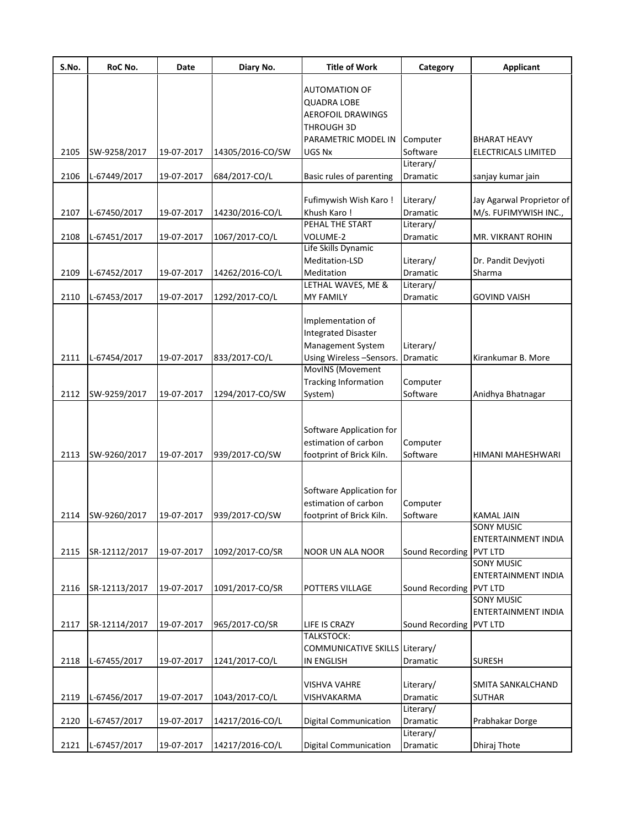| S.No. | RoC No.       | Date       | Diary No.        | <b>Title of Work</b>           | Category                | <b>Applicant</b>                  |
|-------|---------------|------------|------------------|--------------------------------|-------------------------|-----------------------------------|
|       |               |            |                  | <b>AUTOMATION OF</b>           |                         |                                   |
|       |               |            |                  | <b>QUADRA LOBE</b>             |                         |                                   |
|       |               |            |                  | <b>AEROFOIL DRAWINGS</b>       |                         |                                   |
|       |               |            |                  | <b>THROUGH 3D</b>              |                         |                                   |
|       |               |            |                  | PARAMETRIC MODEL IN            | Computer                | <b>BHARAT HEAVY</b>               |
| 2105  | SW-9258/2017  | 19-07-2017 | 14305/2016-CO/SW | UGS Nx                         | Software                | ELECTRICALS LIMITED               |
|       |               |            |                  |                                | Literary/               |                                   |
| 2106  | L-67449/2017  | 19-07-2017 | 684/2017-CO/L    | Basic rules of parenting       | Dramatic                | sanjay kumar jain                 |
|       |               |            |                  |                                |                         |                                   |
|       |               |            |                  | Fufimywish Wish Karo!          | Literary/               | Jay Agarwal Proprietor of         |
| 2107  | L-67450/2017  | 19-07-2017 | 14230/2016-CO/L  | Khush Karo !                   | Dramatic                | M/s. FUFIMYWISH INC.,             |
|       |               |            |                  | PEHAL THE START                | Literary/               |                                   |
| 2108  | L-67451/2017  | 19-07-2017 | 1067/2017-CO/L   | VOLUME-2                       | Dramatic                | MR. VIKRANT ROHIN                 |
|       |               |            |                  | Life Skills Dynamic            |                         |                                   |
|       |               |            |                  | Meditation-LSD                 | Literary/               | Dr. Pandit Devjyoti               |
| 2109  | L-67452/2017  | 19-07-2017 | 14262/2016-CO/L  | Meditation                     | Dramatic                | Sharma                            |
|       |               |            |                  | LETHAL WAVES, ME &             | Literary/               |                                   |
| 2110  | L-67453/2017  | 19-07-2017 | 1292/2017-CO/L   | <b>MY FAMILY</b>               | Dramatic                | <b>GOVIND VAISH</b>               |
|       |               |            |                  | Implementation of              |                         |                                   |
|       |               |            |                  | <b>Integrated Disaster</b>     |                         |                                   |
|       |               |            |                  | Management System              | Literary/               |                                   |
| 2111  | L-67454/2017  | 19-07-2017 | 833/2017-CO/L    | Using Wireless -Sensors.       | Dramatic                | Kirankumar B. More                |
|       |               |            |                  | <b>MovINS</b> (Movement        |                         |                                   |
|       |               |            |                  | <b>Tracking Information</b>    | Computer                |                                   |
| 2112  | SW-9259/2017  | 19-07-2017 | 1294/2017-CO/SW  | System)                        | Software                | Anidhya Bhatnagar                 |
|       |               |            |                  |                                |                         |                                   |
|       |               |            |                  | Software Application for       |                         |                                   |
|       |               |            |                  | estimation of carbon           | Computer                |                                   |
| 2113  | SW-9260/2017  | 19-07-2017 | 939/2017-CO/SW   | footprint of Brick Kiln.       | Software                | HIMANI MAHESHWARI                 |
|       |               |            |                  |                                |                         |                                   |
|       |               |            |                  | Software Application for       |                         |                                   |
|       |               |            |                  | estimation of carbon           | Computer                |                                   |
| 2114  | SW-9260/2017  | 19-07-2017 | 939/2017-CO/SW   | footprint of Brick Kiln.       | Software                | <b>KAMAL JAIN</b>                 |
|       |               |            |                  |                                |                         | SONY MUSIC<br>ENTERTAINMENT INDIA |
| 2115  | SR-12112/2017 | 19-07-2017 | 1092/2017-CO/SR  | <b>NOOR UN ALA NOOR</b>        | Sound Recording PVT LTD |                                   |
|       |               |            |                  |                                |                         | SONY MUSIC                        |
|       |               |            |                  |                                |                         | <b>ENTERTAINMENT INDIA</b>        |
| 2116  | SR-12113/2017 | 19-07-2017 | 1091/2017-CO/SR  | POTTERS VILLAGE                | Sound Recording PVT LTD |                                   |
|       |               |            |                  |                                |                         | <b>SONY MUSIC</b>                 |
|       |               |            |                  |                                |                         | ENTERTAINMENT INDIA               |
| 2117  | SR-12114/2017 | 19-07-2017 | 965/2017-CO/SR   | LIFE IS CRAZY                  | Sound Recording PVT LTD |                                   |
|       |               |            |                  | <b>TALKSTOCK:</b>              |                         |                                   |
|       |               |            |                  | COMMUNICATIVE SKILLS Literary/ |                         |                                   |
| 2118  | L-67455/2017  | 19-07-2017 | 1241/2017-CO/L   | <b>IN ENGLISH</b>              | Dramatic                | <b>SURESH</b>                     |
|       |               |            |                  |                                |                         |                                   |
|       |               |            |                  | VISHVA VAHRE                   | Literary/               | SMITA SANKALCHAND                 |
| 2119  | L-67456/2017  | 19-07-2017 | 1043/2017-CO/L   | VISHVAKARMA                    | Dramatic                | <b>SUTHAR</b>                     |
|       |               |            |                  |                                | Literary/               |                                   |
| 2120  | L-67457/2017  | 19-07-2017 | 14217/2016-CO/L  | <b>Digital Communication</b>   | Dramatic                | Prabhakar Dorge                   |
|       |               |            |                  |                                | Literary/               |                                   |
| 2121  | L-67457/2017  | 19-07-2017 | 14217/2016-CO/L  | Digital Communication          | Dramatic                | Dhiraj Thote                      |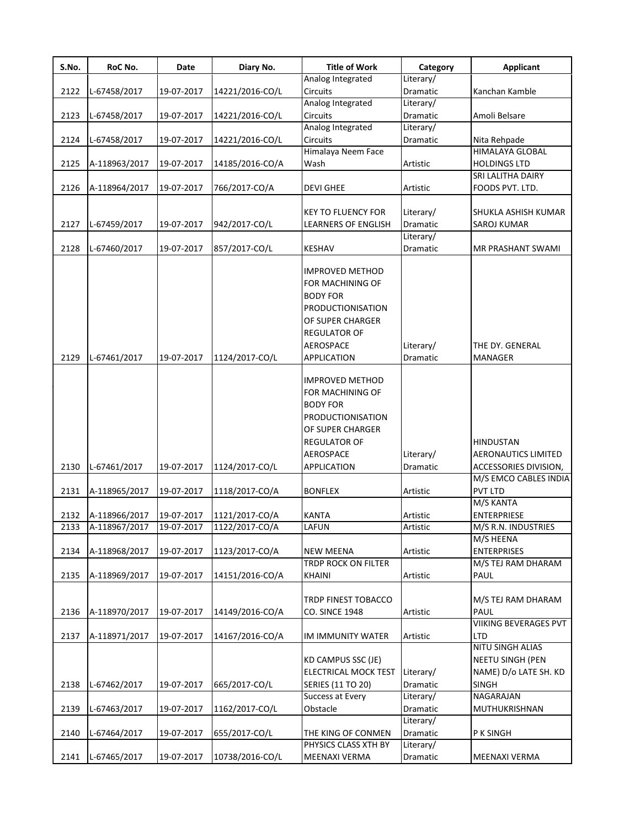| S.No. | RoC No.       | Date       | Diary No.       | <b>Title of Work</b>                                                                                                                                                    | Category              | <b>Applicant</b>                                                        |
|-------|---------------|------------|-----------------|-------------------------------------------------------------------------------------------------------------------------------------------------------------------------|-----------------------|-------------------------------------------------------------------------|
|       |               |            |                 | Analog Integrated                                                                                                                                                       | Literary/             |                                                                         |
| 2122  | L-67458/2017  | 19-07-2017 | 14221/2016-CO/L | <b>Circuits</b>                                                                                                                                                         | <b>Dramatic</b>       | Kanchan Kamble                                                          |
|       |               |            |                 | Analog Integrated                                                                                                                                                       | Literary/             |                                                                         |
| 2123  | L-67458/2017  | 19-07-2017 | 14221/2016-CO/L | <b>Circuits</b>                                                                                                                                                         | Dramatic              | Amoli Belsare                                                           |
|       |               |            |                 | Analog Integrated                                                                                                                                                       | Literary/             |                                                                         |
| 2124  | L-67458/2017  | 19-07-2017 | 14221/2016-CO/L | <b>Circuits</b>                                                                                                                                                         | Dramatic              | Nita Rehpade                                                            |
|       |               |            |                 | Himalaya Neem Face                                                                                                                                                      |                       | <b>HIMALAYA GLOBAL</b>                                                  |
| 2125  | A-118963/2017 | 19-07-2017 | 14185/2016-CO/A | Wash                                                                                                                                                                    | Artistic              | <b>HOLDINGS LTD</b>                                                     |
|       |               |            |                 |                                                                                                                                                                         |                       | SRI LALITHA DAIRY                                                       |
| 2126  | A-118964/2017 | 19-07-2017 | 766/2017-CO/A   | <b>DEVI GHEE</b>                                                                                                                                                        | Artistic              | FOODS PVT. LTD.                                                         |
|       |               |            |                 |                                                                                                                                                                         |                       |                                                                         |
|       |               |            |                 | <b>KEY TO FLUENCY FOR</b>                                                                                                                                               | Literary/             | SHUKLA ASHISH KUMAR                                                     |
| 2127  | L-67459/2017  | 19-07-2017 | 942/2017-CO/L   | <b>LEARNERS OF ENGLISH</b>                                                                                                                                              | Dramatic              | <b>SAROJ KUMAR</b>                                                      |
|       |               |            |                 |                                                                                                                                                                         | Literary/             |                                                                         |
| 2128  | L-67460/2017  | 19-07-2017 | 857/2017-CO/L   | <b>KESHAV</b>                                                                                                                                                           | Dramatic              | MR PRASHANT SWAMI                                                       |
|       |               |            |                 | <b>IMPROVED METHOD</b><br>FOR MACHINING OF<br><b>BODY FOR</b><br><b>PRODUCTIONISATION</b><br>OF SUPER CHARGER<br><b>REGULATOR OF</b><br>AEROSPACE                       | Literary/             | THE DY. GENERAL                                                         |
| 2129  | L-67461/2017  | 19-07-2017 | 1124/2017-CO/L  | APPLICATION                                                                                                                                                             | Dramatic              | <b>MANAGER</b>                                                          |
| 2130  | L-67461/2017  | 19-07-2017 | 1124/2017-CO/L  | <b>IMPROVED METHOD</b><br>FOR MACHINING OF<br><b>BODY FOR</b><br><b>PRODUCTIONISATION</b><br>OF SUPER CHARGER<br><b>REGULATOR OF</b><br>AEROSPACE<br><b>APPLICATION</b> | Literary/<br>Dramatic | <b>HINDUSTAN</b><br><b>AERONAUTICS LIMITED</b><br>ACCESSORIES DIVISION, |
|       |               |            |                 |                                                                                                                                                                         |                       | M/S EMCO CABLES INDIA                                                   |
| 2131  | A-118965/2017 | 19-07-2017 | 1118/2017-CO/A  | <b>BONFLEX</b>                                                                                                                                                          | Artistic              | PVT LTD                                                                 |
|       |               |            |                 |                                                                                                                                                                         |                       | M/S KANTA                                                               |
| 2132  | A-118966/2017 | 19-07-2017 | 1121/2017-CO/A  | <b>KANTA</b>                                                                                                                                                            | Artistic              | <b>ENTERPRIESE</b>                                                      |
| 2133  | A-118967/2017 | 19-07-2017 | 1122/2017-CO/A  | LAFUN                                                                                                                                                                   | Artistic              | M/S R.N. INDUSTRIES                                                     |
|       |               |            |                 |                                                                                                                                                                         |                       | M/S HEENA                                                               |
| 2134  | A-118968/2017 | 19-07-2017 | 1123/2017-CO/A  | <b>NEW MEENA</b>                                                                                                                                                        | Artistic              | <b>ENTERPRISES</b>                                                      |
|       |               |            |                 | <b>TRDP ROCK ON FILTER</b>                                                                                                                                              |                       | M/S TEJ RAM DHARAM                                                      |
| 2135  | A-118969/2017 | 19-07-2017 | 14151/2016-CO/A | <b>KHAINI</b>                                                                                                                                                           | Artistic              | PAUL                                                                    |
|       |               |            |                 |                                                                                                                                                                         |                       |                                                                         |
|       |               |            |                 | <b>TRDP FINEST TOBACCO</b>                                                                                                                                              |                       | M/S TEJ RAM DHARAM                                                      |
| 2136  | A-118970/2017 | 19-07-2017 | 14149/2016-CO/A | <b>CO. SINCE 1948</b>                                                                                                                                                   | Artistic              | PAUL                                                                    |
|       |               |            |                 |                                                                                                                                                                         |                       | VIIKING BEVERAGES PVT                                                   |
| 2137  | A-118971/2017 | 19-07-2017 | 14167/2016-CO/A | IM IMMUNITY WATER                                                                                                                                                       | Artistic              | LTD                                                                     |
|       |               |            |                 |                                                                                                                                                                         |                       | NITU SINGH ALIAS                                                        |
|       |               |            |                 | <b>KD CAMPUS SSC (JE)</b>                                                                                                                                               |                       | <b>NEETU SINGH (PEN</b>                                                 |
|       |               |            |                 | ELECTRICAL MOCK TEST                                                                                                                                                    | Literary/             | NAME) D/o LATE SH. KD                                                   |
| 2138  | L-67462/2017  | 19-07-2017 | 665/2017-CO/L   | <b>SERIES (11 TO 20)</b>                                                                                                                                                | Dramatic              | <b>SINGH</b>                                                            |
|       |               |            |                 | Success at Every                                                                                                                                                        | Literary/             | NAGARAJAN                                                               |
| 2139  | L-67463/2017  | 19-07-2017 | 1162/2017-CO/L  | Obstacle                                                                                                                                                                | Dramatic              | MUTHUKRISHNAN                                                           |
|       |               |            |                 |                                                                                                                                                                         | Literary/             |                                                                         |
| 2140  | L-67464/2017  | 19-07-2017 | 655/2017-CO/L   | THE KING OF CONMEN                                                                                                                                                      | Dramatic              | P K SINGH                                                               |
|       |               |            |                 | PHYSICS CLASS XTH BY                                                                                                                                                    | Literary/             |                                                                         |
| 2141  | L-67465/2017  | 19-07-2017 | 10738/2016-CO/L | MEENAXI VERMA                                                                                                                                                           | Dramatic              | MEENAXI VERMA                                                           |
|       |               |            |                 |                                                                                                                                                                         |                       |                                                                         |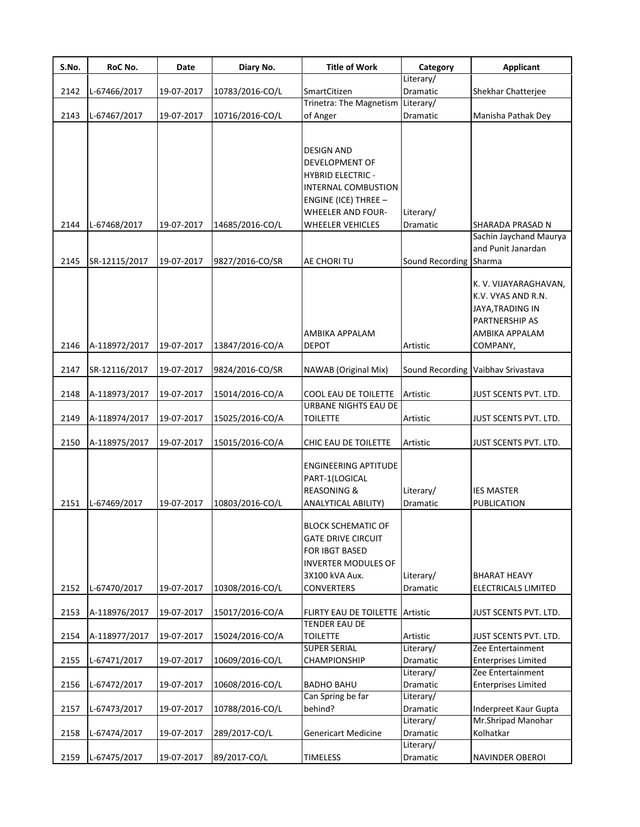| S.No. | RoC No.       | Date       | Diary No.       | <b>Title of Work</b>                         | Category               | <b>Applicant</b>                            |
|-------|---------------|------------|-----------------|----------------------------------------------|------------------------|---------------------------------------------|
|       |               |            |                 |                                              | Literary/              |                                             |
| 2142  | L-67466/2017  | 19-07-2017 | 10783/2016-CO/L | SmartCitizen<br>Trinetra: The Magnetism      | Dramatic               | Shekhar Chatterjee                          |
| 2143  | L-67467/2017  | 19-07-2017 | 10716/2016-CO/L | of Anger                                     | Literary/<br>Dramatic  | Manisha Pathak Dey                          |
|       |               |            |                 |                                              |                        |                                             |
|       |               |            |                 |                                              |                        |                                             |
|       |               |            |                 | <b>DESIGN AND</b>                            |                        |                                             |
|       |               |            |                 | <b>DEVELOPMENT OF</b>                        |                        |                                             |
|       |               |            |                 | <b>HYBRID ELECTRIC -</b>                     |                        |                                             |
|       |               |            |                 | INTERNAL COMBUSTION                          |                        |                                             |
|       |               |            |                 | <b>ENGINE (ICE) THREE -</b>                  |                        |                                             |
|       |               |            |                 | <b>WHEELER AND FOUR-</b>                     | Literary/              |                                             |
| 2144  | L-67468/2017  | 19-07-2017 | 14685/2016-CO/L | <b>WHEELER VEHICLES</b>                      | Dramatic               | SHARADA PRASAD N                            |
|       |               |            |                 |                                              |                        | Sachin Jaychand Maurya                      |
|       |               |            |                 |                                              |                        | and Punit Janardan                          |
| 2145  | SR-12115/2017 | 19-07-2017 | 9827/2016-CO/SR | AE CHORI TU                                  | Sound Recording Sharma |                                             |
|       |               |            |                 |                                              |                        |                                             |
|       |               |            |                 |                                              |                        | K. V. VIJAYARAGHAVAN,<br>K.V. VYAS AND R.N. |
|       |               |            |                 |                                              |                        | JAYA, TRADING IN                            |
|       |               |            |                 |                                              |                        | PARTNERSHIP AS                              |
|       |               |            |                 | AMBIKA APPALAM                               |                        | AMBIKA APPALAM                              |
| 2146  | A-118972/2017 | 19-07-2017 | 13847/2016-CO/A | <b>DEPOT</b>                                 | Artistic               | COMPANY,                                    |
|       |               |            |                 |                                              |                        |                                             |
| 2147  | SR-12116/2017 | 19-07-2017 | 9824/2016-CO/SR | NAWAB (Original Mix)                         |                        | Sound Recording Vaibhav Srivastava          |
| 2148  |               | 19-07-2017 |                 |                                              | Artistic               | JUST SCENTS PVT. LTD.                       |
|       | A-118973/2017 |            | 15014/2016-CO/A | COOL EAU DE TOILETTE<br>URBANE NIGHTS EAU DE |                        |                                             |
| 2149  | A-118974/2017 | 19-07-2017 | 15025/2016-CO/A | <b>TOILETTE</b>                              | Artistic               | JUST SCENTS PVT. LTD.                       |
|       |               |            |                 |                                              |                        |                                             |
| 2150  | A-118975/2017 | 19-07-2017 | 15015/2016-CO/A | CHIC EAU DE TOILETTE                         | Artistic               | JUST SCENTS PVT. LTD.                       |
|       |               |            |                 | <b>ENGINEERING APTITUDE</b>                  |                        |                                             |
|       |               |            |                 | PART-1(LOGICAL                               |                        |                                             |
|       |               |            |                 | <b>REASONING &amp;</b>                       | Literary/              | <b>IES MASTER</b>                           |
| 2151  | L-67469/2017  | 19-07-2017 | 10803/2016-CO/L | ANALYTICAL ABILITY)                          | <b>Dramatic</b>        | PUBLICATION                                 |
|       |               |            |                 |                                              |                        |                                             |
|       |               |            |                 | <b>BLOCK SCHEMATIC OF</b>                    |                        |                                             |
|       |               |            |                 | <b>GATE DRIVE CIRCUIT</b>                    |                        |                                             |
|       |               |            |                 | FOR IBGT BASED                               |                        |                                             |
|       |               |            |                 | <b>INVERTER MODULES OF</b>                   |                        |                                             |
|       |               |            |                 | 3X100 kVA Aux.                               | Literary/              | <b>BHARAT HEAVY</b>                         |
| 2152  | L-67470/2017  | 19-07-2017 | 10308/2016-CO/L | <b>CONVERTERS</b>                            | Dramatic               | ELECTRICALS LIMITED                         |
|       |               |            |                 |                                              |                        |                                             |
| 2153  | A-118976/2017 | 19-07-2017 | 15017/2016-CO/A | FLIRTY EAU DE TOILETTE Artistic              |                        | JUST SCENTS PVT. LTD.                       |
|       |               |            |                 | <b>TENDER EAU DE</b>                         |                        |                                             |
| 2154  | A-118977/2017 | 19-07-2017 | 15024/2016-CO/A | <b>TOILETTE</b><br><b>SUPER SERIAL</b>       | Artistic<br>Literary/  | JUST SCENTS PVT. LTD.<br>Zee Entertainment  |
| 2155  | L-67471/2017  | 19-07-2017 | 10609/2016-CO/L | CHAMPIONSHIP                                 | Dramatic               | <b>Enterprises Limited</b>                  |
|       |               |            |                 |                                              | Literary/              | Zee Entertainment                           |
| 2156  | L-67472/2017  | 19-07-2017 | 10608/2016-CO/L | <b>BADHO BAHU</b>                            | Dramatic               | <b>Enterprises Limited</b>                  |
|       |               |            |                 | Can Spring be far                            | Literary/              |                                             |
| 2157  | L-67473/2017  | 19-07-2017 | 10788/2016-CO/L | behind?                                      | Dramatic               | Inderpreet Kaur Gupta                       |
|       |               |            |                 |                                              | Literary/              | Mr.Shripad Manohar                          |
| 2158  | L-67474/2017  | 19-07-2017 | 289/2017-CO/L   | <b>Genericart Medicine</b>                   | Dramatic               | Kolhatkar                                   |
|       |               |            |                 |                                              | Literary/              |                                             |
| 2159  | L-67475/2017  | 19-07-2017 | 89/2017-CO/L    | <b>TIMELESS</b>                              | Dramatic               | <b>NAVINDER OBEROI</b>                      |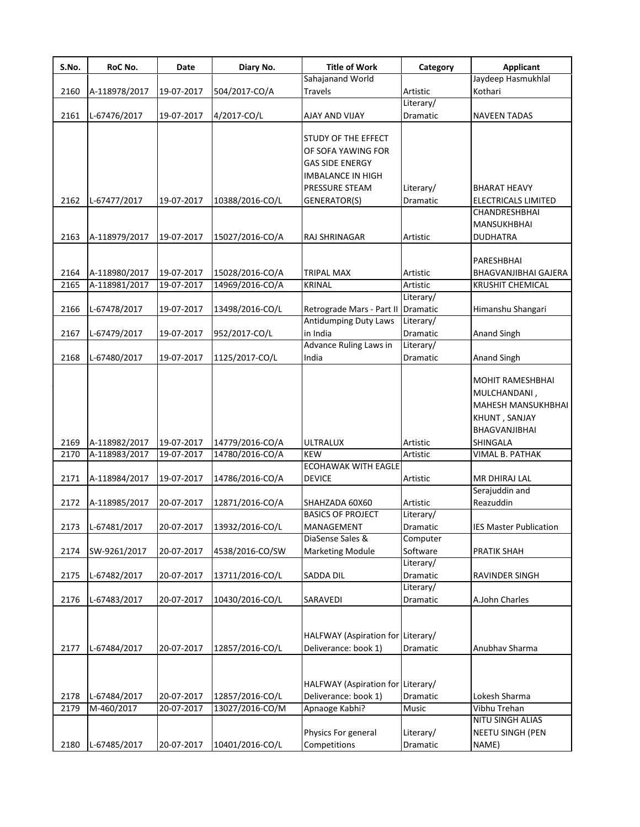| S.No.        | RoC No.                    | Date                     | Diary No.                          | <b>Title of Work</b>                                                                            | Category          | <b>Applicant</b>                                                                                |
|--------------|----------------------------|--------------------------|------------------------------------|-------------------------------------------------------------------------------------------------|-------------------|-------------------------------------------------------------------------------------------------|
|              |                            |                          |                                    | Sahajanand World                                                                                |                   | Jaydeep Hasmukhlal                                                                              |
| 2160         | A-118978/2017              | 19-07-2017               | 504/2017-CO/A                      | <b>Travels</b>                                                                                  | Artistic          | Kothari                                                                                         |
|              |                            |                          |                                    |                                                                                                 | Literary/         |                                                                                                 |
| 2161         | L-67476/2017               | 19-07-2017               | 4/2017-CO/L                        | AJAY AND VIJAY                                                                                  | Dramatic          | NAVEEN TADAS                                                                                    |
|              |                            |                          |                                    | STUDY OF THE EFFECT<br>OF SOFA YAWING FOR<br><b>GAS SIDE ENERGY</b><br><b>IMBALANCE IN HIGH</b> |                   |                                                                                                 |
|              |                            |                          |                                    | PRESSURE STEAM                                                                                  | Literary/         | <b>BHARAT HEAVY</b>                                                                             |
| 2162         | L-67477/2017               | 19-07-2017               | 10388/2016-CO/L                    | GENERATOR(S)                                                                                    | <b>Dramatic</b>   | ELECTRICALS LIMITED                                                                             |
|              |                            |                          |                                    |                                                                                                 |                   | CHANDRESHBHAI<br>MANSUKHBHAI                                                                    |
| 2163         | A-118979/2017              | 19-07-2017               | 15027/2016-CO/A                    | RAJ SHRINAGAR                                                                                   | Artistic          | <b>DUDHATRA</b>                                                                                 |
| 2164         | A-118980/2017              | 19-07-2017               | 15028/2016-CO/A                    | <b>TRIPAL MAX</b>                                                                               | Artistic          | PARESHBHAI<br>BHAGVANJIBHAI GAJERA                                                              |
| 2165         | A-118981/2017              | 19-07-2017               | 14969/2016-CO/A                    | <b>KRINAL</b>                                                                                   | Artistic          | <b>KRUSHIT CHEMICAL</b>                                                                         |
|              |                            |                          |                                    |                                                                                                 | Literary/         |                                                                                                 |
| 2166         | L-67478/2017               | 19-07-2017               | 13498/2016-CO/L                    | Retrograde Mars - Part II                                                                       | <b>Dramatic</b>   | Himanshu Shangari                                                                               |
|              |                            |                          |                                    | <b>Antidumping Duty Laws</b>                                                                    | Literary/         |                                                                                                 |
| 2167         | L-67479/2017               | 19-07-2017               | 952/2017-CO/L                      | in India                                                                                        | Dramatic          | <b>Anand Singh</b>                                                                              |
|              |                            |                          |                                    | Advance Ruling Laws in                                                                          | Literary/         |                                                                                                 |
| 2168         | L-67480/2017               | 19-07-2017               | 1125/2017-CO/L                     | India                                                                                           | Dramatic          | Anand Singh                                                                                     |
|              |                            |                          |                                    |                                                                                                 |                   | <b>MOHIT RAMESHBHAI</b><br>MULCHANDANI,<br>MAHESH MANSUKHBHAI<br>KHUNT, SANJAY<br>BHAGVANJIBHAI |
| 2169         | A-118982/2017              | 19-07-2017               | 14779/2016-CO/A                    | ULTRALUX                                                                                        | Artistic          | SHINGALA                                                                                        |
| 2170         | A-118983/2017              | 19-07-2017               | 14780/2016-CO/A                    | <b>KEW</b>                                                                                      | Artistic          | VIMAL B. PATHAK                                                                                 |
|              |                            |                          |                                    | <b>ECOHAWAK WITH EAGLE</b>                                                                      |                   |                                                                                                 |
| 2171         | A-118984/2017              | 19-07-2017               | 14786/2016-CO/A                    | <b>DEVICE</b>                                                                                   | Artistic          | MR DHIRAJ LAL                                                                                   |
|              |                            |                          |                                    |                                                                                                 |                   | Serajuddin and                                                                                  |
| 2172         | A-118985/2017              | 20-07-2017               | 12871/2016-CO/A                    | SHAHZADA 60X60                                                                                  | Artistic          | Reazuddin                                                                                       |
|              |                            |                          |                                    | <b>BASICS OF PROJECT</b>                                                                        | Literary/         |                                                                                                 |
| 2173         | L-67481/2017               | 20-07-2017               | 13932/2016-CO/L                    | MANAGEMENT                                                                                      | Dramatic          | <b>IES Master Publication</b>                                                                   |
|              |                            |                          |                                    | DiaSense Sales &                                                                                | Computer          |                                                                                                 |
| 2174         | SW-9261/2017               | 20-07-2017               | 4538/2016-CO/SW                    | <b>Marketing Module</b>                                                                         | Software          | PRATIK SHAH                                                                                     |
|              |                            |                          |                                    |                                                                                                 | Literary/         |                                                                                                 |
| 2175         | L-67482/2017               | 20-07-2017               | 13711/2016-CO/L                    | SADDA DIL                                                                                       | Dramatic          | RAVINDER SINGH                                                                                  |
|              |                            |                          |                                    |                                                                                                 | Literary/         |                                                                                                 |
| 2176         | L-67483/2017               | 20-07-2017               | 10430/2016-CO/L                    | SARAVEDI                                                                                        | Dramatic          | A.John Charles                                                                                  |
| 2177         | L-67484/2017               | 20-07-2017               | 12857/2016-CO/L                    | HALFWAY (Aspiration for Literary/<br>Deliverance: book 1)                                       | Dramatic          | Anubhav Sharma                                                                                  |
|              |                            |                          |                                    |                                                                                                 |                   |                                                                                                 |
| 2178<br>2179 | L-67484/2017<br>M-460/2017 | 20-07-2017<br>20-07-2017 | 12857/2016-CO/L<br>13027/2016-CO/M | HALFWAY (Aspiration for Literary/<br>Deliverance: book 1)<br>Apnaoge Kabhi?                     | Dramatic<br>Music | Lokesh Sharma<br>Vibhu Trehan                                                                   |
|              |                            |                          |                                    |                                                                                                 |                   | NITU SINGH ALIAS                                                                                |
|              |                            |                          |                                    | Physics For general                                                                             | Literary/         | NEETU SINGH (PEN                                                                                |
| 2180         | L-67485/2017               | 20-07-2017               | 10401/2016-CO/L                    | Competitions                                                                                    | Dramatic          | NAME)                                                                                           |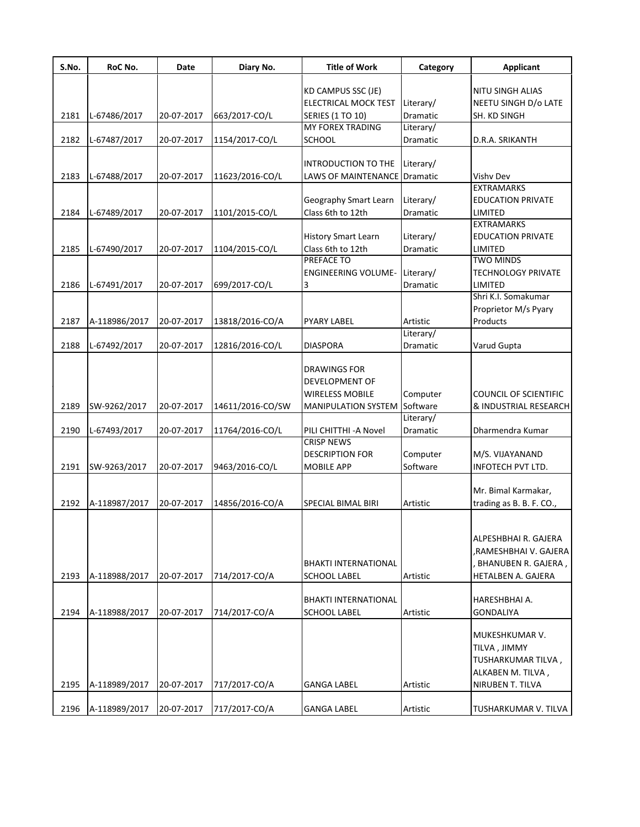| S.No. | RoC No.       | Date       | Diary No.        | <b>Title of Work</b>                               | Category  | <b>Applicant</b>             |
|-------|---------------|------------|------------------|----------------------------------------------------|-----------|------------------------------|
|       |               |            |                  | KD CAMPUS SSC (JE)                                 |           | <b>NITU SINGH ALIAS</b>      |
|       |               |            |                  | <b>ELECTRICAL MOCK TEST</b>                        | Literary/ | NEETU SINGH D/o LATE         |
| 2181  | L-67486/2017  | 20-07-2017 | 663/2017-CO/L    | <b>SERIES (1 TO 10)</b>                            | Dramatic  | SH. KD SINGH                 |
|       |               |            |                  | <b>MY FOREX TRADING</b>                            | Literary/ |                              |
| 2182  | L-67487/2017  | 20-07-2017 | 1154/2017-CO/L   | <b>SCHOOL</b>                                      | Dramatic  | D.R.A. SRIKANTH              |
|       |               |            |                  |                                                    |           |                              |
|       |               |            |                  | INTRODUCTION TO THE                                | Literary/ |                              |
| 2183  | L-67488/2017  | 20-07-2017 | 11623/2016-CO/L  | LAWS OF MAINTENANCE                                | Dramatic  | <b>Vishv Dev</b>             |
|       |               |            |                  |                                                    |           | <b>EXTRAMARKS</b>            |
|       |               |            |                  | <b>Geography Smart Learn</b>                       | Literary/ | <b>EDUCATION PRIVATE</b>     |
| 2184  | L-67489/2017  | 20-07-2017 | 1101/2015-CO/L   | Class 6th to 12th                                  | Dramatic  | LIMITED                      |
|       |               |            |                  |                                                    |           | <b>EXTRAMARKS</b>            |
|       |               |            |                  | <b>History Smart Learn</b>                         | Literary/ | <b>EDUCATION PRIVATE</b>     |
| 2185  | L-67490/2017  | 20-07-2017 | 1104/2015-CO/L   | Class 6th to 12th                                  | Dramatic  | LIMITED                      |
|       |               |            |                  | PREFACE TO                                         |           | <b>TWO MINDS</b>             |
|       |               |            |                  | <b>ENGINEERING VOLUME-</b>                         | Literary/ | <b>TECHNOLOGY PRIVATE</b>    |
| 2186  | L-67491/2017  | 20-07-2017 | 699/2017-CO/L    | 3                                                  | Dramatic  | LIMITED                      |
|       |               |            |                  |                                                    |           | Shri K.I. Somakumar          |
|       |               |            |                  |                                                    |           | Proprietor M/s Pyary         |
| 2187  | A-118986/2017 | 20-07-2017 | 13818/2016-CO/A  | PYARY LABEL                                        | Artistic  | Products                     |
|       |               |            |                  |                                                    | Literary/ |                              |
| 2188  | L-67492/2017  | 20-07-2017 | 12816/2016-CO/L  | <b>DIASPORA</b>                                    | Dramatic  | Varud Gupta                  |
|       |               |            |                  |                                                    |           |                              |
|       |               |            |                  | DRAWINGS FOR                                       |           |                              |
|       |               |            |                  | <b>DEVELOPMENT OF</b>                              |           |                              |
|       |               |            |                  | <b>WIRELESS MOBILE</b>                             | Computer  | <b>COUNCIL OF SCIENTIFIC</b> |
| 2189  | SW-9262/2017  | 20-07-2017 | 14611/2016-CO/SW | <b>MANIPULATION SYSTEM</b>                         | Software  | & INDUSTRIAL RESEARCH        |
|       |               |            |                  |                                                    | Literary/ |                              |
| 2190  | L-67493/2017  | 20-07-2017 | 11764/2016-CO/L  | PILI CHITTHI-A Novel                               | Dramatic  | Dharmendra Kumar             |
|       |               |            |                  | <b>CRISP NEWS</b>                                  |           |                              |
|       |               |            |                  | <b>DESCRIPTION FOR</b>                             | Computer  | M/S. VIJAYANAND              |
| 2191  | SW-9263/2017  | 20-07-2017 | 9463/2016-CO/L   | <b>MOBILE APP</b>                                  | Software  | INFOTECH PVT LTD.            |
|       |               |            |                  |                                                    |           |                              |
|       |               |            |                  |                                                    |           | Mr. Bimal Karmakar,          |
| 2192  | A-118987/2017 | 20-07-2017 | 14856/2016-CO/A  | <b>SPECIAL BIMAL BIRI</b>                          | Artistic  | trading as B. B. F. CO.,     |
|       |               |            |                  |                                                    |           |                              |
|       |               |            |                  |                                                    |           |                              |
|       |               |            |                  |                                                    |           | ALPESHBHAI R. GAJERA         |
|       |               |            |                  |                                                    |           | ,RAMESHBHAI V. GAJERA        |
|       |               |            |                  | <b>BHAKTI INTERNATIONAL</b>                        |           | , BHANUBEN R. GAJERA ,       |
| 2193  | A-118988/2017 | 20-07-2017 | 714/2017-CO/A    | SCHOOL LABEL                                       | Artistic  | HETALBEN A. GAJERA           |
|       |               |            |                  |                                                    |           | HARESHBHAI A.                |
| 2194  | A-118988/2017 | 20-07-2017 | 714/2017-CO/A    | <b>BHAKTI INTERNATIONAL</b><br><b>SCHOOL LABEL</b> | Artistic  | <b>GONDALIYA</b>             |
|       |               |            |                  |                                                    |           |                              |
|       |               |            |                  |                                                    |           | MUKESHKUMAR V.               |
|       |               |            |                  |                                                    |           | TILVA, JIMMY                 |
|       |               |            |                  |                                                    |           | TUSHARKUMAR TILVA,           |
|       |               |            |                  |                                                    |           | ALKABEN M. TILVA,            |
| 2195  | A-118989/2017 | 20-07-2017 | 717/2017-CO/A    | <b>GANGA LABEL</b>                                 | Artistic  | NIRUBEN T. TILVA             |
|       |               |            |                  |                                                    |           |                              |
| 2196  | A-118989/2017 | 20-07-2017 | 717/2017-CO/A    | <b>GANGA LABEL</b>                                 | Artistic  | TUSHARKUMAR V. TILVA         |
|       |               |            |                  |                                                    |           |                              |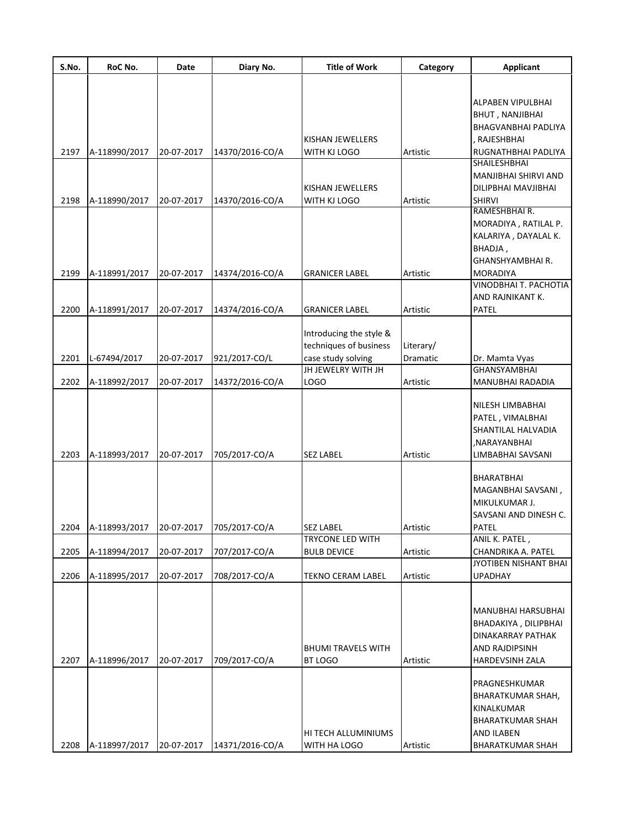| S.No. | RoC No.       | Date       | Diary No.       | <b>Title of Work</b>      | Category  | <b>Applicant</b>         |
|-------|---------------|------------|-----------------|---------------------------|-----------|--------------------------|
|       |               |            |                 |                           |           |                          |
|       |               |            |                 |                           |           | ALPABEN VIPULBHAI        |
|       |               |            |                 |                           |           | <b>BHUT, NANJIBHAI</b>   |
|       |               |            |                 |                           |           | BHAGVANBHAI PADLIYA      |
|       |               |            |                 | KISHAN JEWELLERS          |           | RAJESHBHAI               |
| 2197  | A-118990/2017 | 20-07-2017 | 14370/2016-CO/A | WITH KJ LOGO              | Artistic  | RUGNATHBHAI PADLIYA      |
|       |               |            |                 |                           |           | <b>SHAILESHBHAI</b>      |
|       |               |            |                 |                           |           | MANJIBHAI SHIRVI AND     |
|       |               |            |                 | KISHAN JEWELLERS          |           | DILIPBHAI MAVJIBHAI      |
| 2198  | A-118990/2017 | 20-07-2017 | 14370/2016-CO/A | WITH KJ LOGO              | Artistic  | <b>SHIRVI</b>            |
|       |               |            |                 |                           |           | RAMESHBHAIR.             |
|       |               |            |                 |                           |           | MORADIYA, RATILAL P.     |
|       |               |            |                 |                           |           | KALARIYA, DAYALAL K.     |
|       |               |            |                 |                           |           | BHADJA,                  |
|       |               |            |                 |                           |           | GHANSHYAMBHAI R.         |
| 2199  | A-118991/2017 | 20-07-2017 | 14374/2016-CO/A | <b>GRANICER LABEL</b>     | Artistic  | <b>MORADIYA</b>          |
|       |               |            |                 |                           |           | VINODBHAI T. PACHOTIA    |
|       |               |            |                 |                           |           | AND RAJNIKANT K.         |
| 2200  | A-118991/2017 | 20-07-2017 | 14374/2016-CO/A | <b>GRANICER LABEL</b>     | Artistic  | PATEL                    |
|       |               |            |                 |                           |           |                          |
|       |               |            |                 | Introducing the style &   |           |                          |
|       |               |            |                 | techniques of business    | Literary/ |                          |
| 2201  | L-67494/2017  | 20-07-2017 | 921/2017-CO/L   | case study solving        | Dramatic  | Dr. Mamta Vyas           |
|       |               |            |                 | JH JEWELRY WITH JH        |           | <b>GHANSYAMBHAI</b>      |
| 2202  | A-118992/2017 | 20-07-2017 | 14372/2016-CO/A | LOGO                      | Artistic  | MANUBHAI RADADIA         |
|       |               |            |                 |                           |           | NILESH LIMBABHAI         |
|       |               |            |                 |                           |           | PATEL, VIMALBHAI         |
|       |               |            |                 |                           |           | SHANTILAL HALVADIA       |
|       |               |            |                 |                           |           | ,NARAYANBHAI             |
| 2203  | A-118993/2017 | 20-07-2017 | 705/2017-CO/A   | <b>SEZ LABEL</b>          | Artistic  | LIMBABHAI SAVSANI        |
|       |               |            |                 |                           |           |                          |
|       |               |            |                 |                           |           | BHARATBHAI               |
|       |               |            |                 |                           |           | MAGANBHAI SAVSANI,       |
|       |               |            |                 |                           |           | MIKULKUMAR J.            |
|       |               |            |                 |                           |           | SAVSANI AND DINESH C.    |
| 2204  | A-118993/2017 | 20-07-2017 | 705/2017-CO/A   | SEZ LABEL                 | Artistic  | PATEL                    |
|       |               |            |                 | TRYCONE LED WITH          |           | ANIL K. PATEL,           |
| 2205  | A-118994/2017 | 20-07-2017 | 707/2017-CO/A   | <b>BULB DEVICE</b>        | Artistic  | CHANDRIKA A. PATEL       |
|       |               |            |                 |                           |           | JYOTIBEN NISHANT BHAI    |
| 2206  | A-118995/2017 | 20-07-2017 | 708/2017-CO/A   | TEKNO CERAM LABEL         | Artistic  | <b>UPADHAY</b>           |
|       |               |            |                 |                           |           |                          |
|       |               |            |                 |                           |           | MANUBHAI HARSUBHAI       |
|       |               |            |                 |                           |           | BHADAKIYA, DILIPBHAI     |
|       |               |            |                 |                           |           | DINAKARRAY PATHAK        |
|       |               |            |                 | <b>BHUMI TRAVELS WITH</b> |           | AND RAJDIPSINH           |
| 2207  | A-118996/2017 | 20-07-2017 | 709/2017-CO/A   | BT LOGO                   | Artistic  | HARDEVSINH ZALA          |
|       |               |            |                 |                           |           |                          |
|       |               |            |                 |                           |           | PRAGNESHKUMAR            |
|       |               |            |                 |                           |           | <b>BHARATKUMAR SHAH,</b> |
|       |               |            |                 |                           |           | KINALKUMAR               |
|       |               |            |                 |                           |           | <b>BHARATKUMAR SHAH</b>  |
|       |               |            |                 | HI TECH ALLUMINIUMS       |           | AND ILABEN               |
| 2208  | A-118997/2017 | 20-07-2017 | 14371/2016-CO/A | WITH HA LOGO              | Artistic  | <b>BHARATKUMAR SHAH</b>  |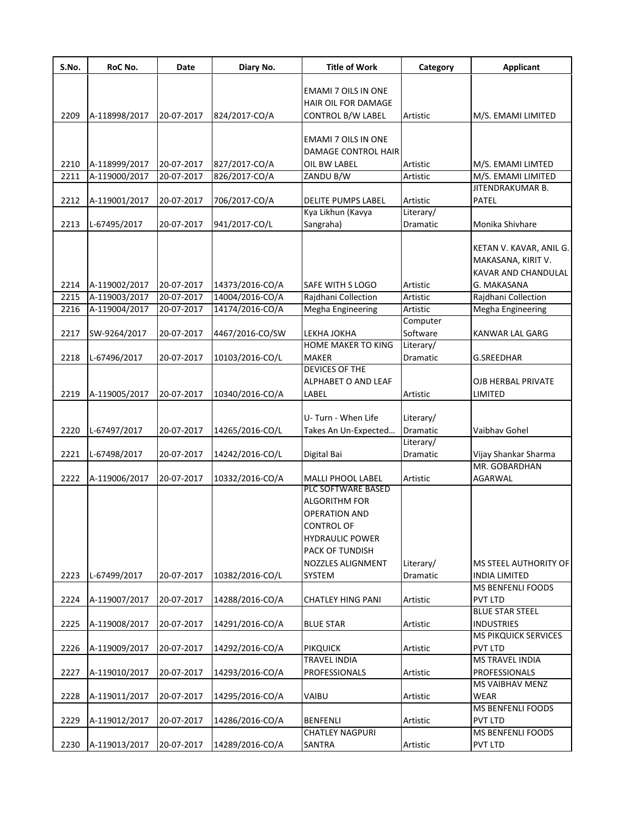| S.No. | RoC No.       | Date       | Diary No.       | <b>Title of Work</b>                                                                                                                                                | Category              | <b>Applicant</b>                                                                    |
|-------|---------------|------------|-----------------|---------------------------------------------------------------------------------------------------------------------------------------------------------------------|-----------------------|-------------------------------------------------------------------------------------|
| 2209  | A-118998/2017 | 20-07-2017 | 824/2017-CO/A   | EMAMI 7 OILS IN ONE<br>HAIR OIL FOR DAMAGE<br><b>CONTROL B/W LABEL</b>                                                                                              | Artistic              | M/S. EMAMI LIMITED                                                                  |
|       |               |            |                 | EMAMI 7 OILS IN ONE<br><b>DAMAGE CONTROL HAIR</b>                                                                                                                   |                       |                                                                                     |
| 2210  | A-118999/2017 | 20-07-2017 | 827/2017-CO/A   | OIL BW LABEL                                                                                                                                                        | Artistic              | M/S. EMAMI LIMTED                                                                   |
| 2211  | A-119000/2017 | 20-07-2017 | 826/2017-CO/A   | ZANDU B/W                                                                                                                                                           | Artistic              | M/S. EMAMI LIMITED                                                                  |
| 2212  | A-119001/2017 | 20-07-2017 | 706/2017-CO/A   | DELITE PUMPS LABEL                                                                                                                                                  | Artistic              | JITENDRAKUMAR B.<br>PATEL                                                           |
| 2213  | L-67495/2017  | 20-07-2017 | 941/2017-CO/L   | Kya Likhun (Kavya<br>Sangraha)                                                                                                                                      | Literary/<br>Dramatic | Monika Shivhare                                                                     |
| 2214  | A-119002/2017 | 20-07-2017 | 14373/2016-CO/A | SAFE WITH S LOGO                                                                                                                                                    | Artistic              | KETAN V. KAVAR, ANIL G.<br>MAKASANA, KIRIT V.<br>KAVAR AND CHANDULAL<br>G. MAKASANA |
| 2215  | A-119003/2017 | 20-07-2017 | 14004/2016-CO/A | Rajdhani Collection                                                                                                                                                 | Artistic              | Rajdhani Collection                                                                 |
| 2216  | A-119004/2017 | 20-07-2017 | 14174/2016-CO/A | Megha Engineering                                                                                                                                                   | Artistic              | Megha Engineering                                                                   |
| 2217  | SW-9264/2017  | 20-07-2017 | 4467/2016-CO/SW | LEKHA JOKHA                                                                                                                                                         | Computer<br>Software  | KANWAR LAL GARG                                                                     |
| 2218  | L-67496/2017  | 20-07-2017 | 10103/2016-CO/L | <b>HOME MAKER TO KING</b><br><b>MAKER</b>                                                                                                                           | Literary/<br>Dramatic | <b>G.SREEDHAR</b>                                                                   |
| 2219  | A-119005/2017 | 20-07-2017 | 10340/2016-CO/A | <b>DEVICES OF THE</b><br>ALPHABET O AND LEAF<br>LABEL                                                                                                               | Artistic              | OJB HERBAL PRIVATE<br>LIMITED                                                       |
| 2220  | L-67497/2017  | 20-07-2017 | 14265/2016-CO/L | U-Turn - When Life<br>Takes An Un-Expected                                                                                                                          | Literary/<br>Dramatic | Vaibhav Gohel                                                                       |
| 2221  | L-67498/2017  | 20-07-2017 | 14242/2016-CO/L |                                                                                                                                                                     | Literary/<br>Dramatic |                                                                                     |
|       |               |            |                 | Digital Bai                                                                                                                                                         |                       | Vijay Shankar Sharma<br>MR. GOBARDHAN                                               |
| 2222  | A-119006/2017 | 20-07-2017 | 10332/2016-CO/A | MALLI PHOOL LABEL                                                                                                                                                   | Artistic              | AGARWAL                                                                             |
| 2223  | L-67499/2017  | 20-07-2017 | 10382/2016-CO/L | PLC SOFTWARE BASED<br><b>ALGORITHM FOR</b><br><b>OPERATION AND</b><br><b>CONTROL OF</b><br><b>HYDRAULIC POWER</b><br>PACK OF TUNDISH<br>NOZZLES ALIGNMENT<br>SYSTEM | Literary/<br>Dramatic | MS STEEL AUTHORITY OF<br><b>INDIA LIMITED</b>                                       |
| 2224  | A-119007/2017 | 20-07-2017 | 14288/2016-CO/A | <b>CHATLEY HING PANI</b>                                                                                                                                            |                       | MS BENFENLI FOODS<br><b>PVT LTD</b>                                                 |
| 2225  | A-119008/2017 | 20-07-2017 | 14291/2016-CO/A | <b>BLUE STAR</b>                                                                                                                                                    | Artistic<br>Artistic  | <b>BLUE STAR STEEL</b><br><b>INDUSTRIES</b>                                         |
|       |               |            |                 |                                                                                                                                                                     |                       | <b>MS PIKQUICK SERVICES</b>                                                         |
| 2226  | A-119009/2017 | 20-07-2017 | 14292/2016-CO/A | <b>PIKQUICK</b><br><b>TRAVEL INDIA</b>                                                                                                                              | Artistic              | <b>PVT LTD</b><br>MS TRAVEL INDIA                                                   |
| 2227  | A-119010/2017 | 20-07-2017 | 14293/2016-CO/A | PROFESSIONALS                                                                                                                                                       | Artistic              | PROFESSIONALS                                                                       |
| 2228  | A-119011/2017 | 20-07-2017 | 14295/2016-CO/A | VAIBU                                                                                                                                                               | Artistic              | <b>MS VAIBHAV MENZ</b><br><b>WEAR</b>                                               |
| 2229  | A-119012/2017 | 20-07-2017 | 14286/2016-CO/A | BENFENLI                                                                                                                                                            | Artistic              | MS BENFENLI FOODS<br>PVT LTD                                                        |
| 2230  | A-119013/2017 | 20-07-2017 | 14289/2016-CO/A | <b>CHATLEY NAGPURI</b><br>SANTRA                                                                                                                                    | Artistic              | MS BENFENLI FOODS<br>PVT LTD                                                        |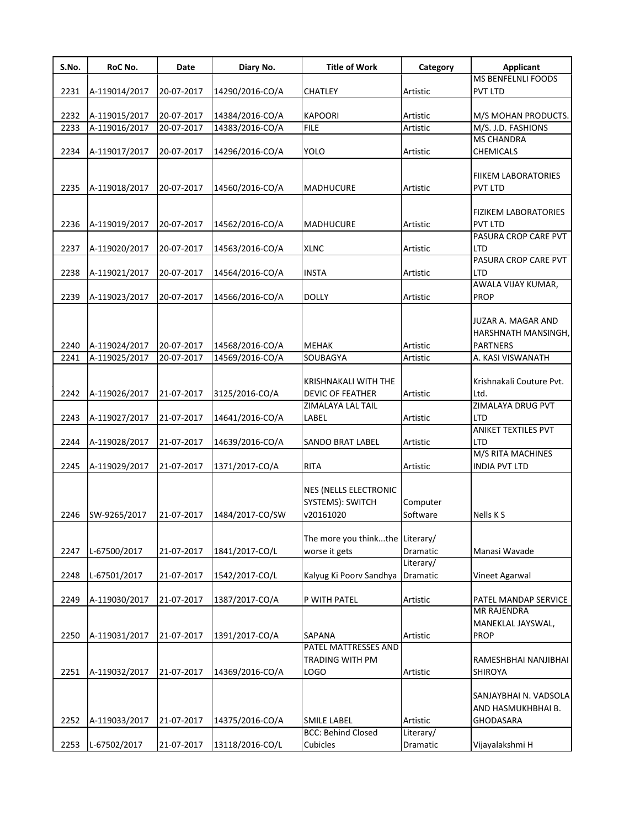| S.No. | RoC No.       | Date       | Diary No.       | <b>Title of Work</b>                                          | Category             | <b>Applicant</b>                                                |
|-------|---------------|------------|-----------------|---------------------------------------------------------------|----------------------|-----------------------------------------------------------------|
|       |               |            |                 |                                                               |                      | <b>MS BENFELNLI FOODS</b>                                       |
| 2231  | A-119014/2017 | 20-07-2017 | 14290/2016-CO/A | <b>CHATLEY</b>                                                | Artistic             | <b>PVT LTD</b>                                                  |
|       |               |            |                 |                                                               |                      |                                                                 |
| 2232  | A-119015/2017 | 20-07-2017 | 14384/2016-CO/A | <b>KAPOORI</b>                                                | Artistic             | M/S MOHAN PRODUCTS.                                             |
| 2233  | A-119016/2017 | 20-07-2017 | 14383/2016-CO/A | <b>FILE</b>                                                   | Artistic             | M/S. J.D. FASHIONS                                              |
|       |               |            |                 |                                                               |                      | <b>MS CHANDRA</b>                                               |
| 2234  | A-119017/2017 | 20-07-2017 | 14296/2016-CO/A | <b>YOLO</b>                                                   | Artistic             | <b>CHEMICALS</b>                                                |
|       |               |            |                 |                                                               |                      | FIIKEM LABORATORIES                                             |
| 2235  | A-119018/2017 | 20-07-2017 | 14560/2016-CO/A | <b>MADHUCURE</b>                                              | Artistic             | <b>PVT LTD</b>                                                  |
|       |               |            |                 |                                                               |                      |                                                                 |
|       |               |            |                 |                                                               |                      | <b>FIZIKEM LABORATORIES</b>                                     |
| 2236  | A-119019/2017 | 20-07-2017 | 14562/2016-CO/A | <b>MADHUCURE</b>                                              | Artistic             | <b>PVT LTD</b>                                                  |
|       |               |            |                 |                                                               |                      | PASURA CROP CARE PVT                                            |
| 2237  | A-119020/2017 | 20-07-2017 | 14563/2016-CO/A | <b>XLNC</b>                                                   | Artistic             | <b>LTD</b>                                                      |
|       |               |            |                 |                                                               |                      | PASURA CROP CARE PVT                                            |
| 2238  | A-119021/2017 | 20-07-2017 | 14564/2016-CO/A | <b>INSTA</b>                                                  | Artistic             | <b>LTD</b>                                                      |
|       |               |            |                 |                                                               |                      | AWALA VIJAY KUMAR,                                              |
| 2239  | A-119023/2017 | 20-07-2017 | 14566/2016-CO/A | <b>DOLLY</b>                                                  | Artistic             | <b>PROP</b>                                                     |
| 2240  | A-119024/2017 | 20-07-2017 | 14568/2016-CO/A | <b>MEHAK</b>                                                  | Artistic             | JUZAR A. MAGAR AND<br>HARSHNATH MANSINGH,<br><b>PARTNERS</b>    |
| 2241  | A-119025/2017 | 20-07-2017 | 14569/2016-CO/A | SOUBAGYA                                                      | Artistic             | A. KASI VISWANATH                                               |
|       |               |            |                 | KRISHNAKALI WITH THE                                          |                      | Krishnakali Couture Pvt.                                        |
| 2242  | A-119026/2017 | 21-07-2017 | 3125/2016-CO/A  | <b>DEVIC OF FEATHER</b>                                       | Artistic             | Ltd.                                                            |
|       |               |            |                 | ZIMALAYA LAL TAIL                                             |                      | <b>ZIMALAYA DRUG PVT</b>                                        |
| 2243  | A-119027/2017 | 21-07-2017 | 14641/2016-CO/A | LABEL                                                         | Artistic             | LTD<br><b>ANIKET TEXTILES PVT</b>                               |
|       |               |            |                 |                                                               |                      |                                                                 |
| 2244  | A-119028/2017 | 21-07-2017 | 14639/2016-CO/A | SANDO BRAT LABEL                                              | Artistic             | LTD<br>M/S RITA MACHINES                                        |
| 2245  | A-119029/2017 | 21-07-2017 | 1371/2017-CO/A  | <b>RITA</b>                                                   | Artistic             | <b>INDIA PVT LTD</b>                                            |
| 2246  | SW-9265/2017  | 21-07-2017 | 1484/2017-CO/SW | <b>NES (NELLS ELECTRONIC</b><br>SYSTEMS): SWITCH<br>v20161020 | Computer<br>Software | Nells K S                                                       |
|       |               |            |                 | The more you thinkthe Literary/                               |                      |                                                                 |
| 2247  | L-67500/2017  | 21-07-2017 | 1841/2017-CO/L  | worse it gets                                                 | Dramatic             | Manasi Wavade                                                   |
|       |               |            |                 |                                                               | Literary/            |                                                                 |
| 2248  | L-67501/2017  | 21-07-2017 | 1542/2017-CO/L  | Kalyug Ki Poorv Sandhya                                       | Dramatic             | Vineet Agarwal                                                  |
|       |               |            |                 |                                                               |                      |                                                                 |
| 2249  | A-119030/2017 | 21-07-2017 | 1387/2017-CO/A  | P WITH PATEL                                                  | Artistic             | PATEL MANDAP SERVICE                                            |
|       |               |            |                 |                                                               |                      | <b>MR RAJENDRA</b>                                              |
|       |               |            |                 |                                                               |                      | MANEKLAL JAYSWAL,                                               |
| 2250  | A-119031/2017 | 21-07-2017 | 1391/2017-CO/A  | <b>SAPANA</b>                                                 | Artistic             | <b>PROP</b>                                                     |
|       |               |            |                 | PATEL MATTRESSES AND                                          |                      |                                                                 |
|       |               |            |                 | TRADING WITH PM                                               |                      | RAMESHBHAI NANJIBHAI                                            |
| 2251  | A-119032/2017 | 21-07-2017 | 14369/2016-CO/A | <b>LOGO</b>                                                   | Artistic             | SHIROYA                                                         |
| 2252  | A-119033/2017 | 21-07-2017 | 14375/2016-CO/A | <b>SMILE LABEL</b>                                            | Artistic             | SANJAYBHAI N. VADSOLA<br>AND HASMUKHBHAI B.<br><b>GHODASARA</b> |
|       |               |            |                 | <b>BCC: Behind Closed</b>                                     | Literary/            |                                                                 |
| 2253  | L-67502/2017  | 21-07-2017 | 13118/2016-CO/L | Cubicles                                                      | Dramatic             | Vijayalakshmi H                                                 |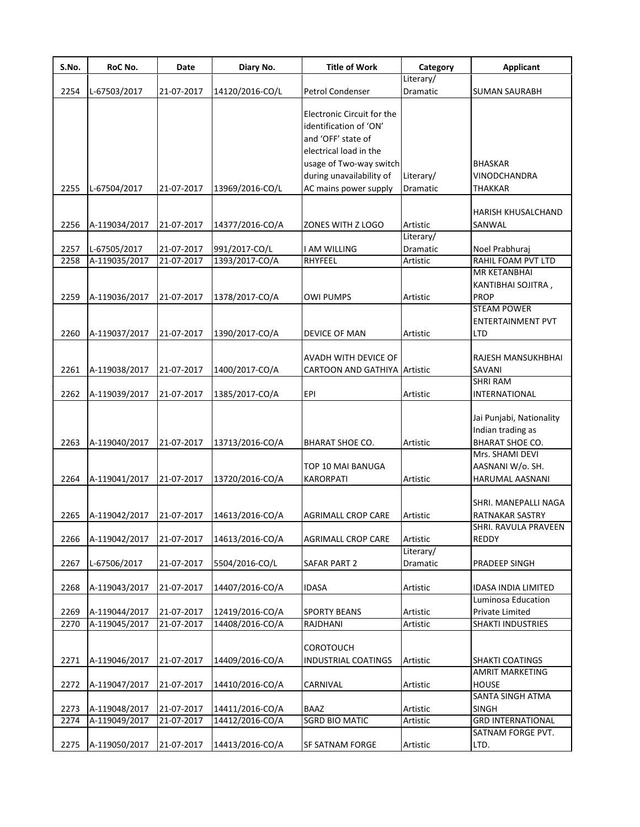| S.No.        | RoC No.                        | Date                     | Diary No.                          | <b>Title of Work</b>                                                                                                                                        | Category              | <b>Applicant</b>                                                                                                                  |
|--------------|--------------------------------|--------------------------|------------------------------------|-------------------------------------------------------------------------------------------------------------------------------------------------------------|-----------------------|-----------------------------------------------------------------------------------------------------------------------------------|
|              |                                |                          |                                    |                                                                                                                                                             | Literary/             |                                                                                                                                   |
| 2254         | L-67503/2017                   | 21-07-2017               | 14120/2016-CO/L                    | Petrol Condenser                                                                                                                                            | Dramatic              | <b>SUMAN SAURABH</b>                                                                                                              |
|              |                                |                          |                                    | Electronic Circuit for the<br>identification of 'ON'<br>and 'OFF' state of<br>electrical load in the<br>usage of Two-way switch<br>during unavailability of | Literary/             | BHASKAR<br>VINODCHANDRA                                                                                                           |
| 2255         | L-67504/2017                   | 21-07-2017               | 13969/2016-CO/L                    | AC mains power supply                                                                                                                                       | Dramatic              | THAKKAR                                                                                                                           |
| 2256         | A-119034/2017                  | 21-07-2017               | 14377/2016-CO/A                    | ZONES WITH Z LOGO                                                                                                                                           | Artistic              | HARISH KHUSALCHAND<br>SANWAL                                                                                                      |
| 2257         | L-67505/2017                   | 21-07-2017               | 991/2017-CO/L                      | I AM WILLING                                                                                                                                                | Literary/<br>Dramatic | Noel Prabhuraj                                                                                                                    |
| 2258         | A-119035/2017                  | 21-07-2017               | 1393/2017-CO/A                     | RHYFEEL                                                                                                                                                     | Artistic              | RAHIL FOAM PVT LTD                                                                                                                |
| 2259         | A-119036/2017                  | 21-07-2017               | 1378/2017-CO/A                     | <b>OWI PUMPS</b>                                                                                                                                            | Artistic              | MR KETANBHAI<br>KANTIBHAI SOJITRA,<br>PROP<br><b>STEAM POWER</b>                                                                  |
| 2260         | A-119037/2017                  | 21-07-2017               | 1390/2017-CO/A                     | DEVICE OF MAN                                                                                                                                               | Artistic              | ENTERTAINMENT PVT<br>LTD                                                                                                          |
| 2261         | A-119038/2017                  | 21-07-2017               | 1400/2017-CO/A                     | AVADH WITH DEVICE OF<br><b>CARTOON AND GATHIYA Artistic</b>                                                                                                 |                       | RAJESH MANSUKHBHAI<br>SAVANI                                                                                                      |
| 2262         | A-119039/2017                  | 21-07-2017               | 1385/2017-CO/A                     | EPI                                                                                                                                                         | Artistic              | <b>SHRI RAM</b><br>INTERNATIONAL                                                                                                  |
| 2263<br>2264 | A-119040/2017<br>A-119041/2017 | 21-07-2017<br>21-07-2017 | 13713/2016-CO/A<br>13720/2016-CO/A | <b>BHARAT SHOE CO.</b><br>TOP 10 MAI BANUGA<br><b>KARORPATI</b>                                                                                             | Artistic<br>Artistic  | Jai Punjabi, Nationality<br>Indian trading as<br><b>BHARAT SHOE CO.</b><br>Mrs. SHAMI DEVI<br>AASNANI W/o. SH.<br>HARUMAL AASNANI |
| 2265         | A-119042/2017                  | 21-07-2017               | 14613/2016-CO/A                    | <b>AGRIMALL CROP CARE</b>                                                                                                                                   | Artistic              | SHRI. MANEPALLI NAGA<br>RATNAKAR SASTRY<br>SHRI. RAVULA PRAVEEN                                                                   |
| 2266         | A-119042/2017                  | 21-07-2017               | 14613/2016-CO/A                    | <b>AGRIMALL CROP CARE</b>                                                                                                                                   | Artistic<br>Literary/ | <b>REDDY</b>                                                                                                                      |
| 2267         | L-67506/2017                   | 21-07-2017               | 5504/2016-CO/L                     | <b>SAFAR PART 2</b>                                                                                                                                         | Dramatic              | PRADEEP SINGH                                                                                                                     |
| 2268         | A-119043/2017                  | 21-07-2017               | 14407/2016-CO/A                    | <b>IDASA</b>                                                                                                                                                | Artistic              | IDASA INDIA LIMITED                                                                                                               |
| 2269         | A-119044/2017                  | 21-07-2017               | 12419/2016-CO/A                    | <b>SPORTY BEANS</b>                                                                                                                                         | Artistic              | Luminosa Education<br>Private Limited                                                                                             |
| 2270         | A-119045/2017                  | 21-07-2017               | 14408/2016-CO/A                    | RAJDHANI                                                                                                                                                    | Artistic              | SHAKTI INDUSTRIES                                                                                                                 |
| 2271         | A-119046/2017                  | 21-07-2017               | 14409/2016-CO/A                    | <b>COROTOUCH</b><br><b>INDUSTRIAL COATINGS</b>                                                                                                              | Artistic              | <b>SHAKTI COATINGS</b><br><b>AMRIT MARKETING</b>                                                                                  |
| 2272         | A-119047/2017                  | 21-07-2017               | 14410/2016-CO/A                    | CARNIVAL                                                                                                                                                    | Artistic              | <b>HOUSE</b>                                                                                                                      |
| 2273         | A-119048/2017                  | 21-07-2017               | 14411/2016-CO/A                    | <b>BAAZ</b>                                                                                                                                                 | Artistic              | SANTA SINGH ATMA<br><b>SINGH</b>                                                                                                  |
| 2274         | A-119049/2017                  | 21-07-2017               | 14412/2016-CO/A                    | <b>SGRD BIO MATIC</b>                                                                                                                                       | Artistic              | <b>GRD INTERNATIONAL</b>                                                                                                          |
| 2275         | A-119050/2017                  | 21-07-2017               | 14413/2016-CO/A                    | SF SATNAM FORGE                                                                                                                                             | Artistic              | SATNAM FORGE PVT.<br>LTD.                                                                                                         |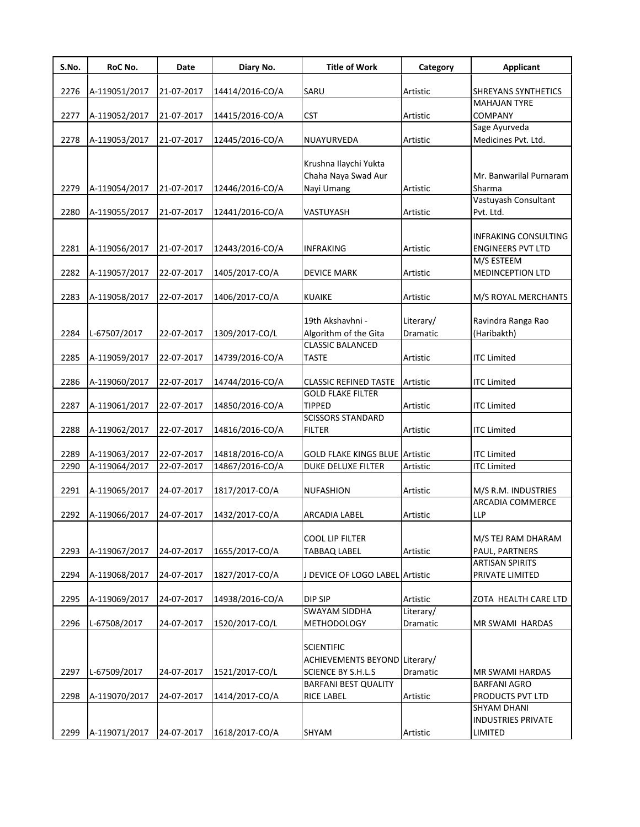| S.No. | RoC No.       | Date       | Diary No.       | <b>Title of Work</b>                      | Category  | <b>Applicant</b>          |
|-------|---------------|------------|-----------------|-------------------------------------------|-----------|---------------------------|
| 2276  | A-119051/2017 | 21-07-2017 | 14414/2016-CO/A | SARU                                      | Artistic  | SHREYANS SYNTHETICS       |
|       |               |            |                 |                                           |           | <b>MAHAJAN TYRE</b>       |
| 2277  | A-119052/2017 | 21-07-2017 | 14415/2016-CO/A | CST                                       | Artistic  | <b>COMPANY</b>            |
|       |               |            |                 |                                           |           | Sage Ayurveda             |
| 2278  | A-119053/2017 | 21-07-2017 | 12445/2016-CO/A | NUAYURVEDA                                | Artistic  | Medicines Pvt. Ltd.       |
|       |               |            |                 |                                           |           |                           |
|       |               |            |                 | Krushna Ilaychi Yukta                     |           |                           |
|       |               |            |                 | Chaha Naya Swad Aur                       |           | Mr. Banwarilal Purnaram   |
| 2279  | A-119054/2017 | 21-07-2017 | 12446/2016-CO/A | Nayi Umang                                | Artistic  | Sharma                    |
|       |               |            |                 |                                           |           | Vastuyash Consultant      |
| 2280  | A-119055/2017 | 21-07-2017 | 12441/2016-CO/A | VASTUYASH                                 | Artistic  | Pvt. Ltd.                 |
|       |               |            |                 |                                           |           |                           |
|       |               |            |                 |                                           |           | INFRAKING CONSULTING      |
| 2281  | A-119056/2017 | 21-07-2017 | 12443/2016-CO/A | <b>INFRAKING</b>                          | Artistic  | <b>ENGINEERS PVT LTD</b>  |
|       |               |            |                 |                                           |           | M/S ESTEEM                |
| 2282  | A-119057/2017 | 22-07-2017 | 1405/2017-CO/A  | <b>DEVICE MARK</b>                        | Artistic  | <b>MEDINCEPTION LTD</b>   |
|       |               |            |                 |                                           |           |                           |
| 2283  | A-119058/2017 | 22-07-2017 | 1406/2017-CO/A  | <b>KUAIKE</b>                             | Artistic  | M/S ROYAL MERCHANTS       |
|       |               |            |                 |                                           |           |                           |
|       |               |            |                 | 19th Akshavhni -                          | Literary/ | Ravindra Ranga Rao        |
| 2284  | L-67507/2017  | 22-07-2017 | 1309/2017-CO/L  | Algorithm of the Gita                     | Dramatic  | (Haribakth)               |
|       |               |            |                 | <b>CLASSIC BALANCED</b>                   |           |                           |
| 2285  | A-119059/2017 | 22-07-2017 | 14739/2016-CO/A | <b>TASTE</b>                              | Artistic  | <b>ITC Limited</b>        |
|       |               |            |                 |                                           |           |                           |
| 2286  | A-119060/2017 | 22-07-2017 | 14744/2016-CO/A | <b>CLASSIC REFINED TASTE</b>              | Artistic  | <b>ITC Limited</b>        |
|       |               |            |                 | <b>GOLD FLAKE FILTER</b>                  |           |                           |
| 2287  | A-119061/2017 | 22-07-2017 | 14850/2016-CO/A | <b>TIPPED</b><br><b>SCISSORS STANDARD</b> | Artistic  | <b>ITC Limited</b>        |
| 2288  | A-119062/2017 | 22-07-2017 | 14816/2016-CO/A | <b>FILTER</b>                             | Artistic  | <b>ITC Limited</b>        |
|       |               |            |                 |                                           |           |                           |
| 2289  | A-119063/2017 | 22-07-2017 | 14818/2016-CO/A | <b>GOLD FLAKE KINGS BLUE Artistic</b>     |           | <b>ITC Limited</b>        |
| 2290  | A-119064/2017 | 22-07-2017 | 14867/2016-CO/A | DUKE DELUXE FILTER                        | Artistic  | <b>ITC Limited</b>        |
|       |               |            |                 |                                           |           |                           |
| 2291  | A-119065/2017 | 24-07-2017 | 1817/2017-CO/A  | <b>NUFASHION</b>                          | Artistic  | M/S R.M. INDUSTRIES       |
|       |               |            |                 |                                           |           | ARCADIA COMMERCE          |
| 2292  | A-119066/2017 | 24-07-2017 | 1432/2017-CO/A  | <b>ARCADIA LABEL</b>                      | Artistic  | <b>LLP</b>                |
|       |               |            |                 |                                           |           |                           |
|       |               |            |                 | <b>COOL LIP FILTER</b>                    |           | M/S TEJ RAM DHARAM        |
| 2293  | A-119067/2017 | 24-07-2017 | 1655/2017-CO/A  | <b>TABBAQ LABEL</b>                       | Artistic  | PAUL, PARTNERS            |
|       |               |            |                 |                                           |           | <b>ARTISAN SPIRITS</b>    |
| 2294  | A-119068/2017 | 24-07-2017 | 1827/2017-CO/A  | J DEVICE OF LOGO LABEL Artistic           |           | PRIVATE LIMITED           |
|       |               |            |                 |                                           |           |                           |
| 2295  | A-119069/2017 | 24-07-2017 | 14938/2016-CO/A | DIP SIP                                   | Artistic  | ZOTA HEALTH CARE LTD      |
|       |               |            |                 | <b>SWAYAM SIDDHA</b>                      | Literary/ |                           |
| 2296  | L-67508/2017  | 24-07-2017 | 1520/2017-CO/L  | <b>METHODOLOGY</b>                        | Dramatic  | MR SWAMI HARDAS           |
|       |               |            |                 |                                           |           |                           |
|       |               |            |                 | <b>SCIENTIFIC</b>                         |           |                           |
|       |               |            |                 | ACHIEVEMENTS BEYOND Literary/             |           |                           |
| 2297  | L-67509/2017  | 24-07-2017 | 1521/2017-CO/L  | <b>SCIENCE BY S.H.L.S</b>                 | Dramatic  | <b>MR SWAMI HARDAS</b>    |
|       |               |            |                 | BARFANI BEST QUALITY                      |           | <b>BARFANI AGRO</b>       |
| 2298  | A-119070/2017 | 24-07-2017 | 1414/2017-CO/A  | <b>RICE LABEL</b>                         | Artistic  | PRODUCTS PVT LTD          |
|       |               |            |                 |                                           |           | SHYAM DHANI               |
|       |               |            |                 |                                           |           | <b>INDUSTRIES PRIVATE</b> |
| 2299  | A-119071/2017 | 24-07-2017 | 1618/2017-CO/A  | SHYAM                                     | Artistic  | LIMITED                   |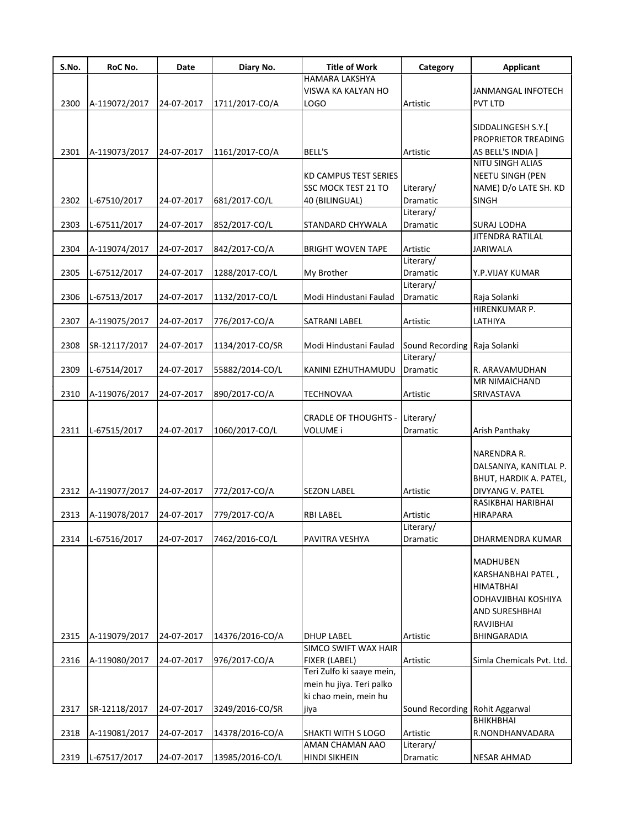| S.No. | RoC No.       | Date       | Diary No.       | <b>Title of Work</b>        | Category                       | <b>Applicant</b>              |
|-------|---------------|------------|-----------------|-----------------------------|--------------------------------|-------------------------------|
|       |               |            |                 | HAMARA LAKSHYA              |                                |                               |
|       |               |            |                 | VISWA KA KALYAN HO          |                                | JANMANGAL INFOTECH            |
| 2300  | A-119072/2017 | 24-07-2017 | 1711/2017-CO/A  | <b>LOGO</b>                 | Artistic                       | <b>PVT LTD</b>                |
|       |               |            |                 |                             |                                |                               |
|       |               |            |                 |                             |                                | SIDDALINGESH S.Y.[            |
|       |               |            |                 |                             |                                | PROPRIETOR TREADING           |
| 2301  | A-119073/2017 | 24-07-2017 | 1161/2017-CO/A  | <b>BELL'S</b>               | Artistic                       | AS BELL'S INDIA ]             |
|       |               |            |                 |                             |                                | NITU SINGH ALIAS              |
|       |               |            |                 | KD CAMPUS TEST SERIES       |                                | <b>NEETU SINGH (PEN</b>       |
|       |               |            |                 | SSC MOCK TEST 21 TO         | Literary/                      | NAME) D/o LATE SH. KD         |
| 2302  | L-67510/2017  | 24-07-2017 | 681/2017-CO/L   | 40 (BILINGUAL)              | Dramatic                       | <b>SINGH</b>                  |
|       |               |            |                 |                             | Literary/                      |                               |
| 2303  | L-67511/2017  | 24-07-2017 | 852/2017-CO/L   | STANDARD CHYWALA            | Dramatic                       | <b>SURAJ LODHA</b>            |
|       |               |            |                 |                             |                                | <b>JITENDRA RATILAL</b>       |
| 2304  | A-119074/2017 | 24-07-2017 | 842/2017-CO/A   | <b>BRIGHT WOVEN TAPE</b>    | Artistic                       | <b>JARIWALA</b>               |
|       |               |            |                 |                             | Literary/                      |                               |
| 2305  | L-67512/2017  | 24-07-2017 | 1288/2017-CO/L  | My Brother                  | Dramatic                       | Y.P.VIJAY KUMAR               |
|       |               |            |                 |                             | Literary/                      |                               |
| 2306  | L-67513/2017  | 24-07-2017 |                 | Modi Hindustani Faulad      | Dramatic                       |                               |
|       |               |            | 1132/2017-CO/L  |                             |                                | Raja Solanki<br>HIRENKUMAR P. |
|       |               |            |                 |                             |                                |                               |
| 2307  | A-119075/2017 | 24-07-2017 | 776/2017-CO/A   | <b>SATRANI LABEL</b>        | Artistic                       | LATHIYA                       |
|       |               |            |                 |                             |                                |                               |
| 2308  | SR-12117/2017 | 24-07-2017 | 1134/2017-CO/SR | Modi Hindustani Faulad      | Sound Recording Raja Solanki   |                               |
|       |               |            |                 |                             | Literary/                      |                               |
| 2309  | L-67514/2017  | 24-07-2017 | 55882/2014-CO/L | KANINI EZHUTHAMUDU          | Dramatic                       | R. ARAVAMUDHAN                |
|       |               |            |                 |                             |                                | MR NIMAICHAND                 |
| 2310  | A-119076/2017 | 24-07-2017 | 890/2017-CO/A   | <b>TECHNOVAA</b>            | Artistic                       | SRIVASTAVA                    |
|       |               |            |                 |                             |                                |                               |
|       |               |            |                 | <b>CRADLE OF THOUGHTS -</b> | Literary/                      |                               |
| 2311  | L-67515/2017  | 24-07-2017 | 1060/2017-CO/L  | VOLUME i                    | Dramatic                       | Arish Panthaky                |
|       |               |            |                 |                             |                                |                               |
|       |               |            |                 |                             |                                | NARENDRA R.                   |
|       |               |            |                 |                             |                                | DALSANIYA, KANITLAL P.        |
|       |               |            |                 |                             |                                | BHUT, HARDIK A. PATEL,        |
| 2312  | A-119077/2017 | 24-07-2017 | 772/2017-CO/A   | <b>SEZON LABEL</b>          | Artistic                       | DIVYANG V. PATEL              |
|       |               |            |                 |                             |                                | RASIKBHAI HARIBHAI            |
| 2313  | A-119078/2017 | 24-07-2017 | 779/2017-CO/A   | <b>RBI LABEL</b>            | Artistic                       | <b>HIRAPARA</b>               |
|       |               |            |                 |                             | Literary/                      |                               |
| 2314  | L-67516/2017  | 24-07-2017 | 7462/2016-CO/L  | PAVITRA VESHYA              | Dramatic                       | DHARMENDRA KUMAR              |
|       |               |            |                 |                             |                                |                               |
|       |               |            |                 |                             |                                | <b>MADHUBEN</b>               |
|       |               |            |                 |                             |                                | KARSHANBHAI PATEL,            |
|       |               |            |                 |                             |                                | <b>HIMATBHAI</b>              |
|       |               |            |                 |                             |                                | ODHAVJIBHAI KOSHIYA           |
|       |               |            |                 |                             |                                | AND SURESHBHAI                |
|       |               |            |                 |                             |                                | RAVJIBHAI                     |
| 2315  | A-119079/2017 | 24-07-2017 | 14376/2016-CO/A | <b>DHUP LABEL</b>           | Artistic                       | <b>BHINGARADIA</b>            |
|       |               |            |                 | <b>SIMCO SWIFT WAX HAIR</b> |                                |                               |
| 2316  | A-119080/2017 | 24-07-2017 | 976/2017-CO/A   | FIXER (LABEL)               | Artistic                       | Simla Chemicals Pvt. Ltd.     |
|       |               |            |                 | Teri Zulfo ki saaye mein,   |                                |                               |
|       |               |            |                 | mein hu jiya. Teri palko    |                                |                               |
|       |               |            |                 |                             |                                |                               |
|       |               |            |                 | ki chao mein, mein hu       |                                |                               |
| 2317  | SR-12118/2017 | 24-07-2017 | 3249/2016-CO/SR | jiya                        | Sound Recording Rohit Aggarwal |                               |
|       |               |            |                 |                             |                                | <b>BHIKHBHAI</b>              |
| 2318  | A-119081/2017 | 24-07-2017 | 14378/2016-CO/A | SHAKTI WITH S LOGO          | Artistic                       | R.NONDHANVADARA               |
|       |               |            |                 | AMAN CHAMAN AAO             | Literary/                      |                               |
| 2319  | L-67517/2017  | 24-07-2017 | 13985/2016-CO/L | <b>HINDI SIKHEIN</b>        | Dramatic                       | <b>NESAR AHMAD</b>            |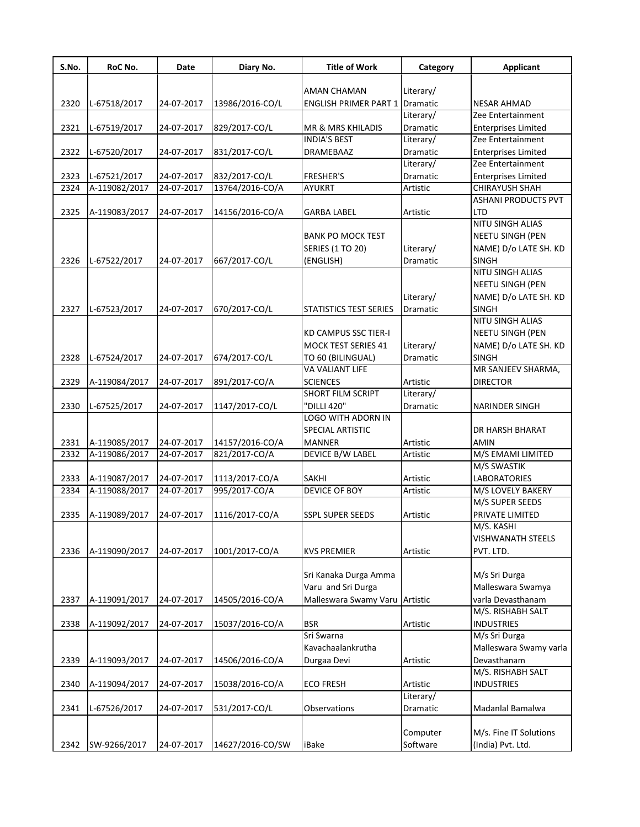| S.No. | RoC No.       | Date       | Diary No.        | <b>Title of Work</b>           | Category  | <b>Applicant</b>               |
|-------|---------------|------------|------------------|--------------------------------|-----------|--------------------------------|
|       |               |            |                  |                                |           |                                |
|       |               |            |                  | <b>AMAN CHAMAN</b>             | Literary/ |                                |
| 2320  | L-67518/2017  | 24-07-2017 | 13986/2016-CO/L  | <b>ENGLISH PRIMER PART 1</b>   | Dramatic  | <b>NESAR AHMAD</b>             |
|       |               |            |                  |                                | Literary/ | Zee Entertainment              |
| 2321  | L-67519/2017  | 24-07-2017 | 829/2017-CO/L    | <b>MR &amp; MRS KHILADIS</b>   | Dramatic  | <b>Enterprises Limited</b>     |
|       |               |            |                  | <b>INDIA'S BEST</b>            | Literary/ | Zee Entertainment              |
| 2322  | L-67520/2017  | 24-07-2017 | 831/2017-CO/L    | DRAMEBAAZ                      | Dramatic  | <b>Enterprises Limited</b>     |
|       |               |            |                  |                                | Literary/ | Zee Entertainment              |
| 2323  | L-67521/2017  | 24-07-2017 | 832/2017-CO/L    | <b>FRESHER'S</b>               | Dramatic  | <b>Enterprises Limited</b>     |
| 2324  | A-119082/2017 | 24-07-2017 | 13764/2016-CO/A  | <b>AYUKRT</b>                  | Artistic  | <b>CHIRAYUSH SHAH</b>          |
|       |               |            |                  |                                |           | <b>ASHANI PRODUCTS PVT</b>     |
| 2325  | A-119083/2017 | 24-07-2017 | 14156/2016-CO/A  | <b>GARBA LABEL</b>             | Artistic  | LTD<br><b>NITU SINGH ALIAS</b> |
|       |               |            |                  |                                |           |                                |
|       |               |            |                  | <b>BANK PO MOCK TEST</b>       |           | NEETU SINGH (PEN               |
|       |               |            |                  | <b>SERIES (1 TO 20)</b>        | Literary/ | NAME) D/o LATE SH. KD          |
| 2326  | L-67522/2017  | 24-07-2017 | 667/2017-CO/L    | (ENGLISH)                      | Dramatic  | <b>SINGH</b>                   |
|       |               |            |                  |                                |           | NITU SINGH ALIAS               |
|       |               |            |                  |                                |           | <b>NEETU SINGH (PEN</b>        |
|       |               |            |                  |                                | Literary/ | NAME) D/o LATE SH. KD          |
| 2327  | L-67523/2017  | 24-07-2017 | 670/2017-CO/L    | <b>STATISTICS TEST SERIES</b>  | Dramatic  | <b>SINGH</b>                   |
|       |               |            |                  |                                |           | NITU SINGH ALIAS               |
|       |               |            |                  | KD CAMPUS SSC TIER-I           |           | <b>NEETU SINGH (PEN</b>        |
|       |               |            |                  | <b>MOCK TEST SERIES 41</b>     | Literary/ | NAME) D/o LATE SH. KD          |
| 2328  | L-67524/2017  | 24-07-2017 | 674/2017-CO/L    | TO 60 (BILINGUAL)              | Dramatic  | <b>SINGH</b>                   |
|       |               |            |                  | VA VALIANT LIFE                |           | MR SANJEEV SHARMA,             |
| 2329  | A-119084/2017 | 24-07-2017 | 891/2017-CO/A    | <b>SCIENCES</b>                | Artistic  | <b>DIRECTOR</b>                |
|       |               |            |                  | <b>SHORT FILM SCRIPT</b>       | Literary/ |                                |
| 2330  | L-67525/2017  | 24-07-2017 | 1147/2017-CO/L   | "DILLI 420"                    | Dramatic  | <b>NARINDER SINGH</b>          |
|       |               |            |                  | LOGO WITH ADORN IN             |           |                                |
|       |               |            |                  | <b>SPECIAL ARTISTIC</b>        |           | DR HARSH BHARAT                |
| 2331  | A-119085/2017 | 24-07-2017 | 14157/2016-CO/A  | <b>MANNER</b>                  | Artistic  | AMIN                           |
| 2332  | A-119086/2017 | 24-07-2017 | 821/2017-CO/A    | <b>DEVICE B/W LABEL</b>        | Artistic  | M/S EMAMI LIMITED              |
|       |               |            |                  |                                |           | M/S SWASTIK                    |
| 2333  | A-119087/2017 | 24-07-2017 | 1113/2017-CO/A   | <b>SAKHI</b>                   | Artistic  | <b>LABORATORIES</b>            |
| 2334  | A-119088/2017 | 24-07-2017 | 995/2017-CO/A    | <b>DEVICE OF BOY</b>           | Artistic  | M/S LOVELY BAKERY              |
|       |               |            |                  |                                |           | M/S SUPER SEEDS                |
| 2335  | A-119089/2017 | 24-07-2017 | 1116/2017-CO/A   | <b>SSPL SUPER SEEDS</b>        | Artistic  | PRIVATE LIMITED                |
|       |               |            |                  |                                |           | M/S. KASHI                     |
|       |               |            |                  |                                |           | <b>VISHWANATH STEELS</b>       |
| 2336  | A-119090/2017 | 24-07-2017 | 1001/2017-CO/A   | <b>KVS PREMIER</b>             | Artistic  | PVT. LTD.                      |
|       |               |            |                  |                                |           |                                |
|       |               |            |                  | Sri Kanaka Durga Amma          |           | M/s Sri Durga                  |
|       |               |            |                  | Varu and Sri Durga             |           | Malleswara Swamya              |
| 2337  | A-119091/2017 | 24-07-2017 | 14505/2016-CO/A  | Malleswara Swamy Varu Artistic |           | varla Devasthanam              |
|       |               |            |                  |                                |           | M/S. RISHABH SALT              |
| 2338  | A-119092/2017 | 24-07-2017 | 15037/2016-CO/A  | <b>BSR</b>                     | Artistic  | <b>INDUSTRIES</b>              |
|       |               |            |                  | Sri Swarna                     |           | M/s Sri Durga                  |
|       |               |            |                  | Kavachaalankrutha              |           | Malleswara Swamy varla         |
| 2339  | A-119093/2017 | 24-07-2017 | 14506/2016-CO/A  | Durgaa Devi                    | Artistic  | Devasthanam                    |
|       |               |            |                  |                                |           | M/S. RISHABH SALT              |
| 2340  | A-119094/2017 | 24-07-2017 | 15038/2016-CO/A  | <b>ECO FRESH</b>               | Artistic  | <b>INDUSTRIES</b>              |
|       |               |            |                  |                                | Literary/ |                                |
| 2341  | L-67526/2017  | 24-07-2017 | 531/2017-CO/L    | Observations                   | Dramatic  | Madanlal Bamalwa               |
|       |               |            |                  |                                |           |                                |
|       |               |            |                  |                                | Computer  | M/s. Fine IT Solutions         |
| 2342  | SW-9266/2017  | 24-07-2017 | 14627/2016-CO/SW | iBake                          | Software  | (India) Pvt. Ltd.              |
|       |               |            |                  |                                |           |                                |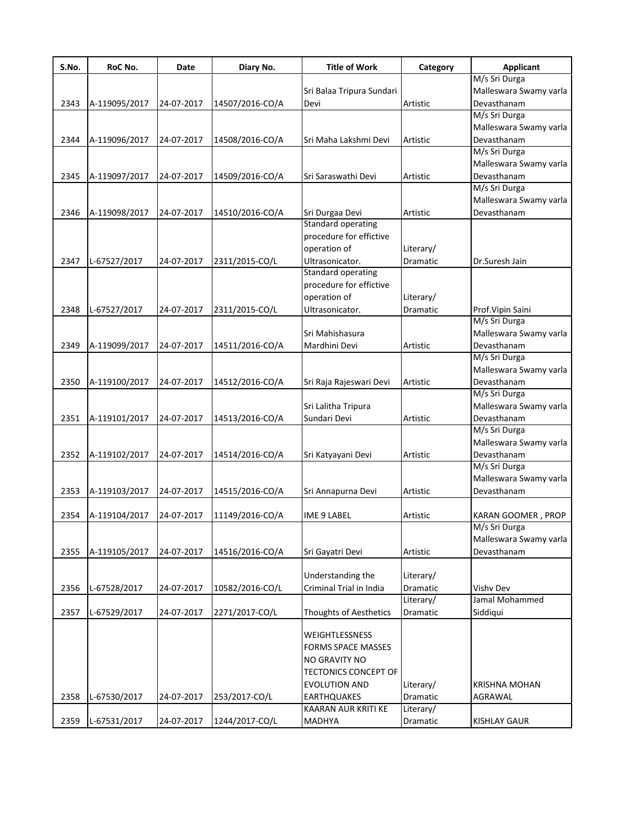| S.No. | RoC No.       | Date       | Diary No.       | <b>Title of Work</b>       | Category        | <b>Applicant</b>       |
|-------|---------------|------------|-----------------|----------------------------|-----------------|------------------------|
|       |               |            |                 |                            |                 | M/s Sri Durga          |
|       |               |            |                 | Sri Balaa Tripura Sundari  |                 | Malleswara Swamy varla |
| 2343  | A-119095/2017 | 24-07-2017 | 14507/2016-CO/A | Devi                       | Artistic        | Devasthanam            |
|       |               |            |                 |                            |                 | M/s Sri Durga          |
|       |               |            |                 |                            |                 | Malleswara Swamy varla |
| 2344  | A-119096/2017 | 24-07-2017 | 14508/2016-CO/A | Sri Maha Lakshmi Devi      | Artistic        | Devasthanam            |
|       |               |            |                 |                            |                 | M/s Sri Durga          |
|       |               |            |                 |                            |                 | Malleswara Swamy varla |
| 2345  | A-119097/2017 | 24-07-2017 | 14509/2016-CO/A | Sri Saraswathi Devi        | Artistic        | Devasthanam            |
|       |               |            |                 |                            |                 | M/s Sri Durga          |
|       |               |            |                 |                            |                 | Malleswara Swamy varla |
| 2346  | A-119098/2017 | 24-07-2017 | 14510/2016-CO/A | Sri Durgaa Devi            | Artistic        | Devasthanam            |
|       |               |            |                 | <b>Standard operating</b>  |                 |                        |
|       |               |            |                 | procedure for effictive    |                 |                        |
|       |               |            |                 | operation of               | Literary/       |                        |
| 2347  | L-67527/2017  | 24-07-2017 | 2311/2015-CO/L  | Ultrasonicator.            | Dramatic        | Dr.Suresh Jain         |
|       |               |            |                 | Standard operating         |                 |                        |
|       |               |            |                 | procedure for effictive    |                 |                        |
|       |               |            |                 | operation of               | Literary/       |                        |
| 2348  | L-67527/2017  | 24-07-2017 | 2311/2015-CO/L  | Ultrasonicator.            | Dramatic        | Prof. Vipin Saini      |
|       |               |            |                 |                            |                 | M/s Sri Durga          |
|       |               |            |                 | Sri Mahishasura            |                 | Malleswara Swamy varla |
| 2349  | A-119099/2017 | 24-07-2017 | 14511/2016-CO/A | Mardhini Devi              | <b>Artistic</b> | Devasthanam            |
|       |               |            |                 |                            |                 | M/s Sri Durga          |
|       |               |            |                 |                            |                 | Malleswara Swamy varla |
| 2350  | A-119100/2017 | 24-07-2017 | 14512/2016-CO/A | Sri Raja Rajeswari Devi    | Artistic        | Devasthanam            |
|       |               |            |                 |                            |                 | M/s Sri Durga          |
|       |               |            |                 | Sri Lalitha Tripura        |                 | Malleswara Swamy varla |
| 2351  | A-119101/2017 | 24-07-2017 | 14513/2016-CO/A | Sundari Devi               | Artistic        | Devasthanam            |
|       |               |            |                 |                            |                 | M/s Sri Durga          |
|       |               |            |                 |                            |                 | Malleswara Swamy varla |
| 2352  | A-119102/2017 | 24-07-2017 | 14514/2016-CO/A |                            | Artistic        | Devasthanam            |
|       |               |            |                 | Sri Katyayani Devi         |                 | M/s Sri Durga          |
|       |               |            |                 |                            |                 |                        |
|       |               |            |                 |                            |                 | Malleswara Swamy varla |
| 2353  | A-119103/2017 | 24-07-2017 | 14515/2016-CO/A | Sri Annapurna Devi         | Artistic        | Devasthanam            |
| 2354  | A-119104/2017 | 24-07-2017 | 11149/2016-CO/A | IME 9 LABEL                | Artistic        | KARAN GOOMER , PROP    |
|       |               |            |                 |                            |                 | M/s Sri Durga          |
|       |               |            |                 |                            |                 | Malleswara Swamy varla |
| 2355  | A-119105/2017 | 24-07-2017 | 14516/2016-CO/A | Sri Gayatri Devi           | Artistic        | Devasthanam            |
|       |               |            |                 |                            |                 |                        |
|       |               |            |                 | Understanding the          | Literary/       |                        |
| 2356  | L-67528/2017  | 24-07-2017 | 10582/2016-CO/L | Criminal Trial in India    | Dramatic        | Vishv Dev              |
|       |               |            |                 |                            | Literary/       | Jamal Mohammed         |
| 2357  | L-67529/2017  | 24-07-2017 | 2271/2017-CO/L  | Thoughts of Aesthetics     | Dramatic        |                        |
|       |               |            |                 |                            |                 | Siddiqui               |
|       |               |            |                 | WEIGHTLESSNESS             |                 |                        |
|       |               |            |                 | <b>FORMS SPACE MASSES</b>  |                 |                        |
|       |               |            |                 |                            |                 |                        |
|       |               |            |                 | NO GRAVITY NO              |                 |                        |
|       |               |            |                 | TECTONICS CONCEPT OF       |                 |                        |
|       |               |            |                 | EVOLUTION AND              | Literary/       | <b>KRISHNA MOHAN</b>   |
| 2358  | L-67530/2017  | 24-07-2017 | 253/2017-CO/L   | <b>EARTHQUAKES</b>         | Dramatic        | AGRAWAL                |
|       |               |            |                 | <b>KAARAN AUR KRITI KE</b> | Literary/       |                        |
| 2359  | L-67531/2017  | 24-07-2017 | 1244/2017-CO/L  | MADHYA                     | Dramatic        | <b>KISHLAY GAUR</b>    |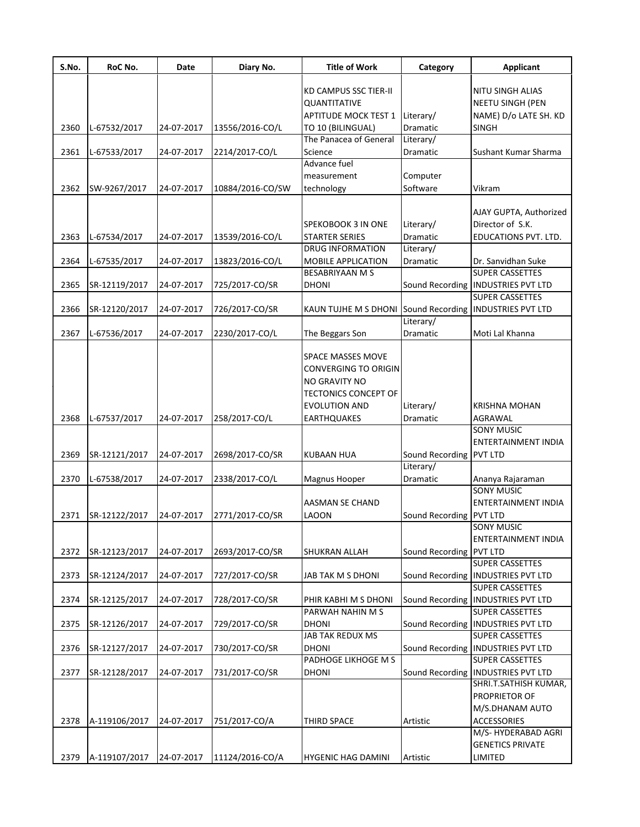| S.No. | RoC No.       | Date       | Diary No.        | <b>Title of Work</b>                                    | Category                | <b>Applicant</b>                                      |
|-------|---------------|------------|------------------|---------------------------------------------------------|-------------------------|-------------------------------------------------------|
|       |               |            |                  | <b>KD CAMPUS SSC TIER-II</b>                            |                         | NITU SINGH ALIAS                                      |
|       |               |            |                  | QUANTITATIVE                                            |                         | <b>NEETU SINGH (PEN</b>                               |
|       |               |            |                  | APTITUDE MOCK TEST 1 Literary/                          |                         | NAME) D/o LATE SH. KD                                 |
| 2360  | L-67532/2017  | 24-07-2017 | 13556/2016-CO/L  | TO 10 (BILINGUAL)                                       | Dramatic                | SINGH                                                 |
|       |               |            |                  | The Panacea of General                                  | Literary/               |                                                       |
| 2361  | L-67533/2017  | 24-07-2017 | 2214/2017-CO/L   | Science                                                 | Dramatic                | Sushant Kumar Sharma                                  |
|       |               |            |                  | Advance fuel                                            |                         |                                                       |
|       |               |            |                  | measurement                                             | Computer                |                                                       |
| 2362  | SW-9267/2017  | 24-07-2017 | 10884/2016-CO/SW | technology                                              | Software                | Vikram                                                |
|       |               |            |                  |                                                         |                         |                                                       |
|       |               |            |                  |                                                         |                         | AJAY GUPTA, Authorized                                |
|       |               |            |                  | SPEKOBOOK 3 IN ONE                                      | Literary/               | Director of S.K.                                      |
| 2363  | L-67534/2017  | 24-07-2017 | 13539/2016-CO/L  | <b>STARTER SERIES</b>                                   | Dramatic                | EDUCATIONS PVT. LTD.                                  |
|       |               |            |                  | <b>DRUG INFORMATION</b>                                 | Literary/               |                                                       |
| 2364  | L-67535/2017  | 24-07-2017 | 13823/2016-CO/L  | MOBILE APPLICATION                                      | Dramatic                | Dr. Sanvidhan Suke                                    |
|       |               |            |                  | <b>BESABRIYAAN M S</b>                                  |                         | <b>SUPER CASSETTES</b>                                |
| 2365  | SR-12119/2017 | 24-07-2017 | 725/2017-CO/SR   | <b>DHONI</b>                                            |                         | Sound Recording   INDUSTRIES PVT LTD                  |
|       |               |            |                  |                                                         |                         | <b>SUPER CASSETTES</b>                                |
| 2366  | SR-12120/2017 | 24-07-2017 | 726/2017-CO/SR   | KAUN TUJHE M S DHONI Sound Recording INDUSTRIES PVT LTD |                         |                                                       |
|       |               |            |                  |                                                         | Literary/               |                                                       |
| 2367  | L-67536/2017  | 24-07-2017 | 2230/2017-CO/L   | The Beggars Son                                         | Dramatic                | Moti Lal Khanna                                       |
|       |               |            |                  |                                                         |                         |                                                       |
|       |               |            |                  | <b>SPACE MASSES MOVE</b>                                |                         |                                                       |
|       |               |            |                  | <b>CONVERGING TO ORIGIN</b>                             |                         |                                                       |
|       |               |            |                  | <b>NO GRAVITY NO</b>                                    |                         |                                                       |
|       |               |            |                  | <b>TECTONICS CONCEPT OF</b>                             |                         |                                                       |
|       |               |            |                  | <b>EVOLUTION AND</b>                                    | Literary/               | <b>KRISHNA MOHAN</b>                                  |
| 2368  | L-67537/2017  | 24-07-2017 | 258/2017-CO/L    | <b>EARTHQUAKES</b>                                      | Dramatic                | AGRAWAL                                               |
|       |               |            |                  |                                                         |                         | <b>SONY MUSIC</b>                                     |
|       |               |            |                  |                                                         |                         | ENTERTAINMENT INDIA                                   |
| 2369  | SR-12121/2017 | 24-07-2017 | 2698/2017-CO/SR  | <b>KUBAAN HUA</b>                                       | Sound Recording PVT LTD |                                                       |
|       |               |            |                  |                                                         | Literary/               |                                                       |
| 2370  | L-67538/2017  | 24-07-2017 | 2338/2017-CO/L   | Magnus Hooper                                           | Dramatic                | Ananya Rajaraman                                      |
|       |               |            |                  |                                                         |                         | <b>SONY MUSIC</b>                                     |
|       |               |            |                  | AASMAN SE CHAND                                         |                         | <b>ENTERTAINMENT INDIA</b>                            |
|       | SR-12122/2017 |            |                  |                                                         |                         |                                                       |
| 2371  |               | 24-07-2017 | 2771/2017-CO/SR  | LAOON                                                   | Sound Recording PVT LTD | SONY MUSIC                                            |
|       |               |            |                  |                                                         |                         | ENTERTAINMENT INDIA                                   |
|       |               |            |                  |                                                         |                         |                                                       |
| 2372  | SR-12123/2017 | 24-07-2017 | 2693/2017-CO/SR  | SHUKRAN ALLAH                                           | Sound Recording PVT LTD | <b>SUPER CASSETTES</b>                                |
|       |               |            |                  |                                                         |                         |                                                       |
| 2373  | SR-12124/2017 | 24-07-2017 | 727/2017-CO/SR   | JAB TAK M S DHONI                                       |                         | Sound Recording   INDUSTRIES PVT LTD                  |
|       |               |            |                  |                                                         |                         | SUPER CASSETTES<br>Sound Recording INDUSTRIES PVT LTD |
| 2374  | SR-12125/2017 | 24-07-2017 | 728/2017-CO/SR   | PHIR KABHI M S DHONI                                    |                         |                                                       |
|       |               |            |                  | PARWAH NAHIN M S                                        |                         | SUPER CASSETTES                                       |
| 2375  | SR-12126/2017 | 24-07-2017 | 729/2017-CO/SR   | <b>DHONI</b>                                            |                         | Sound Recording   INDUSTRIES PVT LTD                  |
|       |               |            |                  | JAB TAK REDUX MS                                        |                         | SUPER CASSETTES                                       |
| 2376  | SR-12127/2017 | 24-07-2017 | 730/2017-CO/SR   | <b>DHONI</b>                                            |                         | Sound Recording   INDUSTRIES PVT LTD                  |
|       |               |            |                  | PADHOGE LIKHOGE M S                                     |                         | <b>SUPER CASSETTES</b>                                |
| 2377  | SR-12128/2017 | 24-07-2017 | 731/2017-CO/SR   | <b>DHONI</b>                                            |                         | Sound Recording   INDUSTRIES PVT LTD                  |
|       |               |            |                  |                                                         |                         | SHRI.T.SATHISH KUMAR,                                 |
|       |               |            |                  |                                                         |                         | PROPRIETOR OF                                         |
|       |               |            |                  |                                                         |                         | M/S.DHANAM AUTO                                       |
| 2378  | A-119106/2017 | 24-07-2017 | 751/2017-CO/A    | <b>THIRD SPACE</b>                                      | Artistic                | <b>ACCESSORIES</b>                                    |
|       |               |            |                  |                                                         |                         | M/S-HYDERABAD AGRI                                    |
|       |               |            |                  |                                                         |                         | <b>GENETICS PRIVATE</b>                               |
| 2379  | A-119107/2017 | 24-07-2017 | 11124/2016-CO/A  | <b>HYGENIC HAG DAMINI</b>                               | Artistic                | LIMITED                                               |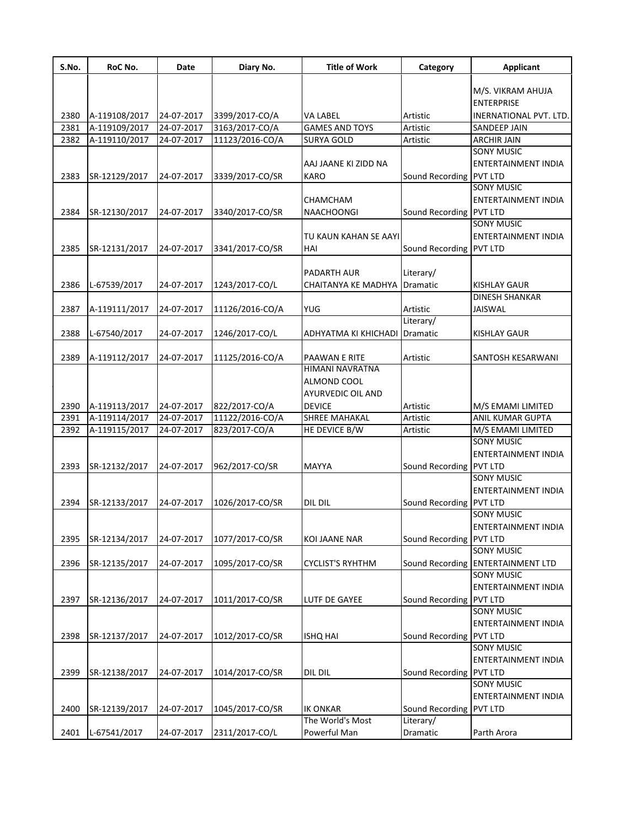| S.No. | RoC No.       | Date       | Diary No.       | <b>Title of Work</b>       | Category                | <b>Applicant</b>                  |
|-------|---------------|------------|-----------------|----------------------------|-------------------------|-----------------------------------|
|       |               |            |                 |                            |                         | M/S. VIKRAM AHUJA                 |
|       |               |            |                 |                            |                         | <b>ENTERPRISE</b>                 |
| 2380  | A-119108/2017 | 24-07-2017 | 3399/2017-CO/A  | <b>VA LABEL</b>            | Artistic                | <b>INERNATIONAL PVT. LTD.</b>     |
| 2381  | A-119109/2017 | 24-07-2017 | 3163/2017-CO/A  | <b>GAMES AND TOYS</b>      | Artistic                | SANDEEP JAIN                      |
| 2382  | A-119110/2017 | 24-07-2017 | 11123/2016-CO/A | SURYA GOLD                 | Artistic                | <b>ARCHIR JAIN</b>                |
|       |               |            |                 |                            |                         | <b>SONY MUSIC</b>                 |
|       |               |            |                 | AAJ JAANE KI ZIDD NA       |                         | <b>ENTERTAINMENT INDIA</b>        |
| 2383  | SR-12129/2017 | 24-07-2017 |                 | <b>KARO</b>                | Sound Recording PVT LTD |                                   |
|       |               |            | 3339/2017-CO/SR |                            |                         | <b>SONY MUSIC</b>                 |
|       |               |            |                 | CHAMCHAM                   |                         | ENTERTAINMENT INDIA               |
| 2384  | SR-12130/2017 | 24-07-2017 | 3340/2017-CO/SR | <b>NAACHOONGI</b>          | Sound Recording PVT LTD |                                   |
|       |               |            |                 |                            |                         | <b>SONY MUSIC</b>                 |
|       |               |            |                 | TU KAUN KAHAN SE AAYI      |                         | <b>ENTERTAINMENT INDIA</b>        |
| 2385  | SR-12131/2017 | 24-07-2017 | 3341/2017-CO/SR | HAI                        | Sound Recording PVT LTD |                                   |
|       |               |            |                 |                            |                         |                                   |
|       |               |            |                 |                            |                         |                                   |
|       |               |            |                 | PADARTH AUR                | Literary/               |                                   |
| 2386  | L-67539/2017  | 24-07-2017 | 1243/2017-CO/L  | <b>CHAITANYA KE MADHYA</b> | <b>Dramatic</b>         | <b>KISHLAY GAUR</b>               |
|       |               |            |                 |                            |                         | DINESH SHANKAR                    |
| 2387  | A-119111/2017 | 24-07-2017 | 11126/2016-CO/A | <b>YUG</b>                 | Artistic                | <b>JAISWAL</b>                    |
|       |               |            |                 |                            | Literary/               |                                   |
| 2388  | L-67540/2017  | 24-07-2017 | 1246/2017-CO/L  | ADHYATMA KI KHICHADI       | Dramatic                | KISHLAY GAUR                      |
|       |               |            |                 |                            |                         |                                   |
| 2389  | A-119112/2017 | 24-07-2017 | 11125/2016-CO/A | PAAWAN E RITE              | Artistic                | SANTOSH KESARWANI                 |
|       |               |            |                 | <b>HIMANI NAVRATNA</b>     |                         |                                   |
|       |               |            |                 | ALMOND COOL                |                         |                                   |
|       |               |            |                 | <b>AYURVEDIC OIL AND</b>   |                         |                                   |
| 2390  | A-119113/2017 | 24-07-2017 | 822/2017-CO/A   | <b>DEVICE</b>              | Artistic                | M/S EMAMI LIMITED                 |
| 2391  | A-119114/2017 | 24-07-2017 | 11122/2016-CO/A | <b>SHREE MAHAKAL</b>       | Artistic                | <b>ANIL KUMAR GUPTA</b>           |
| 2392  | A-119115/2017 | 24-07-2017 | 823/2017-CO/A   | HE DEVICE B/W              | Artistic                | M/S EMAMI LIMITED                 |
|       |               |            |                 |                            |                         | <b>SONY MUSIC</b>                 |
|       |               |            |                 |                            |                         | <b>ENTERTAINMENT INDIA</b>        |
| 2393  | SR-12132/2017 | 24-07-2017 | 962/2017-CO/SR  | <b>MAYYA</b>               | Sound Recording PVT LTD |                                   |
|       |               |            |                 |                            |                         | <b>SONY MUSIC</b>                 |
|       |               |            |                 |                            |                         | <b>ENTERTAINMENT INDIA</b>        |
| 2394  | SR-12133/2017 | 24-07-2017 | 1026/2017-CO/SR | DIL DIL                    | Sound Recording PVT LTD |                                   |
|       |               |            |                 |                            |                         | <b>SONY MUSIC</b>                 |
|       |               |            |                 |                            |                         | <b>ENTERTAINMENT INDIA</b>        |
| 2395  | SR-12134/2017 | 24-07-2017 | 1077/2017-CO/SR | <b>KOI JAANE NAR</b>       | Sound Recording PVT LTD |                                   |
|       |               |            |                 |                            |                         | <b>SONY MUSIC</b>                 |
| 2396  | SR-12135/2017 | 24-07-2017 | 1095/2017-CO/SR | <b>CYCLIST'S RYHTHM</b>    |                         | Sound Recording ENTERTAINMENT LTD |
|       |               |            |                 |                            |                         | <b>SONY MUSIC</b>                 |
|       |               |            |                 |                            |                         | <b>ENTERTAINMENT INDIA</b>        |
| 2397  | SR-12136/2017 | 24-07-2017 | 1011/2017-CO/SR | <b>LUTF DE GAYEE</b>       | Sound Recording PVT LTD |                                   |
|       |               |            |                 |                            |                         | <b>SONY MUSIC</b>                 |
|       |               |            |                 |                            |                         | <b>ENTERTAINMENT INDIA</b>        |
| 2398  | SR-12137/2017 | 24-07-2017 | 1012/2017-CO/SR | <b>ISHQ HAI</b>            | Sound Recording PVT LTD |                                   |
|       |               |            |                 |                            |                         | <b>SONY MUSIC</b>                 |
|       |               |            |                 |                            |                         | <b>ENTERTAINMENT INDIA</b>        |
| 2399  | SR-12138/2017 | 24-07-2017 | 1014/2017-CO/SR | DIL DIL                    | Sound Recording PVT LTD |                                   |
|       |               |            |                 |                            |                         | <b>SONY MUSIC</b>                 |
|       |               |            |                 |                            |                         | ENTERTAINMENT INDIA               |
| 2400  |               | 24-07-2017 | 1045/2017-CO/SR | <b>IK ONKAR</b>            | Sound Recording PVT LTD |                                   |
|       | SR-12139/2017 |            |                 | The World's Most           | Literary/               |                                   |
|       |               |            |                 |                            |                         |                                   |
| 2401  | L-67541/2017  | 24-07-2017 | 2311/2017-CO/L  | Powerful Man               | Dramatic                | Parth Arora                       |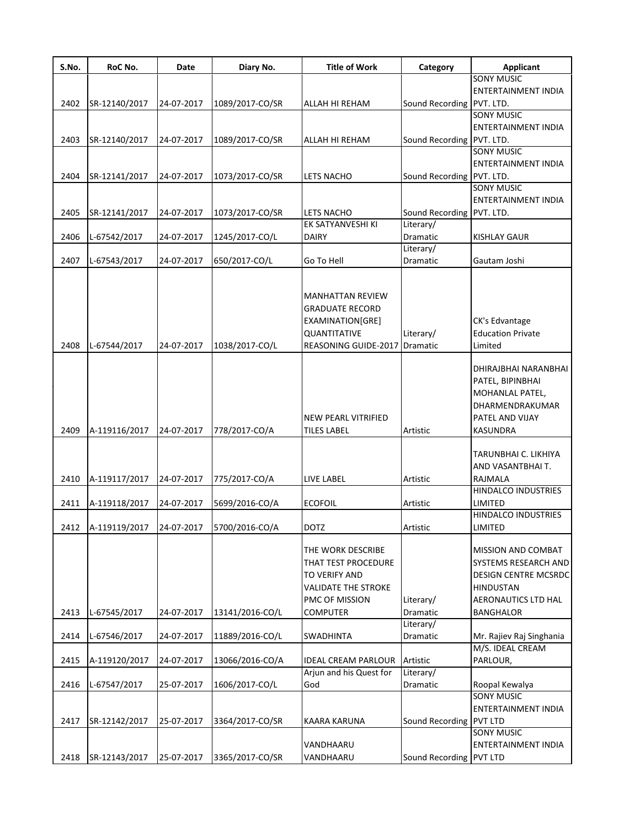| S.No. | RoC No.       | Date       | Diary No.       | <b>Title of Work</b>                      | Category                  | <b>Applicant</b>                                                                                                     |
|-------|---------------|------------|-----------------|-------------------------------------------|---------------------------|----------------------------------------------------------------------------------------------------------------------|
|       |               |            |                 |                                           |                           | <b>SONY MUSIC</b>                                                                                                    |
|       |               |            |                 |                                           |                           | ENTERTAINMENT INDIA                                                                                                  |
| 2402  | SR-12140/2017 | 24-07-2017 | 1089/2017-CO/SR | ALLAH HI REHAM                            | Sound Recording PVT. LTD. |                                                                                                                      |
|       |               |            |                 |                                           |                           | <b>SONY MUSIC</b>                                                                                                    |
|       |               |            |                 |                                           |                           | ENTERTAINMENT INDIA                                                                                                  |
| 2403  | SR-12140/2017 | 24-07-2017 | 1089/2017-CO/SR | ALLAH HI REHAM                            | Sound Recording PVT. LTD. |                                                                                                                      |
|       |               |            |                 |                                           |                           | SONY MUSIC                                                                                                           |
|       |               |            |                 |                                           |                           | ENTERTAINMENT INDIA                                                                                                  |
| 2404  | SR-12141/2017 | 24-07-2017 | 1073/2017-CO/SR | <b>LETS NACHO</b>                         | Sound Recording PVT. LTD. |                                                                                                                      |
|       |               |            |                 |                                           |                           | <b>SONY MUSIC</b>                                                                                                    |
|       |               |            |                 |                                           |                           | ENTERTAINMENT INDIA                                                                                                  |
| 2405  | SR-12141/2017 | 24-07-2017 | 1073/2017-CO/SR | LETS NACHO                                | Sound Recording PVT. LTD. |                                                                                                                      |
|       |               |            |                 | EK SATYANVESHI KI                         | Literary/                 |                                                                                                                      |
| 2406  | L-67542/2017  | 24-07-2017 | 1245/2017-CO/L  | <b>DAIRY</b>                              | Dramatic                  | <b>KISHLAY GAUR</b>                                                                                                  |
|       |               |            |                 |                                           | Literary/                 |                                                                                                                      |
|       |               |            |                 |                                           |                           |                                                                                                                      |
| 2407  | L-67543/2017  | 24-07-2017 | 650/2017-CO/L   | Go To Hell                                | Dramatic                  | Gautam Joshi                                                                                                         |
|       |               |            |                 | <b>MANHATTAN REVIEW</b>                   |                           |                                                                                                                      |
|       |               |            |                 | <b>GRADUATE RECORD</b>                    |                           |                                                                                                                      |
|       |               |            |                 | EXAMINATION[GRE]                          |                           | CK's Edvantage                                                                                                       |
|       |               |            |                 | QUANTITATIVE                              | Literary/                 | <b>Education Private</b>                                                                                             |
| 2408  | L-67544/2017  | 24-07-2017 | 1038/2017-CO/L  | REASONING GUIDE-2017                      | <b>Dramatic</b>           | Limited                                                                                                              |
| 2409  | A-119116/2017 | 24-07-2017 | 778/2017-CO/A   | NEW PEARL VITRIFIED<br><b>TILES LABEL</b> | Artistic                  | DHIRAJBHAI NARANBHAI<br>PATEL, BIPINBHAI<br>MOHANLAL PATEL,<br>DHARMENDRAKUMAR<br>PATEL AND VIJAY<br><b>KASUNDRA</b> |
|       |               |            |                 |                                           |                           |                                                                                                                      |
|       |               |            |                 |                                           |                           | TARUNBHAI C. LIKHIYA                                                                                                 |
|       |               |            |                 |                                           |                           | AND VASANTBHAIT.                                                                                                     |
| 2410  | A-119117/2017 | 24-07-2017 | 775/2017-CO/A   | LIVE LABEL                                | Artistic                  | RAJMALA                                                                                                              |
|       |               |            |                 |                                           |                           | HINDALCO INDUSTRIES                                                                                                  |
| 2411  | A-119118/2017 | 24-07-2017 | 5699/2016-CO/A  | <b>ECOFOIL</b>                            | Artistic                  | LIMITED                                                                                                              |
|       |               |            |                 |                                           |                           | HINDALCO INDUSTRIES                                                                                                  |
| 2412  | A-119119/2017 | 24-07-2017 | 5700/2016-CO/A  | <b>DOTZ</b>                               | Artistic                  | LIMITED                                                                                                              |
|       |               |            |                 | THE WORK DESCRIBE<br>THAT TEST PROCEDURE  |                           | MISSION AND COMBAT<br>SYSTEMS RESEARCH AND                                                                           |
|       |               |            |                 | TO VERIFY AND                             |                           | <b>DESIGN CENTRE MCSRDC</b>                                                                                          |
|       |               |            |                 | <b>VALIDATE THE STROKE</b>                |                           | <b>HINDUSTAN</b>                                                                                                     |
|       |               |            |                 | PMC OF MISSION                            | Literary/                 | AERONAUTICS LTD HAL                                                                                                  |
| 2413  | L-67545/2017  | 24-07-2017 | 13141/2016-CO/L | <b>COMPUTER</b>                           | Dramatic                  | <b>BANGHALOR</b>                                                                                                     |
|       |               |            |                 |                                           | Literary/                 |                                                                                                                      |
|       |               |            | 11889/2016-CO/L |                                           |                           |                                                                                                                      |
| 2414  | L-67546/2017  | 24-07-2017 |                 | SWADHINTA                                 | Dramatic                  | Mr. Rajiev Raj Singhania                                                                                             |
|       |               |            |                 |                                           |                           | M/S. IDEAL CREAM                                                                                                     |
| 2415  | A-119120/2017 | 24-07-2017 | 13066/2016-CO/A | <b>IDEAL CREAM PARLOUR</b>                | Artistic                  | PARLOUR,                                                                                                             |
|       |               |            |                 | Arjun and his Quest for                   | Literary/                 |                                                                                                                      |
| 2416  | L-67547/2017  | 25-07-2017 | 1606/2017-CO/L  | God                                       | Dramatic                  | Roopal Kewalya                                                                                                       |
|       |               |            |                 |                                           |                           | <b>SONY MUSIC</b>                                                                                                    |
|       |               |            |                 |                                           |                           | ENTERTAINMENT INDIA                                                                                                  |
| 2417  | SR-12142/2017 | 25-07-2017 | 3364/2017-CO/SR | KAARA KARUNA                              | Sound Recording           | PVT LTD                                                                                                              |
|       |               |            |                 |                                           |                           | SONY MUSIC                                                                                                           |
|       |               |            |                 | VANDHAARU                                 |                           | ENTERTAINMENT INDIA                                                                                                  |
| 2418  | SR-12143/2017 | 25-07-2017 | 3365/2017-CO/SR | VANDHAARU                                 | Sound Recording PVT LTD   |                                                                                                                      |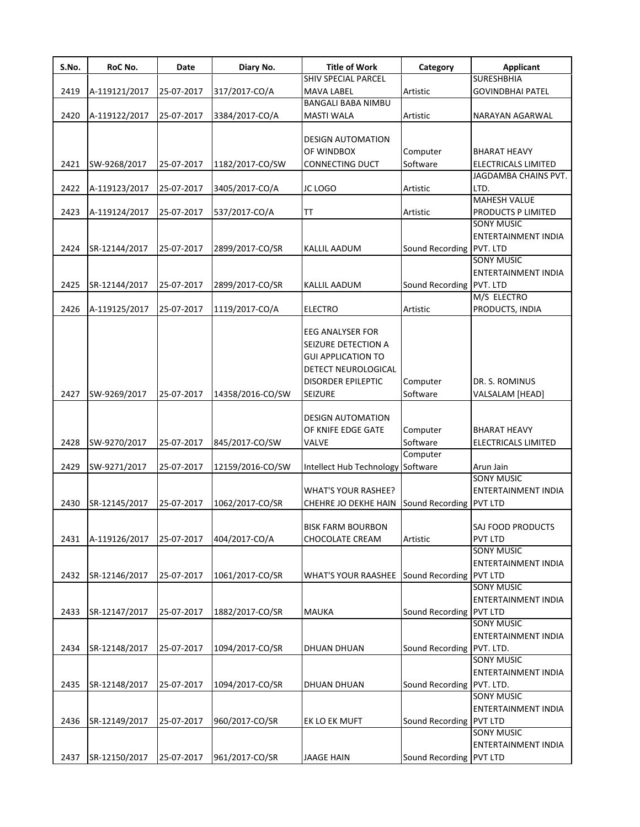| S.No. | RoC No.       | <b>Date</b> | Diary No.        | <b>Title of Work</b>                                                                                                                       | Category                  | <b>Applicant</b>                                                  |
|-------|---------------|-------------|------------------|--------------------------------------------------------------------------------------------------------------------------------------------|---------------------------|-------------------------------------------------------------------|
|       |               |             |                  | SHIV SPECIAL PARCEL                                                                                                                        |                           | <b>SURESHBHIA</b>                                                 |
| 2419  | A-119121/2017 | 25-07-2017  | 317/2017-CO/A    | <b>MAVA LABEL</b>                                                                                                                          | Artistic                  | <b>GOVINDBHAI PATEL</b>                                           |
|       |               |             |                  | <b>BANGALI BABA NIMBU</b>                                                                                                                  |                           |                                                                   |
| 2420  | A-119122/2017 | 25-07-2017  | 3384/2017-CO/A   | <b>MASTI WALA</b>                                                                                                                          | Artistic                  | NARAYAN AGARWAL                                                   |
|       |               |             |                  | <b>DESIGN AUTOMATION</b><br>OF WINDBOX                                                                                                     | Computer                  | <b>BHARAT HEAVY</b>                                               |
| 2421  | SW-9268/2017  | 25-07-2017  | 1182/2017-CO/SW  | CONNECTING DUCT                                                                                                                            | Software                  | <b>ELECTRICALS LIMITED</b>                                        |
| 2422  | A-119123/2017 | 25-07-2017  | 3405/2017-CO/A   | JC LOGO                                                                                                                                    | Artistic                  | JAGDAMBA CHAINS PVT.<br>LTD.                                      |
| 2423  | A-119124/2017 | 25-07-2017  | 537/2017-CO/A    | IТ                                                                                                                                         | Artistic                  | <b>MAHESH VALUE</b><br>PRODUCTS P LIMITED<br><b>SONY MUSIC</b>    |
| 2424  | SR-12144/2017 | 25-07-2017  | 2899/2017-CO/SR  | <b>KALLIL AADUM</b>                                                                                                                        | Sound Recording PVT. LTD  | ENTERTAINMENT INDIA<br><b>SONY MUSIC</b>                          |
| 2425  | SR-12144/2017 | 25-07-2017  | 2899/2017-CO/SR  | <b>KALLIL AADUM</b>                                                                                                                        | Sound Recording PVT. LTD  | <b>ENTERTAINMENT INDIA</b>                                        |
|       |               |             |                  |                                                                                                                                            |                           | M/S ELECTRO                                                       |
| 2426  | A-119125/2017 | 25-07-2017  | 1119/2017-CO/A   | <b>ELECTRO</b>                                                                                                                             | Artistic                  | PRODUCTS, INDIA                                                   |
| 2427  | SW-9269/2017  | 25-07-2017  | 14358/2016-CO/SW | <b>EEG ANALYSER FOR</b><br>SEIZURE DETECTION A<br><b>GUI APPLICATION TO</b><br>DETECT NEUROLOGICAL<br><b>DISORDER EPILEPTIC</b><br>SEIZURE | Computer<br>Software      | DR. S. ROMINUS<br>VALSALAM [HEAD]                                 |
| 2428  | SW-9270/2017  | 25-07-2017  | 845/2017-CO/SW   | <b>DESIGN AUTOMATION</b><br>OF KNIFE EDGE GATE<br>VALVE                                                                                    | Computer<br>Software      | <b>BHARAT HEAVY</b><br>ELECTRICALS LIMITED                        |
|       |               |             |                  |                                                                                                                                            | Computer                  |                                                                   |
| 2429  | SW-9271/2017  | 25-07-2017  | 12159/2016-CO/SW | Intellect Hub Technology Software                                                                                                          |                           | Arun Jain                                                         |
| 2430  | SR-12145/2017 | 25-07-2017  | 1062/2017-CO/SR  | <b>WHAT'S YOUR RASHEE?</b><br>CHEHRE JO DEKHE HAIN                                                                                         | Sound Recording           | <b>SONY MUSIC</b><br><b>ENTERTAINMENT INDIA</b><br><b>PVT LTD</b> |
| 2431  | A-119126/2017 | 25-07-2017  | 404/2017-CO/A    | <b>BISK FARM BOURBON</b><br>CHOCOLATE CREAM                                                                                                | Artistic                  | SAJ FOOD PRODUCTS<br>PVT LTD                                      |
| 2432  | SR-12146/2017 | 25-07-2017  | 1061/2017-CO/SR  | WHAT'S YOUR RAASHEE Sound Recording PVT LTD                                                                                                |                           | <b>SONY MUSIC</b><br>ENTERTAINMENT INDIA                          |
|       |               |             |                  |                                                                                                                                            |                           | <b>SONY MUSIC</b><br>ENTERTAINMENT INDIA                          |
| 2433  | SR-12147/2017 | 25-07-2017  | 1882/2017-CO/SR  | <b>MAUKA</b>                                                                                                                               | Sound Recording PVT LTD   | <b>SONY MUSIC</b>                                                 |
| 2434  | SR-12148/2017 | 25-07-2017  | 1094/2017-CO/SR  | <b>DHUAN DHUAN</b>                                                                                                                         | Sound Recording PVT. LTD. | ENTERTAINMENT INDIA                                               |
|       |               |             |                  |                                                                                                                                            |                           | <b>SONY MUSIC</b>                                                 |
| 2435  | SR-12148/2017 | 25-07-2017  | 1094/2017-CO/SR  | <b>DHUAN DHUAN</b>                                                                                                                         | Sound Recording           | ENTERTAINMENT INDIA<br>PVT. LTD.                                  |
| 2436  | SR-12149/2017 | 25-07-2017  | 960/2017-CO/SR   | EK LO EK MUFT                                                                                                                              | Sound Recording PVT LTD   | <b>SONY MUSIC</b><br>ENTERTAINMENT INDIA                          |
|       |               |             |                  |                                                                                                                                            |                           | SONY MUSIC<br>ENTERTAINMENT INDIA                                 |
| 2437  | SR-12150/2017 | 25-07-2017  | 961/2017-CO/SR   | <b>JAAGE HAIN</b>                                                                                                                          | Sound Recording PVT LTD   |                                                                   |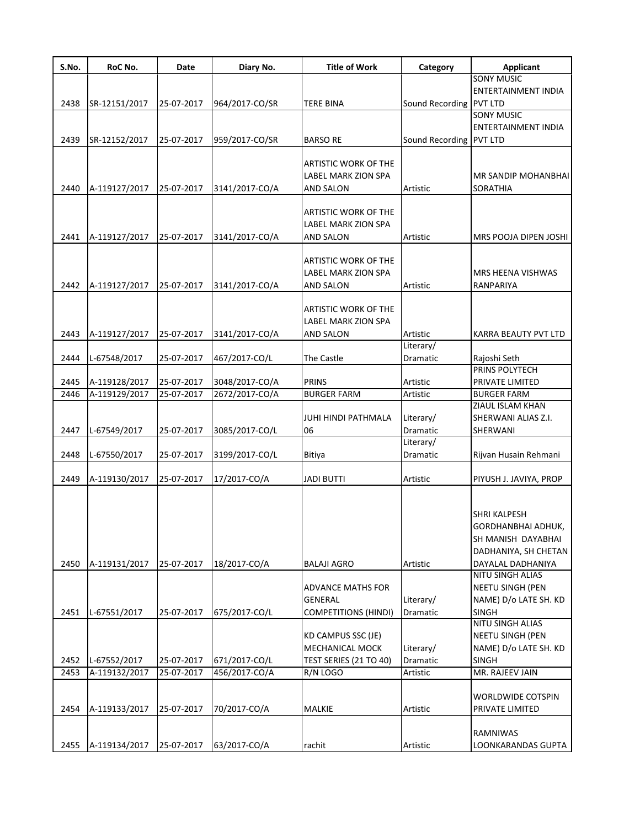| S.No. | RoC No.       | Date       | Diary No.      | <b>Title of Work</b>        | Category                | <b>Applicant</b>           |
|-------|---------------|------------|----------------|-----------------------------|-------------------------|----------------------------|
|       |               |            |                |                             |                         | <b>SONY MUSIC</b>          |
|       |               |            |                |                             |                         | ENTERTAINMENT INDIA        |
| 2438  | SR-12151/2017 | 25-07-2017 | 964/2017-CO/SR | <b>TERE BINA</b>            | Sound Recording PVT LTD |                            |
|       |               |            |                |                             |                         | <b>SONY MUSIC</b>          |
|       |               |            |                |                             |                         | <b>ENTERTAINMENT INDIA</b> |
| 2439  | SR-12152/2017 | 25-07-2017 | 959/2017-CO/SR | <b>BARSO RE</b>             | Sound Recording PVT LTD |                            |
|       |               |            |                |                             |                         |                            |
|       |               |            |                | ARTISTIC WORK OF THE        |                         |                            |
|       |               |            |                | LABEL MARK ZION SPA         |                         | MR SANDIP MOHANBHAI        |
| 2440  | A-119127/2017 | 25-07-2017 | 3141/2017-CO/A | <b>AND SALON</b>            | Artistic                | <b>SORATHIA</b>            |
|       |               |            |                | <b>ARTISTIC WORK OF THE</b> |                         |                            |
|       |               |            |                | LABEL MARK ZION SPA         |                         |                            |
| 2441  | A-119127/2017 | 25-07-2017 | 3141/2017-CO/A | <b>AND SALON</b>            | Artistic                | MRS POOJA DIPEN JOSHI      |
|       |               |            |                |                             |                         |                            |
|       |               |            |                | <b>ARTISTIC WORK OF THE</b> |                         |                            |
|       |               |            |                | <b>LABEL MARK ZION SPA</b>  |                         | MRS HEENA VISHWAS          |
| 2442  | A-119127/2017 | 25-07-2017 | 3141/2017-CO/A | <b>AND SALON</b>            | Artistic                | RANPARIYA                  |
|       |               |            |                |                             |                         |                            |
|       |               |            |                | <b>ARTISTIC WORK OF THE</b> |                         |                            |
|       |               |            |                | LABEL MARK ZION SPA         |                         |                            |
| 2443  | A-119127/2017 | 25-07-2017 | 3141/2017-CO/A | <b>AND SALON</b>            | Artistic                | KARRA BEAUTY PVT LTD       |
|       |               |            |                |                             | Literary/               |                            |
| 2444  | L-67548/2017  | 25-07-2017 | 467/2017-CO/L  | The Castle                  | Dramatic                | Rajoshi Seth               |
|       |               |            |                |                             |                         | PRINS POLYTECH             |
| 2445  | A-119128/2017 | 25-07-2017 | 3048/2017-CO/A | <b>PRINS</b>                | Artistic                | PRIVATE LIMITED            |
| 2446  | A-119129/2017 | 25-07-2017 | 2672/2017-CO/A | <b>BURGER FARM</b>          | Artistic                | <b>BURGER FARM</b>         |
|       |               |            |                |                             |                         | ZIAUL ISLAM KHAN           |
|       |               |            |                | JUHI HINDI PATHMALA         | Literary/               | SHERWANI ALIAS Z.I.        |
| 2447  | L-67549/2017  | 25-07-2017 | 3085/2017-CO/L | 06                          | <b>Dramatic</b>         | SHERWANI                   |
|       |               |            |                |                             | Literary/               |                            |
| 2448  | L-67550/2017  | 25-07-2017 | 3199/2017-CO/L | Bitiya                      | Dramatic                | Rijvan Husain Rehmani      |
|       |               |            |                |                             |                         |                            |
| 2449  | A-119130/2017 | 25-07-2017 | 17/2017-CO/A   | <b>JADI BUTTI</b>           | Artistic                | PIYUSH J. JAVIYA, PROP     |
|       |               |            |                |                             |                         |                            |
|       |               |            |                |                             |                         |                            |
|       |               |            |                |                             |                         | <b>SHRI KALPESH</b>        |
|       |               |            |                |                             |                         | GORDHANBHAI ADHUK,         |
|       |               |            |                |                             |                         | SH MANISH DAYABHAI         |
|       |               |            |                |                             |                         | DADHANIYA, SH CHETAN       |
| 2450  | A-119131/2017 | 25-07-2017 | 18/2017-CO/A   | <b>BALAJI AGRO</b>          | Artistic                | DAYALAL DADHANIYA          |
|       |               |            |                |                             |                         | NITU SINGH ALIAS           |
|       |               |            |                | <b>ADVANCE MATHS FOR</b>    |                         | NEETU SINGH (PEN           |
|       |               |            |                | <b>GENERAL</b>              | Literary/               | NAME) D/o LATE SH. KD      |
| 2451  | L-67551/2017  | 25-07-2017 | 675/2017-CO/L  | <b>COMPETITIONS (HINDI)</b> | Dramatic                | <b>SINGH</b>               |
|       |               |            |                |                             |                         | NITU SINGH ALIAS           |
|       |               |            |                | KD CAMPUS SSC (JE)          |                         | <b>NEETU SINGH (PEN</b>    |
|       |               |            |                | <b>MECHANICAL MOCK</b>      | Literary/               | NAME) D/o LATE SH. KD      |
| 2452  | L-67552/2017  | 25-07-2017 | 671/2017-CO/L  | TEST SERIES (21 TO 40)      | Dramatic                | SINGH                      |
| 2453  | A-119132/2017 | 25-07-2017 | 456/2017-CO/A  | R/N LOGO                    | Artistic                | MR. RAJEEV JAIN            |
|       |               |            |                |                             |                         |                            |
|       |               |            |                |                             |                         | WORLDWIDE COTSPIN          |
| 2454  | A-119133/2017 | 25-07-2017 | 70/2017-CO/A   | MALKIE                      | Artistic                | PRIVATE LIMITED            |
|       |               |            |                |                             |                         |                            |
|       |               |            |                |                             |                         | RAMNIWAS                   |
| 2455  | A-119134/2017 | 25-07-2017 | 63/2017-CO/A   | rachit                      | Artistic                | LOONKARANDAS GUPTA         |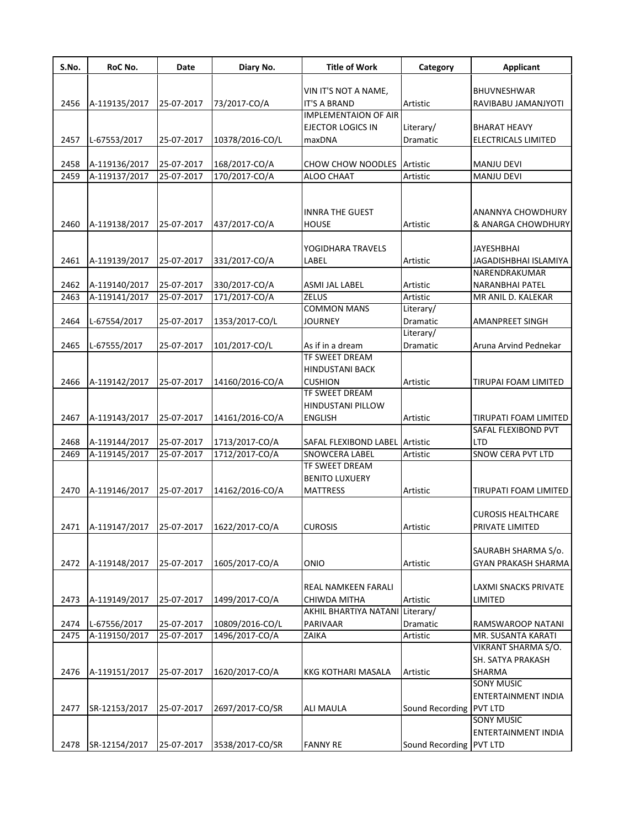| S.No. | RoC No.       | Date       | Diary No.       | <b>Title of Work</b>                               | Category        | <b>Applicant</b>            |
|-------|---------------|------------|-----------------|----------------------------------------------------|-----------------|-----------------------------|
|       |               |            |                 |                                                    |                 |                             |
|       |               |            |                 | VIN IT'S NOT A NAME,                               |                 | <b>BHUVNESHWAR</b>          |
| 2456  | A-119135/2017 | 25-07-2017 | 73/2017-CO/A    | <b>IT'S A BRAND</b><br><b>IMPLEMENTAION OF AIR</b> | Artistic        | RAVIBABU JAMANJYOTI         |
|       |               |            |                 | EJECTOR LOGICS IN                                  | Literary/       | <b>BHARAT HEAVY</b>         |
| 2457  |               |            |                 |                                                    | Dramatic        | <b>ELECTRICALS LIMITED</b>  |
|       | L-67553/2017  | 25-07-2017 | 10378/2016-CO/L | maxDNA                                             |                 |                             |
| 2458  | A-119136/2017 | 25-07-2017 | 168/2017-CO/A   | <b>CHOW CHOW NOODLES</b>                           | Artistic        | <b>MANJU DEVI</b>           |
| 2459  | A-119137/2017 | 25-07-2017 | 170/2017-CO/A   | ALOO CHAAT                                         | Artistic        | <b>MANJU DEVI</b>           |
|       |               |            |                 |                                                    |                 |                             |
|       |               |            |                 |                                                    |                 |                             |
|       |               |            |                 | INNRA THE GUEST                                    |                 | ANANNYA CHOWDHURY           |
| 2460  | A-119138/2017 | 25-07-2017 | 437/2017-CO/A   | <b>HOUSE</b>                                       | Artistic        | & ANARGA CHOWDHURY          |
|       |               |            |                 |                                                    |                 |                             |
|       |               |            |                 | YOGIDHARA TRAVELS                                  |                 | <b>JAYESHBHAI</b>           |
| 2461  | A-119139/2017 | 25-07-2017 | 331/2017-CO/A   | LABEL                                              | Artistic        | JAGADISHBHAI ISLAMIYA       |
|       |               |            |                 |                                                    |                 | NARENDRAKUMAR               |
| 2462  | A-119140/2017 | 25-07-2017 | 330/2017-CO/A   | ASMI JAL LABEL                                     | Artistic        | <b>NARANBHAI PATEL</b>      |
| 2463  | A-119141/2017 | 25-07-2017 | 171/2017-CO/A   | <b>ZELUS</b>                                       | Artistic        | MR ANIL D. KALEKAR          |
|       |               |            |                 | <b>COMMON MANS</b>                                 | Literary/       |                             |
| 2464  | L-67554/2017  | 25-07-2017 | 1353/2017-CO/L  | <b>JOURNEY</b>                                     | Dramatic        | AMANPREET SINGH             |
|       |               |            |                 |                                                    | Literary/       |                             |
| 2465  | L-67555/2017  | 25-07-2017 | 101/2017-CO/L   | As if in a dream                                   | Dramatic        | Aruna Arvind Pednekar       |
|       |               |            |                 | TF SWEET DREAM                                     |                 |                             |
|       |               |            |                 | <b>HINDUSTANI BACK</b>                             |                 |                             |
| 2466  | A-119142/2017 | 25-07-2017 | 14160/2016-CO/A | <b>CUSHION</b>                                     | Artistic        | TIRUPAI FOAM LIMITED        |
|       |               |            |                 | TF SWEET DREAM                                     |                 |                             |
|       |               |            |                 | <b>HINDUSTANI PILLOW</b>                           |                 |                             |
|       |               |            |                 |                                                    |                 |                             |
| 2467  | A-119143/2017 | 25-07-2017 | 14161/2016-CO/A | <b>ENGLISH</b>                                     | Artistic        | TIRUPATI FOAM LIMITED       |
|       |               |            |                 |                                                    |                 | SAFAL FLEXIBOND PVT         |
| 2468  | A-119144/2017 | 25-07-2017 | 1713/2017-CO/A  | SAFAL FLEXIBOND LABEL                              | Artistic        | <b>LTD</b>                  |
| 2469  | A-119145/2017 | 25-07-2017 | 1712/2017-CO/A  | SNOWCERA LABEL                                     | Artistic        | SNOW CERA PVT LTD           |
|       |               |            |                 | <b>TF SWEET DREAM</b>                              |                 |                             |
|       |               |            |                 | <b>BENITO LUXUERY</b>                              |                 |                             |
| 2470  | A-119146/2017 | 25-07-2017 | 14162/2016-CO/A | <b>MATTRESS</b>                                    | Artistic        | TIRUPATI FOAM LIMITED       |
|       |               |            |                 |                                                    |                 |                             |
|       |               |            |                 |                                                    |                 | <b>CUROSIS HEALTHCARE</b>   |
| 2471  | A-119147/2017 | 25-07-2017 | 1622/2017-CO/A  | <b>CUROSIS</b>                                     | Artistic        | PRIVATE LIMITED             |
|       |               |            |                 |                                                    |                 |                             |
|       |               |            |                 |                                                    |                 | SAURABH SHARMA S/o.         |
| 2472  | A-119148/2017 | 25-07-2017 | 1605/2017-CO/A  | ONIO                                               | Artistic        | <b>GYAN PRAKASH SHARMA</b>  |
|       |               |            |                 |                                                    |                 |                             |
|       |               |            |                 | REAL NAMKEEN FARALI                                |                 | <b>LAXMI SNACKS PRIVATE</b> |
| 2473  | A-119149/2017 | 25-07-2017 | 1499/2017-CO/A  | CHIWDA MITHA                                       | Artistic        | LIMITED                     |
|       |               |            |                 | AKHIL BHARTIYA NATANI                              | Literary/       |                             |
| 2474  | L-67556/2017  | 25-07-2017 | 10809/2016-CO/L | PARIVAAR                                           | Dramatic        | RAMSWAROOP NATANI           |
| 2475  | A-119150/2017 | 25-07-2017 | 1496/2017-CO/A  | ZAIKA                                              | Artistic        | MR. SUSANTA KARATI          |
|       |               |            |                 |                                                    |                 | VIKRANT SHARMA S/O.         |
|       |               |            |                 |                                                    |                 | SH. SATYA PRAKASH           |
| 2476  | A-119151/2017 | 25-07-2017 | 1620/2017-CO/A  | KKG KOTHARI MASALA                                 | Artistic        | SHARMA                      |
|       |               |            |                 |                                                    |                 | <b>SONY MUSIC</b>           |
|       |               |            |                 |                                                    |                 | ENTERTAINMENT INDIA         |
| 2477  | SR-12153/2017 | 25-07-2017 | 2697/2017-CO/SR | ALI MAULA                                          | Sound Recording | PVT LTD                     |
|       |               |            |                 |                                                    |                 | <b>SONY MUSIC</b>           |
|       |               |            |                 |                                                    |                 | ENTERTAINMENT INDIA         |
| 2478  | SR-12154/2017 | 25-07-2017 | 3538/2017-CO/SR | <b>FANNY RE</b>                                    | Sound Recording | <b>PVT LTD</b>              |
|       |               |            |                 |                                                    |                 |                             |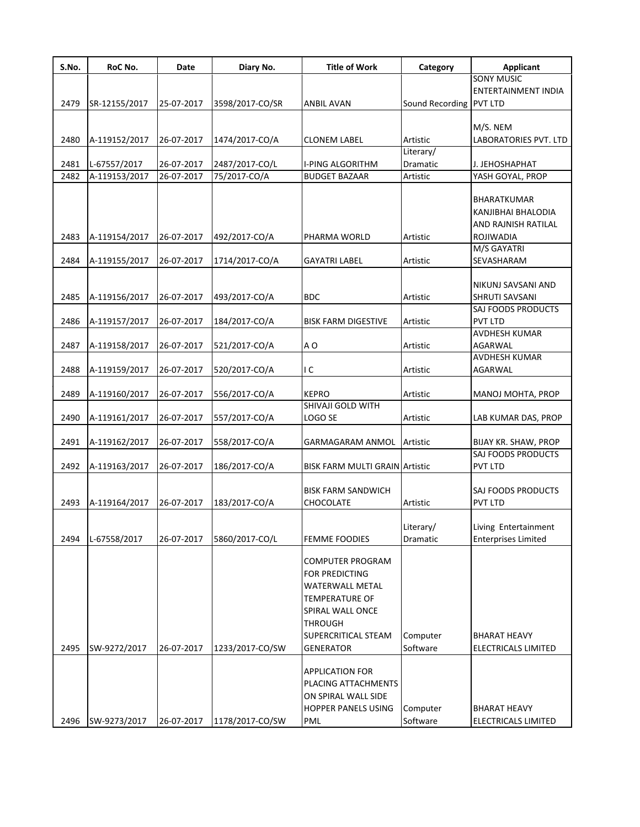| S.No. | RoC No.       | Date       | Diary No.       | <b>Title of Work</b>                  | Category                | <b>Applicant</b>                |
|-------|---------------|------------|-----------------|---------------------------------------|-------------------------|---------------------------------|
|       |               |            |                 |                                       |                         | <b>SONY MUSIC</b>               |
|       |               |            |                 |                                       |                         | <b>ENTERTAINMENT INDIA</b>      |
| 2479  | SR-12155/2017 | 25-07-2017 | 3598/2017-CO/SR | ANBIL AVAN                            | Sound Recording PVT LTD |                                 |
|       |               |            |                 |                                       |                         |                                 |
|       |               |            |                 |                                       |                         | M/S. NEM                        |
| 2480  | A-119152/2017 | 26-07-2017 | 1474/2017-CO/A  | <b>CLONEM LABEL</b>                   | Artistic                | LABORATORIES PVT. LTD           |
|       |               |            |                 |                                       | Literary/               |                                 |
| 2481  | L-67557/2017  | 26-07-2017 | 2487/2017-CO/L  | I-PING ALGORITHM                      | Dramatic                | J. JEHOSHAPHAT                  |
| 2482  | A-119153/2017 | 26-07-2017 | 75/2017-CO/A    | <b>BUDGET BAZAAR</b>                  | Artistic                | YASH GOYAL, PROP                |
|       |               |            |                 |                                       |                         |                                 |
|       |               |            |                 |                                       |                         | <b>BHARATKUMAR</b>              |
|       |               |            |                 |                                       |                         | KANJIBHAI BHALODIA              |
|       |               |            |                 |                                       |                         | AND RAJNISH RATILAL             |
| 2483  | A-119154/2017 | 26-07-2017 | 492/2017-CO/A   | PHARMA WORLD                          | Artistic                | <b>ROJIWADIA</b>                |
|       |               |            |                 |                                       |                         | M/S GAYATRI                     |
| 2484  | A-119155/2017 | 26-07-2017 | 1714/2017-CO/A  | <b>GAYATRI LABEL</b>                  | Artistic                | SEVASHARAM                      |
|       |               |            |                 |                                       |                         |                                 |
|       |               |            |                 |                                       |                         | NIKUNJ SAVSANI AND              |
| 2485  | A-119156/2017 | 26-07-2017 | 493/2017-CO/A   | <b>BDC</b>                            | Artistic                | <b>SHRUTI SAVSANI</b>           |
|       |               |            |                 |                                       |                         | SAJ FOODS PRODUCTS              |
| 2486  | A-119157/2017 | 26-07-2017 | 184/2017-CO/A   | <b>BISK FARM DIGESTIVE</b>            | Artistic                | PVT LTD                         |
|       |               |            |                 |                                       |                         | <b>AVDHESH KUMAR</b>            |
|       |               |            |                 |                                       |                         |                                 |
| 2487  | A-119158/2017 | 26-07-2017 | 521/2017-CO/A   | A O                                   | Artistic                | AGARWAL<br><b>AVDHESH KUMAR</b> |
|       |               |            |                 |                                       |                         |                                 |
| 2488  | A-119159/2017 | 26-07-2017 | 520/2017-CO/A   | ١C                                    | Artistic                | AGARWAL                         |
|       |               |            |                 |                                       |                         |                                 |
| 2489  | A-119160/2017 | 26-07-2017 | 556/2017-CO/A   | <b>KEPRO</b><br>SHIVAJI GOLD WITH     | Artistic                | MANOJ MOHTA, PROP               |
|       |               |            |                 |                                       |                         |                                 |
| 2490  | A-119161/2017 | 26-07-2017 | 557/2017-CO/A   | LOGO SE                               | Artistic                | LAB KUMAR DAS, PROP             |
|       |               |            |                 |                                       |                         |                                 |
| 2491  | A-119162/2017 | 26-07-2017 | 558/2017-CO/A   | GARMAGARAM ANMOL                      | Artistic                | BIJAY KR. SHAW, PROP            |
|       |               |            |                 |                                       |                         | <b>SAJ FOODS PRODUCTS</b>       |
| 2492  | A-119163/2017 | 26-07-2017 | 186/2017-CO/A   | <b>BISK FARM MULTI GRAIN Artistic</b> |                         | PVT LTD                         |
|       |               |            |                 |                                       |                         |                                 |
|       |               |            |                 | <b>BISK FARM SANDWICH</b>             |                         | SAJ FOODS PRODUCTS              |
| 2493  | A-119164/2017 | 26-07-2017 | 183/2017-CO/A   | CHOCOLATE                             | Artistic                | <b>PVT LTD</b>                  |
|       |               |            |                 |                                       |                         |                                 |
|       |               |            |                 |                                       | Literary/               | Living Entertainment            |
| 2494  | L-67558/2017  | 26-07-2017 | 5860/2017-CO/L  | <b>FEMME FOODIES</b>                  | Dramatic                | <b>Enterprises Limited</b>      |
|       |               |            |                 |                                       |                         |                                 |
|       |               |            |                 | <b>COMPUTER PROGRAM</b>               |                         |                                 |
|       |               |            |                 | <b>FOR PREDICTING</b>                 |                         |                                 |
|       |               |            |                 | WATERWALL METAL                       |                         |                                 |
|       |               |            |                 | TEMPERATURE OF                        |                         |                                 |
|       |               |            |                 | SPIRAL WALL ONCE                      |                         |                                 |
|       |               |            |                 | <b>THROUGH</b>                        |                         |                                 |
|       |               |            |                 | SUPERCRITICAL STEAM                   | Computer                | <b>BHARAT HEAVY</b>             |
| 2495  | SW-9272/2017  | 26-07-2017 | 1233/2017-CO/SW | <b>GENERATOR</b>                      | Software                | <b>ELECTRICALS LIMITED</b>      |
|       |               |            |                 |                                       |                         |                                 |
|       |               |            |                 | APPLICATION FOR                       |                         |                                 |
|       |               |            |                 | PLACING ATTACHMENTS                   |                         |                                 |
|       |               |            |                 | ON SPIRAL WALL SIDE                   |                         |                                 |
|       |               |            |                 | <b>HOPPER PANELS USING</b>            | Computer                | <b>BHARAT HEAVY</b>             |
| 2496  | SW-9273/2017  | 26-07-2017 | 1178/2017-CO/SW | PML                                   | Software                | ELECTRICALS LIMITED             |
|       |               |            |                 |                                       |                         |                                 |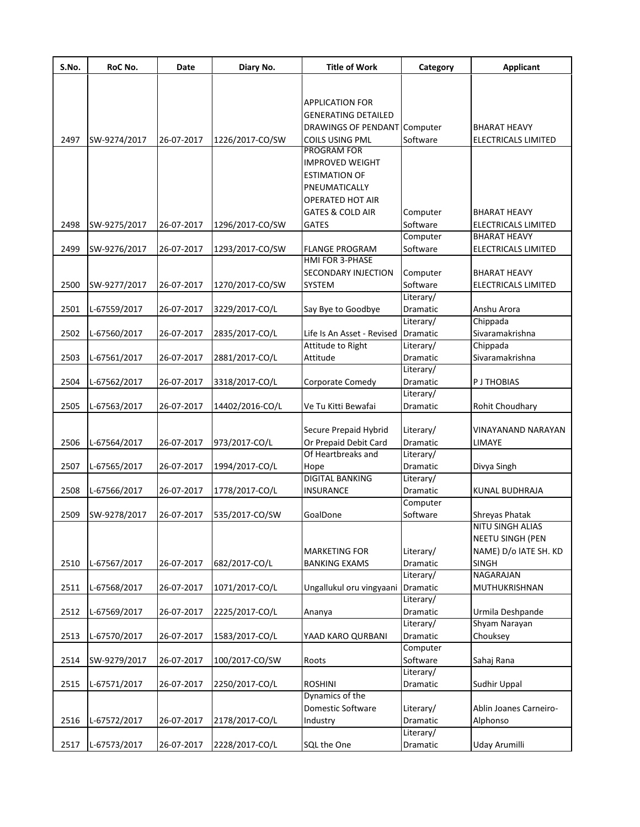| S.No. | RoC No.      | Date       | Diary No.       | <b>Title of Work</b>                         | Category              | <b>Applicant</b>                                 |
|-------|--------------|------------|-----------------|----------------------------------------------|-----------------------|--------------------------------------------------|
|       |              |            |                 |                                              |                       |                                                  |
|       |              |            |                 | <b>APPLICATION FOR</b>                       |                       |                                                  |
|       |              |            |                 | <b>GENERATING DETAILED</b>                   |                       |                                                  |
|       |              |            |                 | DRAWINGS OF PENDANT Computer                 |                       | BHARAT HEAVY                                     |
| 2497  | SW-9274/2017 | 26-07-2017 | 1226/2017-CO/SW | COILS USING PML                              | Software              | <b>ELECTRICALS LIMITED</b>                       |
|       |              |            |                 | PROGRAM FOR                                  |                       |                                                  |
|       |              |            |                 | <b>IMPROVED WEIGHT</b>                       |                       |                                                  |
|       |              |            |                 | <b>ESTIMATION OF</b>                         |                       |                                                  |
|       |              |            |                 | PNEUMATICALLY                                |                       |                                                  |
|       |              |            |                 | <b>OPERATED HOT AIR</b>                      |                       |                                                  |
|       |              |            |                 | <b>GATES &amp; COLD AIR</b>                  | Computer              | <b>BHARAT HEAVY</b>                              |
| 2498  | SW-9275/2017 | 26-07-2017 | 1296/2017-CO/SW | GATES                                        | Software              | <b>ELECTRICALS LIMITED</b>                       |
|       |              |            |                 |                                              | Computer              | <b>BHARAT HEAVY</b>                              |
| 2499  | SW-9276/2017 | 26-07-2017 | 1293/2017-CO/SW | <b>FLANGE PROGRAM</b>                        | Software              | ELECTRICALS LIMITED                              |
|       |              |            |                 | HMI FOR 3-PHASE                              |                       |                                                  |
|       |              |            |                 | SECONDARY INJECTION                          | Computer              | <b>BHARAT HEAVY</b>                              |
| 2500  | SW-9277/2017 | 26-07-2017 | 1270/2017-CO/SW | SYSTEM                                       | Software              | ELECTRICALS LIMITED                              |
|       |              |            |                 |                                              | Literary/             |                                                  |
| 2501  | L-67559/2017 | 26-07-2017 | 3229/2017-CO/L  | Say Bye to Goodbye                           | Dramatic              | Anshu Arora                                      |
|       |              |            |                 |                                              | Literary/             | Chippada                                         |
| 2502  | L-67560/2017 | 26-07-2017 | 2835/2017-CO/L  | Life Is An Asset - Revised                   | Dramatic              | Sivaramakrishna                                  |
|       |              |            |                 | Attitude to Right                            | Literary/             | Chippada                                         |
| 2503  | L-67561/2017 | 26-07-2017 | 2881/2017-CO/L  | Attitude                                     | Dramatic              | Sivaramakrishna                                  |
|       |              |            |                 |                                              | Literary/             |                                                  |
| 2504  | L-67562/2017 | 26-07-2017 | 3318/2017-CO/L  | Corporate Comedy                             | Dramatic              | <b>PJ THOBIAS</b>                                |
|       |              |            |                 |                                              | Literary/             |                                                  |
| 2505  | L-67563/2017 | 26-07-2017 | 14402/2016-CO/L | Ve Tu Kitti Bewafai                          | Dramatic              | Rohit Choudhary                                  |
|       |              |            |                 |                                              |                       |                                                  |
|       |              |            |                 | Secure Prepaid Hybrid                        | Literary/             | VINAYANAND NARAYAN                               |
| 2506  | L-67564/2017 | 26-07-2017 | 973/2017-CO/L   | Or Prepaid Debit Card                        | Dramatic              | LIMAYE                                           |
|       |              |            |                 | Of Heartbreaks and                           | Literary/             |                                                  |
| 2507  | L-67565/2017 | 26-07-2017 | 1994/2017-CO/L  | Hope                                         | Dramatic              | Divya Singh                                      |
|       |              |            |                 | <b>DIGITAL BANKING</b>                       | Literary/             |                                                  |
| 2508  | L-67566/2017 | 26-07-2017 | 1778/2017-CO/L  | INSURANCE                                    | <b>Dramatic</b>       | KUNAL BUDHRAJA                                   |
|       |              |            |                 |                                              | Computer              |                                                  |
| 2509  | SW-9278/2017 | 26-07-2017 | 535/2017-CO/SW  | GoalDone                                     | Software              | Shreyas Phatak                                   |
|       |              |            |                 |                                              |                       | NITU SINGH ALIAS                                 |
|       |              |            |                 |                                              |                       | <b>NEETU SINGH (PEN</b><br>NAME) D/o IATE SH. KD |
| 2510  |              |            |                 | <b>MARKETING FOR</b><br><b>BANKING EXAMS</b> | Literary/<br>Dramatic | <b>SINGH</b>                                     |
|       | L-67567/2017 | 26-07-2017 | 682/2017-CO/L   |                                              | Literary/             | <b>NAGARAJAN</b>                                 |
| 2511  | L-67568/2017 | 26-07-2017 | 1071/2017-CO/L  | Ungallukul oru vingyaani                     | Dramatic              | MUTHUKRISHNAN                                    |
|       |              |            |                 |                                              | Literary/             |                                                  |
| 2512  | L-67569/2017 | 26-07-2017 | 2225/2017-CO/L  | Ananya                                       | Dramatic              | Urmila Deshpande                                 |
|       |              |            |                 |                                              | Literary/             | Shyam Narayan                                    |
| 2513  | L-67570/2017 | 26-07-2017 | 1583/2017-CO/L  | YAAD KARO QURBANI                            | Dramatic              | Chouksey                                         |
|       |              |            |                 |                                              | Computer              |                                                  |
| 2514  | SW-9279/2017 | 26-07-2017 | 100/2017-CO/SW  | Roots                                        | Software              | Sahaj Rana                                       |
|       |              |            |                 |                                              | Literary/             |                                                  |
| 2515  | L-67571/2017 | 26-07-2017 | 2250/2017-CO/L  | <b>ROSHINI</b>                               | Dramatic              | Sudhir Uppal                                     |
|       |              |            |                 | Dynamics of the                              |                       |                                                  |
|       |              |            |                 | Domestic Software                            | Literary/             | Ablin Joanes Carneiro-                           |
| 2516  | L-67572/2017 | 26-07-2017 | 2178/2017-CO/L  | Industry                                     | Dramatic              | Alphonso                                         |
|       |              |            |                 |                                              | Literary/             |                                                  |
| 2517  | L-67573/2017 | 26-07-2017 | 2228/2017-CO/L  | SQL the One                                  | Dramatic              | Uday Arumilli                                    |
|       |              |            |                 |                                              |                       |                                                  |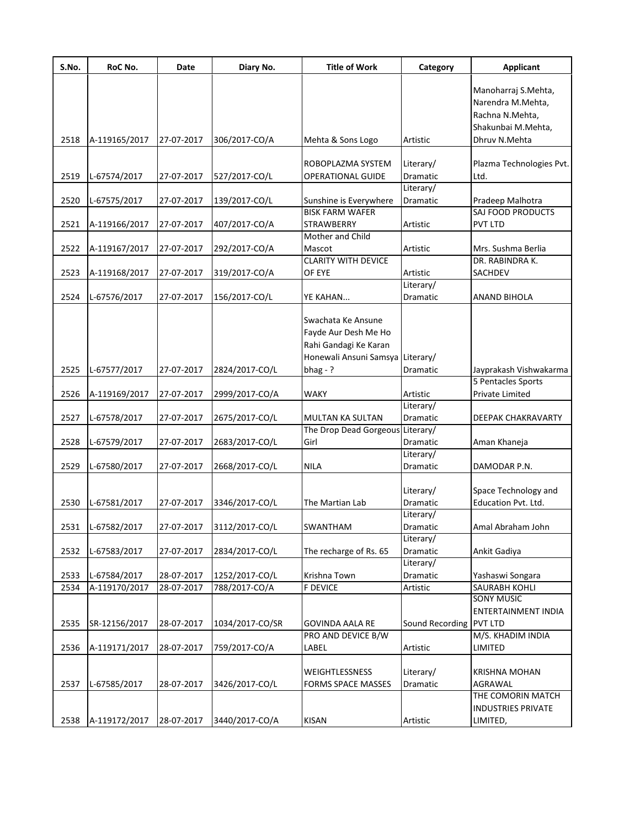| S.No. | RoC No.       | Date       | Diary No.       | <b>Title of Work</b>             | Category                | <b>Applicant</b>                             |
|-------|---------------|------------|-----------------|----------------------------------|-------------------------|----------------------------------------------|
|       |               |            |                 |                                  |                         | Manoharraj S.Mehta,                          |
|       |               |            |                 |                                  |                         | Narendra M.Mehta,                            |
|       |               |            |                 |                                  |                         | Rachna N.Mehta,                              |
|       |               |            |                 |                                  |                         | Shakunbai M.Mehta,                           |
| 2518  | A-119165/2017 | 27-07-2017 | 306/2017-CO/A   | Mehta & Sons Logo                | Artistic                | Dhruv N.Mehta                                |
|       |               |            |                 | ROBOPLAZMA SYSTEM                |                         | Plazma Technologies Pvt.                     |
| 2519  | L-67574/2017  | 27-07-2017 | 527/2017-CO/L   | <b>OPERATIONAL GUIDE</b>         | Literary/<br>Dramatic   | Ltd.                                         |
|       |               |            |                 |                                  | Literary/               |                                              |
| 2520  | L-67575/2017  | 27-07-2017 | 139/2017-CO/L   | Sunshine is Everywhere           | Dramatic                | Pradeep Malhotra                             |
|       |               |            |                 | <b>BISK FARM WAFER</b>           |                         | SAJ FOOD PRODUCTS                            |
| 2521  | A-119166/2017 | 27-07-2017 | 407/2017-CO/A   | <b>STRAWBERRY</b>                | Artistic                | <b>PVT LTD</b>                               |
|       |               |            |                 | Mother and Child                 |                         |                                              |
| 2522  | A-119167/2017 | 27-07-2017 | 292/2017-CO/A   | Mascot                           | Artistic                | Mrs. Sushma Berlia                           |
|       |               |            |                 | <b>CLARITY WITH DEVICE</b>       |                         | DR. RABINDRA K.                              |
| 2523  | A-119168/2017 | 27-07-2017 | 319/2017-CO/A   | OF EYE                           | Artistic                | <b>SACHDEV</b>                               |
|       |               |            |                 |                                  | Literary/               |                                              |
| 2524  | L-67576/2017  | 27-07-2017 | 156/2017-CO/L   | YE KAHAN                         | Dramatic                | <b>ANAND BIHOLA</b>                          |
|       |               |            |                 |                                  |                         |                                              |
|       |               |            |                 | Swachata Ke Ansune               |                         |                                              |
|       |               |            |                 | Fayde Aur Desh Me Ho             |                         |                                              |
|       |               |            |                 | Rahi Gandagi Ke Karan            |                         |                                              |
|       |               |            |                 | Honewali Ansuni Samsya Literary/ |                         |                                              |
| 2525  | L-67577/2017  | 27-07-2017 | 2824/2017-CO/L  | $b$ hag -?                       | Dramatic                | Jayprakash Vishwakarma<br>5 Pentacles Sports |
| 2526  | A-119169/2017 | 27-07-2017 | 2999/2017-CO/A  | <b>WAKY</b>                      | Artistic                | Private Limited                              |
|       |               |            |                 |                                  | Literary/               |                                              |
| 2527  | L-67578/2017  | 27-07-2017 | 2675/2017-CO/L  | MULTAN KA SULTAN                 | <b>Dramatic</b>         | <b>DEEPAK CHAKRAVARTY</b>                    |
|       |               |            |                 | The Drop Dead Gorgeous Literary/ |                         |                                              |
| 2528  | L-67579/2017  | 27-07-2017 | 2683/2017-CO/L  | Girl                             | Dramatic                | Aman Khaneja                                 |
|       |               |            |                 |                                  | Literary/               |                                              |
| 2529  | L-67580/2017  | 27-07-2017 | 2668/2017-CO/L  | <b>NILA</b>                      | Dramatic                | DAMODAR P.N.                                 |
|       |               |            |                 |                                  |                         |                                              |
|       |               |            |                 |                                  | Literary/               | Space Technology and                         |
| 2530  | L-67581/2017  | 27-07-2017 | 3346/2017-CO/L  | The Martian Lab                  | Dramatic                | Education Pvt. Ltd.                          |
|       |               |            |                 |                                  | Literary/               |                                              |
| 2531  | L-67582/2017  | 27-07-2017 | 3112/2017-CO/L  | SWANTHAM                         | Dramatic                | Amal Abraham John                            |
|       |               |            |                 |                                  | Literary/               |                                              |
| 2532  | L-67583/2017  | 27-07-2017 | 2834/2017-CO/L  | The recharge of Rs. 65           | Dramatic<br>Literary/   | Ankit Gadiya                                 |
| 2533  | L-67584/2017  | 28-07-2017 | 1252/2017-CO/L  | Krishna Town                     | Dramatic                | Yashaswi Songara                             |
| 2534  | A-119170/2017 | 28-07-2017 | 788/2017-CO/A   | <b>F DEVICE</b>                  | Artistic                | SAURABH KOHLI                                |
|       |               |            |                 |                                  |                         | <b>SONY MUSIC</b>                            |
|       |               |            |                 |                                  |                         | ENTERTAINMENT INDIA                          |
| 2535  | SR-12156/2017 | 28-07-2017 | 1034/2017-CO/SR | <b>GOVINDA AALA RE</b>           | Sound Recording PVT LTD |                                              |
|       |               |            |                 | PRO AND DEVICE B/W               |                         | M/S. KHADIM INDIA                            |
| 2536  | A-119171/2017 | 28-07-2017 | 759/2017-CO/A   | LABEL                            | Artistic                | LIMITED                                      |
|       |               |            |                 |                                  |                         |                                              |
|       |               |            |                 | WEIGHTLESSNESS                   | Literary/               | <b>KRISHNA MOHAN</b>                         |
| 2537  | L-67585/2017  | 28-07-2017 | 3426/2017-CO/L  | <b>FORMS SPACE MASSES</b>        | Dramatic                | AGRAWAL                                      |
|       |               |            |                 |                                  |                         | THE COMORIN MATCH                            |
|       |               |            |                 |                                  |                         | <b>INDUSTRIES PRIVATE</b>                    |
| 2538  | A-119172/2017 | 28-07-2017 | 3440/2017-CO/A  | <b>KISAN</b>                     | Artistic                | LIMITED,                                     |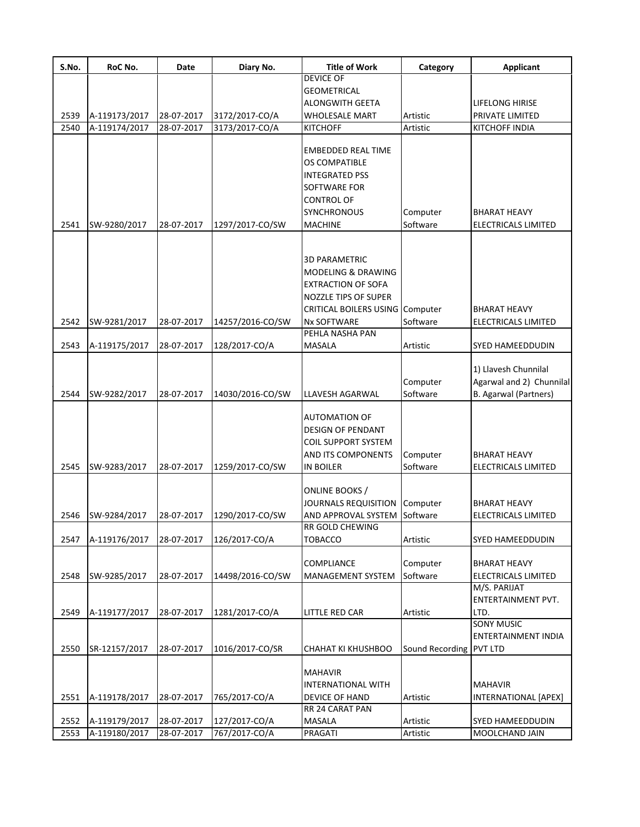| S.No. | RoC No.       | Date       | Diary No.        | <b>Title of Work</b>                                                                                                                                 | Category             | <b>Applicant</b>                                                                 |
|-------|---------------|------------|------------------|------------------------------------------------------------------------------------------------------------------------------------------------------|----------------------|----------------------------------------------------------------------------------|
|       |               |            |                  | <b>DEVICE OF</b>                                                                                                                                     |                      |                                                                                  |
|       |               |            |                  | <b>GEOMETRICAL</b>                                                                                                                                   |                      |                                                                                  |
|       |               |            |                  | <b>ALONGWITH GEETA</b>                                                                                                                               |                      | LIFELONG HIRISE                                                                  |
| 2539  | A-119173/2017 | 28-07-2017 | 3172/2017-CO/A   | <b>WHOLESALE MART</b>                                                                                                                                | Artistic             | PRIVATE LIMITED                                                                  |
| 2540  | A-119174/2017 | 28-07-2017 | 3173/2017-CO/A   | <b>KITCHOFF</b>                                                                                                                                      | Artistic             | KITCHOFF INDIA                                                                   |
|       |               |            |                  | <b>EMBEDDED REAL TIME</b><br>OS COMPATIBLE<br><b>INTEGRATED PSS</b><br><b>SOFTWARE FOR</b><br><b>CONTROL OF</b><br><b>SYNCHRONOUS</b>                | Computer             | <b>BHARAT HEAVY</b>                                                              |
| 2541  | SW-9280/2017  | 28-07-2017 | 1297/2017-CO/SW  | <b>MACHINE</b>                                                                                                                                       | Software             | ELECTRICALS LIMITED                                                              |
|       |               |            |                  | <b>3D PARAMETRIC</b><br><b>MODELING &amp; DRAWING</b><br><b>EXTRACTION OF SOFA</b><br>NOZZLE TIPS OF SUPER<br><b>CRITICAL BOILERS USING Computer</b> |                      | <b>BHARAT HEAVY</b>                                                              |
| 2542  | SW-9281/2017  | 28-07-2017 | 14257/2016-CO/SW | <b>Nx SOFTWARE</b>                                                                                                                                   | Software             | ELECTRICALS LIMITED                                                              |
|       |               | 28-07-2017 | 128/2017-CO/A    | PEHLA NASHA PAN                                                                                                                                      | Artistic             | SYED HAMEEDDUDIN                                                                 |
| 2543  | A-119175/2017 |            |                  | MASALA                                                                                                                                               |                      |                                                                                  |
| 2544  | SW-9282/2017  | 28-07-2017 | 14030/2016-CO/SW | LLAVESH AGARWAL                                                                                                                                      | Computer<br>Software | 1) Llavesh Chunnilal<br>Agarwal and 2) Chunnilal<br><b>B.</b> Agarwal (Partners) |
| 2545  | SW-9283/2017  | 28-07-2017 | 1259/2017-CO/SW  | <b>AUTOMATION OF</b><br><b>DESIGN OF PENDANT</b><br><b>COIL SUPPORT SYSTEM</b><br><b>AND ITS COMPONENTS</b><br><b>IN BOILER</b>                      | Computer<br>Software | <b>BHARAT HEAVY</b><br>ELECTRICALS LIMITED                                       |
| 2546  | SW-9284/2017  | 28-07-2017 | 1290/2017-CO/SW  | ONLINE BOOKS /<br>JOURNALS REQUISITION<br>AND APPROVAL SYSTEM                                                                                        | Computer<br>Software | BHARAT HEAVY<br>ELECTRICALS LIMITED                                              |
|       |               |            |                  | <b>RR GOLD CHEWING</b>                                                                                                                               |                      |                                                                                  |
| 2547  | A-119176/2017 | 28-07-2017 | 126/2017-CO/A    | <b>TOBACCO</b>                                                                                                                                       | Artistic             | SYED HAMEEDDUDIN                                                                 |
| 2548  | SW-9285/2017  | 28-07-2017 | 14498/2016-CO/SW | <b>COMPLIANCE</b><br>MANAGEMENT SYSTEM                                                                                                               | Computer<br>Software | <b>BHARAT HEAVY</b><br>ELECTRICALS LIMITED                                       |
| 2549  | A-119177/2017 | 28-07-2017 | 1281/2017-CO/A   | <b>LITTLE RED CAR</b>                                                                                                                                | Artistic             | M/S. PARIJAT<br>ENTERTAINMENT PVT.<br>LTD.                                       |
|       |               |            |                  |                                                                                                                                                      |                      | <b>SONY MUSIC</b>                                                                |
| 2550  | SR-12157/2017 | 28-07-2017 | 1016/2017-CO/SR  | CHAHAT KI KHUSHBOO                                                                                                                                   | Sound Recording      | ENTERTAINMENT INDIA<br><b>PVT LTD</b>                                            |
| 2551  | A-119178/2017 | 28-07-2017 | 765/2017-CO/A    | <b>MAHAVIR</b><br><b>INTERNATIONAL WITH</b><br>DEVICE OF HAND                                                                                        | Artistic             | <b>MAHAVIR</b><br>INTERNATIONAL [APEX]                                           |
|       |               |            |                  | RR 24 CARAT PAN                                                                                                                                      |                      |                                                                                  |
| 2552  | A-119179/2017 | 28-07-2017 | 127/2017-CO/A    | MASALA                                                                                                                                               | Artistic             | SYED HAMEEDDUDIN                                                                 |
| 2553  | A-119180/2017 | 28-07-2017 | 767/2017-CO/A    | PRAGATI                                                                                                                                              | Artistic             | MOOLCHAND JAIN                                                                   |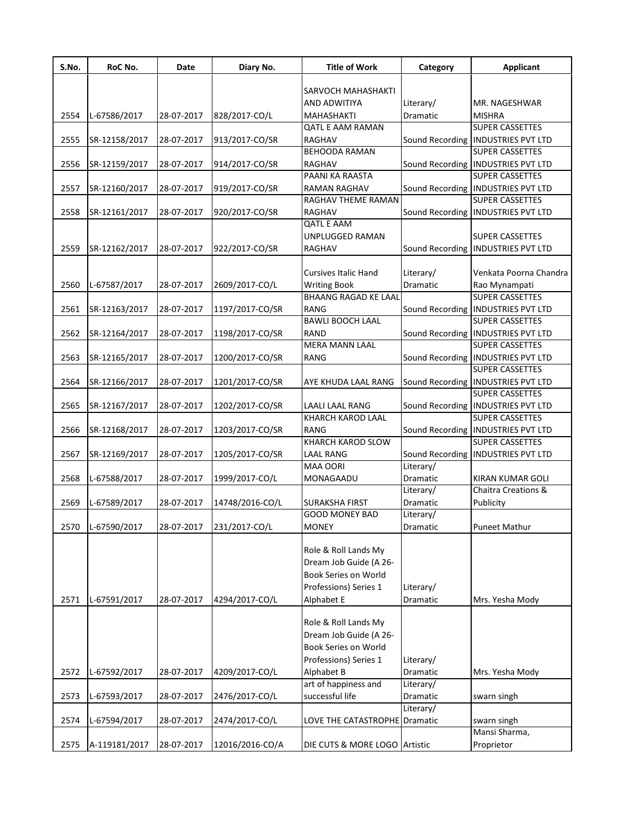| S.No. | RoC No.       | Date       | Diary No.       | <b>Title of Work</b>                      | Category              | <b>Applicant</b>                                               |
|-------|---------------|------------|-----------------|-------------------------------------------|-----------------------|----------------------------------------------------------------|
|       |               |            |                 |                                           |                       |                                                                |
|       |               |            |                 | SARVOCH MAHASHAKTI                        |                       |                                                                |
|       |               |            |                 | <b>AND ADWITIYA</b>                       | Literary/<br>Dramatic | MR. NAGESHWAR<br><b>MISHRA</b>                                 |
| 2554  | L-67586/2017  | 28-07-2017 | 828/2017-CO/L   | MAHASHAKTI<br><b>QATL E AAM RAMAN</b>     |                       | <b>SUPER CASSETTES</b>                                         |
|       |               |            |                 | <b>RAGHAV</b>                             |                       | Sound Recording  INDUSTRIES PVT LTD                            |
| 2555  | SR-12158/2017 | 28-07-2017 | 913/2017-CO/SR  | <b>BEHOODA RAMAN</b>                      |                       | <b>SUPER CASSETTES</b>                                         |
|       |               |            |                 | RAGHAV                                    |                       |                                                                |
| 2556  | SR-12159/2017 | 28-07-2017 | 914/2017-CO/SR  | PAANI KA RAASTA                           |                       | Sound Recording   INDUSTRIES PVT LTD<br><b>SUPER CASSETTES</b> |
| 2557  |               |            |                 |                                           |                       | Sound Recording   INDUSTRIES PVT LTD                           |
|       | SR-12160/2017 | 28-07-2017 | 919/2017-CO/SR  | RAMAN RAGHAV<br><b>RAGHAV THEME RAMAN</b> |                       | <b>SUPER CASSETTES</b>                                         |
| 2558  | SR-12161/2017 | 28-07-2017 | 920/2017-CO/SR  | RAGHAV                                    |                       | Sound Recording   INDUSTRIES PVT LTD                           |
|       |               |            |                 | <b>QATL E AAM</b>                         |                       |                                                                |
|       |               |            |                 | UNPLUGGED RAMAN                           |                       | <b>SUPER CASSETTES</b>                                         |
| 2559  | SR-12162/2017 | 28-07-2017 | 922/2017-CO/SR  | RAGHAV                                    | Sound Recording       | <b>INDUSTRIES PVT LTD</b>                                      |
|       |               |            |                 |                                           |                       |                                                                |
|       |               |            |                 | <b>Cursives Italic Hand</b>               | Literary/             | Venkata Poorna Chandra                                         |
| 2560  | L-67587/2017  | 28-07-2017 | 2609/2017-CO/L  | <b>Writing Book</b>                       | Dramatic              | Rao Mynampati                                                  |
|       |               |            |                 | <b>BHAANG RAGAD KE LAAL</b>               |                       | <b>SUPER CASSETTES</b>                                         |
|       | SR-12163/2017 |            |                 | RANG                                      |                       | Sound Recording  INDUSTRIES PVT LTD                            |
| 2561  |               | 28-07-2017 | 1197/2017-CO/SR | <b>BAWLI BOOCH LAAL</b>                   |                       | <b>SUPER CASSETTES</b>                                         |
|       |               |            |                 |                                           |                       |                                                                |
| 2562  | SR-12164/2017 | 28-07-2017 | 1198/2017-CO/SR | <b>RAND</b>                               | Sound Recording       | <b>INDUSTRIES PVT LTD</b>                                      |
|       |               |            |                 | <b>MERA MANN LAAL</b>                     |                       | <b>SUPER CASSETTES</b>                                         |
| 2563  | SR-12165/2017 | 28-07-2017 | 1200/2017-CO/SR | RANG                                      | Sound Recording       | <b>INDUSTRIES PVT LTD</b>                                      |
|       |               |            |                 |                                           |                       | SUPER CASSETTES                                                |
| 2564  | SR-12166/2017 | 28-07-2017 | 1201/2017-CO/SR | AYE KHUDA LAAL RANG                       |                       | Sound Recording   INDUSTRIES PVT LTD                           |
|       |               |            |                 |                                           |                       | SUPER CASSETTES                                                |
| 2565  | SR-12167/2017 | 28-07-2017 | 1202/2017-CO/SR | LAALI LAAL RANG                           |                       | Sound Recording   INDUSTRIES PVT LTD                           |
|       |               |            |                 | <b>KHARCH KAROD LAAL</b>                  |                       | <b>SUPER CASSETTES</b>                                         |
| 2566  | SR-12168/2017 | 28-07-2017 | 1203/2017-CO/SR | RANG                                      |                       | Sound Recording   INDUSTRIES PVT LTD                           |
|       |               |            |                 | <b>KHARCH KAROD SLOW</b>                  |                       | <b>SUPER CASSETTES</b>                                         |
| 2567  | SR-12169/2017 | 28-07-2017 | 1205/2017-CO/SR | <b>LAAL RANG</b>                          |                       | Sound Recording   INDUSTRIES PVT LTD                           |
|       |               |            |                 | <b>MAA OORI</b>                           | Literary/             |                                                                |
| 2568  | L-67588/2017  | 28-07-2017 | 1999/2017-CO/L  | MONAGAADU                                 | <b>Dramatic</b>       | KIRAN KUMAR GOLI                                               |
|       |               |            |                 |                                           | Literary/             | <b>Chaitra Creations &amp;</b>                                 |
| 2569  | L-67589/2017  | 28-07-2017 | 14748/2016-CO/L | <b>SURAKSHA FIRST</b>                     | Dramatic              | Publicity                                                      |
|       |               |            |                 | <b>GOOD MONEY BAD</b>                     | Literary/             |                                                                |
| 2570  | L-67590/2017  | 28-07-2017 | 231/2017-CO/L   | <b>MONEY</b>                              | Dramatic              | Puneet Mathur                                                  |
|       |               |            |                 |                                           |                       |                                                                |
|       |               |            |                 | Role & Roll Lands My                      |                       |                                                                |
|       |               |            |                 | Dream Job Guide (A 26-                    |                       |                                                                |
|       |               |            |                 | Book Series on World                      |                       |                                                                |
|       |               |            |                 | Professions) Series 1                     | Literary/             |                                                                |
| 2571  | L-67591/2017  | 28-07-2017 | 4294/2017-CO/L  | Alphabet E                                | Dramatic              | Mrs. Yesha Mody                                                |
|       |               |            |                 |                                           |                       |                                                                |
|       |               |            |                 | Role & Roll Lands My                      |                       |                                                                |
|       |               |            |                 | Dream Job Guide (A 26-                    |                       |                                                                |
|       |               |            |                 | Book Series on World                      |                       |                                                                |
|       |               |            |                 | Professions) Series 1                     | Literary/             |                                                                |
| 2572  | L-67592/2017  | 28-07-2017 | 4209/2017-CO/L  | Alphabet B                                | Dramatic              | Mrs. Yesha Mody                                                |
|       |               |            |                 | art of happiness and                      | Literary/             |                                                                |
| 2573  | L-67593/2017  | 28-07-2017 | 2476/2017-CO/L  | successful life                           | Dramatic              | swarn singh                                                    |
|       |               |            |                 |                                           | Literary/             |                                                                |
| 2574  | L-67594/2017  | 28-07-2017 | 2474/2017-CO/L  | LOVE THE CATASTROPHE                      | Dramatic              | swarn singh                                                    |
|       |               |            |                 |                                           |                       | Mansi Sharma,                                                  |
| 2575  | A-119181/2017 | 28-07-2017 | 12016/2016-CO/A | DIE CUTS & MORE LOGO Artistic             |                       | Proprietor                                                     |
|       |               |            |                 |                                           |                       |                                                                |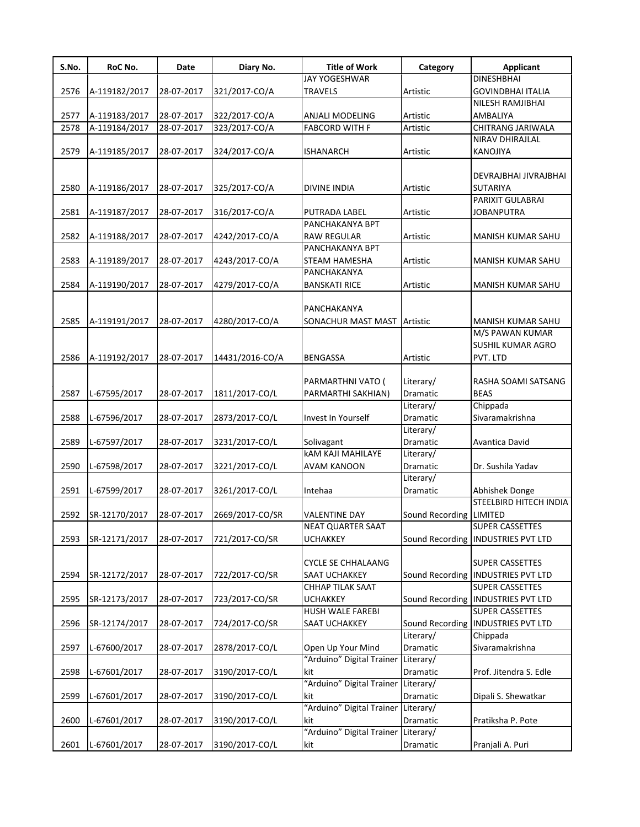| S.No. | RoC No.       | <b>Date</b> | Diary No.       | <b>Title of Work</b>                | Category                | <b>Applicant</b>                         |
|-------|---------------|-------------|-----------------|-------------------------------------|-------------------------|------------------------------------------|
|       |               |             |                 | <b>JAY YOGESHWAR</b>                |                         | <b>DINESHBHAI</b>                        |
| 2576  | A-119182/2017 | 28-07-2017  | 321/2017-CO/A   | <b>TRAVELS</b>                      | Artistic                | <b>GOVINDBHAI ITALIA</b>                 |
|       |               |             |                 |                                     |                         | NILESH RAMJIBHAI                         |
| 2577  | A-119183/2017 | 28-07-2017  | 322/2017-CO/A   | ANJALI MODELING                     | Artistic                | AMBALIYA                                 |
| 2578  | A-119184/2017 | 28-07-2017  | 323/2017-CO/A   | <b>FABCORD WITH F</b>               | Artistic                | CHITRANG JARIWALA                        |
|       |               |             |                 |                                     |                         | NIRAV DHIRAJLAL                          |
| 2579  | A-119185/2017 | 28-07-2017  | 324/2017-CO/A   | <b>ISHANARCH</b>                    | Artistic                | KANOJIYA                                 |
| 2580  | A-119186/2017 | 28-07-2017  | 325/2017-CO/A   | <b>DIVINE INDIA</b>                 | Artistic                | DEVRAJBHAI JIVRAJBHAI<br><b>SUTARIYA</b> |
|       |               |             |                 |                                     |                         | PARIXIT GULABRAI                         |
| 2581  | A-119187/2017 | 28-07-2017  | 316/2017-CO/A   | PUTRADA LABEL                       | Artistic                | JOBANPUTRA                               |
|       |               |             |                 | PANCHAKANYA BPT                     |                         |                                          |
| 2582  | A-119188/2017 | 28-07-2017  | 4242/2017-CO/A  | <b>RAW REGULAR</b>                  | Artistic                | MANISH KUMAR SAHU                        |
|       |               |             |                 | PANCHAKANYA BPT                     |                         |                                          |
| 2583  | A-119189/2017 | 28-07-2017  | 4243/2017-CO/A  | <b>STEAM HAMESHA</b>                | Artistic                | MANISH KUMAR SAHU                        |
|       |               |             |                 | PANCHAKANYA                         |                         |                                          |
| 2584  | A-119190/2017 | 28-07-2017  | 4279/2017-CO/A  | <b>BANSKATI RICE</b>                | Artistic                | MANISH KUMAR SAHU                        |
|       |               |             |                 |                                     |                         |                                          |
|       |               |             |                 | PANCHAKANYA                         |                         |                                          |
| 2585  | A-119191/2017 | 28-07-2017  | 4280/2017-CO/A  | SONACHUR MAST MAST Artistic         |                         | MANISH KUMAR SAHU                        |
|       |               |             |                 |                                     |                         | M/S PAWAN KUMAR                          |
|       |               |             |                 |                                     |                         | SUSHIL KUMAR AGRO                        |
| 2586  | A-119192/2017 | 28-07-2017  | 14431/2016-CO/A | <b>BENGASSA</b>                     | Artistic                | PVT. LTD                                 |
|       |               |             |                 |                                     |                         |                                          |
|       |               |             |                 | PARMARTHNI VATO (                   | Literary/               | RASHA SOAMI SATSANG                      |
| 2587  | L-67595/2017  | 28-07-2017  | 1811/2017-CO/L  | PARMARTHI SAKHIAN)                  | Dramatic                | <b>BEAS</b>                              |
|       |               |             |                 |                                     | Literary/               | Chippada                                 |
| 2588  | L-67596/2017  | 28-07-2017  | 2873/2017-CO/L  | Invest In Yourself                  | Dramatic                | Sivaramakrishna                          |
|       |               |             |                 |                                     | Literary/               |                                          |
| 2589  | L-67597/2017  | 28-07-2017  | 3231/2017-CO/L  | Solivagant                          | Dramatic                | Avantica David                           |
|       |               |             |                 | <b>kAM KAJI MAHILAYE</b>            | Literary/               |                                          |
| 2590  | L-67598/2017  | 28-07-2017  | 3221/2017-CO/L  | <b>AVAM KANOON</b>                  | <b>Dramatic</b>         | Dr. Sushila Yadav                        |
|       |               |             |                 |                                     | Literary/               |                                          |
| 2591  | L-67599/2017  | 28-07-2017  | 3261/2017-CO/L  | Intehaa                             | Dramatic                | Abhishek Donge                           |
|       |               |             |                 |                                     |                         | STEELBIRD HITECH INDIA                   |
| 2592  | SR-12170/2017 | 28-07-2017  | 2669/2017-CO/SR | VALENTINE DAY                       | Sound Recording LIMITED |                                          |
|       |               |             |                 | <b>NEAT QUARTER SAAT</b>            |                         | <b>SUPER CASSETTES</b>                   |
| 2593  | SR-12171/2017 | 28-07-2017  | 721/2017-CO/SR  | <b>UCHAKKEY</b>                     |                         | Sound Recording   INDUSTRIES PVT LTD     |
|       |               |             |                 |                                     |                         |                                          |
|       |               |             |                 | <b>CYCLE SE CHHALAANG</b>           |                         | <b>SUPER CASSETTES</b>                   |
| 2594  | SR-12172/2017 | 28-07-2017  | 722/2017-CO/SR  | SAAT UCHAKKEY                       |                         | Sound Recording   INDUSTRIES PVT LTD     |
|       |               |             |                 | CHHAP TILAK SAAT                    |                         | SUPER CASSETTES                          |
| 2595  | SR-12173/2017 | 28-07-2017  | 723/2017-CO/SR  | <b>UCHAKKEY</b>                     |                         | Sound Recording   INDUSTRIES PVT LTD     |
|       |               |             |                 | <b>HUSH WALE FAREBI</b>             |                         | <b>SUPER CASSETTES</b>                   |
| 2596  | SR-12174/2017 | 28-07-2017  | 724/2017-CO/SR  | SAAT UCHAKKEY                       |                         | Sound Recording   INDUSTRIES PVT LTD     |
|       |               |             |                 |                                     | Literary/               | Chippada                                 |
| 2597  | L-67600/2017  | 28-07-2017  | 2878/2017-CO/L  | Open Up Your Mind                   | Dramatic                | Sivaramakrishna                          |
|       |               |             |                 | "Arduino" Digital Trainer           | Literary/               |                                          |
| 2598  | L-67601/2017  | 28-07-2017  | 3190/2017-CO/L  | kit                                 | Dramatic                | Prof. Jitendra S. Edle                   |
|       |               |             |                 | "Arduino" Digital Trainer           | Literary/               |                                          |
| 2599  | L-67601/2017  | 28-07-2017  | 3190/2017-CO/L  | kit                                 | Dramatic                | Dipali S. Shewatkar                      |
|       |               |             |                 | "Arduino" Digital Trainer Literary/ |                         |                                          |
| 2600  | L-67601/2017  | 28-07-2017  | 3190/2017-CO/L  | kit                                 | Dramatic                | Pratiksha P. Pote                        |
|       |               |             |                 | "Arduino" Digital Trainer Literary/ |                         |                                          |
| 2601  | L-67601/2017  | 28-07-2017  | 3190/2017-CO/L  | kit                                 | Dramatic                | Pranjali A. Puri                         |
|       |               |             |                 |                                     |                         |                                          |